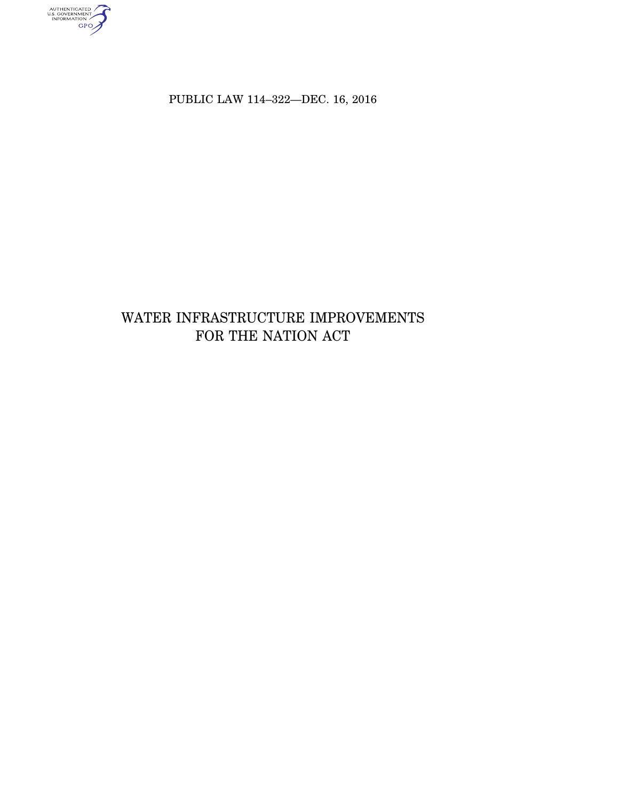AUTHENTICATED<br>U.S. GOVERNMENT<br>INFORMATION<br>GPO

PUBLIC LAW 114–322—DEC. 16, 2016

# WATER INFRASTRUCTURE IMPROVEMENTS FOR THE NATION ACT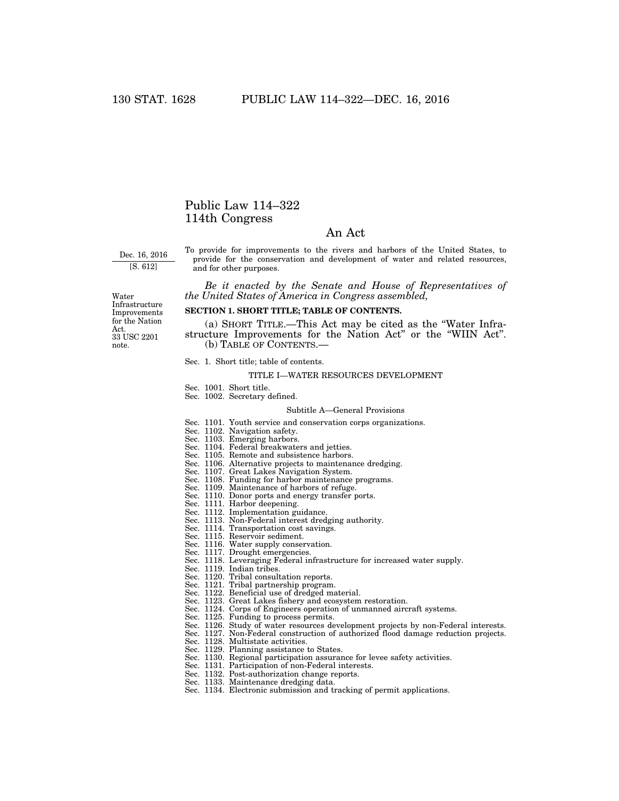# Public Law 114–322 114th Congress

# An Act

Dec. 16, 2016 [S. 612]

To provide for improvements to the rivers and harbors of the United States, to provide for the conservation and development of water and related resources, and for other purposes.

*Be it enacted by the Senate and House of Representatives of the United States of America in Congress assembled,* 

Water Infrastructure Improvements for the Nation Act. 33 USC 2201 note.

# **SECTION 1. SHORT TITLE; TABLE OF CONTENTS.**

(a) SHORT TITLE.—This Act may be cited as the ''Water Infrastructure Improvements for the Nation Act'' or the ''WIIN Act''. (b) TABLE OF CONTENTS.—

### Sec. 1. Short title; table of contents.

### TITLE I—WATER RESOURCES DEVELOPMENT

- Sec. 1001. Short title.
- Sec. 1002. Secretary defined.

### Subtitle A—General Provisions

- Sec. 1101. Youth service and conservation corps organizations.
- Sec. 1102. Navigation safety.
- Sec. 1103. Emerging harbors.
- Sec. 1104. Federal breakwaters and jetties. Sec. 1105. Remote and subsistence harbors.
- Sec. 1106. Alternative projects to maintenance dredging.
- Sec. 1107. Great Lakes Navigation System.
- Sec. 1108. Funding for harbor maintenance programs.
- Sec. 1109. Maintenance of harbors of refuge.
- Sec. 1110. Donor ports and energy transfer ports.
- Sec. 1111. Harbor deepening.
- Sec. 1112. Implementation guidance.
- Sec. 1113. Non-Federal interest dredging authority.
- Sec. 1114. Transportation cost savings.
- Sec. 1115. Reservoir sediment.
- Sec. 1116. Water supply conservation.
- Sec. 1117. Drought emergencies.
- Sec. 1118. Leveraging Federal infrastructure for increased water supply.
- Sec. 1119. Indian tribes.
- Sec. 1120. Tribal consultation reports.<br>Sec. 1121. Tribal partnership program
- Sec. 1121. Tribal partnership program.
- Sec. 1122. Beneficial use of dredged material.
- Sec. 1123. Great Lakes fishery and ecosystem restoration.
- Sec. 1124. Corps of Engineers operation of unmanned aircraft systems.
- Sec. 1125. Funding to process permits.
- Sec. 1126. Study of water resources development projects by non-Federal interests.
- Sec. 1127. Non-Federal construction of authorized flood damage reduction projects.
- Sec. 1128. Multistate activities.
- Sec. 1129. Planning assistance to States.
- Sec. 1130. Regional participation assurance for levee safety activities.
- Sec. 1131. Participation of non-Federal interests.
- Sec. 1132. Post-authorization change reports.
- Sec. 1133. Maintenance dredging data.
- Sec. 1134. Electronic submission and tracking of permit applications.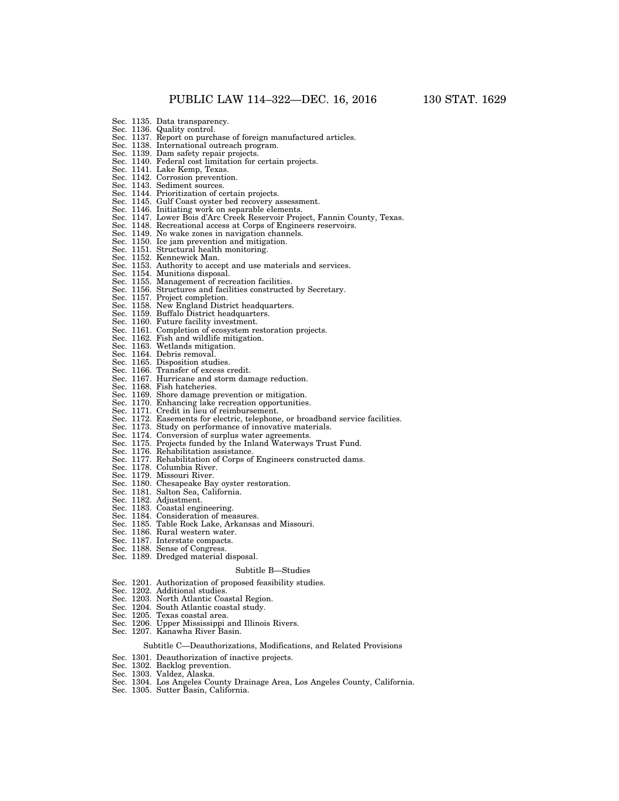- Sec. 1135. Data transparency. Sec. 1136. Quality control. Sec. 1137. Report on purchase of foreign manufactured articles. Sec. 1138. International outreach program. Sec. 1139. Dam safety repair projects. Sec. 1140. Federal cost limitation for certain projects. Sec. 1141. Lake Kemp, Texas. Sec. 1142. Corrosion prevention. Sec. 1143. Sediment sources. Sec. 1144. Prioritization of certain projects. Sec. 1145. Gulf Coast oyster bed recovery assessment. Sec. 1146. Initiating work on separable elements. Sec. 1147. Lower Bois d'Arc Creek Reservoir Project, Fannin County, Texas. Sec. 1148. Recreational access at Corps of Engineers reservoirs. Sec. 1149. No wake zones in navigation channels. Sec. 1150. Ice jam prevention and mitigation. Sec. 1151. Structural health monitoring. Sec. 1152. Kennewick Man. Sec. 1153. Authority to accept and use materials and services. Sec. 1154. Munitions disposal. Sec. 1155. Management of recreation facilities. Sec. 1156. Structures and facilities constructed by Secretary. Sec. 1157. Project completion. Sec. 1158. New England District headquarters. Sec. 1159. Buffalo District headquarters. Sec. 1160. Future facility investment. Sec. 1161. Completion of ecosystem restoration projects. Sec. 1162. Fish and wildlife mitigation. Sec. 1163. Wetlands mitigation. Sec. 1164. Debris removal. Sec. 1165. Disposition studies. Sec. 1166. Transfer of excess credit. Sec. 1167. Hurricane and storm damage reduction. Sec. 1168. Fish hatcheries.<br>Sec. 1169. Shore damage p Shore damage prevention or mitigation. Sec. 1170. Enhancing lake recreation opportunities. Sec. 1171. Credit in lieu of reimbursement. Sec. 1172. Easements for electric, telephone, or broadband service facilities.<br>Sec. 1173. Study on performance of innovative materials. Sec. 1173. Study on performance of innovative materials.<br>Sec. 1174. Conversion of surplus water agreements. Sec. 1174. Conversion of surplus water agreements.<br>Sec. 1175. Projects funded by the Inland Waterways Sec. 1175. Projects funded by the Inland Waterways Trust Fund. Rehabilitation assistance. Sec. 1177. Rehabilitation of Corps of Engineers constructed dams. Sec. 1178. Columbia River. Sec. 1179. Missouri River. Sec. 1180. Chesapeake Bay oyster restoration. Sec. 1181. Salton Sea, California. Sec. 1182. Adjustment. Sec. 1183. Coastal engineering. Sec. 1184. Consideration of measures. Sec. 1185. Table Rock Lake, Arkansas and Missouri. Sec. 1186. Rural western water. Sec. 1187. Interstate compacts. Sec. 1188. Sense of Congress. Sec. 1189. Dredged material disposal. Subtitle B—Studies Sec. 1201. Authorization of proposed feasibility studies.
- Sec. 1202. Additional studies.
- Sec. 1203. North Atlantic Coastal Region.
- Sec. 1204. South Atlantic coastal study.
- Sec. 1205. Texas coastal area.
- Sec. 1206. Upper Mississippi and Illinois Rivers.

# Sec. 1207. Kanawha River Basin.

# Subtitle C—Deauthorizations, Modifications, and Related Provisions

- Sec. 1301. Deauthorization of inactive projects.
- Sec. 1302. Backlog prevention.
- Sec. 1303. Valdez, Alaska.
- Sec. 1304. Los Angeles County Drainage Area, Los Angeles County, California.
- Sec. 1305. Sutter Basin, California.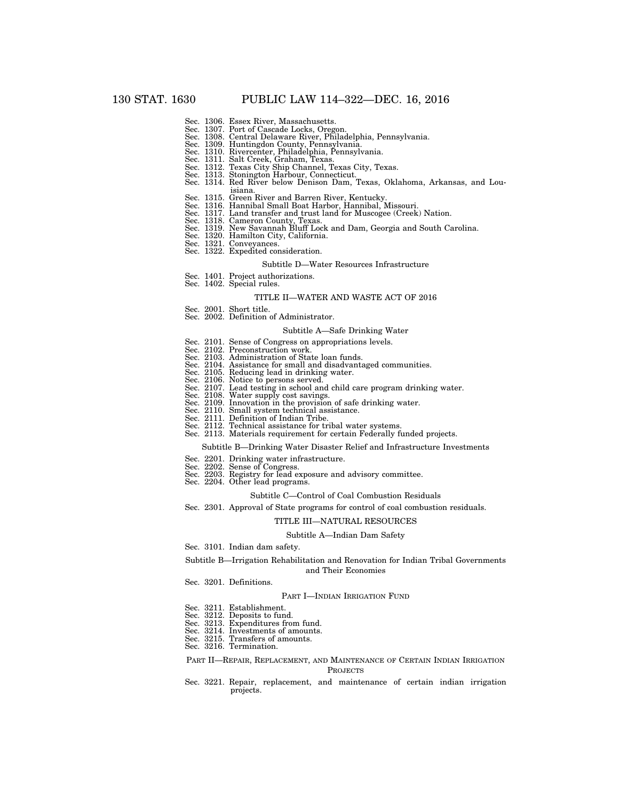- Sec. 1306. Essex River, Massachusetts.
- 
- 
- 
- 
- 
- 
- Sec. 1307. Port of Cascade Locks, Oregon.<br>Sec. 1308. Central Delaware River, Philadelphia, Pennsylvania.<br>Sec. 1309. Huntingdon County, Pennsylvania.<br>Sec. 1310. Rivercenter, Philadelphia, Pennsylvania.<br>Sec. 1311. Salt Creek isiana.
- 
- Sec. 1315. Green River and Barren River, Kentucky. Sec. 1316. Hannibal Small Boat Harbor, Hannibal, Missouri. Sec. 1317. Land transfer and trust land for Muscogee (Creek) Nation.
- 
- Sec. 1318. Cameron County, Texas. Sec. 1319. New Savannah Bluff Lock and Dam, Georgia and South Carolina.
- Sec. 1320. Hamilton City, California. Sec. 1321. Conveyances.
- 
- Sec. 1322. Expedited consideration.

### Subtitle D—Water Resources Infrastructure

- Sec. 1401. Project authorizations. Sec. 1402. Special rules.
- 

### TITLE II—WATER AND WASTE ACT OF 2016

- Sec. 2001. Short title.
- Sec. 2002. Definition of Administrator.

### Subtitle A—Safe Drinking Water

- Sec. 2101. Sense of Congress on appropriations levels. Sec. 2102. Preconstruction work. Sec. 2103. Administration of State loan funds.
- 
- 
- Sec. 2104. Assistance for small and disadvantaged communities.
- Sec. 2105. Reducing lead in drinking water.
- Sec. 2106. Notice to persons served."<br>Sec. 2107. Lead testing in school and child care program drinking water.<br>Sec. 2108. Water supply cost savings.<br>Sec. 2109. Innovation in the provision of safe drinking water.
- 
- 
- Sec. 2110. Small system technical assistance.
- 
- Sec. 2111. Definition of Indian Tribe. Sec. 2112. Technical assistance for tribal water systems.
- Sec. 2113. Materials requirement for certain Federally funded projects.

### Subtitle B—Drinking Water Disaster Relief and Infrastructure Investments

- Sec. 2201. Drinking water infrastructure. Sec. 2202. Sense of Congress.
- 
- Sec. 2203. Registry for lead exposure and advisory committee. Sec. 2204. Other lead programs.

# Subtitle C—Control of Coal Combustion Residuals

Sec. 2301. Approval of State programs for control of coal combustion residuals.

### TITLE III—NATURAL RESOURCES

### Subtitle A—Indian Dam Safety

Sec. 3101. Indian dam safety.

### Subtitle B—Irrigation Rehabilitation and Renovation for Indian Tribal Governments and Their Economies

Sec. 3201. Definitions.

### PART I—INDIAN IRRIGATION FUND

- Sec. 3211. Establishment.
- 
- Sec. 3212. Deposits to fund. Sec. 3213. Expenditures from fund.
- Sec. 3214. Investments of amounts.
- Sec. 3215. Transfers of amounts. Sec. 3216. Termination.
- 

### PART II—REPAIR, REPLACEMENT, AND MAINTENANCE OF CERTAIN INDIAN IRRIGATION PROJECTS

Sec. 3221. Repair, replacement, and maintenance of certain indian irrigation projects.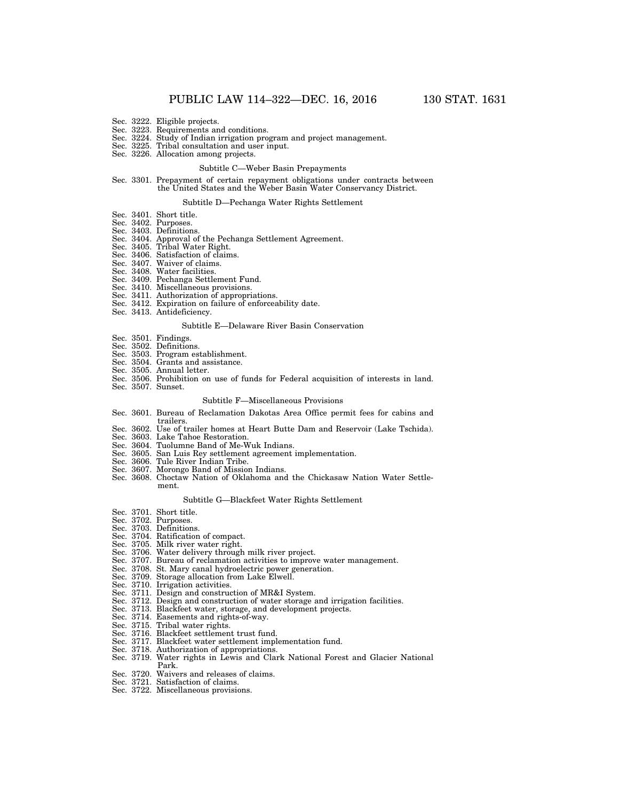- Sec. 3222. Eligible projects.
- Sec. 3223. Requirements and conditions.<br>Sec. 3224. Study of Indian irrigation pro
- Study of Indian irrigation program and project management.
- Sec. 3225. Tribal consultation and user input.
- Sec. 3226. Allocation among projects.

### Subtitle C—Weber Basin Prepayments

Sec. 3301. Prepayment of certain repayment obligations under contracts between the United States and the Weber Basin Water Conservancy District.

### Subtitle D—Pechanga Water Rights Settlement

- Sec. 3401. Short title.
- Sec. 3402. Purposes.
- Sec. 3403. Definitions.
- Sec. 3404. Approval of the Pechanga Settlement Agreement.
- Sec. 3405. Tribal Water Right.
- Sec. 3406. Satisfaction of claims.<br>Sec. 3407. Waiver of claims.
- Sec. 3407. Waiver of claims.
- Sec. 3408. Water facilities.
- Sec. 3409. Pechanga Settlement Fund. Sec. 3410. Miscellaneous provisions.
- Sec. 3411. Authorization of appropriations.
- Sec. 3412. Expiration on failure of enforceability date.
- Sec. 3413. Antideficiency.

### Subtitle E—Delaware River Basin Conservation

- Sec. 3501. Findings.
- Sec. 3502. Definitions.
- Sec. 3503. Program establishment.
- Sec. 3504. Grants and assistance.
- Sec. 3505. Annual letter.
- Sec. 3506. Prohibition on use of funds for Federal acquisition of interests in land.
- Sec. 3507. Sunset.

### Subtitle F—Miscellaneous Provisions

- Sec. 3601. Bureau of Reclamation Dakotas Area Office permit fees for cabins and trailers.
- Sec. 3602. Use of trailer homes at Heart Butte Dam and Reservoir (Lake Tschida).
- Sec. 3603. Lake Tahoe Restoration.
- Sec. 3604. Tuolumne Band of Me-Wuk Indians.
- Sec. 3605. San Luis Rey settlement agreement implementation.
- Sec. 3606. Tule River Indian Tribe.
- Sec. 3607. Morongo Band of Mission Indians.
- Sec. 3608. Choctaw Nation of Oklahoma and the Chickasaw Nation Water Settlement.

### Subtitle G—Blackfeet Water Rights Settlement

- Sec. 3701. Short title.
- Sec. 3702. Purposes.
- Sec. 3703. Definitions.
- Sec. 3704. Ratification of compact.
- Sec. 3705. Milk river water right.
- Sec. 3706. Water delivery through milk river project.
- Sec. 3707. Bureau of reclamation activities to improve water management.
- Sec. 3708. St. Mary canal hydroelectric power generation.
- Sec. 3709. Storage allocation from Lake Elwell.
- Sec. 3710. Irrigation activities.<br>Sec. 3711. Design and construc
- 
- Sec. 3711. Design and construction of MR&I System.<br>Sec. 3712. Design and construction of water storage a Design and construction of water storage and irrigation facilities.
- Sec. 3713. Blackfeet water, storage, and development projects.
- Sec. 3714. Easements and rights-of-way.
- Sec. 3715. Tribal water rights.
- Sec. 3716. Blackfeet settlement trust fund.
- Sec. 3717. Blackfeet water settlement implementation fund.
- 
- Sec. 3718. Authorization of appropriations.<br>Sec. 3719. Water rights in Lewis and Clar Sec. 3719. Water rights in Lewis and Clark National Forest and Glacier National Park.
- Sec. 3720. Waivers and releases of claims.
- Sec. 3721. Satisfaction of claims.
- Sec. 3722. Miscellaneous provisions.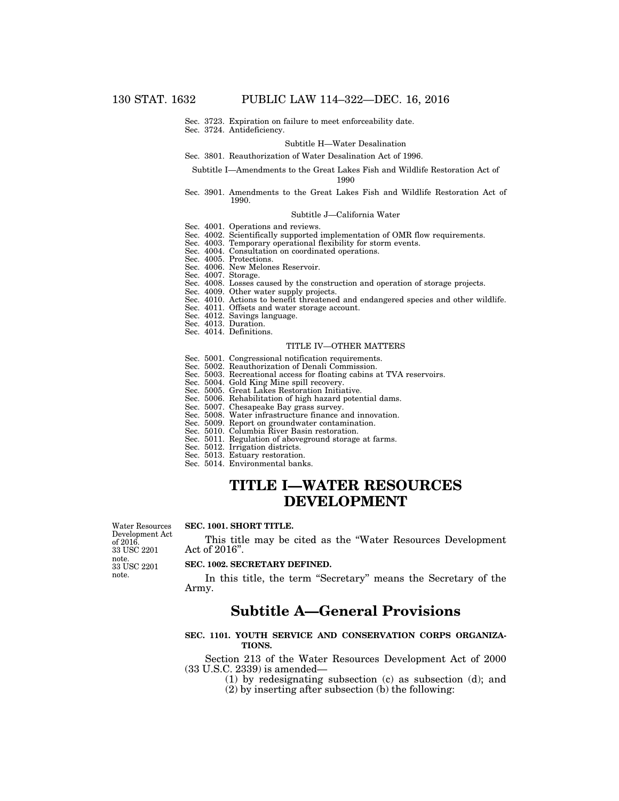- Sec. 3723. Expiration on failure to meet enforceability date.
- Sec. 3724. Antideficiency.

### Subtitle H—Water Desalination

# Sec. 3801. Reauthorization of Water Desalination Act of 1996.

### Subtitle I—Amendments to the Great Lakes Fish and Wildlife Restoration Act of 1990

### Sec. 3901. Amendments to the Great Lakes Fish and Wildlife Restoration Act of 1990.

### Subtitle J—California Water

- Sec. 4001. Operations and reviews.
- Sec. 4002. Scientifically supported implementation of OMR flow requirements.
- Sec. 4003. Temporary operational flexibility for storm events.
- Sec. 4004. Consultation on coordinated operations.
- Sec. 4005. Protections.
- Sec. 4006. New Melones Reservoir.
- Sec. 4007. Storage.
- Sec. 4008. Losses caused by the construction and operation of storage projects.
- Sec. 4009. Other water supply projects.
- Sec. 4010. Actions to benefit threatened and endangered species and other wildlife.
- Sec. 4011. Offsets and water storage account.
- Sec. 4012. Savings language.
- Sec. 4013. Duration.
- Sec. 4014. Definitions.

### TITLE IV—OTHER MATTERS

- Sec. 5001. Congressional notification requirements.
- Sec. 5002. Reauthorization of Denali Commission.
- Sec. 5003. Recreational access for floating cabins at TVA reservoirs.
- Sec. 5004. Gold King Mine spill recovery.
- Sec. 5005. Great Lakes Restoration Initiative.
- Sec. 5006. Rehabilitation of high hazard potential dams. Sec. 5007. Chesapeake Bay grass survey.
- Sec. 5008. Water infrastructure finance and innovation.
- Sec. 5009. Report on groundwater contamination.
- Sec. 5010. Columbia River Basin restoration.
- Sec. 5011. Regulation of aboveground storage at farms.
- 
- Sec. 5012. Irrigation districts.
- Sec. 5013. Estuary restoration. Sec. 5014. Environmental banks.
	- **TITLE I—WATER RESOURCES DEVELOPMENT**

33 USC 2201 note. Water Resources Development Act of 2016. 33 USC 2201 note.

### **SEC. 1001. SHORT TITLE.**

This title may be cited as the ''Water Resources Development Act of 2016''.

### **SEC. 1002. SECRETARY DEFINED.**

In this title, the term "Secretary" means the Secretary of the Army.

# **Subtitle A—General Provisions**

# **SEC. 1101. YOUTH SERVICE AND CONSERVATION CORPS ORGANIZA-TIONS.**

Section 213 of the Water Resources Development Act of 2000 (33 U.S.C. 2339) is amended—

- (1) by redesignating subsection (c) as subsection (d); and
- (2) by inserting after subsection (b) the following: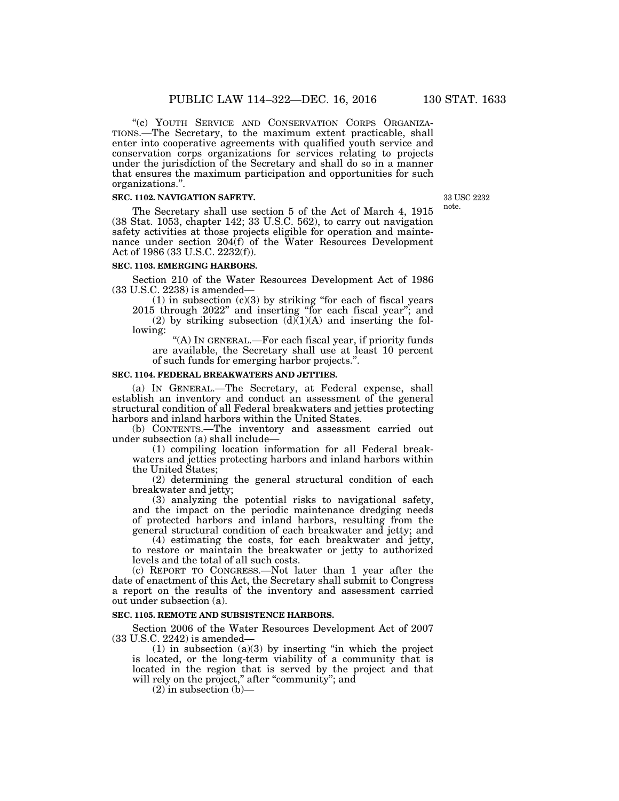''(c) YOUTH SERVICE AND CONSERVATION CORPS ORGANIZA- TIONS.—The Secretary, to the maximum extent practicable, shall enter into cooperative agreements with qualified youth service and conservation corps organizations for services relating to projects under the jurisdiction of the Secretary and shall do so in a manner that ensures the maximum participation and opportunities for such organizations.''.

### **SEC. 1102. NAVIGATION SAFETY.**

The Secretary shall use section 5 of the Act of March 4, 1915 (38 Stat. 1053, chapter 142; 33 U.S.C. 562), to carry out navigation safety activities at those projects eligible for operation and maintenance under section 204(f) of the Water Resources Development Act of 1986 (33 U.S.C. 2232(f)).

### **SEC. 1103. EMERGING HARBORS.**

Section 210 of the Water Resources Development Act of 1986 (33 U.S.C. 2238) is amended—

 $(1)$  in subsection  $(c)(3)$  by striking "for each of fiscal years 2015 through 2022'' and inserting ''for each fiscal year''; and

(2) by striking subsection  $(d)(1)(A)$  and inserting the following:

''(A) IN GENERAL.—For each fiscal year, if priority funds are available, the Secretary shall use at least 10 percent of such funds for emerging harbor projects.''.

# **SEC. 1104. FEDERAL BREAKWATERS AND JETTIES.**

(a) IN GENERAL.—The Secretary, at Federal expense, shall establish an inventory and conduct an assessment of the general structural condition of all Federal breakwaters and jetties protecting harbors and inland harbors within the United States.

(b) CONTENTS.—The inventory and assessment carried out under subsection (a) shall include—

(1) compiling location information for all Federal breakwaters and jetties protecting harbors and inland harbors within the United States;

(2) determining the general structural condition of each breakwater and jetty;

(3) analyzing the potential risks to navigational safety, and the impact on the periodic maintenance dredging needs of protected harbors and inland harbors, resulting from the general structural condition of each breakwater and jetty; and

(4) estimating the costs, for each breakwater and jetty, to restore or maintain the breakwater or jetty to authorized levels and the total of all such costs.

(c) REPORT TO CONGRESS.—Not later than 1 year after the date of enactment of this Act, the Secretary shall submit to Congress a report on the results of the inventory and assessment carried out under subsection (a).

# **SEC. 1105. REMOTE AND SUBSISTENCE HARBORS.**

Section 2006 of the Water Resources Development Act of 2007 (33 U.S.C. 2242) is amended—

(1) in subsection (a)(3) by inserting ''in which the project is located, or the long-term viability of a community that is located in the region that is served by the project and that will rely on the project," after "community"; and

 $(2)$  in subsection  $(b)$ —

33 USC 2232 note.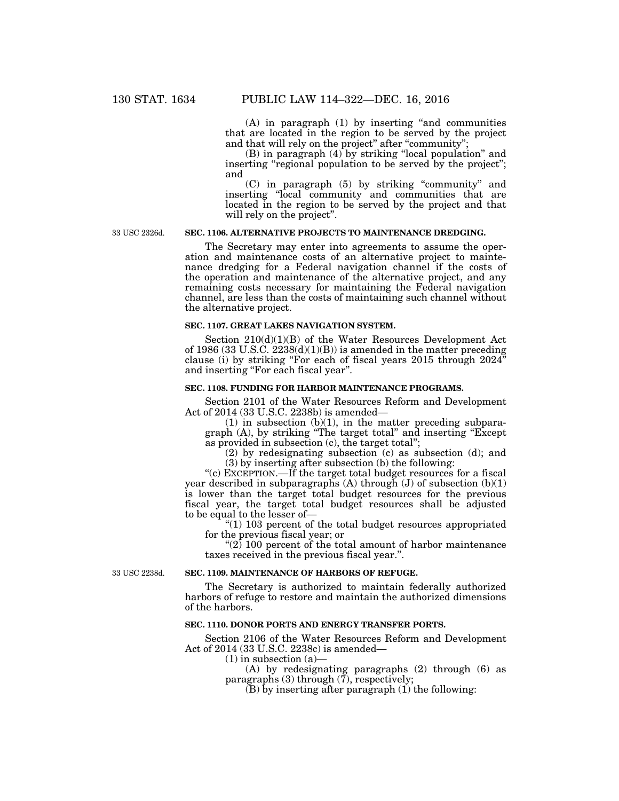(A) in paragraph (1) by inserting ''and communities that are located in the region to be served by the project and that will rely on the project" after "community";

(B) in paragraph (4) by striking ''local population'' and inserting "regional population to be served by the project"; and

(C) in paragraph (5) by striking ''community'' and inserting ''local community and communities that are located in the region to be served by the project and that will rely on the project".

33 USC 2326d.

# **SEC. 1106. ALTERNATIVE PROJECTS TO MAINTENANCE DREDGING.**

The Secretary may enter into agreements to assume the operation and maintenance costs of an alternative project to maintenance dredging for a Federal navigation channel if the costs of the operation and maintenance of the alternative project, and any remaining costs necessary for maintaining the Federal navigation channel, are less than the costs of maintaining such channel without the alternative project.

### **SEC. 1107. GREAT LAKES NAVIGATION SYSTEM.**

Section 210(d)(1)(B) of the Water Resources Development Act of 1986 (33 U.S.C.  $2238(d)(1)(B)$ ) is amended in the matter preceding clause (i) by striking ''For each of fiscal years 2015 through 2024'' and inserting ''For each fiscal year''.

# **SEC. 1108. FUNDING FOR HARBOR MAINTENANCE PROGRAMS.**

Section 2101 of the Water Resources Reform and Development Act of 2014 (33 U.S.C. 2238b) is amended—

 $(1)$  in subsection  $(b)(1)$ , in the matter preceding subparagraph (A), by striking ''The target total'' and inserting ''Except as provided in subsection (c), the target total'';

(2) by redesignating subsection (c) as subsection (d); and (3) by inserting after subsection (b) the following:

''(c) EXCEPTION.—If the target total budget resources for a fiscal year described in subparagraphs  $(A)$  through  $(J)$  of subsection  $(b)(1)$ is lower than the target total budget resources for the previous fiscal year, the target total budget resources shall be adjusted to be equal to the lesser of—

 $(1)$  103 percent of the total budget resources appropriated for the previous fiscal year; or

" $(2)$  100 percent of the total amount of harbor maintenance taxes received in the previous fiscal year.''.

33 USC 2238d.

# **SEC. 1109. MAINTENANCE OF HARBORS OF REFUGE.**

The Secretary is authorized to maintain federally authorized harbors of refuge to restore and maintain the authorized dimensions of the harbors.

# **SEC. 1110. DONOR PORTS AND ENERGY TRANSFER PORTS.**

Section 2106 of the Water Resources Reform and Development Act of 2014 (33 U.S.C. 2238c) is amended—

 $(1)$  in subsection  $(a)$ 

(A) by redesignating paragraphs (2) through (6) as paragraphs (3) through (7), respectively;

 $(B)$  by inserting after paragraph  $(1)$  the following: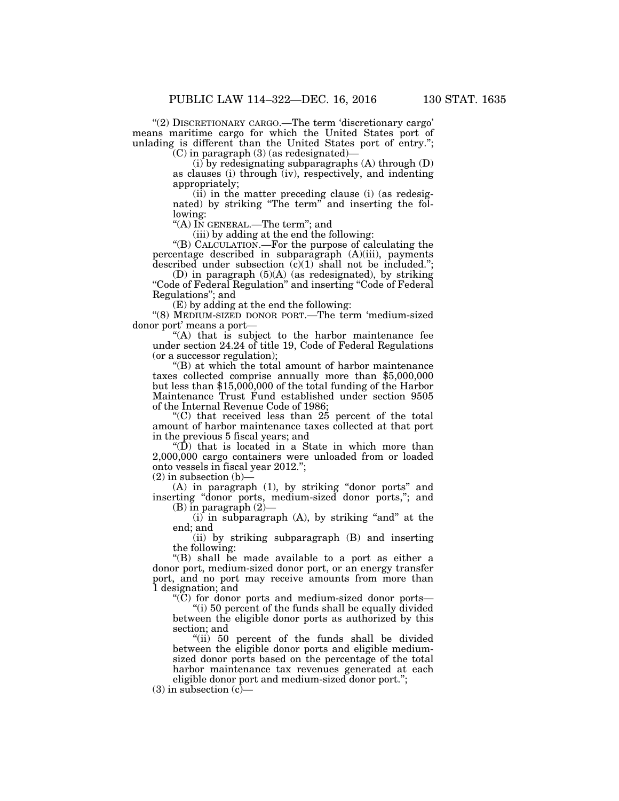''(2) DISCRETIONARY CARGO.—The term 'discretionary cargo' means maritime cargo for which the United States port of unlading is different than the United States port of entry.'';

(C) in paragraph (3) (as redesignated)—

(i) by redesignating subparagraphs (A) through (D) as clauses (i) through (iv), respectively, and indenting appropriately;

(ii) in the matter preceding clause (i) (as redesignated) by striking "The term" and inserting the following:

''(A) IN GENERAL.—The term''; and

(iii) by adding at the end the following:

''(B) CALCULATION.—For the purpose of calculating the percentage described in subparagraph (A)(iii), payments described under subsection  $(c)(1)$  shall not be included.";

(D) in paragraph  $(5)(A)$  (as redesignated), by striking "Code of Federal Regulation" and inserting "Code of Federal Regulations''; and

(E) by adding at the end the following:

''(8) MEDIUM-SIZED DONOR PORT.—The term 'medium-sized donor port' means a port—

''(A) that is subject to the harbor maintenance fee under section 24.24 of title 19, Code of Federal Regulations (or a successor regulation);

''(B) at which the total amount of harbor maintenance taxes collected comprise annually more than \$5,000,000 but less than \$15,000,000 of the total funding of the Harbor Maintenance Trust Fund established under section 9505 of the Internal Revenue Code of 1986;

 $(C)$  that received less than 25 percent of the total amount of harbor maintenance taxes collected at that port in the previous 5 fiscal years; and

" $(D)$  that is located in a State in which more than 2,000,000 cargo containers were unloaded from or loaded onto vessels in fiscal year 2012.'';

 $(2)$  in subsection  $(b)$ —

(A) in paragraph (1), by striking ''donor ports'' and inserting ''donor ports, medium-sized donor ports,''; and (B) in paragraph  $(2)$ -

 $(i)$  in subparagraph  $(A)$ , by striking "and" at the end; and

(ii) by striking subparagraph (B) and inserting the following:

''(B) shall be made available to a port as either a donor port, medium-sized donor port, or an energy transfer port, and no port may receive amounts from more than 1 designation; and

" $(\overline{C})$  for donor ports and medium-sized donor ports—

"(i) 50 percent of the funds shall be equally divided between the eligible donor ports as authorized by this section; and

"(ii) 50 percent of the funds shall be divided between the eligible donor ports and eligible mediumsized donor ports based on the percentage of the total harbor maintenance tax revenues generated at each eligible donor port and medium-sized donor port.'';

 $(3)$  in subsection  $(c)$ —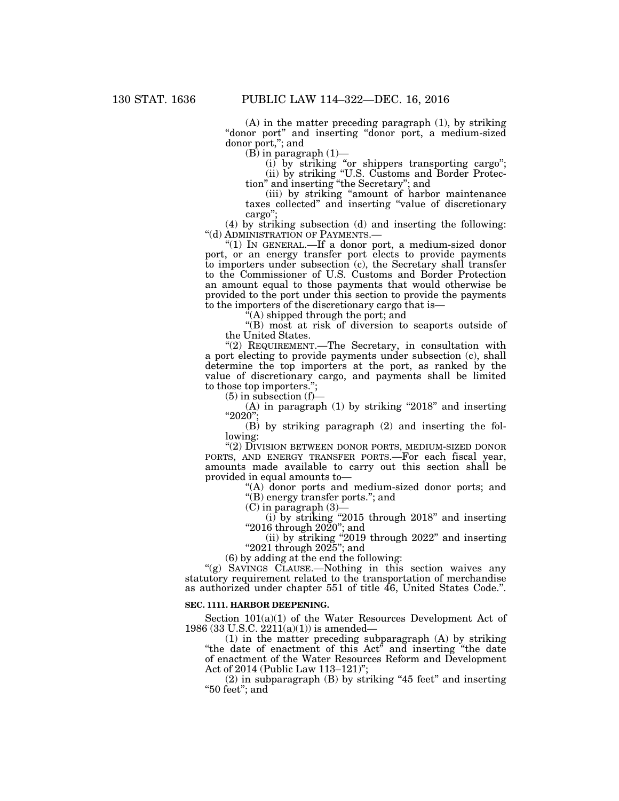(A) in the matter preceding paragraph (1), by striking ''donor port'' and inserting ''donor port, a medium-sized donor port,''; and

 $(B)$  in paragraph  $(1)$ —

(i) by striking ''or shippers transporting cargo''; (ii) by striking ''U.S. Customs and Border Protection'' and inserting ''the Secretary''; and

(iii) by striking ''amount of harbor maintenance taxes collected'' and inserting ''value of discretionary cargo'';

(4) by striking subsection (d) and inserting the following: "(d) ADMINISTRATION OF PAYMENTS.—

"(1) IN GENERAL.—If a donor port, a medium-sized donor port, or an energy transfer port elects to provide payments to importers under subsection (c), the Secretary shall transfer to the Commissioner of U.S. Customs and Border Protection an amount equal to those payments that would otherwise be provided to the port under this section to provide the payments to the importers of the discretionary cargo that is—

 $f(A)$  shipped through the port; and

''(B) most at risk of diversion to seaports outside of the United States.

"(2) REQUIREMENT. The Secretary, in consultation with a port electing to provide payments under subsection (c), shall determine the top importers at the port, as ranked by the value of discretionary cargo, and payments shall be limited to those top importers.'';

 $(5)$  in subsection  $(f)$ —

(A) in paragraph  $(1)$  by striking "2018" and inserting "2020"

(B) by striking paragraph (2) and inserting the following:

"(2) DIVISION BETWEEN DONOR PORTS, MEDIUM-SIZED DONOR PORTS, AND ENERGY TRANSFER PORTS.—For each fiscal year, amounts made available to carry out this section shall be provided in equal amounts to—

''(A) donor ports and medium-sized donor ports; and

''(B) energy transfer ports.''; and

 $(C)$  in paragraph  $(3)$ –

(i) by striking ''2015 through 2018'' and inserting ''2016 through 2020''; and

(ii) by striking "2019 through 2022" and inserting ''2021 through 2025''; and

 $(6)$  by adding at the end the following:

"(g) SAVINGS CLAUSE.—Nothing in this section waives any statutory requirement related to the transportation of merchandise as authorized under chapter 551 of title 46, United States Code.''.

# **SEC. 1111. HARBOR DEEPENING.**

Section 101(a)(1) of the Water Resources Development Act of 1986 (33 U.S.C.  $2211(a)(1)$ ) is amended-

(1) in the matter preceding subparagraph (A) by striking ''the date of enactment of this Act'' and inserting ''the date of enactment of the Water Resources Reform and Development Act of 2014 (Public Law 113–121)'';

 $(2)$  in subparagraph  $(B)$  by striking "45 feet" and inserting "50 feet"; and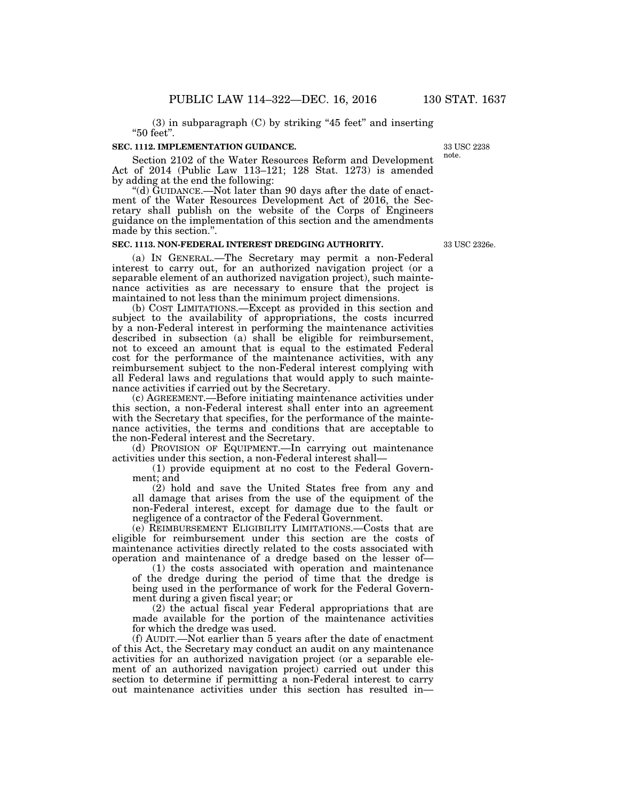$(3)$  in subparagraph  $(C)$  by striking "45 feet" and inserting ''50 feet''.

### **SEC. 1112. IMPLEMENTATION GUIDANCE.**

Section 2102 of the Water Resources Reform and Development Act of 2014 (Public Law 113–121; 128 Stat. 1273) is amended by adding at the end the following: note.

''(d) GUIDANCE.—Not later than 90 days after the date of enactment of the Water Resources Development Act of 2016, the Secretary shall publish on the website of the Corps of Engineers guidance on the implementation of this section and the amendments made by this section.''.

# **SEC. 1113. NON-FEDERAL INTEREST DREDGING AUTHORITY.**

(a) IN GENERAL.—The Secretary may permit a non-Federal interest to carry out, for an authorized navigation project (or a separable element of an authorized navigation project), such maintenance activities as are necessary to ensure that the project is maintained to not less than the minimum project dimensions.

(b) COST LIMITATIONS.—Except as provided in this section and subject to the availability of appropriations, the costs incurred by a non-Federal interest in performing the maintenance activities described in subsection (a) shall be eligible for reimbursement, not to exceed an amount that is equal to the estimated Federal cost for the performance of the maintenance activities, with any reimbursement subject to the non-Federal interest complying with all Federal laws and regulations that would apply to such maintenance activities if carried out by the Secretary.

(c) AGREEMENT.—Before initiating maintenance activities under this section, a non-Federal interest shall enter into an agreement with the Secretary that specifies, for the performance of the maintenance activities, the terms and conditions that are acceptable to the non-Federal interest and the Secretary.

(d) PROVISION OF EQUIPMENT.—In carrying out maintenance activities under this section, a non-Federal interest shall—

(1) provide equipment at no cost to the Federal Government; and

(2) hold and save the United States free from any and all damage that arises from the use of the equipment of the non-Federal interest, except for damage due to the fault or negligence of a contractor of the Federal Government.

(e) REIMBURSEMENT ELIGIBILITY LIMITATIONS.—Costs that are eligible for reimbursement under this section are the costs of maintenance activities directly related to the costs associated with operation and maintenance of a dredge based on the lesser of—

(1) the costs associated with operation and maintenance of the dredge during the period of time that the dredge is being used in the performance of work for the Federal Government during a given fiscal year; or

(2) the actual fiscal year Federal appropriations that are made available for the portion of the maintenance activities for which the dredge was used.

(f) AUDIT.—Not earlier than 5 years after the date of enactment of this Act, the Secretary may conduct an audit on any maintenance activities for an authorized navigation project (or a separable element of an authorized navigation project) carried out under this section to determine if permitting a non-Federal interest to carry out maintenance activities under this section has resulted in—

33 USC 2326e.

33 USC 2238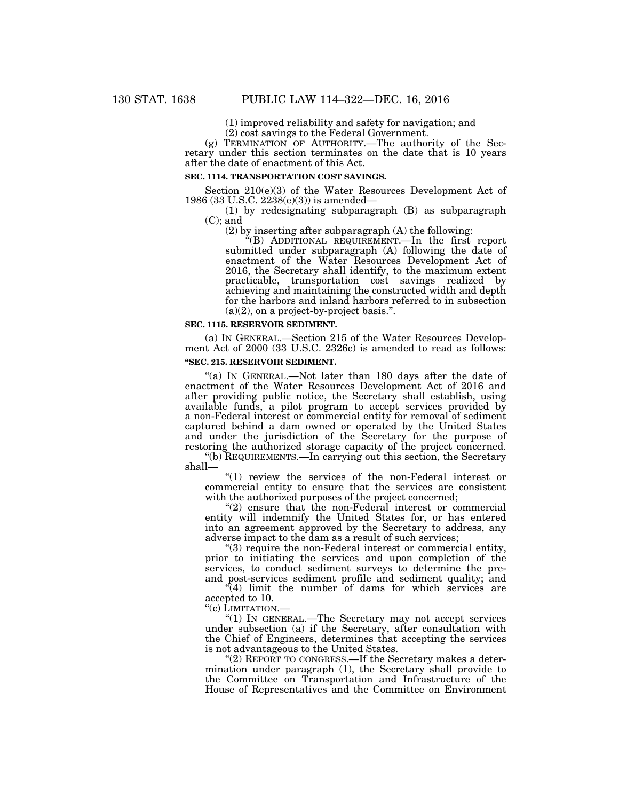(1) improved reliability and safety for navigation; and

(2) cost savings to the Federal Government.

(g) TERMINATION OF AUTHORITY.—The authority of the Secretary under this section terminates on the date that is 10 years after the date of enactment of this Act.

# **SEC. 1114. TRANSPORTATION COST SAVINGS.**

Section 210(e)(3) of the Water Resources Development Act of 1986 (33 U.S.C. 2238(e)(3)) is amended—

(1) by redesignating subparagraph (B) as subparagraph (C); and

(2) by inserting after subparagraph (A) the following:

''(B) ADDITIONAL REQUIREMENT.—In the first report submitted under subparagraph (A) following the date of enactment of the Water Resources Development Act of 2016, the Secretary shall identify, to the maximum extent practicable, transportation cost savings realized by achieving and maintaining the constructed width and depth for the harbors and inland harbors referred to in subsection  $(a)(2)$ , on a project-by-project basis.".

### **SEC. 1115. RESERVOIR SEDIMENT.**

(a) IN GENERAL.—Section 215 of the Water Resources Development Act of 2000 (33 U.S.C. 2326c) is amended to read as follows: **''SEC. 215. RESERVOIR SEDIMENT.** 

''(a) IN GENERAL.—Not later than 180 days after the date of enactment of the Water Resources Development Act of 2016 and after providing public notice, the Secretary shall establish, using available funds, a pilot program to accept services provided by a non-Federal interest or commercial entity for removal of sediment captured behind a dam owned or operated by the United States and under the jurisdiction of the Secretary for the purpose of restoring the authorized storage capacity of the project concerned.

''(b) REQUIREMENTS.—In carrying out this section, the Secretary shall—

"(1) review the services of the non-Federal interest or commercial entity to ensure that the services are consistent with the authorized purposes of the project concerned;

 $(2)$  ensure that the non-Federal interest or commercial entity will indemnify the United States for, or has entered into an agreement approved by the Secretary to address, any adverse impact to the dam as a result of such services;

''(3) require the non-Federal interest or commercial entity, prior to initiating the services and upon completion of the services, to conduct sediment surveys to determine the preand post-services sediment profile and sediment quality; and

 $\sqrt{4}$ ) limit the number of dams for which services are accepted to 10.

''(c) LIMITATION.—

''(1) IN GENERAL.—The Secretary may not accept services under subsection (a) if the Secretary, after consultation with the Chief of Engineers, determines that accepting the services is not advantageous to the United States.

''(2) REPORT TO CONGRESS.—If the Secretary makes a determination under paragraph (1), the Secretary shall provide to the Committee on Transportation and Infrastructure of the House of Representatives and the Committee on Environment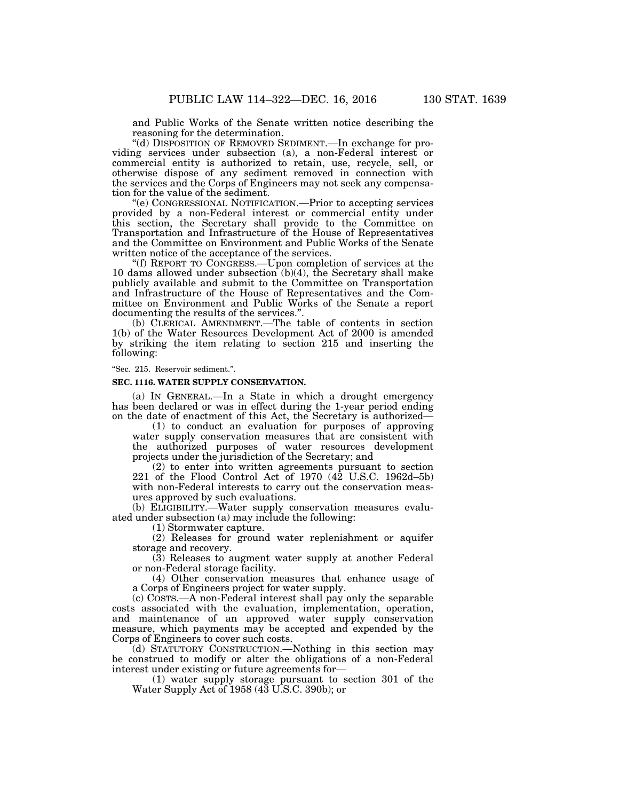and Public Works of the Senate written notice describing the reasoning for the determination.

''(d) DISPOSITION OF REMOVED SEDIMENT.—In exchange for providing services under subsection (a), a non-Federal interest or commercial entity is authorized to retain, use, recycle, sell, or otherwise dispose of any sediment removed in connection with the services and the Corps of Engineers may not seek any compensation for the value of the sediment.

''(e) CONGRESSIONAL NOTIFICATION.—Prior to accepting services provided by a non-Federal interest or commercial entity under this section, the Secretary shall provide to the Committee on Transportation and Infrastructure of the House of Representatives and the Committee on Environment and Public Works of the Senate written notice of the acceptance of the services.

''(f) REPORT TO CONGRESS.—Upon completion of services at the 10 dams allowed under subsection (b)(4), the Secretary shall make publicly available and submit to the Committee on Transportation and Infrastructure of the House of Representatives and the Committee on Environment and Public Works of the Senate a report documenting the results of the services.''.

(b) CLERICAL AMENDMENT.—The table of contents in section 1(b) of the Water Resources Development Act of 2000 is amended by striking the item relating to section 215 and inserting the following:

''Sec. 215. Reservoir sediment.''.

# **SEC. 1116. WATER SUPPLY CONSERVATION.**

(a) IN GENERAL.—In a State in which a drought emergency has been declared or was in effect during the 1-year period ending on the date of enactment of this Act, the Secretary is authorized—

(1) to conduct an evaluation for purposes of approving water supply conservation measures that are consistent with the authorized purposes of water resources development projects under the jurisdiction of the Secretary; and

(2) to enter into written agreements pursuant to section 221 of the Flood Control Act of 1970 (42 U.S.C. 1962d–5b) with non-Federal interests to carry out the conservation measures approved by such evaluations.

(b) ELIGIBILITY.—Water supply conservation measures evaluated under subsection (a) may include the following:

(1) Stormwater capture.

(2) Releases for ground water replenishment or aquifer storage and recovery.

(3) Releases to augment water supply at another Federal or non-Federal storage facility.

(4) Other conservation measures that enhance usage of a Corps of Engineers project for water supply.

(c) COSTS.—A non-Federal interest shall pay only the separable costs associated with the evaluation, implementation, operation, and maintenance of an approved water supply conservation measure, which payments may be accepted and expended by the Corps of Engineers to cover such costs.

(d) STATUTORY CONSTRUCTION.—Nothing in this section may be construed to modify or alter the obligations of a non-Federal interest under existing or future agreements for—

(1) water supply storage pursuant to section 301 of the Water Supply Act of 1958 (43 U.S.C. 390b); or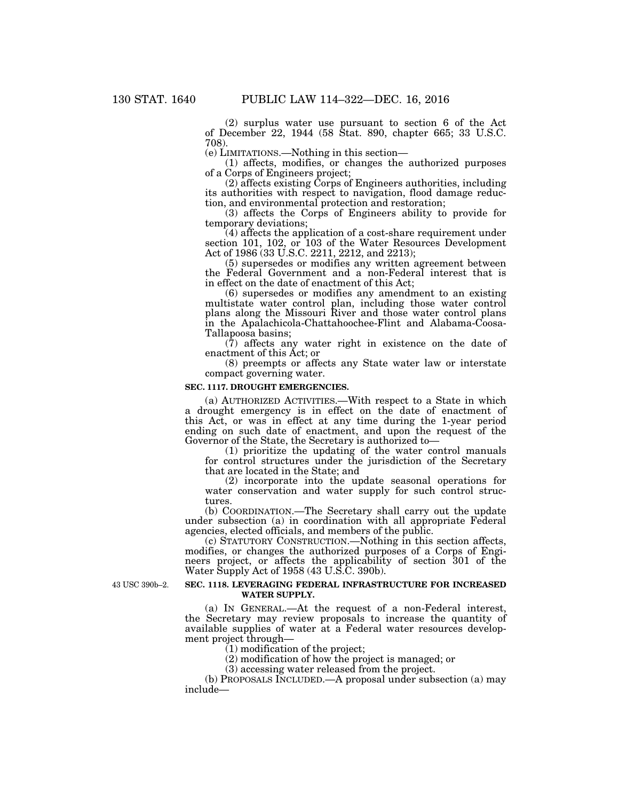(2) surplus water use pursuant to section 6 of the Act of December 22, 1944 (58 Stat. 890, chapter 665; 33 U.S.C. 708).

(e) LIMITATIONS.—Nothing in this section—

(1) affects, modifies, or changes the authorized purposes of a Corps of Engineers project;

(2) affects existing Corps of Engineers authorities, including its authorities with respect to navigation, flood damage reduction, and environmental protection and restoration;

(3) affects the Corps of Engineers ability to provide for temporary deviations;

(4) affects the application of a cost-share requirement under section 101, 102, or 103 of the Water Resources Development Act of 1986 (33 U.S.C. 2211, 2212, and 2213);

(5) supersedes or modifies any written agreement between the Federal Government and a non-Federal interest that is in effect on the date of enactment of this Act;

(6) supersedes or modifies any amendment to an existing multistate water control plan, including those water control plans along the Missouri River and those water control plans in the Apalachicola-Chattahoochee-Flint and Alabama-Coosa-Tallapoosa basins;

(7) affects any water right in existence on the date of enactment of this Act; or

(8) preempts or affects any State water law or interstate compact governing water.

### **SEC. 1117. DROUGHT EMERGENCIES.**

(a) AUTHORIZED ACTIVITIES.—With respect to a State in which a drought emergency is in effect on the date of enactment of this Act, or was in effect at any time during the 1-year period ending on such date of enactment, and upon the request of the Governor of the State, the Secretary is authorized to—

(1) prioritize the updating of the water control manuals for control structures under the jurisdiction of the Secretary that are located in the State; and

(2) incorporate into the update seasonal operations for water conservation and water supply for such control structures.

(b) COORDINATION.—The Secretary shall carry out the update under subsection (a) in coordination with all appropriate Federal agencies, elected officials, and members of the public.

(c) STATUTORY CONSTRUCTION.—Nothing in this section affects, modifies, or changes the authorized purposes of a Corps of Engineers project, or affects the applicability of section 301 of the Water Supply Act of 1958 (43 U.S.C. 390b).

43 USC 390b–2.

# **SEC. 1118. LEVERAGING FEDERAL INFRASTRUCTURE FOR INCREASED WATER SUPPLY.**

(a) IN GENERAL.—At the request of a non-Federal interest, the Secretary may review proposals to increase the quantity of available supplies of water at a Federal water resources development project through—

 $(1)$  modification of the project;

(2) modification of how the project is managed; or

(3) accessing water released from the project.

(b) PROPOSALS INCLUDED.—A proposal under subsection (a) may include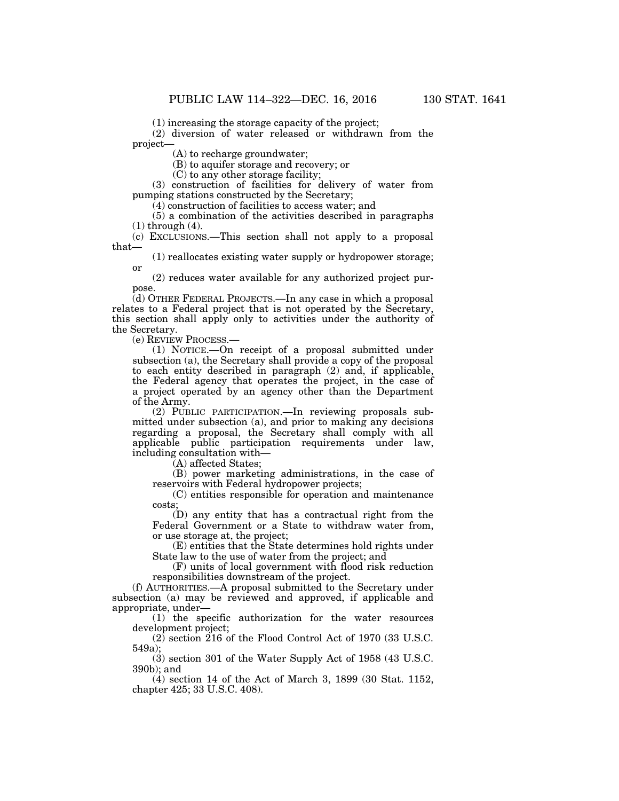(1) increasing the storage capacity of the project;

(2) diversion of water released or withdrawn from the project—

(A) to recharge groundwater;

(B) to aquifer storage and recovery; or

(C) to any other storage facility;

(3) construction of facilities for delivery of water from pumping stations constructed by the Secretary;

(4) construction of facilities to access water; and

(5) a combination of the activities described in paragraphs (1) through (4).

(c) EXCLUSIONS.—This section shall not apply to a proposal that—

(1) reallocates existing water supply or hydropower storage; or

(2) reduces water available for any authorized project purpose.

(d) OTHER FEDERAL PROJECTS.—In any case in which a proposal relates to a Federal project that is not operated by the Secretary, this section shall apply only to activities under the authority of the Secretary.

(e) REVIEW PROCESS.—

(1) NOTICE.—On receipt of a proposal submitted under subsection (a), the Secretary shall provide a copy of the proposal to each entity described in paragraph (2) and, if applicable, the Federal agency that operates the project, in the case of a project operated by an agency other than the Department of the Army.

(2) PUBLIC PARTICIPATION.—In reviewing proposals submitted under subsection (a), and prior to making any decisions regarding a proposal, the Secretary shall comply with all applicable public participation requirements under law, including consultation with—

(A) affected States;

(B) power marketing administrations, in the case of reservoirs with Federal hydropower projects;

(C) entities responsible for operation and maintenance costs;

(D) any entity that has a contractual right from the Federal Government or a State to withdraw water from, or use storage at, the project;

(E) entities that the State determines hold rights under State law to the use of water from the project; and

 $(F)$  units of local government with flood risk reduction responsibilities downstream of the project.

(f) AUTHORITIES.—A proposal submitted to the Secretary under subsection (a) may be reviewed and approved, if applicable and appropriate, under—

(1) the specific authorization for the water resources development project;

 $(2)$  section 216 of the Flood Control Act of 1970 (33 U.S.C.) 549a);

(3) section 301 of the Water Supply Act of 1958 (43 U.S.C. 390b); and

(4) section 14 of the Act of March 3, 1899 (30 Stat. 1152, chapter 425; 33 U.S.C. 408).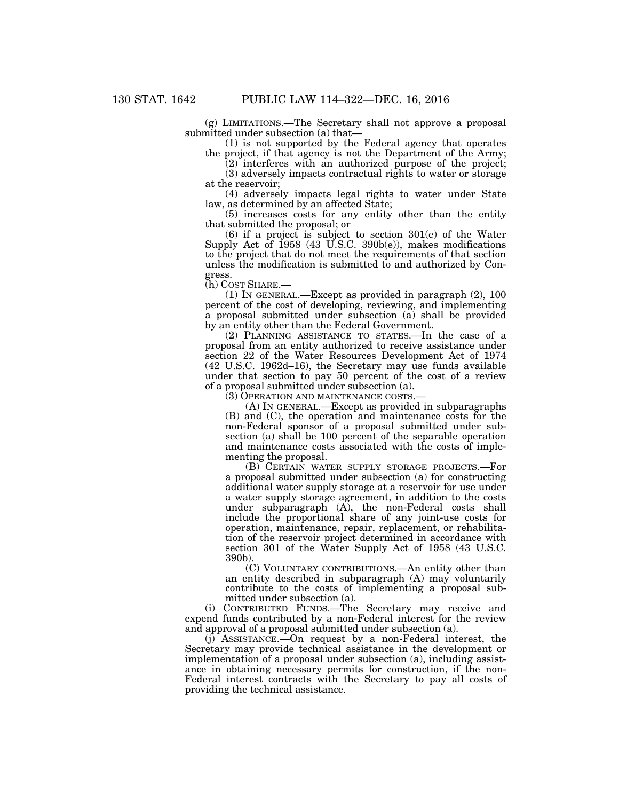(g) LIMITATIONS.—The Secretary shall not approve a proposal submitted under subsection (a) that—

(1) is not supported by the Federal agency that operates the project, if that agency is not the Department of the Army;

(2) interferes with an authorized purpose of the project; (3) adversely impacts contractual rights to water or storage

at the reservoir;

(4) adversely impacts legal rights to water under State law, as determined by an affected State;

(5) increases costs for any entity other than the entity that submitted the proposal; or

(6) if a project is subject to section 301(e) of the Water Supply Act of 1958 (43 U.S.C. 390b(e)), makes modifications to the project that do not meet the requirements of that section unless the modification is submitted to and authorized by Congress.

(h) COST SHARE.—

(1) IN GENERAL.—Except as provided in paragraph (2), 100 percent of the cost of developing, reviewing, and implementing a proposal submitted under subsection (a) shall be provided by an entity other than the Federal Government.

(2) PLANNING ASSISTANCE TO STATES.—In the case of a proposal from an entity authorized to receive assistance under section 22 of the Water Resources Development Act of 1974 (42 U.S.C. 1962d–16), the Secretary may use funds available under that section to pay 50 percent of the cost of a review of a proposal submitted under subsection (a).

(3) OPERATION AND MAINTENANCE COSTS.—

(A) IN GENERAL.—Except as provided in subparagraphs (B) and (C), the operation and maintenance costs for the non-Federal sponsor of a proposal submitted under subsection (a) shall be 100 percent of the separable operation and maintenance costs associated with the costs of implementing the proposal.

(B) CERTAIN WATER SUPPLY STORAGE PROJECTS.—For a proposal submitted under subsection (a) for constructing additional water supply storage at a reservoir for use under a water supply storage agreement, in addition to the costs under subparagraph (A), the non-Federal costs shall include the proportional share of any joint-use costs for operation, maintenance, repair, replacement, or rehabilitation of the reservoir project determined in accordance with section 301 of the Water Supply Act of 1958 (43 U.S.C. 390b)

(C) VOLUNTARY CONTRIBUTIONS.—An entity other than an entity described in subparagraph (A) may voluntarily contribute to the costs of implementing a proposal submitted under subsection (a).

(i) CONTRIBUTED FUNDS.—The Secretary may receive and expend funds contributed by a non-Federal interest for the review and approval of a proposal submitted under subsection (a).

(j) ASSISTANCE.—On request by a non-Federal interest, the Secretary may provide technical assistance in the development or implementation of a proposal under subsection (a), including assistance in obtaining necessary permits for construction, if the non-Federal interest contracts with the Secretary to pay all costs of providing the technical assistance.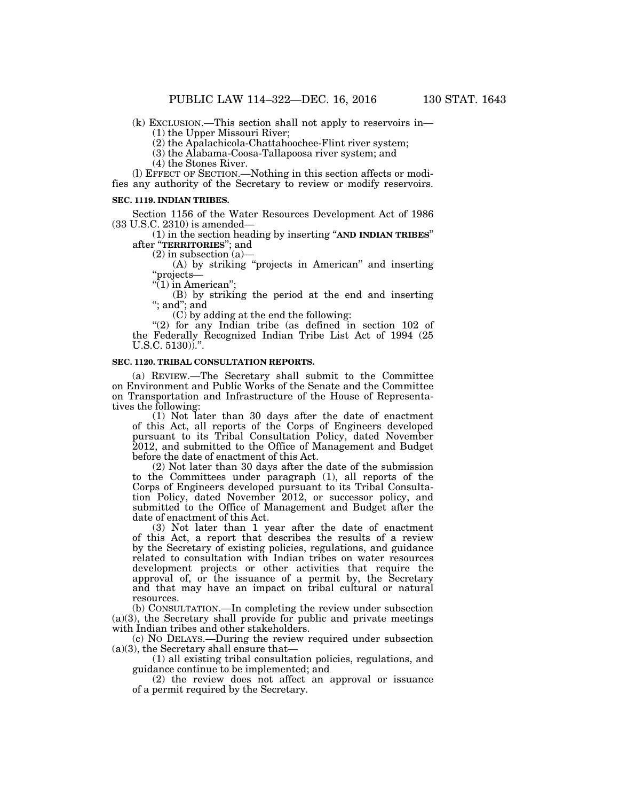(k) EXCLUSION.—This section shall not apply to reservoirs in—

(1) the Upper Missouri River;

(2) the Apalachicola-Chattahoochee-Flint river system;

(3) the Alabama-Coosa-Tallapoosa river system; and

(4) the Stones River.

(l) EFFECT OF SECTION.—Nothing in this section affects or modifies any authority of the Secretary to review or modify reservoirs.

# **SEC. 1119. INDIAN TRIBES.**

Section 1156 of the Water Resources Development Act of 1986 (33 U.S.C. 2310) is amended—

(1) in the section heading by inserting ''**AND INDIAN TRIBES**'' after ''**TERRITORIES**''; and

 $(2)$  in subsection  $(a)$ -

(A) by striking ''projects in American'' and inserting ''projects—

" $(1)$  in American";

(B) by striking the period at the end and inserting ''; and''; and

(C) by adding at the end the following:

''(2) for any Indian tribe (as defined in section 102 of the Federally Recognized Indian Tribe List Act of 1994 (25 U.S.C. 5130)).".

# **SEC. 1120. TRIBAL CONSULTATION REPORTS.**

(a) REVIEW.—The Secretary shall submit to the Committee on Environment and Public Works of the Senate and the Committee on Transportation and Infrastructure of the House of Representatives the following:

(1) Not later than 30 days after the date of enactment of this Act, all reports of the Corps of Engineers developed pursuant to its Tribal Consultation Policy, dated November 2012, and submitted to the Office of Management and Budget before the date of enactment of this Act.

(2) Not later than 30 days after the date of the submission to the Committees under paragraph (1), all reports of the Corps of Engineers developed pursuant to its Tribal Consultation Policy, dated November 2012, or successor policy, and submitted to the Office of Management and Budget after the date of enactment of this Act.

(3) Not later than 1 year after the date of enactment of this Act, a report that describes the results of a review by the Secretary of existing policies, regulations, and guidance related to consultation with Indian tribes on water resources development projects or other activities that require the approval of, or the issuance of a permit by, the Secretary and that may have an impact on tribal cultural or natural resources.

(b) CONSULTATION.—In completing the review under subsection (a)(3), the Secretary shall provide for public and private meetings with Indian tribes and other stakeholders.

(c) NO DELAYS.—During the review required under subsection  $(a)(3)$ , the Secretary shall ensure that-

(1) all existing tribal consultation policies, regulations, and guidance continue to be implemented; and

(2) the review does not affect an approval or issuance of a permit required by the Secretary.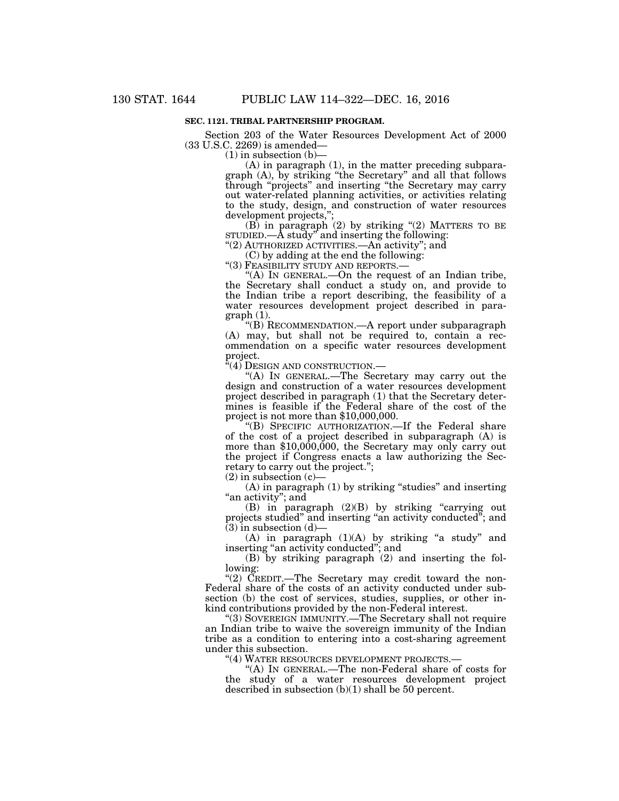# **SEC. 1121. TRIBAL PARTNERSHIP PROGRAM.**

Section 203 of the Water Resources Development Act of 2000 (33 U.S.C. 2269) is amended—

 $(1)$  in subsection  $(b)$ –

(A) in paragraph (1), in the matter preceding subparagraph (A), by striking ''the Secretary'' and all that follows through ''projects'' and inserting ''the Secretary may carry out water-related planning activities, or activities relating to the study, design, and construction of water resources development projects,"

 $(B)$  in paragraph  $(2)$  by striking " $(2)$  MATTERS TO BE STUDIED.—A study'' and inserting the following:

"(2) AUTHORIZED ACTIVITIES.—An activity"; and

(C) by adding at the end the following:<br>"(3) FEASIBILITY STUDY AND REPORTS.—

"(A) IN GENERAL.—On the request of an Indian tribe, the Secretary shall conduct a study on, and provide to the Indian tribe a report describing, the feasibility of a water resources development project described in paragraph (1).

''(B) RECOMMENDATION.—A report under subparagraph (A) may, but shall not be required to, contain a recommendation on a specific water resources development project.

"(4) DESIGN AND CONSTRUCTION.—

''(A) IN GENERAL.—The Secretary may carry out the design and construction of a water resources development project described in paragraph (1) that the Secretary determines is feasible if the Federal share of the cost of the project is not more than \$10,000,000.

''(B) SPECIFIC AUTHORIZATION.—If the Federal share of the cost of a project described in subparagraph (A) is more than  $$10,000,000$ , the Secretary may only carry out the project if Congress enacts a law authorizing the Secretary to carry out the project.'';

 $(2)$  in subsection  $(c)$ 

(A) in paragraph (1) by striking ''studies'' and inserting "an activity"; and

(B) in paragraph (2)(B) by striking "carrying out projects studied'' and inserting ''an activity conducted''; and  $(3)$  in subsection  $(d)$ 

 $(A)$  in paragraph  $(1)(A)$  by striking "a study" and inserting "an activity conducted"; and

(B) by striking paragraph (2) and inserting the following:

"(2) CREDIT.—The Secretary may credit toward the non-Federal share of the costs of an activity conducted under subsection (b) the cost of services, studies, supplies, or other inkind contributions provided by the non-Federal interest.

''(3) SOVEREIGN IMMUNITY.—The Secretary shall not require an Indian tribe to waive the sovereign immunity of the Indian tribe as a condition to entering into a cost-sharing agreement under this subsection.

"(4) WATER RESOURCES DEVELOPMENT PROJECTS.-

''(A) IN GENERAL.—The non-Federal share of costs for the study of a water resources development project described in subsection (b)(1) shall be 50 percent.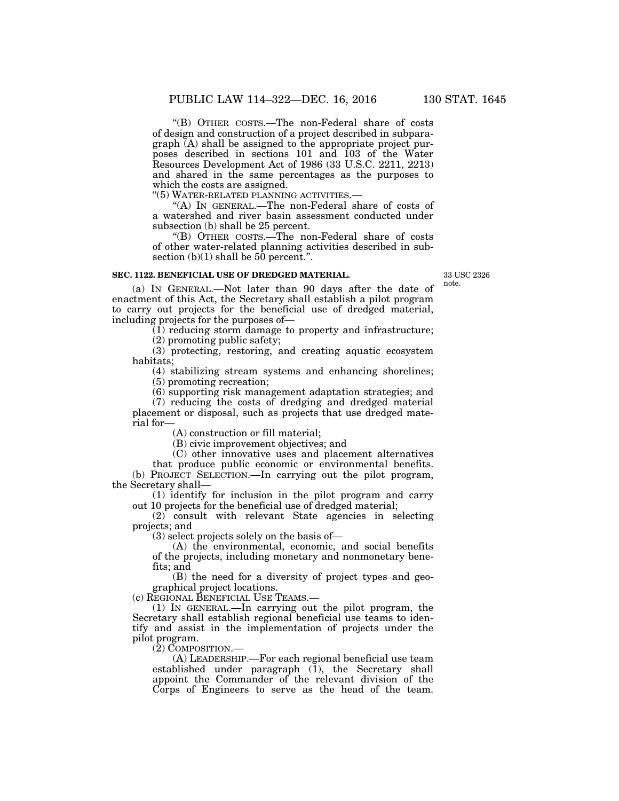''(B) OTHER COSTS.—The non-Federal share of costs of design and construction of a project described in subparagraph (A) shall be assigned to the appropriate project purposes described in sections 101 and 103 of the Water Resources Development Act of 1986 (33 U.S.C. 2211, 2213) and shared in the same percentages as the purposes to which the costs are assigned.

''(5) WATER-RELATED PLANNING ACTIVITIES.—

''(A) IN GENERAL.—The non-Federal share of costs of a watershed and river basin assessment conducted under subsection (b) shall be 25 percent.

''(B) OTHER COSTS.—The non-Federal share of costs of other water-related planning activities described in subsection  $(b)(1)$  shall be  $5\overline{0}$  percent.".

### **SEC. 1122. BENEFICIAL USE OF DREDGED MATERIAL.**

33 USC 2326 note.

(a) IN GENERAL.—Not later than 90 days after the date of enactment of this Act, the Secretary shall establish a pilot program to carry out projects for the beneficial use of dredged material, including projects for the purposes of—

(1) reducing storm damage to property and infrastructure;

(2) promoting public safety;

(3) protecting, restoring, and creating aquatic ecosystem habitats;

(4) stabilizing stream systems and enhancing shorelines; (5) promoting recreation;

(6) supporting risk management adaptation strategies; and

(7) reducing the costs of dredging and dredged material placement or disposal, such as projects that use dredged material for—

(A) construction or fill material;

(B) civic improvement objectives; and

(C) other innovative uses and placement alternatives

that produce public economic or environmental benefits. (b) PROJECT SELECTION.—In carrying out the pilot program, the Secretary shall—

(1) identify for inclusion in the pilot program and carry out 10 projects for the beneficial use of dredged material;

(2) consult with relevant State agencies in selecting projects; and

(3) select projects solely on the basis of—

(A) the environmental, economic, and social benefits of the projects, including monetary and nonmonetary benefits; and

(B) the need for a diversity of project types and geographical project locations.

(c) REGIONAL BENEFICIAL USE TEAMS.—

(1) IN GENERAL.—In carrying out the pilot program, the Secretary shall establish regional beneficial use teams to identify and assist in the implementation of projects under the pilot program.

(2) COMPOSITION.—

(A) LEADERSHIP.—For each regional beneficial use team established under paragraph  $(\tilde{1})$ , the Secretary shall appoint the Commander of the relevant division of the Corps of Engineers to serve as the head of the team.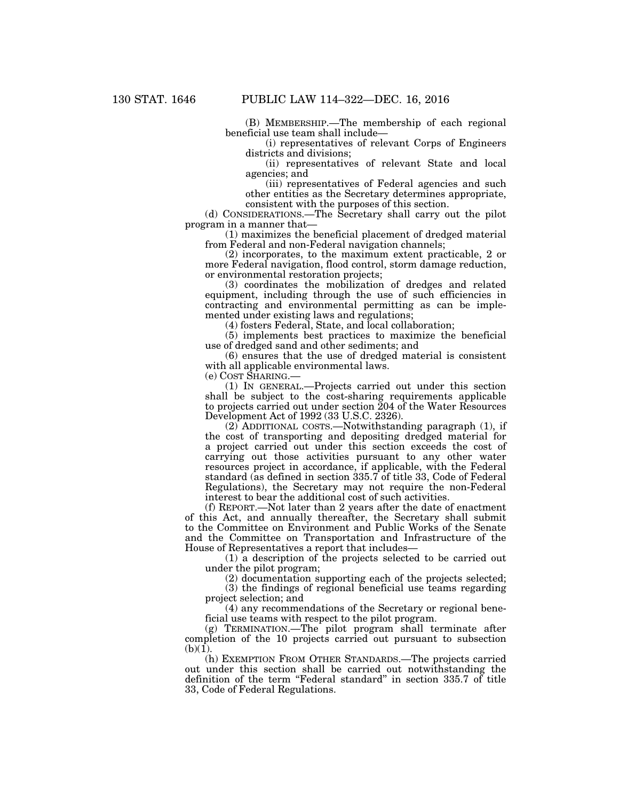(B) MEMBERSHIP.—The membership of each regional beneficial use team shall include—

(i) representatives of relevant Corps of Engineers districts and divisions;

(ii) representatives of relevant State and local agencies; and

(iii) representatives of Federal agencies and such other entities as the Secretary determines appropriate, consistent with the purposes of this section.

(d) CONSIDERATIONS.—The Secretary shall carry out the pilot program in a manner that—

(1) maximizes the beneficial placement of dredged material from Federal and non-Federal navigation channels;

(2) incorporates, to the maximum extent practicable, 2 or more Federal navigation, flood control, storm damage reduction, or environmental restoration projects;

(3) coordinates the mobilization of dredges and related equipment, including through the use of such efficiencies in contracting and environmental permitting as can be implemented under existing laws and regulations;

(4) fosters Federal, State, and local collaboration;

(5) implements best practices to maximize the beneficial use of dredged sand and other sediments; and

(6) ensures that the use of dredged material is consistent with all applicable environmental laws.

(e) COST SHARING.—

(1) IN GENERAL.—Projects carried out under this section shall be subject to the cost-sharing requirements applicable to projects carried out under section 204 of the Water Resources Development Act of 1992 (33 U.S.C. 2326).

(2) ADDITIONAL COSTS.—Notwithstanding paragraph (1), if the cost of transporting and depositing dredged material for a project carried out under this section exceeds the cost of carrying out those activities pursuant to any other water resources project in accordance, if applicable, with the Federal standard (as defined in section 335.7 of title 33, Code of Federal Regulations), the Secretary may not require the non-Federal interest to bear the additional cost of such activities.

(f) REPORT.—Not later than 2 years after the date of enactment of this Act, and annually thereafter, the Secretary shall submit to the Committee on Environment and Public Works of the Senate and the Committee on Transportation and Infrastructure of the House of Representatives a report that includes—

(1) a description of the projects selected to be carried out under the pilot program;

(2) documentation supporting each of the projects selected; (3) the findings of regional beneficial use teams regarding

project selection; and (4) any recommendations of the Secretary or regional bene-

ficial use teams with respect to the pilot program.

(g) TERMINATION.—The pilot program shall terminate after completion of the 10 projects carried out pursuant to subsection  $(b)(1)$ .

(h) EXEMPTION FROM OTHER STANDARDS.—The projects carried out under this section shall be carried out notwithstanding the definition of the term "Federal standard" in section 335.7 of title 33, Code of Federal Regulations.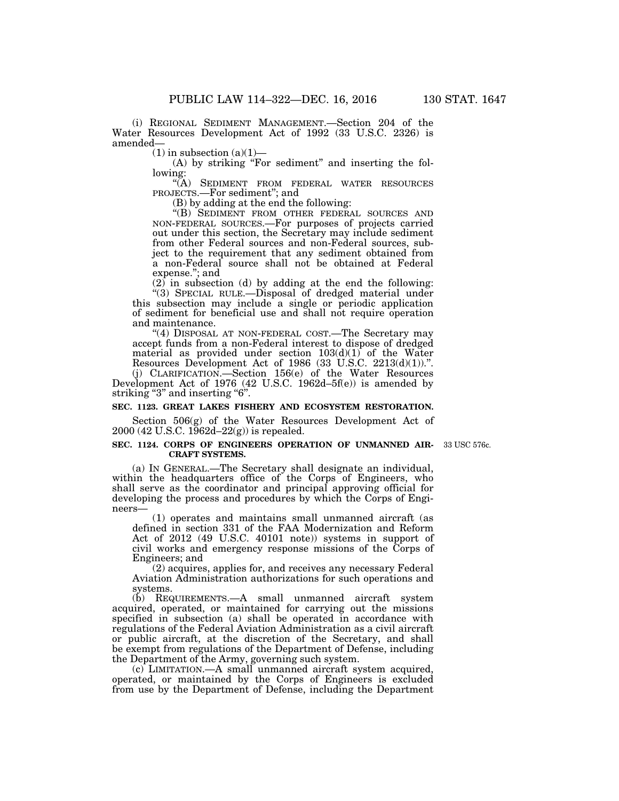(i) REGIONAL SEDIMENT MANAGEMENT.—Section 204 of the Water Resources Development Act of 1992 (33 U.S.C. 2326) is amended—

 $(1)$  in subsection  $(a)(1)$ —

(A) by striking "For sediment" and inserting the following:

"(A) SEDIMENT FROM FEDERAL WATER RESOURCES PROJECTS.—For sediment''; and

(B) by adding at the end the following:

''(B) SEDIMENT FROM OTHER FEDERAL SOURCES AND NON-FEDERAL SOURCES.—For purposes of projects carried out under this section, the Secretary may include sediment from other Federal sources and non-Federal sources, subject to the requirement that any sediment obtained from a non-Federal source shall not be obtained at Federal expense.''; and

 $(2)$  in subsection (d) by adding at the end the following: ''(3) SPECIAL RULE.—Disposal of dredged material under this subsection may include a single or periodic application of sediment for beneficial use and shall not require operation and maintenance.

"(4) DISPOSAL AT NON-FEDERAL COST.—The Secretary may accept funds from a non-Federal interest to dispose of dredged material as provided under section  $103(d)(1)$  of the Water Resources Development Act of 1986 (33 U.S.C. 2213(d)(1)).''.

(j) CLARIFICATION.—Section 156(e) of the Water Resources Development Act of 1976 (42 U.S.C. 1962d–5f(e)) is amended by striking "3" and inserting "6".

# **SEC. 1123. GREAT LAKES FISHERY AND ECOSYSTEM RESTORATION.**

Section 506(g) of the Water Resources Development Act of 2000 (42 U.S.C. 1962d–22(g)) is repealed.

### **SEC. 1124. CORPS OF ENGINEERS OPERATION OF UNMANNED AIR-**33 USC 576c. **CRAFT SYSTEMS.**

(a) IN GENERAL.—The Secretary shall designate an individual, within the headquarters office of the Corps of Engineers, who shall serve as the coordinator and principal approving official for developing the process and procedures by which the Corps of Engineers—

(1) operates and maintains small unmanned aircraft (as defined in section 331 of the FAA Modernization and Reform Act of 2012 (49 U.S.C. 40101 note)) systems in support of civil works and emergency response missions of the Corps of Engineers; and

(2) acquires, applies for, and receives any necessary Federal Aviation Administration authorizations for such operations and systems.

(b) REQUIREMENTS.—A small unmanned aircraft system acquired, operated, or maintained for carrying out the missions specified in subsection (a) shall be operated in accordance with regulations of the Federal Aviation Administration as a civil aircraft or public aircraft, at the discretion of the Secretary, and shall be exempt from regulations of the Department of Defense, including the Department of the Army, governing such system.

(c) LIMITATION.—A small unmanned aircraft system acquired, operated, or maintained by the Corps of Engineers is excluded from use by the Department of Defense, including the Department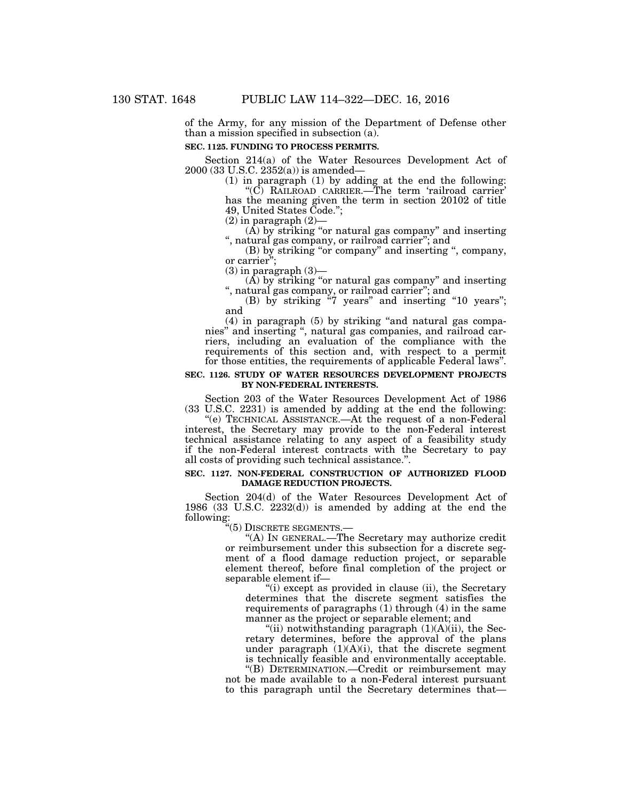of the Army, for any mission of the Department of Defense other than a mission specified in subsection (a).

# **SEC. 1125. FUNDING TO PROCESS PERMITS.**

Section 214(a) of the Water Resources Development Act of 2000 (33 U.S.C. 2352(a)) is amended—

(1) in paragraph (1) by adding at the end the following: "(C) RAILROAD CARRIER.—The term 'railroad carrier' has the meaning given the term in section 20102 of title 49, United States Code.'';

 $(2)$  in paragraph  $(2)$ —

 $(A)$  by striking "or natural gas company" and inserting '', natural gas company, or railroad carrier''; and

(B) by striking "or company" and inserting ", company, or carrier'

(3) in paragraph (3)—

(A) by striking ''or natural gas company'' and inserting '', natural gas company, or railroad carrier''; and

(B) by striking ''7 years'' and inserting ''10 years''; and

(4) in paragraph (5) by striking ''and natural gas companies'' and inserting '', natural gas companies, and railroad carriers, including an evaluation of the compliance with the requirements of this section and, with respect to a permit for those entities, the requirements of applicable Federal laws''.

# **SEC. 1126. STUDY OF WATER RESOURCES DEVELOPMENT PROJECTS BY NON-FEDERAL INTERESTS.**

Section 203 of the Water Resources Development Act of 1986 (33 U.S.C. 2231) is amended by adding at the end the following:

''(e) TECHNICAL ASSISTANCE.—At the request of a non-Federal interest, the Secretary may provide to the non-Federal interest technical assistance relating to any aspect of a feasibility study if the non-Federal interest contracts with the Secretary to pay all costs of providing such technical assistance.''.

# **SEC. 1127. NON-FEDERAL CONSTRUCTION OF AUTHORIZED FLOOD DAMAGE REDUCTION PROJECTS.**

Section 204(d) of the Water Resources Development Act of 1986 (33 U.S.C. 2232(d)) is amended by adding at the end the following:

''(5) DISCRETE SEGMENTS.—

''(A) IN GENERAL.—The Secretary may authorize credit or reimbursement under this subsection for a discrete segment of a flood damage reduction project, or separable element thereof, before final completion of the project or separable element if—

"(i) except as provided in clause (ii), the Secretary determines that the discrete segment satisfies the requirements of paragraphs (1) through (4) in the same manner as the project or separable element; and

"(ii) notwithstanding paragraph  $(1)(A)(ii)$ , the Secretary determines, before the approval of the plans under paragraph  $(1)(A)(i)$ , that the discrete segment is technically feasible and environmentally acceptable.

''(B) DETERMINATION.—Credit or reimbursement may not be made available to a non-Federal interest pursuant to this paragraph until the Secretary determines that—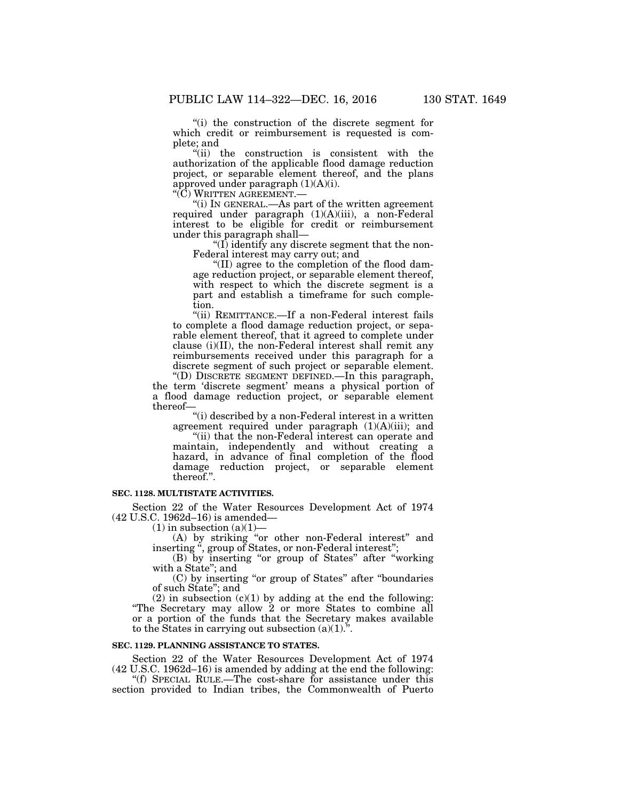''(i) the construction of the discrete segment for which credit or reimbursement is requested is complete; and

''(ii) the construction is consistent with the authorization of the applicable flood damage reduction project, or separable element thereof, and the plans approved under paragraph (1)(A)(i).<br>"(C) WRITTEN AGREEMENT.—

"(i) IN GENERAL.—As part of the written agreement required under paragraph (1)(A)(iii), a non-Federal interest to be eligible for credit or reimbursement under this paragraph shall—

''(I) identify any discrete segment that the non-Federal interest may carry out; and

''(II) agree to the completion of the flood damage reduction project, or separable element thereof, with respect to which the discrete segment is a part and establish a timeframe for such completion.

''(ii) REMITTANCE.—If a non-Federal interest fails to complete a flood damage reduction project, or separable element thereof, that it agreed to complete under clause (i)(II), the non-Federal interest shall remit any reimbursements received under this paragraph for a discrete segment of such project or separable element.

''(D) DISCRETE SEGMENT DEFINED.—In this paragraph, the term 'discrete segment' means a physical portion of a flood damage reduction project, or separable element thereof—

"(i) described by a non-Federal interest in a written agreement required under paragraph (1)(A)(iii); and

"(ii) that the non-Federal interest can operate and maintain, independently and without creating a hazard, in advance of final completion of the flood damage reduction project, or separable element thereof.''.

# **SEC. 1128. MULTISTATE ACTIVITIES.**

Section 22 of the Water Resources Development Act of 1974 (42 U.S.C. 1962d–16) is amended—

 $(1)$  in subsection  $(a)(1)$ —

(A) by striking ''or other non-Federal interest'' and inserting ", group of States, or non-Federal interest";

(B) by inserting ''or group of States'' after ''working with a State''; and

(C) by inserting ''or group of States'' after ''boundaries of such State''; and

 $(2)$  in subsection  $(c)(1)$  by adding at the end the following: ''The Secretary may allow 2 or more States to combine all or a portion of the funds that the Secretary makes available to the States in carrying out subsection  $(a)(1)$ .

# **SEC. 1129. PLANNING ASSISTANCE TO STATES.**

Section 22 of the Water Resources Development Act of 1974 (42 U.S.C. 1962d–16) is amended by adding at the end the following:

''(f) SPECIAL RULE.—The cost-share for assistance under this section provided to Indian tribes, the Commonwealth of Puerto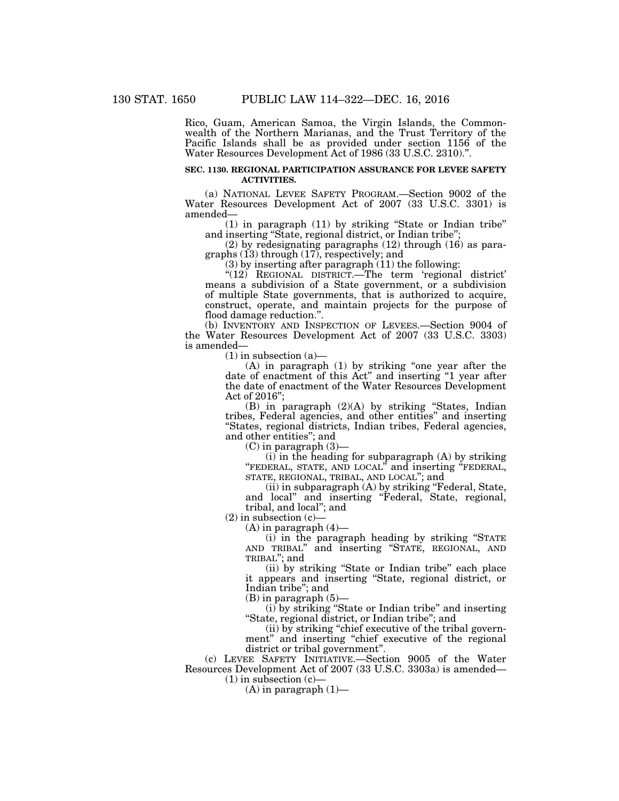Rico, Guam, American Samoa, the Virgin Islands, the Commonwealth of the Northern Marianas, and the Trust Territory of the Pacific Islands shall be as provided under section 1156 of the Water Resources Development Act of 1986 (33 U.S.C. 2310).''.

# **SEC. 1130. REGIONAL PARTICIPATION ASSURANCE FOR LEVEE SAFETY ACTIVITIES.**

(a) NATIONAL LEVEE SAFETY PROGRAM.—Section 9002 of the Water Resources Development Act of 2007 (33 U.S.C. 3301) is amended—

(1) in paragraph (11) by striking ''State or Indian tribe'' and inserting ''State, regional district, or Indian tribe'';

(2) by redesignating paragraphs (12) through (16) as paragraphs (13) through (17), respectively; and

(3) by inserting after paragraph (11) the following:

"(12) REGIONAL DISTRICT.—The term 'regional district' means a subdivision of a State government, or a subdivision of multiple State governments, that is authorized to acquire, construct, operate, and maintain projects for the purpose of flood damage reduction.''.

(b) INVENTORY AND INSPECTION OF LEVEES.—Section 9004 of the Water Resources Development Act of 2007 (33 U.S.C. 3303) is amended—

 $(1)$  in subsection  $(a)$ —

(A) in paragraph (1) by striking ''one year after the date of enactment of this Act" and inserting "1 year after the date of enactment of the Water Resources Development Act of 2016'';

(B) in paragraph (2)(A) by striking ''States, Indian tribes, Federal agencies, and other entities'' and inserting ''States, regional districts, Indian tribes, Federal agencies, and other entities''; and

 $(C)$  in paragraph  $(3)$ -

 $(i)$  in the heading for subparagraph  $(A)$  by striking ''FEDERAL, STATE, AND LOCAL'' and inserting ''FEDERAL, STATE, REGIONAL, TRIBAL, AND LOCAL''; and

(ii) in subparagraph (A) by striking ''Federal, State, and local'' and inserting ''Federal, State, regional, tribal, and local''; and

 $(2)$  in subsection  $(c)$ 

(A) in paragraph (4)—

 $(i)$  in the paragraph heading by striking "STATE" AND TRIBAL'' and inserting ''STATE, REGIONAL, AND TRIBAL''; and

(ii) by striking ''State or Indian tribe'' each place it appears and inserting ''State, regional district, or Indian tribe''; and

 $(B)$  in paragraph  $(5)$ 

(i) by striking ''State or Indian tribe'' and inserting ''State, regional district, or Indian tribe''; and

(ii) by striking ''chief executive of the tribal government" and inserting "chief executive of the regional district or tribal government''.

(c) LEVEE SAFETY INITIATIVE.—Section 9005 of the Water Resources Development Act of 2007 (33 U.S.C. 3303a) is amended—

 $(1)$  in subsection  $(c)$ —  $(A)$  in paragraph  $(1)$ —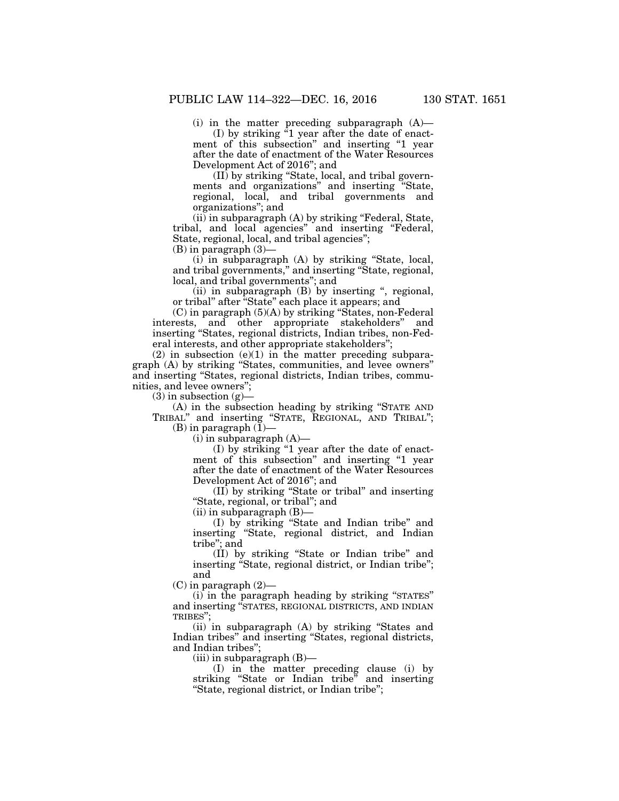(i) in the matter preceding subparagraph (A)—

(I) by striking ''1 year after the date of enactment of this subsection" and inserting "1 year after the date of enactment of the Water Resources Development Act of 2016''; and

(II) by striking ''State, local, and tribal governments and organizations'' and inserting ''State, regional, local, and tribal governments and organizations''; and

 $(ii)$  in subparagraph  $(A)$  by striking "Federal, State, tribal, and local agencies" and inserting "Federal, State, regional, local, and tribal agencies'';

(B) in paragraph (3)—

(i) in subparagraph (A) by striking ''State, local, and tribal governments,'' and inserting ''State, regional, local, and tribal governments''; and

(ii) in subparagraph (B) by inserting '', regional, or tribal'' after ''State'' each place it appears; and

 $(C)$  in paragraph  $(5)(A)$  by striking "States, non-Federal interests, and other appropriate stakeholders'' and inserting ''States, regional districts, Indian tribes, non-Federal interests, and other appropriate stakeholders'';

 $(2)$  in subsection  $(e)(1)$  in the matter preceding subparagraph (A) by striking ''States, communities, and levee owners'' and inserting "States, regional districts, Indian tribes, communities, and levee owners'';

 $(3)$  in subsection  $(g)$ —

(A) in the subsection heading by striking ''STATE AND TRIBAL'' and inserting ''STATE, REGIONAL, AND TRIBAL'';

 $(B)$  in paragraph  $(1)$ —

 $(i)$  in subparagraph  $(A)$ —

(I) by striking ''1 year after the date of enactment of this subsection" and inserting "1 year after the date of enactment of the Water Resources Development Act of 2016''; and

(II) by striking ''State or tribal'' and inserting ''State, regional, or tribal''; and

(ii) in subparagraph (B)—

(I) by striking ''State and Indian tribe'' and inserting ''State, regional district, and Indian tribe''; and

(II) by striking ''State or Indian tribe'' and inserting "State, regional district, or Indian tribe"; and

 $(C)$  in paragraph  $(2)$ —

(i) in the paragraph heading by striking ''STATES'' and inserting ''STATES, REGIONAL DISTRICTS, AND INDIAN TRIBES'';

(ii) in subparagraph (A) by striking ''States and Indian tribes'' and inserting ''States, regional districts, and Indian tribes'';

 $(iii)$  in subparagraph  $(B)$ —

(I) in the matter preceding clause (i) by striking ''State or Indian tribe'' and inserting ''State, regional district, or Indian tribe'';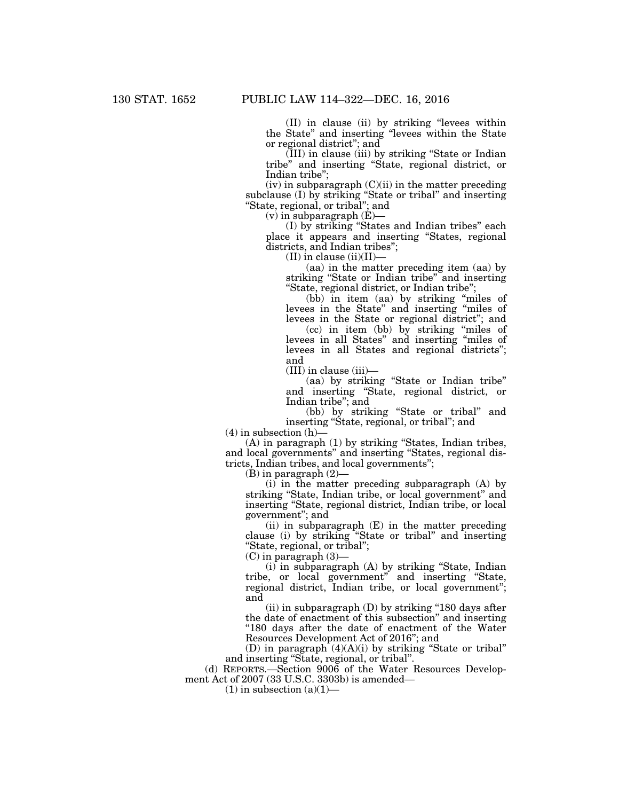(II) in clause (ii) by striking ''levees within the State'' and inserting ''levees within the State or regional district''; and

(III) in clause (iii) by striking ''State or Indian tribe'' and inserting ''State, regional district, or Indian tribe'';

 $(iv)$  in subparagraph  $(C)(ii)$  in the matter preceding subclause (I) by striking "State or tribal" and inserting "State, regional, or tribal"; and

 $(v)$  in subparagraph  $(E)$ —

(I) by striking ''States and Indian tribes'' each place it appears and inserting ''States, regional districts, and Indian tribes'';

 $(II)$  in clause  $(ii)(II)$ —

(aa) in the matter preceding item (aa) by striking "State or Indian tribe" and inserting ''State, regional district, or Indian tribe'';

(bb) in item (aa) by striking ''miles of levees in the State'' and inserting ''miles of levees in the State or regional district''; and

(cc) in item (bb) by striking ''miles of levees in all States'' and inserting ''miles of levees in all States and regional districts''; and

 $(III)$  in clause  $(iii)$ —

(aa) by striking ''State or Indian tribe'' and inserting ''State, regional district, or Indian tribe''; and

(bb) by striking "State or tribal" and inserting "State, regional, or tribal"; and

 $(4)$  in subsection  $(h)$ —

(A) in paragraph (1) by striking ''States, Indian tribes, and local governments'' and inserting ''States, regional districts, Indian tribes, and local governments'';

(B) in paragraph (2)—

(i) in the matter preceding subparagraph (A) by striking ''State, Indian tribe, or local government'' and inserting ''State, regional district, Indian tribe, or local government''; and

(ii) in subparagraph  $(E)$  in the matter preceding clause (i) by striking ''State or tribal'' and inserting ''State, regional, or tribal'';

(C) in paragraph (3)—

(i) in subparagraph (A) by striking ''State, Indian tribe, or local government'' and inserting ''State, regional district, Indian tribe, or local government''; and

(ii) in subparagraph (D) by striking ''180 days after the date of enactment of this subsection'' and inserting "180 days after the date of enactment of the Water Resources Development Act of 2016''; and

(D) in paragraph  $(4)(A)(i)$  by striking "State or tribal" and inserting ''State, regional, or tribal''.

(d) REPORTS.—Section 9006 of the Water Resources Development Act of 2007 (33 U.S.C. 3303b) is amended—

 $(1)$  in subsection  $(a)(1)$ —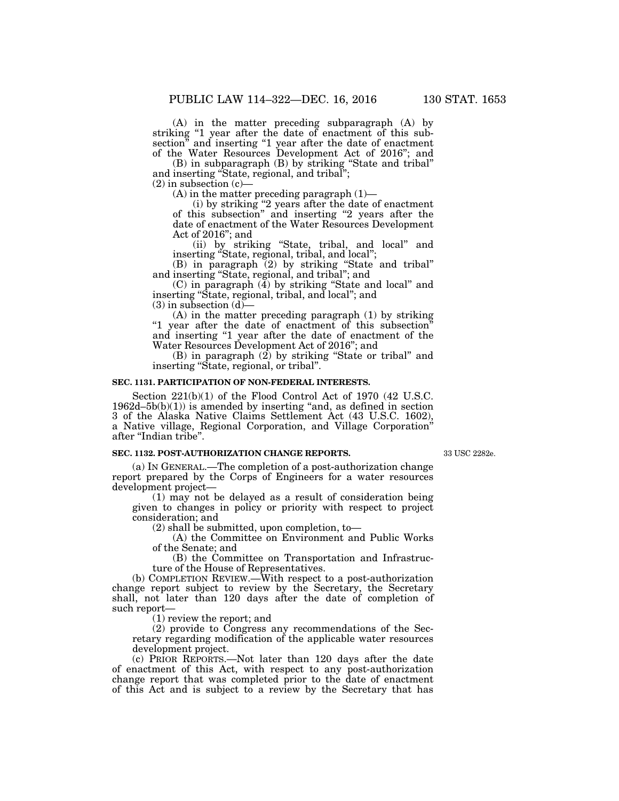of the Water Resources Development Act of 2016''; and (B) in subparagraph (B) by striking ''State and tribal''

and inserting ''State, regional, and tribal'';  $(2)$  in subsection  $(c)$ —

 $(A)$  in the matter preceding paragraph  $(1)$ —

(i) by striking ''2 years after the date of enactment of this subsection'' and inserting ''2 years after the date of enactment of the Water Resources Development Act of 2016''; and

(ii) by striking ''State, tribal, and local'' and inserting ''State, regional, tribal, and local'';

(B) in paragraph (2) by striking "State and tribal" and inserting ''State, regional, and tribal''; and

 $(C)$  in paragraph  $(4)$  by striking "State and local" and inserting ''State, regional, tribal, and local''; and

 $(3)$  in subsection  $(d)$ —

(A) in the matter preceding paragraph (1) by striking "1 year after the date of enactment of this subsection" and inserting ''1 year after the date of enactment of the Water Resources Development Act of 2016''; and

(B) in paragraph  $(2)$  by striking "State or tribal" and inserting "State, regional, or tribal".

# **SEC. 1131. PARTICIPATION OF NON-FEDERAL INTERESTS.**

Section  $221(b)(1)$  of the Flood Control Act of 1970 (42 U.S.C.  $1962d-5b(b)(1)$ ) is amended by inserting "and, as defined in section 3 of the Alaska Native Claims Settlement Act (43 U.S.C. 1602), a Native village, Regional Corporation, and Village Corporation'' after ''Indian tribe''.

### **SEC. 1132. POST-AUTHORIZATION CHANGE REPORTS.**

33 USC 2282e.

(a) IN GENERAL.—The completion of a post-authorization change report prepared by the Corps of Engineers for a water resources development project—

(1) may not be delayed as a result of consideration being given to changes in policy or priority with respect to project consideration; and

(2) shall be submitted, upon completion, to—

(A) the Committee on Environment and Public Works of the Senate; and

(B) the Committee on Transportation and Infrastructure of the House of Representatives.

(b) COMPLETION REVIEW.—With respect to a post-authorization change report subject to review by the Secretary, the Secretary shall, not later than 120 days after the date of completion of such report—

(1) review the report; and

(2) provide to Congress any recommendations of the Secretary regarding modification of the applicable water resources development project.

(c) PRIOR REPORTS.—Not later than 120 days after the date of enactment of this Act, with respect to any post-authorization change report that was completed prior to the date of enactment of this Act and is subject to a review by the Secretary that has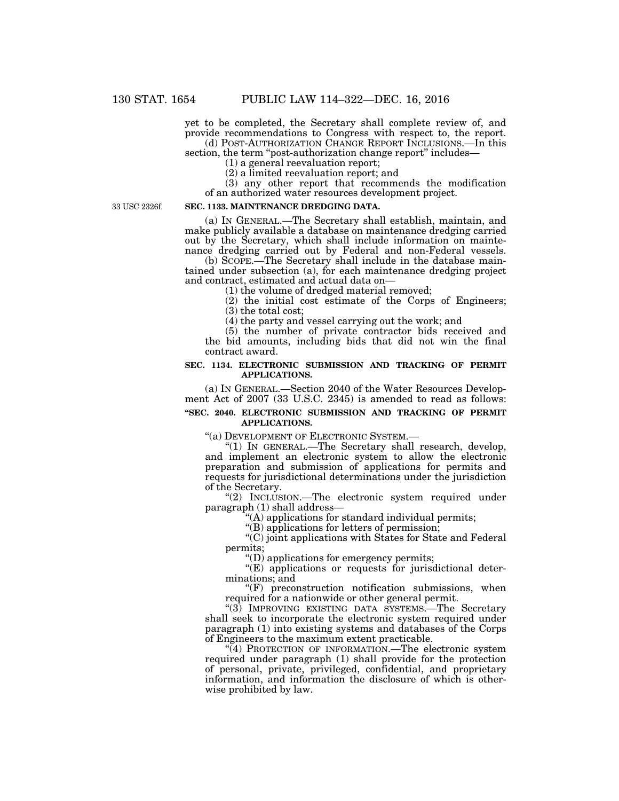yet to be completed, the Secretary shall complete review of, and provide recommendations to Congress with respect to, the report.

(d) POST-AUTHORIZATION CHANGE REPORT INCLUSIONS.—In this section, the term "post-authorization change report" includes—

(1) a general reevaluation report;

(2) a limited reevaluation report; and

(3) any other report that recommends the modification of an authorized water resources development project.

33 USC 2326f.

# **SEC. 1133. MAINTENANCE DREDGING DATA.**

(a) IN GENERAL.—The Secretary shall establish, maintain, and make publicly available a database on maintenance dredging carried out by the Secretary, which shall include information on maintenance dredging carried out by Federal and non-Federal vessels.

(b) SCOPE.—The Secretary shall include in the database maintained under subsection (a), for each maintenance dredging project and contract, estimated and actual data on—

(1) the volume of dredged material removed;

(2) the initial cost estimate of the Corps of Engineers; (3) the total cost;

(4) the party and vessel carrying out the work; and

(5) the number of private contractor bids received and the bid amounts, including bids that did not win the final contract award.

### **SEC. 1134. ELECTRONIC SUBMISSION AND TRACKING OF PERMIT APPLICATIONS.**

(a) IN GENERAL.—Section 2040 of the Water Resources Development Act of 2007 (33 U.S.C. 2345) is amended to read as follows:

### **''SEC. 2040. ELECTRONIC SUBMISSION AND TRACKING OF PERMIT APPLICATIONS.**

''(a) DEVELOPMENT OF ELECTRONIC SYSTEM.—

''(1) IN GENERAL.—The Secretary shall research, develop, and implement an electronic system to allow the electronic preparation and submission of applications for permits and requests for jurisdictional determinations under the jurisdiction of the Secretary.

"(2) INCLUSION.—The electronic system required under paragraph (1) shall address—

''(A) applications for standard individual permits;

''(B) applications for letters of permission;

''(C) joint applications with States for State and Federal permits;

''(D) applications for emergency permits;

"(E) applications or requests for jurisdictional determinations; and

 $f(F)$  preconstruction notification submissions, when required for a nationwide or other general permit.

''(3) IMPROVING EXISTING DATA SYSTEMS.—The Secretary shall seek to incorporate the electronic system required under paragraph (1) into existing systems and databases of the Corps of Engineers to the maximum extent practicable.

"(4) PROTECTION OF INFORMATION.—The electronic system required under paragraph (1) shall provide for the protection of personal, private, privileged, confidential, and proprietary information, and information the disclosure of which is otherwise prohibited by law.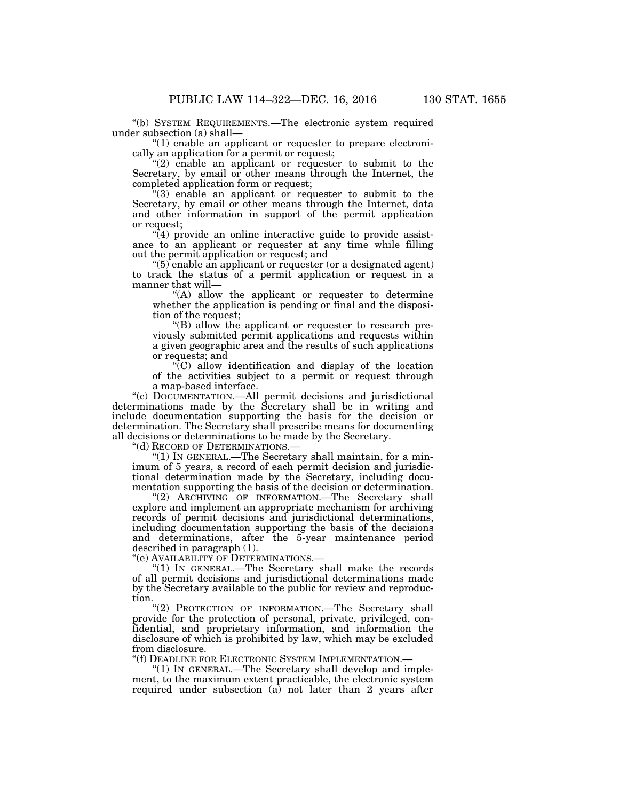''(b) SYSTEM REQUIREMENTS.—The electronic system required under subsection (a) shall—

 $(1)$  enable an applicant or requester to prepare electronically an application for a permit or request;

"(2) enable an applicant or requester to submit to the Secretary, by email or other means through the Internet, the completed application form or request;

 $(3)$  enable an applicant or requester to submit to the Secretary, by email or other means through the Internet, data and other information in support of the permit application or request;

 $\sqrt{4}$ ) provide an online interactive guide to provide assistance to an applicant or requester at any time while filling out the permit application or request; and

 $"(5)$  enable an applicant or requester (or a designated agent) to track the status of a permit application or request in a manner that will—

"(A) allow the applicant or requester to determine whether the application is pending or final and the disposition of the request;

''(B) allow the applicant or requester to research previously submitted permit applications and requests within a given geographic area and the results of such applications or requests; and

''(C) allow identification and display of the location of the activities subject to a permit or request through a map-based interface.

''(c) DOCUMENTATION.—All permit decisions and jurisdictional determinations made by the Secretary shall be in writing and include documentation supporting the basis for the decision or determination. The Secretary shall prescribe means for documenting all decisions or determinations to be made by the Secretary.

''(d) RECORD OF DETERMINATIONS.—

''(1) IN GENERAL.—The Secretary shall maintain, for a minimum of 5 years, a record of each permit decision and jurisdictional determination made by the Secretary, including documentation supporting the basis of the decision or determination.

"(2) ARCHIVING OF INFORMATION.—The Secretary shall explore and implement an appropriate mechanism for archiving records of permit decisions and jurisdictional determinations, including documentation supporting the basis of the decisions and determinations, after the 5-year maintenance period described in paragraph (1).

''(e) AVAILABILITY OF DETERMINATIONS.—

''(1) IN GENERAL.—The Secretary shall make the records of all permit decisions and jurisdictional determinations made by the Secretary available to the public for review and reproduction.

"(2) PROTECTION OF INFORMATION.-The Secretary shall provide for the protection of personal, private, privileged, confidential, and proprietary information, and information the disclosure of which is prohibited by law, which may be excluded from disclosure.

''(f) DEADLINE FOR ELECTRONIC SYSTEM IMPLEMENTATION.—

"(1) IN GENERAL.—The Secretary shall develop and implement, to the maximum extent practicable, the electronic system required under subsection (a) not later than 2 years after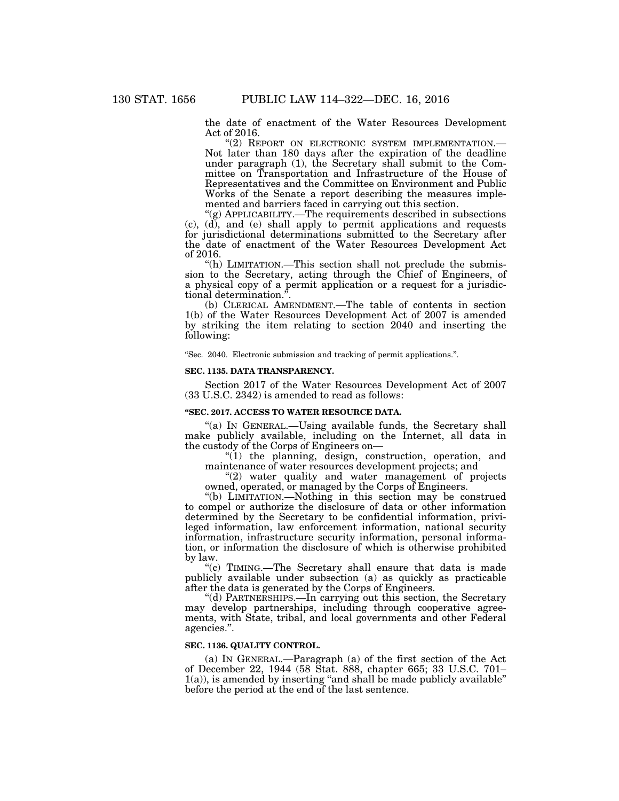the date of enactment of the Water Resources Development Act of 2016.

''(2) REPORT ON ELECTRONIC SYSTEM IMPLEMENTATION.— Not later than 180 days after the expiration of the deadline under paragraph (1), the Secretary shall submit to the Committee on Transportation and Infrastructure of the House of Representatives and the Committee on Environment and Public Works of the Senate a report describing the measures implemented and barriers faced in carrying out this section.

''(g) APPLICABILITY.—The requirements described in subsections (c), (d), and (e) shall apply to permit applications and requests for jurisdictional determinations submitted to the Secretary after the date of enactment of the Water Resources Development Act of 2016.

''(h) LIMITATION.—This section shall not preclude the submission to the Secretary, acting through the Chief of Engineers, of a physical copy of a permit application or a request for a jurisdictional determination.''.

(b) CLERICAL AMENDMENT.—The table of contents in section 1(b) of the Water Resources Development Act of 2007 is amended by striking the item relating to section 2040 and inserting the following:

''Sec. 2040. Electronic submission and tracking of permit applications.''.

# **SEC. 1135. DATA TRANSPARENCY.**

Section 2017 of the Water Resources Development Act of 2007 (33 U.S.C. 2342) is amended to read as follows:

# **''SEC. 2017. ACCESS TO WATER RESOURCE DATA.**

"(a) IN GENERAL.—Using available funds, the Secretary shall make publicly available, including on the Internet, all data in the custody of the Corps of Engineers on—

''(1) the planning, design, construction, operation, and maintenance of water resources development projects; and

"(2) water quality and water management of projects" owned, operated, or managed by the Corps of Engineers.

''(b) LIMITATION.—Nothing in this section may be construed to compel or authorize the disclosure of data or other information determined by the Secretary to be confidential information, privileged information, law enforcement information, national security information, infrastructure security information, personal information, or information the disclosure of which is otherwise prohibited by law.

''(c) TIMING.—The Secretary shall ensure that data is made publicly available under subsection (a) as quickly as practicable after the data is generated by the Corps of Engineers.

''(d) PARTNERSHIPS.—In carrying out this section, the Secretary may develop partnerships, including through cooperative agreements, with State, tribal, and local governments and other Federal agencies.''.

### **SEC. 1136. QUALITY CONTROL.**

(a) IN GENERAL.—Paragraph (a) of the first section of the Act of December 22, 1944 (58 Stat. 888, chapter 665; 33 U.S.C. 701– 1(a)), is amended by inserting ''and shall be made publicly available'' before the period at the end of the last sentence.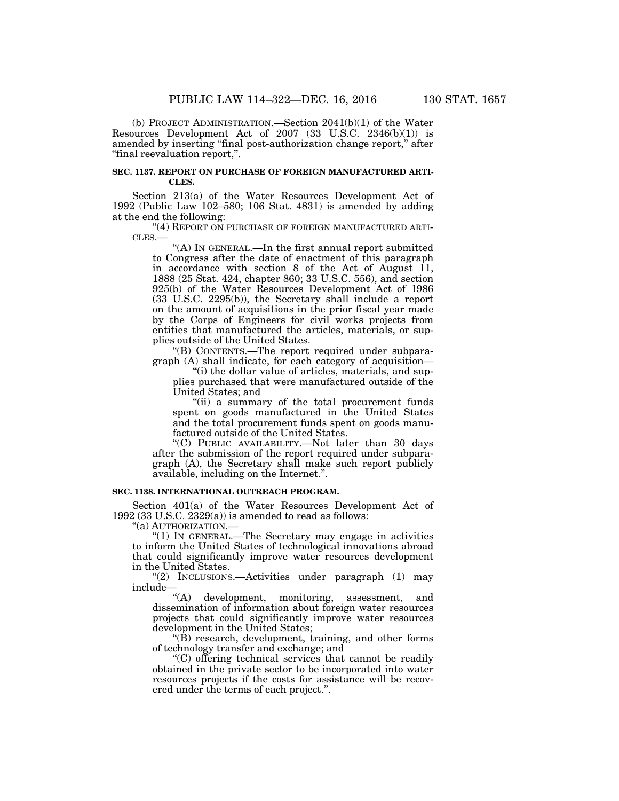(b) PROJECT ADMINISTRATION.—Section 2041(b)(1) of the Water Resources Development Act of 2007 (33 U.S.C. 2346(b)(1)) is amended by inserting "final post-authorization change report," after ''final reevaluation report,''.

# **SEC. 1137. REPORT ON PURCHASE OF FOREIGN MANUFACTURED ARTI-CLES.**

Section 213(a) of the Water Resources Development Act of 1992 (Public Law 102–580; 106 Stat. 4831) is amended by adding at the end the following:

"(4) REPORT ON PURCHASE OF FOREIGN MANUFACTURED ARTI-CLES.—

''(A) IN GENERAL.—In the first annual report submitted to Congress after the date of enactment of this paragraph in accordance with section 8 of the Act of August 11, 1888 (25 Stat. 424, chapter 860; 33 U.S.C. 556), and section 925(b) of the Water Resources Development Act of 1986 (33 U.S.C. 2295(b)), the Secretary shall include a report on the amount of acquisitions in the prior fiscal year made by the Corps of Engineers for civil works projects from entities that manufactured the articles, materials, or supplies outside of the United States.

''(B) CONTENTS.—The report required under subparagraph (A) shall indicate, for each category of acquisition—

"(i) the dollar value of articles, materials, and supplies purchased that were manufactured outside of the United States; and

''(ii) a summary of the total procurement funds spent on goods manufactured in the United States and the total procurement funds spent on goods manufactured outside of the United States.

''(C) PUBLIC AVAILABILITY.—Not later than 30 days after the submission of the report required under subparagraph (A), the Secretary shall make such report publicly available, including on the Internet.''.

### **SEC. 1138. INTERNATIONAL OUTREACH PROGRAM.**

Section 401(a) of the Water Resources Development Act of 1992 (33 U.S.C. 2329(a)) is amended to read as follows:

''(a) AUTHORIZATION.—

''(1) IN GENERAL.—The Secretary may engage in activities to inform the United States of technological innovations abroad that could significantly improve water resources development in the United States.

''(2) INCLUSIONS.—Activities under paragraph (1) may include— $\frac{a}{A}$ 

development, monitoring, assessment, and dissemination of information about foreign water resources projects that could significantly improve water resources development in the United States;

''(B) research, development, training, and other forms of technology transfer and exchange; and

''(C) offering technical services that cannot be readily obtained in the private sector to be incorporated into water resources projects if the costs for assistance will be recovered under the terms of each project.''.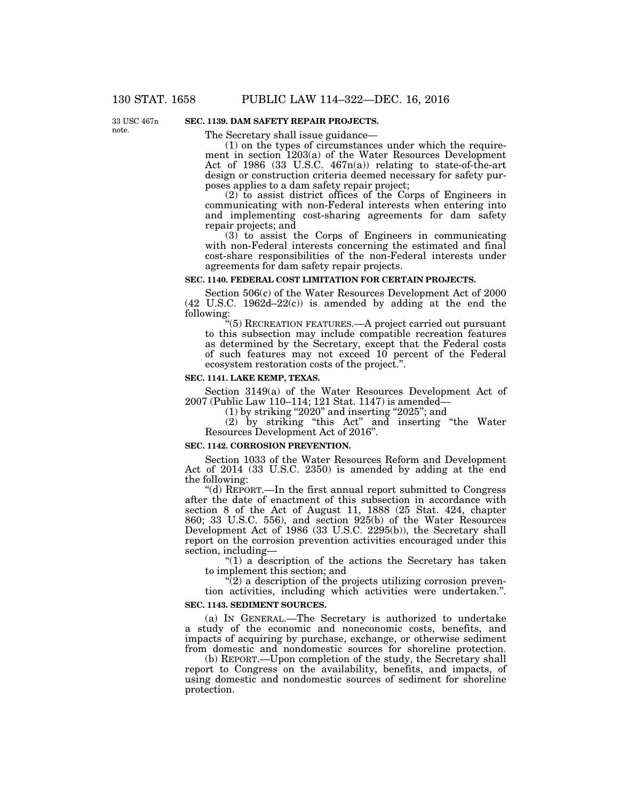33 USC 467n note.

# **SEC. 1139. DAM SAFETY REPAIR PROJECTS.**

The Secretary shall issue guidance—

(1) on the types of circumstances under which the requirement in section 1203(a) of the Water Resources Development Act of 1986 (33 U.S.C. 467n(a)) relating to state-of-the-art design or construction criteria deemed necessary for safety purposes applies to a dam safety repair project;

(2) to assist district offices of the Corps of Engineers in communicating with non-Federal interests when entering into and implementing cost-sharing agreements for dam safety repair projects; and

(3) to assist the Corps of Engineers in communicating with non-Federal interests concerning the estimated and final cost-share responsibilities of the non-Federal interests under agreements for dam safety repair projects.

### **SEC. 1140. FEDERAL COST LIMITATION FOR CERTAIN PROJECTS.**

Section 506(c) of the Water Resources Development Act of 2000  $(42 \text{ U.S.C. } 1962d-22(c))$  is amended by adding at the end the following:

''(5) RECREATION FEATURES.—A project carried out pursuant to this subsection may include compatible recreation features as determined by the Secretary, except that the Federal costs of such features may not exceed 10 percent of the Federal ecosystem restoration costs of the project.''.

### **SEC. 1141. LAKE KEMP, TEXAS.**

Section 3149(a) of the Water Resources Development Act of 2007 (Public Law 110–114; 121 Stat. 1147) is amended—

 $(1)$  by striking "2020" and inserting "2025"; and

(2) by striking ''this Act'' and inserting ''the Water Resources Development Act of 2016''.

### **SEC. 1142. CORROSION PREVENTION.**

Section 1033 of the Water Resources Reform and Development Act of 2014 (33 U.S.C. 2350) is amended by adding at the end the following:

''(d) REPORT.—In the first annual report submitted to Congress after the date of enactment of this subsection in accordance with section 8 of the Act of August 11, 1888 (25 Stat. 424, chapter 860; 33 U.S.C. 556), and section 925(b) of the Water Resources Development Act of 1986 (33 U.S.C. 2295(b)), the Secretary shall report on the corrosion prevention activities encouraged under this section, including—

''(1) a description of the actions the Secretary has taken to implement this section; and

 $\sqrt{\gamma(2)}$  a description of the projects utilizing corrosion prevention activities, including which activities were undertaken.''.

# **SEC. 1143. SEDIMENT SOURCES.**

(a) IN GENERAL.—The Secretary is authorized to undertake a study of the economic and noneconomic costs, benefits, and impacts of acquiring by purchase, exchange, or otherwise sediment from domestic and nondomestic sources for shoreline protection.

(b) REPORT.—Upon completion of the study, the Secretary shall report to Congress on the availability, benefits, and impacts, of using domestic and nondomestic sources of sediment for shoreline protection.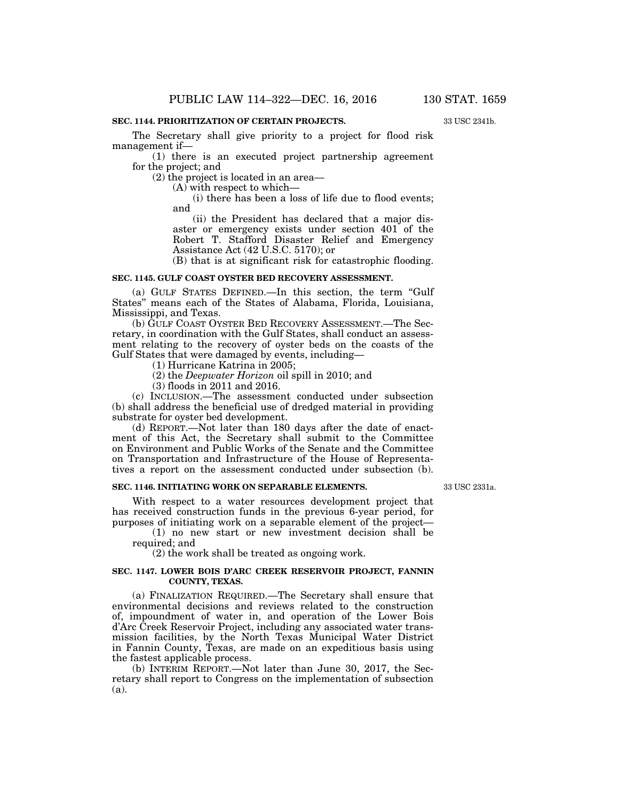# **SEC. 1144. PRIORITIZATION OF CERTAIN PROJECTS.**

The Secretary shall give priority to a project for flood risk management if—

(1) there is an executed project partnership agreement for the project; and

(2) the project is located in an area—

(A) with respect to which—

(i) there has been a loss of life due to flood events; and

(ii) the President has declared that a major disaster or emergency exists under section 401 of the Robert T. Stafford Disaster Relief and Emergency Assistance Act (42 U.S.C. 5170); or

(B) that is at significant risk for catastrophic flooding.

# **SEC. 1145. GULF COAST OYSTER BED RECOVERY ASSESSMENT.**

(a) GULF STATES DEFINED.—In this section, the term ''Gulf States'' means each of the States of Alabama, Florida, Louisiana, Mississippi, and Texas.

(b) GULF COAST OYSTER BED RECOVERY ASSESSMENT.—The Secretary, in coordination with the Gulf States, shall conduct an assessment relating to the recovery of oyster beds on the coasts of the Gulf States that were damaged by events, including—

(1) Hurricane Katrina in 2005;

(2) the *Deepwater Horizon* oil spill in 2010; and

(3) floods in 2011 and 2016.

(c) INCLUSION.—The assessment conducted under subsection (b) shall address the beneficial use of dredged material in providing substrate for oyster bed development.

(d) REPORT.—Not later than 180 days after the date of enactment of this Act, the Secretary shall submit to the Committee on Environment and Public Works of the Senate and the Committee on Transportation and Infrastructure of the House of Representatives a report on the assessment conducted under subsection (b).

# **SEC. 1146. INITIATING WORK ON SEPARABLE ELEMENTS.**

With respect to a water resources development project that has received construction funds in the previous 6-year period, for purposes of initiating work on a separable element of the project—

(1) no new start or new investment decision shall be required; and

(2) the work shall be treated as ongoing work.

### **SEC. 1147. LOWER BOIS D'ARC CREEK RESERVOIR PROJECT, FANNIN COUNTY, TEXAS.**

(a) FINALIZATION REQUIRED.—The Secretary shall ensure that environmental decisions and reviews related to the construction of, impoundment of water in, and operation of the Lower Bois d'Arc Creek Reservoir Project, including any associated water transmission facilities, by the North Texas Municipal Water District in Fannin County, Texas, are made on an expeditious basis using the fastest applicable process.

(b) INTERIM REPORT.—Not later than June 30, 2017, the Secretary shall report to Congress on the implementation of subsection (a).

33 USC 2331a.

33 USC 2341b.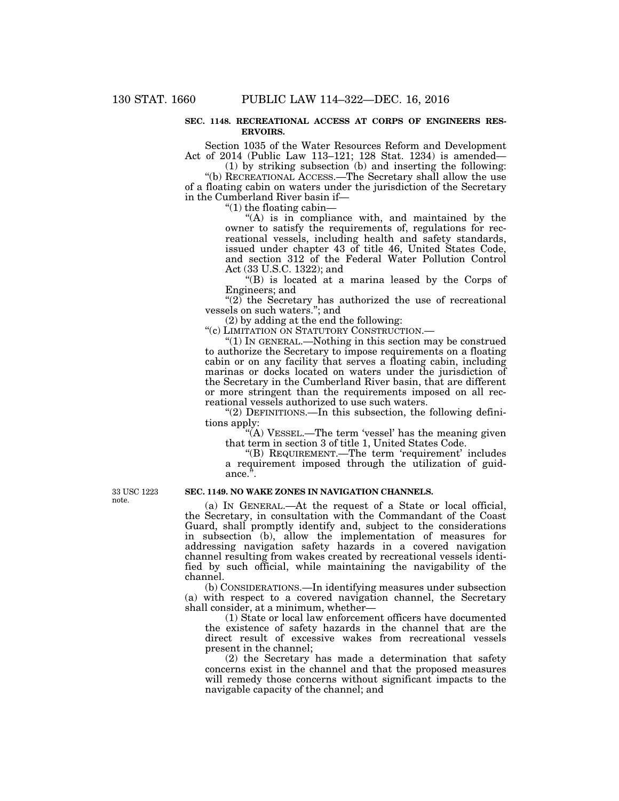### **SEC. 1148. RECREATIONAL ACCESS AT CORPS OF ENGINEERS RES-ERVOIRS.**

Section 1035 of the Water Resources Reform and Development Act of 2014 (Public Law 113–121; 128 Stat. 1234) is amended—

(1) by striking subsection (b) and inserting the following: ''(b) RECREATIONAL ACCESS.—The Secretary shall allow the use of a floating cabin on waters under the jurisdiction of the Secretary in the Cumberland River basin if—

''(1) the floating cabin—

"(A) is in compliance with, and maintained by the owner to satisfy the requirements of, regulations for recreational vessels, including health and safety standards, issued under chapter 43 of title 46, United States Code, and section 312 of the Federal Water Pollution Control Act (33 U.S.C. 1322); and

''(B) is located at a marina leased by the Corps of Engineers; and

" $(2)$ " the Secretary has authorized the use of recreational vessels on such waters.''; and

(2) by adding at the end the following:

''(c) LIMITATION ON STATUTORY CONSTRUCTION.—

 $(1)$  In GENERAL.—Nothing in this section may be construed to authorize the Secretary to impose requirements on a floating cabin or on any facility that serves a floating cabin, including marinas or docks located on waters under the jurisdiction of the Secretary in the Cumberland River basin, that are different or more stringent than the requirements imposed on all recreational vessels authorized to use such waters.

" $(2)$  DEFINITIONS.—In this subsection, the following definitions apply:

"(A) VESSEL.—The term 'vessel' has the meaning given that term in section 3 of title 1, United States Code.

''(B) REQUIREMENT.—The term 'requirement' includes

a requirement imposed through the utilization of guidance.''.

33 USC 1223 note.

# **SEC. 1149. NO WAKE ZONES IN NAVIGATION CHANNELS.**

(a) IN GENERAL.—At the request of a State or local official, the Secretary, in consultation with the Commandant of the Coast Guard, shall promptly identify and, subject to the considerations in subsection (b), allow the implementation of measures for addressing navigation safety hazards in a covered navigation channel resulting from wakes created by recreational vessels identified by such official, while maintaining the navigability of the channel.

(b) CONSIDERATIONS.—In identifying measures under subsection (a) with respect to a covered navigation channel, the Secretary shall consider, at a minimum, whether—

(1) State or local law enforcement officers have documented the existence of safety hazards in the channel that are the direct result of excessive wakes from recreational vessels present in the channel;

(2) the Secretary has made a determination that safety concerns exist in the channel and that the proposed measures will remedy those concerns without significant impacts to the navigable capacity of the channel; and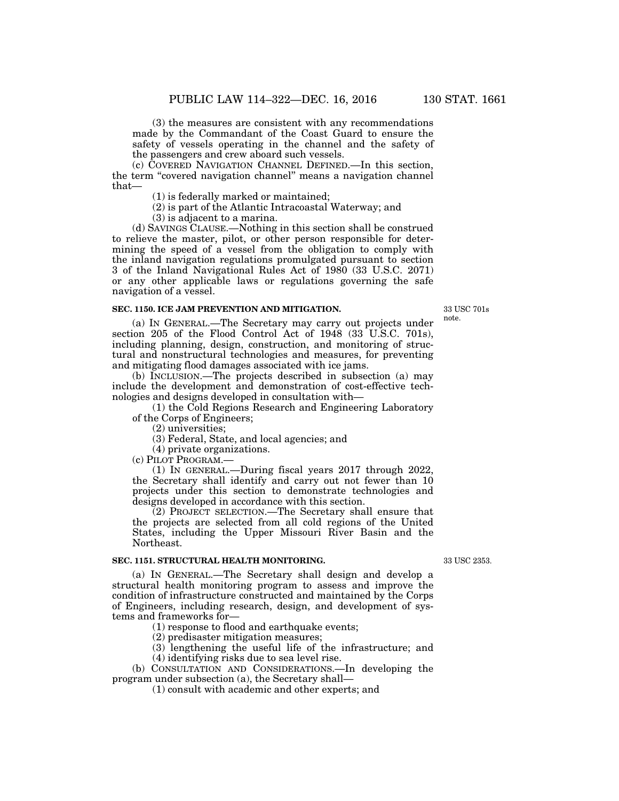(3) the measures are consistent with any recommendations made by the Commandant of the Coast Guard to ensure the safety of vessels operating in the channel and the safety of the passengers and crew aboard such vessels.

(c) COVERED NAVIGATION CHANNEL DEFINED.—In this section, the term ''covered navigation channel'' means a navigation channel that—

(1) is federally marked or maintained;

(2) is part of the Atlantic Intracoastal Waterway; and

(3) is adjacent to a marina.

(d) SAVINGS CLAUSE.—Nothing in this section shall be construed to relieve the master, pilot, or other person responsible for determining the speed of a vessel from the obligation to comply with the inland navigation regulations promulgated pursuant to section 3 of the Inland Navigational Rules Act of 1980 (33 U.S.C. 2071) or any other applicable laws or regulations governing the safe navigation of a vessel.

# **SEC. 1150. ICE JAM PREVENTION AND MITIGATION.**

(a) IN GENERAL.—The Secretary may carry out projects under section 205 of the Flood Control Act of 1948 (33 U.S.C. 701s), including planning, design, construction, and monitoring of structural and nonstructural technologies and measures, for preventing and mitigating flood damages associated with ice jams.

(b) INCLUSION.—The projects described in subsection (a) may include the development and demonstration of cost-effective technologies and designs developed in consultation with—

(1) the Cold Regions Research and Engineering Laboratory of the Corps of Engineers;

(2) universities;

(3) Federal, State, and local agencies; and

(4) private organizations.

(c) PILOT PROGRAM.—

(1) IN GENERAL.—During fiscal years 2017 through 2022, the Secretary shall identify and carry out not fewer than 10 projects under this section to demonstrate technologies and designs developed in accordance with this section.

(2) PROJECT SELECTION.—The Secretary shall ensure that the projects are selected from all cold regions of the United States, including the Upper Missouri River Basin and the Northeast.

# **SEC. 1151. STRUCTURAL HEALTH MONITORING.**

(a) IN GENERAL.—The Secretary shall design and develop a structural health monitoring program to assess and improve the condition of infrastructure constructed and maintained by the Corps of Engineers, including research, design, and development of systems and frameworks for—

(1) response to flood and earthquake events;

(2) predisaster mitigation measures;

(3) lengthening the useful life of the infrastructure; and (4) identifying risks due to sea level rise.

(b) CONSULTATION AND CONSIDERATIONS.—In developing the program under subsection (a), the Secretary shall—

(1) consult with academic and other experts; and

33 USC 701s note.

33 USC 2353.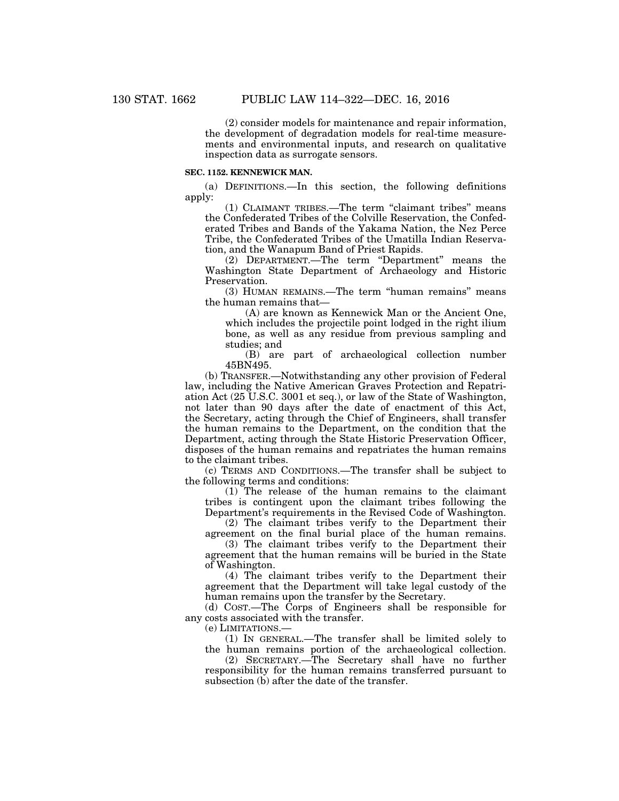(2) consider models for maintenance and repair information, the development of degradation models for real-time measurements and environmental inputs, and research on qualitative inspection data as surrogate sensors.

# **SEC. 1152. KENNEWICK MAN.**

(a) DEFINITIONS.—In this section, the following definitions apply:

(1) CLAIMANT TRIBES.—The term ''claimant tribes'' means the Confederated Tribes of the Colville Reservation, the Confederated Tribes and Bands of the Yakama Nation, the Nez Perce Tribe, the Confederated Tribes of the Umatilla Indian Reservation, and the Wanapum Band of Priest Rapids.

 $(2)$  DEPARTMENT.—The term "Department" means the Washington State Department of Archaeology and Historic Preservation.

(3) HUMAN REMAINS.—The term ''human remains'' means the human remains that—

(A) are known as Kennewick Man or the Ancient One, which includes the projectile point lodged in the right ilium bone, as well as any residue from previous sampling and studies; and

(B) are part of archaeological collection number 45BN495.

(b) TRANSFER.—Notwithstanding any other provision of Federal law, including the Native American Graves Protection and Repatriation Act (25 U.S.C. 3001 et seq.), or law of the State of Washington, not later than 90 days after the date of enactment of this Act, the Secretary, acting through the Chief of Engineers, shall transfer the human remains to the Department, on the condition that the Department, acting through the State Historic Preservation Officer, disposes of the human remains and repatriates the human remains to the claimant tribes.

(c) TERMS AND CONDITIONS.—The transfer shall be subject to the following terms and conditions:

(1) The release of the human remains to the claimant tribes is contingent upon the claimant tribes following the Department's requirements in the Revised Code of Washington.

(2) The claimant tribes verify to the Department their agreement on the final burial place of the human remains.

(3) The claimant tribes verify to the Department their agreement that the human remains will be buried in the State of Washington.

(4) The claimant tribes verify to the Department their agreement that the Department will take legal custody of the human remains upon the transfer by the Secretary.

(d) COST.—The Corps of Engineers shall be responsible for any costs associated with the transfer.

(e) LIMITATIONS.—

(1) IN GENERAL.—The transfer shall be limited solely to the human remains portion of the archaeological collection.

(2) SECRETARY.—The Secretary shall have no further responsibility for the human remains transferred pursuant to subsection (b) after the date of the transfer.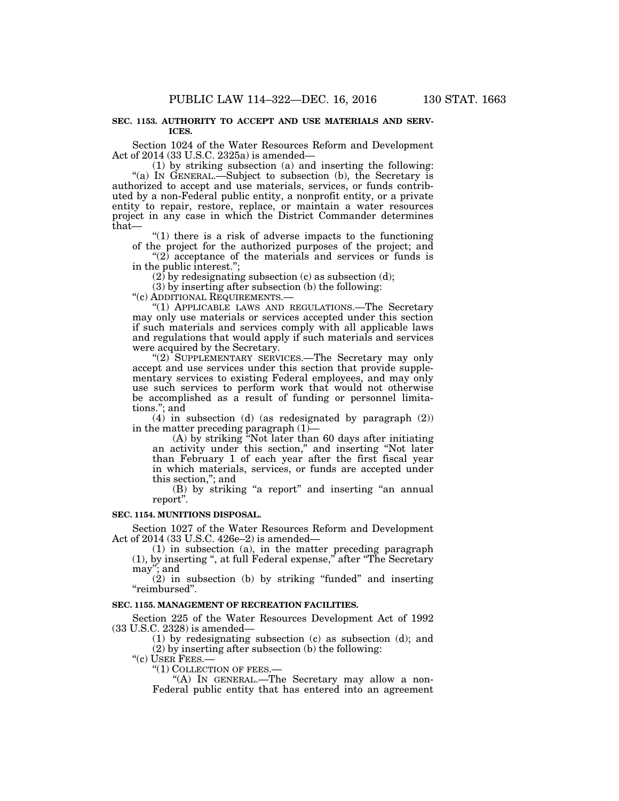## **SEC. 1153. AUTHORITY TO ACCEPT AND USE MATERIALS AND SERV-ICES.**

Section 1024 of the Water Resources Reform and Development Act of 2014 (33 U.S.C. 2325a) is amended—

(1) by striking subsection (a) and inserting the following: ''(a) IN GENERAL.—Subject to subsection (b), the Secretary is authorized to accept and use materials, services, or funds contributed by a non-Federal public entity, a nonprofit entity, or a private entity to repair, restore, replace, or maintain a water resources project in any case in which the District Commander determines that—

" $(1)$  there is a risk of adverse impacts to the functioning of the project for the authorized purposes of the project; and

" $(2)$  acceptance of the materials and services or funds is in the public interest.'';

 $(2)$  by redesignating subsection (c) as subsection (d);

(3) by inserting after subsection (b) the following:

''(c) ADDITIONAL REQUIREMENTS.—

''(1) APPLICABLE LAWS AND REGULATIONS.—The Secretary may only use materials or services accepted under this section if such materials and services comply with all applicable laws and regulations that would apply if such materials and services were acquired by the Secretary.

"(2) SUPPLEMENTARY SERVICES.—The Secretary may only accept and use services under this section that provide supplementary services to existing Federal employees, and may only use such services to perform work that would not otherwise be accomplished as a result of funding or personnel limitations.''; and

(4) in subsection (d) (as redesignated by paragraph (2)) in the matter preceding paragraph  $(1)$ —

(A) by striking ''Not later than 60 days after initiating an activity under this section,'' and inserting ''Not later than February 1 of each year after the first fiscal year in which materials, services, or funds are accepted under this section,''; and

(B) by striking "a report" and inserting "an annual report''.

### **SEC. 1154. MUNITIONS DISPOSAL.**

Section 1027 of the Water Resources Reform and Development Act of 2014 (33 U.S.C. 426e–2) is amended—

(1) in subsection (a), in the matter preceding paragraph (1), by inserting '', at full Federal expense,'' after ''The Secretary may''; and

(2) in subsection (b) by striking ''funded'' and inserting "reimbursed".

## **SEC. 1155. MANAGEMENT OF RECREATION FACILITIES.**

Section 225 of the Water Resources Development Act of 1992 (33 U.S.C. 2328) is amended—

(1) by redesignating subsection (c) as subsection (d); and (2) by inserting after subsection (b) the following:

"(c) USER FEES.-

"(1) COLLECTION OF FEES.—<br>"(A) IN GENERAL.—The Secretary may allow a non-Federal public entity that has entered into an agreement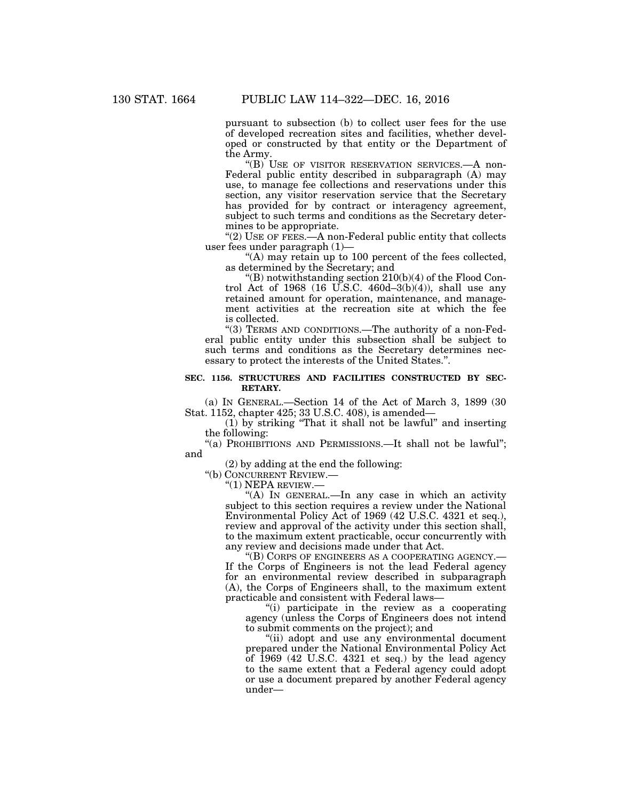pursuant to subsection (b) to collect user fees for the use of developed recreation sites and facilities, whether developed or constructed by that entity or the Department of the Army.

"(B) USE OF VISITOR RESERVATION SERVICES.—A non-Federal public entity described in subparagraph (A) may use, to manage fee collections and reservations under this section, any visitor reservation service that the Secretary has provided for by contract or interagency agreement, subject to such terms and conditions as the Secretary determines to be appropriate.

" $(2)$  USE OF FEES.—A non-Federal public entity that collects user fees under paragraph (1)—

''(A) may retain up to 100 percent of the fees collected, as determined by the Secretary; and

 $\mathrm{``(B)}$  notwithstanding section  $210(b)(4)$  of the Flood Control Act of 1968 (16 U.S.C. 460d-3 $(b)(4)$ ), shall use any retained amount for operation, maintenance, and management activities at the recreation site at which the fee is collected.

"(3) TERMS AND CONDITIONS.—The authority of a non-Federal public entity under this subsection shall be subject to such terms and conditions as the Secretary determines necessary to protect the interests of the United States.''.

## **SEC. 1156. STRUCTURES AND FACILITIES CONSTRUCTED BY SEC-RETARY.**

(a) IN GENERAL.—Section 14 of the Act of March 3, 1899 (30 Stat. 1152, chapter 425; 33 U.S.C. 408), is amended—

(1) by striking ''That it shall not be lawful'' and inserting the following:

''(a) PROHIBITIONS AND PERMISSIONS.—It shall not be lawful''; and

(2) by adding at the end the following:

''(b) CONCURRENT REVIEW.—

''(1) NEPA REVIEW.—

''(A) IN GENERAL.—In any case in which an activity subject to this section requires a review under the National Environmental Policy Act of 1969 (42 U.S.C. 4321 et seq.), review and approval of the activity under this section shall, to the maximum extent practicable, occur concurrently with any review and decisions made under that Act.

''(B) CORPS OF ENGINEERS AS A COOPERATING AGENCY.— If the Corps of Engineers is not the lead Federal agency for an environmental review described in subparagraph (A), the Corps of Engineers shall, to the maximum extent practicable and consistent with Federal laws—

''(i) participate in the review as a cooperating agency (unless the Corps of Engineers does not intend to submit comments on the project); and

''(ii) adopt and use any environmental document prepared under the National Environmental Policy Act of 1969 (42 U.S.C. 4321 et seq.) by the lead agency to the same extent that a Federal agency could adopt or use a document prepared by another Federal agency under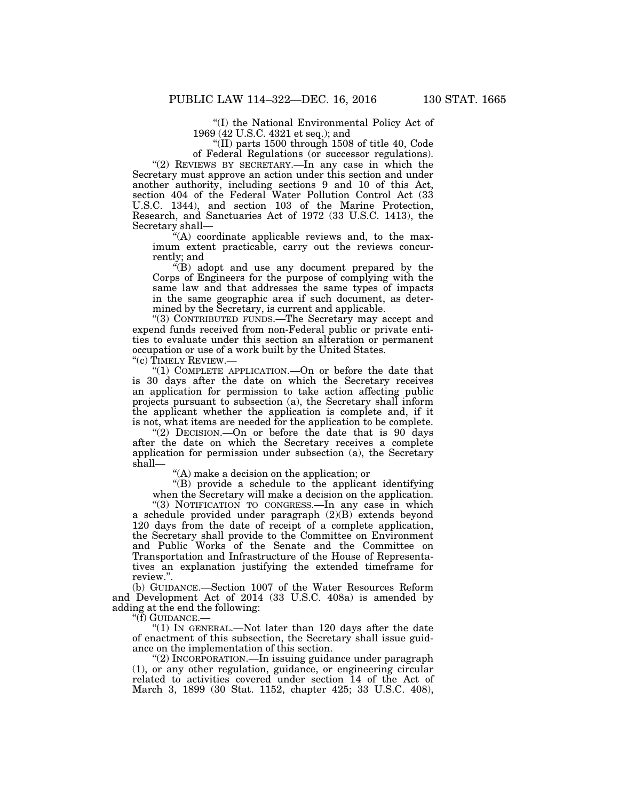''(I) the National Environmental Policy Act of

1969 (42 U.S.C. 4321 et seq.); and

''(II) parts 1500 through 1508 of title 40, Code of Federal Regulations (or successor regulations).

" $(2)$  REVIEWS BY SECRETARY.—In any case in which the Secretary must approve an action under this section and under another authority, including sections 9 and 10 of this Act, section 404 of the Federal Water Pollution Control Act (33 U.S.C. 1344), and section 103 of the Marine Protection, Research, and Sanctuaries Act of 1972 (33 U.S.C. 1413), the Secretary shall—

 $(A)$  coordinate applicable reviews and, to the maximum extent practicable, carry out the reviews concurrently; and

''(B) adopt and use any document prepared by the Corps of Engineers for the purpose of complying with the same law and that addresses the same types of impacts in the same geographic area if such document, as determined by the Secretary, is current and applicable.

"(3) CONTRIBUTED FUNDS.—The Secretary may accept and expend funds received from non-Federal public or private entities to evaluate under this section an alteration or permanent occupation or use of a work built by the United States.

''(c) TIMELY REVIEW.—

''(1) COMPLETE APPLICATION.—On or before the date that is 30 days after the date on which the Secretary receives an application for permission to take action affecting public projects pursuant to subsection (a), the Secretary shall inform the applicant whether the application is complete and, if it is not, what items are needed for the application to be complete.

"(2) DECISION.—On or before the date that is 90 days after the date on which the Secretary receives a complete application for permission under subsection (a), the Secretary shall—

''(A) make a decision on the application; or

''(B) provide a schedule to the applicant identifying when the Secretary will make a decision on the application.

"(3) NOTIFICATION TO CONGRESS.—In any case in which a schedule provided under paragraph (2)(B) extends beyond 120 days from the date of receipt of a complete application, the Secretary shall provide to the Committee on Environment and Public Works of the Senate and the Committee on Transportation and Infrastructure of the House of Representatives an explanation justifying the extended timeframe for review.''.

(b) GUIDANCE.—Section 1007 of the Water Resources Reform and Development Act of 2014 (33 U.S.C. 408a) is amended by adding at the end the following:

''(f) GUIDANCE.—

"(1) IN GENERAL.—Not later than 120 days after the date of enactment of this subsection, the Secretary shall issue guidance on the implementation of this section.

''(2) INCORPORATION.—In issuing guidance under paragraph (1), or any other regulation, guidance, or engineering circular related to activities covered under section 14 of the Act of March 3, 1899 (30 Stat. 1152, chapter 425; 33 U.S.C. 408),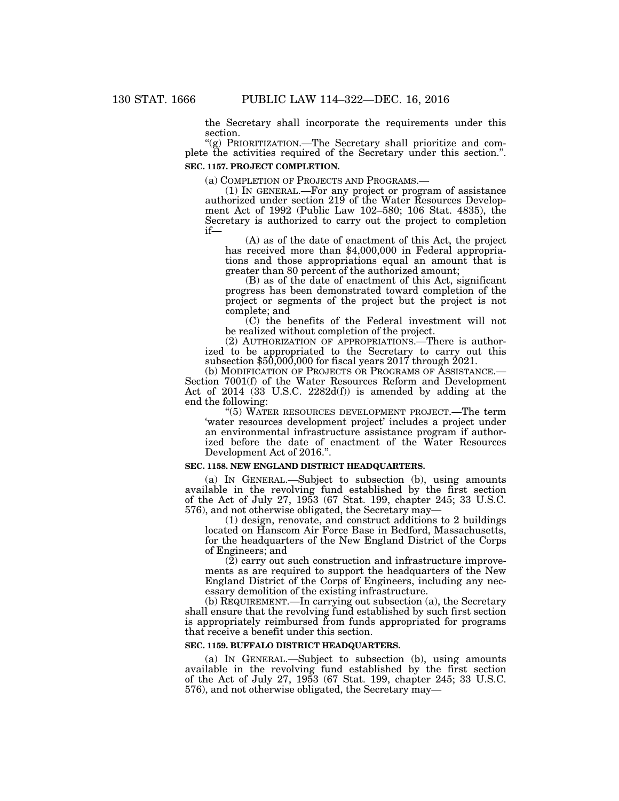the Secretary shall incorporate the requirements under this section.

''(g) PRIORITIZATION.—The Secretary shall prioritize and complete the activities required of the Secretary under this section.''. **SEC. 1157. PROJECT COMPLETION.** 

(a) COMPLETION OF PROJECTS AND PROGRAMS.— (1) IN GENERAL.—For any project or program of assistance authorized under section 219 of the Water Resources Development Act of 1992 (Public Law 102–580; 106 Stat. 4835), the Secretary is authorized to carry out the project to completion if—

(A) as of the date of enactment of this Act, the project has received more than \$4,000,000 in Federal appropriations and those appropriations equal an amount that is greater than 80 percent of the authorized amount;

(B) as of the date of enactment of this Act, significant progress has been demonstrated toward completion of the project or segments of the project but the project is not complete; and

(C) the benefits of the Federal investment will not be realized without completion of the project.

(2) AUTHORIZATION OF APPROPRIATIONS.—There is authorized to be appropriated to the Secretary to carry out this subsection \$50,000,000 for fiscal years 2017 through 2021.

(b) MODIFICATION OF PROJECTS OR PROGRAMS OF ASSISTANCE.— Section 7001(f) of the Water Resources Reform and Development Act of 2014 (33 U.S.C. 2282d(f)) is amended by adding at the end the following:

"(5) WATER RESOURCES DEVELOPMENT PROJECT.—The term 'water resources development project' includes a project under an environmental infrastructure assistance program if authorized before the date of enactment of the Water Resources Development Act of 2016.''.

## **SEC. 1158. NEW ENGLAND DISTRICT HEADQUARTERS.**

(a) IN GENERAL.—Subject to subsection (b), using amounts available in the revolving fund established by the first section of the Act of July 27, 1953 (67 Stat. 199, chapter 245; 33 U.S.C. 576), and not otherwise obligated, the Secretary may—

(1) design, renovate, and construct additions to 2 buildings located on Hanscom Air Force Base in Bedford, Massachusetts, for the headquarters of the New England District of the Corps of Engineers; and

(2) carry out such construction and infrastructure improvements as are required to support the headquarters of the New England District of the Corps of Engineers, including any necessary demolition of the existing infrastructure.

(b) REQUIREMENT.—In carrying out subsection (a), the Secretary shall ensure that the revolving fund established by such first section is appropriately reimbursed from funds appropriated for programs that receive a benefit under this section.

#### **SEC. 1159. BUFFALO DISTRICT HEADQUARTERS.**

(a) IN GENERAL.—Subject to subsection (b), using amounts available in the revolving fund established by the first section of the Act of July 27, 1953 (67 Stat. 199, chapter 245; 33 U.S.C. 576), and not otherwise obligated, the Secretary may—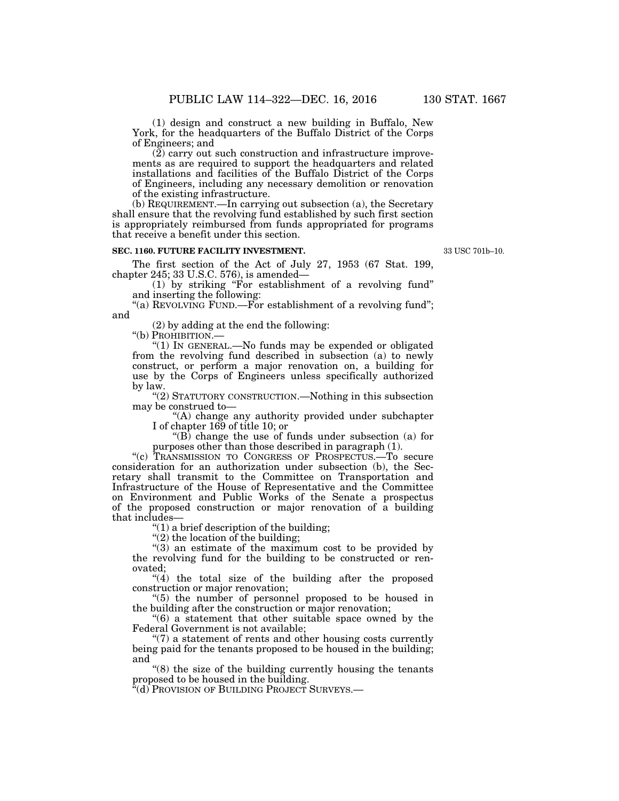(1) design and construct a new building in Buffalo, New York, for the headquarters of the Buffalo District of the Corps of Engineers; and

(2) carry out such construction and infrastructure improvements as are required to support the headquarters and related installations and facilities of the Buffalo District of the Corps of Engineers, including any necessary demolition or renovation of the existing infrastructure.

(b) REQUIREMENT.—In carrying out subsection (a), the Secretary shall ensure that the revolving fund established by such first section is appropriately reimbursed from funds appropriated for programs that receive a benefit under this section.

## **SEC. 1160. FUTURE FACILITY INVESTMENT.**

The first section of the Act of July 27, 1953 (67 Stat. 199, chapter 245; 33 U.S.C. 576), is amended—

(1) by striking ''For establishment of a revolving fund'' and inserting the following:

"(a) REVOLVING FUND.—For establishment of a revolving fund"; and

(2) by adding at the end the following:

"(b) PROHIBITION.-

''(1) IN GENERAL.—No funds may be expended or obligated from the revolving fund described in subsection (a) to newly construct, or perform a major renovation on, a building for use by the Corps of Engineers unless specifically authorized by law.

''(2) STATUTORY CONSTRUCTION.—Nothing in this subsection may be construed to—

''(A) change any authority provided under subchapter I of chapter 169 of title 10; or

 $\mathrm{``(B)}$  change the use of funds under subsection (a) for purposes other than those described in paragraph (1).

''(c) TRANSMISSION TO CONGRESS OF PROSPECTUS.—To secure consideration for an authorization under subsection (b), the Secretary shall transmit to the Committee on Transportation and Infrastructure of the House of Representative and the Committee on Environment and Public Works of the Senate a prospectus of the proposed construction or major renovation of a building that includes—

 $''(1)$  a brief description of the building;

" $(2)$  the location of the building;

 $''(3)$  an estimate of the maximum cost to be provided by the revolving fund for the building to be constructed or renovated;

"(4) the total size of the building after the proposed construction or major renovation;

''(5) the number of personnel proposed to be housed in the building after the construction or major renovation;

''(6) a statement that other suitable space owned by the Federal Government is not available;

 $\degree$ (7) a statement of rents and other housing costs currently being paid for the tenants proposed to be housed in the building; and

''(8) the size of the building currently housing the tenants proposed to be housed in the building.

'(d) Provision of Building Project Surveys.—

33 USC 701b–10.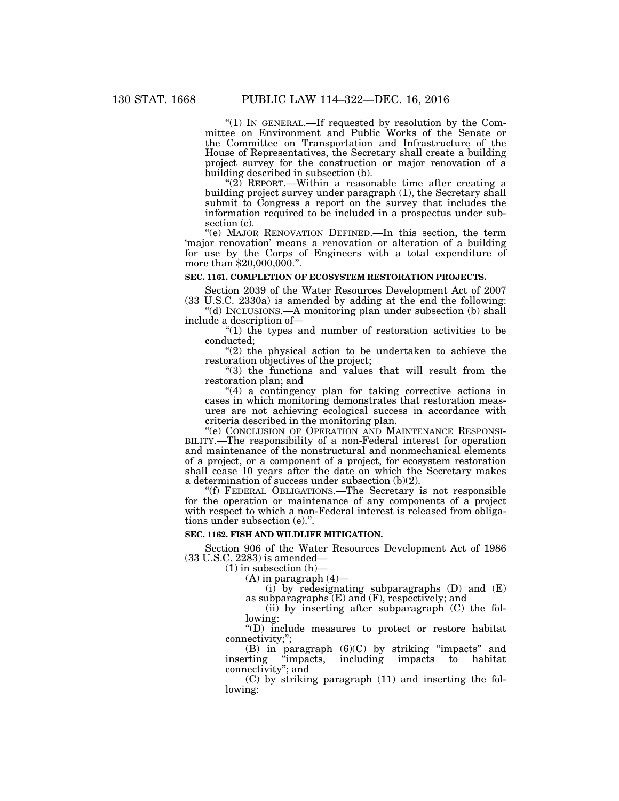"(1) IN GENERAL.—If requested by resolution by the Committee on Environment and Public Works of the Senate or the Committee on Transportation and Infrastructure of the House of Representatives, the Secretary shall create a building project survey for the construction or major renovation of a building described in subsection (b).

" $(2)$  REPORT.—Within a reasonable time after creating a building project survey under paragraph (1), the Secretary shall submit to Congress a report on the survey that includes the information required to be included in a prospectus under subsection (c).

''(e) MAJOR RENOVATION DEFINED.—In this section, the term 'major renovation' means a renovation or alteration of a building for use by the Corps of Engineers with a total expenditure of more than \$20,000,000.".

## **SEC. 1161. COMPLETION OF ECOSYSTEM RESTORATION PROJECTS.**

Section 2039 of the Water Resources Development Act of 2007 (33 U.S.C. 2330a) is amended by adding at the end the following:

"(d) INCLUSIONS.—A monitoring plan under subsection (b) shall include a description of—

"(1) the types and number of restoration activities to be conducted;

"(2) the physical action to be undertaken to achieve the restoration objectives of the project;

''(3) the functions and values that will result from the restoration plan; and

"(4) a contingency plan for taking corrective actions in cases in which monitoring demonstrates that restoration measures are not achieving ecological success in accordance with criteria described in the monitoring plan.<br>"(e) CONCLUSION OF OPERATION AND MAINTENANCE RESPONSI-

BILITY.—The responsibility of a non-Federal interest for operation and maintenance of the nonstructural and nonmechanical elements of a project, or a component of a project, for ecosystem restoration shall cease 10 years after the date on which the Secretary makes a determination of success under subsection (b)(2).

''(f) FEDERAL OBLIGATIONS.—The Secretary is not responsible for the operation or maintenance of any components of a project with respect to which a non-Federal interest is released from obligations under subsection (e).''.

## **SEC. 1162. FISH AND WILDLIFE MITIGATION.**

Section 906 of the Water Resources Development Act of 1986 (33 U.S.C. 2283) is amended—

(1) in subsection (h)—

 $(A)$  in paragraph  $(4)$ —

(i) by redesignating subparagraphs (D) and (E) as subparagraphs  $(E)$  and  $(F)$ , respectively; and

(ii) by inserting after subparagraph (C) the following:

''(D) include measures to protect or restore habitat connectivity;'';

(B) in paragraph (6)(C) by striking ''impacts'' and inserting ''impacts, including impacts to habitat connectivity''; and

(C) by striking paragraph (11) and inserting the following: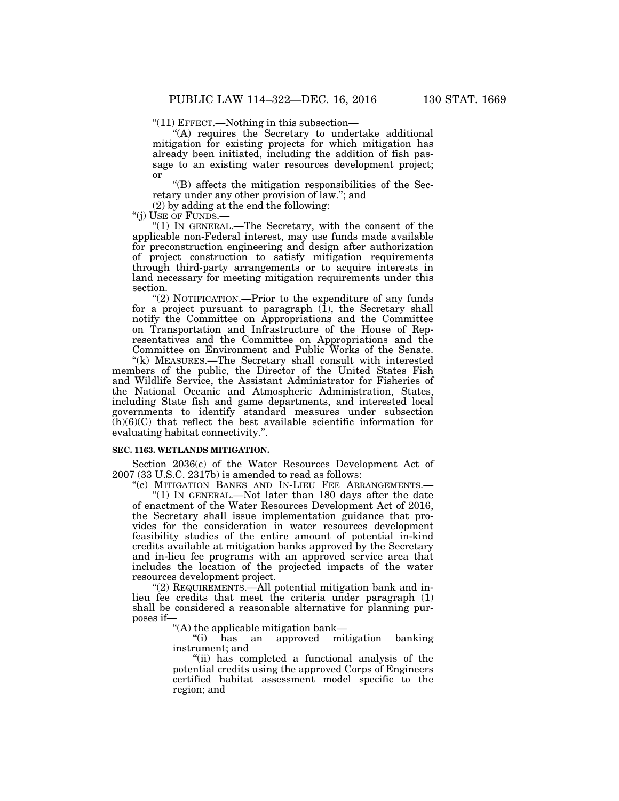''(11) EFFECT.—Nothing in this subsection—

''(A) requires the Secretary to undertake additional mitigation for existing projects for which mitigation has already been initiated, including the addition of fish passage to an existing water resources development project; or

''(B) affects the mitigation responsibilities of the Secretary under any other provision of law.''; and

(2) by adding at the end the following:

''(j) USE OF FUNDS.—

''(1) IN GENERAL.—The Secretary, with the consent of the applicable non-Federal interest, may use funds made available for preconstruction engineering and design after authorization of project construction to satisfy mitigation requirements through third-party arrangements or to acquire interests in land necessary for meeting mitigation requirements under this section.

"(2) NOTIFICATION.—Prior to the expenditure of any funds for a project pursuant to paragraph (1), the Secretary shall notify the Committee on Appropriations and the Committee on Transportation and Infrastructure of the House of Representatives and the Committee on Appropriations and the Committee on Environment and Public Works of the Senate.

"(k) MEASURES.—The Secretary shall consult with interested members of the public, the Director of the United States Fish and Wildlife Service, the Assistant Administrator for Fisheries of the National Oceanic and Atmospheric Administration, States, including State fish and game departments, and interested local governments to identify standard measures under subsection  $(h)(6)(C)$  that reflect the best available scientific information for evaluating habitat connectivity.''.

#### **SEC. 1163. WETLANDS MITIGATION.**

Section 2036(c) of the Water Resources Development Act of 2007 (33 U.S.C. 2317b) is amended to read as follows:

"(c) MITIGATION BANKS AND IN-LIEU FEE ARRANGEMENTS.—

''(1) IN GENERAL.—Not later than 180 days after the date of enactment of the Water Resources Development Act of 2016, the Secretary shall issue implementation guidance that provides for the consideration in water resources development feasibility studies of the entire amount of potential in-kind credits available at mitigation banks approved by the Secretary and in-lieu fee programs with an approved service area that includes the location of the projected impacts of the water resources development project.

''(2) REQUIREMENTS.—All potential mitigation bank and inlieu fee credits that meet the criteria under paragraph (1) shall be considered a reasonable alternative for planning purposes if—

''(A) the applicable mitigation bank—

''(i) has an approved mitigation banking instrument; and

''(ii) has completed a functional analysis of the potential credits using the approved Corps of Engineers certified habitat assessment model specific to the region; and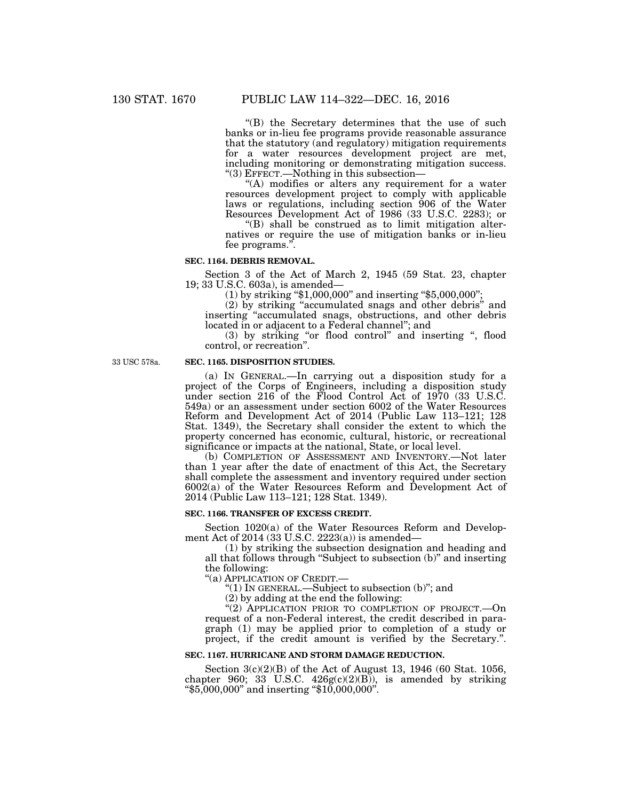''(B) the Secretary determines that the use of such banks or in-lieu fee programs provide reasonable assurance that the statutory (and regulatory) mitigation requirements for a water resources development project are met, including monitoring or demonstrating mitigation success. ''(3) EFFECT.—Nothing in this subsection—

"(A) modifies or alters any requirement for a water resources development project to comply with applicable laws or regulations, including section 906 of the Water Resources Development Act of 1986 (33 U.S.C. 2283); or

''(B) shall be construed as to limit mitigation alternatives or require the use of mitigation banks or in-lieu fee programs.''.

## **SEC. 1164. DEBRIS REMOVAL.**

Section 3 of the Act of March 2, 1945 (59 Stat. 23, chapter 19; 33 U.S.C. 603a), is amended—

(1) by striking ''\$1,000,000'' and inserting ''\$5,000,000'';

(2) by striking ''accumulated snags and other debris'' and inserting ''accumulated snags, obstructions, and other debris located in or adjacent to a Federal channel''; and

(3) by striking "or flood control" and inserting ", flood control, or recreation''.

33 USC 578a.

## **SEC. 1165. DISPOSITION STUDIES.**

(a) IN GENERAL.—In carrying out a disposition study for a project of the Corps of Engineers, including a disposition study under section 216 of the Flood Control Act of 1970 (33 U.S.C. 549a) or an assessment under section 6002 of the Water Resources Reform and Development Act of 2014 (Public Law 113–121; 128 Stat. 1349), the Secretary shall consider the extent to which the property concerned has economic, cultural, historic, or recreational significance or impacts at the national, State, or local level.

(b) COMPLETION OF ASSESSMENT AND INVENTORY.—Not later than 1 year after the date of enactment of this Act, the Secretary shall complete the assessment and inventory required under section 6002(a) of the Water Resources Reform and Development Act of 2014 (Public Law 113–121; 128 Stat. 1349).

## **SEC. 1166. TRANSFER OF EXCESS CREDIT.**

Section 1020(a) of the Water Resources Reform and Development Act of 2014 (33 U.S.C. 2223(a)) is amended—

(1) by striking the subsection designation and heading and all that follows through ''Subject to subsection (b)'' and inserting the following:

''(a) APPLICATION OF CREDIT.—

" $(1)$  In GENERAL.—Subject to subsection  $(b)$ "; and

(2) by adding at the end the following:

"(2) APPLICATION PRIOR TO COMPLETION OF PROJECT. On request of a non-Federal interest, the credit described in paragraph (1) may be applied prior to completion of a study or project, if the credit amount is verified by the Secretary.''.

## **SEC. 1167. HURRICANE AND STORM DAMAGE REDUCTION.**

Section 3(c)(2)(B) of the Act of August 13, 1946 (60 Stat. 1056, chapter 960; 33 U.S.C.  $426g(c)(2)(B)$ , is amended by striking ''\$5,000,000'' and inserting ''\$10,000,000''.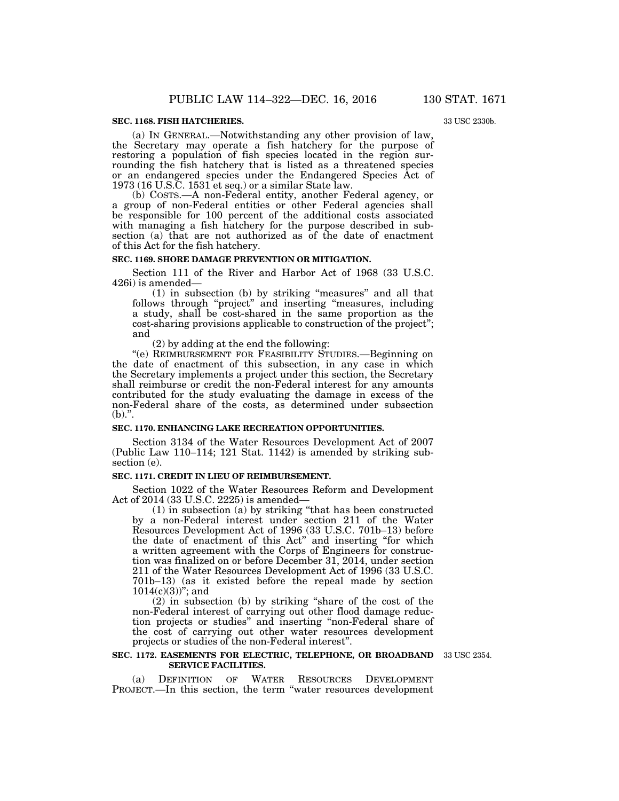33 USC 2330b.

### **SEC. 1168. FISH HATCHERIES.**

(a) IN GENERAL.—Notwithstanding any other provision of law, the Secretary may operate a fish hatchery for the purpose of restoring a population of fish species located in the region surrounding the fish hatchery that is listed as a threatened species or an endangered species under the Endangered Species Act of 1973 (16 U.S.C. 1531 et seq.) or a similar State law.

(b) COSTS.—A non-Federal entity, another Federal agency, or a group of non-Federal entities or other Federal agencies shall be responsible for 100 percent of the additional costs associated with managing a fish hatchery for the purpose described in subsection (a) that are not authorized as of the date of enactment of this Act for the fish hatchery.

### **SEC. 1169. SHORE DAMAGE PREVENTION OR MITIGATION.**

Section 111 of the River and Harbor Act of 1968 (33 U.S.C. 426i) is amended—

(1) in subsection (b) by striking ''measures'' and all that follows through ''project'' and inserting ''measures, including a study, shall be cost-shared in the same proportion as the cost-sharing provisions applicable to construction of the project''; and

(2) by adding at the end the following:

''(e) REIMBURSEMENT FOR FEASIBILITY STUDIES.—Beginning on the date of enactment of this subsection, in any case in which the Secretary implements a project under this section, the Secretary shall reimburse or credit the non-Federal interest for any amounts contributed for the study evaluating the damage in excess of the non-Federal share of the costs, as determined under subsection  $(b)$ .".

## **SEC. 1170. ENHANCING LAKE RECREATION OPPORTUNITIES.**

Section 3134 of the Water Resources Development Act of 2007 (Public Law 110–114; 121 Stat. 1142) is amended by striking subsection (e).

## **SEC. 1171. CREDIT IN LIEU OF REIMBURSEMENT.**

Section 1022 of the Water Resources Reform and Development Act of 2014 (33 U.S.C. 2225) is amended—

(1) in subsection (a) by striking ''that has been constructed by a non-Federal interest under section 211 of the Water Resources Development Act of 1996 (33 U.S.C. 701b–13) before the date of enactment of this Act'' and inserting ''for which a written agreement with the Corps of Engineers for construction was finalized on or before December 31, 2014, under section 211 of the Water Resources Development Act of 1996 (33 U.S.C. 701b–13) (as it existed before the repeal made by section  $1014(c)(3)$ "; and

(2) in subsection (b) by striking ''share of the cost of the non-Federal interest of carrying out other flood damage reduction projects or studies'' and inserting ''non-Federal share of the cost of carrying out other water resources development projects or studies of the non-Federal interest''.

#### **SEC. 1172. EASEMENTS FOR ELECTRIC, TELEPHONE, OR BROADBAND**  33 USC 2354. **SERVICE FACILITIES.**

(a) DEFINITION OF WATER RESOURCES DEVELOPMENT PROJECT.—In this section, the term "water resources development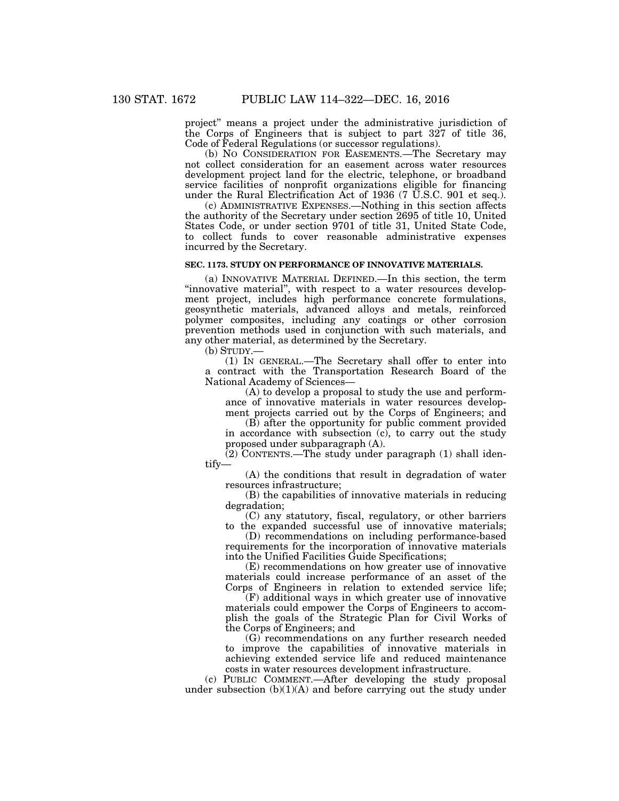project'' means a project under the administrative jurisdiction of the Corps of Engineers that is subject to part 327 of title 36, Code of Federal Regulations (or successor regulations).

(b) NO CONSIDERATION FOR EASEMENTS.—The Secretary may not collect consideration for an easement across water resources development project land for the electric, telephone, or broadband service facilities of nonprofit organizations eligible for financing under the Rural Electrification Act of 1936 (7  $\check{U}$ .S.C. 901 et seq.).

(c) ADMINISTRATIVE EXPENSES.—Nothing in this section affects the authority of the Secretary under section 2695 of title 10, United States Code, or under section 9701 of title 31, United State Code, to collect funds to cover reasonable administrative expenses incurred by the Secretary.

### **SEC. 1173. STUDY ON PERFORMANCE OF INNOVATIVE MATERIALS.**

(a) INNOVATIVE MATERIAL DEFINED.—In this section, the term "innovative material", with respect to a water resources development project, includes high performance concrete formulations, geosynthetic materials, advanced alloys and metals, reinforced polymer composites, including any coatings or other corrosion prevention methods used in conjunction with such materials, and any other material, as determined by the Secretary.

(b) STUDY.—

(1) IN GENERAL.—The Secretary shall offer to enter into a contract with the Transportation Research Board of the National Academy of Sciences—

(A) to develop a proposal to study the use and performance of innovative materials in water resources development projects carried out by the Corps of Engineers; and

(B) after the opportunity for public comment provided in accordance with subsection (c), to carry out the study proposed under subparagraph (A).

 $(2)$  CONTENTS.—The study under paragraph  $(1)$  shall identify—

(A) the conditions that result in degradation of water resources infrastructure;

(B) the capabilities of innovative materials in reducing degradation;

(C) any statutory, fiscal, regulatory, or other barriers to the expanded successful use of innovative materials;

(D) recommendations on including performance-based requirements for the incorporation of innovative materials into the Unified Facilities Guide Specifications;

(E) recommendations on how greater use of innovative materials could increase performance of an asset of the Corps of Engineers in relation to extended service life;

(F) additional ways in which greater use of innovative materials could empower the Corps of Engineers to accomplish the goals of the Strategic Plan for Civil Works of the Corps of Engineers; and

(G) recommendations on any further research needed to improve the capabilities of innovative materials in achieving extended service life and reduced maintenance costs in water resources development infrastructure.

(c) PUBLIC COMMENT.—After developing the study proposal under subsection  $(b)(1)(A)$  and before carrying out the study under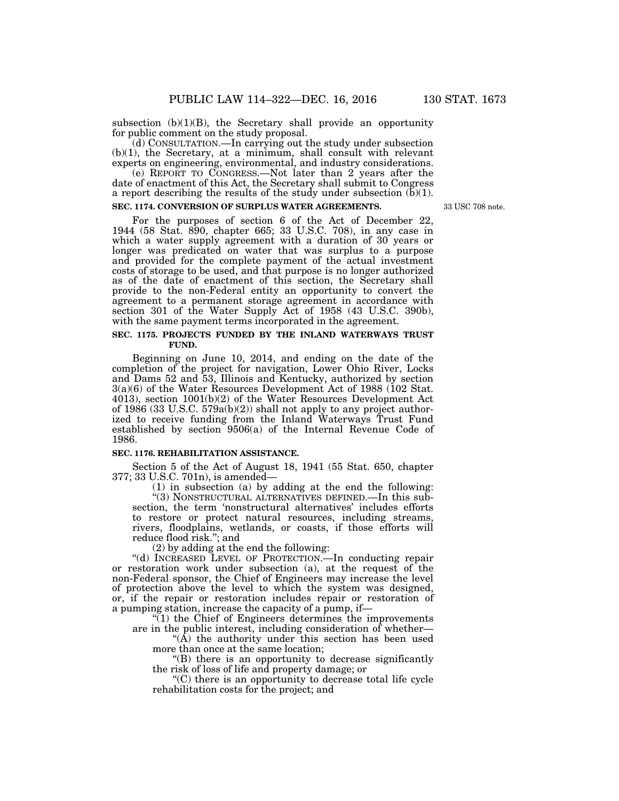subsection  $(b)(1)(B)$ , the Secretary shall provide an opportunity for public comment on the study proposal.

(d) CONSULTATION.—In carrying out the study under subsection (b)(1), the Secretary, at a minimum, shall consult with relevant experts on engineering, environmental, and industry considerations.

(e) REPORT TO CONGRESS.—Not later than 2 years after the date of enactment of this Act, the Secretary shall submit to Congress a report describing the results of the study under subsection  $(b)(1)$ .

## **SEC. 1174. CONVERSION OF SURPLUS WATER AGREEMENTS.**

For the purposes of section 6 of the Act of December 22, 1944 (58 Stat. 890, chapter 665; 33 U.S.C. 708), in any case in which a water supply agreement with a duration of 30 years or longer was predicated on water that was surplus to a purpose and provided for the complete payment of the actual investment costs of storage to be used, and that purpose is no longer authorized as of the date of enactment of this section, the Secretary shall provide to the non-Federal entity an opportunity to convert the agreement to a permanent storage agreement in accordance with section 301 of the Water Supply Act of 1958 (43 U.S.C. 390b), with the same payment terms incorporated in the agreement.

## **SEC. 1175. PROJECTS FUNDED BY THE INLAND WATERWAYS TRUST FUND.**

Beginning on June 10, 2014, and ending on the date of the completion of the project for navigation, Lower Ohio River, Locks and Dams 52 and 53, Illinois and Kentucky, authorized by section 3(a)(6) of the Water Resources Development Act of 1988 (102 Stat. 4013), section 1001(b)(2) of the Water Resources Development Act of 1986 (33 U.S.C. 579a(b)(2)) shall not apply to any project authorized to receive funding from the Inland Waterways Trust Fund established by section 9506(a) of the Internal Revenue Code of 1986.

#### **SEC. 1176. REHABILITATION ASSISTANCE.**

Section 5 of the Act of August 18, 1941 (55 Stat. 650, chapter 377; 33 U.S.C. 701n), is amended—

(1) in subsection (a) by adding at the end the following:

"(3) NONSTRUCTURAL ALTERNATIVES DEFINED.—In this subsection, the term 'nonstructural alternatives' includes efforts to restore or protect natural resources, including streams, rivers, floodplains, wetlands, or coasts, if those efforts will reduce flood risk.''; and

(2) by adding at the end the following:

''(d) INCREASED LEVEL OF PROTECTION.—In conducting repair or restoration work under subsection (a), at the request of the non-Federal sponsor, the Chief of Engineers may increase the level of protection above the level to which the system was designed, or, if the repair or restoration includes repair or restoration of a pumping station, increase the capacity of a pump, if—

" $(1)$  the Chief of Engineers determines the improvements are in the public interest, including consideration of whether—

" $(\hat{A})$  the authority under this section has been used more than once at the same location;

''(B) there is an opportunity to decrease significantly the risk of loss of life and property damage; or

''(C) there is an opportunity to decrease total life cycle rehabilitation costs for the project; and

33 USC 708 note.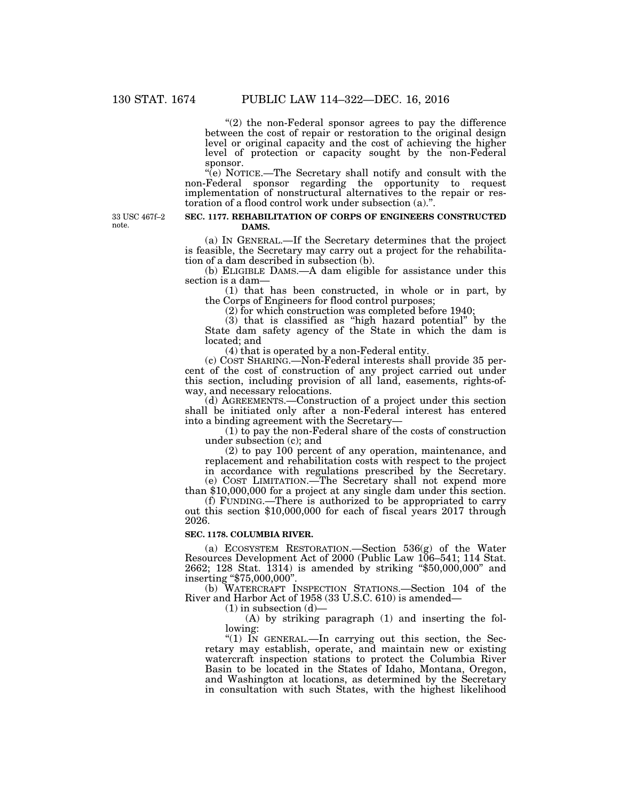" $(2)$  the non-Federal sponsor agrees to pay the difference between the cost of repair or restoration to the original design level or original capacity and the cost of achieving the higher level of protection or capacity sought by the non-Federal sponsor.

''(e) NOTICE.—The Secretary shall notify and consult with the non-Federal sponsor regarding the opportunity to request implementation of nonstructural alternatives to the repair or restoration of a flood control work under subsection (a).''.

33 USC 467f–2 note.

### **SEC. 1177. REHABILITATION OF CORPS OF ENGINEERS CONSTRUCTED DAMS.**

(a) IN GENERAL.—If the Secretary determines that the project is feasible, the Secretary may carry out a project for the rehabilitation of a dam described in subsection (b).

(b) ELIGIBLE DAMS.—A dam eligible for assistance under this section is a dam—

(1) that has been constructed, in whole or in part, by the Corps of Engineers for flood control purposes;

(2) for which construction was completed before 1940;

(3) that is classified as ''high hazard potential'' by the State dam safety agency of the State in which the dam is located; and

(4) that is operated by a non-Federal entity.

(c) COST SHARING.—Non-Federal interests shall provide 35 percent of the cost of construction of any project carried out under this section, including provision of all land, easements, rights-ofway, and necessary relocations.

(d) AGREEMENTS.—Construction of a project under this section shall be initiated only after a non-Federal interest has entered into a binding agreement with the Secretary—

(1) to pay the non-Federal share of the costs of construction under subsection (c); and

(2) to pay 100 percent of any operation, maintenance, and replacement and rehabilitation costs with respect to the project

in accordance with regulations prescribed by the Secretary.

than \$10,000,000 for a project at any single dam under this section.<br>(f) FUNDING.—There is authorized to be appropriated to carry

out this section  $$10,000,000$  for each of fiscal years 2017 through 2026.

## **SEC. 1178. COLUMBIA RIVER.**

(a) ECOSYSTEM RESTORATION.—Section 536(g) of the Water Resources Development Act of 2000 (Public Law 106–541; 114 Stat. 2662; 128 Stat. 1314) is amended by striking ''\$50,000,000'' and inserting ''\$75,000,000''.

(b) WATERCRAFT INSPECTION STATIONS.—Section 104 of the River and Harbor Act of 1958 (33 U.S.C. 610) is amended—

 $(1)$  in subsection  $(d)$ —

(A) by striking paragraph (1) and inserting the following:

" $(1)$  IN GENERAL.—In carrying out this section, the Secretary may establish, operate, and maintain new or existing watercraft inspection stations to protect the Columbia River Basin to be located in the States of Idaho, Montana, Oregon, and Washington at locations, as determined by the Secretary in consultation with such States, with the highest likelihood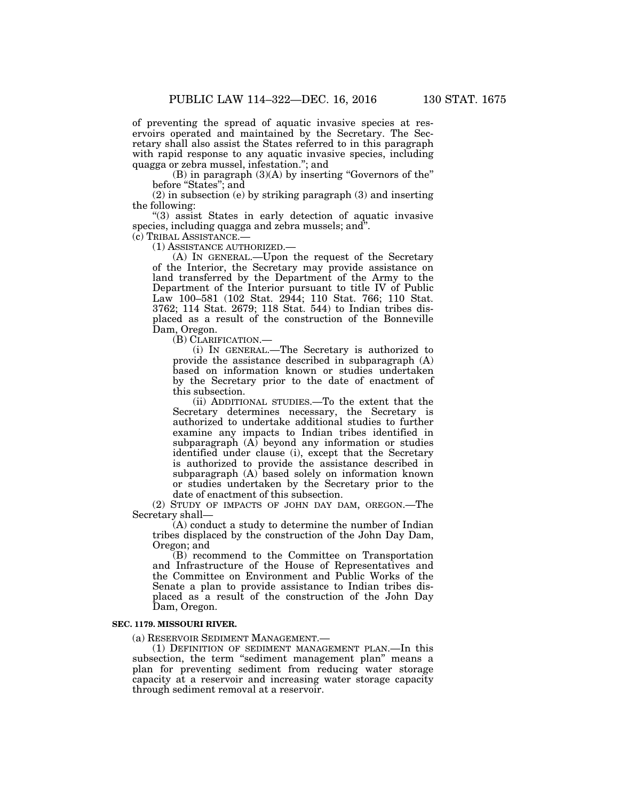of preventing the spread of aquatic invasive species at reservoirs operated and maintained by the Secretary. The Secretary shall also assist the States referred to in this paragraph with rapid response to any aquatic invasive species, including quagga or zebra mussel, infestation.''; and

 $(B)$  in paragraph  $(3)(A)$  by inserting "Governors of the" before "States"; and

(2) in subsection (e) by striking paragraph (3) and inserting the following:

''(3) assist States in early detection of aquatic invasive species, including quagga and zebra mussels; and''.

(c) TRIBAL ASSISTANCE.—

(1) ASSISTANCE AUTHORIZED.—

(A) IN GENERAL.—Upon the request of the Secretary of the Interior, the Secretary may provide assistance on land transferred by the Department of the Army to the Department of the Interior pursuant to title IV of Public Law 100–581 (102 Stat. 2944; 110 Stat. 766; 110 Stat. 3762; 114 Stat. 2679; 118 Stat. 544) to Indian tribes displaced as a result of the construction of the Bonneville Dam, Oregon.

(B) CLARIFICATION.—

(i) IN GENERAL.—The Secretary is authorized to provide the assistance described in subparagraph (A) based on information known or studies undertaken by the Secretary prior to the date of enactment of this subsection.

(ii) ADDITIONAL STUDIES.—To the extent that the Secretary determines necessary, the Secretary is authorized to undertake additional studies to further examine any impacts to Indian tribes identified in subparagraph  $(A)$  beyond any information or studies identified under clause (i), except that the Secretary is authorized to provide the assistance described in subparagraph (A) based solely on information known or studies undertaken by the Secretary prior to the date of enactment of this subsection.

(2) STUDY OF IMPACTS OF JOHN DAY DAM, OREGON.—The Secretary shall—

(A) conduct a study to determine the number of Indian tribes displaced by the construction of the John Day Dam, Oregon; and

(B) recommend to the Committee on Transportation and Infrastructure of the House of Representatives and the Committee on Environment and Public Works of the Senate a plan to provide assistance to Indian tribes displaced as a result of the construction of the John Day Dam, Oregon.

#### **SEC. 1179. MISSOURI RIVER.**

(a) RESERVOIR SEDIMENT MANAGEMENT.—

(1) DEFINITION OF SEDIMENT MANAGEMENT PLAN.—In this subsection, the term "sediment management plan" means a plan for preventing sediment from reducing water storage capacity at a reservoir and increasing water storage capacity through sediment removal at a reservoir.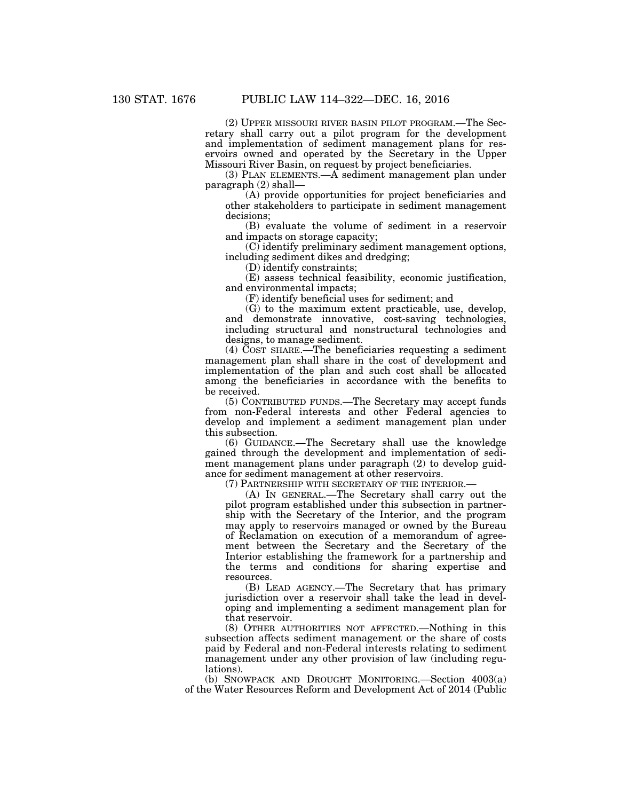(2) UPPER MISSOURI RIVER BASIN PILOT PROGRAM.—The Secretary shall carry out a pilot program for the development and implementation of sediment management plans for reservoirs owned and operated by the Secretary in the Upper Missouri River Basin, on request by project beneficiaries.

(3) PLAN ELEMENTS.—A sediment management plan under paragraph (2) shall—

(A) provide opportunities for project beneficiaries and other stakeholders to participate in sediment management decisions;

(B) evaluate the volume of sediment in a reservoir and impacts on storage capacity;

(C) identify preliminary sediment management options, including sediment dikes and dredging;

(D) identify constraints;

(E) assess technical feasibility, economic justification, and environmental impacts;

(F) identify beneficial uses for sediment; and

(G) to the maximum extent practicable, use, develop, and demonstrate innovative, cost-saving technologies, including structural and nonstructural technologies and designs, to manage sediment.

(4) COST SHARE.—The beneficiaries requesting a sediment management plan shall share in the cost of development and implementation of the plan and such cost shall be allocated among the beneficiaries in accordance with the benefits to be received.

(5) CONTRIBUTED FUNDS.—The Secretary may accept funds from non-Federal interests and other Federal agencies to develop and implement a sediment management plan under this subsection.

(6) GUIDANCE.—The Secretary shall use the knowledge gained through the development and implementation of sediment management plans under paragraph (2) to develop guidance for sediment management at other reservoirs.

(7) PARTNERSHIP WITH SECRETARY OF THE INTERIOR.—

(A) IN GENERAL.—The Secretary shall carry out the pilot program established under this subsection in partnership with the Secretary of the Interior, and the program may apply to reservoirs managed or owned by the Bureau of Reclamation on execution of a memorandum of agreement between the Secretary and the Secretary of the Interior establishing the framework for a partnership and the terms and conditions for sharing expertise and resources.

(B) LEAD AGENCY.—The Secretary that has primary jurisdiction over a reservoir shall take the lead in developing and implementing a sediment management plan for that reservoir.

(8) OTHER AUTHORITIES NOT AFFECTED.—Nothing in this subsection affects sediment management or the share of costs paid by Federal and non-Federal interests relating to sediment management under any other provision of law (including regulations).

(b) SNOWPACK AND DROUGHT MONITORING.—Section 4003(a) of the Water Resources Reform and Development Act of 2014 (Public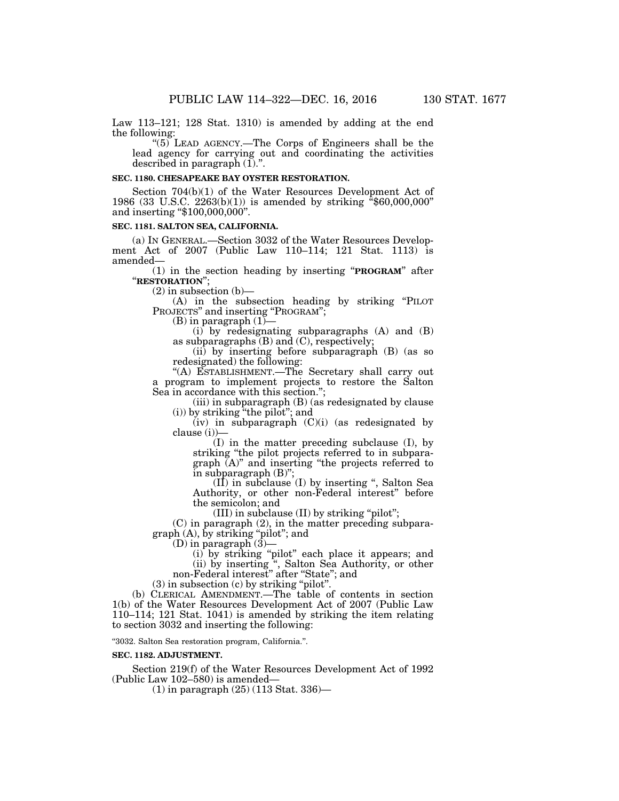Law 113–121; 128 Stat. 1310) is amended by adding at the end the following:

 $^{(6)}$ LEAD AGENCY.—The Corps of Engineers shall be the lead agency for carrying out and coordinating the activities described in paragraph  $(\tilde{1})$ .".

#### **SEC. 1180. CHESAPEAKE BAY OYSTER RESTORATION.**

Section 704(b)(1) of the Water Resources Development Act of 1986 (33 U.S.C. 2263(b)(1)) is amended by striking "\$60,000,000" and inserting "\$100,000,000".

## **SEC. 1181. SALTON SEA, CALIFORNIA.**

(a) IN GENERAL.—Section 3032 of the Water Resources Development Act of 2007 (Public Law 110–114; 121 Stat. 1113) is amended—

(1) in the section heading by inserting "**PROGRAM**" after "**RESTORATION**";

(2) in subsection (b)—

(A) in the subsection heading by striking ''PILOT PROJECTS" and inserting "PROGRAM";

(B) in paragraph  $(1)$ –

(i) by redesignating subparagraphs (A) and (B) as subparagraphs (B) and (C), respectively;

(ii) by inserting before subparagraph (B) (as so redesignated) the following:

''(A) ESTABLISHMENT.—The Secretary shall carry out a program to implement projects to restore the Salton Sea in accordance with this section.'';

(iii) in subparagraph (B) (as redesignated by clause (i)) by striking ''the pilot''; and

 $(iv)$  in subparagraph  $(C)(i)$  (as redesignated by clause (i))—

(I) in the matter preceding subclause (I), by striking "the pilot projects referred to in subparagraph (A)'' and inserting ''the projects referred to in subparagraph (B)'';

 $(I$ I) in subclause  $(I)$  by inserting ", Salton Sea Authority, or other non-Federal interest'' before the semicolon; and

(III) in subclause (II) by striking "pilot";

(C) in paragraph (2), in the matter preceding subparagraph (A), by striking ''pilot''; and

(D) in paragraph  $(3)$ —

(i) by striking ''pilot'' each place it appears; and (ii) by inserting '', Salton Sea Authority, or other non-Federal interest'' after ''State''; and

(3) in subsection (c) by striking "pilot". (b) CLERICAL AMENDMENT.—The table of contents in section 1(b) of the Water Resources Development Act of 2007 (Public Law 110–114; 121 Stat. 1041) is amended by striking the item relating

to section 3032 and inserting the following:

''3032. Salton Sea restoration program, California.''.

## **SEC. 1182. ADJUSTMENT.**

Section 219(f) of the Water Resources Development Act of 1992 (Public Law 102–580) is amended—

(1) in paragraph (25) (113 Stat. 336)—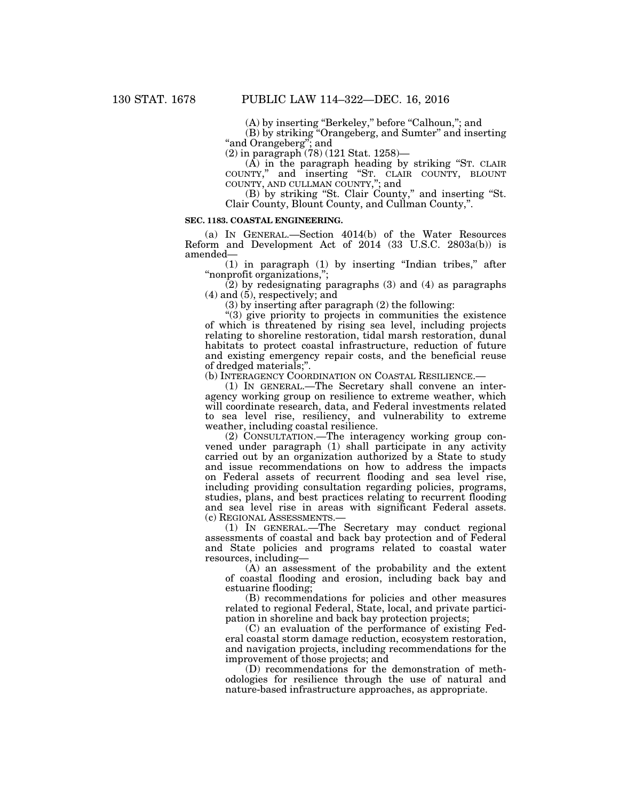(A) by inserting "Berkeley," before "Calhoun,"; and

(B) by striking ''Orangeberg, and Sumter'' and inserting ''and Orangeberg''; and

(2) in paragraph (78) (121 Stat. 1258)—

(A) in the paragraph heading by striking ''ST. CLAIR COUNTY,'' and inserting ''ST. CLAIR COUNTY, BLOUNT COUNTY, AND CULLMAN COUNTY,''; and

(B) by striking ''St. Clair County,'' and inserting ''St. Clair County, Blount County, and Cullman County,''.

## **SEC. 1183. COASTAL ENGINEERING.**

(a) IN GENERAL.—Section 4014(b) of the Water Resources Reform and Development Act of 2014 (33 U.S.C. 2803a(b)) is amended—

(1) in paragraph (1) by inserting ''Indian tribes,'' after ''nonprofit organizations,'';

 $(2)$  by redesignating paragraphs  $(3)$  and  $(4)$  as paragraphs (4) and (5), respectively; and

(3) by inserting after paragraph (2) the following:

''(3) give priority to projects in communities the existence of which is threatened by rising sea level, including projects relating to shoreline restoration, tidal marsh restoration, dunal habitats to protect coastal infrastructure, reduction of future and existing emergency repair costs, and the beneficial reuse of dredged materials;''.

(b) INTERAGENCY COORDINATION ON COASTAL RESILIENCE.—

(1) IN GENERAL.—The Secretary shall convene an interagency working group on resilience to extreme weather, which will coordinate research, data, and Federal investments related to sea level rise, resiliency, and vulnerability to extreme weather, including coastal resilience.

(2) CONSULTATION.—The interagency working group convened under paragraph (1) shall participate in any activity carried out by an organization authorized by a State to study and issue recommendations on how to address the impacts on Federal assets of recurrent flooding and sea level rise, including providing consultation regarding policies, programs, studies, plans, and best practices relating to recurrent flooding and sea level rise in areas with significant Federal assets. (c) REGIONAL ASSESSMENTS.—

(1) IN GENERAL.—The Secretary may conduct regional assessments of coastal and back bay protection and of Federal and State policies and programs related to coastal water resources, including—

(A) an assessment of the probability and the extent of coastal flooding and erosion, including back bay and estuarine flooding;

(B) recommendations for policies and other measures related to regional Federal, State, local, and private participation in shoreline and back bay protection projects;

(C) an evaluation of the performance of existing Federal coastal storm damage reduction, ecosystem restoration, and navigation projects, including recommendations for the improvement of those projects; and

(D) recommendations for the demonstration of methodologies for resilience through the use of natural and nature-based infrastructure approaches, as appropriate.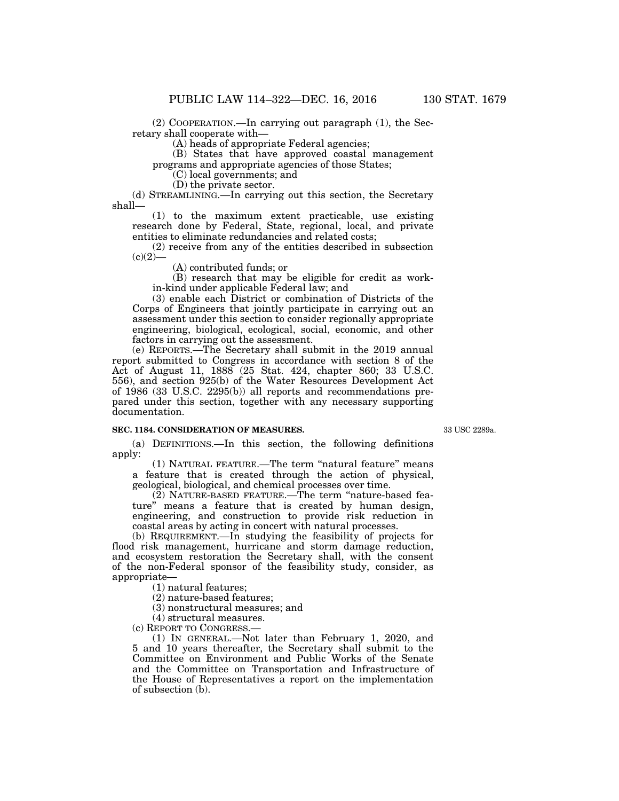(2) COOPERATION.—In carrying out paragraph (1), the Secretary shall cooperate with—

(A) heads of appropriate Federal agencies;

(B) States that have approved coastal management

programs and appropriate agencies of those States;

(C) local governments; and

(D) the private sector.

(d) STREAMLINING.—In carrying out this section, the Secretary shall—

(1) to the maximum extent practicable, use existing research done by Federal, State, regional, local, and private entities to eliminate redundancies and related costs;

(2) receive from any of the entities described in subsection  $(c)(2)$ —

(A) contributed funds; or

(B) research that may be eligible for credit as workin-kind under applicable Federal law; and

(3) enable each District or combination of Districts of the Corps of Engineers that jointly participate in carrying out an assessment under this section to consider regionally appropriate engineering, biological, ecological, social, economic, and other factors in carrying out the assessment.

(e) REPORTS.—The Secretary shall submit in the 2019 annual report submitted to Congress in accordance with section 8 of the Act of August 11, 1888 (25 Stat. 424, chapter 860; 33 U.S.C. 556), and section 925(b) of the Water Resources Development Act of 1986 (33 U.S.C. 2295(b)) all reports and recommendations prepared under this section, together with any necessary supporting documentation.

## **SEC. 1184. CONSIDERATION OF MEASURES.**

33 USC 2289a.

(a) DEFINITIONS.—In this section, the following definitions apply:

(1) NATURAL FEATURE.—The term ''natural feature'' means a feature that is created through the action of physical, geological, biological, and chemical processes over time.

(2) NATURE-BASED FEATURE.—The term ''nature-based feature'' means a feature that is created by human design, engineering, and construction to provide risk reduction in coastal areas by acting in concert with natural processes.

(b) REQUIREMENT.—In studying the feasibility of projects for flood risk management, hurricane and storm damage reduction, and ecosystem restoration the Secretary shall, with the consent of the non-Federal sponsor of the feasibility study, consider, as appropriate—

(1) natural features;

(2) nature-based features;

(3) nonstructural measures; and

(4) structural measures.

(c) REPORT TO CONGRESS.—

(1) IN GENERAL.—Not later than February 1, 2020, and 5 and 10 years thereafter, the Secretary shall submit to the Committee on Environment and Public Works of the Senate and the Committee on Transportation and Infrastructure of the House of Representatives a report on the implementation of subsection (b).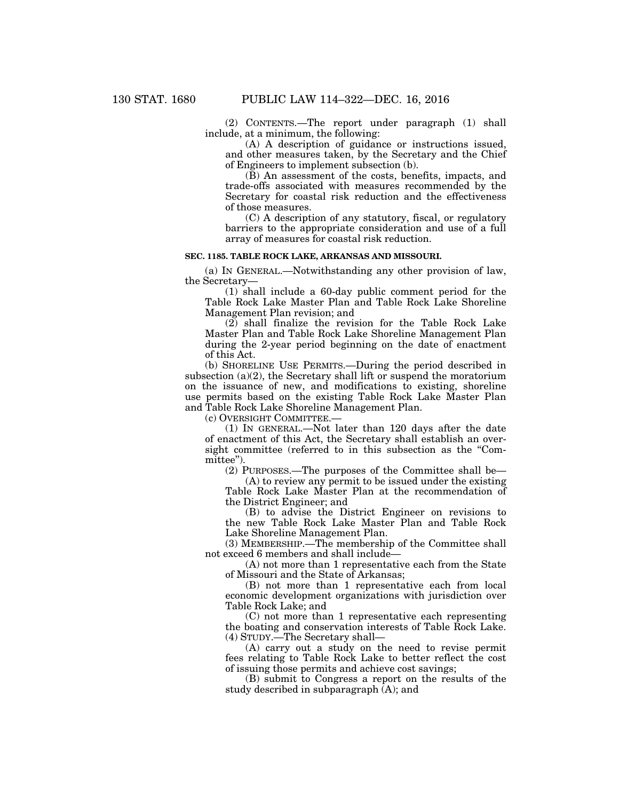(2) CONTENTS.—The report under paragraph (1) shall include, at a minimum, the following:

(A) A description of guidance or instructions issued, and other measures taken, by the Secretary and the Chief of Engineers to implement subsection (b).

(B) An assessment of the costs, benefits, impacts, and trade-offs associated with measures recommended by the Secretary for coastal risk reduction and the effectiveness of those measures.

(C) A description of any statutory, fiscal, or regulatory barriers to the appropriate consideration and use of a full array of measures for coastal risk reduction.

## **SEC. 1185. TABLE ROCK LAKE, ARKANSAS AND MISSOURI.**

(a) IN GENERAL.—Notwithstanding any other provision of law, the Secretary—

(1) shall include a 60-day public comment period for the Table Rock Lake Master Plan and Table Rock Lake Shoreline Management Plan revision; and

(2) shall finalize the revision for the Table Rock Lake Master Plan and Table Rock Lake Shoreline Management Plan during the 2-year period beginning on the date of enactment of this Act.

(b) SHORELINE USE PERMITS.—During the period described in subsection  $(a)(2)$ , the Secretary shall lift or suspend the moratorium on the issuance of new, and modifications to existing, shoreline use permits based on the existing Table Rock Lake Master Plan and Table Rock Lake Shoreline Management Plan.

(c) OVERSIGHT COMMITTEE.—

(1) IN GENERAL.—Not later than 120 days after the date of enactment of this Act, the Secretary shall establish an oversight committee (referred to in this subsection as the ''Committee").

(2) PURPOSES.—The purposes of the Committee shall be—

(A) to review any permit to be issued under the existing Table Rock Lake Master Plan at the recommendation of the District Engineer; and

(B) to advise the District Engineer on revisions to the new Table Rock Lake Master Plan and Table Rock Lake Shoreline Management Plan.

(3) MEMBERSHIP.—The membership of the Committee shall not exceed 6 members and shall include—

(A) not more than 1 representative each from the State of Missouri and the State of Arkansas;

(B) not more than 1 representative each from local economic development organizations with jurisdiction over Table Rock Lake; and

(C) not more than 1 representative each representing the boating and conservation interests of Table Rock Lake. (4) STUDY.—The Secretary shall—

(A) carry out a study on the need to revise permit fees relating to Table Rock Lake to better reflect the cost of issuing those permits and achieve cost savings;

(B) submit to Congress a report on the results of the study described in subparagraph  $(A)$ ; and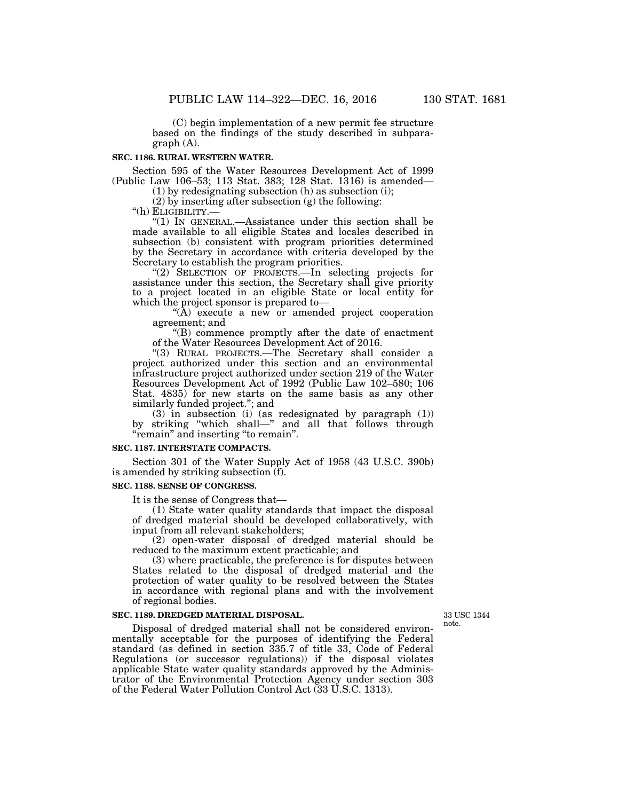(C) begin implementation of a new permit fee structure based on the findings of the study described in subparagraph (A).

## **SEC. 1186. RURAL WESTERN WATER.**

Section 595 of the Water Resources Development Act of 1999 (Public Law 106–53; 113 Stat. 383; 128 Stat. 1316) is amended—

(1) by redesignating subsection (h) as subsection (i);

(2) by inserting after subsection (g) the following: "(h) ELIGIBILITY.—

"(1) IN GENERAL.—Assistance under this section shall be made available to all eligible States and locales described in subsection (b) consistent with program priorities determined by the Secretary in accordance with criteria developed by the Secretary to establish the program priorities.

"(2) SELECTION OF PROJECTS.—In selecting projects for assistance under this section, the Secretary shall give priority to a project located in an eligible State or local entity for which the project sponsor is prepared to—

 $(A)$  execute a new or amended project cooperation agreement; and

''(B) commence promptly after the date of enactment of the Water Resources Development Act of 2016.

''(3) RURAL PROJECTS.—The Secretary shall consider a project authorized under this section and an environmental infrastructure project authorized under section 219 of the Water Resources Development Act of 1992 (Public Law 102–580; 106 Stat. 4835) for new starts on the same basis as any other similarly funded project.''; and

(3) in subsection (i) (as redesignated by paragraph (1)) by striking ''which shall—'' and all that follows through "remain" and inserting "to remain".

## **SEC. 1187. INTERSTATE COMPACTS.**

Section 301 of the Water Supply Act of 1958 (43 U.S.C. 390b) is amended by striking subsection (f).

#### **SEC. 1188. SENSE OF CONGRESS.**

It is the sense of Congress that—

(1) State water quality standards that impact the disposal of dredged material should be developed collaboratively, with input from all relevant stakeholders;

(2) open-water disposal of dredged material should be reduced to the maximum extent practicable; and

(3) where practicable, the preference is for disputes between States related to the disposal of dredged material and the protection of water quality to be resolved between the States in accordance with regional plans and with the involvement of regional bodies.

### **SEC. 1189. DREDGED MATERIAL DISPOSAL.**

33 USC 1344 note.

Disposal of dredged material shall not be considered environmentally acceptable for the purposes of identifying the Federal standard (as defined in section 335.7 of title 33, Code of Federal Regulations (or successor regulations)) if the disposal violates applicable State water quality standards approved by the Administrator of the Environmental Protection Agency under section 303 of the Federal Water Pollution Control Act (33 U.S.C. 1313).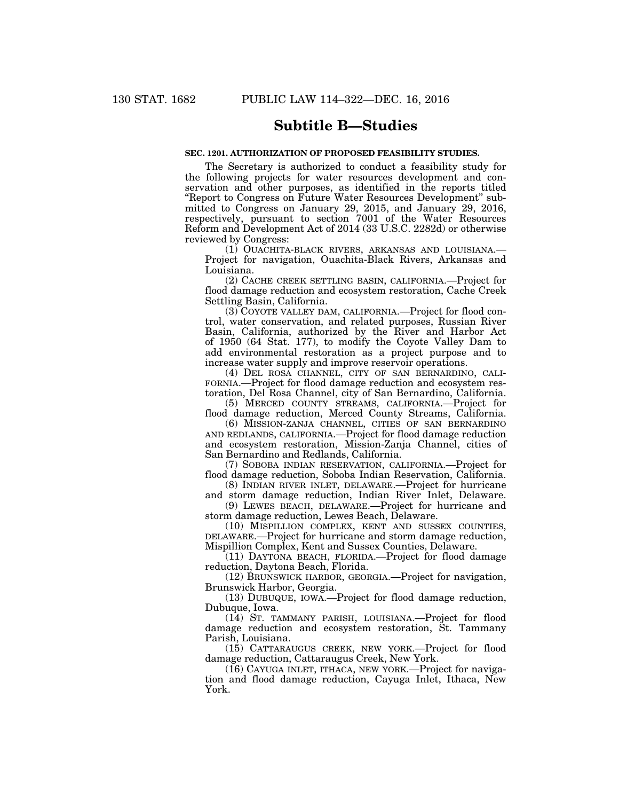# **Subtitle B—Studies**

## **SEC. 1201. AUTHORIZATION OF PROPOSED FEASIBILITY STUDIES.**

The Secretary is authorized to conduct a feasibility study for the following projects for water resources development and conservation and other purposes, as identified in the reports titled "Report to Congress on Future Water Resources Development" submitted to Congress on January 29, 2015, and January 29, 2016, respectively, pursuant to section 7001 of the Water Resources Reform and Development Act of 2014 (33 U.S.C. 2282d) or otherwise reviewed by Congress:

(1) OUACHITA-BLACK RIVERS, ARKANSAS AND LOUISIANA.— Project for navigation, Ouachita-Black Rivers, Arkansas and Louisiana.

(2) CACHE CREEK SETTLING BASIN, CALIFORNIA.—Project for flood damage reduction and ecosystem restoration, Cache Creek Settling Basin, California.

(3) COYOTE VALLEY DAM, CALIFORNIA.—Project for flood control, water conservation, and related purposes, Russian River Basin, California, authorized by the River and Harbor Act of 1950 (64 Stat. 177), to modify the Coyote Valley Dam to add environmental restoration as a project purpose and to increase water supply and improve reservoir operations.

(4) DEL ROSA CHANNEL, CITY OF SAN BERNARDINO, CALI-FORNIA.—Project for flood damage reduction and ecosystem restoration, Del Rosa Channel, city of San Bernardino, California.

(5) MERCED COUNTY STREAMS, CALIFORNIA.—Project for flood damage reduction, Merced County Streams, California.

(6) MISSION-ZANJA CHANNEL, CITIES OF SAN BERNARDINO AND REDLANDS, CALIFORNIA.—Project for flood damage reduction and ecosystem restoration, Mission-Zanja Channel, cities of San Bernardino and Redlands, California.

(7) SOBOBA INDIAN RESERVATION, CALIFORNIA.—Project for flood damage reduction, Soboba Indian Reservation, California.

(8) INDIAN RIVER INLET, DELAWARE.—Project for hurricane and storm damage reduction, Indian River Inlet, Delaware. (9) LEWES BEACH, DELAWARE.—Project for hurricane and

storm damage reduction, Lewes Beach, Delaware.

(10) MISPILLION COMPLEX, KENT AND SUSSEX COUNTIES, DELAWARE.—Project for hurricane and storm damage reduction, Mispillion Complex, Kent and Sussex Counties, Delaware.

(11) DAYTONA BEACH, FLORIDA.—Project for flood damage reduction, Daytona Beach, Florida.

(12) BRUNSWICK HARBOR, GEORGIA.—Project for navigation, Brunswick Harbor, Georgia.

(13) DUBUQUE, IOWA.—Project for flood damage reduction, Dubuque, Iowa.

(14) ST. TAMMANY PARISH, LOUISIANA.—Project for flood damage reduction and ecosystem restoration, St. Tammany Parish, Louisiana.

(15) CATTARAUGUS CREEK, NEW YORK.—Project for flood damage reduction, Cattaraugus Creek, New York.

(16) CAYUGA INLET, ITHACA, NEW YORK.—Project for navigation and flood damage reduction, Cayuga Inlet, Ithaca, New York.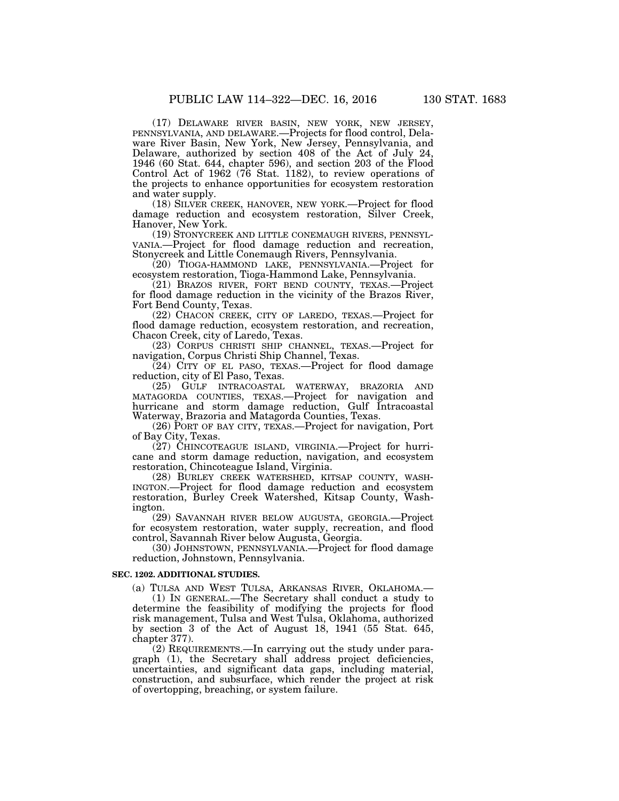(17) DELAWARE RIVER BASIN, NEW YORK, NEW JERSEY, PENNSYLVANIA, AND DELAWARE.—Projects for flood control, Delaware River Basin, New York, New Jersey, Pennsylvania, and Delaware, authorized by section 408 of the Act of July 24, 1946 (60 Stat. 644, chapter 596), and section 203 of the Flood Control Act of 1962 (76 Stat. 1182), to review operations of the projects to enhance opportunities for ecosystem restoration and water supply.

(18) SILVER CREEK, HANOVER, NEW YORK.—Project for flood damage reduction and ecosystem restoration, Silver Creek, Hanover, New York.<br>(19) STONYCREEK AND LITTLE CONEMAUGH RIVERS, PENNSYL-

VANIA.-Project for flood damage reduction and recreation, Stonycreek and Little Conemaugh Rivers, Pennsylvania.

(20) TIOGA-HAMMOND LAKE, PENNSYLVANIA.—Project for ecosystem restoration, Tioga-Hammond Lake, Pennsylvania.

(21) BRAZOS RIVER, FORT BEND COUNTY, TEXAS.—Project for flood damage reduction in the vicinity of the Brazos River, Fort Bend County, Texas.

(22) CHACON CREEK, CITY OF LAREDO, TEXAS.—Project for flood damage reduction, ecosystem restoration, and recreation, Chacon Creek, city of Laredo, Texas.

(23) CORPUS CHRISTI SHIP CHANNEL, TEXAS.—Project for navigation, Corpus Christi Ship Channel, Texas.

(24) CITY OF EL PASO, TEXAS.—Project for flood damage reduction, city of El Paso, Texas.

(25) GULF INTRACOASTAL WATERWAY, BRAZORIA AND MATAGORDA COUNTIES, TEXAS.—Project for navigation and hurricane and storm damage reduction, Gulf Intracoastal Waterway, Brazoria and Matagorda Counties, Texas.

(26) PORT OF BAY CITY, TEXAS.—Project for navigation, Port of Bay City, Texas.

(27) CHINCOTEAGUE ISLAND, VIRGINIA.—Project for hurricane and storm damage reduction, navigation, and ecosystem restoration, Chincoteague Island, Virginia.

(28) BURLEY CREEK WATERSHED, KITSAP COUNTY, WASH-INGTON.—Project for flood damage reduction and ecosystem restoration, Burley Creek Watershed, Kitsap County, Washington.

(29) SAVANNAH RIVER BELOW AUGUSTA, GEORGIA.—Project for ecosystem restoration, water supply, recreation, and flood control, Savannah River below Augusta, Georgia.

(30) JOHNSTOWN, PENNSYLVANIA.—Project for flood damage reduction, Johnstown, Pennsylvania.

#### **SEC. 1202. ADDITIONAL STUDIES.**

(a) TULSA AND WEST TULSA, ARKANSAS RIVER, OKLAHOMA.—

(1) IN GENERAL.—The Secretary shall conduct a study to determine the feasibility of modifying the projects for flood risk management, Tulsa and West Tulsa, Oklahoma, authorized by section 3 of the Act of August 18, 1941 (55 Stat. 645, chapter 377).

(2) REQUIREMENTS.—In carrying out the study under paragraph (1), the Secretary shall address project deficiencies, uncertainties, and significant data gaps, including material, construction, and subsurface, which render the project at risk of overtopping, breaching, or system failure.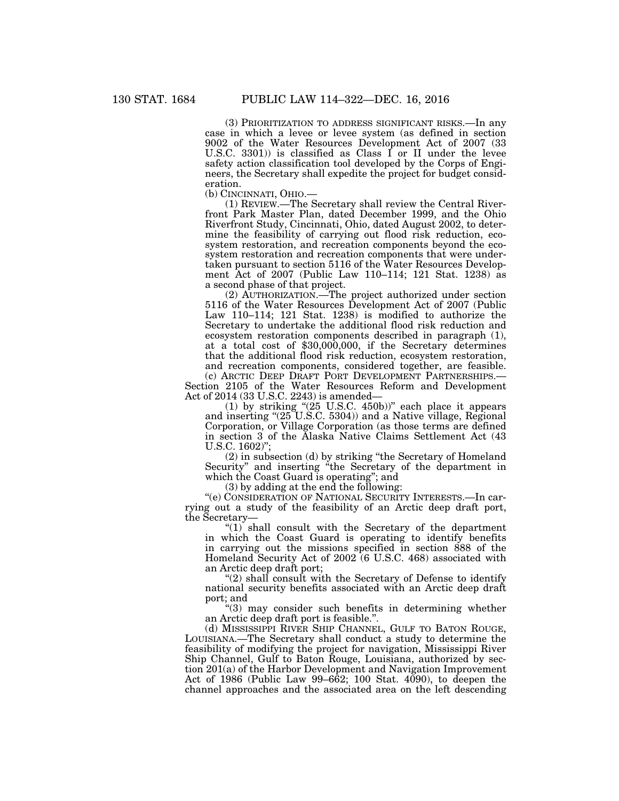(3) PRIORITIZATION TO ADDRESS SIGNIFICANT RISKS.—In any case in which a levee or levee system (as defined in section 9002 of the Water Resources Development Act of 2007 (33 U.S.C. 3301)) is classified as Class  $\overline{I}$  or II under the levee safety action classification tool developed by the Corps of Engineers, the Secretary shall expedite the project for budget consideration.

(b) CINCINNATI, OHIO.—<br>(1) REVIEW.—The Secretary shall review the Central Riverfront Park Master Plan, dated December 1999, and the Ohio Riverfront Study, Cincinnati, Ohio, dated August 2002, to determine the feasibility of carrying out flood risk reduction, ecosystem restoration, and recreation components beyond the ecosystem restoration and recreation components that were undertaken pursuant to section 5116 of the Water Resources Development Act of 2007 (Public Law 110–114; 121 Stat. 1238) as a second phase of that project.

(2) AUTHORIZATION.—The project authorized under section 5116 of the Water Resources Development Act of 2007 (Public Law 110–114; 121 Stat. 1238) is modified to authorize the Secretary to undertake the additional flood risk reduction and ecosystem restoration components described in paragraph (1), at a total cost of \$30,000,000, if the Secretary determines that the additional flood risk reduction, ecosystem restoration, and recreation components, considered together, are feasible.

(c) ARCTIC DEEP DRAFT PORT DEVELOPMENT PARTNERSHIPS.— Section 2105 of the Water Resources Reform and Development Act of 2014 (33 U.S.C. 2243) is amended—

(1) by striking " $(25 \text{ U.S.C. } 450 \text{ b}))$ " each place it appears and inserting "(25 U.S.C. 5304)) and a Native village, Regional Corporation, or Village Corporation (as those terms are defined in section 3 of the Alaska Native Claims Settlement Act (43 U.S.C. 1602)'';

(2) in subsection (d) by striking ''the Secretary of Homeland Security" and inserting "the Secretary of the department in which the Coast Guard is operating''; and

(3) by adding at the end the following:

''(e) CONSIDERATION OF NATIONAL SECURITY INTERESTS.—In carrying out a study of the feasibility of an Arctic deep draft port, the Secretary—

" $(1)$  shall consult with the Secretary of the department in which the Coast Guard is operating to identify benefits in carrying out the missions specified in section 888 of the Homeland Security Act of 2002 (6 U.S.C. 468) associated with an Arctic deep draft port;

"(2) shall consult with the Secretary of Defense to identify national security benefits associated with an Arctic deep draft port; and

''(3) may consider such benefits in determining whether an Arctic deep draft port is feasible.".<br>(d) MISSISSIPPI RIVER SHIP CHANNEL, GULF TO BATON ROUGE,

LOUISIANA.—The Secretary shall conduct a study to determine the feasibility of modifying the project for navigation, Mississippi River Ship Channel, Gulf to Baton Rouge, Louisiana, authorized by section 201(a) of the Harbor Development and Navigation Improvement Act of 1986 (Public Law 99–662; 100 Stat. 4090), to deepen the channel approaches and the associated area on the left descending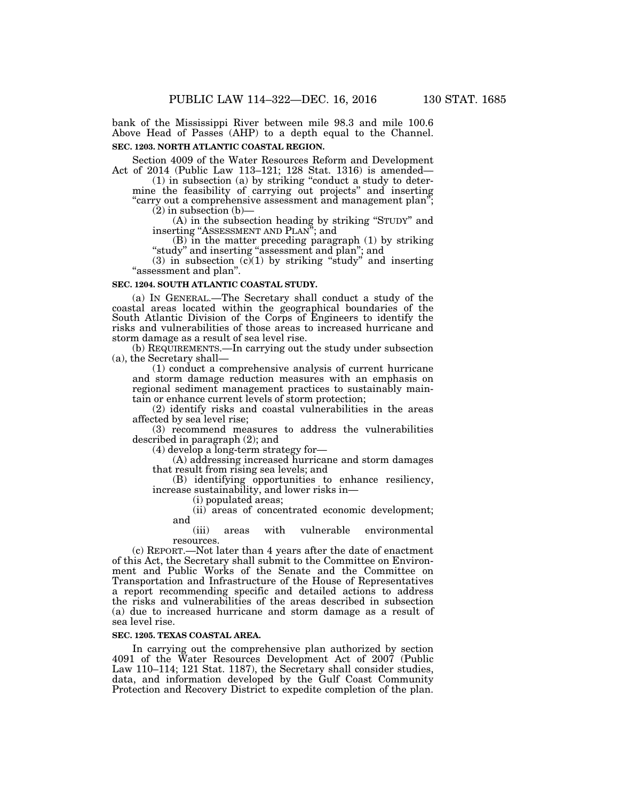bank of the Mississippi River between mile 98.3 and mile 100.6 Above Head of Passes (AHP) to a depth equal to the Channel. **SEC. 1203. NORTH ATLANTIC COASTAL REGION.** 

Section 4009 of the Water Resources Reform and Development Act of 2014 (Public Law 113–121; 128 Stat. 1316) is amended—

(1) in subsection (a) by striking ''conduct a study to determine the feasibility of carrying out projects'' and inserting "carry out a comprehensive assessment and management plan";

 $(2)$  in subsection  $(b)$ —

(A) in the subsection heading by striking ''STUDY'' and inserting "ASSESSMENT AND PLAN"; and

(B) in the matter preceding paragraph (1) by striking ''study'' and inserting ''assessment and plan''; and

(3) in subsection  $(c)(1)$  by striking "study" and inserting ''assessment and plan''.

#### **SEC. 1204. SOUTH ATLANTIC COASTAL STUDY.**

(a) IN GENERAL.—The Secretary shall conduct a study of the coastal areas located within the geographical boundaries of the South Atlantic Division of the Corps of Engineers to identify the risks and vulnerabilities of those areas to increased hurricane and storm damage as a result of sea level rise.

(b) REQUIREMENTS.—In carrying out the study under subsection (a), the Secretary shall—

(1) conduct a comprehensive analysis of current hurricane and storm damage reduction measures with an emphasis on regional sediment management practices to sustainably maintain or enhance current levels of storm protection;

(2) identify risks and coastal vulnerabilities in the areas affected by sea level rise;

(3) recommend measures to address the vulnerabilities described in paragraph (2); and

(4) develop a long-term strategy for—

(A) addressing increased hurricane and storm damages that result from rising sea levels; and

(B) identifying opportunities to enhance resiliency, increase sustainability, and lower risks in—

(i) populated areas;

(ii) areas of concentrated economic development; and

(iii) areas with vulnerable environmental resources.

(c) REPORT.—Not later than 4 years after the date of enactment of this Act, the Secretary shall submit to the Committee on Environment and Public Works of the Senate and the Committee on Transportation and Infrastructure of the House of Representatives a report recommending specific and detailed actions to address the risks and vulnerabilities of the areas described in subsection (a) due to increased hurricane and storm damage as a result of sea level rise.

## **SEC. 1205. TEXAS COASTAL AREA.**

In carrying out the comprehensive plan authorized by section 4091 of the Water Resources Development Act of 2007 (Public Law 110–114; 121 Stat. 1187), the Secretary shall consider studies, data, and information developed by the Gulf Coast Community Protection and Recovery District to expedite completion of the plan.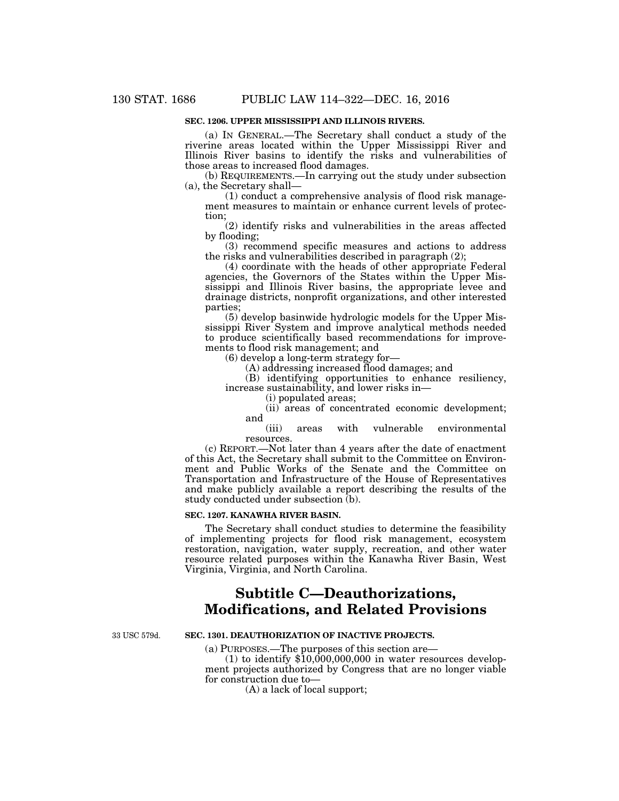## **SEC. 1206. UPPER MISSISSIPPI AND ILLINOIS RIVERS.**

(a) IN GENERAL.—The Secretary shall conduct a study of the riverine areas located within the Upper Mississippi River and Illinois River basins to identify the risks and vulnerabilities of those areas to increased flood damages.

(b) REQUIREMENTS.—In carrying out the study under subsection (a), the Secretary shall—

(1) conduct a comprehensive analysis of flood risk management measures to maintain or enhance current levels of protection;

(2) identify risks and vulnerabilities in the areas affected by flooding;

(3) recommend specific measures and actions to address the risks and vulnerabilities described in paragraph (2);

(4) coordinate with the heads of other appropriate Federal agencies, the Governors of the States within the Upper Mississippi and Illinois River basins, the appropriate levee and drainage districts, nonprofit organizations, and other interested parties;

(5) develop basinwide hydrologic models for the Upper Mississippi River System and improve analytical methods needed to produce scientifically based recommendations for improvements to flood risk management; and

(6) develop a long-term strategy for—

(A) addressing increased flood damages; and

(B) identifying opportunities to enhance resiliency, increase sustainability, and lower risks in—

(i) populated areas;

(ii) areas of concentrated economic development; and

(iii) areas with vulnerable environmental resources.

(c) REPORT.—Not later than 4 years after the date of enactment of this Act, the Secretary shall submit to the Committee on Environment and Public Works of the Senate and the Committee on Transportation and Infrastructure of the House of Representatives and make publicly available a report describing the results of the study conducted under subsection (b).

#### **SEC. 1207. KANAWHA RIVER BASIN.**

The Secretary shall conduct studies to determine the feasibility of implementing projects for flood risk management, ecosystem restoration, navigation, water supply, recreation, and other water resource related purposes within the Kanawha River Basin, West Virginia, Virginia, and North Carolina.

# **Subtitle C—Deauthorizations, Modifications, and Related Provisions**

33 USC 579d.

## **SEC. 1301. DEAUTHORIZATION OF INACTIVE PROJECTS.**

(a) PURPOSES.—The purposes of this section are—

 $(1)$  to identify  $$10,000,000,000$  in water resources development projects authorized by Congress that are no longer viable for construction due to—

(A) a lack of local support;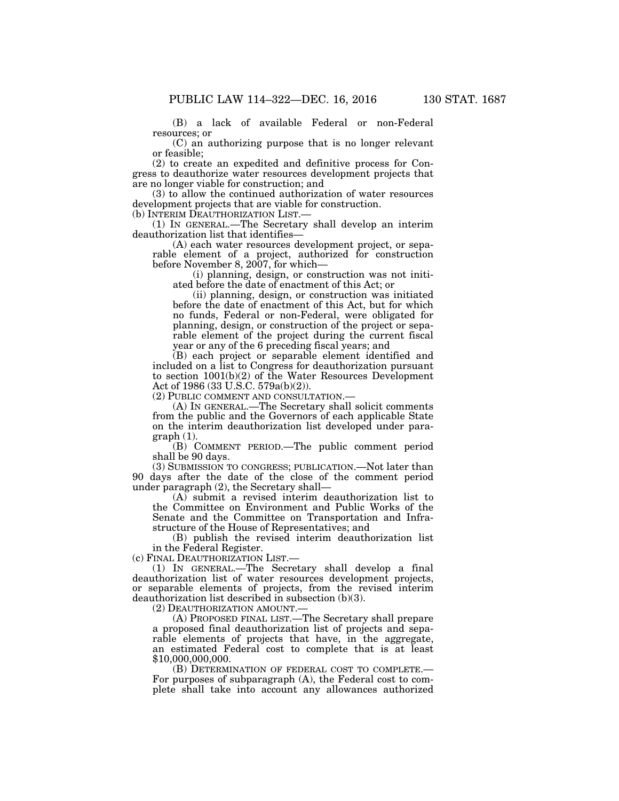(B) a lack of available Federal or non-Federal resources; or

(C) an authorizing purpose that is no longer relevant or feasible;

(2) to create an expedited and definitive process for Congress to deauthorize water resources development projects that are no longer viable for construction; and

(3) to allow the continued authorization of water resources development projects that are viable for construction.<br>(b) INTERIM DEAUTHORIZATION LIST.—

 $(1)$  In GENERAL.—The Secretary shall develop an interim deauthorization list that identifies—

(A) each water resources development project, or separable element of a project, authorized for construction before November 8, 2007, for which—

(i) planning, design, or construction was not initiated before the date of enactment of this Act; or

(ii) planning, design, or construction was initiated before the date of enactment of this Act, but for which no funds, Federal or non-Federal, were obligated for planning, design, or construction of the project or separable element of the project during the current fiscal year or any of the 6 preceding fiscal years; and

(B) each project or separable element identified and included on a list to Congress for deauthorization pursuant to section 1001(b)(2) of the Water Resources Development Act of 1986 (33 U.S.C. 579a(b)(2)).

(2) PUBLIC COMMENT AND CONSULTATION.—

(A) IN GENERAL.—The Secretary shall solicit comments from the public and the Governors of each applicable State on the interim deauthorization list developed under paragraph (1).

(B) COMMENT PERIOD.—The public comment period shall be 90 days.

(3) SUBMISSION TO CONGRESS; PUBLICATION.—Not later than 90 days after the date of the close of the comment period under paragraph (2), the Secretary shall—

(A) submit a revised interim deauthorization list to the Committee on Environment and Public Works of the Senate and the Committee on Transportation and Infrastructure of the House of Representatives; and

(B) publish the revised interim deauthorization list in the Federal Register.

(c) FINAL DEAUTHORIZATION LIST.—

(1) IN GENERAL.—The Secretary shall develop a final deauthorization list of water resources development projects, or separable elements of projects, from the revised interim deauthorization list described in subsection (b)(3).

(2) DEAUTHORIZATION AMOUNT.—

(A) PROPOSED FINAL LIST.—The Secretary shall prepare a proposed final deauthorization list of projects and separable elements of projects that have, in the aggregate, an estimated Federal cost to complete that is at least \$10,000,000,000.

(B) DETERMINATION OF FEDERAL COST TO COMPLETE.— For purposes of subparagraph (A), the Federal cost to complete shall take into account any allowances authorized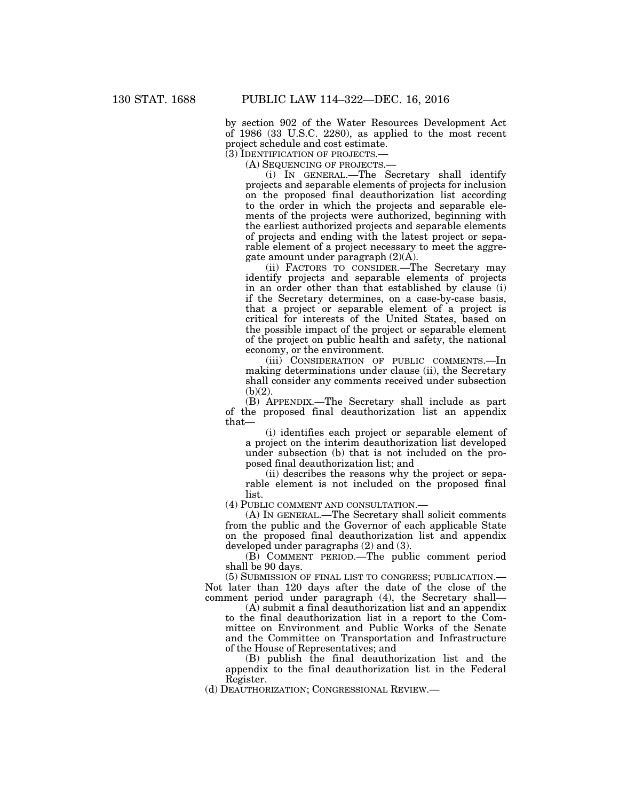by section 902 of the Water Resources Development Act of 1986 (33 U.S.C. 2280), as applied to the most recent project schedule and cost estimate.

(3) IDENTIFICATION OF PROJECTS.—

(A) SEQUENCING OF PROJECTS.—

(i) IN GENERAL.—The Secretary shall identify projects and separable elements of projects for inclusion on the proposed final deauthorization list according to the order in which the projects and separable elements of the projects were authorized, beginning with the earliest authorized projects and separable elements of projects and ending with the latest project or separable element of a project necessary to meet the aggregate amount under paragraph  $(2)(\overrightarrow{A})$ .

(ii) FACTORS TO CONSIDER.—The Secretary may identify projects and separable elements of projects in an order other than that established by clause (i) if the Secretary determines, on a case-by-case basis, that a project or separable element of a project is critical for interests of the United States, based on the possible impact of the project or separable element of the project on public health and safety, the national economy, or the environment.

(iii) CONSIDERATION OF PUBLIC COMMENTS.—In making determinations under clause (ii), the Secretary shall consider any comments received under subsection  $(b)(2)$ .

(B) APPENDIX.—The Secretary shall include as part of the proposed final deauthorization list an appendix that—

(i) identifies each project or separable element of a project on the interim deauthorization list developed under subsection (b) that is not included on the proposed final deauthorization list; and

(ii) describes the reasons why the project or separable element is not included on the proposed final list.

(4) PUBLIC COMMENT AND CONSULTATION.—

(A) IN GENERAL.—The Secretary shall solicit comments from the public and the Governor of each applicable State on the proposed final deauthorization list and appendix developed under paragraphs (2) and (3).

(B) COMMENT PERIOD.—The public comment period shall be 90 days.

(5) SUBMISSION OF FINAL LIST TO CONGRESS; PUBLICATION.— Not later than 120 days after the date of the close of the comment period under paragraph (4), the Secretary shall—

(A) submit a final deauthorization list and an appendix to the final deauthorization list in a report to the Committee on Environment and Public Works of the Senate and the Committee on Transportation and Infrastructure of the House of Representatives; and

(B) publish the final deauthorization list and the appendix to the final deauthorization list in the Federal Register.

(d) DEAUTHORIZATION; CONGRESSIONAL REVIEW.—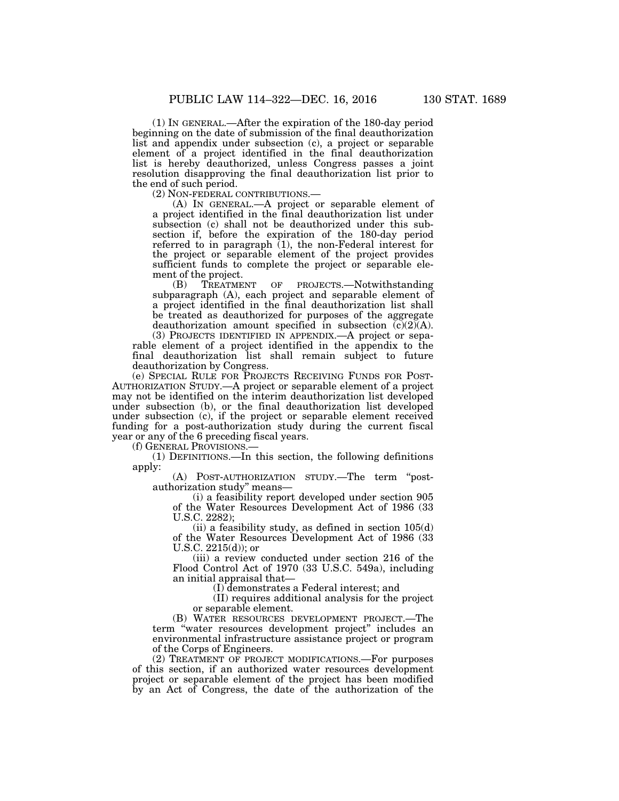(1) IN GENERAL.—After the expiration of the 180-day period beginning on the date of submission of the final deauthorization list and appendix under subsection (c), a project or separable element of a project identified in the final deauthorization list is hereby deauthorized, unless Congress passes a joint resolution disapproving the final deauthorization list prior to the end of such period.<br>(2) NON-FEDERAL CONTRIBUTIONS.—

 $(A)$  In GENERAL.—A project or separable element of a project identified in the final deauthorization list under subsection (c) shall not be deauthorized under this subsection if, before the expiration of the 180-day period referred to in paragraph (1), the non-Federal interest for the project or separable element of the project provides sufficient funds to complete the project or separable ele-

ment of the project.<br>(B) TREATMENT (B) TREATMENT OF PROJECTS.—Notwithstanding subparagraph (A), each project and separable element of a project identified in the final deauthorization list shall be treated as deauthorized for purposes of the aggregate deauthorization amount specified in subsection  $(c)(2)(A)$ .

(3) PROJECTS IDENTIFIED IN APPENDIX.—A project or separable element of a project identified in the appendix to the final deauthorization list shall remain subject to future deauthorization by Congress.

(e) SPECIAL RULE FOR PROJECTS RECEIVING FUNDS FOR POST-AUTHORIZATION STUDY.—A project or separable element of a project may not be identified on the interim deauthorization list developed under subsection (b), or the final deauthorization list developed under subsection (c), if the project or separable element received funding for a post-authorization study during the current fiscal year or any of the 6 preceding fiscal years.

(f) GENERAL PROVISIONS.—

(1) DEFINITIONS.—In this section, the following definitions apply:

(A) POST-AUTHORIZATION STUDY.—The term ''postauthorization study'' means—

(i) a feasibility report developed under section 905 of the Water Resources Development Act of 1986 (33 U.S.C. 2282);

(ii) a feasibility study, as defined in section  $105(d)$ of the Water Resources Development Act of 1986 (33 U.S.C. 2215(d)); or

(iii) a review conducted under section 216 of the Flood Control Act of 1970 (33 U.S.C. 549a), including an initial appraisal that—

(I) demonstrates a Federal interest; and

(II) requires additional analysis for the project or separable element.

(B) WATER RESOURCES DEVELOPMENT PROJECT.—The term ''water resources development project'' includes an environmental infrastructure assistance project or program of the Corps of Engineers.

(2) TREATMENT OF PROJECT MODIFICATIONS.—For purposes of this section, if an authorized water resources development project or separable element of the project has been modified by an Act of Congress, the date of the authorization of the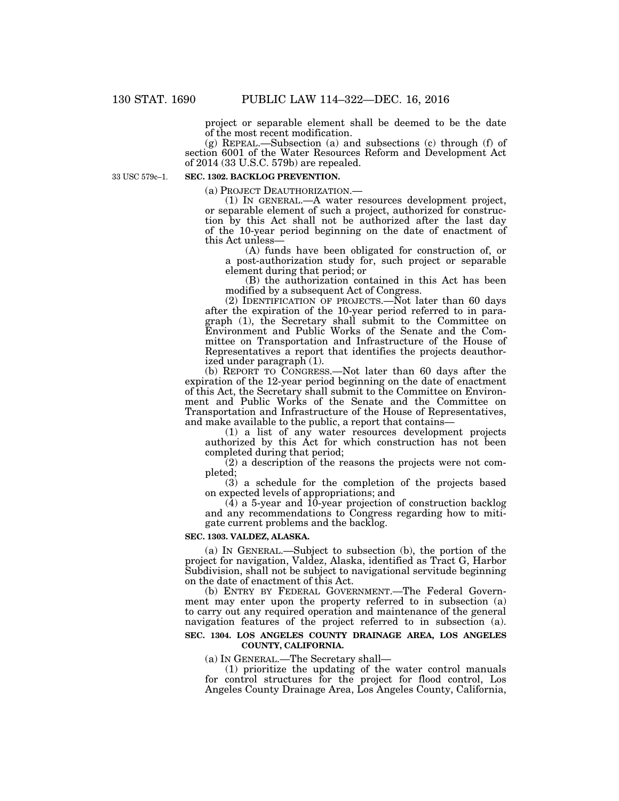project or separable element shall be deemed to be the date of the most recent modification.

(g) REPEAL.—Subsection (a) and subsections (c) through (f) of section 6001 of the Water Resources Reform and Development Act of 2014 (33 U.S.C. 579b) are repealed.

33 USC 579c–1.

## **SEC. 1302. BACKLOG PREVENTION.**

(a) PROJECT DEAUTHORIZATION.— (1) IN GENERAL.—A water resources development project, or separable element of such a project, authorized for construction by this Act shall not be authorized after the last day of the 10-year period beginning on the date of enactment of this Act unless—

(A) funds have been obligated for construction of, or a post-authorization study for, such project or separable element during that period; or

(B) the authorization contained in this Act has been modified by a subsequent Act of Congress.

(2) IDENTIFICATION OF PROJECTS.—Not later than 60 days after the expiration of the 10-year period referred to in paragraph (1), the Secretary shall submit to the Committee on Environment and Public Works of the Senate and the Committee on Transportation and Infrastructure of the House of Representatives a report that identifies the projects deauthorized under paragraph (1).

(b) REPORT TO CONGRESS.—Not later than 60 days after the expiration of the 12-year period beginning on the date of enactment of this Act, the Secretary shall submit to the Committee on Environment and Public Works of the Senate and the Committee on Transportation and Infrastructure of the House of Representatives, and make available to the public, a report that contains—

(1) a list of any water resources development projects authorized by this Act for which construction has not been completed during that period;

 $(2)$  a description of the reasons the projects were not completed;

(3) a schedule for the completion of the projects based on expected levels of appropriations; and

 $(4)$  a 5-year and  $10$ -year projection of construction backlog and any recommendations to Congress regarding how to mitigate current problems and the backlog.

#### **SEC. 1303. VALDEZ, ALASKA.**

(a) IN GENERAL.—Subject to subsection (b), the portion of the project for navigation, Valdez, Alaska, identified as Tract G, Harbor Subdivision, shall not be subject to navigational servitude beginning on the date of enactment of this Act.

(b) ENTRY BY FEDERAL GOVERNMENT.—The Federal Government may enter upon the property referred to in subsection (a) to carry out any required operation and maintenance of the general navigation features of the project referred to in subsection (a).

## **SEC. 1304. LOS ANGELES COUNTY DRAINAGE AREA, LOS ANGELES COUNTY, CALIFORNIA.**

(a) IN GENERAL.—The Secretary shall—

(1) prioritize the updating of the water control manuals for control structures for the project for flood control, Los Angeles County Drainage Area, Los Angeles County, California,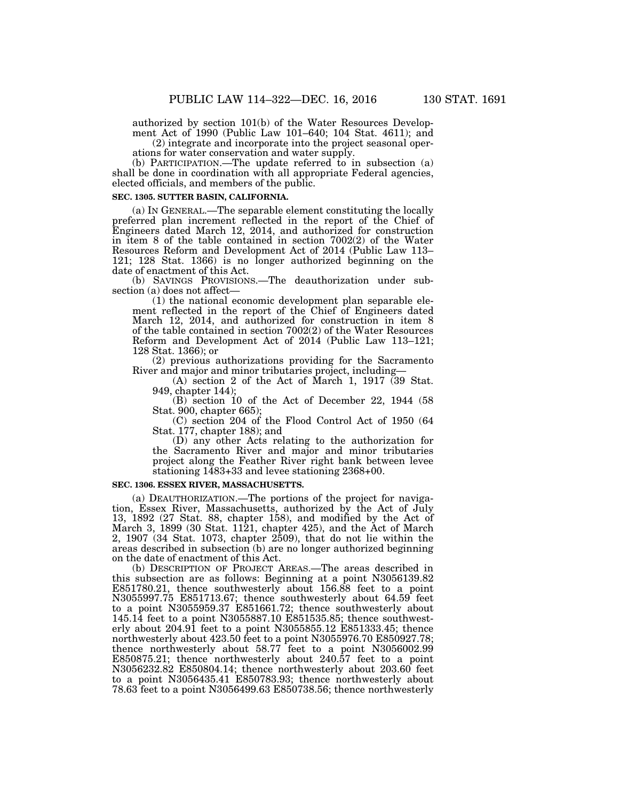(2) integrate and incorporate into the project seasonal operations for water conservation and water supply.

(b) PARTICIPATION.—The update referred to in subsection  $(a)$ shall be done in coordination with all appropriate Federal agencies, elected officials, and members of the public.

## **SEC. 1305. SUTTER BASIN, CALIFORNIA.**

(a) IN GENERAL.—The separable element constituting the locally preferred plan increment reflected in the report of the Chief of Engineers dated March 12, 2014, and authorized for construction in item 8 of the table contained in section 7002(2) of the Water Resources Reform and Development Act of 2014 (Public Law 113– 121; 128 Stat. 1366) is no longer authorized beginning on the date of enactment of this Act.

(b) SAVINGS PROVISIONS.—The deauthorization under subsection (a) does not affect—

(1) the national economic development plan separable element reflected in the report of the Chief of Engineers dated March 12, 2014, and authorized for construction in item 8 of the table contained in section 7002(2) of the Water Resources Reform and Development Act of 2014 (Public Law 113–121; 128 Stat. 1366); or

(2) previous authorizations providing for the Sacramento River and major and minor tributaries project, including—

(A) section 2 of the Act of March 1, 1917 (39 Stat. 949, chapter 144);

(B) section 10 of the Act of December 22, 1944 (58 Stat. 900, chapter 665);

(C) section 204 of the Flood Control Act of 1950 (64 Stat. 177, chapter 188); and

(D) any other Acts relating to the authorization for the Sacramento River and major and minor tributaries project along the Feather River right bank between levee stationing 1483+33 and levee stationing 2368+00.

## **SEC. 1306. ESSEX RIVER, MASSACHUSETTS.**

(a) DEAUTHORIZATION.—The portions of the project for navigation, Essex River, Massachusetts, authorized by the Act of July 13, 1892 (27 Stat. 88, chapter 158), and modified by the Act of March 3, 1899 (30 Stat. 1121, chapter 425), and the Act of March 2, 1907 (34 Stat. 1073, chapter 2509), that do not lie within the areas described in subsection (b) are no longer authorized beginning on the date of enactment of this Act.

(b) DESCRIPTION OF PROJECT AREAS.—The areas described in this subsection are as follows: Beginning at a point N3056139.82 E851780.21, thence southwesterly about 156.88 feet to a point N3055997.75 E851713.67; thence southwesterly about 64.59 feet to a point N3055959.37 E851661.72; thence southwesterly about 145.14 feet to a point N3055887.10 E851535.85; thence southwesterly about 204.91 feet to a point N3055855.12 E851333.45; thence northwesterly about 423.50 feet to a point N3055976.70 E850927.78; thence northwesterly about 58.77 feet to a point N3056002.99 E850875.21; thence northwesterly about 240.57 feet to a point N3056232.82 E850804.14; thence northwesterly about 203.60 feet to a point N3056435.41 E850783.93; thence northwesterly about 78.63 feet to a point N3056499.63 E850738.56; thence northwesterly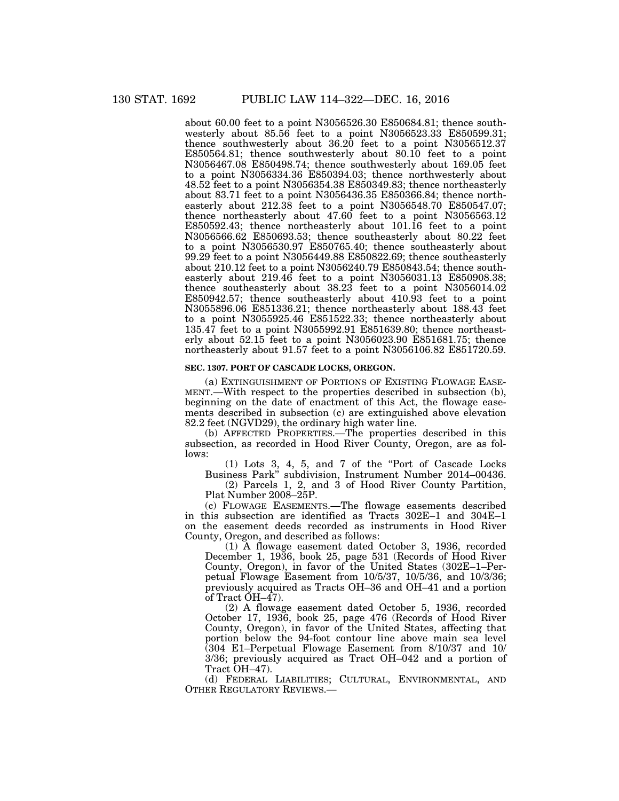about 60.00 feet to a point N3056526.30 E850684.81; thence southwesterly about 85.56 feet to a point N3056523.33 E850599.31; thence southwesterly about 36.20 feet to a point N3056512.37 E850564.81; thence southwesterly about  $80.\overline{10}$  feet to a point N3056467.08 E850498.74; thence southwesterly about 169.05 feet to a point N3056334.36 E850394.03; thence northwesterly about 48.52 feet to a point N3056354.38 E850349.83; thence northeasterly about 83.71 feet to a point N3056436.35 E850366.84; thence northeasterly about 212.38 feet to a point N3056548.70 E850547.07; thence northeasterly about 47.60 feet to a point N3056563.12 E850592.43; thence northeasterly about 101.16 feet to a point N3056566.62 E850693.53; thence southeasterly about 80.22 feet to a point N3056530.97 E850765.40; thence southeasterly about 99.29 feet to a point N3056449.88 E850822.69; thence southeasterly about 210.12 feet to a point N3056240.79 E850843.54; thence southeasterly about 219.46 feet to a point N3056031.13 E850908.38; thence southeasterly about 38.23 feet to a point N3056014.02 E850942.57; thence southeasterly about 410.93 feet to a point N3055896.06 E851336.21; thence northeasterly about 188.43 feet to a point N3055925.46 E851522.33; thence northeasterly about 135.47 feet to a point N3055992.91 E851639.80; thence northeasterly about 52.15 feet to a point N3056023.90 E851681.75; thence northeasterly about 91.57 feet to a point N3056106.82 E851720.59.

#### **SEC. 1307. PORT OF CASCADE LOCKS, OREGON.**

(a) EXTINGUISHMENT OF PORTIONS OF EXISTING FLOWAGE EASE-MENT.—With respect to the properties described in subsection (b), beginning on the date of enactment of this Act, the flowage easements described in subsection (c) are extinguished above elevation 82.2 feet (NGVD29), the ordinary high water line.

(b) AFFECTED PROPERTIES.—The properties described in this subsection, as recorded in Hood River County, Oregon, are as follows:

(1) Lots 3, 4, 5, and 7 of the ''Port of Cascade Locks Business Park'' subdivision, Instrument Number 2014–00436.

(2) Parcels 1, 2, and 3 of Hood River County Partition, Plat Number 2008–25P.

(c) FLOWAGE EASEMENTS.—The flowage easements described in this subsection are identified as Tracts 302E–1 and 304E–1 on the easement deeds recorded as instruments in Hood River County, Oregon, and described as follows:

(1) A flowage easement dated October 3, 1936, recorded December 1, 1936, book 25, page 531 (Records of Hood River County, Oregon), in favor of the United States (302E–1–Perpetual Flowage Easement from 10/5/37, 10/5/36, and 10/3/36; previously acquired as Tracts OH–36 and OH–41 and a portion of Tract OH–47).

(2) A flowage easement dated October 5, 1936, recorded October 17, 1936, book 25, page 476 (Records of Hood River County, Oregon), in favor of the United States, affecting that portion below the 94-foot contour line above main sea level (304 E1–Perpetual Flowage Easement from 8/10/37 and 10/ 3/36; previously acquired as Tract OH–042 and a portion of Tract OH–47).

(d) FEDERAL LIABILITIES; CULTURAL, ENVIRONMENTAL, AND OTHER REGULATORY REVIEWS.—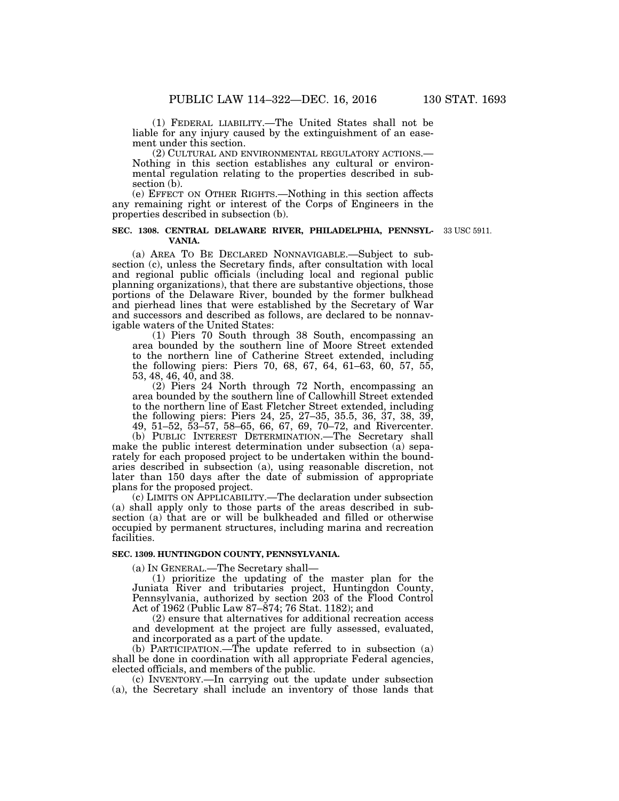(1) FEDERAL LIABILITY.—The United States shall not be liable for any injury caused by the extinguishment of an easement under this section.

(2) CULTURAL AND ENVIRONMENTAL REGULATORY ACTIONS.— Nothing in this section establishes any cultural or environmental regulation relating to the properties described in subsection (b).

(e) EFFECT ON OTHER RIGHTS.—Nothing in this section affects any remaining right or interest of the Corps of Engineers in the properties described in subsection (b).

#### **SEC. 1308. CENTRAL DELAWARE RIVER, PHILADELPHIA, PENNSYL-**33 USC 5911. **VANIA.**

(a) AREA TO BE DECLARED NONNAVIGABLE.—Subject to subsection (c), unless the Secretary finds, after consultation with local and regional public officials (including local and regional public planning organizations), that there are substantive objections, those portions of the Delaware River, bounded by the former bulkhead and pierhead lines that were established by the Secretary of War and successors and described as follows, are declared to be nonnavigable waters of the United States:

(1) Piers 70 South through 38 South, encompassing an area bounded by the southern line of Moore Street extended to the northern line of Catherine Street extended, including the following piers: Piers 70, 68, 67, 64, 61–63, 60, 57, 55, 53, 48, 46, 40, and 38.

(2) Piers 24 North through 72 North, encompassing an area bounded by the southern line of Callowhill Street extended to the northern line of East Fletcher Street extended, including the following piers: Piers 24, 25, 27–35, 35.5, 36, 37, 38, 39, 49, 51–52, 53–57, 58–65, 66, 67, 69, 70–72, and Rivercenter.

(b) PUBLIC INTEREST DETERMINATION.—The Secretary shall make the public interest determination under subsection (a) separately for each proposed project to be undertaken within the boundaries described in subsection (a), using reasonable discretion, not later than 150 days after the date of submission of appropriate plans for the proposed project.

(c) LIMITS ON APPLICABILITY.—The declaration under subsection (a) shall apply only to those parts of the areas described in subsection (a) that are or will be bulkheaded and filled or otherwise occupied by permanent structures, including marina and recreation facilities.

#### **SEC. 1309. HUNTINGDON COUNTY, PENNSYLVANIA.**

(a) IN GENERAL.—The Secretary shall—

(1) prioritize the updating of the master plan for the Juniata River and tributaries project, Huntingdon County, Pennsylvania, authorized by section 203 of the Flood Control Act of 1962 (Public Law 87–874; 76 Stat. 1182); and

(2) ensure that alternatives for additional recreation access and development at the project are fully assessed, evaluated, and incorporated as a part of the update.

(b) PARTICIPATION.—The update referred to in subsection (a) shall be done in coordination with all appropriate Federal agencies, elected officials, and members of the public.

(c) INVENTORY.—In carrying out the update under subsection (a), the Secretary shall include an inventory of those lands that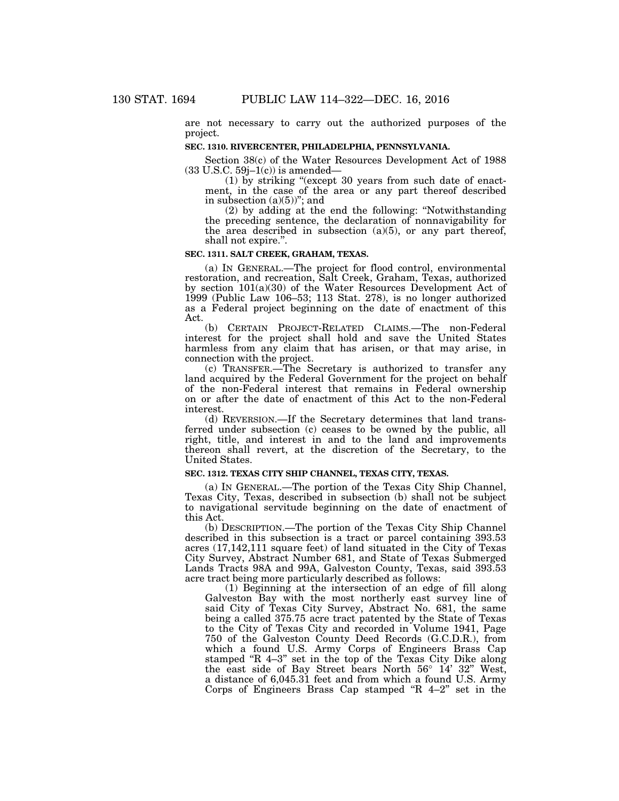are not necessary to carry out the authorized purposes of the project.

#### **SEC. 1310. RIVERCENTER, PHILADELPHIA, PENNSYLVANIA.**

Section 38(c) of the Water Resources Development Act of 1988  $(33 \text{ U.S.C. } 59j-1(c))$  is amended-

(1) by striking ''(except 30 years from such date of enactment, in the case of the area or any part thereof described in subsection  $(a)(5)$ "; and

(2) by adding at the end the following: ''Notwithstanding the preceding sentence, the declaration of nonnavigability for the area described in subsection  $(a)(5)$ , or any part thereof, shall not expire.''.

## **SEC. 1311. SALT CREEK, GRAHAM, TEXAS.**

(a) IN GENERAL.—The project for flood control, environmental restoration, and recreation, Salt Creek, Graham, Texas, authorized by section 101(a)(30) of the Water Resources Development Act of 1999 (Public Law 106–53; 113 Stat. 278), is no longer authorized as a Federal project beginning on the date of enactment of this Act.  $(b)$ 

(b) CERTAIN PROJECT-RELATED CLAIMS.—The non-Federal interest for the project shall hold and save the United States harmless from any claim that has arisen, or that may arise, in connection with the project.

(c) TRANSFER.—The Secretary is authorized to transfer any land acquired by the Federal Government for the project on behalf of the non-Federal interest that remains in Federal ownership on or after the date of enactment of this Act to the non-Federal interest.

(d) REVERSION.—If the Secretary determines that land transferred under subsection (c) ceases to be owned by the public, all right, title, and interest in and to the land and improvements thereon shall revert, at the discretion of the Secretary, to the United States.

## **SEC. 1312. TEXAS CITY SHIP CHANNEL, TEXAS CITY, TEXAS.**

(a) IN GENERAL.—The portion of the Texas City Ship Channel, Texas City, Texas, described in subsection (b) shall not be subject to navigational servitude beginning on the date of enactment of this Act.

(b) DESCRIPTION.—The portion of the Texas City Ship Channel described in this subsection is a tract or parcel containing 393.53 acres (17,142,111 square feet) of land situated in the City of Texas City Survey, Abstract Number 681, and State of Texas Submerged Lands Tracts 98A and 99A, Galveston County, Texas, said 393.53 acre tract being more particularly described as follows:

(1) Beginning at the intersection of an edge of fill along Galveston Bay with the most northerly east survey line of said City of Texas City Survey, Abstract No. 681, the same being a called 375.75 acre tract patented by the State of Texas to the City of Texas City and recorded in Volume 1941, Page 750 of the Galveston County Deed Records (G.C.D.R.), from which a found U.S. Army Corps of Engineers Brass Cap stamped ''R 4–3'' set in the top of the Texas City Dike along the east side of Bay Street bears North 56° 14' 32'' West, a distance of 6,045.31 feet and from which a found U.S. Army Corps of Engineers Brass Cap stamped ''R 4–2'' set in the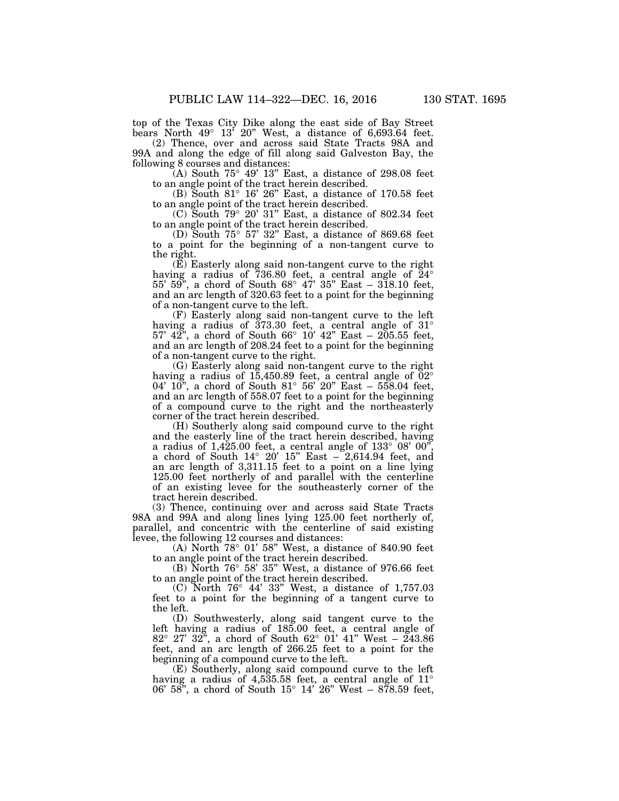top of the Texas City Dike along the east side of Bay Street bears North 49° 13' 20'' West, a distance of 6,693.64 feet.

(2) Thence, over and across said State Tracts 98A and 99A and along the edge of fill along said Galveston Bay, the following 8 courses and distances:

 $(A)$  South 75° 49' 13" East, a distance of 298.08 feet to an angle point of the tract herein described.

(B) South  $81^\circ$  16'  $26$ " East, a distance of 170.58 feet to an angle point of the tract herein described.

(C) South 79° 20' 31'' East, a distance of 802.34 feet to an angle point of the tract herein described.

(D) South 75° 57' 32'' East, a distance of 869.68 feet to a point for the beginning of a non-tangent curve to the right.

 $(E)$  Easterly along said non-tangent curve to the right having a radius of 736.80 feet, a central angle of 24° 55' 59'', a chord of South 68° 47' 35'' East – 318.10 feet, and an arc length of 320.63 feet to a point for the beginning of a non-tangent curve to the left.

(F) Easterly along said non-tangent curve to the left having a radius of 373.30 feet, a central angle of 31°  $57'$   $42''$ , a chord of South  $66^{\circ}$   $10'$   $42''$  East –  $205.55$  feet, and an arc length of 208.24 feet to a point for the beginning of a non-tangent curve to the right.

(G) Easterly along said non-tangent curve to the right having a radius of 15,450.89 feet, a central angle of 02<sup>o</sup> 04'  $10$ ", a chord of South  $81^{\circ}$  56'  $20^{\circ}$  East – 558.04 feet, and an arc length of 558.07 feet to a point for the beginning of a compound curve to the right and the northeasterly corner of the tract herein described.

(H) Southerly along said compound curve to the right and the easterly line of the tract herein described, having a radius of  $1,425.00$  feet, a central angle of  $133^\circ$  08' 00" a chord of South  $14^{\circ}$  20' 15" East  $-2,614.94$  feet, and an arc length of 3,311.15 feet to a point on a line lying 125.00 feet northerly of and parallel with the centerline of an existing levee for the southeasterly corner of the tract herein described.

(3) Thence, continuing over and across said State Tracts 98A and 99A and along lines lying 125.00 feet northerly of, parallel, and concentric with the centerline of said existing levee, the following 12 courses and distances:

(A) North 78° 01' 58'' West, a distance of 840.90 feet to an angle point of the tract herein described.

(B) North  $76^{\circ}$  58' 35" West, a distance of 976.66 feet to an angle point of the tract herein described.

(C) North 76° 44' 33'' West, a distance of 1,757.03 feet to a point for the beginning of a tangent curve to the left.

(D) Southwesterly, along said tangent curve to the left having a radius of 185.00 feet, a central angle of 82° 27' 32'', a chord of South 62° 01' 41'' West – 243.86 feet, and an arc length of 266.25 feet to a point for the beginning of a compound curve to the left.

(E) Southerly, along said compound curve to the left having a radius of 4,535.58 feet, a central angle of 11° 06' 58'', a chord of South 15° 14' 26'' West – 878.59 feet,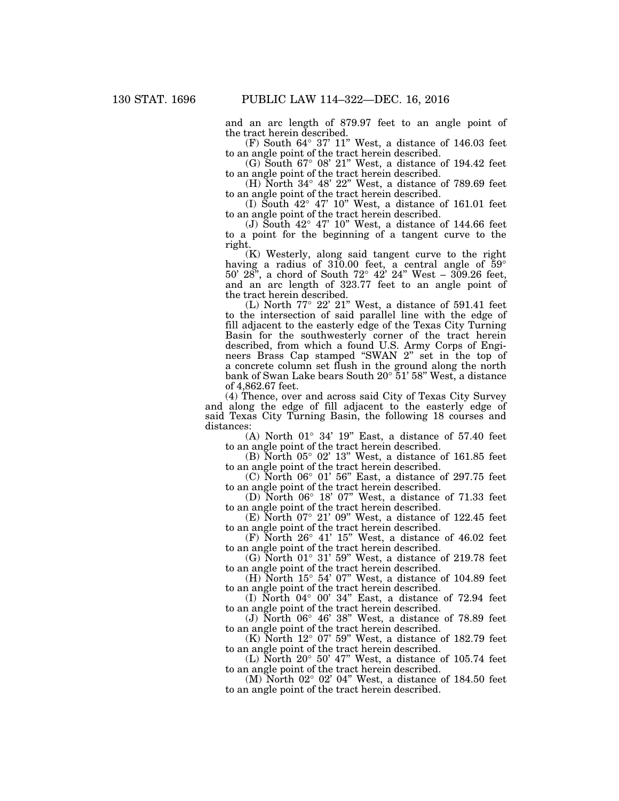and an arc length of 879.97 feet to an angle point of the tract herein described.

 $(F)$  South  $64^{\circ}$  37' 11" West, a distance of 146.03 feet to an angle point of the tract herein described.

(G) South  $67^{\circ}$  08' 21" West, a distance of 194.42 feet to an angle point of the tract herein described.

(H) North 34° 48' 22'' West, a distance of 789.69 feet to an angle point of the tract herein described.

(I) South  $42^{\circ}$  47' 10" West, a distance of 161.01 feet to an angle point of the tract herein described.

(J) South 42° 47' 10'' West, a distance of 144.66 feet to a point for the beginning of a tangent curve to the right.

(K) Westerly, along said tangent curve to the right having a radius of 310.00 feet, a central angle of  $59^{\circ}$ 50' 28'', a chord of South 72° 42' 24'' West – 309.26 feet, and an arc length of 323.77 feet to an angle point of the tract herein described.

(L) North 77° 22' 21'' West, a distance of 591.41 feet to the intersection of said parallel line with the edge of fill adjacent to the easterly edge of the Texas City Turning Basin for the southwesterly corner of the tract herein described, from which a found U.S. Army Corps of Engineers Brass Cap stamped ''SWAN 2'' set in the top of a concrete column set flush in the ground along the north bank of Swan Lake bears South 20° 51' 58'' West, a distance of 4,862.67 feet.

(4) Thence, over and across said City of Texas City Survey and along the edge of fill adjacent to the easterly edge of said Texas City Turning Basin, the following 18 courses and distances:

(A) North  $01^{\circ}$  34'  $19"$  East, a distance of 57.40 feet to an angle point of the tract herein described.

(B) North 05° 02' 13'' West, a distance of 161.85 feet to an angle point of the tract herein described.

(C) North  $06^{\circ}$  01' 56" East, a distance of 297.75 feet to an angle point of the tract herein described.

(D) North 06° 18' 07'' West, a distance of 71.33 feet to an angle point of the tract herein described.

 $(E)$  North 07 $^{\circ}$  21' 09" West, a distance of 122.45 feet to an angle point of the tract herein described.

 $(F)$  North 26 $^{\circ}$  41' 15" West, a distance of 46.02 feet to an angle point of the tract herein described.

(G) North  $01^{\circ}$  31' 59" West, a distance of 219.78 feet to an angle point of the tract herein described.

(H) North 15° 54' 07'' West, a distance of 104.89 feet to an angle point of the tract herein described.

(I) North  $04^{\circ}$  00' 34" East, a distance of 72.94 feet to an angle point of the tract herein described.

(J) North  $06^{\circ}$  46' 38" West, a distance of 78.89 feet to an angle point of the tract herein described.

 $(K)$  North 12 $^{\circ}$  07' 59" West, a distance of 182.79 feet to an angle point of the tract herein described.

(L) North 20° 50' 47'' West, a distance of 105.74 feet to an angle point of the tract herein described.

(M) North 02° 02' 04'' West, a distance of 184.50 feet to an angle point of the tract herein described.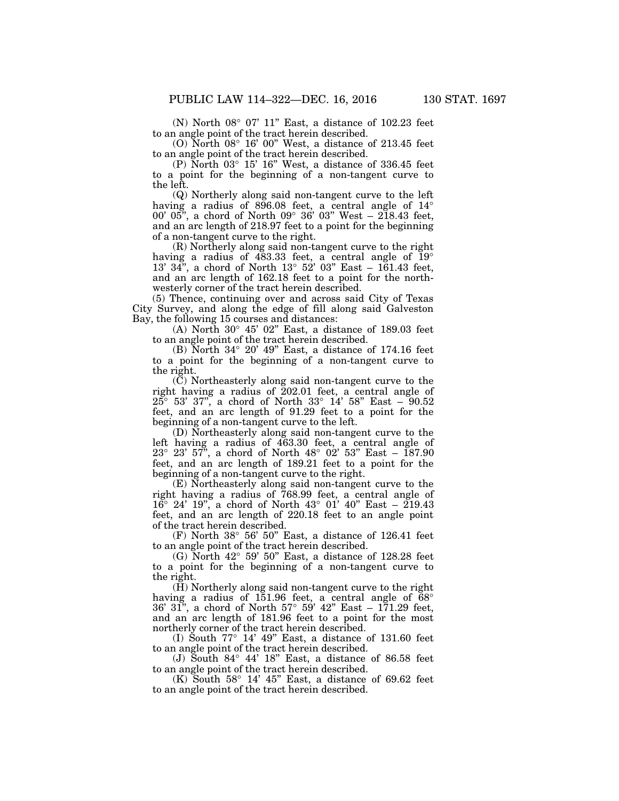(N) North  $08^{\circ}$  07' 11" East, a distance of 102.23 feet to an angle point of the tract herein described.

(O) North  $08^{\circ}$  16' 00" West, a distance of 213.45 feet to an angle point of the tract herein described.

(P) North 03° 15' 16'' West, a distance of 336.45 feet to a point for the beginning of a non-tangent curve to the left.

(Q) Northerly along said non-tangent curve to the left having a radius of  $8\overline{9}6.08$  feet, a central angle of  $14^{\circ}$ 00' 05'', a chord of North 09° 36' 03'' West – 218.43 feet, and an arc length of 218.97 feet to a point for the beginning of a non-tangent curve to the right.

(R) Northerly along said non-tangent curve to the right having a radius of  $\overline{483.33}$  feet, a central angle of  $\overline{19}^{\circ}$ 13'  $34$ ", a chord of North  $13^{\circ}$   $52'$   $03$ " East –  $161.43$  feet, and an arc length of 162.18 feet to a point for the northwesterly corner of the tract herein described.

(5) Thence, continuing over and across said City of Texas City Survey, and along the edge of fill along said Galveston Bay, the following 15 courses and distances:

(A) North  $30^{\circ}$  45' 02" East, a distance of 189.03 feet to an angle point of the tract herein described.

(B) North 34° 20' 49'' East, a distance of 174.16 feet to a point for the beginning of a non-tangent curve to the right.

(C) Northeasterly along said non-tangent curve to the right having a radius of 202.01 feet, a central angle of  $25^{\circ}$  53' 37", a chord of North 33° 14' 58" East – 90.52 feet, and an arc length of 91.29 feet to a point for the beginning of a non-tangent curve to the left.

(D) Northeasterly along said non-tangent curve to the left having a radius of 463.30 feet, a central angle of 23° 23' 57'', a chord of North 48° 02' 53'' East – 187.90 feet, and an arc length of 189.21 feet to a point for the beginning of a non-tangent curve to the right.

(E) Northeasterly along said non-tangent curve to the right having a radius of 768.99 feet, a central angle of  $16^{\circ}$  24' 19", a chord of North 43° 01' 40" East – 219.43 feet, and an arc length of 220.18 feet to an angle point of the tract herein described.

 $(F)$  North 38 $^{\circ}$  56' 50" East, a distance of 126.41 feet to an angle point of the tract herein described.

(G) North  $42^{\circ}$  59' 50" East, a distance of 128.28 feet to a point for the beginning of a non-tangent curve to the right.

(H) Northerly along said non-tangent curve to the right having a radius of 151.96 feet, a central angle of 68° 36' 31'', a chord of North 57° 59' 42'' East – 171.29 feet, and an arc length of 181.96 feet to a point for the most northerly corner of the tract herein described.

(I) South  $77^{\circ}$  14' 49" East, a distance of 131.60 feet to an angle point of the tract herein described.

(J) South  $84^{\circ}$   $44'$   $18''$  East, a distance of  $86.58$  feet to an angle point of the tract herein described.

(K) South  $58^{\circ}$  14'  $45^{\circ}$  East, a distance of 69.62 feet to an angle point of the tract herein described.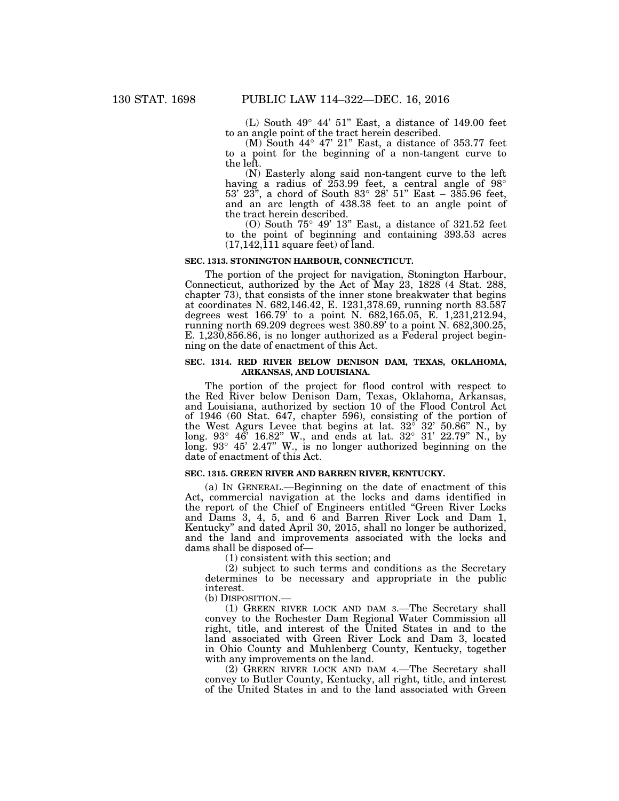(L) South  $49^{\circ}$   $44'$   $51''$  East, a distance of 149.00 feet to an angle point of the tract herein described.

(M) South  $44^{\circ}$   $47'$   $21''$  East, a distance of 353.77 feet to a point for the beginning of a non-tangent curve to the left.

(N) Easterly along said non-tangent curve to the left having a radius of 253.99 feet, a central angle of 98° 53' 23'', a chord of South 83° 28' 51'' East – 385.96 feet, and an arc length of 438.38 feet to an angle point of the tract herein described.

(O) South 75° 49' 13'' East, a distance of 321.52 feet to the point of beginning and containing 393.53 acres  $(17, 142, 111$  square feet) of land.

## **SEC. 1313. STONINGTON HARBOUR, CONNECTICUT.**

The portion of the project for navigation, Stonington Harbour, Connecticut, authorized by the Act of May 23, 1828 (4 Stat. 288, chapter 73), that consists of the inner stone breakwater that begins at coordinates N. 682,146.42, E. 1231,378.69, running north 83.587 degrees west 166.79' to a point N. 682,165.05, E. 1,231,212.94, running north 69.209 degrees west 380.89' to a point N. 682,300.25, E. 1,230,856.86, is no longer authorized as a Federal project beginning on the date of enactment of this Act.

## **SEC. 1314. RED RIVER BELOW DENISON DAM, TEXAS, OKLAHOMA, ARKANSAS, AND LOUISIANA.**

The portion of the project for flood control with respect to the Red River below Denison Dam, Texas, Oklahoma, Arkansas, and Louisiana, authorized by section 10 of the Flood Control Act of 1946 (60 Stat. 647, chapter 596), consisting of the portion of the West Agurs Levee that begins at lat.  $32^{\circ}$   $32'$   $50.86''$  N., by long. 93° 46' 16.82'' W., and ends at lat. 32° 31' 22.79'' N., by long. 93° 45' 2.47'' W., is no longer authorized beginning on the date of enactment of this Act.

## **SEC. 1315. GREEN RIVER AND BARREN RIVER, KENTUCKY.**

(a) IN GENERAL.—Beginning on the date of enactment of this Act, commercial navigation at the locks and dams identified in the report of the Chief of Engineers entitled ''Green River Locks and Dams 3, 4, 5, and 6 and Barren River Lock and Dam 1, Kentucky'' and dated April 30, 2015, shall no longer be authorized, and the land and improvements associated with the locks and dams shall be disposed of—

(1) consistent with this section; and

(2) subject to such terms and conditions as the Secretary determines to be necessary and appropriate in the public interest.

(b) DISPOSITION.—

(1) GREEN RIVER LOCK AND DAM 3.—The Secretary shall convey to the Rochester Dam Regional Water Commission all right, title, and interest of the United States in and to the land associated with Green River Lock and Dam 3, located in Ohio County and Muhlenberg County, Kentucky, together with any improvements on the land.

(2) GREEN RIVER LOCK AND DAM 4.—The Secretary shall convey to Butler County, Kentucky, all right, title, and interest of the United States in and to the land associated with Green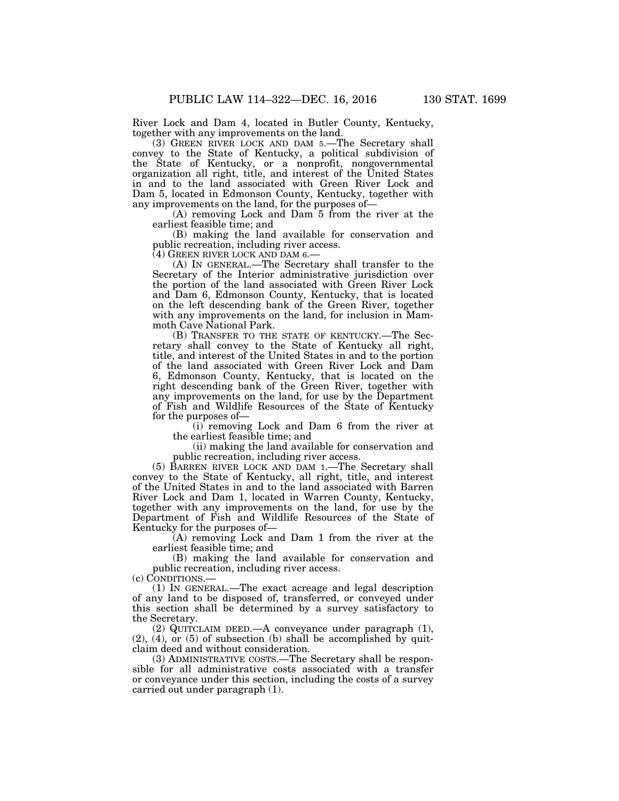River Lock and Dam 4, located in Butler County, Kentucky, together with any improvements on the land.

(3) GREEN RIVER LOCK AND DAM 5.—The Secretary shall convey to the State of Kentucky, a political subdivision of the State of Kentucky, or a nonprofit, nongovernmental organization all right, title, and interest of the United States in and to the land associated with Green River Lock and Dam 5, located in Edmonson County, Kentucky, together with any improvements on the land, for the purposes of—

(A) removing Lock and Dam 5 from the river at the earliest feasible time; and

(B) making the land available for conservation and public recreation, including river access.<br>(4) GREEN RIVER LOCK AND DAM 6.—

 $(A)$  In GENERAL.—The Secretary shall transfer to the Secretary of the Interior administrative jurisdiction over the portion of the land associated with Green River Lock and Dam 6, Edmonson County, Kentucky, that is located on the left descending bank of the Green River, together with any improvements on the land, for inclusion in Mammoth Cave National Park.

(B) TRANSFER TO THE STATE OF KENTUCKY.—The Secretary shall convey to the State of Kentucky all right, title, and interest of the United States in and to the portion of the land associated with Green River Lock and Dam 6, Edmonson County, Kentucky, that is located on the right descending bank of the Green River, together with any improvements on the land, for use by the Department of Fish and Wildlife Resources of the State of Kentucky for the purposes of—

(i) removing Lock and Dam 6 from the river at the earliest feasible time; and

(ii) making the land available for conservation and public recreation, including river access.

(5) BARREN RIVER LOCK AND DAM 1.—The Secretary shall convey to the State of Kentucky, all right, title, and interest of the United States in and to the land associated with Barren River Lock and Dam 1, located in Warren County, Kentucky, together with any improvements on the land, for use by the Department of Fish and Wildlife Resources of the State of Kentucky for the purposes of—

(A) removing Lock and Dam 1 from the river at the earliest feasible time; and

(B) making the land available for conservation and public recreation, including river access.

(c) CONDITIONS.—

(1) IN GENERAL.—The exact acreage and legal description of any land to be disposed of, transferred, or conveyed under this section shall be determined by a survey satisfactory to the Secretary.

(2) QUITCLAIM DEED.—A conveyance under paragraph (1),  $(2)$ ,  $(4)$ , or  $(5)$  of subsection  $(b)$  shall be accomplished by quitclaim deed and without consideration.

(3) ADMINISTRATIVE COSTS.—The Secretary shall be responsible for all administrative costs associated with a transfer or conveyance under this section, including the costs of a survey carried out under paragraph (1).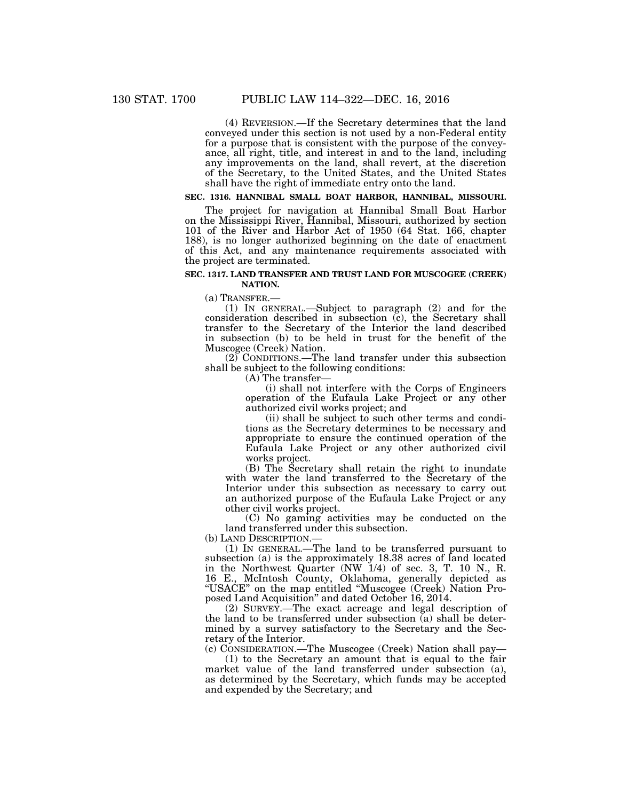(4) REVERSION.—If the Secretary determines that the land conveyed under this section is not used by a non-Federal entity for a purpose that is consistent with the purpose of the conveyance, all right, title, and interest in and to the land, including any improvements on the land, shall revert, at the discretion of the Secretary, to the United States, and the United States shall have the right of immediate entry onto the land.

### **SEC. 1316. HANNIBAL SMALL BOAT HARBOR, HANNIBAL, MISSOURI.**

The project for navigation at Hannibal Small Boat Harbor on the Mississippi River, Hannibal, Missouri, authorized by section 101 of the River and Harbor Act of 1950 (64 Stat. 166, chapter 188), is no longer authorized beginning on the date of enactment of this Act, and any maintenance requirements associated with the project are terminated.

### **SEC. 1317. LAND TRANSFER AND TRUST LAND FOR MUSCOGEE (CREEK) NATION.**

(a) TRANSFER.— (1) IN GENERAL.—Subject to paragraph (2) and for the consideration described in subsection (c), the Secretary shall transfer to the Secretary of the Interior the land described in subsection (b) to be held in trust for the benefit of the Muscogee (Creek) Nation.

(2) CONDITIONS.—The land transfer under this subsection shall be subject to the following conditions:

(A) The transfer—

(i) shall not interfere with the Corps of Engineers operation of the Eufaula Lake Project or any other authorized civil works project; and

(ii) shall be subject to such other terms and conditions as the Secretary determines to be necessary and appropriate to ensure the continued operation of the Eufaula Lake Project or any other authorized civil works project.

(B) The Secretary shall retain the right to inundate with water the land transferred to the Secretary of the Interior under this subsection as necessary to carry out an authorized purpose of the Eufaula Lake Project or any other civil works project.

(C) No gaming activities may be conducted on the land transferred under this subsection.

(b) LAND DESCRIPTION.— (1) IN GENERAL.—The land to be transferred pursuant to subsection (a) is the approximately 18.38 acres of land located in the Northwest Quarter (NW 1/4) of sec. 3, T. 10 N., R. 16 E., McIntosh County, Oklahoma, generally depicted as ''USACE'' on the map entitled ''Muscogee (Creek) Nation Proposed Land Acquisition'' and dated October 16, 2014.

(2) SURVEY.—The exact acreage and legal description of the land to be transferred under subsection (a) shall be determined by a survey satisfactory to the Secretary and the Secretary of the Interior.

(c) CONSIDERATION.—The Muscogee (Creek) Nation shall pay—

(1) to the Secretary an amount that is equal to the fair market value of the land transferred under subsection (a), as determined by the Secretary, which funds may be accepted and expended by the Secretary; and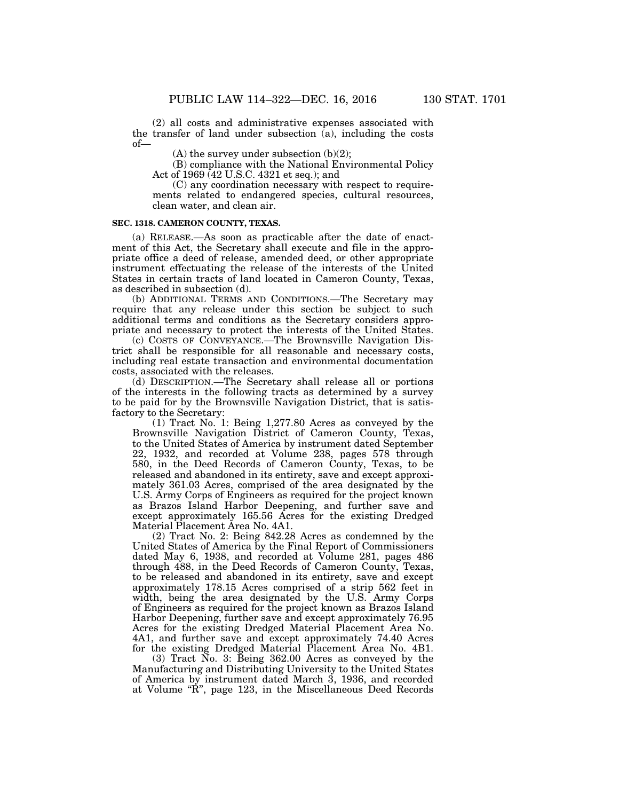(2) all costs and administrative expenses associated with the transfer of land under subsection  $(a)$ , including the costs of—

 $(A)$  the survey under subsection  $(b)(2)$ ;

(B) compliance with the National Environmental Policy Act of 1969 (42 U.S.C. 4321 et seq.); and

(C) any coordination necessary with respect to requirements related to endangered species, cultural resources, clean water, and clean air.

#### **SEC. 1318. CAMERON COUNTY, TEXAS.**

(a) RELEASE.—As soon as practicable after the date of enactment of this Act, the Secretary shall execute and file in the appropriate office a deed of release, amended deed, or other appropriate instrument effectuating the release of the interests of the United States in certain tracts of land located in Cameron County, Texas, as described in subsection (d).

(b) ADDITIONAL TERMS AND CONDITIONS.—The Secretary may require that any release under this section be subject to such additional terms and conditions as the Secretary considers appropriate and necessary to protect the interests of the United States.

(c) COSTS OF CONVEYANCE.—The Brownsville Navigation District shall be responsible for all reasonable and necessary costs, including real estate transaction and environmental documentation costs, associated with the releases.

(d) DESCRIPTION.—The Secretary shall release all or portions of the interests in the following tracts as determined by a survey to be paid for by the Brownsville Navigation District, that is satisfactory to the Secretary:

(1) Tract No. 1: Being 1,277.80 Acres as conveyed by the Brownsville Navigation District of Cameron County, Texas, to the United States of America by instrument dated September 22, 1932, and recorded at Volume 238, pages 578 through 580, in the Deed Records of Cameron County, Texas, to be released and abandoned in its entirety, save and except approximately 361.03 Acres, comprised of the area designated by the U.S. Army Corps of Engineers as required for the project known as Brazos Island Harbor Deepening, and further save and except approximately 165.56 Acres for the existing Dredged Material Placement Area No. 4A1.

(2) Tract No. 2: Being 842.28 Acres as condemned by the United States of America by the Final Report of Commissioners dated May 6, 1938, and recorded at Volume 281, pages 486 through 488, in the Deed Records of Cameron County, Texas, to be released and abandoned in its entirety, save and except approximately 178.15 Acres comprised of a strip 562 feet in width, being the area designated by the U.S. Army Corps of Engineers as required for the project known as Brazos Island Harbor Deepening, further save and except approximately 76.95 Acres for the existing Dredged Material Placement Area No. 4A1, and further save and except approximately 74.40 Acres for the existing Dredged Material Placement Area No. 4B1.

(3) Tract No. 3: Being 362.00 Acres as conveyed by the Manufacturing and Distributing University to the United States of America by instrument dated March 3, 1936, and recorded at Volume ''R'', page 123, in the Miscellaneous Deed Records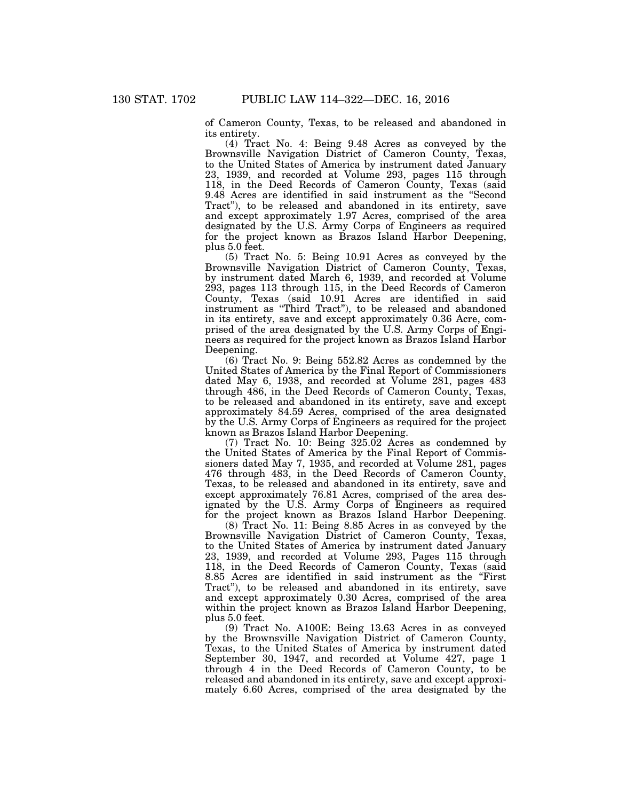of Cameron County, Texas, to be released and abandoned in its entirety.

(4) Tract No. 4: Being 9.48 Acres as conveyed by the Brownsville Navigation District of Cameron County, Texas, to the United States of America by instrument dated January 23, 1939, and recorded at Volume 293, pages 115 through 118, in the Deed Records of Cameron County, Texas (said 9.48 Acres are identified in said instrument as the ''Second Tract''), to be released and abandoned in its entirety, save and except approximately 1.97 Acres, comprised of the area designated by the U.S. Army Corps of Engineers as required for the project known as Brazos Island Harbor Deepening, plus 5.0 feet.

(5) Tract No. 5: Being 10.91 Acres as conveyed by the Brownsville Navigation District of Cameron County, Texas, by instrument dated March 6, 1939, and recorded at Volume 293, pages 113 through 115, in the Deed Records of Cameron County, Texas (said 10.91 Acres are identified in said instrument as ''Third Tract''), to be released and abandoned in its entirety, save and except approximately 0.36 Acre, comprised of the area designated by the U.S. Army Corps of Engineers as required for the project known as Brazos Island Harbor Deepening.

(6) Tract No. 9: Being 552.82 Acres as condemned by the United States of America by the Final Report of Commissioners dated May 6, 1938, and recorded at Volume 281, pages 483 through 486, in the Deed Records of Cameron County, Texas, to be released and abandoned in its entirety, save and except approximately 84.59 Acres, comprised of the area designated by the U.S. Army Corps of Engineers as required for the project known as Brazos Island Harbor Deepening.

(7) Tract No. 10: Being 325.02 Acres as condemned by the United States of America by the Final Report of Commissioners dated May 7, 1935, and recorded at Volume 281, pages 476 through 483, in the Deed Records of Cameron County, Texas, to be released and abandoned in its entirety, save and except approximately 76.81 Acres, comprised of the area designated by the U.S. Army Corps of Engineers as required for the project known as Brazos Island Harbor Deepening.

(8) Tract No. 11: Being 8.85 Acres in as conveyed by the Brownsville Navigation District of Cameron County, Texas, to the United States of America by instrument dated January 23, 1939, and recorded at Volume 293, Pages 115 through 118, in the Deed Records of Cameron County, Texas (said 8.85 Acres are identified in said instrument as the "First Tract''), to be released and abandoned in its entirety, save and except approximately 0.30 Acres, comprised of the area within the project known as Brazos Island Harbor Deepening, plus 5.0 feet.

(9) Tract No. A100E: Being 13.63 Acres in as conveyed by the Brownsville Navigation District of Cameron County, Texas, to the United States of America by instrument dated September 30, 1947, and recorded at Volume 427, page 1 through 4 in the Deed Records of Cameron County, to be released and abandoned in its entirety, save and except approximately 6.60 Acres, comprised of the area designated by the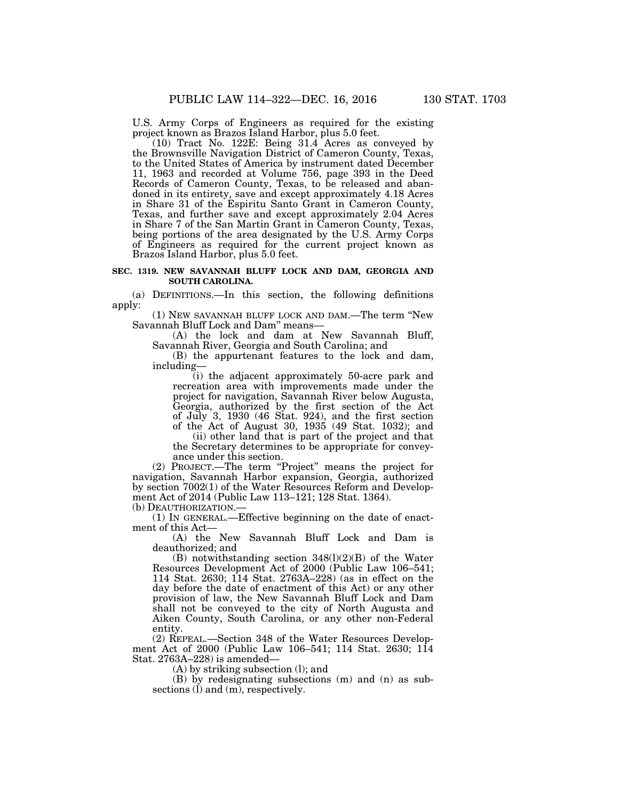U.S. Army Corps of Engineers as required for the existing project known as Brazos Island Harbor, plus 5.0 feet.

(10) Tract No. 122E: Being 31.4 Acres as conveyed by the Brownsville Navigation District of Cameron County, Texas, to the United States of America by instrument dated December 11, 1963 and recorded at Volume 756, page 393 in the Deed Records of Cameron County, Texas, to be released and abandoned in its entirety, save and except approximately 4.18 Acres in Share 31 of the Espiritu Santo Grant in Cameron County, Texas, and further save and except approximately 2.04 Acres in Share 7 of the San Martin Grant in Cameron County, Texas, being portions of the area designated by the U.S. Army Corps of Engineers as required for the current project known as Brazos Island Harbor, plus 5.0 feet.

### **SEC. 1319. NEW SAVANNAH BLUFF LOCK AND DAM, GEORGIA AND SOUTH CAROLINA.**

(a) DEFINITIONS.—In this section, the following definitions apply:

(1) NEW SAVANNAH BLUFF LOCK AND DAM.—The term ''New Savannah Bluff Lock and Dam'' means—

(A) the lock and dam at New Savannah Bluff, Savannah River, Georgia and South Carolina; and

(B) the appurtenant features to the lock and dam, including—

(i) the adjacent approximately 50-acre park and recreation area with improvements made under the project for navigation, Savannah River below Augusta, Georgia, authorized by the first section of the Act of July 3, 1930 (46 Stat. 924), and the first section of the Act of August 30, 1935 (49 Stat. 1032); and

(ii) other land that is part of the project and that the Secretary determines to be appropriate for conveyance under this section.

(2) PROJECT.—The term ''Project'' means the project for navigation, Savannah Harbor expansion, Georgia, authorized by section 7002(1) of the Water Resources Reform and Development Act of 2014 (Public Law 113–121; 128 Stat. 1364). (b) DEAUTHORIZATION.—

(1) IN GENERAL.—Effective beginning on the date of enactment of this Act—

(A) the New Savannah Bluff Lock and Dam is deauthorized; and

 $(B)$  notwithstanding section 348 $(l)(2)(B)$  of the Water Resources Development Act of 2000 (Public Law 106–541; 114 Stat. 2630; 114 Stat. 2763A–228) (as in effect on the day before the date of enactment of this Act) or any other provision of law, the New Savannah Bluff Lock and Dam shall not be conveyed to the city of North Augusta and Aiken County, South Carolina, or any other non-Federal entity.

(2) REPEAL.—Section 348 of the Water Resources Development Act of 2000 (Public Law 106–541; 114 Stat. 2630; 114 Stat. 2763A–228) is amended—

(A) by striking subsection (l); and

(B) by redesignating subsections (m) and (n) as subsections  $(I)$  and  $(m)$ , respectively.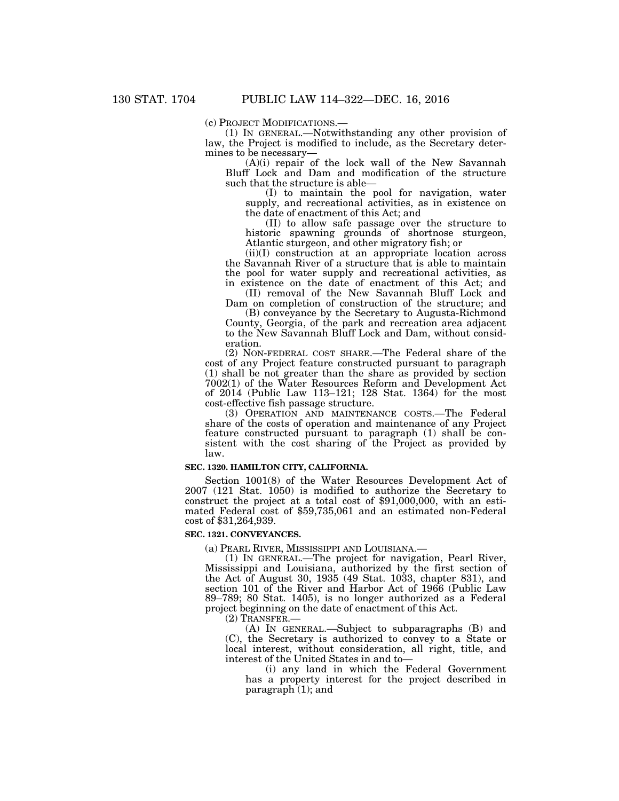(c) PROJECT MODIFICATIONS.— (1) IN GENERAL.—Notwithstanding any other provision of law, the Project is modified to include, as the Secretary determines to be necessary—

 $(A)(i)$  repair of the lock wall of the New Savannah Bluff Lock and Dam and modification of the structure such that the structure is able—

(I) to maintain the pool for navigation, water supply, and recreational activities, as in existence on the date of enactment of this Act; and

(II) to allow safe passage over the structure to historic spawning grounds of shortnose sturgeon, Atlantic sturgeon, and other migratory fish; or

(ii)(I) construction at an appropriate location across the Savannah River of a structure that is able to maintain the pool for water supply and recreational activities, as in existence on the date of enactment of this Act; and

(II) removal of the New Savannah Bluff Lock and Dam on completion of construction of the structure; and

(B) conveyance by the Secretary to Augusta-Richmond County, Georgia, of the park and recreation area adjacent to the New Savannah Bluff Lock and Dam, without consideration.

(2) NON-FEDERAL COST SHARE.—The Federal share of the cost of any Project feature constructed pursuant to paragraph (1) shall be not greater than the share as provided by section 7002(1) of the Water Resources Reform and Development Act of 2014 (Public Law 113–121; 128 Stat. 1364) for the most cost-effective fish passage structure.

(3) OPERATION AND MAINTENANCE COSTS.—The Federal share of the costs of operation and maintenance of any Project feature constructed pursuant to paragraph (1) shall be consistent with the cost sharing of the Project as provided by law.

### **SEC. 1320. HAMILTON CITY, CALIFORNIA.**

Section 1001(8) of the Water Resources Development Act of 2007 (121 Stat. 1050) is modified to authorize the Secretary to construct the project at a total cost of \$91,000,000, with an estimated Federal cost of \$59,735,061 and an estimated non-Federal cost of \$31,264,939.

### **SEC. 1321. CONVEYANCES.**

(a) PEARL RIVER, MISSISSIPPI AND LOUISIANA.— (1) IN GENERAL.—The project for navigation, Pearl River, Mississippi and Louisiana, authorized by the first section of the Act of August 30,  $1935$  (49 Stat. 1033, chapter 831), and section 101 of the River and Harbor Act of 1966 (Public Law 89–789; 80 Stat. 1405), is no longer authorized as a Federal project beginning on the date of enactment of this Act.

(2) TRANSFER.—

(A) IN GENERAL.—Subject to subparagraphs (B) and (C), the Secretary is authorized to convey to a State or local interest, without consideration, all right, title, and interest of the United States in and to—

(i) any land in which the Federal Government has a property interest for the project described in paragraph (1); and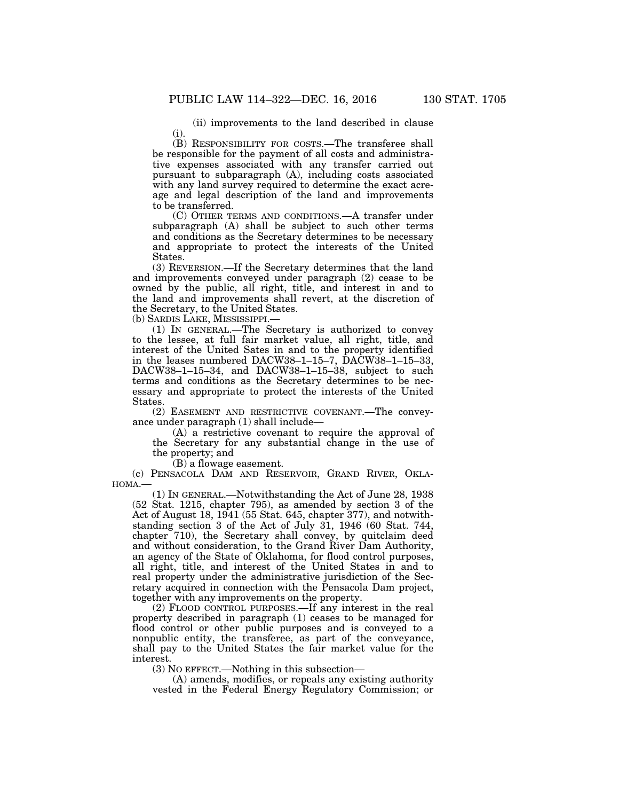(ii) improvements to the land described in clause (i).

(B) RESPONSIBILITY FOR COSTS.—The transferee shall be responsible for the payment of all costs and administrative expenses associated with any transfer carried out pursuant to subparagraph (A), including costs associated with any land survey required to determine the exact acreage and legal description of the land and improvements to be transferred.

(C) OTHER TERMS AND CONDITIONS.—A transfer under subparagraph (A) shall be subject to such other terms and conditions as the Secretary determines to be necessary and appropriate to protect the interests of the United States.

(3) REVERSION.—If the Secretary determines that the land and improvements conveyed under paragraph (2) cease to be owned by the public, all right, title, and interest in and to the land and improvements shall revert, at the discretion of the Secretary, to the United States.

(b) SARDIS LAKE, MISSISSIPPI.—

(1) IN GENERAL.—The Secretary is authorized to convey to the lessee, at full fair market value, all right, title, and interest of the United Sates in and to the property identified in the leases numbered DACW38–1–15–7, DACW38–1–15–33, DACW38–1–15–34, and DACW38–1–15–38, subject to such terms and conditions as the Secretary determines to be necessary and appropriate to protect the interests of the United States.

(2) EASEMENT AND RESTRICTIVE COVENANT.—The conveyance under paragraph (1) shall include—

(A) a restrictive covenant to require the approval of the Secretary for any substantial change in the use of the property; and

(B) a flowage easement.

(c) PENSACOLA DAM AND RESERVOIR, GRAND RIVER, OKLA-HOMA.—

(1) IN GENERAL.—Notwithstanding the Act of June 28, 1938 (52 Stat. 1215, chapter 795), as amended by section 3 of the Act of August 18, 1941 (55 Stat. 645, chapter 377), and notwithstanding section 3 of the Act of July 31, 1946 (60 Stat. 744, chapter 710), the Secretary shall convey, by quitclaim deed and without consideration, to the Grand River Dam Authority, an agency of the State of Oklahoma, for flood control purposes, all right, title, and interest of the United States in and to real property under the administrative jurisdiction of the Secretary acquired in connection with the Pensacola Dam project, together with any improvements on the property.

(2) FLOOD CONTROL PURPOSES.—If any interest in the real property described in paragraph (1) ceases to be managed for flood control or other public purposes and is conveyed to a nonpublic entity, the transferee, as part of the conveyance, shall pay to the United States the fair market value for the interest.

(3) NO EFFECT.—Nothing in this subsection—

(A) amends, modifies, or repeals any existing authority vested in the Federal Energy Regulatory Commission; or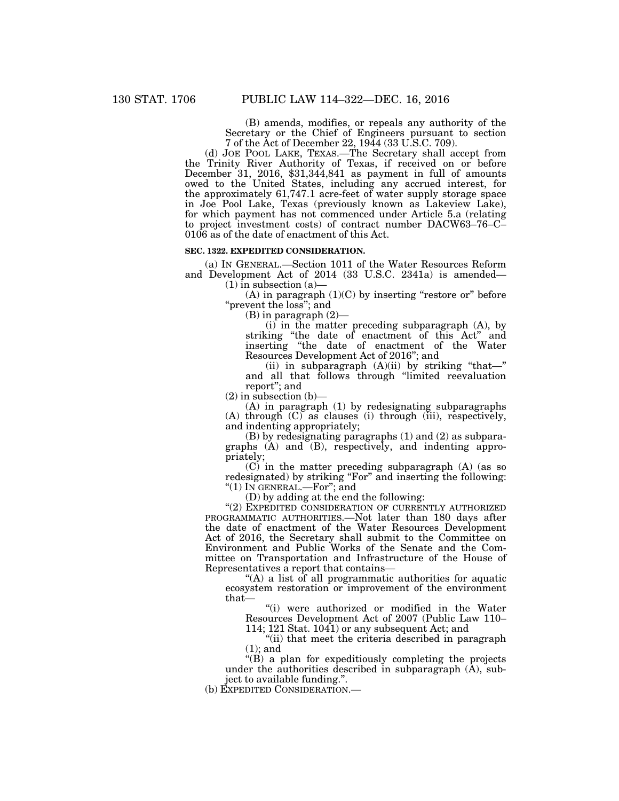(B) amends, modifies, or repeals any authority of the Secretary or the Chief of Engineers pursuant to section 7 of the Act of December 22, 1944 (33 U.S.C. 709).

(d) JOE POOL LAKE, TEXAS.—The Secretary shall accept from the Trinity River Authority of Texas, if received on or before December 31, 2016, \$31,344,841 as payment in full of amounts owed to the United States, including any accrued interest, for the approximately 61,747.1 acre-feet of water supply storage space in Joe Pool Lake, Texas (previously known as Lakeview Lake), for which payment has not commenced under Article 5.a (relating to project investment costs) of contract number DACW63–76–C– 0106 as of the date of enactment of this Act.

### **SEC. 1322. EXPEDITED CONSIDERATION.**

(a) IN GENERAL.—Section 1011 of the Water Resources Reform and Development Act of 2014 (33 U.S.C. 2341a) is amended—  $(1)$  in subsection  $(a)$ 

 $(A)$  in paragraph  $(1)(C)$  by inserting "restore or" before

"prevent the loss"; and (B) in paragraph (2)—

(i) in the matter preceding subparagraph (A), by striking ''the date of enactment of this Act'' and inserting ''the date of enactment of the Water Resources Development Act of 2016''; and

(ii) in subparagraph  $(A)(ii)$  by striking "that—" and all that follows through ''limited reevaluation report''; and

 $(2)$  in subsection  $(b)$ —

(A) in paragraph (1) by redesignating subparagraphs (A) through (C) as clauses (i) through (iii), respectively, and indenting appropriately;

(B) by redesignating paragraphs (1) and (2) as subparagraphs (A) and (B), respectively, and indenting appropriately;

(C) in the matter preceding subparagraph (A) (as so redesignated) by striking "For" and inserting the following: " $(1)$  In GENERAL.—For"; and

(D) by adding at the end the following:

"(2) EXPEDITED CONSIDERATION OF CURRENTLY AUTHORIZED PROGRAMMATIC AUTHORITIES.—Not later than 180 days after the date of enactment of the Water Resources Development Act of 2016, the Secretary shall submit to the Committee on Environment and Public Works of the Senate and the Committee on Transportation and Infrastructure of the House of Representatives a report that contains—

''(A) a list of all programmatic authorities for aquatic ecosystem restoration or improvement of the environment that—

''(i) were authorized or modified in the Water Resources Development Act of 2007 (Public Law 110– 114; 121 Stat. 1041) or any subsequent Act; and

"(ii) that meet the criteria described in paragraph (1); and

 $\mathbf{H}(B)$  a plan for expeditiously completing the projects under the authorities described in subparagraph (A), subject to available funding.''.

(b) EXPEDITED CONSIDERATION.—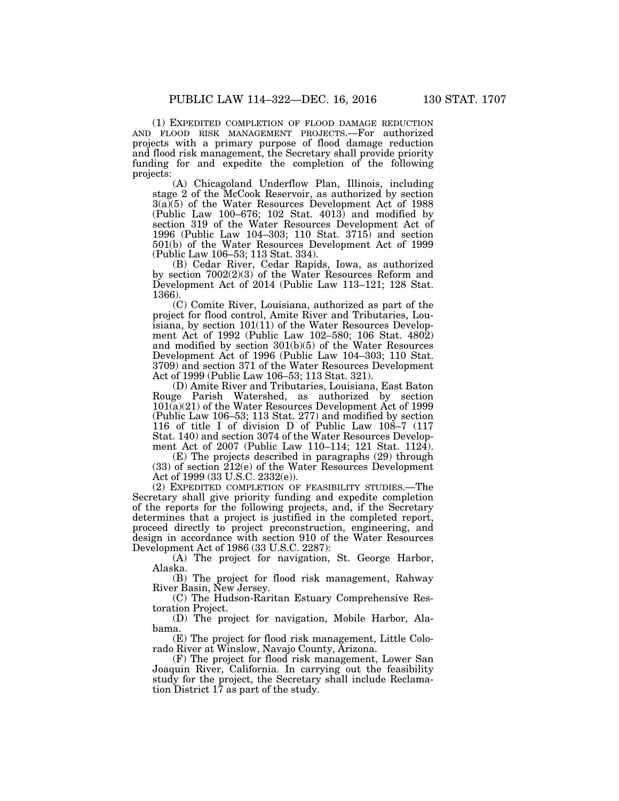(1) EXPEDITED COMPLETION OF FLOOD DAMAGE REDUCTION AND FLOOD RISK MANAGEMENT PROJECTS.—For authorized projects with a primary purpose of flood damage reduction and flood risk management, the Secretary shall provide priority funding for and expedite the completion of the following projects:

(A) Chicagoland Underflow Plan, Illinois, including stage 2 of the McCook Reservoir, as authorized by section  $3(a)(5)$  of the Water Resources Development Act of 1988 (Public Law 100–676; 102 Stat. 4013) and modified by section 319 of the Water Resources Development Act of 1996 (Public Law 104–303; 110 Stat. 3715) and section 501(b) of the Water Resources Development Act of 1999 (Public Law 106–53; 113 Stat. 334).

(B) Cedar River, Cedar Rapids, Iowa, as authorized by section 7002(2)(3) of the Water Resources Reform and Development Act of 2014 (Public Law 113–121; 128 Stat. 1366).

(C) Comite River, Louisiana, authorized as part of the project for flood control, Amite River and Tributaries, Louisiana, by section 101(11) of the Water Resources Development Act of 1992 (Public Law 102–580; 106 Stat. 4802) and modified by section 301(b)(5) of the Water Resources Development Act of 1996 (Public Law 104–303; 110 Stat. 3709) and section 371 of the Water Resources Development Act of 1999 (Public Law 106–53; 113 Stat. 321).

(D) Amite River and Tributaries, Louisiana, East Baton Rouge Parish Watershed, as authorized by section 101(a)(21) of the Water Resources Development Act of 1999 (Public Law 106–53; 113 Stat. 277) and modified by section 116 of title I of division D of Public Law 108–7 (117 Stat. 140) and section 3074 of the Water Resources Development Act of 2007 (Public Law 110–114; 121 Stat. 1124).

(E) The projects described in paragraphs (29) through (33) of section 212(e) of the Water Resources Development Act of 1999 (33 U.S.C. 2332(e)).

(2) EXPEDITED COMPLETION OF FEASIBILITY STUDIES.—The Secretary shall give priority funding and expedite completion of the reports for the following projects, and, if the Secretary determines that a project is justified in the completed report, proceed directly to project preconstruction, engineering, and design in accordance with section 910 of the Water Resources Development Act of 1986 (33 U.S.C. 2287):

(A) The project for navigation, St. George Harbor, Alaska.

(B) The project for flood risk management, Rahway River Basin, New Jersey.

(C) The Hudson-Raritan Estuary Comprehensive Restoration Project.

(D) The project for navigation, Mobile Harbor, Alabama.

(E) The project for flood risk management, Little Colorado River at Winslow, Navajo County, Arizona.

(F) The project for flood risk management, Lower San Joaquin River, California. In carrying out the feasibility study for the project, the Secretary shall include Reclamation District 17 as part of the study.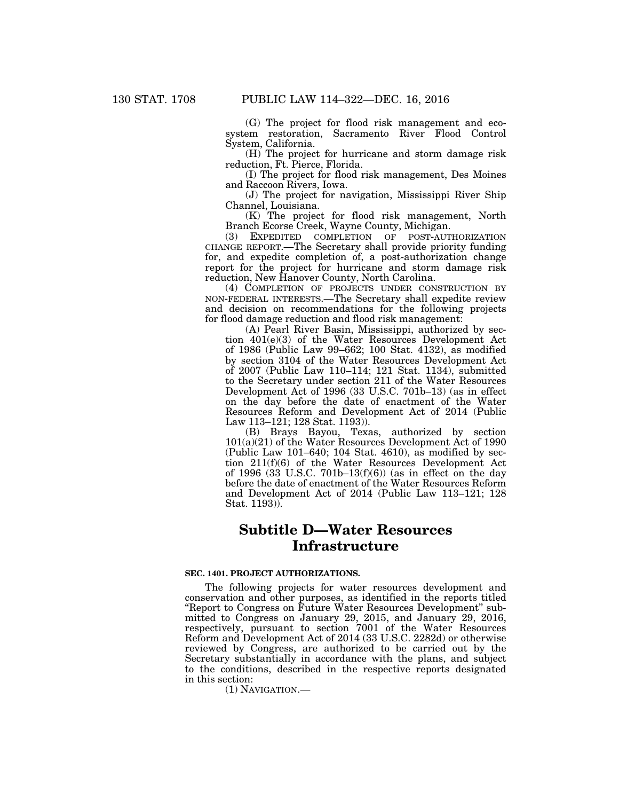(G) The project for flood risk management and ecosystem restoration, Sacramento River Flood Control System, California.

(H) The project for hurricane and storm damage risk reduction, Ft. Pierce, Florida.

(I) The project for flood risk management, Des Moines and Raccoon Rivers, Iowa.

(J) The project for navigation, Mississippi River Ship Channel, Louisiana.

(K) The project for flood risk management, North Branch Ecorse Creek, Wayne County, Michigan.

(3) EXPEDITED COMPLETION OF POST-AUTHORIZATION CHANGE REPORT.—The Secretary shall provide priority funding for, and expedite completion of, a post-authorization change report for the project for hurricane and storm damage risk reduction, New Hanover County, North Carolina.

(4) COMPLETION OF PROJECTS UNDER CONSTRUCTION BY NON-FEDERAL INTERESTS.—The Secretary shall expedite review and decision on recommendations for the following projects for flood damage reduction and flood risk management:

(A) Pearl River Basin, Mississippi, authorized by section 401(e)(3) of the Water Resources Development Act of 1986 (Public Law 99–662; 100 Stat. 4132), as modified by section 3104 of the Water Resources Development Act of 2007 (Public Law 110–114; 121 Stat. 1134), submitted to the Secretary under section 211 of the Water Resources Development Act of 1996 (33 U.S.C. 701b–13) (as in effect on the day before the date of enactment of the Water Resources Reform and Development Act of 2014 (Public Law 113–121; 128 Stat. 1193)).

(B) Brays Bayou, Texas, authorized by section 101(a)(21) of the Water Resources Development Act of 1990 (Public Law 101–640; 104 Stat. 4610), as modified by section 211(f)(6) of the Water Resources Development Act of 1996 (33 U.S.C. 701b–13(f)(6)) (as in effect on the day before the date of enactment of the Water Resources Reform and Development Act of 2014 (Public Law 113–121; 128 Stat. 1193)).

### **Subtitle D—Water Resources Infrastructure**

### **SEC. 1401. PROJECT AUTHORIZATIONS.**

The following projects for water resources development and conservation and other purposes, as identified in the reports titled "Report to Congress on Future Water Resources Development" submitted to Congress on January 29, 2015, and January 29, 2016, respectively, pursuant to section 7001 of the Water Resources Reform and Development Act of 2014 (33 U.S.C. 2282d) or otherwise reviewed by Congress, are authorized to be carried out by the Secretary substantially in accordance with the plans, and subject to the conditions, described in the respective reports designated in this section:

(1) NAVIGATION.—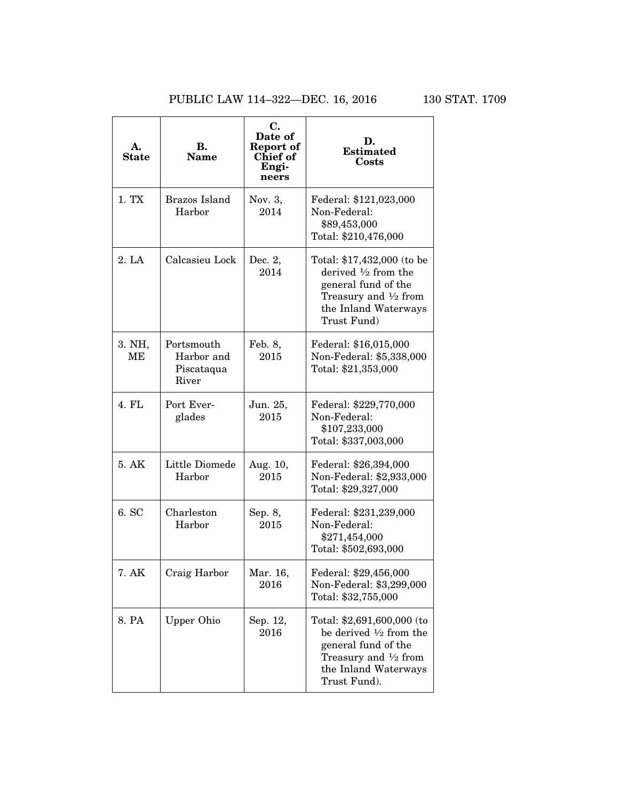# PUBLIC LAW 114-322---DEC. 16, 2016 130 STAT. 1709

| А.<br><b>State</b> | В.<br>Name                                      | C.<br>Date of<br>Report of<br>Chief of<br>Engi-<br>neers | D.<br><b>Estimated</b><br>Costs                                                                                                                                   |
|--------------------|-------------------------------------------------|----------------------------------------------------------|-------------------------------------------------------------------------------------------------------------------------------------------------------------------|
| 1. TX              | Brazos Island<br>Harbor                         | Nov. 3,<br>2014                                          | Federal: \$121,023,000<br>Non-Federal:<br>\$89,453,000<br>Total: \$210,476,000                                                                                    |
| 2. LA              | Calcasieu Lock                                  | Dec. 2,<br>2014                                          | Total: \$17,432,000 (to be<br>derived $\frac{1}{2}$ from the<br>general fund of the<br>Treasury and $\frac{1}{2}$ from<br>the Inland Waterways<br>Trust Fund)     |
| 3. NH,<br>ME       | Portsmouth<br>Harbor and<br>Piscataqua<br>River | Feb. 8,<br>2015                                          | Federal: \$16,015,000<br>Non-Federal: \$5,338,000<br>Total: \$21,353,000                                                                                          |
| 4. FL              | Port Ever-<br>glades                            | Jun. 25,<br>2015                                         | Federal: \$229,770,000<br>Non-Federal:<br>\$107,233,000<br>Total: \$337,003,000                                                                                   |
| 5. AK              | Little Diomede<br>Harbor                        | Aug. 10,<br>2015                                         | Federal: \$26,394,000<br>Non-Federal: \$2,933,000<br>Total: \$29,327,000                                                                                          |
| 6. SC              | Charleston<br>Harbor                            | Sep. 8,<br>2015                                          | Federal: \$231,239,000<br>Non-Federal:<br>\$271,454,000<br>Total: \$502,693,000                                                                                   |
| 7. AK              | Craig Harbor                                    | Mar. 16,<br>2016                                         | Federal: \$29,456,000<br>Non-Federal: \$3,299,000<br>Total: \$32,755,000                                                                                          |
| 8. PA              | <b>Upper Ohio</b>                               | Sep. 12,<br>2016                                         | Total: \$2,691,600,000 (to<br>be derived $\frac{1}{2}$ from the<br>general fund of the<br>Treasury and $\frac{1}{2}$ from<br>the Inland Waterways<br>Trust Fund). |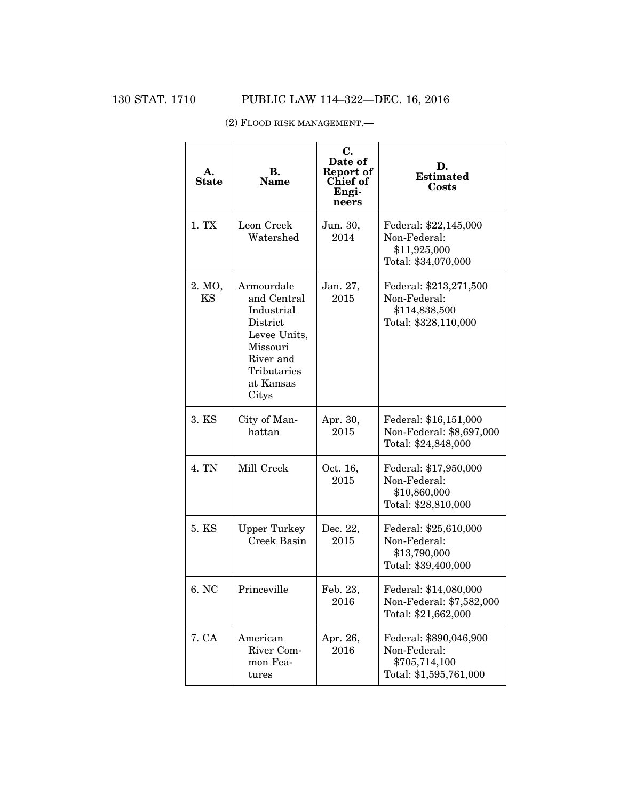| А.<br><b>State</b> | <b>B.</b><br><b>Name</b>                                                                                                          | С.<br>Date of<br>Report of<br>Chief of<br>Engi-<br>neers | D.<br><b>Estimated</b><br>Costs                                                   |
|--------------------|-----------------------------------------------------------------------------------------------------------------------------------|----------------------------------------------------------|-----------------------------------------------------------------------------------|
| 1. TX              | Leon Creek<br>Watershed                                                                                                           | Jun. 30,<br>2014                                         | Federal: \$22,145,000<br>Non-Federal:<br>\$11,925,000<br>Total: \$34,070,000      |
| 2. MO,<br>KS       | Armourdale<br>and Central<br>Industrial<br>District<br>Levee Units,<br>Missouri<br>River and<br>Tributaries<br>at Kansas<br>Citys | Jan. 27,<br>2015                                         | Federal: \$213,271,500<br>Non-Federal:<br>\$114,838,500<br>Total: \$328,110,000   |
| 3. KS              | City of Man-<br>hattan                                                                                                            | Apr. 30,<br>2015                                         | Federal: \$16,151,000<br>Non-Federal: \$8,697,000<br>Total: \$24,848,000          |
| 4. TN              | Mill Creek                                                                                                                        | Oct. 16,<br>2015                                         | Federal: \$17,950,000<br>Non-Federal:<br>\$10,860,000<br>Total: \$28,810,000      |
| 5. KS              | <b>Upper Turkey</b><br><b>Creek Basin</b>                                                                                         | Dec. 22,<br>2015                                         | Federal: \$25,610,000<br>Non-Federal:<br>\$13,790,000<br>Total: \$39,400,000      |
| 6. NC              | Princeville                                                                                                                       | Feb. 23,<br>2016                                         | Federal: \$14,080,000<br>Non-Federal: \$7,582,000<br>Total: \$21,662,000          |
| 7. CA              | American<br>River Com-<br>mon Fea-<br>tures                                                                                       | Apr. 26,<br>2016                                         | Federal: \$890,046,900<br>Non-Federal:<br>\$705,714,100<br>Total: \$1,595,761,000 |

(2) FLOOD RISK MANAGEMENT.—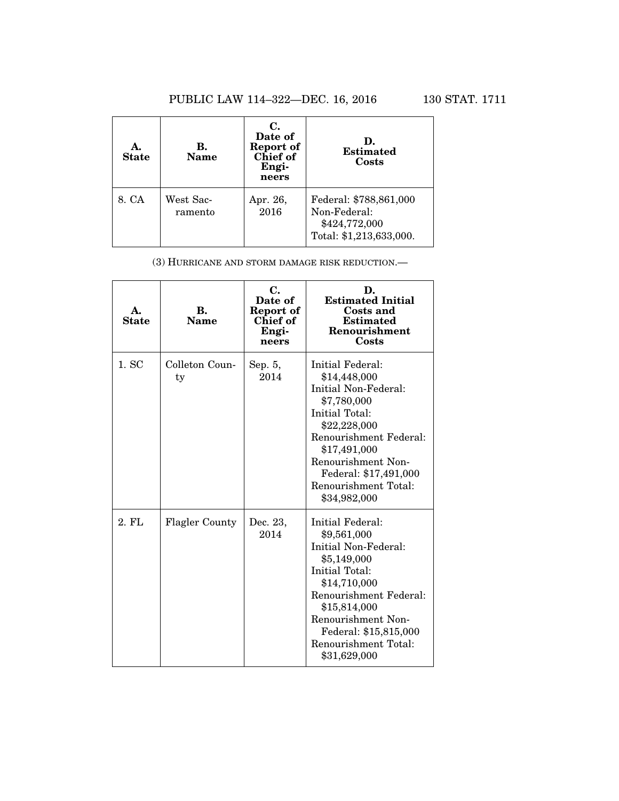## PUBLIC LAW 114-322-DEC. 16, 2016 130 STAT. 1711

| А.<br><b>State</b> | В.<br><b>Name</b>    | С.<br>Date of<br>Report of<br>Chief of<br>Engi-<br>neers | D.<br><b>Estimated</b><br>Costs                                                    |
|--------------------|----------------------|----------------------------------------------------------|------------------------------------------------------------------------------------|
| 8. CA              | West Sac-<br>ramento | Apr. 26,<br>2016                                         | Federal: \$788,861,000<br>Non-Federal:<br>\$424,772,000<br>Total: \$1,213,633,000. |

(3) HURRICANE AND STORM DAMAGE RISK REDUCTION.—

| А.<br><b>State</b> | B.<br><b>Name</b>     | С.<br>Date of<br>Report of<br>Chief of<br>Engi-<br>neers | D.<br><b>Estimated Initial</b><br>Costs and<br><b>Estimated</b><br>Renourishment<br>Costs                                                                                                                                                         |
|--------------------|-----------------------|----------------------------------------------------------|---------------------------------------------------------------------------------------------------------------------------------------------------------------------------------------------------------------------------------------------------|
| 1. SC              | Colleton Coun-<br>ty  | Sep. 5,<br>2014                                          | Initial Federal:<br>\$14,448,000<br>Initial Non-Federal:<br>\$7,780,000<br><b>Initial Total:</b><br>\$22,228,000<br>Renourishment Federal:<br>\$17,491,000<br>Renourishment Non-<br>Federal: \$17,491,000<br>Renourishment Total:<br>\$34,982,000 |
| 2. FL              | <b>Flagler County</b> | Dec. 23,<br>2014                                         | Initial Federal:<br>\$9,561,000<br>Initial Non-Federal:<br>\$5,149,000<br><b>Initial Total:</b><br>\$14,710,000<br>Renourishment Federal:<br>\$15,814,000<br>Renourishment Non-<br>Federal: \$15,815,000<br>Renourishment Total:<br>\$31,629,000  |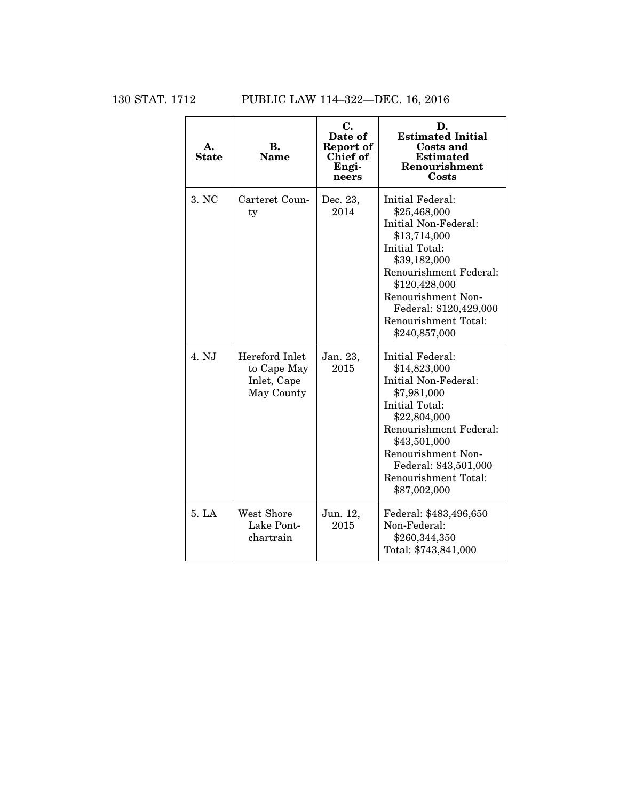# 130 STAT. 1712 PUBLIC LAW 114–322—DEC. 16, 2016

| А.<br><b>State</b> | В.<br>Name                                                 | С.<br>Date of<br>Report of<br>Chief of<br>Engi-<br>neers | D.<br><b>Estimated Initial</b><br>Costs and<br><b>Estimated</b><br>Renourishment<br>Costs                                                                                                                                                                    |
|--------------------|------------------------------------------------------------|----------------------------------------------------------|--------------------------------------------------------------------------------------------------------------------------------------------------------------------------------------------------------------------------------------------------------------|
| 3. NC              | Carteret Coun-<br>ty                                       | Dec. 23,<br>2014                                         | Initial Federal:<br>\$25,468,000<br>Initial Non-Federal:<br>\$13,714,000<br><b>Initial Total:</b><br>\$39,182,000<br><b>Renourishment Federal:</b><br>\$120,428,000<br>Renourishment Non-<br>Federal: \$120,429,000<br>Renourishment Total:<br>\$240,857,000 |
| 4. N.J             | Hereford Inlet<br>to Cape May<br>Inlet, Cape<br>May County | Jan. 23,<br>2015                                         | Initial Federal:<br>\$14,823,000<br>Initial Non-Federal:<br>\$7,981,000<br><b>Initial Total:</b><br>\$22,804,000<br>Renourishment Federal:<br>\$43,501,000<br>Renourishment Non-<br>Federal: \$43,501,000<br>Renourishment Total:<br>\$87,002,000            |
| 5. LA              | West Shore<br>Lake Pont-<br>chartrain                      | Jun. 12,<br>2015                                         | Federal: \$483,496,650<br>Non-Federal:<br>\$260,344,350<br>Total: \$743,841,000                                                                                                                                                                              |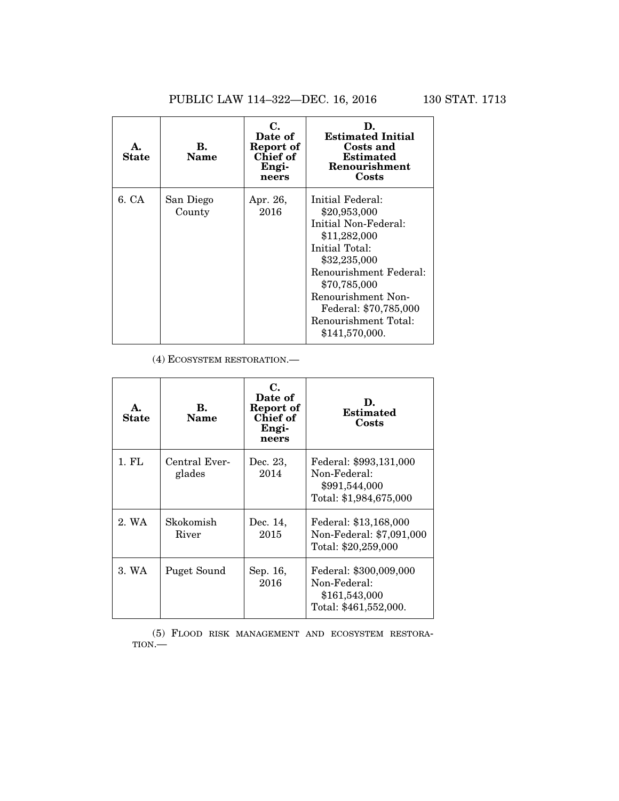## PUBLIC LAW 114-322-DEC. 16, 2016

| A.<br>State | В.<br><b>Name</b>   | С.<br>Date of<br>Report of<br>Chief of<br>Engi-<br>neers | D.<br><b>Estimated Initial</b><br>Costs and<br>Estimated<br><b>Renourishment</b><br>Costs                                                                                                                                                     |
|-------------|---------------------|----------------------------------------------------------|-----------------------------------------------------------------------------------------------------------------------------------------------------------------------------------------------------------------------------------------------|
| 6. CA       | San Diego<br>County | Apr. 26,<br>2016                                         | Initial Federal:<br>\$20,953,000<br>Initial Non-Federal:<br>\$11,282,000<br>Initial Total:<br>\$32,235,000<br>Renourishment Federal:<br>\$70,785,000<br>Renourishment Non-<br>Federal: \$70,785,000<br>Renourishment Total:<br>\$141,570,000. |

(4) ECOSYSTEM RESTORATION.—

| А.<br><b>State</b> | В.<br><b>Name</b>       | C.<br>Date of<br>Report of<br>Chief of<br>Engi-<br>neers | D.<br><b>Estimated</b><br>Costs                                                   |
|--------------------|-------------------------|----------------------------------------------------------|-----------------------------------------------------------------------------------|
| 1. FL              | Central Ever-<br>glades | Dec. 23,<br>2014                                         | Federal: \$993,131,000<br>Non-Federal:<br>\$991,544,000<br>Total: \$1,984,675,000 |
| 2. WA              | Skokomish<br>River      | Dec. 14,<br>2015                                         | Federal: \$13,168,000<br>Non-Federal: \$7,091,000<br>Total: \$20,259,000          |
| 3. WA              | Puget Sound             | Sep. 16,<br>2016                                         | Federal: \$300,009,000<br>Non-Federal:<br>\$161,543,000<br>Total: \$461,552,000.  |

(5) FLOOD RISK MANAGEMENT AND ECOSYSTEM RESTORA-TION.—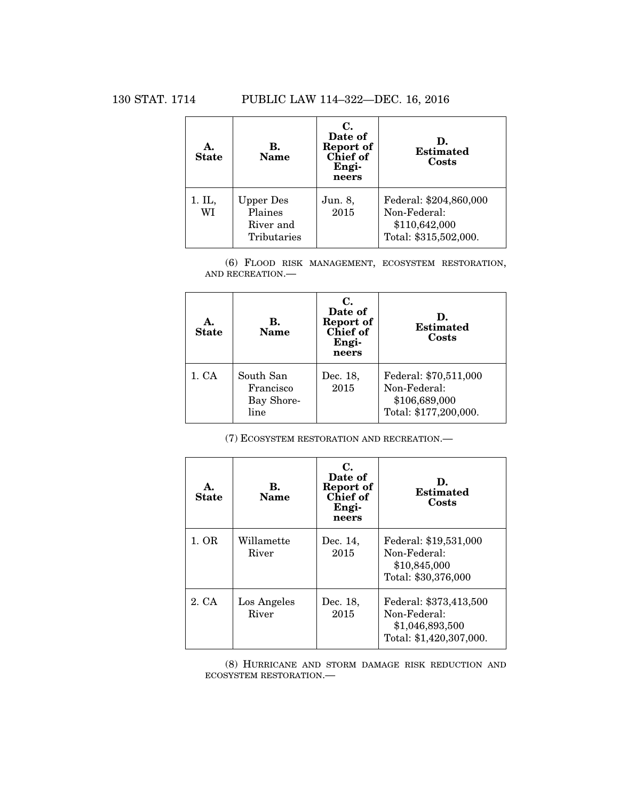### 130 STAT. 1714 PUBLIC LAW 114–322—DEC. 16, 2016

| А.<br><b>State</b> | В.<br><b>Name</b>                                       | С.<br>Date of<br>Report of<br>Chief of<br>Engi-<br>neers | D.<br><b>Estimated</b><br>Costs                                                  |
|--------------------|---------------------------------------------------------|----------------------------------------------------------|----------------------------------------------------------------------------------|
| 1. IL,<br>WI       | <b>Upper Des</b><br>Plaines<br>River and<br>Tributaries | Jun. 8,<br>2015                                          | Federal: \$204,860,000<br>Non-Federal:<br>\$110,642,000<br>Total: \$315,502,000. |

(6) FLOOD RISK MANAGEMENT, ECOSYSTEM RESTORATION, AND RECREATION.—

| А.<br><b>State</b> | В.<br><b>Name</b>                            | С.<br>Date of<br>Report of<br>Chief of<br>Engi-<br>neers | D.<br><b>Estimated</b><br>Costs                                                 |
|--------------------|----------------------------------------------|----------------------------------------------------------|---------------------------------------------------------------------------------|
| 1. CA              | South San<br>Francisco<br>Bay Shore-<br>line | Dec. 18,<br>2015                                         | Federal: \$70,511,000<br>Non-Federal:<br>\$106,689,000<br>Total: \$177,200,000. |

(7) ECOSYSTEM RESTORATION AND RECREATION.—

| A.<br><b>State</b> | В.<br><b>Name</b>    | С.<br>Date of<br>Report of<br>Chief of<br>Engi-<br>neers | D.<br><b>Estimated</b><br>Costs                                                      |
|--------------------|----------------------|----------------------------------------------------------|--------------------------------------------------------------------------------------|
| 1. OR              | Willamette<br>River  | Dec. 14,<br>2015                                         | Federal: \$19,531,000<br>Non-Federal:<br>\$10,845,000<br>Total: \$30,376,000         |
| 2. CA              | Los Angeles<br>River | Dec. 18,<br>2015                                         | Federal: \$373,413,500<br>Non-Federal:<br>\$1,046,893,500<br>Total: \$1,420,307,000. |

(8) HURRICANE AND STORM DAMAGE RISK REDUCTION AND ECOSYSTEM RESTORATION.—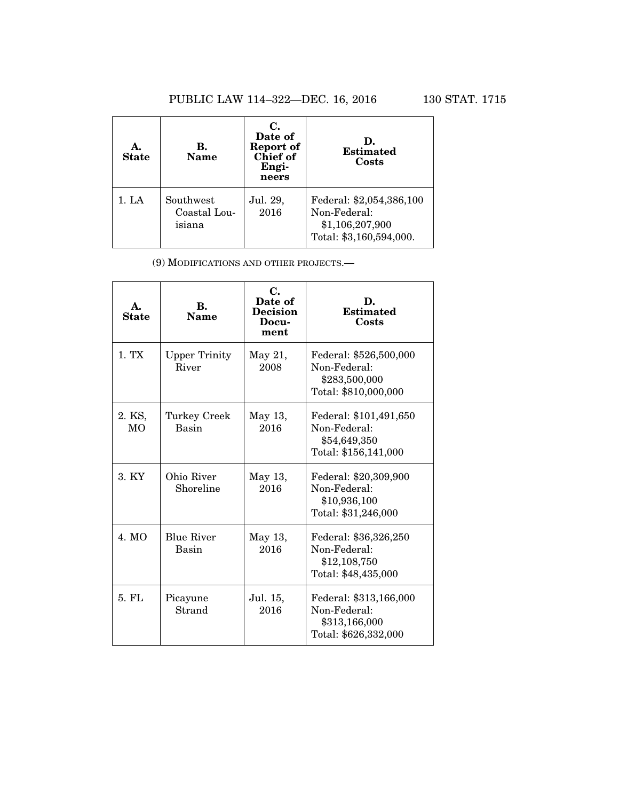## PUBLIC LAW 114-322-DEC. 16, 2016 130 STAT. 1715

| А.<br><b>State</b> | В.<br><b>Name</b>                   | C.<br>Date of<br>Report of<br>Chief of<br>Engi-<br>neers | D.<br><b>Estimated</b><br>Costs                                                        |
|--------------------|-------------------------------------|----------------------------------------------------------|----------------------------------------------------------------------------------------|
| 1. LA              | Southwest<br>Coastal Lou-<br>isiana | Jul. 29,<br>2016                                         | Federal: \$2,054,386,100<br>Non-Federal:<br>\$1,106,207,900<br>Total: \$3,160,594,000. |

(9) MODIFICATIONS AND OTHER PROJECTS.—

| A.<br><b>State</b> | B.<br><b>Name</b>             | $\mathbf{C}$<br>Date of<br><b>Decision</b><br>Docu-<br>ment | D.<br><b>Estimated</b><br>Costs                                                 |
|--------------------|-------------------------------|-------------------------------------------------------------|---------------------------------------------------------------------------------|
| 1. TX              | <b>Upper Trinity</b><br>River | May 21,<br>2008                                             | Federal: \$526,500,000<br>Non-Federal:<br>\$283,500,000<br>Total: \$810,000,000 |
| 2. KS,<br>MO.      | Turkey Creek<br>Basin         | May 13,<br>2016                                             | Federal: \$101,491,650<br>Non-Federal:<br>\$54,649,350<br>Total: \$156,141,000  |
| 3. KY              | Ohio River<br>Shoreline       | May 13,<br>2016                                             | Federal: \$20,309,900<br>Non-Federal:<br>\$10,936,100<br>Total: \$31,246,000    |
| 4. MO              | <b>Blue River</b><br>Basin    | May 13,<br>2016                                             | Federal: \$36,326,250<br>Non-Federal:<br>\$12,108,750<br>Total: \$48,435,000    |
| 5. FL              | Picayune<br>Strand            | Jul. 15,<br>2016                                            | Federal: \$313,166,000<br>Non-Federal:<br>\$313,166,000<br>Total: \$626,332,000 |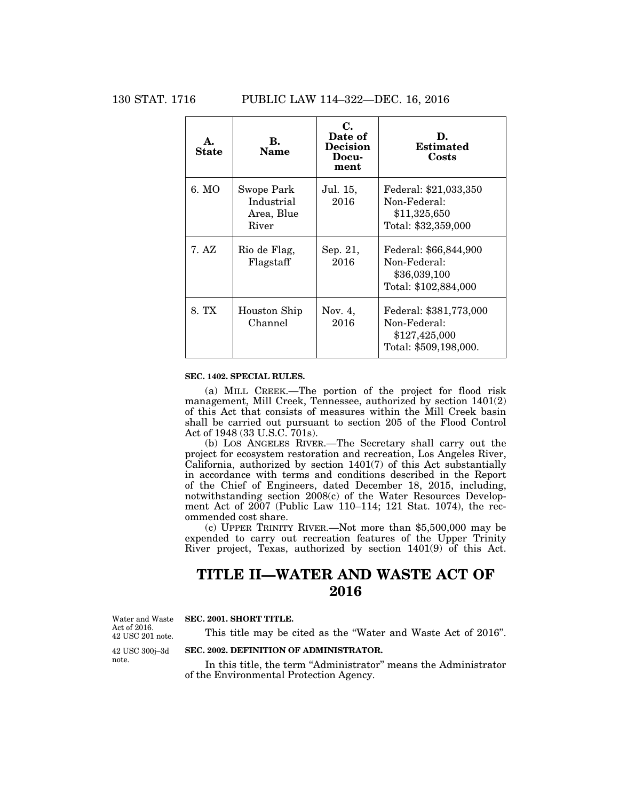| А.<br><b>State</b> | B.<br><b>Name</b>                               | С.<br>Date of<br><b>Decision</b><br>Docu-<br>ment | D.<br><b>Estimated</b><br>Costs                                                  |
|--------------------|-------------------------------------------------|---------------------------------------------------|----------------------------------------------------------------------------------|
| 6. MO              | Swope Park<br>Industrial<br>Area, Blue<br>River | Jul. 15,<br>2016                                  | Federal: \$21,033,350<br>Non-Federal:<br>\$11,325,650<br>Total: \$32,359,000     |
| 7. AZ              | Rio de Flag,<br>Flagstaff                       | Sep. 21,<br>2016                                  | Federal: \$66,844,900<br>Non-Federal:<br>\$36,039,100<br>Total: \$102,884,000    |
| 8. TX              | Houston Ship<br>Channel                         | Nov. 4,<br>2016                                   | Federal: \$381,773,000<br>Non-Federal:<br>\$127,425,000<br>Total: \$509,198,000. |

### **SEC. 1402. SPECIAL RULES.**

(a) MILL CREEK.—The portion of the project for flood risk management, Mill Creek, Tennessee, authorized by section 1401(2) of this Act that consists of measures within the Mill Creek basin shall be carried out pursuant to section 205 of the Flood Control Act of 1948 (33 U.S.C. 701s).

(b) LOS ANGELES RIVER.—The Secretary shall carry out the project for ecosystem restoration and recreation, Los Angeles River, California, authorized by section 1401(7) of this Act substantially in accordance with terms and conditions described in the Report of the Chief of Engineers, dated December 18, 2015, including, notwithstanding section 2008(c) of the Water Resources Development Act of 2007 (Public Law 110–114; 121 Stat. 1074), the recommended cost share.

(c) UPPER TRINITY RIVER.—Not more than \$5,500,000 may be expended to carry out recreation features of the Upper Trinity River project, Texas, authorized by section 1401(9) of this Act.

### **TITLE II—WATER AND WASTE ACT OF 2016**

Water and Waste Act of 2016. 42 USC 201 note.

### **SEC. 2001. SHORT TITLE.**

This title may be cited as the ''Water and Waste Act of 2016''.

42 USC 300j–3d note.

### **SEC. 2002. DEFINITION OF ADMINISTRATOR.**

In this title, the term ''Administrator'' means the Administrator of the Environmental Protection Agency.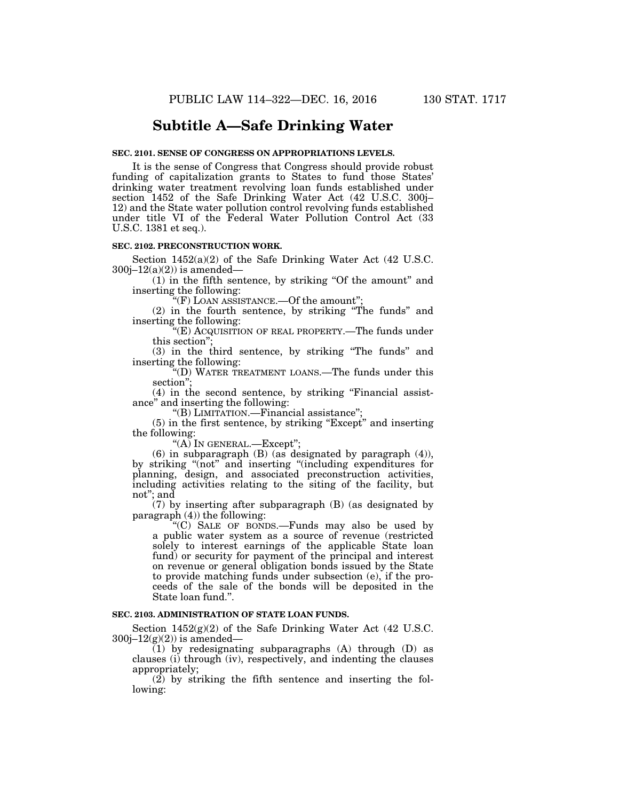### **Subtitle A—Safe Drinking Water**

### **SEC. 2101. SENSE OF CONGRESS ON APPROPRIATIONS LEVELS.**

It is the sense of Congress that Congress should provide robust funding of capitalization grants to States to fund those States' drinking water treatment revolving loan funds established under section 1452 of the Safe Drinking Water Act (42 U.S.C. 300j– 12) and the State water pollution control revolving funds established under title VI of the Federal Water Pollution Control Act (33 U.S.C. 1381 et seq.).

### **SEC. 2102. PRECONSTRUCTION WORK.**

Section 1452(a)(2) of the Safe Drinking Water Act (42 U.S.C.  $300j-12(a)(2)$  is amended—

(1) in the fifth sentence, by striking ''Of the amount'' and inserting the following:

''(F) LOAN ASSISTANCE.—Of the amount'';

(2) in the fourth sentence, by striking ''The funds'' and inserting the following:

''(E) ACQUISITION OF REAL PROPERTY.—The funds under this section'';

(3) in the third sentence, by striking ''The funds'' and inserting the following:

''(D) WATER TREATMENT LOANS.—The funds under this section'';

(4) in the second sentence, by striking ''Financial assistance'' and inserting the following:

''(B) LIMITATION.—Financial assistance'';

 $(5)$  in the first sentence, by striking "Except" and inserting the following:

''(A) IN GENERAL.—Except'';

(6) in subparagraph (B) (as designated by paragraph (4)), by striking "(not" and inserting "(including expenditures for planning, design, and associated preconstruction activities, including activities relating to the siting of the facility, but not''; and

(7) by inserting after subparagraph (B) (as designated by paragraph (4)) the following:

''(C) SALE OF BONDS.—Funds may also be used by a public water system as a source of revenue (restricted solely to interest earnings of the applicable State loan fund) or security for payment of the principal and interest on revenue or general obligation bonds issued by the State to provide matching funds under subsection (e), if the proceeds of the sale of the bonds will be deposited in the State loan fund.''.

### **SEC. 2103. ADMINISTRATION OF STATE LOAN FUNDS.**

Section  $1452(g)(2)$  of the Safe Drinking Water Act (42 U.S.C.  $300j-12(g)(2)$ ) is amended-

 $(1)$  by redesignating subparagraphs  $(A)$  through  $(D)$  as clauses (i) through (iv), respectively, and indenting the clauses appropriately;

(2) by striking the fifth sentence and inserting the following: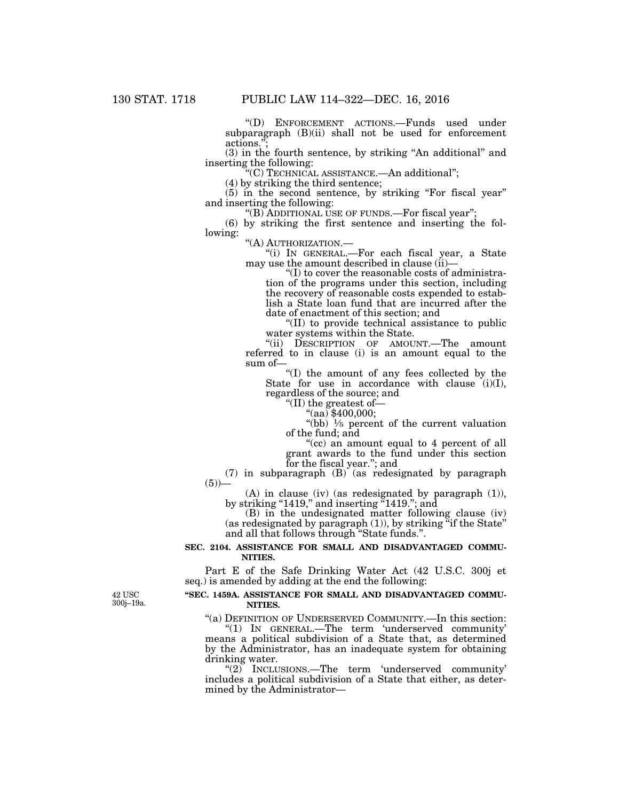''(D) ENFORCEMENT ACTIONS.—Funds used under subparagraph (B)(ii) shall not be used for enforcement actions.

(3) in the fourth sentence, by striking "An additional" and inserting the following:

''(C) TECHNICAL ASSISTANCE.—An additional'';

(4) by striking the third sentence;

(5) in the second sentence, by striking ''For fiscal year'' and inserting the following:

"(B) ADDITIONAL USE OF FUNDS.—For fiscal year";

(6) by striking the first sentence and inserting the following:

''(A) AUTHORIZATION.— ''(i) IN GENERAL.—For each fiscal year, a State may use the amount described in clause  $(ii)$ —

''(I) to cover the reasonable costs of administration of the programs under this section, including the recovery of reasonable costs expended to establish a State loan fund that are incurred after the date of enactment of this section; and

''(II) to provide technical assistance to public water systems within the State.

''(ii) DESCRIPTION OF AMOUNT.—The amount referred to in clause (i) is an amount equal to the sum of—

''(I) the amount of any fees collected by the State for use in accordance with clause (i)(I), regardless of the source; and

"(II) the greatest of  $\stackrel{\text{{\small -}}}{{}}$ "(aa) \$400,000;

"(bb)  $\frac{1}{5}$  percent of the current valuation of the fund; and

"(cc) an amount equal to 4 percent of all grant awards to the fund under this section for the fiscal year.''; and

(7) in subparagraph  $(B)$  (as redesignated by paragraph  $(5)$ )–

(A) in clause (iv) (as redesignated by paragraph (1)), by striking "1419," and inserting "1419."; and

(B) in the undesignated matter following clause (iv) (as redesignated by paragraph  $(1)$ ), by striking "if the State" and all that follows through ''State funds.''.

### **SEC. 2104. ASSISTANCE FOR SMALL AND DISADVANTAGED COMMU-NITIES.**

Part E of the Safe Drinking Water Act (42 U.S.C. 300j et seq.) is amended by adding at the end the following:

**''SEC. 1459A. ASSISTANCE FOR SMALL AND DISADVANTAGED COMMU-NITIES.** 

''(a) DEFINITION OF UNDERSERVED COMMUNITY.—In this section:

''(1) IN GENERAL.—The term 'underserved community' means a political subdivision of a State that, as determined by the Administrator, has an inadequate system for obtaining drinking water.

"(2) INCLUSIONS.—The term 'underserved community' includes a political subdivision of a State that either, as determined by the Administrator—

42 USC 300j–19a.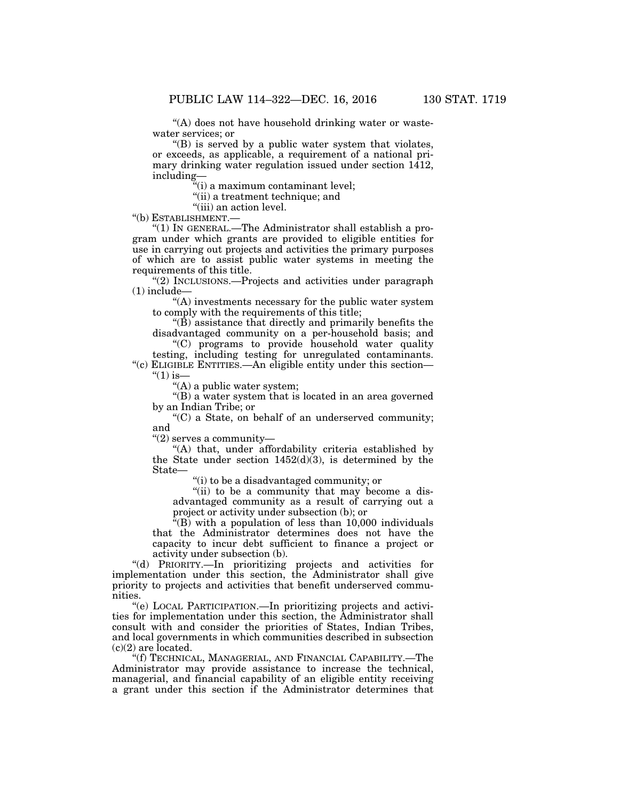"(A) does not have household drinking water or wastewater services; or

 $'(B)$  is served by a public water system that violates, or exceeds, as applicable, a requirement of a national primary drinking water regulation issued under section  $1412$ , including—

''(i) a maximum contaminant level;

''(ii) a treatment technique; and

"(iii) an action level.

''(b) ESTABLISHMENT.—

''(1) IN GENERAL.—The Administrator shall establish a program under which grants are provided to eligible entities for use in carrying out projects and activities the primary purposes of which are to assist public water systems in meeting the requirements of this title.

''(2) INCLUSIONS.—Projects and activities under paragraph (1) include—

''(A) investments necessary for the public water system to comply with the requirements of this title;

 $\mathcal{L}(\tilde{B})$  assistance that directly and primarily benefits the disadvantaged community on a per-household basis; and ''(C) programs to provide household water quality

testing, including testing for unregulated contaminants. ''(c) ELIGIBLE ENTITIES.—An eligible entity under this section—

" $(1)$  is—

''(A) a public water system;

''(B) a water system that is located in an area governed by an Indian Tribe; or

''(C) a State, on behalf of an underserved community; and

''(2) serves a community—

"(A) that, under affordability criteria established by the State under section  $1452(d)(3)$ , is determined by the State—

''(i) to be a disadvantaged community; or

"(ii) to be a community that may become a disadvantaged community as a result of carrying out a project or activity under subsection (b); or

''(B) with a population of less than 10,000 individuals that the Administrator determines does not have the capacity to incur debt sufficient to finance a project or activity under subsection (b).

''(d) PRIORITY.—In prioritizing projects and activities for implementation under this section, the Administrator shall give priority to projects and activities that benefit underserved communities.

''(e) LOCAL PARTICIPATION.—In prioritizing projects and activities for implementation under this section, the Administrator shall consult with and consider the priorities of States, Indian Tribes, and local governments in which communities described in subsection  $(c)(2)$  are located.

''(f) TECHNICAL, MANAGERIAL, AND FINANCIAL CAPABILITY.—The Administrator may provide assistance to increase the technical, managerial, and financial capability of an eligible entity receiving a grant under this section if the Administrator determines that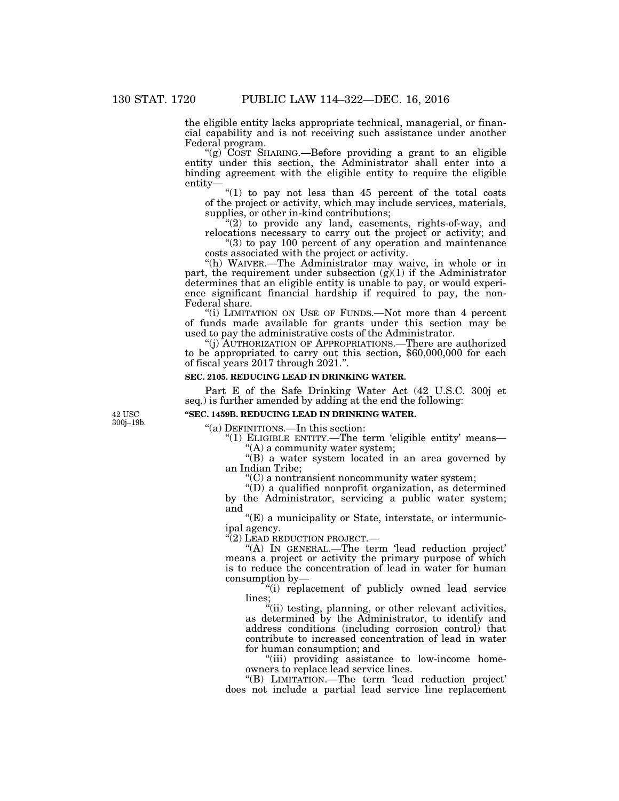the eligible entity lacks appropriate technical, managerial, or financial capability and is not receiving such assistance under another Federal program.

"(g)  $\overline{COST}$  SHARING.—Before providing a grant to an eligible entity under this section, the Administrator shall enter into a binding agreement with the eligible entity to require the eligible entity—

"(1) to pay not less than 45 percent of the total costs of the project or activity, which may include services, materials, supplies, or other in-kind contributions;

 $''(2)$  to provide any land, easements, rights-of-way, and

relocations necessary to carry out the project or activity; and ''(3) to pay 100 percent of any operation and maintenance costs associated with the project or activity.

''(h) WAIVER.—The Administrator may waive, in whole or in part, the requirement under subsection  $(g)(1)$  if the Administrator determines that an eligible entity is unable to pay, or would experience significant financial hardship if required to pay, the non-Federal share.

''(i) LIMITATION ON USE OF FUNDS.—Not more than 4 percent of funds made available for grants under this section may be used to pay the administrative costs of the Administrator.

''(j) AUTHORIZATION OF APPROPRIATIONS.—There are authorized to be appropriated to carry out this section, \$60,000,000 for each of fiscal years 2017 through 2021.''.

### **SEC. 2105. REDUCING LEAD IN DRINKING WATER.**

Part E of the Safe Drinking Water Act (42 U.S.C. 300j et seq.) is further amended by adding at the end the following:

### **''SEC. 1459B. REDUCING LEAD IN DRINKING WATER.**

42 USC 300j–19b.

''(a) DEFINITIONS.—In this section:

"(1) ELIGIBLE ENTITY.—The term 'eligible entity' means— ''(A) a community water system;

''(B) a water system located in an area governed by an Indian Tribe;

''(C) a nontransient noncommunity water system;

''(D) a qualified nonprofit organization, as determined by the Administrator, servicing a public water system; and

 $E(E)$  a municipality or State, interstate, or intermunicipal agency.<br>"(2) LEAD REDUCTION PROJECT.—

"(A) IN GENERAL.—The term 'lead reduction project' means a project or activity the primary purpose of which is to reduce the concentration of lead in water for human consumption by—

''(i) replacement of publicly owned lead service lines;

"(ii) testing, planning, or other relevant activities, as determined by the Administrator, to identify and address conditions (including corrosion control) that contribute to increased concentration of lead in water for human consumption; and

"(iii) providing assistance to low-income homeowners to replace lead service lines.

''(B) LIMITATION.—The term 'lead reduction project' does not include a partial lead service line replacement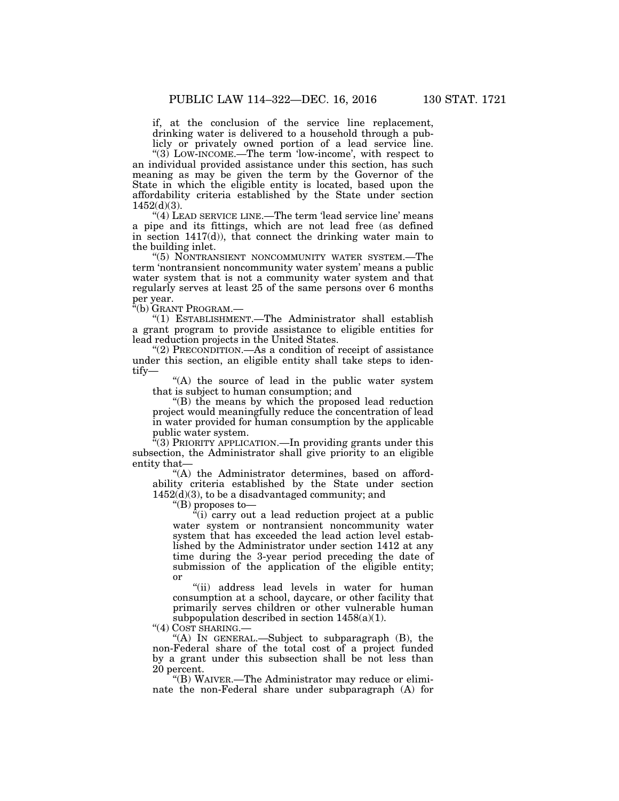if, at the conclusion of the service line replacement, drinking water is delivered to a household through a publicly or privately owned portion of a lead service line.

''(3) LOW-INCOME.—The term 'low-income', with respect to an individual provided assistance under this section, has such meaning as may be given the term by the Governor of the State in which the eligible entity is located, based upon the affordability criteria established by the State under section  $1452(d)(3)$ .

''(4) LEAD SERVICE LINE.—The term 'lead service line' means a pipe and its fittings, which are not lead free (as defined in section 1417(d)), that connect the drinking water main to the building inlet.

"(5) NONTRANSIENT NONCOMMUNITY WATER SYSTEM.—The term 'nontransient noncommunity water system' means a public water system that is not a community water system and that regularly serves at least 25 of the same persons over 6 months per year.

''(b) GRANT PROGRAM.—

''(1) ESTABLISHMENT.—The Administrator shall establish a grant program to provide assistance to eligible entities for lead reduction projects in the United States.

''(2) PRECONDITION.—As a condition of receipt of assistance under this section, an eligible entity shall take steps to identify—

"(A) the source of lead in the public water system that is subject to human consumption; and

''(B) the means by which the proposed lead reduction project would meaningfully reduce the concentration of lead in water provided for human consumption by the applicable public water system.

''(3) PRIORITY APPLICATION.—In providing grants under this subsection, the Administrator shall give priority to an eligible entity that—

''(A) the Administrator determines, based on affordability criteria established by the State under section  $1452(d)(3)$ , to be a disadvantaged community; and

''(B) proposes to—

''(i) carry out a lead reduction project at a public water system or nontransient noncommunity water system that has exceeded the lead action level established by the Administrator under section 1412 at any time during the 3-year period preceding the date of submission of the application of the eligible entity; or

''(ii) address lead levels in water for human consumption at a school, daycare, or other facility that primarily serves children or other vulnerable human subpopulation described in section  $1458(a)(1)$ .

"(4) COST SHARING .-

"(A) IN GENERAL.—Subject to subparagraph  $(B)$ , the non-Federal share of the total cost of a project funded by a grant under this subsection shall be not less than 20 percent.

''(B) WAIVER.—The Administrator may reduce or eliminate the non-Federal share under subparagraph (A) for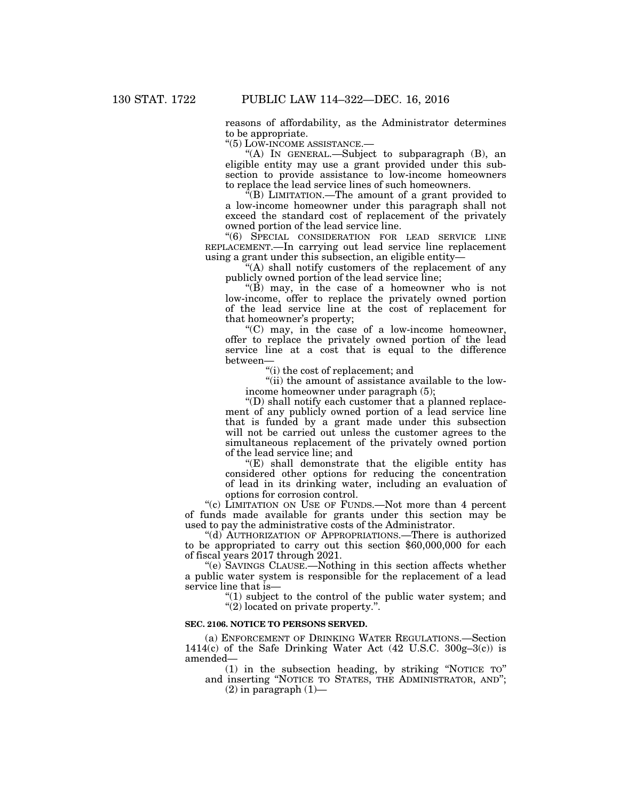reasons of affordability, as the Administrator determines to be appropriate.

''(5) LOW-INCOME ASSISTANCE.—

''(A) IN GENERAL.—Subject to subparagraph (B), an eligible entity may use a grant provided under this subsection to provide assistance to low-income homeowners to replace the lead service lines of such homeowners.

 $\hat{H}(B)$  LIMITATION.—The amount of a grant provided to a low-income homeowner under this paragraph shall not exceed the standard cost of replacement of the privately owned portion of the lead service line.

''(6) SPECIAL CONSIDERATION FOR LEAD SERVICE LINE REPLACEMENT.—In carrying out lead service line replacement using a grant under this subsection, an eligible entity—

''(A) shall notify customers of the replacement of any publicly owned portion of the lead service line;

 $( B )$  may, in the case of a homeowner who is not low-income, offer to replace the privately owned portion of the lead service line at the cost of replacement for that homeowner's property;

 $(C)$  may, in the case of a low-income homeowner, offer to replace the privately owned portion of the lead service line at a cost that is equal to the difference between—

''(i) the cost of replacement; and

"(ii) the amount of assistance available to the lowincome homeowner under paragraph (5);

''(D) shall notify each customer that a planned replacement of any publicly owned portion of a lead service line that is funded by a grant made under this subsection will not be carried out unless the customer agrees to the simultaneous replacement of the privately owned portion of the lead service line; and

 $(E)$  shall demonstrate that the eligible entity has considered other options for reducing the concentration of lead in its drinking water, including an evaluation of options for corrosion control.

"(c) LIMITATION ON USE OF FUNDS.—Not more than 4 percent of funds made available for grants under this section may be used to pay the administrative costs of the Administrator.

''(d) AUTHORIZATION OF APPROPRIATIONS.—There is authorized to be appropriated to carry out this section \$60,000,000 for each of fiscal years 2017 through 2021.

''(e) SAVINGS CLAUSE.—Nothing in this section affects whether a public water system is responsible for the replacement of a lead service line that is—

''(1) subject to the control of the public water system; and  $\mathcal{L}(2)$  located on private property.".

#### **SEC. 2106. NOTICE TO PERSONS SERVED.**

(a) ENFORCEMENT OF DRINKING WATER REGULATIONS.—Section 1414(c) of the Safe Drinking Water Act (42 U.S.C. 300g–3(c)) is amended—

(1) in the subsection heading, by striking ''NOTICE TO'' and inserting ''NOTICE TO STATES, THE ADMINISTRATOR, AND'';

 $(2)$  in paragraph  $(1)$ —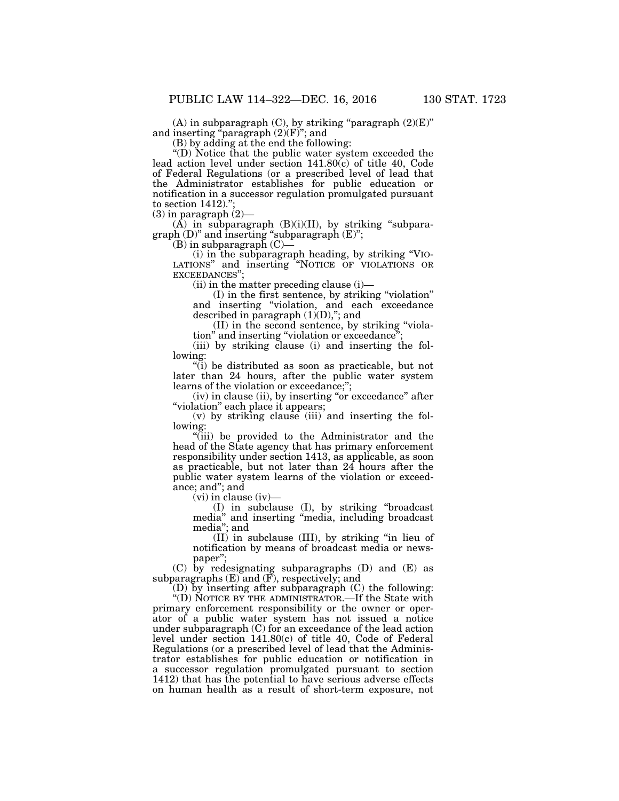(A) in subparagraph  $(C)$ , by striking "paragraph  $(2)(E)$ " and inserting "paragraph  $(2)(F)$ "; and

(B) by adding at the end the following:

''(D) Notice that the public water system exceeded the lead action level under section 141.80(c) of title 40, Code of Federal Regulations (or a prescribed level of lead that the Administrator establishes for public education or notification in a successor regulation promulgated pursuant to section  $1412$ ."

 $(3)$  in paragraph  $(2)$ —

 $(A)$  in subparagraph  $(B)(i)(II)$ , by striking "subpara $graph (D)$ " and inserting "subparagraph  $(E)$ ";

 $(B)$  in subparagraph  $(C)$ -

(i) in the subparagraph heading, by striking ''VIO- LATIONS'' and inserting ''NOTICE OF VIOLATIONS OR EXCEEDANCES'';

 $(ii)$  in the matter preceding clause  $(i)$ —

(I) in the first sentence, by striking ''violation'' and inserting ''violation, and each exceedance described in paragraph  $(1)(D)$ ,"; and

(II) in the second sentence, by striking ''violation'' and inserting ''violation or exceedance'';

(iii) by striking clause (i) and inserting the following:

''(i) be distributed as soon as practicable, but not later than 24 hours, after the public water system learns of the violation or exceedance;'';

(iv) in clause (ii), by inserting ''or exceedance'' after "violation" each place it appears;

(v) by striking clause (iii) and inserting the following:

''(iii) be provided to the Administrator and the head of the State agency that has primary enforcement responsibility under section 1413, as applicable, as soon as practicable, but not later than 24 hours after the public water system learns of the violation or exceedance; and''; and

(vi) in clause (iv)—

(I) in subclause (I), by striking ''broadcast media'' and inserting ''media, including broadcast media''; and

(II) in subclause (III), by striking ''in lieu of notification by means of broadcast media or newspaper'';

(C) by redesignating subparagraphs  $(D)$  and  $(E)$  as subparagraphs (E) and (F), respectively; and

(D) by inserting after subparagraph (C) the following:

''(D) NOTICE BY THE ADMINISTRATOR.—If the State with primary enforcement responsibility or the owner or operator of a public water system has not issued a notice under subparagraph (C) for an exceedance of the lead action level under section 141.80(c) of title 40, Code of Federal Regulations (or a prescribed level of lead that the Administrator establishes for public education or notification in a successor regulation promulgated pursuant to section 1412) that has the potential to have serious adverse effects on human health as a result of short-term exposure, not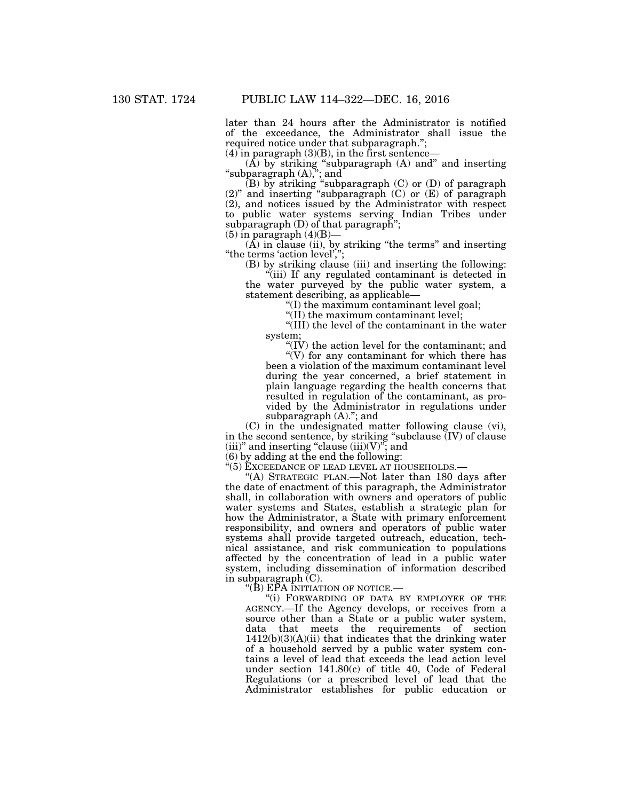later than 24 hours after the Administrator is notified of the exceedance, the Administrator shall issue the required notice under that subparagraph.'';

 $(4)$  in paragraph  $(3)(B)$ , in the first sentence-

(A) by striking ''subparagraph (A) and'' and inserting "subparagraph  $(A)$ ,"; and

 $(B)$  by striking "subparagraph  $(C)$  or  $(D)$  of paragraph  $(2)$ " and inserting "subparagraph  $(C)$  or  $(E)$  of paragraph (2), and notices issued by the Administrator with respect to public water systems serving Indian Tribes under subparagraph (D) of that paragraph";

 $(5)$  in paragraph  $(4)(B)$ 

 $(A)$  in clause (ii), by striking "the terms" and inserting "the terms 'action level',";

(B) by striking clause (iii) and inserting the following:

''(iii) If any regulated contaminant is detected in the water purveyed by the public water system, a statement describing, as applicable—

''(I) the maximum contaminant level goal;

''(II) the maximum contaminant level;

"(III) the level of the contaminant in the water system;

 $f(W)$  the action level for the contaminant; and

"(V) for any contaminant for which there has been a violation of the maximum contaminant level during the year concerned, a brief statement in plain language regarding the health concerns that resulted in regulation of the contaminant, as provided by the Administrator in regulations under subparagraph (A).''; and

(C) in the undesignated matter following clause (vi), in the second sentence, by striking ''subclause (IV) of clause (iii)" and inserting "clause (iii) $(V)$ "; and

(6) by adding at the end the following:

"(A) STRATEGIC PLAN.—Not later than 180 days after the date of enactment of this paragraph, the Administrator shall, in collaboration with owners and operators of public water systems and States, establish a strategic plan for how the Administrator, a State with primary enforcement responsibility, and owners and operators of public water systems shall provide targeted outreach, education, technical assistance, and risk communication to populations affected by the concentration of lead in a public water system, including dissemination of information described in subparagraph (C).

''(B) EPA INITIATION OF NOTICE.—

''(i) FORWARDING OF DATA BY EMPLOYEE OF THE AGENCY.—If the Agency develops, or receives from a source other than a State or a public water system, data that meets the requirements of section  $1412(b)(3)(A)(ii)$  that indicates that the drinking water of a household served by a public water system contains a level of lead that exceeds the lead action level under section 141.80(c) of title 40, Code of Federal Regulations (or a prescribed level of lead that the Administrator establishes for public education or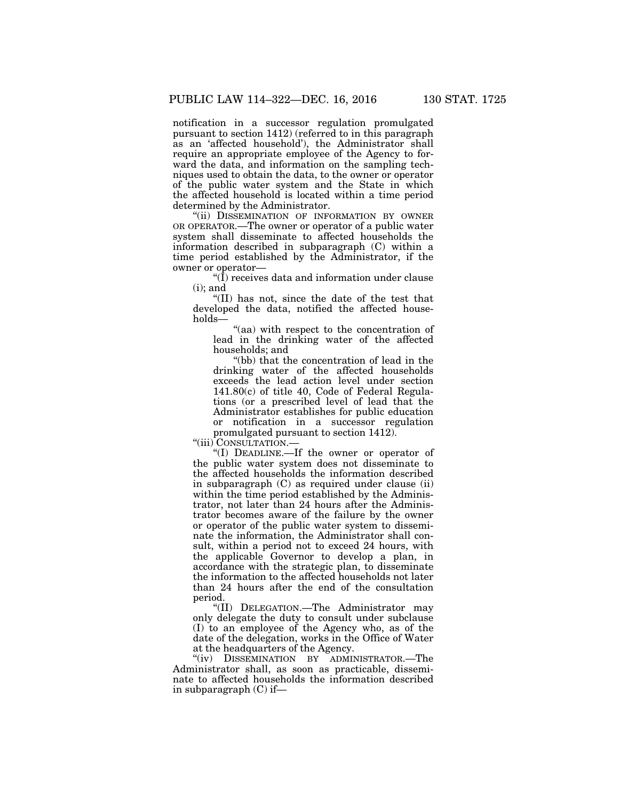notification in a successor regulation promulgated pursuant to section 1412) (referred to in this paragraph as an 'affected household'), the Administrator shall require an appropriate employee of the Agency to forward the data, and information on the sampling techniques used to obtain the data, to the owner or operator of the public water system and the State in which the affected household is located within a time period determined by the Administrator.

"(ii) DISSEMINATION OF INFORMATION BY OWNER OR OPERATOR.—The owner or operator of a public water system shall disseminate to affected households the information described in subparagraph (C) within a time period established by the Administrator, if the owner or operator—

" $(\overline{I})$  receives data and information under clause  $(i)$ ; and

''(II) has not, since the date of the test that developed the data, notified the affected households—

"(aa) with respect to the concentration of lead in the drinking water of the affected households; and

''(bb) that the concentration of lead in the drinking water of the affected households exceeds the lead action level under section 141.80(c) of title 40, Code of Federal Regulations (or a prescribed level of lead that the Administrator establishes for public education or notification in a successor regulation promulgated pursuant to section 1412).

''(iii) CONSULTATION.—

''(I) DEADLINE.—If the owner or operator of the public water system does not disseminate to the affected households the information described in subparagraph (C) as required under clause (ii) within the time period established by the Administrator, not later than 24 hours after the Administrator becomes aware of the failure by the owner or operator of the public water system to disseminate the information, the Administrator shall consult, within a period not to exceed 24 hours, with the applicable Governor to develop a plan, in accordance with the strategic plan, to disseminate the information to the affected households not later than 24 hours after the end of the consultation period.

''(II) DELEGATION.—The Administrator may only delegate the duty to consult under subclause (I) to an employee of the Agency who, as of the date of the delegation, works in the Office of Water at the headquarters of the Agency.

"(iv) DISSEMINATION BY ADMINISTRATOR.—The Administrator shall, as soon as practicable, disseminate to affected households the information described in subparagraph (C) if—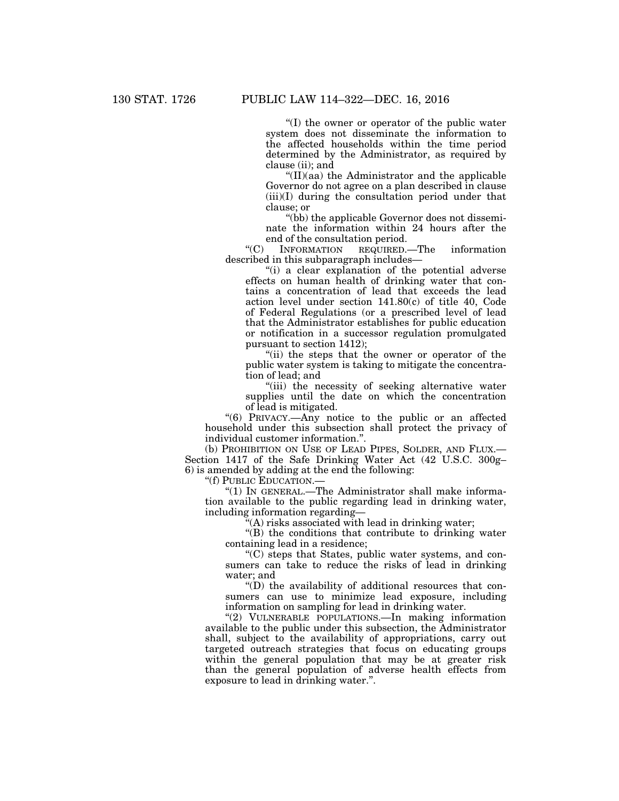''(I) the owner or operator of the public water system does not disseminate the information to the affected households within the time period determined by the Administrator, as required by clause (ii); and

 $\text{``(II)}$ (aa) the Administrator and the applicable Governor do not agree on a plan described in clause (iii)(I) during the consultation period under that clause; or

''(bb) the applicable Governor does not disseminate the information within 24 hours after the end of the consultation period.<br>"(C) INFORMATION REQUIRED.

REQUIRED.—The information described in this subparagraph includes—

''(i) a clear explanation of the potential adverse effects on human health of drinking water that contains a concentration of lead that exceeds the lead action level under section 141.80(c) of title 40, Code of Federal Regulations (or a prescribed level of lead that the Administrator establishes for public education or notification in a successor regulation promulgated pursuant to section 1412);

''(ii) the steps that the owner or operator of the public water system is taking to mitigate the concentration of lead; and

"(iii) the necessity of seeking alternative water supplies until the date on which the concentration of lead is mitigated.

''(6) PRIVACY.—Any notice to the public or an affected household under this subsection shall protect the privacy of individual customer information.''.

(b) PROHIBITION ON USE OF LEAD PIPES, SOLDER, AND FLUX.— Section 1417 of the Safe Drinking Water Act (42 U.S.C. 300g– 6) is amended by adding at the end the following:

''(f) PUBLIC EDUCATION.—

"(1) IN GENERAL.—The Administrator shall make information available to the public regarding lead in drinking water, including information regarding—

 $(A)$  risks associated with lead in drinking water;

''(B) the conditions that contribute to drinking water containing lead in a residence;

''(C) steps that States, public water systems, and consumers can take to reduce the risks of lead in drinking water; and

''(D) the availability of additional resources that consumers can use to minimize lead exposure, including information on sampling for lead in drinking water.

''(2) VULNERABLE POPULATIONS.—In making information available to the public under this subsection, the Administrator shall, subject to the availability of appropriations, carry out targeted outreach strategies that focus on educating groups within the general population that may be at greater risk than the general population of adverse health effects from exposure to lead in drinking water.''.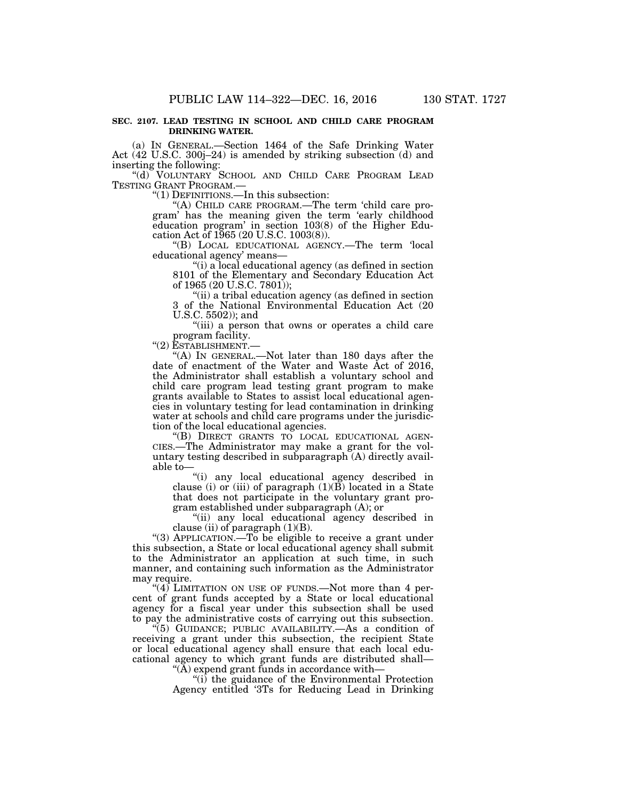#### **SEC. 2107. LEAD TESTING IN SCHOOL AND CHILD CARE PROGRAM DRINKING WATER.**

(a) IN GENERAL.—Section 1464 of the Safe Drinking Water Act (42 U.S.C. 300j–24) is amended by striking subsection (d) and inserting the following:

''(d) VOLUNTARY SCHOOL AND CHILD CARE PROGRAM LEAD TESTING GRANT PROGRAM.—<br>"(1) DEFINITIONS.—In this subsection:

''(A) CHILD CARE PROGRAM.—The term 'child care program' has the meaning given the term 'early childhood education program' in section 103(8) of the Higher Education Act of 1965 (20 U.S.C. 1003(8)).

''(B) LOCAL EDUCATIONAL AGENCY.—The term 'local educational agency' means—

''(i) a local educational agency (as defined in section 8101 of the Elementary and Secondary Education Act of 1965 (20 U.S.C. 7801));

''(ii) a tribal education agency (as defined in section 3 of the National Environmental Education Act (20 U.S.C. 5502)); and

''(iii) a person that owns or operates a child care program facility.

''(2) ESTABLISHMENT.—

''(A) IN GENERAL.—Not later than 180 days after the date of enactment of the Water and Waste Act of 2016, the Administrator shall establish a voluntary school and child care program lead testing grant program to make grants available to States to assist local educational agencies in voluntary testing for lead contamination in drinking water at schools and child care programs under the jurisdiction of the local educational agencies.

''(B) DIRECT GRANTS TO LOCAL EDUCATIONAL AGEN-CIES.—The Administrator may make a grant for the voluntary testing described in subparagraph (A) directly available to—

''(i) any local educational agency described in clause (i) or (iii) of paragraph  $(1)(B)$  located in a State that does not participate in the voluntary grant program established under subparagraph (A); or

''(ii) any local educational agency described in clause (ii) of paragraph  $(1)(B)$ .

''(3) APPLICATION.—To be eligible to receive a grant under this subsection, a State or local educational agency shall submit to the Administrator an application at such time, in such manner, and containing such information as the Administrator may require.

" $(4)$  LIMITATION ON USE OF FUNDS.—Not more than 4 percent of grant funds accepted by a State or local educational agency for a fiscal year under this subsection shall be used to pay the administrative costs of carrying out this subsection.

''(5) GUIDANCE; PUBLIC AVAILABILITY.—As a condition of receiving a grant under this subsection, the recipient State or local educational agency shall ensure that each local educational agency to which grant funds are distributed shall—

''(A) expend grant funds in accordance with—

 $(ii)$  the guidance of the Environmental Protection Agency entitled '3Ts for Reducing Lead in Drinking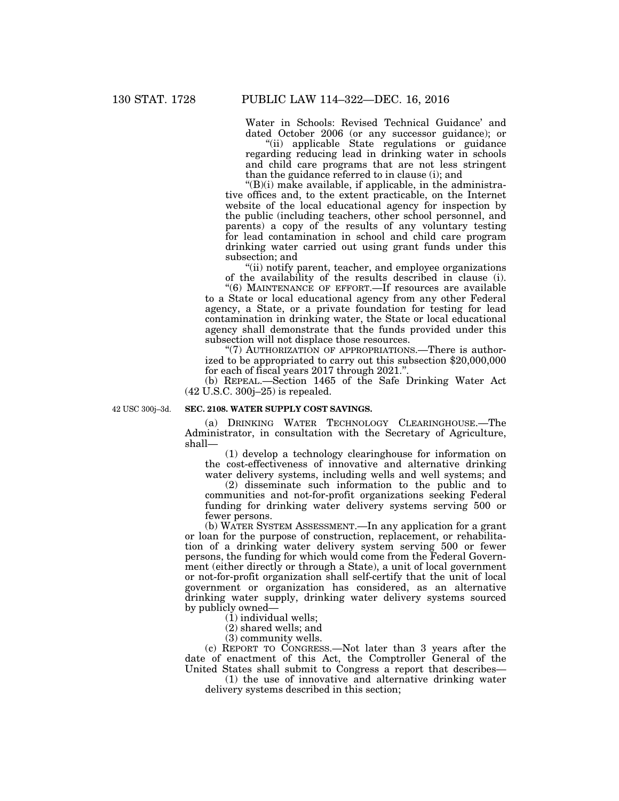Water in Schools: Revised Technical Guidance' and dated October 2006 (or any successor guidance); or

''(ii) applicable State regulations or guidance regarding reducing lead in drinking water in schools and child care programs that are not less stringent than the guidance referred to in clause (i); and

''(B)(i) make available, if applicable, in the administrative offices and, to the extent practicable, on the Internet website of the local educational agency for inspection by the public (including teachers, other school personnel, and parents) a copy of the results of any voluntary testing for lead contamination in school and child care program drinking water carried out using grant funds under this subsection; and

''(ii) notify parent, teacher, and employee organizations of the availability of the results described in clause (i).

"(6) MAINTENANCE OF EFFORT. If resources are available to a State or local educational agency from any other Federal agency, a State, or a private foundation for testing for lead contamination in drinking water, the State or local educational agency shall demonstrate that the funds provided under this subsection will not displace those resources.

"(7) AUTHORIZATION OF APPROPRIATIONS.—There is authorized to be appropriated to carry out this subsection \$20,000,000 for each of fiscal years 2017 through 2021.''.

(b) REPEAL.—Section 1465 of the Safe Drinking Water Act (42 U.S.C. 300j–25) is repealed.

42 USC 300j–3d.

### **SEC. 2108. WATER SUPPLY COST SAVINGS.**

(a) DRINKING WATER TECHNOLOGY CLEARINGHOUSE.—The Administrator, in consultation with the Secretary of Agriculture, shall—

(1) develop a technology clearinghouse for information on the cost-effectiveness of innovative and alternative drinking water delivery systems, including wells and well systems; and

(2) disseminate such information to the public and to communities and not-for-profit organizations seeking Federal funding for drinking water delivery systems serving 500 or fewer persons.

(b) WATER SYSTEM ASSESSMENT.—In any application for a grant or loan for the purpose of construction, replacement, or rehabilitation of a drinking water delivery system serving 500 or fewer persons, the funding for which would come from the Federal Government (either directly or through a State), a unit of local government or not-for-profit organization shall self-certify that the unit of local government or organization has considered, as an alternative drinking water supply, drinking water delivery systems sourced by publicly owned—

 $(i)$  individual wells;

(2) shared wells; and

(3) community wells.

(c) REPORT TO CONGRESS.—Not later than 3 years after the date of enactment of this Act, the Comptroller General of the United States shall submit to Congress a report that describes—

(1) the use of innovative and alternative drinking water delivery systems described in this section;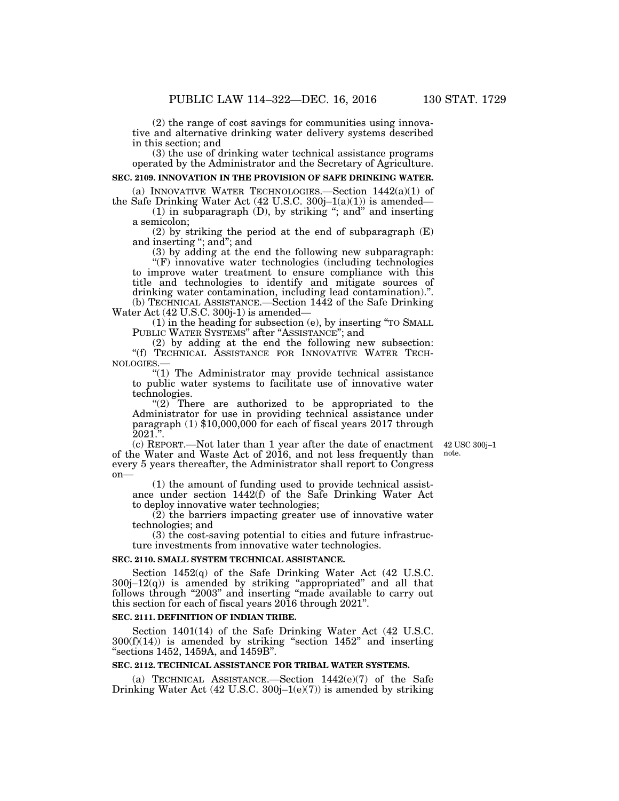(2) the range of cost savings for communities using innovative and alternative drinking water delivery systems described in this section; and

(3) the use of drinking water technical assistance programs operated by the Administrator and the Secretary of Agriculture.

#### **SEC. 2109. INNOVATION IN THE PROVISION OF SAFE DRINKING WATER.**

(a) INNOVATIVE WATER TECHNOLOGIES.—Section  $1442(a)(1)$  of the Safe Drinking Water Act (42 U.S.C. 300j–1(a)(1)) is amended—

(1) in subparagraph (D), by striking ''; and'' and inserting a semicolon;

(2) by striking the period at the end of subparagraph (E) and inserting ''; and''; and

(3) by adding at the end the following new subparagraph:

''(F) innovative water technologies (including technologies to improve water treatment to ensure compliance with this title and technologies to identify and mitigate sources of drinking water contamination, including lead contamination).''. (b) TECHNICAL ASSISTANCE.—Section 1442 of the Safe Drinking Water Act (42 U.S.C. 300j-1) is amended—

(1) in the heading for subsection (e), by inserting ''TO SMALL PUBLIC WATER SYSTEMS" after "ASSISTANCE"; and

(2) by adding at the end the following new subsection: "(f) TECHNICAL ASSISTANCE FOR INNOVATIVE WATER TECH-NOLOGIES.—

''(1) The Administrator may provide technical assistance to public water systems to facilitate use of innovative water technologies.

" $(2)$  There are authorized to be appropriated to the Administrator for use in providing technical assistance under paragraph (1) \$10,000,000 for each of fiscal years 2017 through  $2021$ .".

note.

(c) REPORT.—Not later than 1 year after the date of enactment 42 USC 300j–1 of the Water and Waste Act of 2016, and not less frequently than every 5 years thereafter, the Administrator shall report to Congress on—

(1) the amount of funding used to provide technical assistance under section 1442(f) of the Safe Drinking Water Act to deploy innovative water technologies;

(2) the barriers impacting greater use of innovative water technologies; and

(3) the cost-saving potential to cities and future infrastructure investments from innovative water technologies.

### **SEC. 2110. SMALL SYSTEM TECHNICAL ASSISTANCE.**

Section 1452(q) of the Safe Drinking Water Act (42 U.S.C.  $300j-12(q)$  is amended by striking "appropriated" and all that follows through "2003" and inserting "made available to carry out this section for each of fiscal years 2016 through 2021''.

### **SEC. 2111. DEFINITION OF INDIAN TRIBE.**

Section 1401(14) of the Safe Drinking Water Act (42 U.S.C.  $300(f)(14)$  is amended by striking "section  $1452$ " and inserting ''sections 1452, 1459A, and 1459B''.

#### **SEC. 2112. TECHNICAL ASSISTANCE FOR TRIBAL WATER SYSTEMS.**

(a) TECHNICAL ASSISTANCE.—Section  $1442(e)(7)$  of the Safe Drinking Water Act  $(42 \text{ U.S.C. } 300j-1(e)(7))$  is amended by striking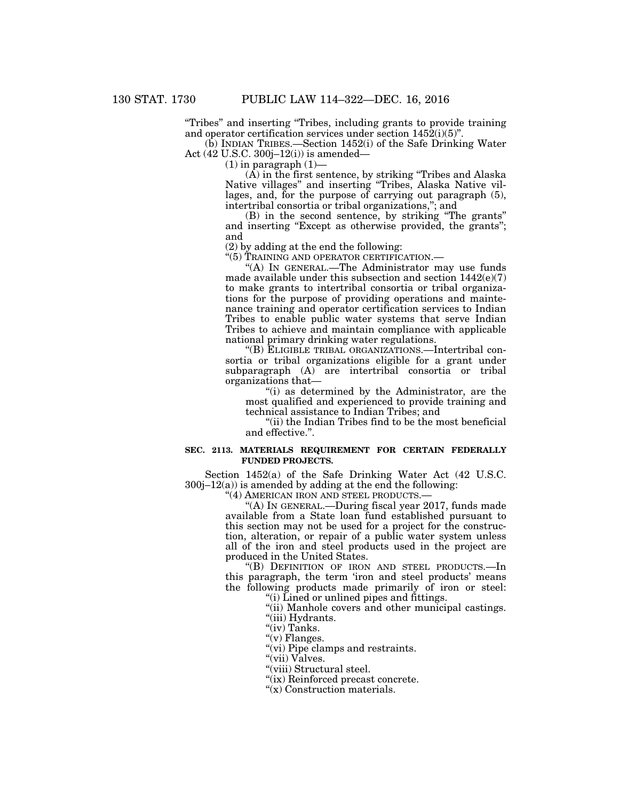''Tribes'' and inserting ''Tribes, including grants to provide training and operator certification services under section  $145\overline{2}$ (i)(5)".

(b) INDIAN TRIBES.—Section 1452(i) of the Safe Drinking Water Act (42 U.S.C. 300j–12(i)) is amended—

 $(1)$  in paragraph  $(1)$ —

(A) in the first sentence, by striking ''Tribes and Alaska Native villages'' and inserting ''Tribes, Alaska Native villages, and, for the purpose of carrying out paragraph (5), intertribal consortia or tribal organizations,''; and

(B) in the second sentence, by striking ''The grants'' and inserting "Except as otherwise provided, the grants"; and

(2) by adding at the end the following:

''(5) TRAINING AND OPERATOR CERTIFICATION.—

''(A) IN GENERAL.—The Administrator may use funds made available under this subsection and section 1442(e)(7) to make grants to intertribal consortia or tribal organizations for the purpose of providing operations and maintenance training and operator certification services to Indian Tribes to enable public water systems that serve Indian Tribes to achieve and maintain compliance with applicable national primary drinking water regulations.

''(B) ELIGIBLE TRIBAL ORGANIZATIONS.—Intertribal consortia or tribal organizations eligible for a grant under subparagraph (A) are intertribal consortia or tribal organizations that—

''(i) as determined by the Administrator, are the most qualified and experienced to provide training and technical assistance to Indian Tribes; and

"(ii) the Indian Tribes find to be the most beneficial and effective.''.

### **SEC. 2113. MATERIALS REQUIREMENT FOR CERTAIN FEDERALLY FUNDED PROJECTS.**

Section 1452(a) of the Safe Drinking Water Act (42 U.S.C.  $300j-12(a)$  is amended by adding at the end the following:

''(4) AMERICAN IRON AND STEEL PRODUCTS.—

''(A) IN GENERAL.—During fiscal year 2017, funds made available from a State loan fund established pursuant to this section may not be used for a project for the construction, alteration, or repair of a public water system unless all of the iron and steel products used in the project are produced in the United States.

''(B) DEFINITION OF IRON AND STEEL PRODUCTS.—In this paragraph, the term 'iron and steel products' means the following products made primarily of iron or steel:

''(i) Lined or unlined pipes and fittings.

"(ii) Manhole covers and other municipal castings. "(iii) Hydrants.

"(iv) Tanks.

"(v) Flanges.

"(vi) Pipe clamps and restraints.

"(vii) Valves.

''(viii) Structural steel.

"(ix) Reinforced precast concrete.

"(x) Construction materials.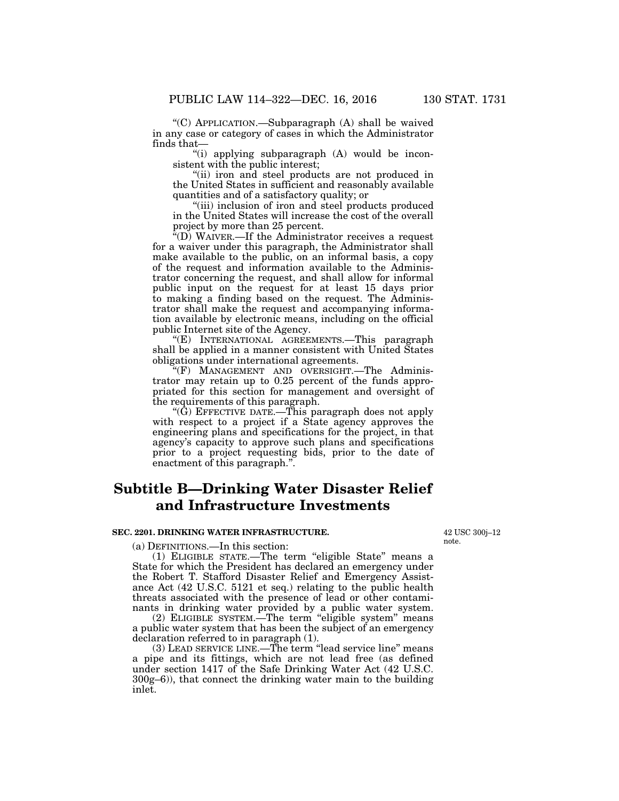''(C) APPLICATION.—Subparagraph (A) shall be waived in any case or category of cases in which the Administrator finds that—

''(i) applying subparagraph (A) would be inconsistent with the public interest;

''(ii) iron and steel products are not produced in the United States in sufficient and reasonably available quantities and of a satisfactory quality; or

''(iii) inclusion of iron and steel products produced in the United States will increase the cost of the overall project by more than 25 percent.

''(D) WAIVER.—If the Administrator receives a request for a waiver under this paragraph, the Administrator shall make available to the public, on an informal basis, a copy of the request and information available to the Administrator concerning the request, and shall allow for informal public input on the request for at least 15 days prior to making a finding based on the request. The Administrator shall make the request and accompanying information available by electronic means, including on the official public Internet site of the Agency.

''(E) INTERNATIONAL AGREEMENTS.—This paragraph shall be applied in a manner consistent with United States obligations under international agreements.

''(F) MANAGEMENT AND OVERSIGHT.—The Administrator may retain up to 0.25 percent of the funds appropriated for this section for management and oversight of the requirements of this paragraph.

''(G) EFFECTIVE DATE.—This paragraph does not apply with respect to a project if a State agency approves the engineering plans and specifications for the project, in that agency's capacity to approve such plans and specifications prior to a project requesting bids, prior to the date of enactment of this paragraph.''.

### **Subtitle B—Drinking Water Disaster Relief and Infrastructure Investments**

### **SEC. 2201. DRINKING WATER INFRASTRUCTURE.**

42 USC 300j–12 note.

(a) DEFINITIONS.—In this section:

(1) ELIGIBLE STATE.—The term ''eligible State'' means a State for which the President has declared an emergency under the Robert T. Stafford Disaster Relief and Emergency Assistance Act (42 U.S.C. 5121 et seq.) relating to the public health threats associated with the presence of lead or other contaminants in drinking water provided by a public water system.

(2) ELIGIBLE SYSTEM.—The term ''eligible system'' means a public water system that has been the subject of an emergency declaration referred to in paragraph (1).

(3) LEAD SERVICE LINE.—The term ''lead service line'' means a pipe and its fittings, which are not lead free (as defined under section 1417 of the Safe Drinking Water Act (42 U.S.C. 300g–6)), that connect the drinking water main to the building inlet.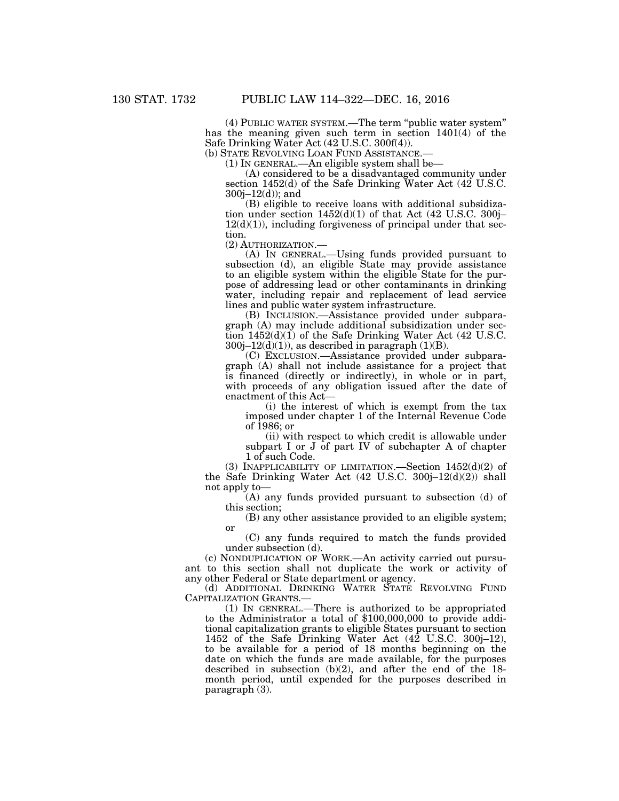(4) PUBLIC WATER SYSTEM.—The term ''public water system'' has the meaning given such term in section 1401(4) of the Safe Drinking Water Act (42 U.S.C. 300f(4)).

(b) STATE REVOLVING LOAN FUND ASSISTANCE.— (1) IN GENERAL.—An eligible system shall be—

(A) considered to be a disadvantaged community under section 1452(d) of the Safe Drinking Water Act (42 U.S.C.  $300j - 12(d)$ ; and

(B) eligible to receive loans with additional subsidization under section  $1452(d)(1)$  of that Act (42 U.S.C. 300j–  $12(d)(1)$ , including forgiveness of principal under that section.<br>(2) AUTHORIZATION.—

(A) IN GENERAL.—Using funds provided pursuant to subsection (d), an eligible State may provide assistance to an eligible system within the eligible State for the purpose of addressing lead or other contaminants in drinking water, including repair and replacement of lead service lines and public water system infrastructure.

(B) INCLUSION.—Assistance provided under subparagraph (A) may include additional subsidization under section 1452(d)(1) of the Safe Drinking Water Act (42 U.S.C.  $300j-12(d)(1)$ , as described in paragraph  $(1)(B)$ .

(C) EXCLUSION.—Assistance provided under subparagraph (A) shall not include assistance for a project that is financed (directly or indirectly), in whole or in part, with proceeds of any obligation issued after the date of enactment of this Act—

(i) the interest of which is exempt from the tax imposed under chapter 1 of the Internal Revenue Code of 1986; or

(ii) with respect to which credit is allowable under subpart I or J of part IV of subchapter A of chapter 1 of such Code.

(3) INAPPLICABILITY OF LIMITATION.—Section  $1452(d)(2)$  of the Safe Drinking Water Act  $(42 \text{ U.S.C. } 300j-12(d)(2))$  shall not apply to—

(A) any funds provided pursuant to subsection (d) of this section;

(B) any other assistance provided to an eligible system; or

(C) any funds required to match the funds provided under subsection (d).

(c) NONDUPLICATION OF WORK.—An activity carried out pursuant to this section shall not duplicate the work or activity of any other Federal or State department or agency.

(d) ADDITIONAL DRINKING WATER STATE REVOLVING FUND CAPITALIZATION GRANTS.—

(1) IN GENERAL.—There is authorized to be appropriated to the Administrator a total of \$100,000,000 to provide additional capitalization grants to eligible States pursuant to section 1452 of the Safe Drinking Water Act (42 U.S.C. 300j–12), to be available for a period of 18 months beginning on the date on which the funds are made available, for the purposes described in subsection (b)(2), and after the end of the 18 month period, until expended for the purposes described in paragraph (3).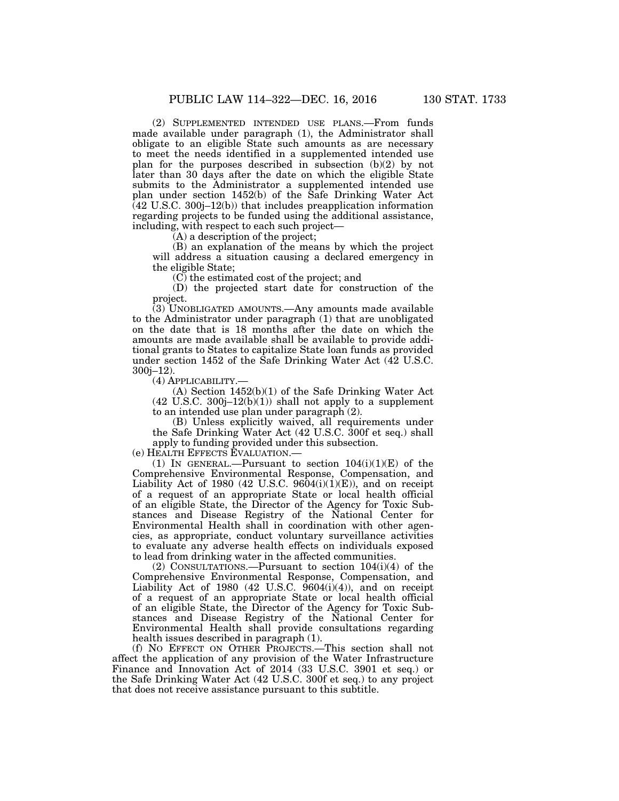(2) SUPPLEMENTED INTENDED USE PLANS.—From funds made available under paragraph (1), the Administrator shall obligate to an eligible State such amounts as are necessary to meet the needs identified in a supplemented intended use plan for the purposes described in subsection (b)(2) by not later than 30 days after the date on which the eligible State submits to the Administrator a supplemented intended use plan under section 1452(b) of the Safe Drinking Water Act  $(42 \text{ U.S.C. } 300j-12(b))$  that includes preapplication information regarding projects to be funded using the additional assistance, including, with respect to each such project—

(A) a description of the project;

(B) an explanation of the means by which the project will address a situation causing a declared emergency in the eligible State;

(C) the estimated cost of the project; and

(D) the projected start date for construction of the project.

(3) UNOBLIGATED AMOUNTS.—Any amounts made available to the Administrator under paragraph (1) that are unobligated on the date that is 18 months after the date on which the amounts are made available shall be available to provide additional grants to States to capitalize State loan funds as provided under section 1452 of the Safe Drinking Water Act (42 U.S.C. 300j–12).

(4) APPLICABILITY.—

(A) Section 1452(b)(1) of the Safe Drinking Water Act  $(42 \text{ U.S.C. } 300j-12(b)(1))$  shall not apply to a supplement to an intended use plan under paragraph (2).

(B) Unless explicitly waived, all requirements under the Safe Drinking Water Act (42 U.S.C. 300f et seq.) shall apply to funding provided under this subsection.

(e) HEALTH EFFECTS EVALUATION.—

(1) IN GENERAL.—Pursuant to section  $104(i)(1)(E)$  of the Comprehensive Environmental Response, Compensation, and Liability Act of 1980 (42 U.S.C. 9604(i)(1)(E)), and on receipt of a request of an appropriate State or local health official of an eligible State, the Director of the Agency for Toxic Substances and Disease Registry of the National Center for Environmental Health shall in coordination with other agencies, as appropriate, conduct voluntary surveillance activities to evaluate any adverse health effects on individuals exposed to lead from drinking water in the affected communities.

(2) CONSULTATIONS.—Pursuant to section 104(i)(4) of the Comprehensive Environmental Response, Compensation, and Liability Act of 1980 (42 U.S.C.  $9604(i)(4)$ ), and on receipt of a request of an appropriate State or local health official of an eligible State, the Director of the Agency for Toxic Substances and Disease Registry of the National Center for Environmental Health shall provide consultations regarding health issues described in paragraph (1).

(f) NO EFFECT ON OTHER PROJECTS.—This section shall not affect the application of any provision of the Water Infrastructure Finance and Innovation Act of 2014 (33 U.S.C. 3901 et seq.) or the Safe Drinking Water Act (42 U.S.C. 300f et seq.) to any project that does not receive assistance pursuant to this subtitle.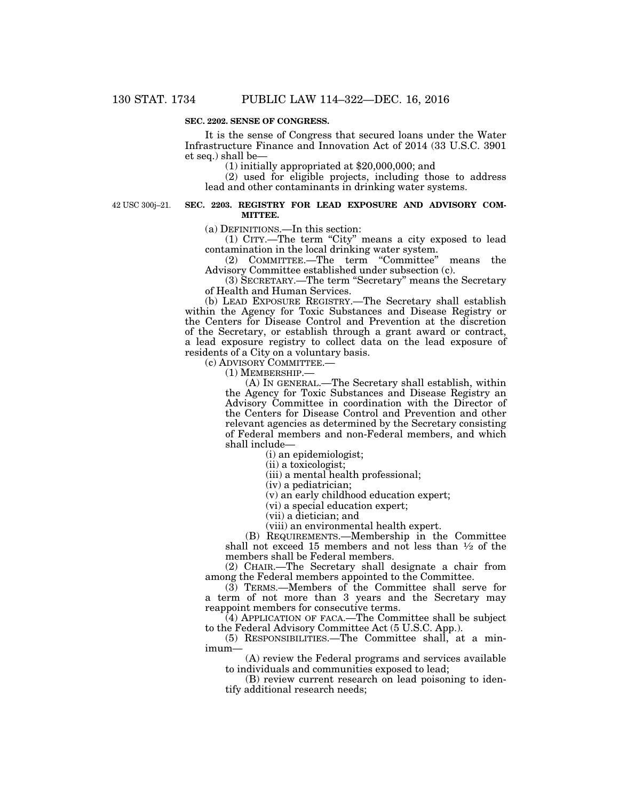### **SEC. 2202. SENSE OF CONGRESS.**

It is the sense of Congress that secured loans under the Water Infrastructure Finance and Innovation Act of 2014 (33 U.S.C. 3901 et seq.) shall be—

(1) initially appropriated at \$20,000,000; and

(2) used for eligible projects, including those to address lead and other contaminants in drinking water systems.

42 USC 300j–21.

### **SEC. 2203. REGISTRY FOR LEAD EXPOSURE AND ADVISORY COM-MITTEE.**

(a) DEFINITIONS.—In this section:

(1) CITY.—The term ''City'' means a city exposed to lead contamination in the local drinking water system.

(2) COMMITTEE.—The term ''Committee'' means the Advisory Committee established under subsection (c).

(3) SECRETARY.—The term ''Secretary'' means the Secretary of Health and Human Services.

(b) LEAD EXPOSURE REGISTRY.—The Secretary shall establish within the Agency for Toxic Substances and Disease Registry or the Centers for Disease Control and Prevention at the discretion of the Secretary, or establish through a grant award or contract, a lead exposure registry to collect data on the lead exposure of residents of a City on a voluntary basis.

(c) ADVISORY COMMITTEE.—

(1) MEMBERSHIP.—

(A) IN GENERAL.—The Secretary shall establish, within the Agency for Toxic Substances and Disease Registry an Advisory Committee in coordination with the Director of the Centers for Disease Control and Prevention and other relevant agencies as determined by the Secretary consisting of Federal members and non-Federal members, and which shall include—

(i) an epidemiologist;

(ii) a toxicologist;

(iii) a mental health professional;

(iv) a pediatrician;

(v) an early childhood education expert;

(vi) a special education expert;

(vii) a dietician; and

(viii) an environmental health expert.

(B) REQUIREMENTS.—Membership in the Committee shall not exceed 15 members and not less than  $\frac{1}{2}$  of the members shall be Federal members.

(2) CHAIR.—The Secretary shall designate a chair from among the Federal members appointed to the Committee.

(3) TERMS.—Members of the Committee shall serve for a term of not more than 3 years and the Secretary may reappoint members for consecutive terms.

(4) APPLICATION OF FACA.—The Committee shall be subject to the Federal Advisory Committee Act (5 U.S.C. App.).

(5) RESPONSIBILITIES.—The Committee shall, at a minimum—

(A) review the Federal programs and services available to individuals and communities exposed to lead;

(B) review current research on lead poisoning to identify additional research needs;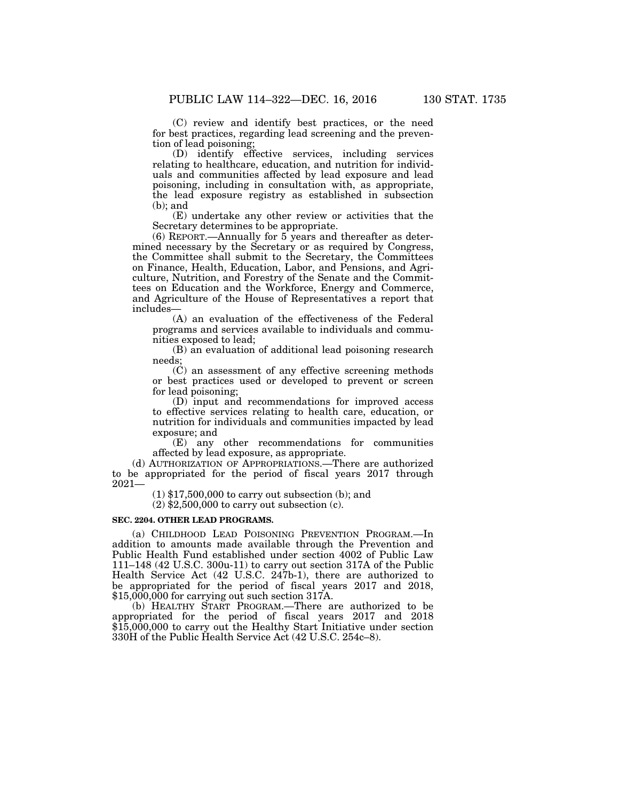(C) review and identify best practices, or the need for best practices, regarding lead screening and the prevention of lead poisoning;

(D) identify effective services, including services relating to healthcare, education, and nutrition for individuals and communities affected by lead exposure and lead poisoning, including in consultation with, as appropriate, the lead exposure registry as established in subsection (b); and

(E) undertake any other review or activities that the Secretary determines to be appropriate.

(6) REPORT.—Annually for 5 years and thereafter as determined necessary by the Secretary or as required by Congress, the Committee shall submit to the Secretary, the Committees on Finance, Health, Education, Labor, and Pensions, and Agriculture, Nutrition, and Forestry of the Senate and the Committees on Education and the Workforce, Energy and Commerce, and Agriculture of the House of Representatives a report that includes—

(A) an evaluation of the effectiveness of the Federal programs and services available to individuals and communities exposed to lead;

(B) an evaluation of additional lead poisoning research needs;

(C) an assessment of any effective screening methods or best practices used or developed to prevent or screen for lead poisoning;

(D) input and recommendations for improved access to effective services relating to health care, education, or nutrition for individuals and communities impacted by lead exposure; and

(E) any other recommendations for communities affected by lead exposure, as appropriate.

(d) AUTHORIZATION OF APPROPRIATIONS.—There are authorized to be appropriated for the period of fiscal years 2017 through 2021—

(1) \$17,500,000 to carry out subsection (b); and

(2) \$2,500,000 to carry out subsection (c).

#### **SEC. 2204. OTHER LEAD PROGRAMS.**

(a) CHILDHOOD LEAD POISONING PREVENTION PROGRAM.—In addition to amounts made available through the Prevention and Public Health Fund established under section 4002 of Public Law 111–148 (42 U.S.C. 300u-11) to carry out section 317A of the Public Health Service Act (42 U.S.C. 247b-1), there are authorized to be appropriated for the period of fiscal years 2017 and 2018, \$15,000,000 for carrying out such section 317A.

(b) HEALTHY START PROGRAM.—There are authorized to be appropriated for the period of fiscal years 2017 and 2018 \$15,000,000 to carry out the Healthy Start Initiative under section 330H of the Public Health Service Act (42 U.S.C. 254c–8).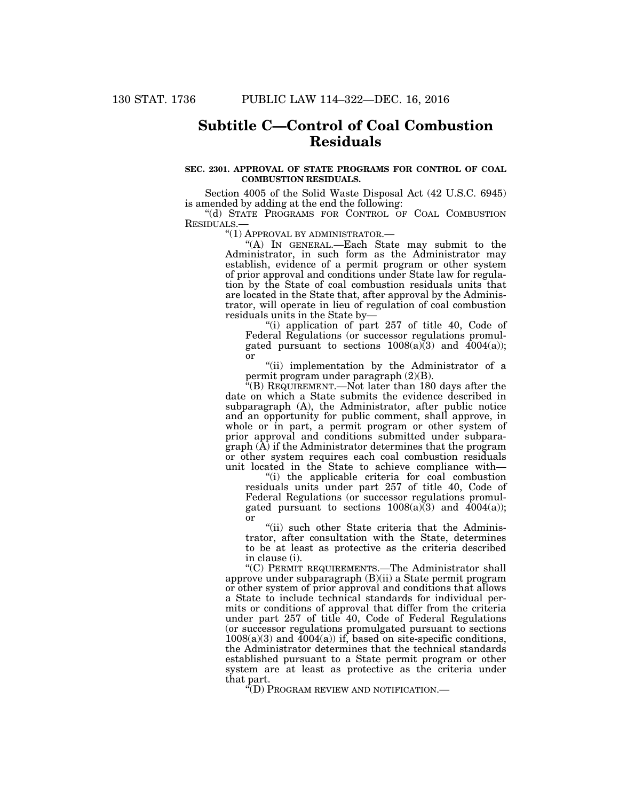# **Subtitle C—Control of Coal Combustion Residuals**

## **SEC. 2301. APPROVAL OF STATE PROGRAMS FOR CONTROL OF COAL COMBUSTION RESIDUALS.**

Section 4005 of the Solid Waste Disposal Act (42 U.S.C. 6945) is amended by adding at the end the following:

''(d) STATE PROGRAMS FOR CONTROL OF COAL COMBUSTION RESIDUALS.—

''(1) APPROVAL BY ADMINISTRATOR.—

''(A) IN GENERAL.—Each State may submit to the Administrator, in such form as the Administrator may establish, evidence of a permit program or other system of prior approval and conditions under State law for regulation by the State of coal combustion residuals units that are located in the State that, after approval by the Administrator, will operate in lieu of regulation of coal combustion residuals units in the State by—

''(i) application of part 257 of title 40, Code of Federal Regulations (or successor regulations promulgated pursuant to sections  $1008(a)(3)$  and  $4004(a)$ ; or

''(ii) implementation by the Administrator of a permit program under paragraph (2)(B).

 $\sqrt{H(B)}$  REQUIREMENT.—Not later than 180 days after the date on which a State submits the evidence described in subparagraph (A), the Administrator, after public notice and an opportunity for public comment, shall approve, in whole or in part, a permit program or other system of prior approval and conditions submitted under subpara- $\frac{1}{2}$  graph  $(\overrightarrow{A})$  if the Administrator determines that the program or other system requires each coal combustion residuals unit located in the State to achieve compliance with—

''(i) the applicable criteria for coal combustion residuals units under part 257 of title 40, Code of Federal Regulations (or successor regulations promulgated pursuant to sections  $1008(a)(3)$  and  $4004(a)$ ; or

"(ii) such other State criteria that the Administrator, after consultation with the State, determines to be at least as protective as the criteria described in clause (i).

''(C) PERMIT REQUIREMENTS.—The Administrator shall approve under subparagraph (B)(ii) a State permit program or other system of prior approval and conditions that allows a State to include technical standards for individual permits or conditions of approval that differ from the criteria under part 257 of title 40, Code of Federal Regulations (or successor regulations promulgated pursuant to sections  $1008(a)(3)$  and  $\overline{4}004(a)$ ) if, based on site-specific conditions, the Administrator determines that the technical standards established pursuant to a State permit program or other system are at least as protective as the criteria under that part.

''(D) PROGRAM REVIEW AND NOTIFICATION.—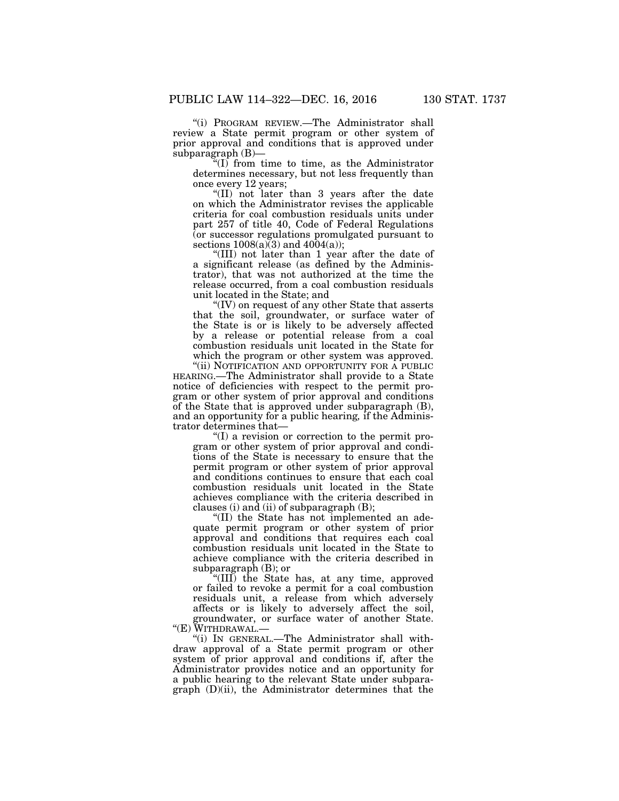''(i) PROGRAM REVIEW.—The Administrator shall review a State permit program or other system of prior approval and conditions that is approved under subparagraph (B)—

 $\sqrt[4]{(I)}$  from time to time, as the Administrator determines necessary, but not less frequently than once every 12 years;

''(II) not later than 3 years after the date on which the Administrator revises the applicable criteria for coal combustion residuals units under part 257 of title 40, Code of Federal Regulations (or successor regulations promulgated pursuant to sections  $1008(a)(3)$  and  $4004(a)$ ;

''(III) not later than 1 year after the date of a significant release (as defined by the Administrator), that was not authorized at the time the release occurred, from a coal combustion residuals unit located in the State; and

''(IV) on request of any other State that asserts that the soil, groundwater, or surface water of the State is or is likely to be adversely affected by a release or potential release from a coal combustion residuals unit located in the State for which the program or other system was approved.

"(ii) NOTIFICATION AND OPPORTUNITY FOR A PUBLIC HEARING.—The Administrator shall provide to a State notice of deficiencies with respect to the permit program or other system of prior approval and conditions of the State that is approved under subparagraph (B), and an opportunity for a public hearing*,* if the Administrator determines that—

''(I) a revision or correction to the permit program or other system of prior approval and conditions of the State is necessary to ensure that the permit program or other system of prior approval and conditions continues to ensure that each coal combustion residuals unit located in the State achieves compliance with the criteria described in clauses (i) and (ii) of subparagraph (B);

''(II) the State has not implemented an adequate permit program or other system of prior approval and conditions that requires each coal combustion residuals unit located in the State to achieve compliance with the criteria described in subparagraph (B); or

''(III) the State has, at any time, approved or failed to revoke a permit for a coal combustion residuals unit, a release from which adversely affects or is likely to adversely affect the soil, groundwater, or surface water of another State. " $(E)$  WITHDRAWAL.—

"(i) IN GENERAL.—The Administrator shall withdraw approval of a State permit program or other system of prior approval and conditions if, after the Administrator provides notice and an opportunity for a public hearing to the relevant State under subpara $graph$  (D) $(ii)$ , the Administrator determines that the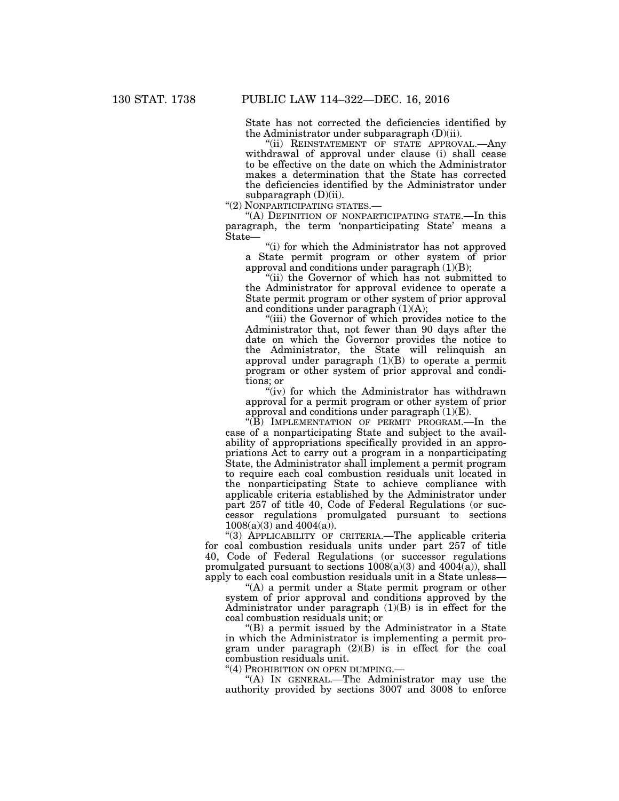State has not corrected the deficiencies identified by the Administrator under subparagraph (D)(ii).

"(ii) REINSTATEMENT OF STATE APPROVAL.—Any withdrawal of approval under clause (i) shall cease to be effective on the date on which the Administrator makes a determination that the State has corrected the deficiencies identified by the Administrator under subparagraph  $(D)(ii)$ .

"(2) NONPARTICIPATING STATES.-

"(A) DEFINITION OF NONPARTICIPATING STATE.—In this paragraph, the term 'nonparticipating State' means a State—

''(i) for which the Administrator has not approved a State permit program or other system of prior approval and conditions under paragraph  $(1)(B)$ ;

"(ii) the Governor of which has not submitted to the Administrator for approval evidence to operate a State permit program or other system of prior approval and conditions under paragraph  $(1)(A)$ ;

"(iii) the Governor of which provides notice to the Administrator that, not fewer than 90 days after the date on which the Governor provides the notice to the Administrator, the State will relinquish an approval under paragraph  $(1)(B)$  to operate a permit program or other system of prior approval and conditions; or

"(iv) for which the Administrator has withdrawn approval for a permit program or other system of prior approval and conditions under paragraph  $(1)(E)$ .

"(B) IMPLEMENTATION OF PERMIT PROGRAM.—In the case of a nonparticipating State and subject to the availability of appropriations specifically provided in an appropriations Act to carry out a program in a nonparticipating State, the Administrator shall implement a permit program to require each coal combustion residuals unit located in the nonparticipating State to achieve compliance with applicable criteria established by the Administrator under part 257 of title 40, Code of Federal Regulations (or successor regulations promulgated pursuant to sections  $1008(a)(3)$  and  $4004(a)$ ).

"(3) APPLICABILITY OF CRITERIA. The applicable criteria for coal combustion residuals units under part 257 of title 40, Code of Federal Regulations (or successor regulations promulgated pursuant to sections  $1008(a)(3)$  and  $4004(a)$ , shall apply to each coal combustion residuals unit in a State unless—

"(A) a permit under a State permit program or other system of prior approval and conditions approved by the Administrator under paragraph  $(1)(B)$  is in effect for the coal combustion residuals unit; or

''(B) a permit issued by the Administrator in a State in which the Administrator is implementing a permit program under paragraph  $(2)(B)$  is in effect for the coal combustion residuals unit.

''(4) PROHIBITION ON OPEN DUMPING.—

''(A) IN GENERAL.—The Administrator may use the authority provided by sections 3007 and 3008 to enforce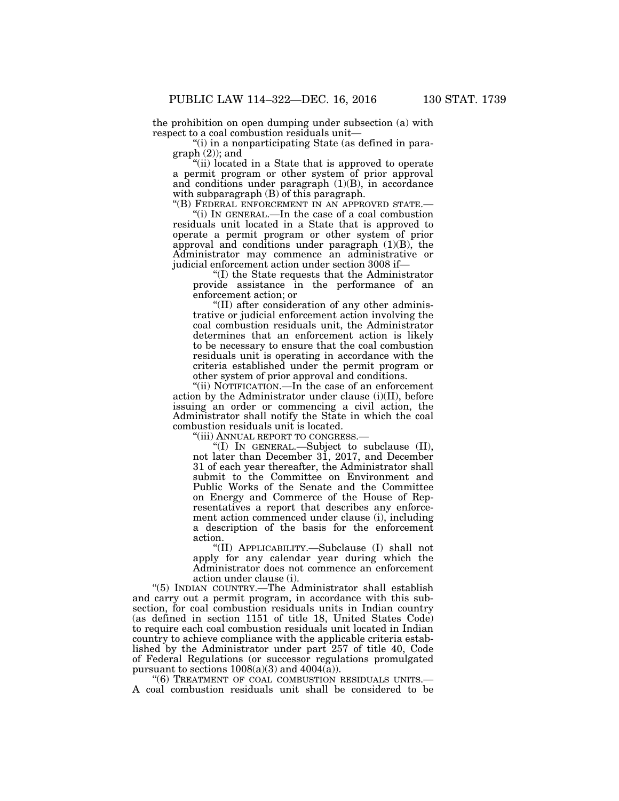the prohibition on open dumping under subsection (a) with respect to a coal combustion residuals unit—

''(i) in a nonparticipating State (as defined in paragraph (2)); and

"(ii) located in a State that is approved to operate a permit program or other system of prior approval and conditions under paragraph  $(1)(B)$ , in accordance with subparagraph  $(B)$  of this paragraph.

''(B) FEDERAL ENFORCEMENT IN AN APPROVED STATE.— ''(i) IN GENERAL.—In the case of a coal combustion residuals unit located in a State that is approved to operate a permit program or other system of prior approval and conditions under paragraph (1)(B), the Administrator may commence an administrative or judicial enforcement action under section 3008 if—

''(I) the State requests that the Administrator provide assistance in the performance of an enforcement action; or

''(II) after consideration of any other administrative or judicial enforcement action involving the coal combustion residuals unit, the Administrator determines that an enforcement action is likely to be necessary to ensure that the coal combustion residuals unit is operating in accordance with the criteria established under the permit program or other system of prior approval and conditions.

''(ii) NOTIFICATION.—In the case of an enforcement action by the Administrator under clause (i)(II), before issuing an order or commencing a civil action, the Administrator shall notify the State in which the coal combustion residuals unit is located.

''(iii) ANNUAL REPORT TO CONGRESS.—

''(I) IN GENERAL.—Subject to subclause (II), not later than December 31, 2017, and December 31 of each year thereafter, the Administrator shall submit to the Committee on Environment and Public Works of the Senate and the Committee on Energy and Commerce of the House of Representatives a report that describes any enforcement action commenced under clause (i), including a description of the basis for the enforcement action.

''(II) APPLICABILITY.—Subclause (I) shall not apply for any calendar year during which the Administrator does not commence an enforcement action under clause (i).

''(5) INDIAN COUNTRY.—The Administrator shall establish and carry out a permit program, in accordance with this subsection, for coal combustion residuals units in Indian country (as defined in section 1151 of title 18, United States Code) to require each coal combustion residuals unit located in Indian country to achieve compliance with the applicable criteria established by the Administrator under part 257 of title 40, Code of Federal Regulations (or successor regulations promulgated pursuant to sections  $1008(a)(3)$  and  $4004(a)$ ).<br>"(6) TREATMENT OF COAL COMBUSTION RESIDUALS UNITS.—

A coal combustion residuals unit shall be considered to be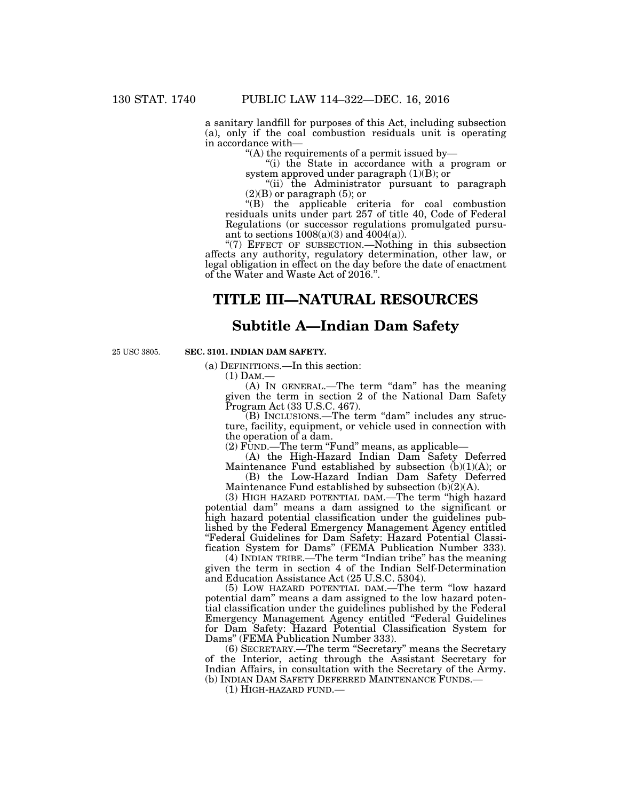a sanitary landfill for purposes of this Act, including subsection (a), only if the coal combustion residuals unit is operating in accordance with—

"(A) the requirements of a permit issued by-

''(i) the State in accordance with a program or system approved under paragraph  $(1)(B)$ ; or

''(ii) the Administrator pursuant to paragraph  $(2)(B)$  or paragraph  $(5)$ ; or

''(B) the applicable criteria for coal combustion residuals units under part 257 of title 40, Code of Federal Regulations (or successor regulations promulgated pursuant to sections  $1008(a)(3)$  and  $4004(a)$ .

"(7) EFFECT OF SUBSECTION.—Nothing in this subsection affects any authority, regulatory determination, other law, or legal obligation in effect on the day before the date of enactment of the Water and Waste Act of 2016.''.

# **TITLE III—NATURAL RESOURCES**

## **Subtitle A—Indian Dam Safety**

25 USC 3805.

## **SEC. 3101. INDIAN DAM SAFETY.**

(a) DEFINITIONS.—In this section:

 $(1)$  DAM. $-$ 

(A) IN GENERAL.—The term ''dam'' has the meaning given the term in section 2 of the National Dam Safety Program Act (33 U.S.C. 467).

(B) INCLUSIONS.—The term ''dam'' includes any structure, facility, equipment, or vehicle used in connection with the operation of a dam.

(2) FUND.—The term ''Fund'' means, as applicable—

(A) the High-Hazard Indian Dam Safety Deferred Maintenance Fund established by subsection (b)(1)(A); or (B) the Low-Hazard Indian Dam Safety Deferred

Maintenance Fund established by subsection  $(b)(2)(A)$ .

(3) HIGH HAZARD POTENTIAL DAM.—The term ''high hazard potential dam'' means a dam assigned to the significant or high hazard potential classification under the guidelines published by the Federal Emergency Management Agency entitled ''Federal Guidelines for Dam Safety: Hazard Potential Classification System for Dams'' (FEMA Publication Number 333).

(4) INDIAN TRIBE.—The term ''Indian tribe'' has the meaning given the term in section 4 of the Indian Self-Determination and Education Assistance Act (25 U.S.C. 5304).

(5) LOW HAZARD POTENTIAL DAM.—The term ''low hazard potential dam'' means a dam assigned to the low hazard potential classification under the guidelines published by the Federal Emergency Management Agency entitled ''Federal Guidelines for Dam Safety: Hazard Potential Classification System for Dams" (FEMA Publication Number 333).

(6) SECRETARY.—The term ''Secretary'' means the Secretary of the Interior, acting through the Assistant Secretary for Indian Affairs, in consultation with the Secretary of the Army. (b) INDIAN DAM SAFETY DEFERRED MAINTENANCE FUNDS.— (1) HIGH-HAZARD FUND.—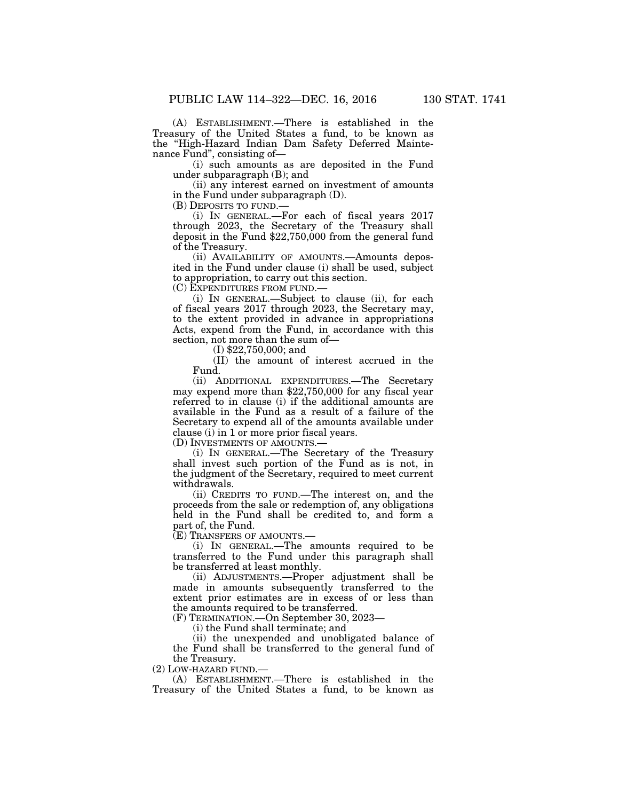(A) ESTABLISHMENT.—There is established in the Treasury of the United States a fund, to be known as the ''High-Hazard Indian Dam Safety Deferred Maintenance Fund'', consisting of—

(i) such amounts as are deposited in the Fund under subparagraph (B); and

(ii) any interest earned on investment of amounts in the Fund under subparagraph (D).

(B) DEPOSITS TO FUND.—

(i) IN GENERAL.—For each of fiscal years 2017 through 2023, the Secretary of the Treasury shall deposit in the Fund  $$22,750,000$  from the general fund of the Treasury.

(ii) AVAILABILITY OF AMOUNTS.—Amounts deposited in the Fund under clause (i) shall be used, subject to appropriation, to carry out this section. (C) EXPENDITURES FROM FUND.—

(i) IN GENERAL.—Subject to clause (ii), for each of fiscal years 2017 through 2023, the Secretary may, to the extent provided in advance in appropriations Acts, expend from the Fund, in accordance with this section, not more than the sum of—

(I) \$22,750,000; and

(II) the amount of interest accrued in the Fund.

(ii) ADDITIONAL EXPENDITURES.—The Secretary may expend more than \$22,750,000 for any fiscal year referred to in clause (i) if the additional amounts are available in the Fund as a result of a failure of the Secretary to expend all of the amounts available under clause (i) in 1 or more prior fiscal years.

(D) INVESTMENTS OF AMOUNTS.—

(i) IN GENERAL.—The Secretary of the Treasury shall invest such portion of the Fund as is not, in the judgment of the Secretary, required to meet current withdrawals.

(ii) CREDITS TO FUND.—The interest on, and the proceeds from the sale or redemption of, any obligations held in the Fund shall be credited to, and form a part of, the Fund.

(E) TRANSFERS OF AMOUNTS.—

(i) IN GENERAL.—The amounts required to be transferred to the Fund under this paragraph shall be transferred at least monthly.

(ii) ADJUSTMENTS.—Proper adjustment shall be made in amounts subsequently transferred to the extent prior estimates are in excess of or less than the amounts required to be transferred.

(F) TERMINATION.—On September 30, 2023—

(i) the Fund shall terminate; and

(ii) the unexpended and unobligated balance of the Fund shall be transferred to the general fund of the Treasury.

(2) LOW-HAZARD FUND.—

(A) ESTABLISHMENT.—There is established in the Treasury of the United States a fund, to be known as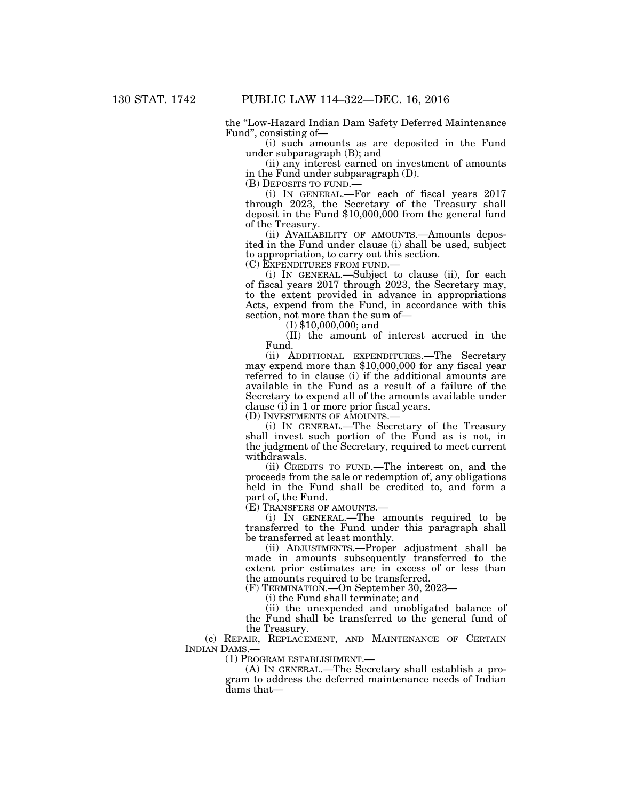the ''Low-Hazard Indian Dam Safety Deferred Maintenance Fund'', consisting of—

(i) such amounts as are deposited in the Fund under subparagraph (B); and

(ii) any interest earned on investment of amounts in the Fund under subparagraph (D).<br>(B) DEPOSITS TO FUND.—

(i) IN GENERAL.—For each of fiscal years 2017 through 2023, the Secretary of the Treasury shall deposit in the Fund \$10,000,000 from the general fund of the Treasury.

(ii) AVAILABILITY OF AMOUNTS.—Amounts deposited in the Fund under clause (i) shall be used, subject to appropriation, to carry out this section.<br>(C) EXPENDITURES FROM FUND.—

 $(i)$  In GENERAL.—Subject to clause  $(ii)$ , for each of fiscal years 2017 through 2023, the Secretary may, to the extent provided in advance in appropriations Acts, expend from the Fund, in accordance with this section, not more than the sum of—

(I) \$10,000,000; and

(II) the amount of interest accrued in the Fund.

(ii) ADDITIONAL EXPENDITURES.—The Secretary may expend more than \$10,000,000 for any fiscal year referred to in clause (i) if the additional amounts are available in the Fund as a result of a failure of the Secretary to expend all of the amounts available under clause (i) in 1 or more prior fiscal years.

(D) INVESTMENTS OF AMOUNTS.—

(i) IN GENERAL.—The Secretary of the Treasury shall invest such portion of the Fund as is not, in the judgment of the Secretary, required to meet current withdrawals.

(ii) CREDITS TO FUND.—The interest on, and the proceeds from the sale or redemption of, any obligations held in the Fund shall be credited to, and form a part of, the Fund.

(E) TRANSFERS OF AMOUNTS.—

(i) IN GENERAL.—The amounts required to be transferred to the Fund under this paragraph shall be transferred at least monthly.

(ii) ADJUSTMENTS.—Proper adjustment shall be made in amounts subsequently transferred to the extent prior estimates are in excess of or less than the amounts required to be transferred.

(F) TERMINATION.—On September 30, 2023—

(i) the Fund shall terminate; and

(ii) the unexpended and unobligated balance of the Fund shall be transferred to the general fund of the Treasury.

(c) REPAIR, REPLACEMENT, AND MAINTENANCE OF CERTAIN INDIAN DAMS.

(1) PROGRAM ESTABLISHMENT.—

(A) IN GENERAL.—The Secretary shall establish a program to address the deferred maintenance needs of Indian dams that—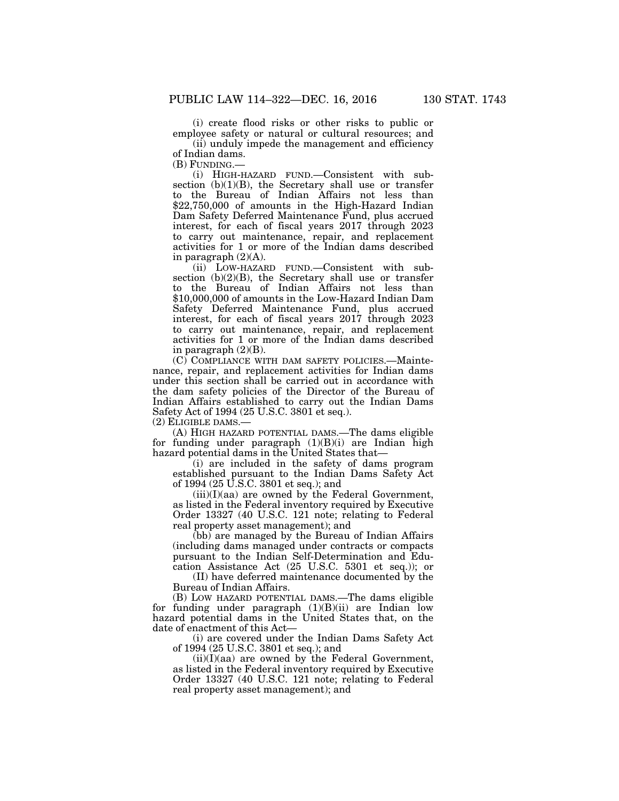(ii) unduly impede the management and efficiency of Indian dams.

(B) FUNDING.—

(i) HIGH-HAZARD FUND.—Consistent with subsection (b)(1)(B), the Secretary shall use or transfer to the Bureau of Indian Affairs not less than \$22,750,000 of amounts in the High-Hazard Indian Dam Safety Deferred Maintenance Fund, plus accrued interest, for each of fiscal years 2017 through 2023 to carry out maintenance, repair, and replacement activities for 1 or more of the Indian dams described in paragraph  $(2)(A)$ .

(ii) LOW-HAZARD FUND.—Consistent with subsection (b)(2)(B), the Secretary shall use or transfer to the Bureau of Indian Affairs not less than \$10,000,000 of amounts in the Low-Hazard Indian Dam Safety Deferred Maintenance Fund, plus accrued interest, for each of fiscal years 2017 through 2023 to carry out maintenance, repair, and replacement activities for 1 or more of the Indian dams described in paragraph (2)(B).

(C) COMPLIANCE WITH DAM SAFETY POLICIES.—Maintenance, repair, and replacement activities for Indian dams under this section shall be carried out in accordance with the dam safety policies of the Director of the Bureau of Indian Affairs established to carry out the Indian Dams Safety Act of 1994 (25 U.S.C. 3801 et seq.).

(2) ELIGIBLE DAMS.—

(A) HIGH HAZARD POTENTIAL DAMS.—The dams eligible for funding under paragraph  $(1)(B)(i)$  are Indian high hazard potential dams in the United States that—

(i) are included in the safety of dams program established pursuant to the Indian Dams Safety Act of 1994 (25 U.S.C. 3801 et seq.); and

 $(iii)(I)(aa)$  are owned by the Federal Government, as listed in the Federal inventory required by Executive Order 13327 (40 U.S.C. 121 note; relating to Federal real property asset management); and

(bb) are managed by the Bureau of Indian Affairs (including dams managed under contracts or compacts pursuant to the Indian Self-Determination and Education Assistance Act (25 U.S.C. 5301 et seq.)); or

(II) have deferred maintenance documented by the Bureau of Indian Affairs.

(B) LOW HAZARD POTENTIAL DAMS.—The dams eligible for funding under paragraph  $(1)(B)(ii)$  are Indian low hazard potential dams in the United States that, on the date of enactment of this Act—

(i) are covered under the Indian Dams Safety Act of 1994 (25 U.S.C. 3801 et seq.); and

 $(ii)(I)(aa)$  are owned by the Federal Government, as listed in the Federal inventory required by Executive Order 13327 (40 U.S.C. 121 note; relating to Federal real property asset management); and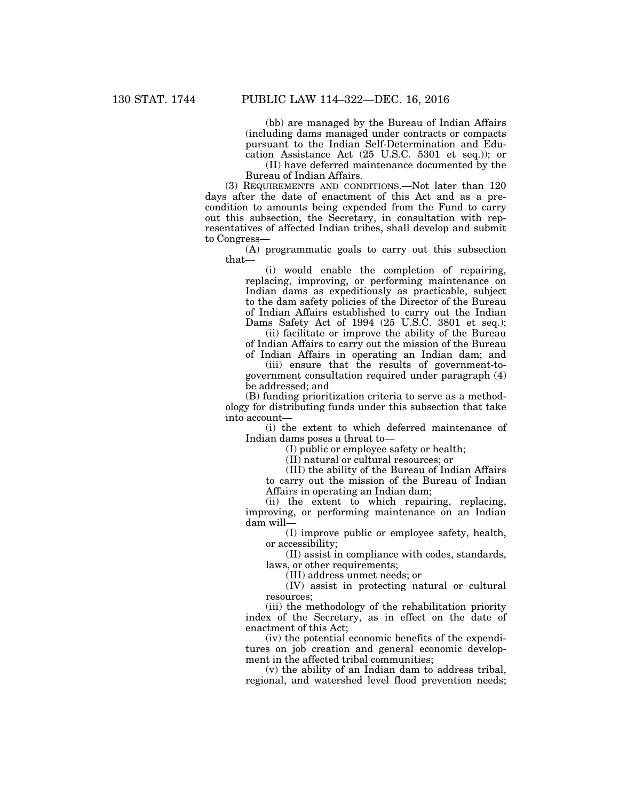(bb) are managed by the Bureau of Indian Affairs (including dams managed under contracts or compacts pursuant to the Indian Self-Determination and Education Assistance Act (25 U.S.C. 5301 et seq.)); or

(II) have deferred maintenance documented by the Bureau of Indian Affairs.

(3) REQUIREMENTS AND CONDITIONS.—Not later than 120 days after the date of enactment of this Act and as a precondition to amounts being expended from the Fund to carry out this subsection, the Secretary, in consultation with representatives of affected Indian tribes, shall develop and submit to Congress—

(A) programmatic goals to carry out this subsection that—

(i) would enable the completion of repairing, replacing, improving, or performing maintenance on Indian dams as expeditiously as practicable, subject to the dam safety policies of the Director of the Bureau of Indian Affairs established to carry out the Indian Dams Safety Act of 1994 (25 U.S.C. 3801 et seq.);

(ii) facilitate or improve the ability of the Bureau of Indian Affairs to carry out the mission of the Bureau of Indian Affairs in operating an Indian dam; and

(iii) ensure that the results of government-togovernment consultation required under paragraph (4) be addressed; and

(B) funding prioritization criteria to serve as a methodology for distributing funds under this subsection that take into account—

(i) the extent to which deferred maintenance of Indian dams poses a threat to—

(I) public or employee safety or health;

(II) natural or cultural resources; or

(III) the ability of the Bureau of Indian Affairs to carry out the mission of the Bureau of Indian Affairs in operating an Indian dam;

(ii) the extent to which repairing, replacing, improving, or performing maintenance on an Indian dam will—

(I) improve public or employee safety, health, or accessibility;

(II) assist in compliance with codes, standards, laws, or other requirements;

(III) address unmet needs; or

(IV) assist in protecting natural or cultural resources;

(iii) the methodology of the rehabilitation priority index of the Secretary, as in effect on the date of enactment of this Act;

(iv) the potential economic benefits of the expenditures on job creation and general economic development in the affected tribal communities;

(v) the ability of an Indian dam to address tribal, regional, and watershed level flood prevention needs;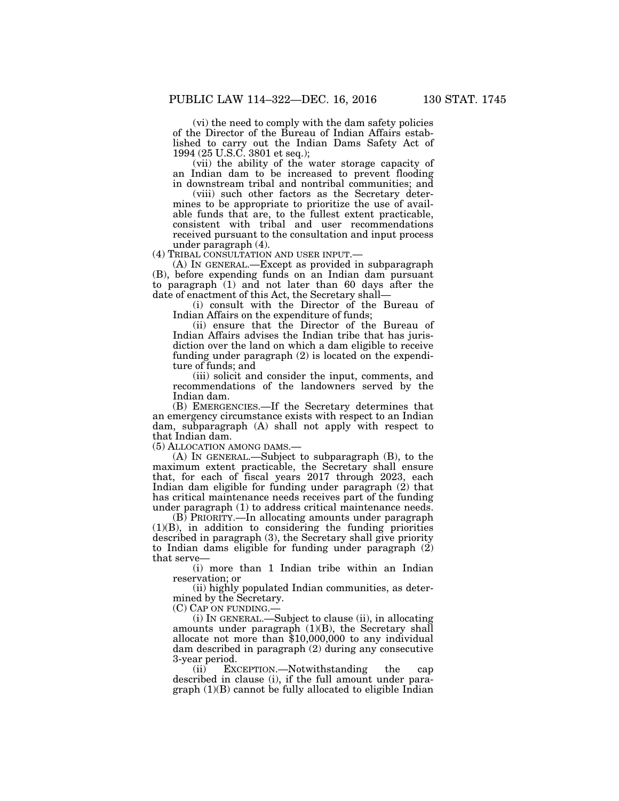(vi) the need to comply with the dam safety policies of the Director of the Bureau of Indian Affairs established to carry out the Indian Dams Safety Act of 1994 (25 U.S.C. 3801 et seq.);

(vii) the ability of the water storage capacity of an Indian dam to be increased to prevent flooding in downstream tribal and nontribal communities; and

(viii) such other factors as the Secretary determines to be appropriate to prioritize the use of available funds that are, to the fullest extent practicable, consistent with tribal and user recommendations received pursuant to the consultation and input process

under paragraph (4).<br>(4) TRIBAL CONSULTATION AND USER INPUT.—

 $(A)$  In GENERAL.—Except as provided in subparagraph (B), before expending funds on an Indian dam pursuant to paragraph (1) and not later than 60 days after the date of enactment of this Act, the Secretary shall—

(i) consult with the Director of the Bureau of Indian Affairs on the expenditure of funds;

(ii) ensure that the Director of the Bureau of Indian Affairs advises the Indian tribe that has jurisdiction over the land on which a dam eligible to receive funding under paragraph (2) is located on the expenditure of funds; and

(iii) solicit and consider the input, comments, and recommendations of the landowners served by the Indian dam.

(B) EMERGENCIES.—If the Secretary determines that an emergency circumstance exists with respect to an Indian dam, subparagraph (A) shall not apply with respect to that Indian dam.

(5) ALLOCATION AMONG DAMS.—

(A) IN GENERAL.—Subject to subparagraph (B), to the maximum extent practicable, the Secretary shall ensure that, for each of fiscal years 2017 through 2023, each Indian dam eligible for funding under paragraph (2) that has critical maintenance needs receives part of the funding under paragraph (1) to address critical maintenance needs.

(B) PRIORITY.—In allocating amounts under paragraph  $(1)(B)$ , in addition to considering the funding priorities described in paragraph (3), the Secretary shall give priority to Indian dams eligible for funding under paragraph (2) that serve—

(i) more than 1 Indian tribe within an Indian reservation; or

(ii) highly populated Indian communities, as determined by the Secretary.

(C) CAP ON FUNDING.—

(i) IN GENERAL.—Subject to clause (ii), in allocating amounts under paragraph (1)(B), the Secretary shall allocate not more than \$10,000,000 to any individual dam described in paragraph (2) during any consecutive 3-year period.

(ii) EXCEPTION.—Notwithstanding the cap described in clause (i), if the full amount under paragraph (1)(B) cannot be fully allocated to eligible Indian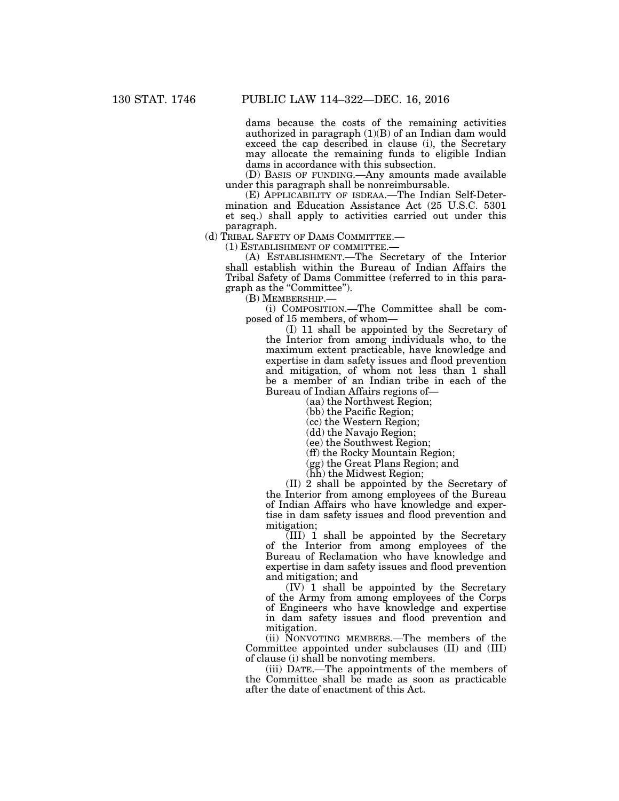dams because the costs of the remaining activities authorized in paragraph  $(1)(B)$  of an Indian dam would exceed the cap described in clause (i), the Secretary may allocate the remaining funds to eligible Indian dams in accordance with this subsection.

(D) BASIS OF FUNDING.—Any amounts made available under this paragraph shall be nonreimbursable.

(E) APPLICABILITY OF ISDEAA.—The Indian Self-Determination and Education Assistance Act (25 U.S.C. 5301 et seq.) shall apply to activities carried out under this paragraph.

(d) TRIBAL SAFETY OF DAMS COMMITTEE.—

(1) ESTABLISHMENT OF COMMITTEE.—

(A) ESTABLISHMENT.—The Secretary of the Interior shall establish within the Bureau of Indian Affairs the Tribal Safety of Dams Committee (referred to in this paragraph as the ''Committee'').

(B) MEMBERSHIP.—

(i) COMPOSITION.—The Committee shall be composed of 15 members, of whom—

(I) 11 shall be appointed by the Secretary of the Interior from among individuals who, to the maximum extent practicable, have knowledge and expertise in dam safety issues and flood prevention and mitigation, of whom not less than 1 shall be a member of an Indian tribe in each of the Bureau of Indian Affairs regions of—

(aa) the Northwest Region;

(bb) the Pacific Region;

(cc) the Western Region;

(dd) the Navajo Region;

(ee) the Southwest Region;

(ff) the Rocky Mountain Region;

(gg) the Great Plans Region; and

(hh) the Midwest Region;

(II) 2 shall be appointed by the Secretary of the Interior from among employees of the Bureau of Indian Affairs who have knowledge and expertise in dam safety issues and flood prevention and mitigation;

(III) 1 shall be appointed by the Secretary of the Interior from among employees of the Bureau of Reclamation who have knowledge and expertise in dam safety issues and flood prevention and mitigation; and

(IV) 1 shall be appointed by the Secretary of the Army from among employees of the Corps of Engineers who have knowledge and expertise in dam safety issues and flood prevention and mitigation.

(ii) NONVOTING MEMBERS.—The members of the Committee appointed under subclauses (II) and (III) of clause (i) shall be nonvoting members.

(iii) DATE.—The appointments of the members of the Committee shall be made as soon as practicable after the date of enactment of this Act.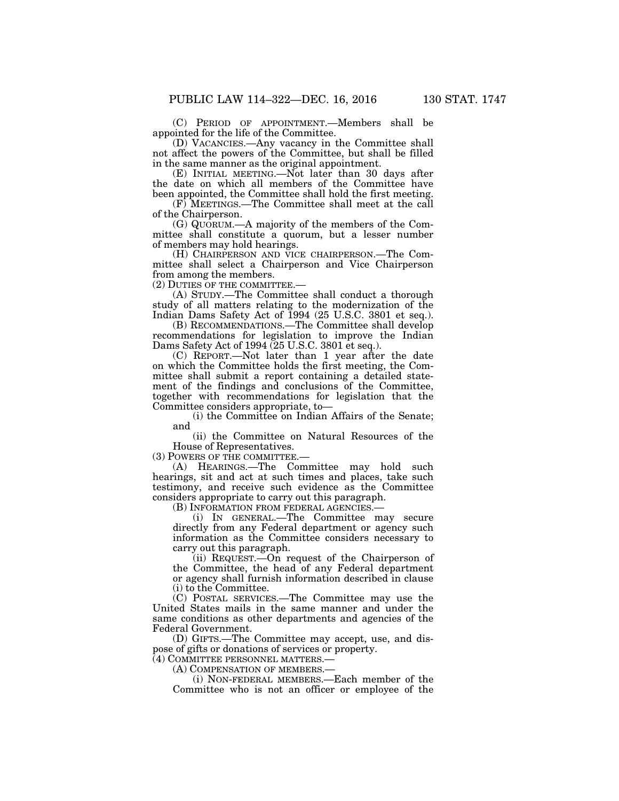(C) PERIOD OF APPOINTMENT.—Members shall be appointed for the life of the Committee.

(D) VACANCIES.—Any vacancy in the Committee shall not affect the powers of the Committee, but shall be filled in the same manner as the original appointment.

(E) INITIAL MEETING.—Not later than 30 days after the date on which all members of the Committee have been appointed, the Committee shall hold the first meeting.

(F) MEETINGS.—The Committee shall meet at the call of the Chairperson.

(G) QUORUM.—A majority of the members of the Committee shall constitute a quorum, but a lesser number of members may hold hearings.

(H) CHAIRPERSON AND VICE CHAIRPERSON.—The Committee shall select a Chairperson and Vice Chairperson from among the members.

(2) DUTIES OF THE COMMITTEE.—

(A) STUDY.—The Committee shall conduct a thorough study of all matters relating to the modernization of the Indian Dams Safety Act of 1994 (25 U.S.C. 3801 et seq.).

(B) RECOMMENDATIONS.—The Committee shall develop recommendations for legislation to improve the Indian Dams Safety Act of 1994 (25 U.S.C. 3801 et seq.).

(C) REPORT.—Not later than 1 year after the date on which the Committee holds the first meeting, the Committee shall submit a report containing a detailed statement of the findings and conclusions of the Committee, together with recommendations for legislation that the Committee considers appropriate, to—

(i) the Committee on Indian Affairs of the Senate; and

(ii) the Committee on Natural Resources of the House of Representatives.

(3) POWERS OF THE COMMITTEE.—

(A) HEARINGS.—The Committee may hold such hearings, sit and act at such times and places, take such testimony, and receive such evidence as the Committee considers appropriate to carry out this paragraph.

(B) INFORMATION FROM FEDERAL AGENCIES.—

(i) IN GENERAL.—The Committee may secure directly from any Federal department or agency such information as the Committee considers necessary to carry out this paragraph.

(ii) REQUEST.—On request of the Chairperson of the Committee, the head of any Federal department or agency shall furnish information described in clause (i) to the Committee.

(C) POSTAL SERVICES.—The Committee may use the United States mails in the same manner and under the same conditions as other departments and agencies of the Federal Government.

(D) GIFTS.—The Committee may accept, use, and dispose of gifts or donations of services or property.

(4) COMMITTEE PERSONNEL MATTERS.—

(A) COMPENSATION OF MEMBERS.—<br>(i) NON-FEDERAL MEMBERS.—Each member of the Committee who is not an officer or employee of the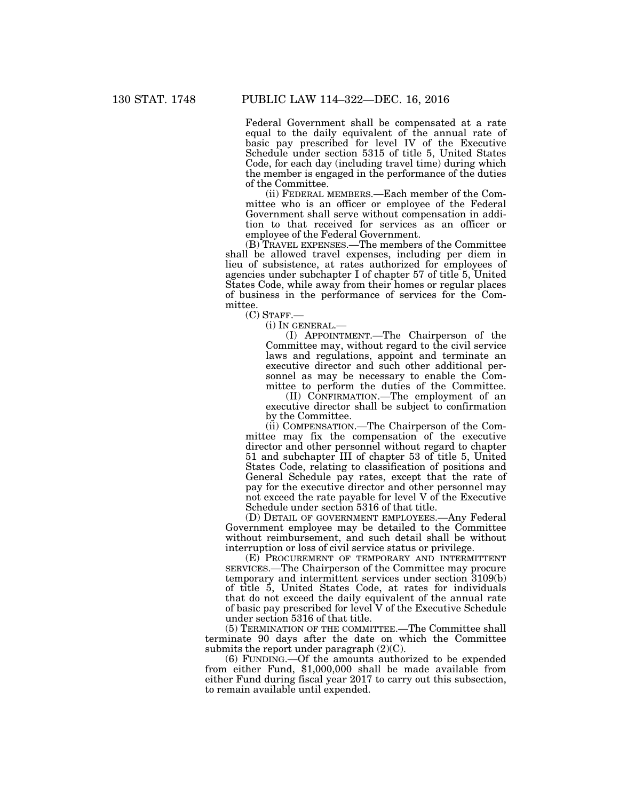Federal Government shall be compensated at a rate equal to the daily equivalent of the annual rate of basic pay prescribed for level IV of the Executive Schedule under section 5315 of title 5, United States Code, for each day (including travel time) during which the member is engaged in the performance of the duties of the Committee.

(ii) FEDERAL MEMBERS.—Each member of the Committee who is an officer or employee of the Federal Government shall serve without compensation in addition to that received for services as an officer or employee of the Federal Government.

(B) TRAVEL EXPENSES.—The members of the Committee shall be allowed travel expenses, including per diem in lieu of subsistence, at rates authorized for employees of agencies under subchapter I of chapter 57 of title 5, United States Code, while away from their homes or regular places of business in the performance of services for the Committee.

(C) STAFF.—

(i) IN GENERAL.—

(I) APPOINTMENT.—The Chairperson of the Committee may, without regard to the civil service laws and regulations, appoint and terminate an executive director and such other additional personnel as may be necessary to enable the Committee to perform the duties of the Committee.

(II) CONFIRMATION.—The employment of an executive director shall be subject to confirmation by the Committee.

(ii) COMPENSATION.—The Chairperson of the Committee may fix the compensation of the executive director and other personnel without regard to chapter 51 and subchapter III of chapter 53 of title 5, United States Code, relating to classification of positions and General Schedule pay rates, except that the rate of pay for the executive director and other personnel may not exceed the rate payable for level V of the Executive Schedule under section 5316 of that title.

(D) DETAIL OF GOVERNMENT EMPLOYEES.—Any Federal Government employee may be detailed to the Committee without reimbursement, and such detail shall be without interruption or loss of civil service status or privilege.

(E) PROCUREMENT OF TEMPORARY AND INTERMITTENT SERVICES.—The Chairperson of the Committee may procure temporary and intermittent services under section 3109(b) of title 5, United States Code, at rates for individuals that do not exceed the daily equivalent of the annual rate of basic pay prescribed for level V of the Executive Schedule under section 5316 of that title.

(5) TERMINATION OF THE COMMITTEE.—The Committee shall terminate 90 days after the date on which the Committee submits the report under paragraph  $(2)(C)$ .

(6) FUNDING.—Of the amounts authorized to be expended from either Fund, \$1,000,000 shall be made available from either Fund during fiscal year 2017 to carry out this subsection, to remain available until expended.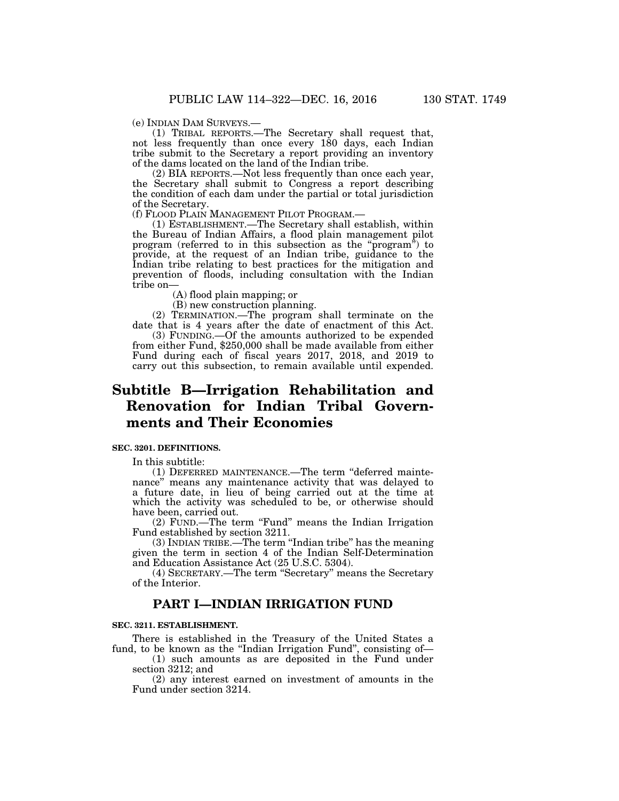(e) INDIAN DAM SURVEYS.— (1) TRIBAL REPORTS.—The Secretary shall request that, not less frequently than once every 180 days, each Indian tribe submit to the Secretary a report providing an inventory of the dams located on the land of the Indian tribe.

(2) BIA REPORTS.—Not less frequently than once each year, the Secretary shall submit to Congress a report describing the condition of each dam under the partial or total jurisdiction of the Secretary.<br>(f) Flood Plain Management Pilot Program.—

(f) FLOOD PLAIN MANAGEMENT PILOT PROGRAM.— (1) ESTABLISHMENT.—The Secretary shall establish, within the Bureau of Indian Affairs, a flood plain management pilot program (referred to in this subsection as the ''program'') to provide, at the request of an Indian tribe, guidance to the Indian tribe relating to best practices for the mitigation and prevention of floods, including consultation with the Indian tribe on-

(A) flood plain mapping; or

(B) new construction planning.

(2) TERMINATION.—The program shall terminate on the date that is 4 years after the date of enactment of this Act.

(3) FUNDING.—Of the amounts authorized to be expended from either Fund, \$250,000 shall be made available from either Fund during each of fiscal years 2017, 2018, and 2019 to carry out this subsection, to remain available until expended.

# **Subtitle B—Irrigation Rehabilitation and Renovation for Indian Tribal Governments and Their Economies**

#### **SEC. 3201. DEFINITIONS.**

In this subtitle:

(1) DEFERRED MAINTENANCE.—The term ''deferred maintenance'' means any maintenance activity that was delayed to a future date, in lieu of being carried out at the time at which the activity was scheduled to be, or otherwise should have been, carried out.

(2) FUND.—The term ''Fund'' means the Indian Irrigation Fund established by section 3211.

(3) INDIAN TRIBE.—The term ''Indian tribe'' has the meaning given the term in section 4 of the Indian Self-Determination and Education Assistance Act (25 U.S.C. 5304).

(4) SECRETARY.—The term ''Secretary'' means the Secretary of the Interior.

## **PART I—INDIAN IRRIGATION FUND**

#### **SEC. 3211. ESTABLISHMENT.**

There is established in the Treasury of the United States a fund, to be known as the "Indian Irrigation Fund", consisting of-

(1) such amounts as are deposited in the Fund under section 3212; and

(2) any interest earned on investment of amounts in the Fund under section 3214.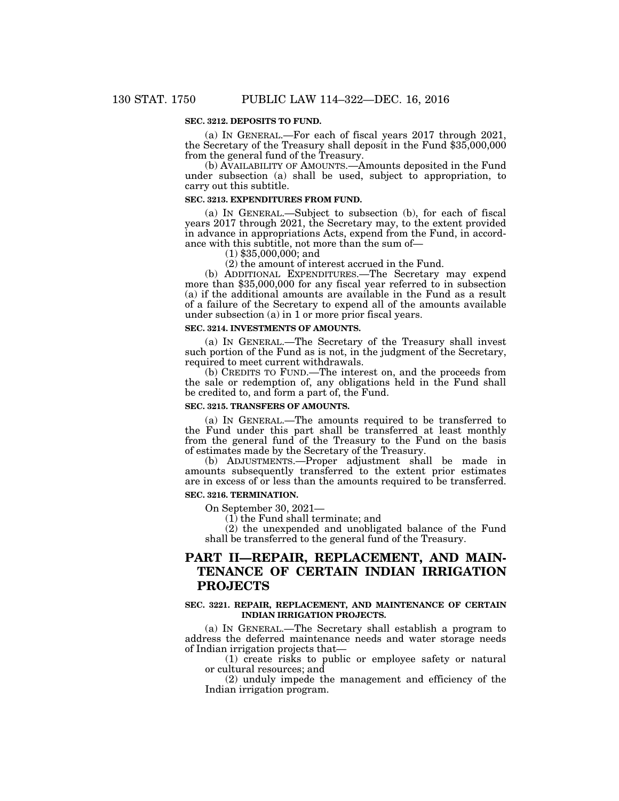#### **SEC. 3212. DEPOSITS TO FUND.**

(a) IN GENERAL.—For each of fiscal years 2017 through 2021, the Secretary of the Treasury shall deposit in the Fund \$35,000,000 from the general fund of the Treasury.

(b) AVAILABILITY OF AMOUNTS.—Amounts deposited in the Fund under subsection (a) shall be used, subject to appropriation, to carry out this subtitle.

#### **SEC. 3213. EXPENDITURES FROM FUND.**

(a) IN GENERAL.—Subject to subsection (b), for each of fiscal years 2017 through 2021, the Secretary may, to the extent provided in advance in appropriations Acts, expend from the Fund, in accordance with this subtitle, not more than the sum of—

(1) \$35,000,000; and

(2) the amount of interest accrued in the Fund.

(b) ADDITIONAL EXPENDITURES.—The Secretary may expend more than \$35,000,000 for any fiscal year referred to in subsection (a) if the additional amounts are available in the Fund as a result of a failure of the Secretary to expend all of the amounts available under subsection (a) in 1 or more prior fiscal years.

#### **SEC. 3214. INVESTMENTS OF AMOUNTS.**

(a) IN GENERAL.—The Secretary of the Treasury shall invest such portion of the Fund as is not, in the judgment of the Secretary, required to meet current withdrawals.

(b) CREDITS TO FUND.—The interest on, and the proceeds from the sale or redemption of, any obligations held in the Fund shall be credited to, and form a part of, the Fund.

## **SEC. 3215. TRANSFERS OF AMOUNTS.**

(a) IN GENERAL.—The amounts required to be transferred to the Fund under this part shall be transferred at least monthly from the general fund of the Treasury to the Fund on the basis of estimates made by the Secretary of the Treasury.

(b) ADJUSTMENTS.—Proper adjustment shall be made in amounts subsequently transferred to the extent prior estimates are in excess of or less than the amounts required to be transferred.

## **SEC. 3216. TERMINATION.**

On September 30, 2021—

(1) the Fund shall terminate; and

(2) the unexpended and unobligated balance of the Fund shall be transferred to the general fund of the Treasury.

## **PART II—REPAIR, REPLACEMENT, AND MAIN-TENANCE OF CERTAIN INDIAN IRRIGATION PROJECTS**

#### **SEC. 3221. REPAIR, REPLACEMENT, AND MAINTENANCE OF CERTAIN INDIAN IRRIGATION PROJECTS.**

(a) IN GENERAL.—The Secretary shall establish a program to address the deferred maintenance needs and water storage needs of Indian irrigation projects that—

(1) create risks to public or employee safety or natural or cultural resources; and

(2) unduly impede the management and efficiency of the Indian irrigation program.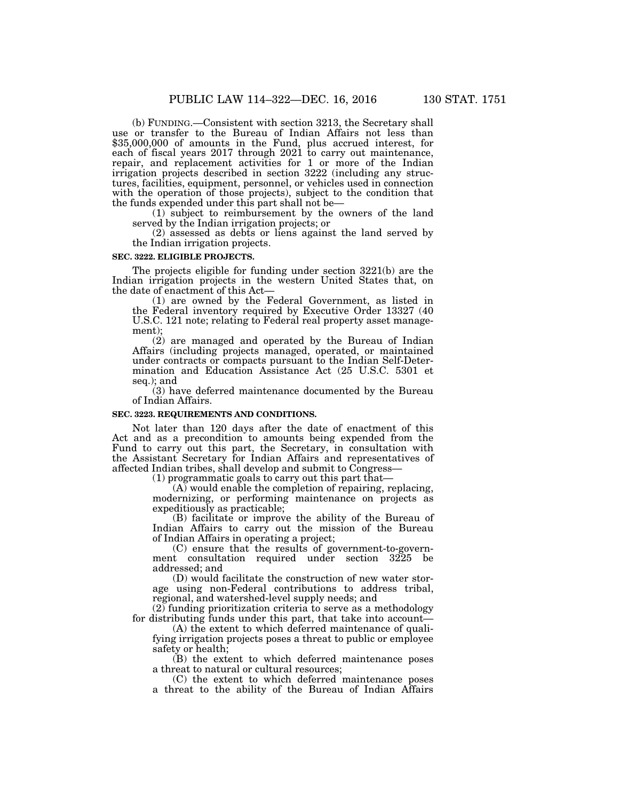(b) FUNDING.—Consistent with section 3213, the Secretary shall use or transfer to the Bureau of Indian Affairs not less than \$35,000,000 of amounts in the Fund, plus accrued interest, for each of fiscal years 2017 through 2021 to carry out maintenance, repair, and replacement activities for 1 or more of the Indian irrigation projects described in section 3222 (including any structures, facilities, equipment, personnel, or vehicles used in connection with the operation of those projects), subject to the condition that the funds expended under this part shall not be—

(1) subject to reimbursement by the owners of the land served by the Indian irrigation projects; or

(2) assessed as debts or liens against the land served by the Indian irrigation projects.

#### **SEC. 3222. ELIGIBLE PROJECTS.**

The projects eligible for funding under section 3221(b) are the Indian irrigation projects in the western United States that, on the date of enactment of this Act—

(1) are owned by the Federal Government, as listed in the Federal inventory required by Executive Order 13327 (40 U.S.C. 121 note; relating to Federal real property asset management);

(2) are managed and operated by the Bureau of Indian Affairs (including projects managed, operated, or maintained under contracts or compacts pursuant to the Indian Self-Determination and Education Assistance Act (25 U.S.C. 5301 et seq.); and

(3) have deferred maintenance documented by the Bureau of Indian Affairs.

## **SEC. 3223. REQUIREMENTS AND CONDITIONS.**

Not later than 120 days after the date of enactment of this Act and as a precondition to amounts being expended from the Fund to carry out this part, the Secretary, in consultation with the Assistant Secretary for Indian Affairs and representatives of affected Indian tribes, shall develop and submit to Congress—

(1) programmatic goals to carry out this part that—

(A) would enable the completion of repairing, replacing, modernizing, or performing maintenance on projects as expeditiously as practicable;

(B) facilitate or improve the ability of the Bureau of Indian Affairs to carry out the mission of the Bureau of Indian Affairs in operating a project;

(C) ensure that the results of government-to-government consultation required under section 3225 be addressed; and

(D) would facilitate the construction of new water storage using non-Federal contributions to address tribal, regional, and watershed-level supply needs; and

(2) funding prioritization criteria to serve as a methodology for distributing funds under this part, that take into account—

(A) the extent to which deferred maintenance of qualifying irrigation projects poses a threat to public or employee safety or health;

(B) the extent to which deferred maintenance poses a threat to natural or cultural resources;

(C) the extent to which deferred maintenance poses a threat to the ability of the Bureau of Indian Affairs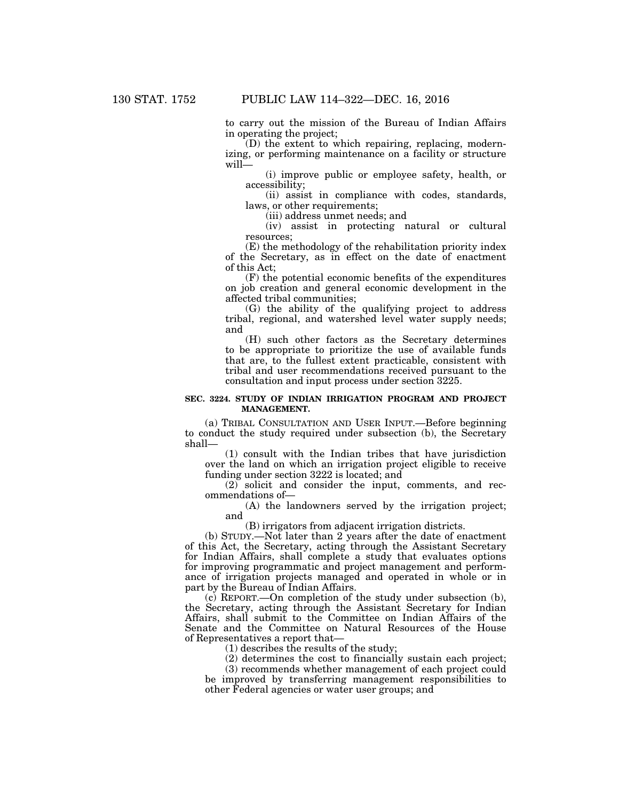to carry out the mission of the Bureau of Indian Affairs in operating the project;

(D) the extent to which repairing, replacing, modernizing, or performing maintenance on a facility or structure will—

(i) improve public or employee safety, health, or accessibility;

(ii) assist in compliance with codes, standards, laws, or other requirements;

(iii) address unmet needs; and

(iv) assist in protecting natural or cultural resources;

(E) the methodology of the rehabilitation priority index of the Secretary, as in effect on the date of enactment of this Act;

(F) the potential economic benefits of the expenditures on job creation and general economic development in the affected tribal communities;

(G) the ability of the qualifying project to address tribal, regional, and watershed level water supply needs; and

(H) such other factors as the Secretary determines to be appropriate to prioritize the use of available funds that are, to the fullest extent practicable, consistent with tribal and user recommendations received pursuant to the consultation and input process under section 3225.

#### **SEC. 3224. STUDY OF INDIAN IRRIGATION PROGRAM AND PROJECT MANAGEMENT.**

(a) TRIBAL CONSULTATION AND USER INPUT.—Before beginning to conduct the study required under subsection (b), the Secretary shall—

(1) consult with the Indian tribes that have jurisdiction over the land on which an irrigation project eligible to receive funding under section 3222 is located; and

(2) solicit and consider the input, comments, and recommendations of—

(A) the landowners served by the irrigation project; and

(B) irrigators from adjacent irrigation districts.

(b) STUDY.—Not later than 2 years after the date of enactment of this Act, the Secretary, acting through the Assistant Secretary for Indian Affairs, shall complete a study that evaluates options for improving programmatic and project management and performance of irrigation projects managed and operated in whole or in part by the Bureau of Indian Affairs.

(c) REPORT.—On completion of the study under subsection (b), the Secretary, acting through the Assistant Secretary for Indian Affairs, shall submit to the Committee on Indian Affairs of the Senate and the Committee on Natural Resources of the House of Representatives a report that—

(1) describes the results of the study;

(2) determines the cost to financially sustain each project;

(3) recommends whether management of each project could be improved by transferring management responsibilities to other Federal agencies or water user groups; and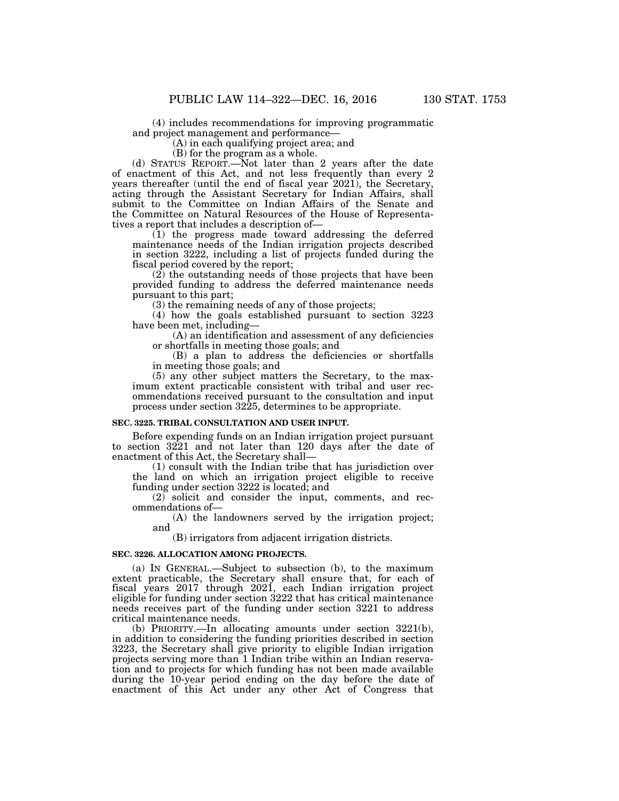(4) includes recommendations for improving programmatic and project management and performance—

(A) in each qualifying project area; and

(B) for the program as a whole.

(d) STATUS REPORT.—Not later than 2 years after the date of enactment of this Act, and not less frequently than every 2 years thereafter (until the end of fiscal year 2021), the Secretary, acting through the Assistant Secretary for Indian Affairs, shall submit to the Committee on Indian Affairs of the Senate and the Committee on Natural Resources of the House of Representatives a report that includes a description of—

(1) the progress made toward addressing the deferred maintenance needs of the Indian irrigation projects described in section 3222, including a list of projects funded during the fiscal period covered by the report;

(2) the outstanding needs of those projects that have been provided funding to address the deferred maintenance needs pursuant to this part;

(3) the remaining needs of any of those projects;

(4) how the goals established pursuant to section 3223 have been met, including—

(A) an identification and assessment of any deficiencies or shortfalls in meeting those goals; and

(B) a plan to address the deficiencies or shortfalls in meeting those goals; and

(5) any other subject matters the Secretary, to the maximum extent practicable consistent with tribal and user recommendations received pursuant to the consultation and input process under section 3225, determines to be appropriate.

#### **SEC. 3225. TRIBAL CONSULTATION AND USER INPUT.**

Before expending funds on an Indian irrigation project pursuant to section 3221 and not later than 120 days after the date of enactment of this Act, the Secretary shall—

(1) consult with the Indian tribe that has jurisdiction over the land on which an irrigation project eligible to receive funding under section 3222 is located; and

(2) solicit and consider the input, comments, and recommendations of—

(A) the landowners served by the irrigation project; and

(B) irrigators from adjacent irrigation districts.

#### **SEC. 3226. ALLOCATION AMONG PROJECTS.**

(a) IN GENERAL.—Subject to subsection (b), to the maximum extent practicable, the Secretary shall ensure that, for each of fiscal years 2017 through 2021, each Indian irrigation project eligible for funding under section 3222 that has critical maintenance needs receives part of the funding under section 3221 to address critical maintenance needs.

(b) PRIORITY.—In allocating amounts under section 3221(b), in addition to considering the funding priorities described in section 3223, the Secretary shall give priority to eligible Indian irrigation projects serving more than 1 Indian tribe within an Indian reservation and to projects for which funding has not been made available during the 10-year period ending on the day before the date of enactment of this Act under any other Act of Congress that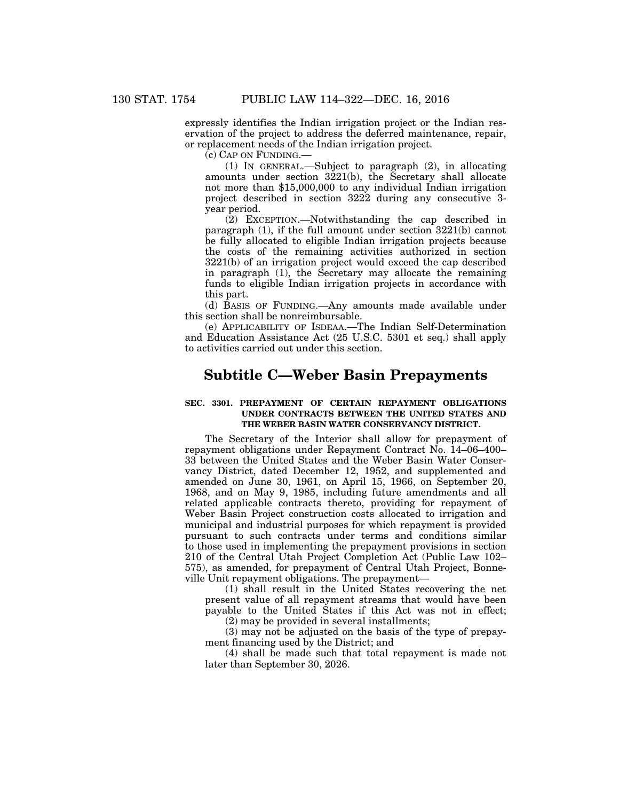expressly identifies the Indian irrigation project or the Indian reservation of the project to address the deferred maintenance, repair, or replacement needs of the Indian irrigation project.

(c) CAP ON FUNDING.—

(1) IN GENERAL.—Subject to paragraph (2), in allocating amounts under section 3221(b), the Secretary shall allocate not more than \$15,000,000 to any individual Indian irrigation project described in section 3222 during any consecutive 3 year period.

(2) EXCEPTION.—Notwithstanding the cap described in paragraph (1), if the full amount under section 3221(b) cannot be fully allocated to eligible Indian irrigation projects because the costs of the remaining activities authorized in section 3221(b) of an irrigation project would exceed the cap described in paragraph (1), the Secretary may allocate the remaining funds to eligible Indian irrigation projects in accordance with this part.

(d) BASIS OF FUNDING.—Any amounts made available under this section shall be nonreimbursable.

(e) APPLICABILITY OF ISDEAA.—The Indian Self-Determination and Education Assistance Act (25 U.S.C. 5301 et seq.) shall apply to activities carried out under this section.

# **Subtitle C—Weber Basin Prepayments**

#### **SEC. 3301. PREPAYMENT OF CERTAIN REPAYMENT OBLIGATIONS UNDER CONTRACTS BETWEEN THE UNITED STATES AND THE WEBER BASIN WATER CONSERVANCY DISTRICT.**

The Secretary of the Interior shall allow for prepayment of repayment obligations under Repayment Contract No. 14–06–400– 33 between the United States and the Weber Basin Water Conservancy District, dated December 12, 1952, and supplemented and amended on June 30, 1961, on April 15, 1966, on September 20, 1968, and on May 9, 1985, including future amendments and all related applicable contracts thereto, providing for repayment of Weber Basin Project construction costs allocated to irrigation and municipal and industrial purposes for which repayment is provided pursuant to such contracts under terms and conditions similar to those used in implementing the prepayment provisions in section 210 of the Central Utah Project Completion Act (Public Law 102– 575), as amended, for prepayment of Central Utah Project, Bonneville Unit repayment obligations. The prepayment—

(1) shall result in the United States recovering the net present value of all repayment streams that would have been payable to the United States if this Act was not in effect;

(2) may be provided in several installments;

(3) may not be adjusted on the basis of the type of prepayment financing used by the District; and

(4) shall be made such that total repayment is made not later than September 30, 2026.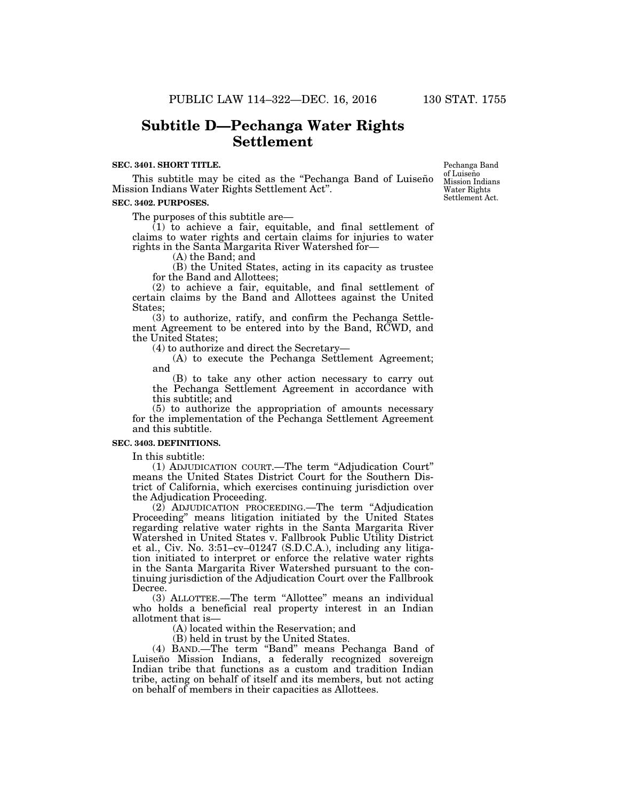# **Subtitle D—Pechanga Water Rights Settlement**

## **SEC. 3401. SHORT TITLE.**

This subtitle may be cited as the "Pechanga Band of Luiseño" Mission Indians Water Rights Settlement Act''.

## **SEC. 3402. PURPOSES.**

The purposes of this subtitle are—

 $(1)$  to achieve a fair, equitable, and final settlement of claims to water rights and certain claims for injuries to water rights in the Santa Margarita River Watershed for—

(A) the Band; and

(B) the United States, acting in its capacity as trustee for the Band and Allottees;

(2) to achieve a fair, equitable, and final settlement of certain claims by the Band and Allottees against the United States;

(3) to authorize, ratify, and confirm the Pechanga Settlement Agreement to be entered into by the Band, RCWD, and the United States;

(4) to authorize and direct the Secretary—

(A) to execute the Pechanga Settlement Agreement; and

(B) to take any other action necessary to carry out the Pechanga Settlement Agreement in accordance with this subtitle; and

(5) to authorize the appropriation of amounts necessary for the implementation of the Pechanga Settlement Agreement and this subtitle.

#### **SEC. 3403. DEFINITIONS.**

In this subtitle:

(1) ADJUDICATION COURT.—The term ''Adjudication Court'' means the United States District Court for the Southern District of California, which exercises continuing jurisdiction over the Adjudication Proceeding.

(2) ADJUDICATION PROCEEDING.—The term ''Adjudication Proceeding'' means litigation initiated by the United States regarding relative water rights in the Santa Margarita River Watershed in United States v. Fallbrook Public Utility District et al., Civ. No. 3:51–cv–01247 (S.D.C.A.), including any litigation initiated to interpret or enforce the relative water rights in the Santa Margarita River Watershed pursuant to the continuing jurisdiction of the Adjudication Court over the Fallbrook Decree.

(3) ALLOTTEE.—The term ''Allottee'' means an individual who holds a beneficial real property interest in an Indian allotment that is—

(A) located within the Reservation; and

(B) held in trust by the United States.

(4) BAND.—The term ''Band'' means Pechanga Band of Luiseño Mission Indians, a federally recognized sovereign Indian tribe that functions as a custom and tradition Indian tribe, acting on behalf of itself and its members, but not acting on behalf of members in their capacities as Allottees.

Pechanga Band of Luiseño Mission Indians Water Rights Settlement Act.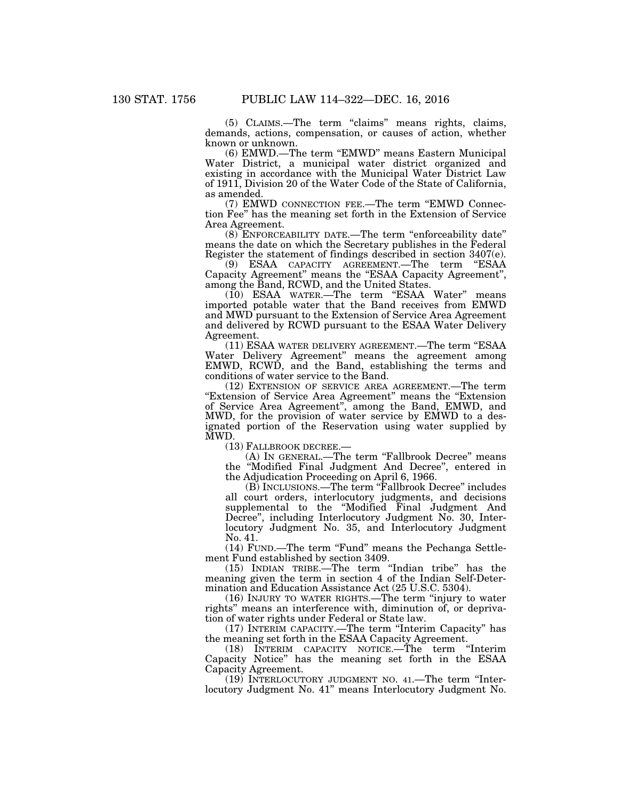(5) CLAIMS.—The term ''claims'' means rights, claims, demands, actions, compensation, or causes of action, whether known or unknown.

(6) EMWD.—The term ''EMWD'' means Eastern Municipal Water District, a municipal water district organized and existing in accordance with the Municipal Water District Law of 1911, Division 20 of the Water Code of the State of California, as amended.

(7) EMWD CONNECTION FEE.—The term ''EMWD Connection Fee'' has the meaning set forth in the Extension of Service Area Agreement.

(8) ENFORCEABILITY DATE.—The term ''enforceability date'' means the date on which the Secretary publishes in the Federal Register the statement of findings described in section 3407(e).

(9) ESAA CAPACITY AGREEMENT.—The term ''ESAA Capacity Agreement'' means the ''ESAA Capacity Agreement'', among the Band, RCWD, and the United States.

(10) ESAA WATER.-The term "ESAA Water" means imported potable water that the Band receives from EMWD and MWD pursuant to the Extension of Service Area Agreement and delivered by RCWD pursuant to the ESAA Water Delivery Agreement.

(11) ESAA WATER DELIVERY AGREEMENT.—The term ''ESAA Water Delivery Agreement'' means the agreement among EMWD, RCWD, and the Band, establishing the terms and conditions of water service to the Band.

(12) EXTENSION OF SERVICE AREA AGREEMENT.—The term "Extension of Service Area Agreement" means the "Extension of Service Area Agreement'', among the Band, EMWD, and MWD, for the provision of water service by EMWD to a designated portion of the Reservation using water supplied by MWD.

(13) FALLBROOK DECREE.—

(A) IN GENERAL.—The term "Fallbrook Decree" means the ''Modified Final Judgment And Decree'', entered in the Adjudication Proceeding on April 6, 1966.

(B) INCLUSIONS.—The term ''Fallbrook Decree'' includes all court orders, interlocutory judgments, and decisions supplemental to the ''Modified Final Judgment And Decree'', including Interlocutory Judgment No. 30, Interlocutory Judgment No. 35, and Interlocutory Judgment No. 41.

(14) FUND.—The term ''Fund'' means the Pechanga Settlement Fund established by section 3409.

(15) INDIAN TRIBE.—The term ''Indian tribe'' has the meaning given the term in section 4 of the Indian Self-Determination and Education Assistance Act (25 U.S.C. 5304).

(16) INJURY TO WATER RIGHTS.—The term ''injury to water rights'' means an interference with, diminution of, or deprivation of water rights under Federal or State law.

(17) INTERIM CAPACITY.—The term ''Interim Capacity'' has the meaning set forth in the ESAA Capacity Agreement.

(18) INTERIM CAPACITY NOTICE.—The term ''Interim Capacity Notice'' has the meaning set forth in the ESAA Capacity Agreement.

(19) INTERLOCUTORY JUDGMENT NO. 41.—The term ''Interlocutory Judgment No. 41'' means Interlocutory Judgment No.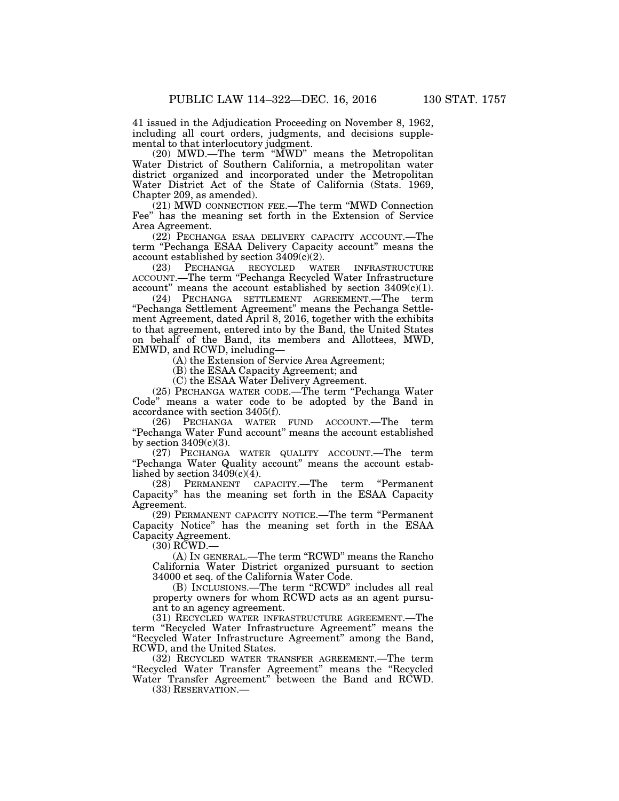41 issued in the Adjudication Proceeding on November 8, 1962, including all court orders, judgments, and decisions supplemental to that interlocutory judgment.

(20) MWD.—The term ''MWD'' means the Metropolitan Water District of Southern California, a metropolitan water district organized and incorporated under the Metropolitan Water District Act of the State of California (Stats. 1969, Chapter 209, as amended).

(21) MWD CONNECTION FEE.—The term ''MWD Connection Fee'' has the meaning set forth in the Extension of Service Area Agreement.

(22) PECHANGA ESAA DELIVERY CAPACITY ACCOUNT.—The term ''Pechanga ESAA Delivery Capacity account'' means the  $\text{account established by section } 3409(c)(2).$ <br>(23) PECHANGA RECYCLED WATER

(23) PECHANGA RECYCLED WATER INFRASTRUCTURE ACCOUNT.—The term ''Pechanga Recycled Water Infrastructure account'' means the account established by section 3409(c)(1).

(24) PECHANGA SETTLEMENT AGREEMENT.—The term ''Pechanga Settlement Agreement'' means the Pechanga Settlement Agreement, dated April 8, 2016, together with the exhibits to that agreement, entered into by the Band, the United States on behalf of the Band, its members and Allottees, MWD, EMWD, and RCWD, including—

(A) the Extension of Service Area Agreement;

(B) the ESAA Capacity Agreement; and

(C) the ESAA Water Delivery Agreement.

(25) PECHANGA WATER CODE.—The term "Pechanga Water Code'' means a water code to be adopted by the Band in accordance with section 3405(f).

(26) PECHANGA WATER FUND ACCOUNT.—The term "Pechanga Water Fund account" means the account established by section  $3409(c)(3)$ .

(27) PECHANGA WATER QUALITY ACCOUNT.—The term "Pechanga Water Quality account" means the account established by section  $3409(c)(4)$ .

(28) PERMANENT CAPACITY.—The term ''Permanent Capacity'' has the meaning set forth in the ESAA Capacity Agreement.

(29) PERMANENT CAPACITY NOTICE.—The term ''Permanent Capacity Notice'' has the meaning set forth in the ESAA Capacity Agreement.

 $(30)$  RCWD. $-$ 

(A) IN GENERAL.—The term ''RCWD'' means the Rancho California Water District organized pursuant to section 34000 et seq. of the California Water Code.

(B) INCLUSIONS.—The term ''RCWD'' includes all real property owners for whom RCWD acts as an agent pursuant to an agency agreement.

(31) RECYCLED WATER INFRASTRUCTURE AGREEMENT.—The term "Recycled Water Infrastructure Agreement" means the ''Recycled Water Infrastructure Agreement'' among the Band, RCWD, and the United States.

(32) RECYCLED WATER TRANSFER AGREEMENT.—The term ''Recycled Water Transfer Agreement'' means the ''Recycled Water Transfer Agreement" between the Band and RCWD. (33) RESERVATION.—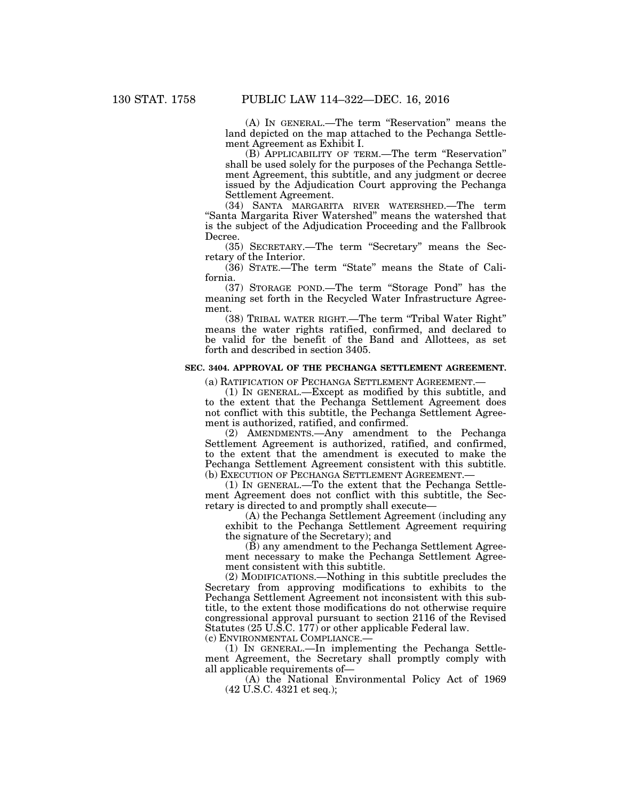(A) IN GENERAL.—The term ''Reservation'' means the land depicted on the map attached to the Pechanga Settlement Agreement as Exhibit I.

(B) APPLICABILITY OF TERM.—The term ''Reservation'' shall be used solely for the purposes of the Pechanga Settlement Agreement, this subtitle, and any judgment or decree issued by the Adjudication Court approving the Pechanga Settlement Agreement.

(34) SANTA MARGARITA RIVER WATERSHED.—The term ''Santa Margarita River Watershed'' means the watershed that is the subject of the Adjudication Proceeding and the Fallbrook Decree.

(35) SECRETARY.—The term ''Secretary'' means the Secretary of the Interior.

(36) STATE.—The term ''State'' means the State of California.

(37) STORAGE POND.—The term ''Storage Pond'' has the meaning set forth in the Recycled Water Infrastructure Agreement.

(38) TRIBAL WATER RIGHT.—The term ''Tribal Water Right'' means the water rights ratified, confirmed, and declared to be valid for the benefit of the Band and Allottees, as set forth and described in section 3405.

## **SEC. 3404. APPROVAL OF THE PECHANGA SETTLEMENT AGREEMENT.**

(a) RATIFICATION OF PECHANGA SETTLEMENT AGREEMENT.—

(1) IN GENERAL.—Except as modified by this subtitle, and to the extent that the Pechanga Settlement Agreement does not conflict with this subtitle, the Pechanga Settlement Agreement is authorized, ratified, and confirmed.

(2) AMENDMENTS.—Any amendment to the Pechanga Settlement Agreement is authorized, ratified, and confirmed, to the extent that the amendment is executed to make the Pechanga Settlement Agreement consistent with this subtitle. (b) EXECUTION OF PECHANGA SETTLEMENT AGREEMENT.—

(1) IN GENERAL.—To the extent that the Pechanga Settlement Agreement does not conflict with this subtitle, the Secretary is directed to and promptly shall execute—

(A) the Pechanga Settlement Agreement (including any exhibit to the Pechanga Settlement Agreement requiring the signature of the Secretary); and

(B) any amendment to the Pechanga Settlement Agreement necessary to make the Pechanga Settlement Agreement consistent with this subtitle.

(2) MODIFICATIONS.—Nothing in this subtitle precludes the Secretary from approving modifications to exhibits to the Pechanga Settlement Agreement not inconsistent with this subtitle, to the extent those modifications do not otherwise require congressional approval pursuant to section 2116 of the Revised Statutes (25 U.S.C. 177) or other applicable Federal law.

(c) ENVIRONMENTAL COMPLIANCE.—

(1) IN GENERAL.—In implementing the Pechanga Settlement Agreement, the Secretary shall promptly comply with all applicable requirements of—

(A) the National Environmental Policy Act of 1969 (42 U.S.C. 4321 et seq.);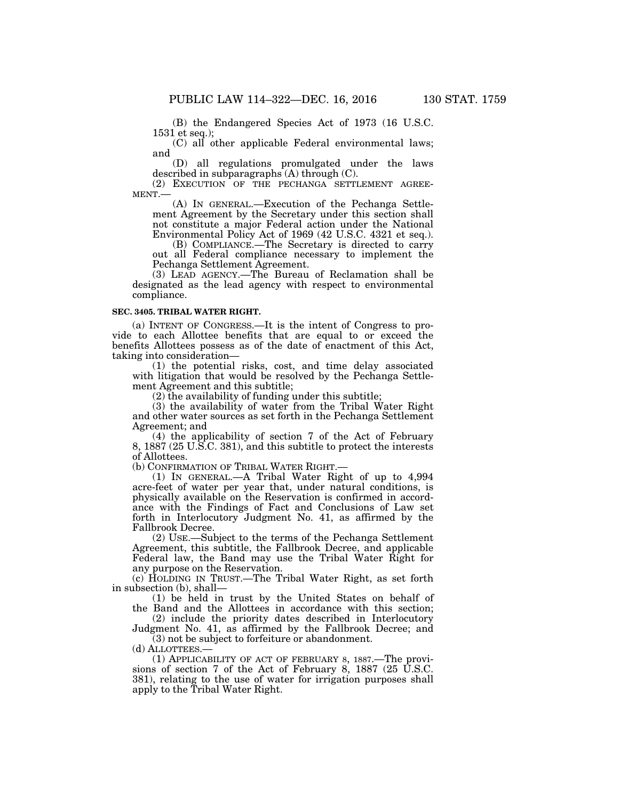(B) the Endangered Species Act of 1973 (16 U.S.C. 1531 et seq.);

(C) all other applicable Federal environmental laws; and

(D) all regulations promulgated under the laws described in subparagraphs (A) through (C).<br>(2) EXECUTION OF THE PECHANGA SETTLEMENT AGREE-

 $MENT.$  (A) In GENERAL.—Execution of the Pechanga Settle-

ment Agreement by the Secretary under this section shall not constitute a major Federal action under the National Environmental Policy Act of 1969 (42 U.S.C. 4321 et seq.).

(B) COMPLIANCE.—The Secretary is directed to carry out all Federal compliance necessary to implement the Pechanga Settlement Agreement.

(3) LEAD AGENCY.—The Bureau of Reclamation shall be designated as the lead agency with respect to environmental compliance.

#### **SEC. 3405. TRIBAL WATER RIGHT.**

(a) INTENT OF CONGRESS.—It is the intent of Congress to provide to each Allottee benefits that are equal to or exceed the benefits Allottees possess as of the date of enactment of this Act, taking into consideration—

(1) the potential risks, cost, and time delay associated with litigation that would be resolved by the Pechanga Settlement Agreement and this subtitle;

(2) the availability of funding under this subtitle;

(3) the availability of water from the Tribal Water Right and other water sources as set forth in the Pechanga Settlement Agreement; and

(4) the applicability of section 7 of the Act of February 8, 1887 (25 U.S.C. 381), and this subtitle to protect the interests of Allottees.<br>(b) CONFIRMATION OF TRIBAL WATER RIGHT.–

(1) IN GENERAL.—A Tribal Water Right of up to  $4,994$ acre-feet of water per year that, under natural conditions, is physically available on the Reservation is confirmed in accordance with the Findings of Fact and Conclusions of Law set forth in Interlocutory Judgment No. 41, as affirmed by the Fallbrook Decree.

(2) USE.—Subject to the terms of the Pechanga Settlement Agreement, this subtitle, the Fallbrook Decree, and applicable Federal law, the Band may use the Tribal Water Right for any purpose on the Reservation.

(c) HOLDING IN TRUST.—The Tribal Water Right, as set forth in subsection (b), shall—

(1) be held in trust by the United States on behalf of the Band and the Allottees in accordance with this section;

(2) include the priority dates described in Interlocutory Judgment No. 41, as affirmed by the Fallbrook Decree; and (3) not be subject to forfeiture or abandonment.

(d) ALLOTTEES.—

(1) APPLICABILITY OF ACT OF FEBRUARY 8, 1887.—The provisions of section 7 of the Act of February 8, 1887 (25 U.S.C. 381), relating to the use of water for irrigation purposes shall apply to the Tribal Water Right.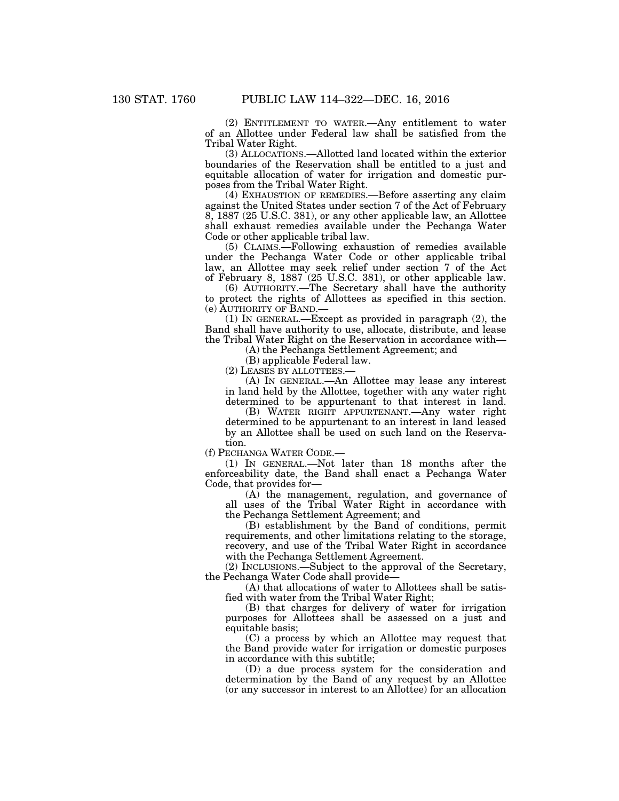(2) ENTITLEMENT TO WATER.—Any entitlement to water of an Allottee under Federal law shall be satisfied from the Tribal Water Right.

(3) ALLOCATIONS.—Allotted land located within the exterior boundaries of the Reservation shall be entitled to a just and equitable allocation of water for irrigation and domestic purposes from the Tribal Water Right.

(4) EXHAUSTION OF REMEDIES.—Before asserting any claim against the United States under section 7 of the Act of February 8, 1887 (25 U.S.C. 381), or any other applicable law, an Allottee shall exhaust remedies available under the Pechanga Water Code or other applicable tribal law.

(5) CLAIMS.—Following exhaustion of remedies available under the Pechanga Water Code or other applicable tribal law, an Allottee may seek relief under section 7 of the Act of February 8, 1887 (25 U.S.C. 381), or other applicable law.

(6) AUTHORITY.—The Secretary shall have the authority to protect the rights of Allottees as specified in this section. (e) AUTHORITY OF BAND.—

(1) IN GENERAL.—Except as provided in paragraph (2), the Band shall have authority to use, allocate, distribute, and lease the Tribal Water Right on the Reservation in accordance with—

(A) the Pechanga Settlement Agreement; and

(B) applicable Federal law.

(2) LEASES BY ALLOTTEES.—

(A) IN GENERAL.—An Allottee may lease any interest in land held by the Allottee, together with any water right determined to be appurtenant to that interest in land.

(B) WATER RIGHT APPURTENANT.—Any water right determined to be appurtenant to an interest in land leased by an Allottee shall be used on such land on the Reservation.

(f) PECHANGA WATER CODE.—

(1) IN GENERAL.—Not later than 18 months after the enforceability date, the Band shall enact a Pechanga Water Code, that provides for—

 $(A)$  the management, regulation, and governance of all uses of the Tribal Water Right in accordance with the Pechanga Settlement Agreement; and

(B) establishment by the Band of conditions, permit requirements, and other limitations relating to the storage, recovery, and use of the Tribal Water Right in accordance with the Pechanga Settlement Agreement.

(2) INCLUSIONS.—Subject to the approval of the Secretary, the Pechanga Water Code shall provide—

(A) that allocations of water to Allottees shall be satisfied with water from the Tribal Water Right;

(B) that charges for delivery of water for irrigation purposes for Allottees shall be assessed on a just and equitable basis;

(C) a process by which an Allottee may request that the Band provide water for irrigation or domestic purposes in accordance with this subtitle;

(D) a due process system for the consideration and determination by the Band of any request by an Allottee (or any successor in interest to an Allottee) for an allocation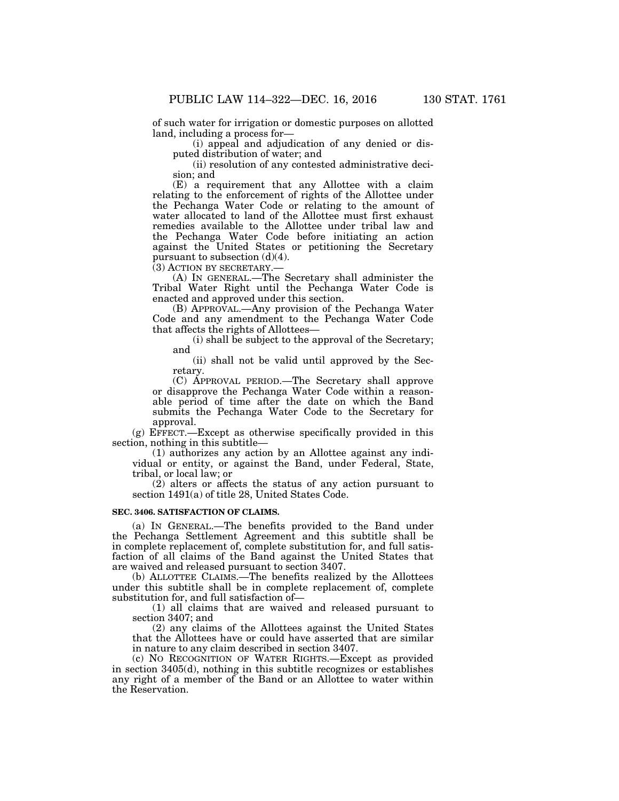of such water for irrigation or domestic purposes on allotted land, including a process for—

(i) appeal and adjudication of any denied or disputed distribution of water; and

(ii) resolution of any contested administrative decision; and

(E) a requirement that any Allottee with a claim relating to the enforcement of rights of the Allottee under the Pechanga Water Code or relating to the amount of water allocated to land of the Allottee must first exhaust remedies available to the Allottee under tribal law and the Pechanga Water Code before initiating an action against the United States or petitioning the Secretary pursuant to subsection  $(d)(4)$ .

(3) ACTION BY SECRETARY.—

(A) IN GENERAL.—The Secretary shall administer the Tribal Water Right until the Pechanga Water Code is enacted and approved under this section.

(B) APPROVAL.—Any provision of the Pechanga Water Code and any amendment to the Pechanga Water Code that affects the rights of Allottees—

(i) shall be subject to the approval of the Secretary; and

(ii) shall not be valid until approved by the Secretary.

(C) APPROVAL PERIOD.—The Secretary shall approve or disapprove the Pechanga Water Code within a reasonable period of time after the date on which the Band submits the Pechanga Water Code to the Secretary for approval.

(g) EFFECT.—Except as otherwise specifically provided in this section, nothing in this subtitle—

(1) authorizes any action by an Allottee against any individual or entity, or against the Band, under Federal, State, tribal, or local law; or

(2) alters or affects the status of any action pursuant to section 1491(a) of title 28, United States Code.

#### **SEC. 3406. SATISFACTION OF CLAIMS.**

(a) IN GENERAL.—The benefits provided to the Band under the Pechanga Settlement Agreement and this subtitle shall be in complete replacement of, complete substitution for, and full satisfaction of all claims of the Band against the United States that are waived and released pursuant to section 3407.

(b) ALLOTTEE CLAIMS.—The benefits realized by the Allottees under this subtitle shall be in complete replacement of, complete substitution for, and full satisfaction of—

(1) all claims that are waived and released pursuant to section 3407; and

(2) any claims of the Allottees against the United States that the Allottees have or could have asserted that are similar in nature to any claim described in section 3407.

(c) NO RECOGNITION OF WATER RIGHTS.—Except as provided in section 3405(d), nothing in this subtitle recognizes or establishes any right of a member of the Band or an Allottee to water within the Reservation.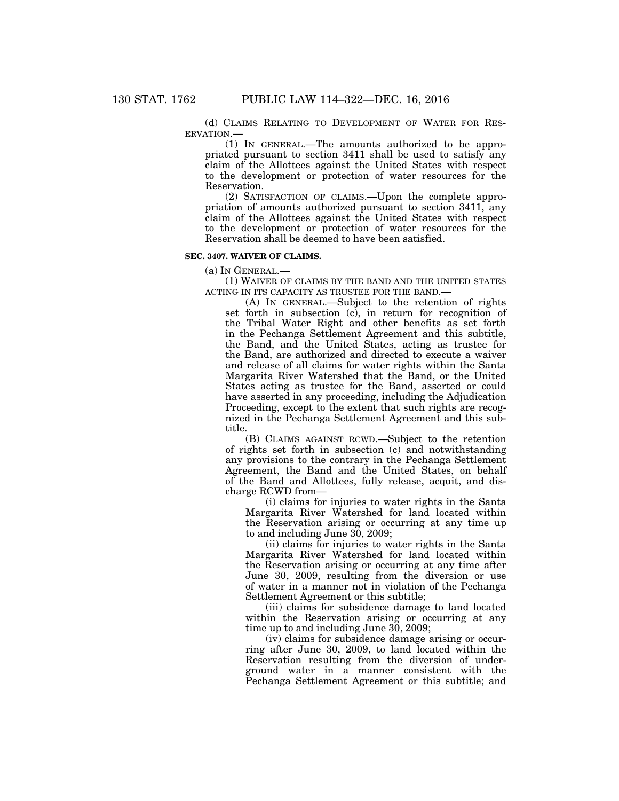(d) CLAIMS RELATING TO DEVELOPMENT OF WATER FOR RES-ERVATION.—

(1) IN GENERAL.—The amounts authorized to be appropriated pursuant to section 3411 shall be used to satisfy any claim of the Allottees against the United States with respect to the development or protection of water resources for the Reservation.

(2) SATISFACTION OF CLAIMS.—Upon the complete appropriation of amounts authorized pursuant to section 3411, any claim of the Allottees against the United States with respect to the development or protection of water resources for the Reservation shall be deemed to have been satisfied.

## **SEC. 3407. WAIVER OF CLAIMS.**

 $(a)$  In GENERAL<sub> $-$ </sub>

(1) WAIVER OF CLAIMS BY THE BAND AND THE UNITED STATES ACTING IN ITS CAPACITY AS TRUSTEE FOR THE BAND.—

(A) IN GENERAL.—Subject to the retention of rights set forth in subsection (c), in return for recognition of the Tribal Water Right and other benefits as set forth in the Pechanga Settlement Agreement and this subtitle, the Band, and the United States, acting as trustee for the Band, are authorized and directed to execute a waiver and release of all claims for water rights within the Santa Margarita River Watershed that the Band, or the United States acting as trustee for the Band, asserted or could have asserted in any proceeding, including the Adjudication Proceeding, except to the extent that such rights are recognized in the Pechanga Settlement Agreement and this subtitle.

(B) CLAIMS AGAINST RCWD.—Subject to the retention of rights set forth in subsection (c) and notwithstanding any provisions to the contrary in the Pechanga Settlement Agreement, the Band and the United States, on behalf of the Band and Allottees, fully release, acquit, and discharge RCWD from—

(i) claims for injuries to water rights in the Santa Margarita River Watershed for land located within the Reservation arising or occurring at any time up to and including June 30, 2009;

(ii) claims for injuries to water rights in the Santa Margarita River Watershed for land located within the Reservation arising or occurring at any time after June 30, 2009, resulting from the diversion or use of water in a manner not in violation of the Pechanga Settlement Agreement or this subtitle;

(iii) claims for subsidence damage to land located within the Reservation arising or occurring at any time up to and including June  $30, 2009$ ;

(iv) claims for subsidence damage arising or occurring after June 30, 2009, to land located within the Reservation resulting from the diversion of underground water in a manner consistent with the Pechanga Settlement Agreement or this subtitle; and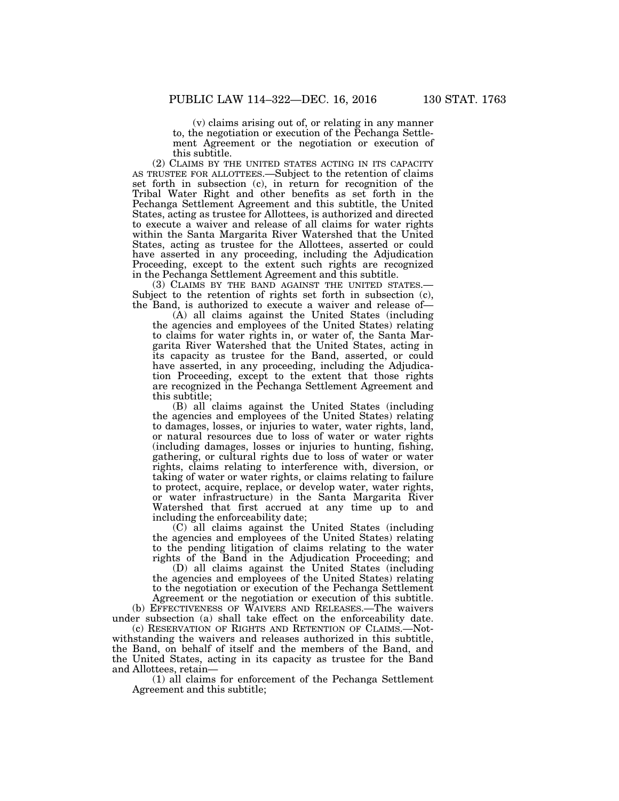(v) claims arising out of, or relating in any manner to, the negotiation or execution of the Pechanga Settlement Agreement or the negotiation or execution of this subtitle.

(2) CLAIMS BY THE UNITED STATES ACTING IN ITS CAPACITY AS TRUSTEE FOR ALLOTTEES.—Subject to the retention of claims set forth in subsection (c), in return for recognition of the Tribal Water Right and other benefits as set forth in the Pechanga Settlement Agreement and this subtitle, the United States, acting as trustee for Allottees, is authorized and directed to execute a waiver and release of all claims for water rights within the Santa Margarita River Watershed that the United States, acting as trustee for the Allottees, asserted or could have asserted in any proceeding, including the Adjudication Proceeding, except to the extent such rights are recognized in the Pechanga Settlement Agreement and this subtitle.

(3) CLAIMS BY THE BAND AGAINST THE UNITED STATES.— Subject to the retention of rights set forth in subsection (c), the Band, is authorized to execute a waiver and release of—

(A) all claims against the United States (including the agencies and employees of the United States) relating to claims for water rights in, or water of, the Santa Margarita River Watershed that the United States, acting in its capacity as trustee for the Band, asserted, or could have asserted, in any proceeding, including the Adjudication Proceeding, except to the extent that those rights are recognized in the Pechanga Settlement Agreement and this subtitle;

(B) all claims against the United States (including the agencies and employees of the United States) relating to damages, losses, or injuries to water, water rights, land, or natural resources due to loss of water or water rights (including damages, losses or injuries to hunting, fishing, gathering, or cultural rights due to loss of water or water rights, claims relating to interference with, diversion, or taking of water or water rights, or claims relating to failure to protect, acquire, replace, or develop water, water rights, or water infrastructure) in the Santa Margarita River Watershed that first accrued at any time up to and including the enforceability date;

(C) all claims against the United States (including the agencies and employees of the United States) relating to the pending litigation of claims relating to the water rights of the Band in the Adjudication Proceeding; and

(D) all claims against the United States (including the agencies and employees of the United States) relating to the negotiation or execution of the Pechanga Settlement Agreement or the negotiation or execution of this subtitle.

(b) EFFECTIVENESS OF WAIVERS AND RELEASES.—The waivers under subsection (a) shall take effect on the enforceability date.

(c) RESERVATION OF RIGHTS AND RETENTION OF CLAIMS.—Notwithstanding the waivers and releases authorized in this subtitle, the Band, on behalf of itself and the members of the Band, and the United States, acting in its capacity as trustee for the Band and Allottees, retain—

(1) all claims for enforcement of the Pechanga Settlement Agreement and this subtitle;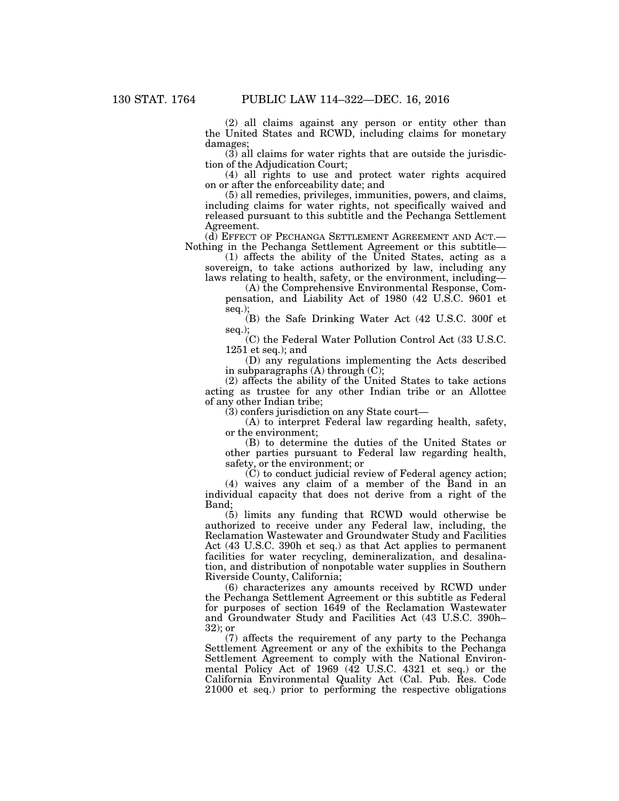(2) all claims against any person or entity other than the United States and RCWD, including claims for monetary damages;

 $(3)$  all claims for water rights that are outside the jurisdiction of the Adjudication Court;

(4) all rights to use and protect water rights acquired on or after the enforceability date; and

(5) all remedies, privileges, immunities, powers, and claims, including claims for water rights, not specifically waived and released pursuant to this subtitle and the Pechanga Settlement Agreement.

(d) EFFECT OF PECHANGA SETTLEMENT AGREEMENT AND ACT.— Nothing in the Pechanga Settlement Agreement or this subtitle—

(1) affects the ability of the United States, acting as a sovereign, to take actions authorized by law, including any laws relating to health, safety, or the environment, including—

(A) the Comprehensive Environmental Response, Compensation, and Liability Act of 1980 (42 U.S.C. 9601 et seq.);

(B) the Safe Drinking Water Act (42 U.S.C. 300f et seq.);

(C) the Federal Water Pollution Control Act (33 U.S.C. 1251 et seq.); and

(D) any regulations implementing the Acts described in subparagraphs (A) through (C);

(2) affects the ability of the United States to take actions acting as trustee for any other Indian tribe or an Allottee of any other Indian tribe;

(3) confers jurisdiction on any State court—

(A) to interpret Federal law regarding health, safety, or the environment;

(B) to determine the duties of the United States or other parties pursuant to Federal law regarding health, safety, or the environment; or

(C) to conduct judicial review of Federal agency action; (4) waives any claim of a member of the Band in an

individual capacity that does not derive from a right of the Band;

(5) limits any funding that RCWD would otherwise be authorized to receive under any Federal law, including, the Reclamation Wastewater and Groundwater Study and Facilities Act (43 U.S.C. 390h et seq.) as that Act applies to permanent facilities for water recycling, demineralization, and desalination, and distribution of nonpotable water supplies in Southern Riverside County, California;

(6) characterizes any amounts received by RCWD under the Pechanga Settlement Agreement or this subtitle as Federal for purposes of section 1649 of the Reclamation Wastewater and Groundwater Study and Facilities Act (43 U.S.C. 390h– 32); or

(7) affects the requirement of any party to the Pechanga Settlement Agreement or any of the exhibits to the Pechanga Settlement Agreement to comply with the National Environmental Policy Act of 1969 (42 U.S.C. 4321 et seq.) or the California Environmental Quality Act (Cal. Pub. Res. Code 21000 et seq.) prior to performing the respective obligations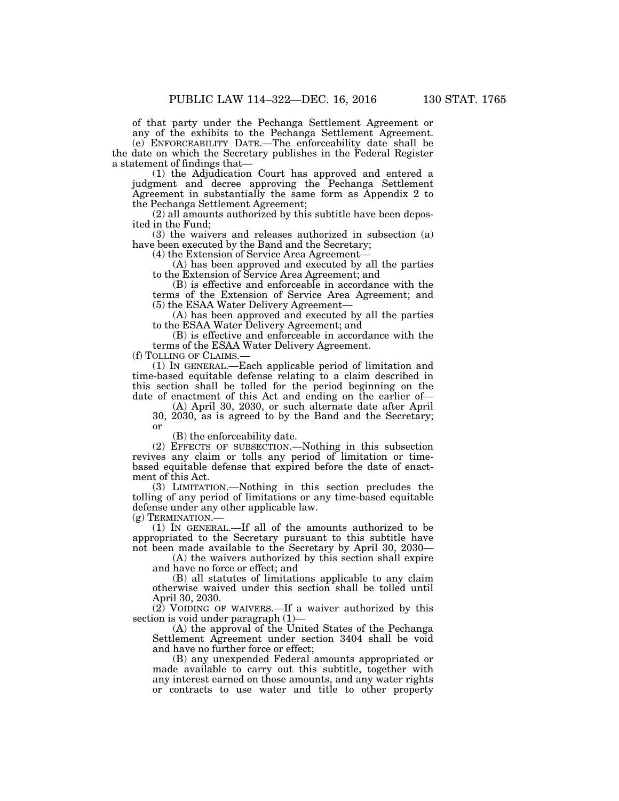of that party under the Pechanga Settlement Agreement or any of the exhibits to the Pechanga Settlement Agreement. (e) ENFORCEABILITY DATE.—The enforceability date shall be the date on which the Secretary publishes in the Federal Register a statement of findings that—

(1) the Adjudication Court has approved and entered a judgment and decree approving the Pechanga Settlement Agreement in substantially the same form as Appendix 2 to the Pechanga Settlement Agreement;

(2) all amounts authorized by this subtitle have been deposited in the Fund;

(3) the waivers and releases authorized in subsection (a) have been executed by the Band and the Secretary;

(4) the Extension of Service Area Agreement—

(A) has been approved and executed by all the parties to the Extension of Service Area Agreement; and

(B) is effective and enforceable in accordance with the terms of the Extension of Service Area Agreement; and (5) the ESAA Water Delivery Agreement—

(A) has been approved and executed by all the parties to the ESAA Water Delivery Agreement; and

(B) is effective and enforceable in accordance with the terms of the ESAA Water Delivery Agreement.

(f) TOLLING OF CLAIMS.—

(1) IN GENERAL.—Each applicable period of limitation and time-based equitable defense relating to a claim described in this section shall be tolled for the period beginning on the date of enactment of this Act and ending on the earlier of—

(A) April 30, 2030, or such alternate date after April 30, 2030, as is agreed to by the Band and the Secretary; or

(B) the enforceability date.

(2) EFFECTS OF SUBSECTION.—Nothing in this subsection revives any claim or tolls any period of limitation or timebased equitable defense that expired before the date of enactment of this Act.

(3) LIMITATION.—Nothing in this section precludes the tolling of any period of limitations or any time-based equitable defense under any other applicable law.

(g) TERMINATION.—

(1) IN GENERAL.—If all of the amounts authorized to be appropriated to the Secretary pursuant to this subtitle have not been made available to the Secretary by April 30, 2030—

(A) the waivers authorized by this section shall expire and have no force or effect; and

(B) all statutes of limitations applicable to any claim otherwise waived under this section shall be tolled until April 30, 2030.

(2) VOIDING OF WAIVERS.—If a waiver authorized by this section is void under paragraph (1)—

(A) the approval of the United States of the Pechanga Settlement Agreement under section 3404 shall be void and have no further force or effect;

(B) any unexpended Federal amounts appropriated or made available to carry out this subtitle, together with any interest earned on those amounts, and any water rights or contracts to use water and title to other property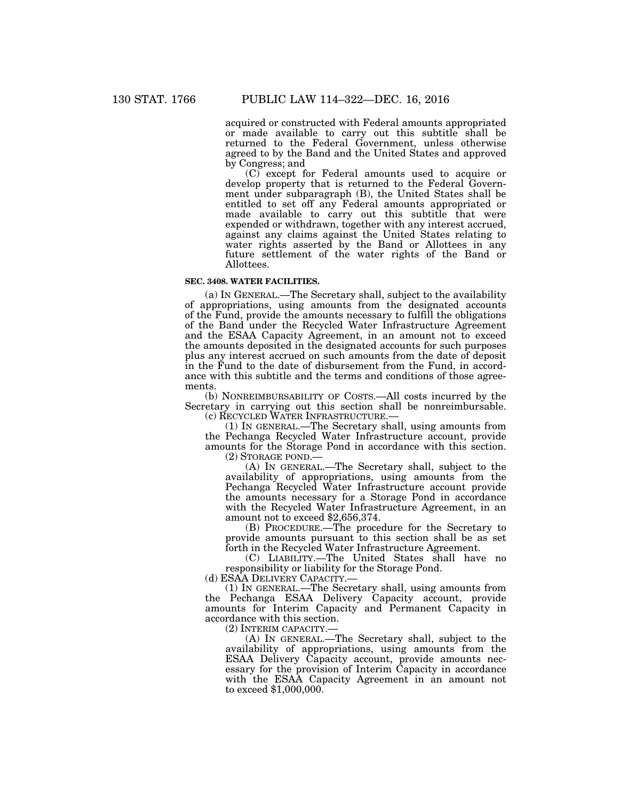acquired or constructed with Federal amounts appropriated or made available to carry out this subtitle shall be returned to the Federal Government, unless otherwise agreed to by the Band and the United States and approved by Congress; and

(C) except for Federal amounts used to acquire or develop property that is returned to the Federal Government under subparagraph (B), the United States shall be entitled to set off any Federal amounts appropriated or made available to carry out this subtitle that were expended or withdrawn, together with any interest accrued, against any claims against the United States relating to water rights asserted by the Band or Allottees in any future settlement of the water rights of the Band or Allottees.

#### **SEC. 3408. WATER FACILITIES.**

(a) IN GENERAL.—The Secretary shall, subject to the availability of appropriations, using amounts from the designated accounts of the Fund, provide the amounts necessary to fulfill the obligations of the Band under the Recycled Water Infrastructure Agreement and the ESAA Capacity Agreement, in an amount not to exceed the amounts deposited in the designated accounts for such purposes plus any interest accrued on such amounts from the date of deposit in the Fund to the date of disbursement from the Fund, in accordance with this subtitle and the terms and conditions of those agreements.

(b) NONREIMBURSABILITY OF COSTS.—All costs incurred by the Secretary in carrying out this section shall be nonreimbursable.

(c) RECYCLED WATER INFRASTRUCTURE.—

(1) IN GENERAL.—The Secretary shall, using amounts from the Pechanga Recycled Water Infrastructure account, provide amounts for the Storage Pond in accordance with this section.

(2) STORAGE POND.—

(A) IN GENERAL.—The Secretary shall, subject to the availability of appropriations, using amounts from the Pechanga Recycled Water Infrastructure account provide the amounts necessary for a Storage Pond in accordance with the Recycled Water Infrastructure Agreement, in an amount not to exceed \$2,656,374.

(B) PROCEDURE.—The procedure for the Secretary to provide amounts pursuant to this section shall be as set forth in the Recycled Water Infrastructure Agreement.

(C) LIABILITY.—The United States shall have no responsibility or liability for the Storage Pond.

(d) ESAA DELIVERY CAPACITY.—

(1) IN GENERAL.—The Secretary shall, using amounts from the Pechanga ESAA Delivery Capacity account, provide amounts for Interim Capacity and Permanent Capacity in accordance with this section.

(2) INTERIM CAPACITY.— (A) IN GENERAL.—The Secretary shall, subject to the availability of appropriations, using amounts from the ESAA Delivery Capacity account, provide amounts necessary for the provision of Interim Capacity in accordance with the ESAA Capacity Agreement in an amount not to exceed \$1,000,000.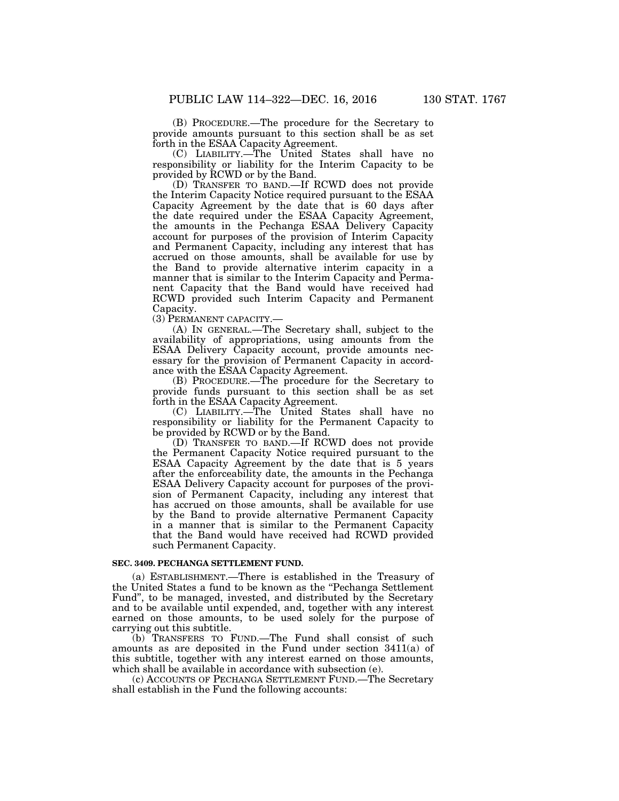(B) PROCEDURE.—The procedure for the Secretary to provide amounts pursuant to this section shall be as set forth in the ESAA Capacity Agreement.

(C) LIABILITY.—The United States shall have no responsibility or liability for the Interim Capacity to be provided by RCWD or by the Band.

(D) TRANSFER TO BAND.—If RCWD does not provide the Interim Capacity Notice required pursuant to the ESAA Capacity Agreement by the date that is 60 days after the date required under the ESAA Capacity Agreement, the amounts in the Pechanga ESAA Delivery Capacity account for purposes of the provision of Interim Capacity and Permanent Capacity, including any interest that has accrued on those amounts, shall be available for use by the Band to provide alternative interim capacity in a manner that is similar to the Interim Capacity and Permanent Capacity that the Band would have received had RCWD provided such Interim Capacity and Permanent Capacity.

(3) PERMANENT CAPACITY.—

(A) IN GENERAL.—The Secretary shall, subject to the availability of appropriations, using amounts from the ESAA Delivery Capacity account, provide amounts necessary for the provision of Permanent Capacity in accordance with the ESAA Capacity Agreement.

(B) PROCEDURE.—The procedure for the Secretary to provide funds pursuant to this section shall be as set forth in the ESAA Capacity Agreement.

(C) LIABILITY.—The United States shall have no responsibility or liability for the Permanent Capacity to be provided by RCWD or by the Band.

(D) TRANSFER TO BAND.—If RCWD does not provide the Permanent Capacity Notice required pursuant to the ESAA Capacity Agreement by the date that is 5 years after the enforceability date, the amounts in the Pechanga ESAA Delivery Capacity account for purposes of the provision of Permanent Capacity, including any interest that has accrued on those amounts, shall be available for use by the Band to provide alternative Permanent Capacity in a manner that is similar to the Permanent Capacity that the Band would have received had RCWD provided such Permanent Capacity.

#### **SEC. 3409. PECHANGA SETTLEMENT FUND.**

(a) ESTABLISHMENT.—There is established in the Treasury of the United States a fund to be known as the ''Pechanga Settlement Fund'', to be managed, invested, and distributed by the Secretary and to be available until expended, and, together with any interest earned on those amounts, to be used solely for the purpose of carrying out this subtitle.

(b) TRANSFERS TO FUND.—The Fund shall consist of such amounts as are deposited in the Fund under section 3411(a) of this subtitle, together with any interest earned on those amounts, which shall be available in accordance with subsection (e).

(c) ACCOUNTS OF PECHANGA SETTLEMENT FUND.—The Secretary shall establish in the Fund the following accounts: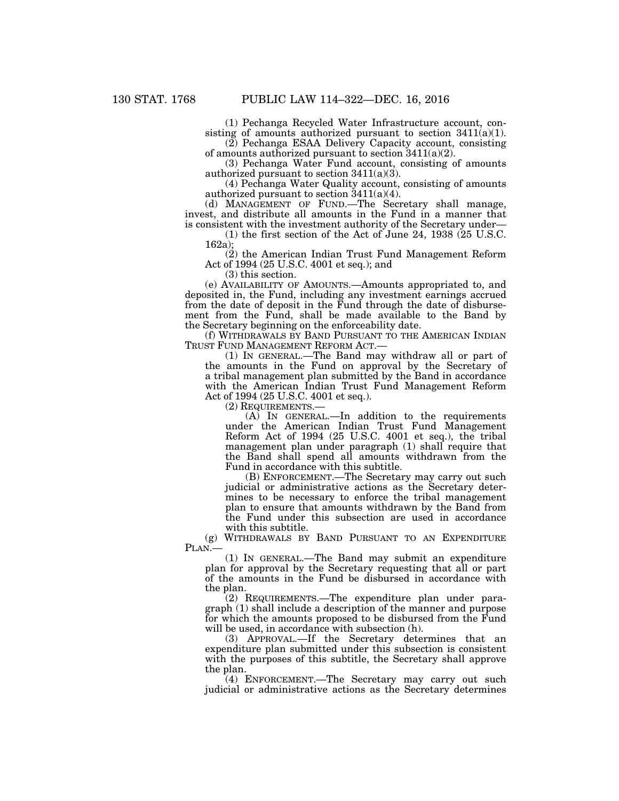(1) Pechanga Recycled Water Infrastructure account, con-

sisting of amounts authorized pursuant to section  $3411(a)(1)$ . (2) Pechanga ESAA Delivery Capacity account, consisting

of amounts authorized pursuant to section 3411(a)(2). (3) Pechanga Water Fund account, consisting of amounts authorized pursuant to section 3411(a)(3).

(4) Pechanga Water Quality account, consisting of amounts authorized pursuant to section 3411(a)(4).

(d) MANAGEMENT OF FUND.—The Secretary shall manage, invest, and distribute all amounts in the Fund in a manner that is consistent with the investment authority of the Secretary under—

(1) the first section of the Act of June 24, 1938 (25 U.S.C. 162a);

(2) the American Indian Trust Fund Management Reform Act of 1994 (25 U.S.C. 4001 et seq.); and

(3) this section.

(e) AVAILABILITY OF AMOUNTS.—Amounts appropriated to, and deposited in, the Fund, including any investment earnings accrued from the date of deposit in the Fund through the date of disbursement from the Fund, shall be made available to the Band by the Secretary beginning on the enforceability date.

(f) WITHDRAWALS BY BAND PURSUANT TO THE AMERICAN INDIAN TRUST FUND MANAGEMENT REFORM ACT.—

(1) IN GENERAL.—The Band may withdraw all or part of the amounts in the Fund on approval by the Secretary of a tribal management plan submitted by the Band in accordance with the American Indian Trust Fund Management Reform Act of 1994 (25 U.S.C. 4001 et seq.).

(2) REQUIREMENTS.—

(A) IN GENERAL.—In addition to the requirements under the American Indian Trust Fund Management Reform Act of 1994 (25 U.S.C. 4001 et seq.), the tribal management plan under paragraph (1) shall require that the Band shall spend all amounts withdrawn from the Fund in accordance with this subtitle.

(B) ENFORCEMENT.—The Secretary may carry out such judicial or administrative actions as the Secretary determines to be necessary to enforce the tribal management plan to ensure that amounts withdrawn by the Band from the Fund under this subsection are used in accordance with this subtitle.

(g) WITHDRAWALS BY BAND PURSUANT TO AN EXPENDITURE PLAN.

(1) IN GENERAL.—The Band may submit an expenditure plan for approval by the Secretary requesting that all or part of the amounts in the Fund be disbursed in accordance with the plan.

(2) REQUIREMENTS.—The expenditure plan under paragraph (1) shall include a description of the manner and purpose for which the amounts proposed to be disbursed from the Fund will be used, in accordance with subsection (h).

(3) APPROVAL.—If the Secretary determines that an expenditure plan submitted under this subsection is consistent with the purposes of this subtitle, the Secretary shall approve the plan.

(4) ENFORCEMENT.—The Secretary may carry out such judicial or administrative actions as the Secretary determines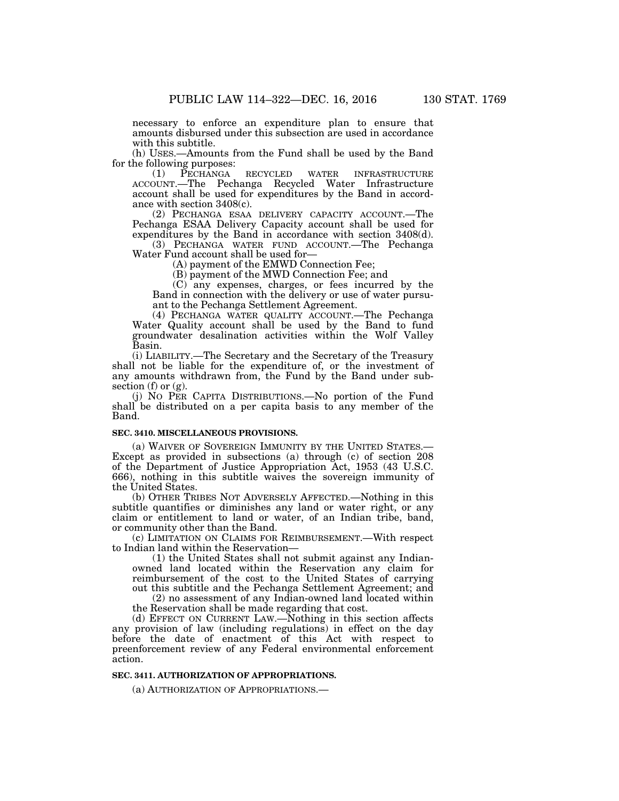necessary to enforce an expenditure plan to ensure that amounts disbursed under this subsection are used in accordance with this subtitle.

(h) USES.—Amounts from the Fund shall be used by the Band for the following purposes:<br>(1) PECHANGA

(1) PECHANGA RECYCLED WATER INFRASTRUCTURE ACCOUNT.—The Pechanga Recycled Water Infrastructure account shall be used for expenditures by the Band in accordance with section 3408(c).

(2) PECHANGA ESAA DELIVERY CAPACITY ACCOUNT.—The Pechanga ESAA Delivery Capacity account shall be used for expenditures by the Band in accordance with section 3408(d).

(3) PECHANGA WATER FUND ACCOUNT.—The Pechanga Water Fund account shall be used for—

(A) payment of the EMWD Connection Fee;

(B) payment of the MWD Connection Fee; and

(C) any expenses, charges, or fees incurred by the Band in connection with the delivery or use of water pursuant to the Pechanga Settlement Agreement.

(4) PECHANGA WATER QUALITY ACCOUNT.—The Pechanga Water Quality account shall be used by the Band to fund groundwater desalination activities within the Wolf Valley Basin.

(i) LIABILITY.—The Secretary and the Secretary of the Treasury shall not be liable for the expenditure of, or the investment of any amounts withdrawn from, the Fund by the Band under subsection (f) or  $(g)$ .

(j) NO PER CAPITA DISTRIBUTIONS.—No portion of the Fund shall be distributed on a per capita basis to any member of the Band.

### **SEC. 3410. MISCELLANEOUS PROVISIONS.**

(a) WAIVER OF SOVEREIGN IMMUNITY BY THE UNITED STATES.— Except as provided in subsections (a) through (c) of section 208 of the Department of Justice Appropriation Act, 1953 (43 U.S.C. 666), nothing in this subtitle waives the sovereign immunity of the United States.

(b) OTHER TRIBES NOT ADVERSELY AFFECTED.—Nothing in this subtitle quantifies or diminishes any land or water right, or any claim or entitlement to land or water, of an Indian tribe, band, or community other than the Band.

(c) LIMITATION ON CLAIMS FOR REIMBURSEMENT.—With respect to Indian land within the Reservation—

(1) the United States shall not submit against any Indianowned land located within the Reservation any claim for reimbursement of the cost to the United States of carrying out this subtitle and the Pechanga Settlement Agreement; and

(2) no assessment of any Indian-owned land located within the Reservation shall be made regarding that cost.

(d) EFFECT ON CURRENT LAW.—Nothing in this section affects any provision of law (including regulations) in effect on the day before the date of enactment of this Act with respect to preenforcement review of any Federal environmental enforcement action.

## **SEC. 3411. AUTHORIZATION OF APPROPRIATIONS.**

(a) AUTHORIZATION OF APPROPRIATIONS.—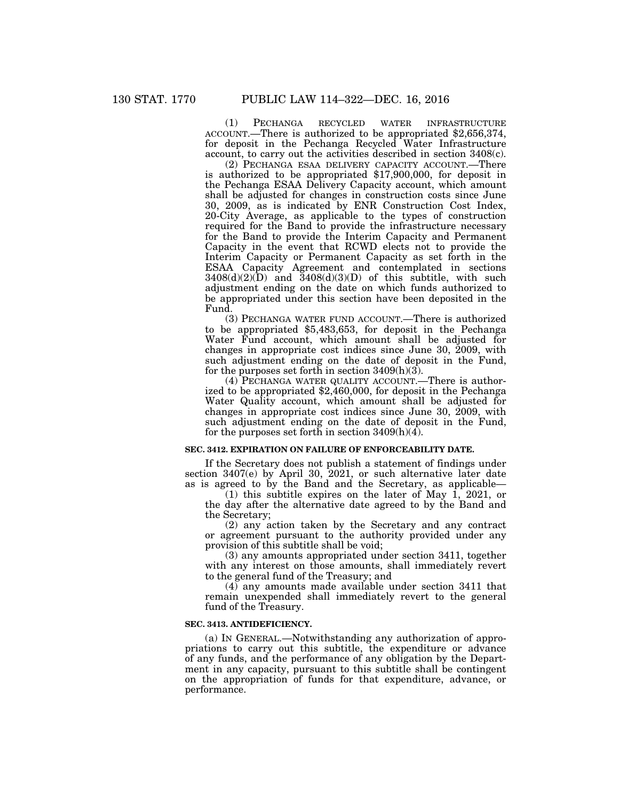(1) PECHANGA RECYCLED WATER INFRASTRUCTURE ACCOUNT.—There is authorized to be appropriated \$2,656,374, for deposit in the Pechanga Recycled Water Infrastructure account, to carry out the activities described in section 3408(c).

(2) PECHANGA ESAA DELIVERY CAPACITY ACCOUNT.—There is authorized to be appropriated \$17,900,000, for deposit in the Pechanga ESAA Delivery Capacity account, which amount shall be adjusted for changes in construction costs since June 30, 2009, as is indicated by ENR Construction Cost Index, 20-City Average, as applicable to the types of construction required for the Band to provide the infrastructure necessary for the Band to provide the Interim Capacity and Permanent Capacity in the event that RCWD elects not to provide the Interim Capacity or Permanent Capacity as set forth in the ESAA Capacity Agreement and contemplated in sections  $3408(d)(2)(\overline{D})$  and  $3408(d)(3)(\overline{D})$  of this subtitle, with such adjustment ending on the date on which funds authorized to be appropriated under this section have been deposited in the Fund.

(3) PECHANGA WATER FUND ACCOUNT.—There is authorized to be appropriated \$5,483,653, for deposit in the Pechanga Water Fund account, which amount shall be adjusted for changes in appropriate cost indices since June 30, 2009, with such adjustment ending on the date of deposit in the Fund, for the purposes set forth in section  $3409(h)(3)$ .

(4) PECHANGA WATER QUALITY ACCOUNT.—There is authorized to be appropriated \$2,460,000, for deposit in the Pechanga Water Quality account, which amount shall be adjusted for changes in appropriate cost indices since June 30, 2009, with such adjustment ending on the date of deposit in the Fund, for the purposes set forth in section  $3409(h)(4)$ .

## **SEC. 3412. EXPIRATION ON FAILURE OF ENFORCEABILITY DATE.**

If the Secretary does not publish a statement of findings under section 3407(e) by April 30, 2021, or such alternative later date as is agreed to by the Band and the Secretary, as applicable—

(1) this subtitle expires on the later of May 1, 2021, or the day after the alternative date agreed to by the Band and the Secretary;

(2) any action taken by the Secretary and any contract or agreement pursuant to the authority provided under any provision of this subtitle shall be void;

(3) any amounts appropriated under section 3411, together with any interest on those amounts, shall immediately revert to the general fund of the Treasury; and

(4) any amounts made available under section 3411 that remain unexpended shall immediately revert to the general fund of the Treasury.

#### **SEC. 3413. ANTIDEFICIENCY.**

(a) IN GENERAL.—Notwithstanding any authorization of appropriations to carry out this subtitle, the expenditure or advance of any funds, and the performance of any obligation by the Department in any capacity, pursuant to this subtitle shall be contingent on the appropriation of funds for that expenditure, advance, or performance.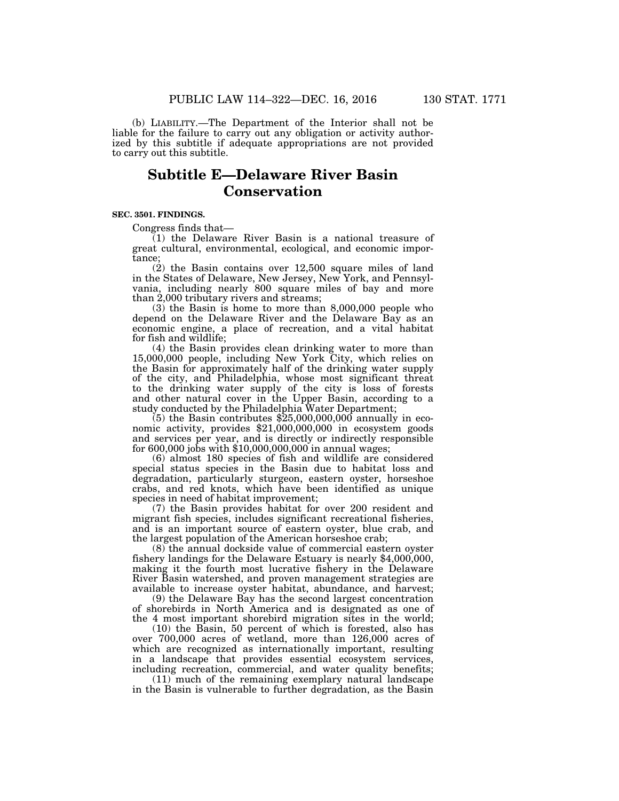(b) LIABILITY.—The Department of the Interior shall not be liable for the failure to carry out any obligation or activity authorized by this subtitle if adequate appropriations are not provided to carry out this subtitle.

# **Subtitle E—Delaware River Basin Conservation**

## **SEC. 3501. FINDINGS.**

Congress finds that—

(1) the Delaware River Basin is a national treasure of great cultural, environmental, ecological, and economic importance;

(2) the Basin contains over 12,500 square miles of land in the States of Delaware, New Jersey, New York, and Pennsylvania, including nearly 800 square miles of bay and more than 2,000 tributary rivers and streams;

(3) the Basin is home to more than 8,000,000 people who depend on the Delaware River and the Delaware Bay as an economic engine, a place of recreation, and a vital habitat for fish and wildlife;

(4) the Basin provides clean drinking water to more than 15,000,000 people, including New York City, which relies on the Basin for approximately half of the drinking water supply of the city, and Philadelphia, whose most significant threat to the drinking water supply of the city is loss of forests and other natural cover in the Upper Basin, according to a study conducted by the Philadelphia Water Department;

 $(5)$  the Basin contributes  $$25,000,000,000$  annually in eco- nomic activity, provides  $$21,000,000,000$  in ecosystem goods and services per year, and is directly or indirectly responsible for 600,000 jobs with \$10,000,000,000 in annual wages;

(6) almost 180 species of fish and wildlife are considered special status species in the Basin due to habitat loss and degradation, particularly sturgeon, eastern oyster, horseshoe crabs, and red knots, which have been identified as unique species in need of habitat improvement;

(7) the Basin provides habitat for over 200 resident and migrant fish species, includes significant recreational fisheries, and is an important source of eastern oyster, blue crab, and the largest population of the American horseshoe crab;<br>(8) the annual dockside value of commercial eastern oyster

fishery landings for the Delaware Estuary is nearly  $$4,000,000$ , making it the fourth most lucrative fishery in the Delaware River Basin watershed, and proven management strategies are available to increase oyster habitat, abundance, and harvest;

(9) the Delaware Bay has the second largest concentration of shorebirds in North America and is designated as one of the 4 most important shorebird migration sites in the world;

(10) the Basin, 50 percent of which is forested, also has over 700,000 acres of wetland, more than 126,000 acres of which are recognized as internationally important, resulting in a landscape that provides essential ecosystem services, including recreation, commercial, and water quality benefits;

(11) much of the remaining exemplary natural landscape in the Basin is vulnerable to further degradation, as the Basin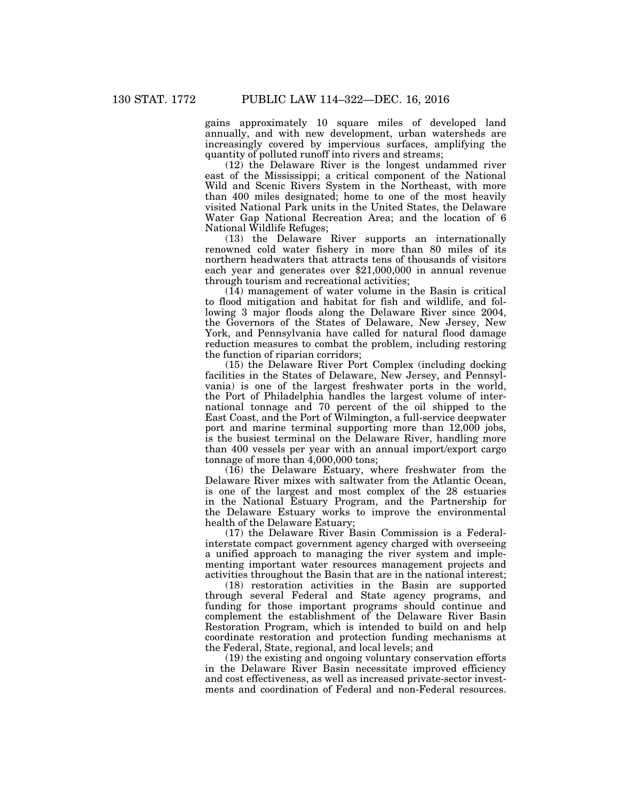gains approximately 10 square miles of developed land annually, and with new development, urban watersheds are increasingly covered by impervious surfaces, amplifying the quantity of polluted runoff into rivers and streams;

(12) the Delaware River is the longest undammed river east of the Mississippi; a critical component of the National Wild and Scenic Rivers System in the Northeast, with more than 400 miles designated; home to one of the most heavily visited National Park units in the United States, the Delaware Water Gap National Recreation Area; and the location of 6 National Wildlife Refuges;

(13) the Delaware River supports an internationally renowned cold water fishery in more than 80 miles of its northern headwaters that attracts tens of thousands of visitors each year and generates over \$21,000,000 in annual revenue through tourism and recreational activities;

 $(14)$  management of water volume in the Basin is critical to flood mitigation and habitat for fish and wildlife, and following 3 major floods along the Delaware River since 2004, the Governors of the States of Delaware, New Jersey, New York, and Pennsylvania have called for natural flood damage reduction measures to combat the problem, including restoring the function of riparian corridors;

(15) the Delaware River Port Complex (including docking facilities in the States of Delaware, New Jersey, and Pennsylvania) is one of the largest freshwater ports in the world, the Port of Philadelphia handles the largest volume of international tonnage and 70 percent of the oil shipped to the East Coast, and the Port of Wilmington, a full-service deepwater port and marine terminal supporting more than 12,000 jobs, is the busiest terminal on the Delaware River, handling more than 400 vessels per year with an annual import/export cargo tonnage of more than 4,000,000 tons;

(16) the Delaware Estuary, where freshwater from the Delaware River mixes with saltwater from the Atlantic Ocean, is one of the largest and most complex of the 28 estuaries in the National Estuary Program, and the Partnership for the Delaware Estuary works to improve the environmental health of the Delaware Estuary;

(17) the Delaware River Basin Commission is a Federalinterstate compact government agency charged with overseeing a unified approach to managing the river system and implementing important water resources management projects and activities throughout the Basin that are in the national interest;

(18) restoration activities in the Basin are supported through several Federal and State agency programs, and funding for those important programs should continue and complement the establishment of the Delaware River Basin Restoration Program, which is intended to build on and help coordinate restoration and protection funding mechanisms at the Federal, State, regional, and local levels; and

(19) the existing and ongoing voluntary conservation efforts in the Delaware River Basin necessitate improved efficiency and cost effectiveness, as well as increased private-sector investments and coordination of Federal and non-Federal resources.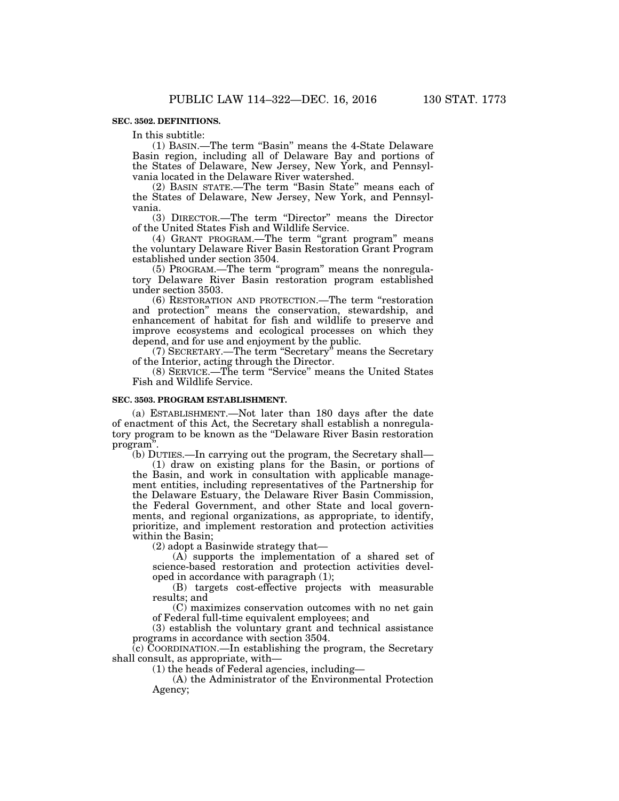In this subtitle:

(1) BASIN.—The term ''Basin'' means the 4-State Delaware Basin region, including all of Delaware Bay and portions of the States of Delaware, New Jersey, New York, and Pennsylvania located in the Delaware River watershed.

(2) BASIN STATE.—The term ''Basin State'' means each of the States of Delaware, New Jersey, New York, and Pennsylvania.

(3) DIRECTOR.—The term ''Director'' means the Director of the United States Fish and Wildlife Service.

(4) GRANT PROGRAM.—The term "grant program" means the voluntary Delaware River Basin Restoration Grant Program established under section 3504.

(5) PROGRAM.—The term ''program'' means the nonregulatory Delaware River Basin restoration program established under section 3503.

(6) RESTORATION AND PROTECTION.—The term ''restoration and protection'' means the conservation, stewardship, and enhancement of habitat for fish and wildlife to preserve and improve ecosystems and ecological processes on which they depend, and for use and enjoyment by the public.

(7) SECRETARY.—The term ''Secretary'' means the Secretary of the Interior, acting through the Director.

(8) SERVICE.—The term ''Service'' means the United States Fish and Wildlife Service.

#### **SEC. 3503. PROGRAM ESTABLISHMENT.**

(a) ESTABLISHMENT.—Not later than 180 days after the date of enactment of this Act, the Secretary shall establish a nonregulatory program to be known as the ''Delaware River Basin restoration program''.

(b) DUTIES.—In carrying out the program, the Secretary shall—

(1) draw on existing plans for the Basin, or portions of the Basin, and work in consultation with applicable management entities, including representatives of the Partnership for the Delaware Estuary, the Delaware River Basin Commission, the Federal Government, and other State and local governments, and regional organizations, as appropriate, to identify, prioritize, and implement restoration and protection activities within the Basin;

(2) adopt a Basinwide strategy that—

(A) supports the implementation of a shared set of science-based restoration and protection activities developed in accordance with paragraph (1);

(B) targets cost-effective projects with measurable results; and

(C) maximizes conservation outcomes with no net gain of Federal full-time equivalent employees; and

(3) establish the voluntary grant and technical assistance programs in accordance with section 3504.

(c) COORDINATION.—In establishing the program, the Secretary shall consult, as appropriate, with—

(1) the heads of Federal agencies, including—

(A) the Administrator of the Environmental Protection Agency;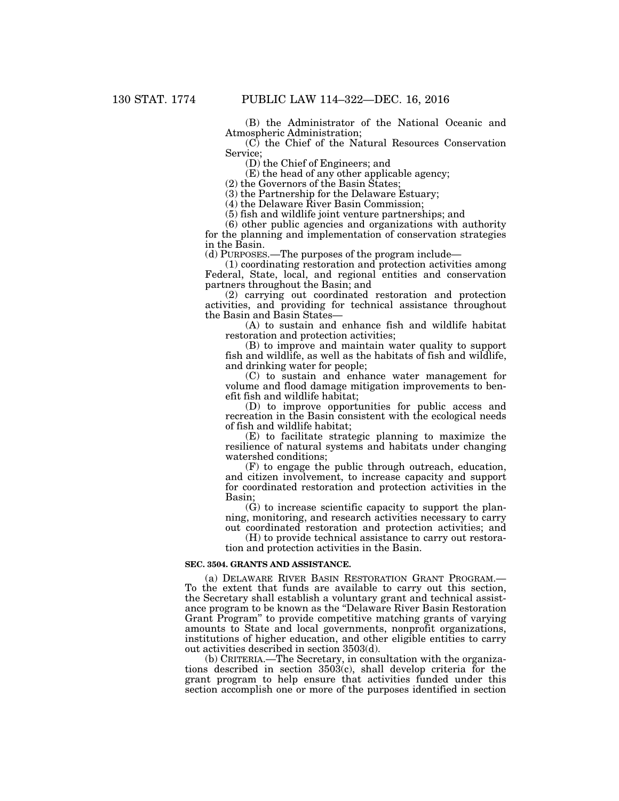(B) the Administrator of the National Oceanic and Atmospheric Administration;

(C) the Chief of the Natural Resources Conservation Service;

(D) the Chief of Engineers; and

(E) the head of any other applicable agency;

(2) the Governors of the Basin States;

(3) the Partnership for the Delaware Estuary;

(4) the Delaware River Basin Commission;

(5) fish and wildlife joint venture partnerships; and

(6) other public agencies and organizations with authority for the planning and implementation of conservation strategies in the Basin.

(d) PURPOSES.—The purposes of the program include—

(1) coordinating restoration and protection activities among Federal, State, local, and regional entities and conservation partners throughout the Basin; and

(2) carrying out coordinated restoration and protection activities, and providing for technical assistance throughout the Basin and Basin States—

(A) to sustain and enhance fish and wildlife habitat restoration and protection activities;

(B) to improve and maintain water quality to support fish and wildlife, as well as the habitats of fish and wildlife, and drinking water for people;

(C) to sustain and enhance water management for volume and flood damage mitigation improvements to benefit fish and wildlife habitat;

(D) to improve opportunities for public access and recreation in the Basin consistent with the ecological needs of fish and wildlife habitat;

(E) to facilitate strategic planning to maximize the resilience of natural systems and habitats under changing watershed conditions;

(F) to engage the public through outreach, education, and citizen involvement, to increase capacity and support for coordinated restoration and protection activities in the Basin;

 $(G)$  to increase scientific capacity to support the planning, monitoring, and research activities necessary to carry out coordinated restoration and protection activities; and

(H) to provide technical assistance to carry out restoration and protection activities in the Basin.

## **SEC. 3504. GRANTS AND ASSISTANCE.**

(a) DELAWARE RIVER BASIN RESTORATION GRANT PROGRAM.— To the extent that funds are available to carry out this section, the Secretary shall establish a voluntary grant and technical assistance program to be known as the ''Delaware River Basin Restoration Grant Program'' to provide competitive matching grants of varying amounts to State and local governments, nonprofit organizations, institutions of higher education, and other eligible entities to carry out activities described in section 3503(d).

(b) CRITERIA.—The Secretary, in consultation with the organizations described in section  $350\dot{3}(c)$ , shall develop criteria for the grant program to help ensure that activities funded under this section accomplish one or more of the purposes identified in section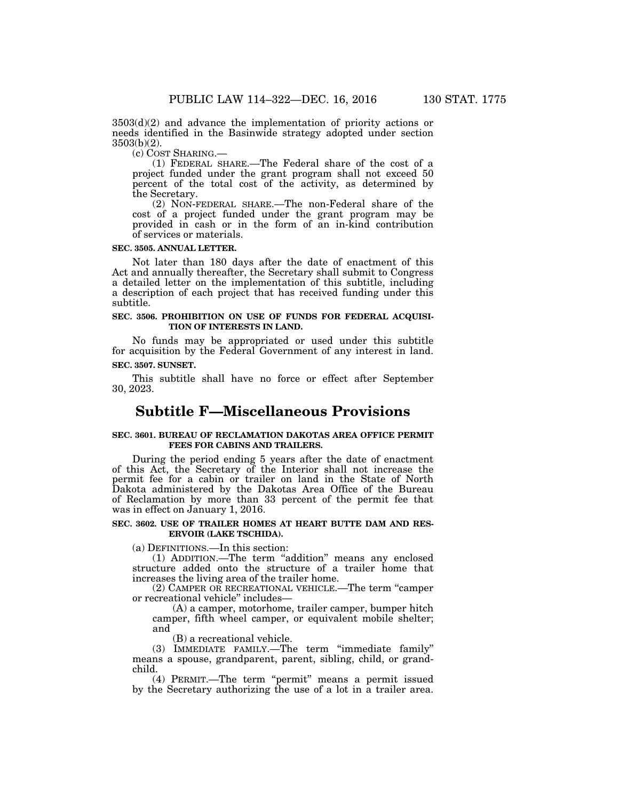3503(d)(2) and advance the implementation of priority actions or needs identified in the Basinwide strategy adopted under section 3503(b)(2).

(c) COST SHARING.— (1) FEDERAL SHARE.—The Federal share of the cost of a project funded under the grant program shall not exceed 50 percent of the total cost of the activity, as determined by the Secretary.

(2) NON-FEDERAL SHARE.—The non-Federal share of the cost of a project funded under the grant program may be provided in cash or in the form of an in-kind contribution of services or materials.

## **SEC. 3505. ANNUAL LETTER.**

Not later than 180 days after the date of enactment of this Act and annually thereafter, the Secretary shall submit to Congress a detailed letter on the implementation of this subtitle, including a description of each project that has received funding under this subtitle.

## **SEC. 3506. PROHIBITION ON USE OF FUNDS FOR FEDERAL ACQUISI-TION OF INTERESTS IN LAND.**

No funds may be appropriated or used under this subtitle for acquisition by the Federal Government of any interest in land. **SEC. 3507. SUNSET.** 

This subtitle shall have no force or effect after September 30, 2023.

## **Subtitle F—Miscellaneous Provisions**

## **SEC. 3601. BUREAU OF RECLAMATION DAKOTAS AREA OFFICE PERMIT FEES FOR CABINS AND TRAILERS.**

During the period ending 5 years after the date of enactment of this Act, the Secretary of the Interior shall not increase the permit fee for a cabin or trailer on land in the State of North Dakota administered by the Dakotas Area Office of the Bureau of Reclamation by more than 33 percent of the permit fee that was in effect on January 1, 2016.

## **SEC. 3602. USE OF TRAILER HOMES AT HEART BUTTE DAM AND RES-ERVOIR (LAKE TSCHIDA).**

(a) DEFINITIONS.—In this section:

(1) ADDITION.—The term ''addition'' means any enclosed structure added onto the structure of a trailer home that increases the living area of the trailer home.

(2) CAMPER OR RECREATIONAL VEHICLE.—The term ''camper or recreational vehicle'' includes—

(A) a camper, motorhome, trailer camper, bumper hitch camper, fifth wheel camper, or equivalent mobile shelter; and

(B) a recreational vehicle.

(3) IMMEDIATE FAMILY.—The term ''immediate family'' means a spouse, grandparent, parent, sibling, child, or grandchild.

(4) PERMIT.—The term ''permit'' means a permit issued by the Secretary authorizing the use of a lot in a trailer area.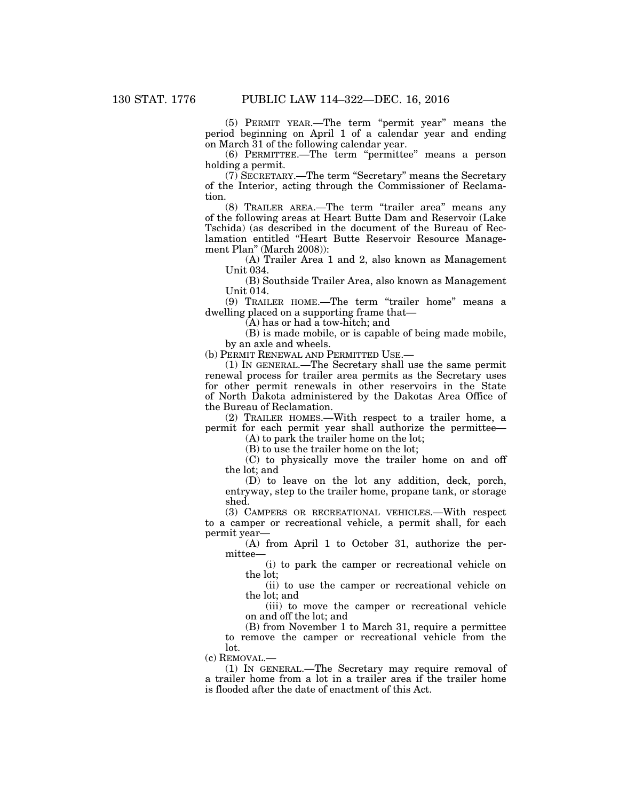(5) PERMIT YEAR.—The term ''permit year'' means the period beginning on April 1 of a calendar year and ending on March 31 of the following calendar year.

(6) PERMITTEE.—The term ''permittee'' means a person holding a permit.

(7) SECRETARY.—The term ''Secretary'' means the Secretary of the Interior, acting through the Commissioner of Reclamation.

(8) TRAILER AREA.—The term ''trailer area'' means any of the following areas at Heart Butte Dam and Reservoir (Lake Tschida) (as described in the document of the Bureau of Reclamation entitled ''Heart Butte Reservoir Resource Management Plan'' (March 2008)):

(A) Trailer Area 1 and 2, also known as Management Unit 034.

(B) Southside Trailer Area, also known as Management Unit 014.

(9) TRAILER HOME.—The term "trailer home" means a dwelling placed on a supporting frame that—

(A) has or had a tow-hitch; and

(B) is made mobile, or is capable of being made mobile, by an axle and wheels.

(b) PERMIT RENEWAL AND PERMITTED USE.—

(1) IN GENERAL.—The Secretary shall use the same permit renewal process for trailer area permits as the Secretary uses for other permit renewals in other reservoirs in the State of North Dakota administered by the Dakotas Area Office of the Bureau of Reclamation.

(2) TRAILER HOMES.—With respect to a trailer home, a permit for each permit year shall authorize the permittee—

(A) to park the trailer home on the lot;

(B) to use the trailer home on the lot;

(C) to physically move the trailer home on and off the lot; and

(D) to leave on the lot any addition, deck, porch, entryway, step to the trailer home, propane tank, or storage shed.

(3) CAMPERS OR RECREATIONAL VEHICLES.—With respect to a camper or recreational vehicle, a permit shall, for each permit year—

(A) from April 1 to October 31, authorize the permittee—

(i) to park the camper or recreational vehicle on the lot;

(ii) to use the camper or recreational vehicle on the lot; and

(iii) to move the camper or recreational vehicle on and off the lot; and

(B) from November 1 to March 31, require a permittee to remove the camper or recreational vehicle from the lot.

(c) REMOVAL.—

(1) IN GENERAL.—The Secretary may require removal of a trailer home from a lot in a trailer area if the trailer home is flooded after the date of enactment of this Act.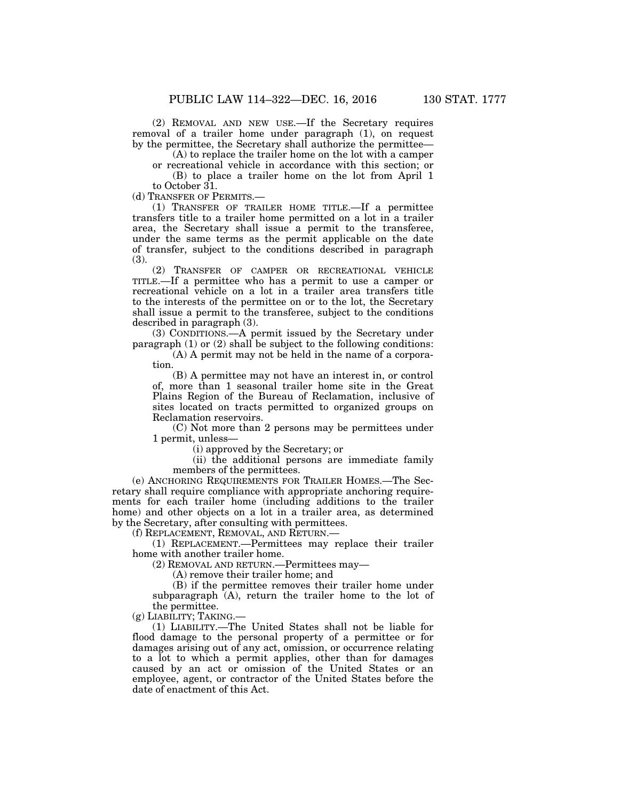(2) REMOVAL AND NEW USE.—If the Secretary requires removal of a trailer home under paragraph (1), on request by the permittee, the Secretary shall authorize the permittee—

(A) to replace the trailer home on the lot with a camper

or recreational vehicle in accordance with this section; or (B) to place a trailer home on the lot from April 1 to October 31.

(d) TRANSFER OF PERMITS.—

(1) TRANSFER OF TRAILER HOME TITLE.—If a permittee transfers title to a trailer home permitted on a lot in a trailer area, the Secretary shall issue a permit to the transferee, under the same terms as the permit applicable on the date of transfer, subject to the conditions described in paragraph (3).

(2) TRANSFER OF CAMPER OR RECREATIONAL VEHICLE TITLE.—If a permittee who has a permit to use a camper or recreational vehicle on a lot in a trailer area transfers title to the interests of the permittee on or to the lot, the Secretary shall issue a permit to the transferee, subject to the conditions described in paragraph (3).

(3) CONDITIONS.—A permit issued by the Secretary under paragraph (1) or (2) shall be subject to the following conditions:

(A) A permit may not be held in the name of a corporation.

(B) A permittee may not have an interest in, or control of, more than 1 seasonal trailer home site in the Great Plains Region of the Bureau of Reclamation, inclusive of sites located on tracts permitted to organized groups on Reclamation reservoirs.

(C) Not more than 2 persons may be permittees under 1 permit, unless—

(i) approved by the Secretary; or

(ii) the additional persons are immediate family members of the permittees.

(e) ANCHORING REQUIREMENTS FOR TRAILER HOMES.—The Secretary shall require compliance with appropriate anchoring requirements for each trailer home (including additions to the trailer home) and other objects on a lot in a trailer area, as determined by the Secretary, after consulting with permittees.

(f) REPLACEMENT, REMOVAL, AND RETURN.—

(1) REPLACEMENT.—Permittees may replace their trailer home with another trailer home.

(2) REMOVAL AND RETURN.—Permittees may—

(A) remove their trailer home; and

(B) if the permittee removes their trailer home under subparagraph (A), return the trailer home to the lot of the permittee.

(g) LIABILITY; TAKING.—

(1) LIABILITY.—The United States shall not be liable for flood damage to the personal property of a permittee or for damages arising out of any act, omission, or occurrence relating to a lot to which a permit applies, other than for damages caused by an act or omission of the United States or an employee, agent, or contractor of the United States before the date of enactment of this Act.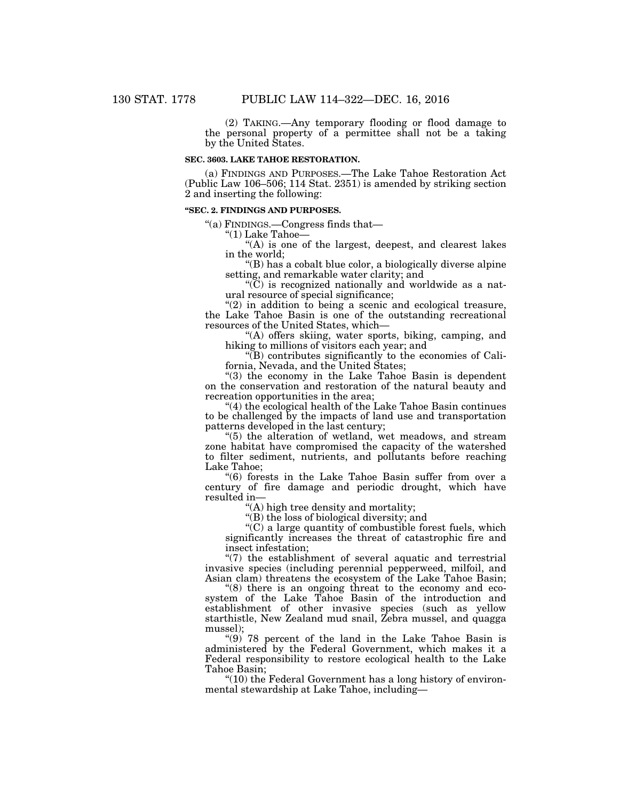(2) TAKING.—Any temporary flooding or flood damage to the personal property of a permittee shall not be a taking by the United States.

## **SEC. 3603. LAKE TAHOE RESTORATION.**

(a) FINDINGS AND PURPOSES.—The Lake Tahoe Restoration Act (Public Law 106–506; 114 Stat. 2351) is amended by striking section 2 and inserting the following:

## **''SEC. 2. FINDINGS AND PURPOSES.**

''(a) FINDINGS.—Congress finds that—

"(1) Lake Tahoe-

''(A) is one of the largest, deepest, and clearest lakes in the world;

''(B) has a cobalt blue color, a biologically diverse alpine setting, and remarkable water clarity; and

 $(C)$  is recognized nationally and worldwide as a natural resource of special significance;

" $(2)$  in addition to being a scenic and ecological treasure, the Lake Tahoe Basin is one of the outstanding recreational resources of the United States, which—

''(A) offers skiing, water sports, biking, camping, and hiking to millions of visitors each year; and

''(B) contributes significantly to the economies of California, Nevada, and the United States;

''(3) the economy in the Lake Tahoe Basin is dependent on the conservation and restoration of the natural beauty and recreation opportunities in the area;

" $(4)$  the ecological health of the Lake Tahoe Basin continues to be challenged by the impacts of land use and transportation patterns developed in the last century;

''(5) the alteration of wetland, wet meadows, and stream zone habitat have compromised the capacity of the watershed to filter sediment, nutrients, and pollutants before reaching Lake Tahoe;

''(6) forests in the Lake Tahoe Basin suffer from over a century of fire damage and periodic drought, which have resulted in—

 $f(A)$  high tree density and mortality;

''(B) the loss of biological diversity; and

 $C'$ ) a large quantity of combustible forest fuels, which significantly increases the threat of catastrophic fire and insect infestation;

 $\degree$ (7) the establishment of several aquatic and terrestrial invasive species (including perennial pepperweed, milfoil, and Asian clam) threatens the ecosystem of the Lake Tahoe Basin;

"(8) there is an ongoing threat to the economy and ecosystem of the Lake Tahoe Basin of the introduction and establishment of other invasive species (such as yellow starthistle, New Zealand mud snail, Zebra mussel, and quagga mussel);

" $(9)$  78 percent of the land in the Lake Tahoe Basin is administered by the Federal Government, which makes it a Federal responsibility to restore ecological health to the Lake Tahoe Basin;

"(10) the Federal Government has a long history of environmental stewardship at Lake Tahoe, including—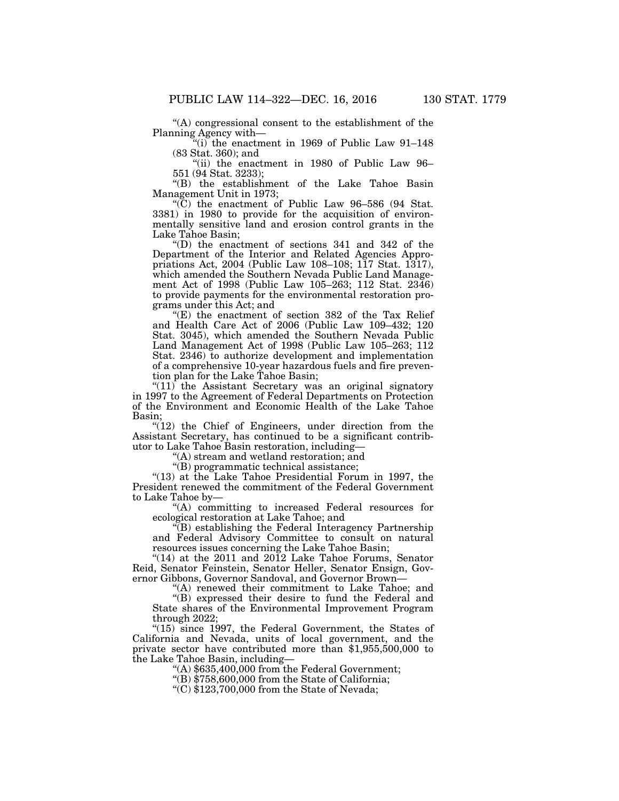''(A) congressional consent to the establishment of the Planning Agency with—

"(i) the enactment in  $1969$  of Public Law  $91-148$ (83 Stat. 360); and

''(ii) the enactment in 1980 of Public Law 96– 551 (94 Stat. 3233);

''(B) the establishment of the Lake Tahoe Basin Management Unit in 1973;

" $(C)$  the enactment of Public Law 96–586 (94 Stat.) 3381) in 1980 to provide for the acquisition of environmentally sensitive land and erosion control grants in the Lake Tahoe Basin;

''(D) the enactment of sections 341 and 342 of the Department of the Interior and Related Agencies Appropriations Act, 2004 (Public Law 108–108; 117 Stat. 1317), which amended the Southern Nevada Public Land Management Act of 1998 (Public Law 105–263; 112 Stat. 2346) to provide payments for the environmental restoration programs under this Act; and

''(E) the enactment of section 382 of the Tax Relief and Health Care Act of 2006 (Public Law 109–432; 120 Stat. 3045), which amended the Southern Nevada Public Land Management Act of 1998 (Public Law 105–263; 112 Stat. 2346) to authorize development and implementation of a comprehensive 10-year hazardous fuels and fire prevention plan for the Lake Tahoe Basin;

" $(11)$  the Assistant Secretary was an original signatory in 1997 to the Agreement of Federal Departments on Protection of the Environment and Economic Health of the Lake Tahoe Basin;

"(12) the Chief of Engineers, under direction from the Assistant Secretary, has continued to be a significant contributor to Lake Tahoe Basin restoration, including-

''(A) stream and wetland restoration; and

''(B) programmatic technical assistance;

"(13) at the Lake Tahoe Presidential Forum in 1997, the President renewed the commitment of the Federal Government to Lake Tahoe by—

''(A) committing to increased Federal resources for ecological restoration at Lake Tahoe; and

''(B) establishing the Federal Interagency Partnership and Federal Advisory Committee to consult on natural resources issues concerning the Lake Tahoe Basin;

" $(14)$  at the 2011 and 2012 Lake Tahoe Forums, Senator Reid, Senator Feinstein, Senator Heller, Senator Ensign, Governor Gibbons, Governor Sandoval, and Governor Brown—

''(A) renewed their commitment to Lake Tahoe; and

''(B) expressed their desire to fund the Federal and State shares of the Environmental Improvement Program through 2022;

"(15) since 1997, the Federal Government, the States of California and Nevada, units of local government, and the private sector have contributed more than \$1,955,500,000 to the Lake Tahoe Basin, including—

''(A) \$635,400,000 from the Federal Government;

"(B)  $$758,600,000$  from the State of California;

"(C)  $$123,700,000$  from the State of Nevada;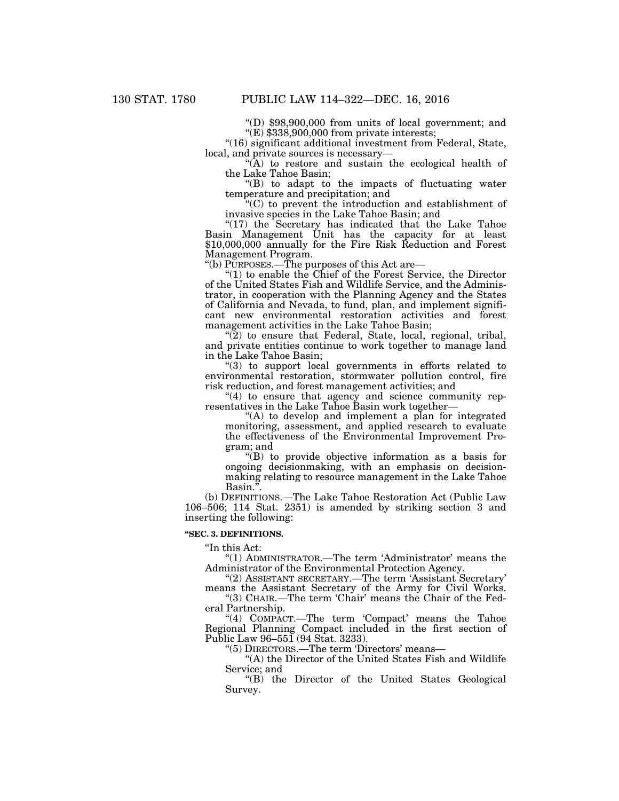" $(D)$  \$98,900,000 from units of local government; and  $E(E)$  \$338,900,000 from private interests;

"(16) significant additional investment from Federal, State, local, and private sources is necessary—

 $\hat{A}$  to restore and sustain the ecological health of the Lake Tahoe Basin;

''(B) to adapt to the impacts of fluctuating water temperature and precipitation; and

''(C) to prevent the introduction and establishment of invasive species in the Lake Tahoe Basin; and

"(17) the Secretary has indicated that the Lake Tahoe Basin Management Unit has the capacity for at least \$10,000,000 annually for the Fire Risk Reduction and Forest Management Program.

"(b) PURPOSES.—The purposes of this Act are—

''(1) to enable the Chief of the Forest Service, the Director of the United States Fish and Wildlife Service, and the Administrator, in cooperation with the Planning Agency and the States of California and Nevada, to fund, plan, and implement significant new environmental restoration activities and forest management activities in the Lake Tahoe Basin;

 $\tilde{Q}$  to ensure that Federal, State, local, regional, tribal, and private entities continue to work together to manage land in the Lake Tahoe Basin;

"(3) to support local governments in efforts related to environmental restoration, stormwater pollution control, fire risk reduction, and forest management activities; and

"(4) to ensure that agency and science community representatives in the Lake Tahoe Basin work together—

''(A) to develop and implement a plan for integrated monitoring, assessment, and applied research to evaluate the effectiveness of the Environmental Improvement Program; and

 $'(B)$  to provide objective information as a basis for ongoing decisionmaking, with an emphasis on decisionmaking relating to resource management in the Lake Tahoe Basin.''.

(b) DEFINITIONS.—The Lake Tahoe Restoration Act (Public Law 106–506; 114 Stat. 2351) is amended by striking section 3 and inserting the following:

## **''SEC. 3. DEFINITIONS.**

''In this Act:

''(1) ADMINISTRATOR.—The term 'Administrator' means the Administrator of the Environmental Protection Agency.

''(2) ASSISTANT SECRETARY.—The term 'Assistant Secretary' means the Assistant Secretary of the Army for Civil Works.

"(3) CHAIR.—The term 'Chair' means the Chair of the Federal Partnership.

"(4) COMPACT.—The term 'Compact' means the Tahoe Regional Planning Compact included in the first section of Public Law 96–551 (94 Stat. 3233).

''(5) DIRECTORS.—The term 'Directors' means—

''(A) the Director of the United States Fish and Wildlife Service; and

''(B) the Director of the United States Geological Survey.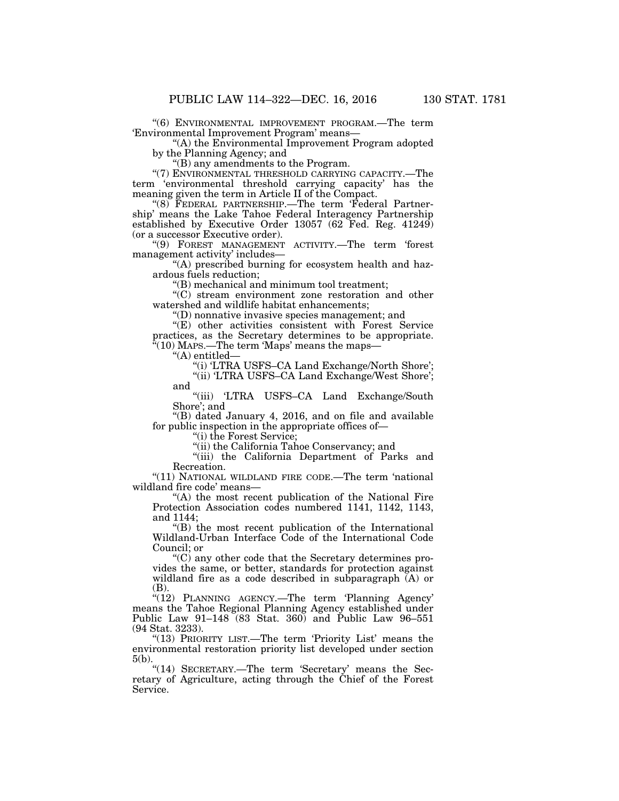''(6) ENVIRONMENTAL IMPROVEMENT PROGRAM.—The term 'Environmental Improvement Program' means—

''(A) the Environmental Improvement Program adopted by the Planning Agency; and

''(B) any amendments to the Program.

''(7) ENVIRONMENTAL THRESHOLD CARRYING CAPACITY.—The term 'environmental threshold carrying capacity' has the meaning given the term in Article II of the Compact.

''(8) FEDERAL PARTNERSHIP.—The term 'Federal Partnership' means the Lake Tahoe Federal Interagency Partnership established by Executive Order 13057 (62 Fed. Reg. 41249) (or a successor Executive order).

''(9) FOREST MANAGEMENT ACTIVITY.—The term 'forest management activity' includes—

''(A) prescribed burning for ecosystem health and hazardous fuels reduction;

''(B) mechanical and minimum tool treatment;

''(C) stream environment zone restoration and other watershed and wildlife habitat enhancements;

 $f(D)$  nonnative invasive species management; and

"(E) other activities consistent with Forest Service practices, as the Secretary determines to be appropriate. ''(10) MAPS.—The term 'Maps' means the maps—

''(A) entitled—

''(i) 'LTRA USFS–CA Land Exchange/North Shore'; "(ii) 'LTRA USFS-CA Land Exchange/West Shore';

and

''(iii) 'LTRA USFS–CA Land Exchange/South Shore'; and

''(B) dated January 4, 2016, and on file and available for public inspection in the appropriate offices of—

''(i) the Forest Service;

''(ii) the California Tahoe Conservancy; and

"(iii) the California Department of Parks and Recreation.

"(11) NATIONAL WILDLAND FIRE CODE.—The term 'national wildland fire code' means—

''(A) the most recent publication of the National Fire Protection Association codes numbered 1141, 1142, 1143, and 1144;

''(B) the most recent publication of the International Wildland-Urban Interface Code of the International Code Council; or

''(C) any other code that the Secretary determines provides the same, or better, standards for protection against wildland fire as a code described in subparagraph (A) or (B).

"(12) PLANNING AGENCY.—The term 'Planning Agency' means the Tahoe Regional Planning Agency established under Public Law 91–148 (83 Stat. 360) and Public Law 96–551 (94 Stat. 3233).

"(13) PRIORITY LIST.—The term 'Priority List' means the environmental restoration priority list developed under section 5(b).

"(14) SECRETARY.—The term 'Secretary' means the Secretary of Agriculture, acting through the Chief of the Forest Service.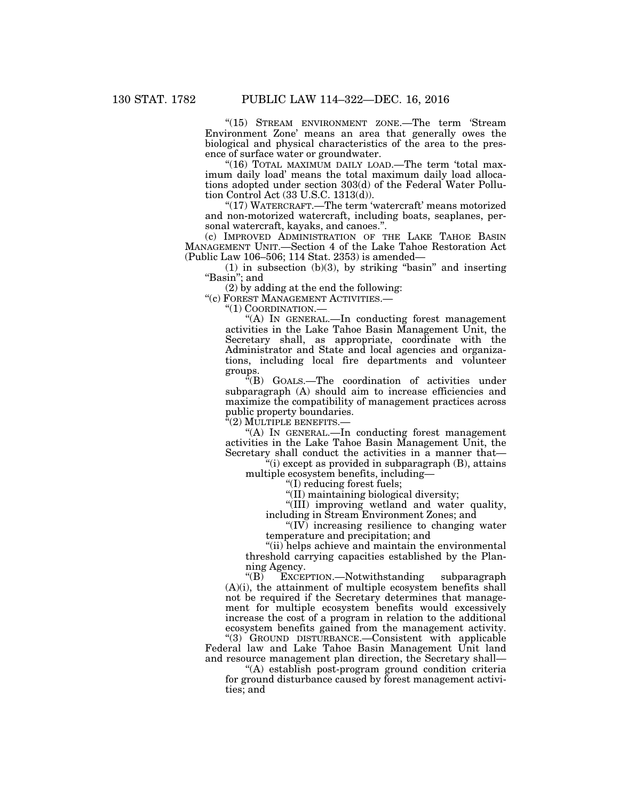''(15) STREAM ENVIRONMENT ZONE.—The term 'Stream Environment Zone' means an area that generally owes the biological and physical characteristics of the area to the presence of surface water or groundwater.

"(16) TOTAL MAXIMUM DAILY LOAD.—The term 'total maximum daily load' means the total maximum daily load allocations adopted under section 303(d) of the Federal Water Pollution Control Act (33 U.S.C. 1313(d)).

''(17) WATERCRAFT.—The term 'watercraft' means motorized and non-motorized watercraft, including boats, seaplanes, personal watercraft, kayaks, and canoes.''.

(c) IMPROVED ADMINISTRATION OF THE LAKE TAHOE BASIN MANAGEMENT UNIT.—Section 4 of the Lake Tahoe Restoration Act (Public Law 106–506; 114 Stat. 2353) is amended—

 $(1)$  in subsection  $(b)(3)$ , by striking "basin" and inserting ''Basin''; and

(2) by adding at the end the following:

''(c) FOREST MANAGEMENT ACTIVITIES.—

''(1) COORDINATION.—

''(A) IN GENERAL.—In conducting forest management activities in the Lake Tahoe Basin Management Unit, the Secretary shall, as appropriate, coordinate with the Administrator and State and local agencies and organizations, including local fire departments and volunteer groups.

''(B) GOALS.—The coordination of activities under subparagraph (A) should aim to increase efficiencies and maximize the compatibility of management practices across public property boundaries.

 $\cdot^{\alpha}(2)$  Multiple benefits.—

''(A) IN GENERAL.—In conducting forest management activities in the Lake Tahoe Basin Management Unit, the Secretary shall conduct the activities in a manner that—

''(i) except as provided in subparagraph (B), attains multiple ecosystem benefits, including—

''(I) reducing forest fuels;

''(II) maintaining biological diversity;

''(III) improving wetland and water quality,

including in Stream Environment Zones; and

''(IV) increasing resilience to changing water temperature and precipitation; and

"(ii) helps achieve and maintain the environmental threshold carrying capacities established by the Planning Agency.<br>"(B) Excel

EXCEPTION.—Notwithstanding subparagraph (A)(i), the attainment of multiple ecosystem benefits shall not be required if the Secretary determines that management for multiple ecosystem benefits would excessively increase the cost of a program in relation to the additional ecosystem benefits gained from the management activity.

''(3) GROUND DISTURBANCE.—Consistent with applicable Federal law and Lake Tahoe Basin Management Unit land and resource management plan direction, the Secretary shall—

''(A) establish post-program ground condition criteria for ground disturbance caused by forest management activities; and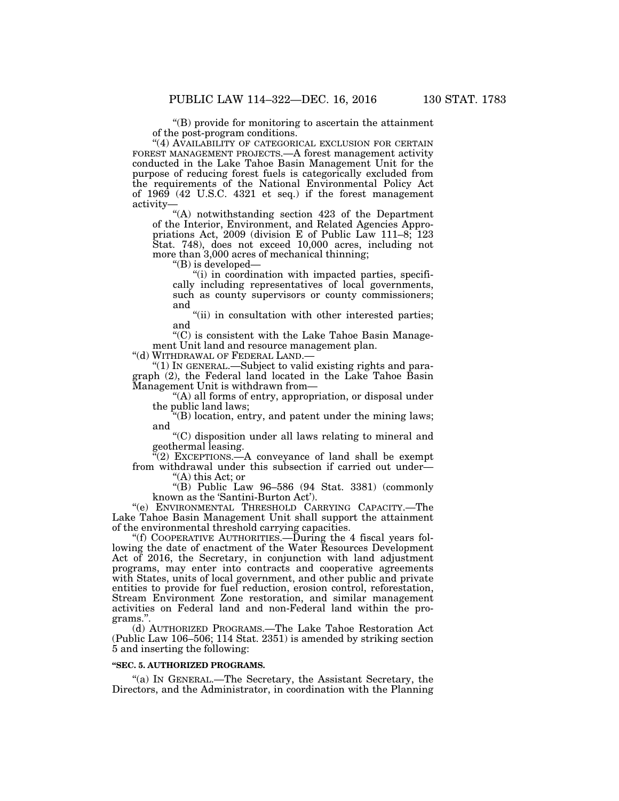''(B) provide for monitoring to ascertain the attainment of the post-program conditions.

"(4) AVAILABILITY OF CATEGORICAL EXCLUSION FOR CERTAIN FOREST MANAGEMENT PROJECTS.—A forest management activity conducted in the Lake Tahoe Basin Management Unit for the purpose of reducing forest fuels is categorically excluded from the requirements of the National Environmental Policy Act of 1969 (42 U.S.C. 4321 et seq.) if the forest management activity—

''(A) notwithstanding section 423 of the Department of the Interior, Environment, and Related Agencies Appropriations Act, 2009 (division E of Public Law 111–8; 123 Stat. 748), does not exceed 10,000 acres, including not more than 3,000 acres of mechanical thinning;

''(B) is developed—

''(i) in coordination with impacted parties, specifically including representatives of local governments, such as county supervisors or county commissioners; and

"(ii) in consultation with other interested parties; and

''(C) is consistent with the Lake Tahoe Basin Management Unit land and resource management plan.

''(d) WITHDRAWAL OF FEDERAL LAND.—

''(1) IN GENERAL.—Subject to valid existing rights and paragraph (2), the Federal land located in the Lake Tahoe Basin Management Unit is withdrawn from—

''(A) all forms of entry, appropriation, or disposal under the public land laws;

''(B) location, entry, and patent under the mining laws; and

''(C) disposition under all laws relating to mineral and geothermal leasing.

 $\mathbb{F}(2)$  EXCEPTIONS.  $-A$  conveyance of land shall be exempt from withdrawal under this subsection if carried out under—

''(A) this Act; or

''(B) Public Law 96–586 (94 Stat. 3381) (commonly known as the 'Santini-Burton Act').

''(e) ENVIRONMENTAL THRESHOLD CARRYING CAPACITY.—The Lake Tahoe Basin Management Unit shall support the attainment of the environmental threshold carrying capacities.

''(f) COOPERATIVE AUTHORITIES.—During the 4 fiscal years following the date of enactment of the Water Resources Development Act of 2016, the Secretary, in conjunction with land adjustment programs, may enter into contracts and cooperative agreements with States, units of local government, and other public and private entities to provide for fuel reduction, erosion control, reforestation, Stream Environment Zone restoration, and similar management activities on Federal land and non-Federal land within the programs.''.

(d) AUTHORIZED PROGRAMS.—The Lake Tahoe Restoration Act (Public Law 106–506; 114 Stat. 2351) is amended by striking section 5 and inserting the following:

## **''SEC. 5. AUTHORIZED PROGRAMS.**

''(a) IN GENERAL.—The Secretary, the Assistant Secretary, the Directors, and the Administrator, in coordination with the Planning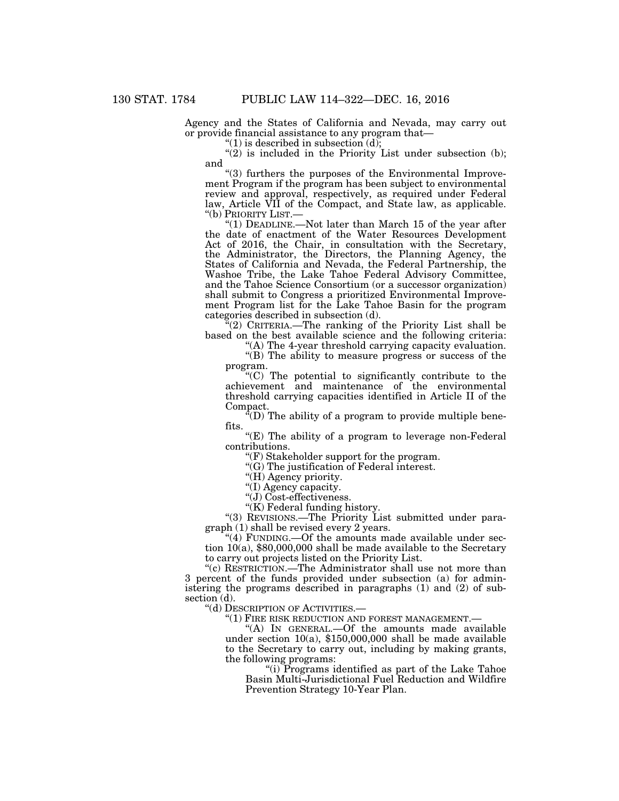Agency and the States of California and Nevada, may carry out or provide financial assistance to any program that—

" $(1)$  is described in subsection  $(d)$ ;

" $(2)$  is included in the Priority List under subsection  $(b)$ ; and

''(3) furthers the purposes of the Environmental Improvement Program if the program has been subject to environmental review and approval, respectively, as required under Federal law, Article VII of the Compact, and State law, as applicable.

"(b) PRIORITY LIST.—<br>"(1) DEADLINE.—Not later than March 15 of the year after<br>"We persuade Development" the date of enactment of the Water Resources Development Act of 2016, the Chair, in consultation with the Secretary, the Administrator, the Directors, the Planning Agency, the States of California and Nevada, the Federal Partnership, the Washoe Tribe, the Lake Tahoe Federal Advisory Committee, and the Tahoe Science Consortium (or a successor organization) shall submit to Congress a prioritized Environmental Improvement Program list for the Lake Tahoe Basin for the program categories described in subsection (d).

 $\sqrt{2}$  CRITERIA.—The ranking of the Priority List shall be based on the best available science and the following criteria:

"(A) The 4-year threshold carrying capacity evaluation. "(B) The ability to measure progress or success of the program.

''(C) The potential to significantly contribute to the achievement and maintenance of the environmental threshold carrying capacities identified in Article II of the Compact.

 $^{a}(D)$  The ability of a program to provide multiple benefits.

"(E) The ability of a program to leverage non-Federal contributions.

"(F) Stakeholder support for the program.

 $\mathcal{C}(G)$  The justification of Federal interest.

"(H) Agency priority.

''(I) Agency capacity.

''(J) Cost-effectiveness.

"(K) Federal funding history.

"(3) REVISIONS.—The Priority List submitted under para $graph (1)$  shall be revised every 2 years.

"(4) FUNDING.—Of the amounts made available under section  $10(a)$ , \$80,000,000 shall be made available to the Secretary to carry out projects listed on the Priority List.

''(c) RESTRICTION.—The Administrator shall use not more than 3 percent of the funds provided under subsection (a) for administering the programs described in paragraphs (1) and (2) of subsection (d).

''(d) DESCRIPTION OF ACTIVITIES.—

''(1) FIRE RISK REDUCTION AND FOREST MANAGEMENT.—

''(A) IN GENERAL.—Of the amounts made available under section 10(a), \$150,000,000 shall be made available to the Secretary to carry out, including by making grants, the following programs:

''(i) Programs identified as part of the Lake Tahoe Basin Multi-Jurisdictional Fuel Reduction and Wildfire Prevention Strategy 10-Year Plan.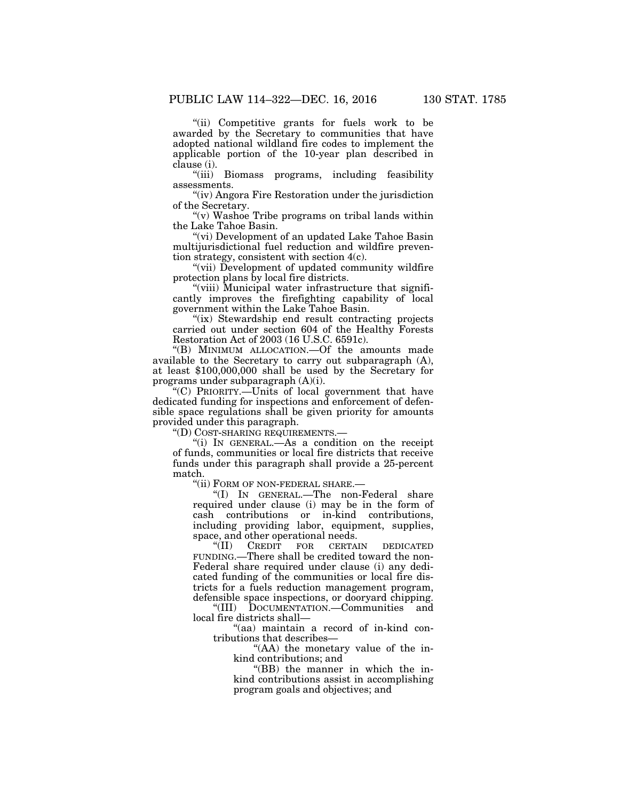''(ii) Competitive grants for fuels work to be awarded by the Secretary to communities that have adopted national wildland fire codes to implement the applicable portion of the 10-year plan described in clause (i).

"(iii) Biomass programs, including feasibility assessments.

"(iv) Angora Fire Restoration under the jurisdiction of the Secretary.

"(v) Washoe Tribe programs on tribal lands within the Lake Tahoe Basin.

''(vi) Development of an updated Lake Tahoe Basin multijurisdictional fuel reduction and wildfire prevention strategy, consistent with section 4(c).

"(vii) Development of updated community wildfire protection plans by local fire districts.

"(viii) Municipal water infrastructure that significantly improves the firefighting capability of local government within the Lake Tahoe Basin.

"(ix) Stewardship end result contracting projects" carried out under section 604 of the Healthy Forests Restoration Act of 2003 (16 U.S.C. 6591c).

''(B) MINIMUM ALLOCATION.—Of the amounts made available to the Secretary to carry out subparagraph (A), at least \$100,000,000 shall be used by the Secretary for programs under subparagraph (A)(i).

''(C) PRIORITY.—Units of local government that have dedicated funding for inspections and enforcement of defensible space regulations shall be given priority for amounts provided under this paragraph.

''(D) COST-SHARING REQUIREMENTS.—

''(i) IN GENERAL.—As a condition on the receipt of funds, communities or local fire districts that receive funds under this paragraph shall provide a 25-percent match.

''(ii) FORM OF NON-FEDERAL SHARE.—

''(I) IN GENERAL.—The non-Federal share required under clause (i) may be in the form of cash contributions or in-kind contributions, including providing labor, equipment, supplies, space, and other operational needs.<br>"(II) CREDIT FOR CERTA

FOR CERTAIN DEDICATED FUNDING.—There shall be credited toward the non-Federal share required under clause (i) any dedicated funding of the communities or local fire districts for a fuels reduction management program, defensible space inspections, or dooryard chipping.

''(III) DOCUMENTATION.—Communities and local fire districts shall—

"(aa) maintain a record of in-kind contributions that describes—

''(AA) the monetary value of the inkind contributions; and

''(BB) the manner in which the inkind contributions assist in accomplishing program goals and objectives; and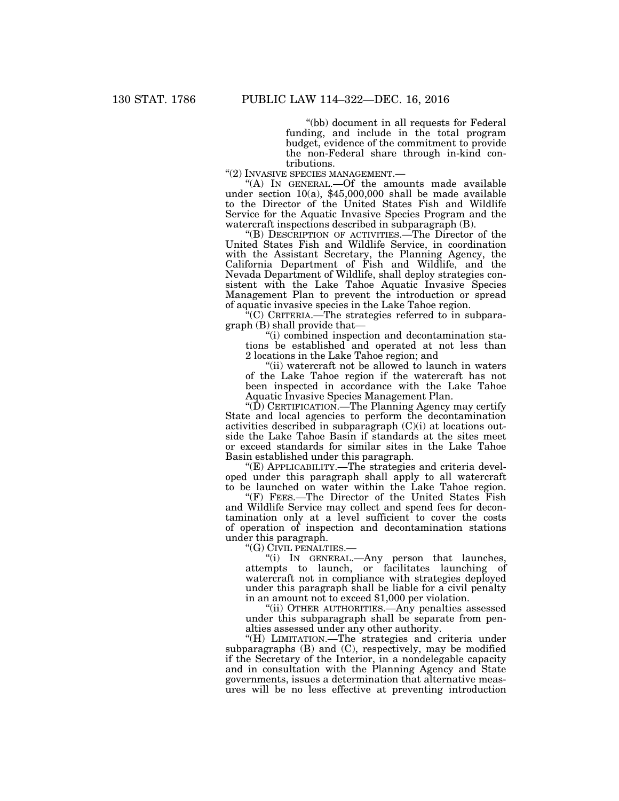"(bb) document in all requests for Federal funding, and include in the total program budget, evidence of the commitment to provide the non-Federal share through in-kind con-

tributions.<br>"(2) INVASIVE SPECIES MANAGEMENT.—

"(A) In GENERAL.—Of the amounts made available under section 10(a), \$45,000,000 shall be made available to the Director of the United States Fish and Wildlife Service for the Aquatic Invasive Species Program and the watercraft inspections described in subparagraph (B).

''(B) DESCRIPTION OF ACTIVITIES.—The Director of the United States Fish and Wildlife Service, in coordination with the Assistant Secretary, the Planning Agency, the California Department of Fish and Wildlife, and the Nevada Department of Wildlife, shall deploy strategies consistent with the Lake Tahoe Aquatic Invasive Species Management Plan to prevent the introduction or spread of aquatic invasive species in the Lake Tahoe region.

''(C) CRITERIA.—The strategies referred to in subparagraph (B) shall provide that—

''(i) combined inspection and decontamination stations be established and operated at not less than 2 locations in the Lake Tahoe region; and

"(ii) watercraft not be allowed to launch in waters of the Lake Tahoe region if the watercraft has not been inspected in accordance with the Lake Tahoe Aquatic Invasive Species Management Plan.

" $(D)$  CERTIFICATION.—The Planning Agency may certify State and local agencies to perform the decontamination activities described in subparagraph (C)(i) at locations outside the Lake Tahoe Basin if standards at the sites meet or exceed standards for similar sites in the Lake Tahoe Basin established under this paragraph.

''(E) APPLICABILITY.—The strategies and criteria developed under this paragraph shall apply to all watercraft to be launched on water within the Lake Tahoe region.

"(F) FEES.—The Director of the United States Fish and Wildlife Service may collect and spend fees for decontamination only at a level sufficient to cover the costs of operation of inspection and decontamination stations under this paragraph.

''(G) CIVIL PENALTIES.—

''(i) IN GENERAL.—Any person that launches, attempts to launch, or facilitates launching of watercraft not in compliance with strategies deployed under this paragraph shall be liable for a civil penalty in an amount not to exceed \$1,000 per violation.

''(ii) OTHER AUTHORITIES.—Any penalties assessed under this subparagraph shall be separate from penalties assessed under any other authority.

"(H) LIMITATION.—The strategies and criteria under subparagraphs (B) and (C), respectively, may be modified if the Secretary of the Interior, in a nondelegable capacity and in consultation with the Planning Agency and State governments, issues a determination that alternative measures will be no less effective at preventing introduction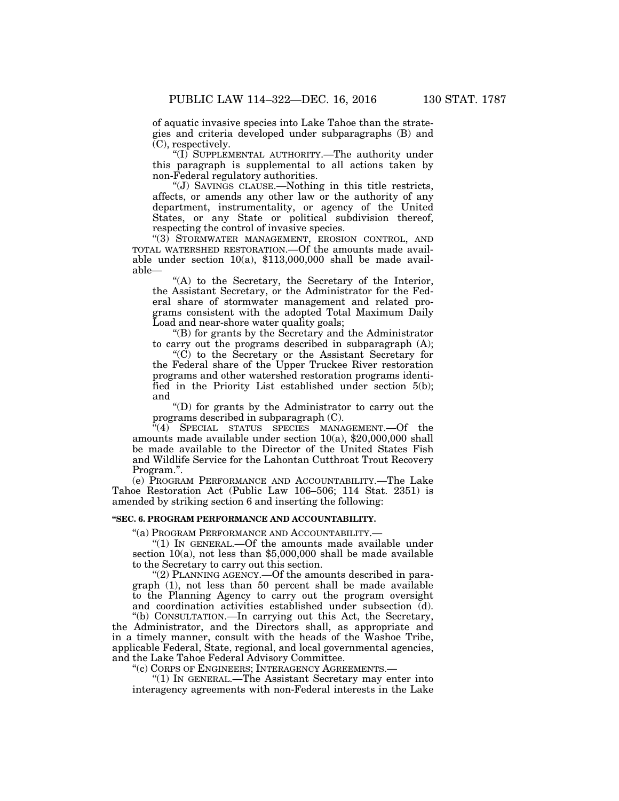of aquatic invasive species into Lake Tahoe than the strategies and criteria developed under subparagraphs (B) and (C), respectively.

''(I) SUPPLEMENTAL AUTHORITY.—The authority under this paragraph is supplemental to all actions taken by non-Federal regulatory authorities.

''(J) SAVINGS CLAUSE.—Nothing in this title restricts, affects, or amends any other law or the authority of any department, instrumentality, or agency of the United States, or any State or political subdivision thereof, respecting the control of invasive species.

''(3) STORMWATER MANAGEMENT, EROSION CONTROL, AND TOTAL WATERSHED RESTORATION.—Of the amounts made available under section 10(a), \$113,000,000 shall be made available—

''(A) to the Secretary, the Secretary of the Interior, the Assistant Secretary, or the Administrator for the Federal share of stormwater management and related programs consistent with the adopted Total Maximum Daily Load and near-shore water quality goals;

''(B) for grants by the Secretary and the Administrator to carry out the programs described in subparagraph (A);

''(C) to the Secretary or the Assistant Secretary for the Federal share of the Upper Truckee River restoration programs and other watershed restoration programs identified in the Priority List established under section 5(b); and

''(D) for grants by the Administrator to carry out the programs described in subparagraph (C).

 $\frac{1}{2}(4)$  SPECIAL STATUS SPECIES MANAGEMENT. - Of the amounts made available under section 10(a), \$20,000,000 shall be made available to the Director of the United States Fish and Wildlife Service for the Lahontan Cutthroat Trout Recovery Program.''.

(e) PROGRAM PERFORMANCE AND ACCOUNTABILITY.—The Lake Tahoe Restoration Act (Public Law 106–506; 114 Stat. 2351) is amended by striking section 6 and inserting the following:

## **''SEC. 6. PROGRAM PERFORMANCE AND ACCOUNTABILITY.**

''(a) PROGRAM PERFORMANCE AND ACCOUNTABILITY.—

''(1) IN GENERAL.—Of the amounts made available under section 10(a), not less than \$5,000,000 shall be made available to the Secretary to carry out this section.

''(2) PLANNING AGENCY.—Of the amounts described in paragraph (1), not less than 50 percent shall be made available to the Planning Agency to carry out the program oversight and coordination activities established under subsection (d).

''(b) CONSULTATION.—In carrying out this Act, the Secretary, the Administrator, and the Directors shall, as appropriate and in a timely manner, consult with the heads of the Washoe Tribe, applicable Federal, State, regional, and local governmental agencies, and the Lake Tahoe Federal Advisory Committee.

''(c) CORPS OF ENGINEERS; INTERAGENCY AGREEMENTS.—

''(1) IN GENERAL.—The Assistant Secretary may enter into interagency agreements with non-Federal interests in the Lake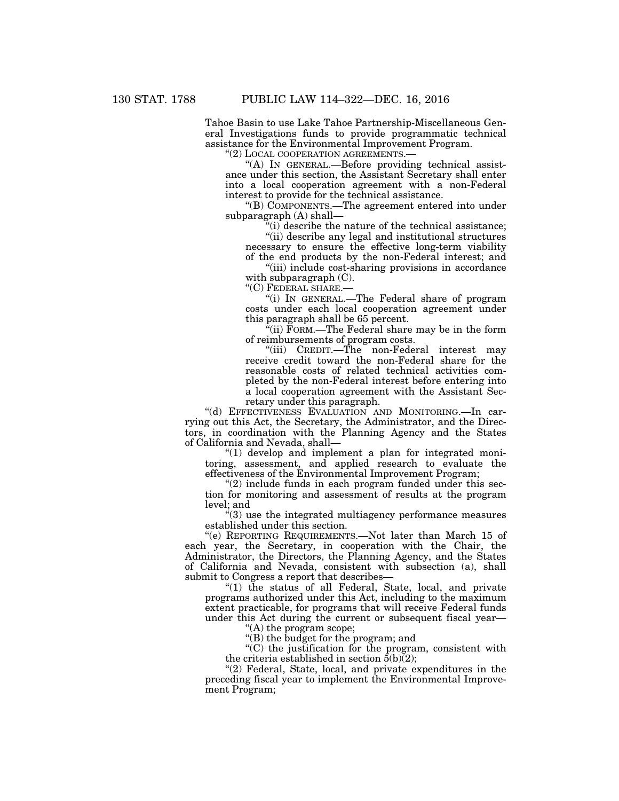Tahoe Basin to use Lake Tahoe Partnership-Miscellaneous General Investigations funds to provide programmatic technical assistance for the Environmental Improvement Program.

''(2) LOCAL COOPERATION AGREEMENTS.—

''(A) IN GENERAL.—Before providing technical assistance under this section, the Assistant Secretary shall enter into a local cooperation agreement with a non-Federal interest to provide for the technical assistance.

''(B) COMPONENTS.—The agreement entered into under subparagraph (A) shall—

> "(i) describe the nature of the technical assistance; "(ii) describe any legal and institutional structures

necessary to ensure the effective long-term viability of the end products by the non-Federal interest; and ''(iii) include cost-sharing provisions in accordance

with subparagraph  $(C)$ .

''(C) FEDERAL SHARE.—

''(i) IN GENERAL.—The Federal share of program costs under each local cooperation agreement under this paragraph shall be 65 percent.

 $\tilde{F}$ (ii)  $\tilde{F}$ ORM.—The Federal share may be in the form of reimbursements of program costs.

"(iii) CREDIT.—The non-Federal interest may receive credit toward the non-Federal share for the reasonable costs of related technical activities completed by the non-Federal interest before entering into a local cooperation agreement with the Assistant Secretary under this paragraph.

''(d) EFFECTIVENESS EVALUATION AND MONITORING.—In carrying out this Act, the Secretary, the Administrator, and the Directors, in coordination with the Planning Agency and the States of California and Nevada, shall—

 $''(1)$  develop and implement a plan for integrated monitoring, assessment, and applied research to evaluate the effectiveness of the Environmental Improvement Program;

 $''(2)$  include funds in each program funded under this section for monitoring and assessment of results at the program level; and

''(3) use the integrated multiagency performance measures established under this section.

''(e) REPORTING REQUIREMENTS.—Not later than March 15 of each year, the Secretary, in cooperation with the Chair, the Administrator, the Directors, the Planning Agency, and the States of California and Nevada, consistent with subsection (a), shall submit to Congress a report that describes—

"(1) the status of all Federal, State, local, and private programs authorized under this Act, including to the maximum extent practicable, for programs that will receive Federal funds under this Act during the current or subsequent fiscal year—

''(A) the program scope;

''(B) the budget for the program; and

''(C) the justification for the program, consistent with the criteria established in section 5(b)(2);

 $''(2)$  Federal, State, local, and private expenditures in the preceding fiscal year to implement the Environmental Improvement Program;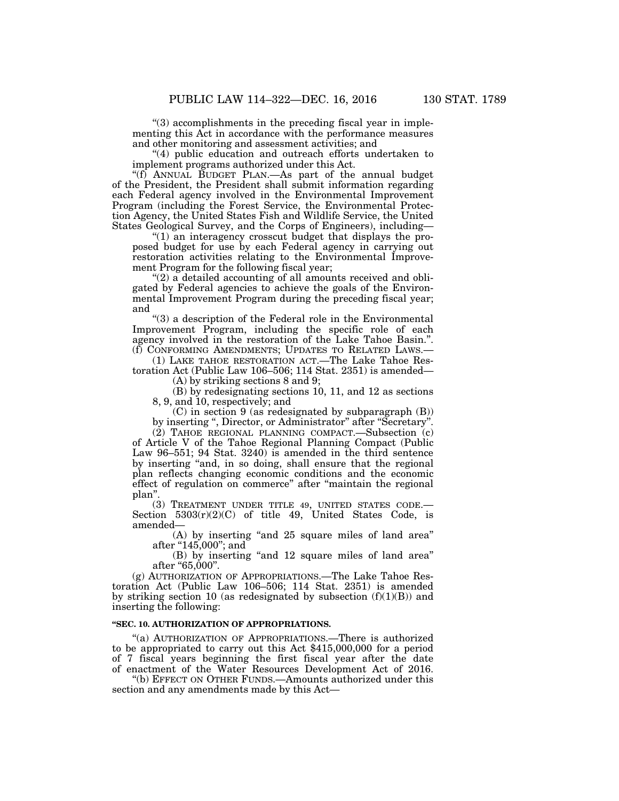"(3) accomplishments in the preceding fiscal year in implementing this Act in accordance with the performance measures and other monitoring and assessment activities; and

''(4) public education and outreach efforts undertaken to implement programs authorized under this Act.

''(f) ANNUAL BUDGET PLAN.—As part of the annual budget of the President, the President shall submit information regarding each Federal agency involved in the Environmental Improvement Program (including the Forest Service, the Environmental Protection Agency, the United States Fish and Wildlife Service, the United States Geological Survey, and the Corps of Engineers), including—

" $(1)$  an interagency crosscut budget that displays the proposed budget for use by each Federal agency in carrying out restoration activities relating to the Environmental Improvement Program for the following fiscal year;

 $(2)$  a detailed accounting of all amounts received and obligated by Federal agencies to achieve the goals of the Environmental Improvement Program during the preceding fiscal year; and

''(3) a description of the Federal role in the Environmental Improvement Program, including the specific role of each agency involved in the restoration of the Lake Tahoe Basin.''. (f) CONFORMING AMENDMENTS; UPDATES TO RELATED LAWS.—

(1) LAKE TAHOE RESTORATION ACT.—The Lake Tahoe Restoration Act (Public Law 106–506; 114 Stat. 2351) is amended—

(A) by striking sections 8 and 9;

(B) by redesignating sections 10, 11, and 12 as sections 8, 9, and 10, respectively; and

(C) in section 9 (as redesignated by subparagraph (B)) by inserting ", Director, or Administrator" after "Secretary".

(2) TAHOE REGIONAL PLANNING COMPACT.—Subsection (c) of Article V of the Tahoe Regional Planning Compact (Public Law 96–551; 94 Stat. 3240) is amended in the third sentence by inserting ''and, in so doing, shall ensure that the regional plan reflects changing economic conditions and the economic effect of regulation on commerce'' after ''maintain the regional plan''.

(3) TREATMENT UNDER TITLE 49, UNITED STATES CODE.— Section 5303(r)(2)(C) of title 49, United States Code, is amended—

(A) by inserting ''and 25 square miles of land area'' after "145,000"; and

(B) by inserting ''and 12 square miles of land area'' after "65,000".

(g) AUTHORIZATION OF APPROPRIATIONS.—The Lake Tahoe Restoration Act (Public Law 106–506; 114 Stat. 2351) is amended by striking section 10 (as redesignated by subsection  $(f)(1)(B)$ ) and inserting the following:

## **''SEC. 10. AUTHORIZATION OF APPROPRIATIONS.**

"(a) AUTHORIZATION OF APPROPRIATIONS.—There is authorized to be appropriated to carry out this Act \$415,000,000 for a period of 7 fiscal years beginning the first fiscal year after the date of enactment of the Water Resources Development Act of 2016.

''(b) EFFECT ON OTHER FUNDS.—Amounts authorized under this section and any amendments made by this Act—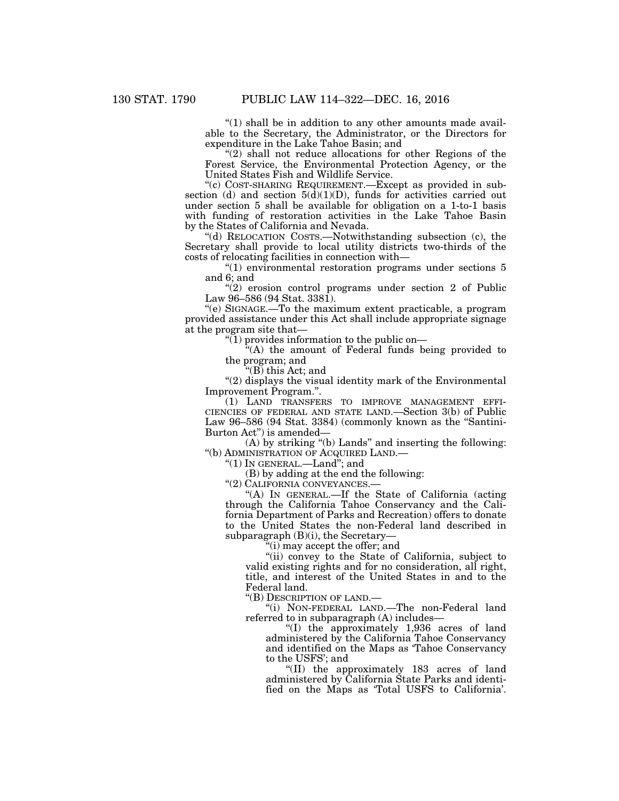" $(1)$  shall be in addition to any other amounts made available to the Secretary, the Administrator, or the Directors for expenditure in the Lake Tahoe Basin; and

"(2) shall not reduce allocations for other Regions of the Forest Service, the Environmental Protection Agency, or the United States Fish and Wildlife Service.

''(c) COST-SHARING REQUIREMENT.—Except as provided in subsection (d) and section  $5(d)(1)(D)$ , funds for activities carried out under section 5 shall be available for obligation on a 1-to-1 basis with funding of restoration activities in the Lake Tahoe Basin by the States of California and Nevada.

''(d) RELOCATION COSTS.—Notwithstanding subsection (c), the Secretary shall provide to local utility districts two-thirds of the costs of relocating facilities in connection with—

 $"(1)$  environmental restoration programs under sections 5 and 6; and

 $\mathcal{L}(2)$  erosion control programs under section 2 of Public Law 96–586 (94 Stat. 3381).

''(e) SIGNAGE.—To the maximum extent practicable, a program provided assistance under this Act shall include appropriate signage at the program site that—

 $(1)$  provides information to the public on—

 $f^{(A)}(A)$  the amount of Federal funds being provided to the program; and

''(B) this Act; and

"(2) displays the visual identity mark of the Environmental Improvement Program.''.

(1) LAND TRANSFERS TO IMPROVE MANAGEMENT EFFI-CIENCIES OF FEDERAL AND STATE LAND.—Section 3(b) of Public Law 96–586 (94 Stat. 3384) (commonly known as the ''Santini-Burton Act'') is amended—

(A) by striking "(b) Lands" and inserting the following: ''(b) ADMINISTRATION OF ACQUIRED LAND.—

" $(1)$  In GENERAL.—Land"; and

(B) by adding at the end the following:

''(2) CALIFORNIA CONVEYANCES.—

''(A) IN GENERAL.—If the State of California (acting through the California Tahoe Conservancy and the California Department of Parks and Recreation) offers to donate to the United States the non-Federal land described in subparagraph  $(B)(i)$ , the Secretary-

''(i) may accept the offer; and

"(ii) convey to the State of California, subject to valid existing rights and for no consideration, all right, title, and interest of the United States in and to the Federal land.

''(B) DESCRIPTION OF LAND.—

''(i) NON-FEDERAL LAND.—The non-Federal land referred to in subparagraph (A) includes—

''(I) the approximately 1,936 acres of land administered by the California Tahoe Conservancy and identified on the Maps as 'Tahoe Conservancy to the USFS'; and

''(II) the approximately 183 acres of land administered by California State Parks and identified on the Maps as 'Total USFS to California'.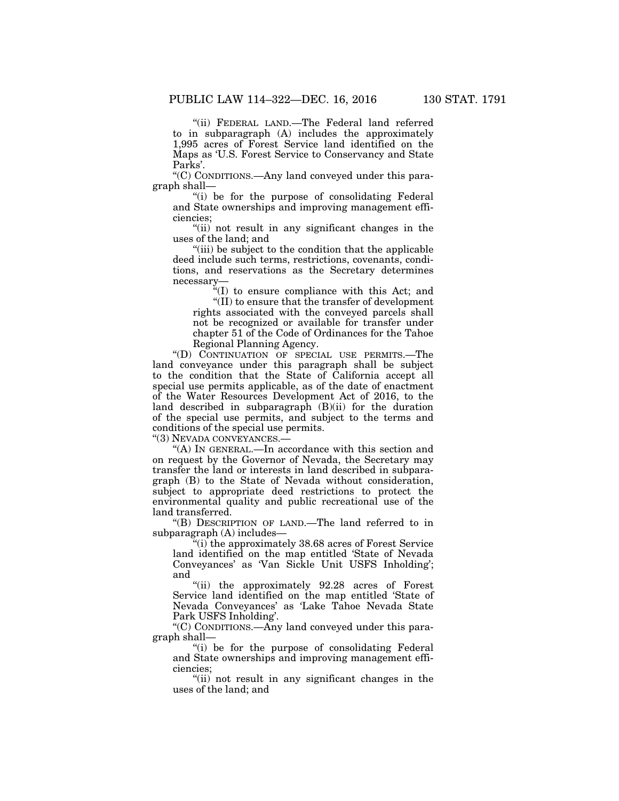''(ii) FEDERAL LAND.—The Federal land referred to in subparagraph (A) includes the approximately 1,995 acres of Forest Service land identified on the Maps as 'U.S. Forest Service to Conservancy and State Parks'.

''(C) CONDITIONS.—Any land conveyed under this paragraph shall—

''(i) be for the purpose of consolidating Federal and State ownerships and improving management efficiencies;

''(ii) not result in any significant changes in the uses of the land; and

"(iii) be subject to the condition that the applicable deed include such terms, restrictions, covenants, conditions, and reservations as the Secretary determines necessary—

''(I) to ensure compliance with this Act; and

"(II) to ensure that the transfer of development rights associated with the conveyed parcels shall not be recognized or available for transfer under chapter 51 of the Code of Ordinances for the Tahoe Regional Planning Agency.

''(D) CONTINUATION OF SPECIAL USE PERMITS.—The land conveyance under this paragraph shall be subject to the condition that the State of California accept all special use permits applicable, as of the date of enactment of the Water Resources Development Act of 2016, to the land described in subparagraph (B)(ii) for the duration of the special use permits, and subject to the terms and conditions of the special use permits.

''(3) NEVADA CONVEYANCES.—

''(A) IN GENERAL.—In accordance with this section and on request by the Governor of Nevada, the Secretary may transfer the land or interests in land described in subparagraph (B) to the State of Nevada without consideration, subject to appropriate deed restrictions to protect the environmental quality and public recreational use of the land transferred.

''(B) DESCRIPTION OF LAND.—The land referred to in subparagraph (A) includes—

''(i) the approximately 38.68 acres of Forest Service land identified on the map entitled 'State of Nevada Conveyances' as 'Van Sickle Unit USFS Inholding'; and

''(ii) the approximately 92.28 acres of Forest Service land identified on the map entitled 'State of Nevada Conveyances' as 'Lake Tahoe Nevada State Park USFS Inholding'.

''(C) CONDITIONS.—Any land conveyed under this paragraph shall—

''(i) be for the purpose of consolidating Federal and State ownerships and improving management efficiencies;

"(ii) not result in any significant changes in the uses of the land; and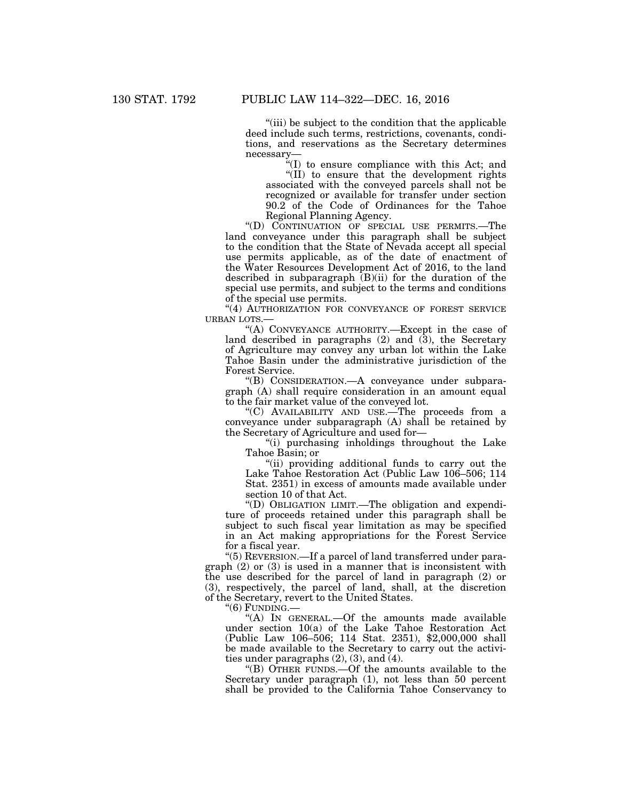''(iii) be subject to the condition that the applicable deed include such terms, restrictions, covenants, conditions, and reservations as the Secretary determines necessary—

"(I) to ensure compliance with this Act; and ''(II) to ensure that the development rights associated with the conveyed parcels shall not be recognized or available for transfer under section 90.2 of the Code of Ordinances for the Tahoe Regional Planning Agency.

''(D) CONTINUATION OF SPECIAL USE PERMITS.—The land conveyance under this paragraph shall be subject to the condition that the State of Nevada accept all special use permits applicable, as of the date of enactment of the Water Resources Development Act of 2016, to the land described in subparagraph  $(B)(ii)$  for the duration of the special use permits, and subject to the terms and conditions of the special use permits.

"(4) AUTHORIZATION FOR CONVEYANCE OF FOREST SERVICE URBAN LOTS.—

"(A) CONVEYANCE AUTHORITY.—Except in the case of land described in paragraphs  $(2)$  and  $(3)$ , the Secretary of Agriculture may convey any urban lot within the Lake Tahoe Basin under the administrative jurisdiction of the Forest Service.

''(B) CONSIDERATION.—A conveyance under subparagraph (A) shall require consideration in an amount equal to the fair market value of the conveyed lot.

''(C) AVAILABILITY AND USE.—The proceeds from a conveyance under subparagraph (A) shall be retained by the Secretary of Agriculture and used for—

''(i) purchasing inholdings throughout the Lake Tahoe Basin; or

''(ii) providing additional funds to carry out the Lake Tahoe Restoration Act (Public Law 106–506; 114 Stat. 2351) in excess of amounts made available under section 10 of that Act.

''(D) OBLIGATION LIMIT.—The obligation and expenditure of proceeds retained under this paragraph shall be subject to such fiscal year limitation as may be specified in an Act making appropriations for the Forest Service for a fiscal year.

''(5) REVERSION.—If a parcel of land transferred under paragraph (2) or (3) is used in a manner that is inconsistent with the use described for the parcel of land in paragraph (2) or (3), respectively, the parcel of land, shall, at the discretion of the Secretary, revert to the United States.

''(6) FUNDING.—

''(A) IN GENERAL.—Of the amounts made available under section 10(a) of the Lake Tahoe Restoration Act (Public Law 106–506; 114 Stat. 2351), \$2,000,000 shall be made available to the Secretary to carry out the activities under paragraphs  $(2)$ ,  $(3)$ , and  $(4)$ .

 $H(18)$  OTHER FUNDS.—Of the amounts available to the Secretary under paragraph (1), not less than 50 percent shall be provided to the California Tahoe Conservancy to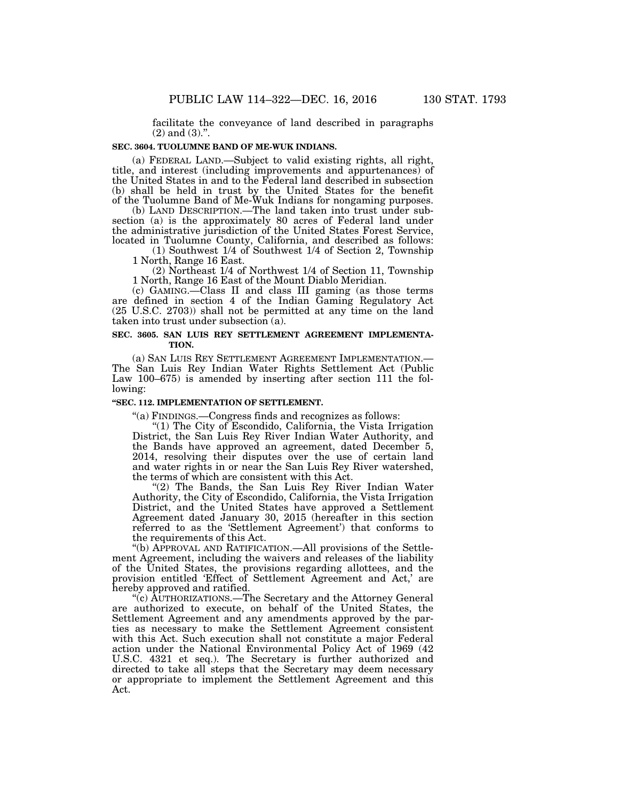#### **SEC. 3604. TUOLUMNE BAND OF ME-WUK INDIANS.**

(a) FEDERAL LAND.—Subject to valid existing rights, all right, title, and interest (including improvements and appurtenances) of the United States in and to the Federal land described in subsection (b) shall be held in trust by the United States for the benefit of the Tuolumne Band of Me-Wuk Indians for nongaming purposes.

(b) LAND DESCRIPTION.—The land taken into trust under subsection (a) is the approximately 80 acres of Federal land under the administrative jurisdiction of the United States Forest Service, located in Tuolumne County, California, and described as follows:

(1) Southwest 1/4 of Southwest 1/4 of Section 2, Township 1 North, Range 16 East.

(2) Northeast 1/4 of Northwest 1/4 of Section 11, Township 1 North, Range 16 East of the Mount Diablo Meridian.

(c) GAMING.—Class II and class III gaming (as those terms are defined in section 4 of the Indian Gaming Regulatory Act (25 U.S.C. 2703)) shall not be permitted at any time on the land taken into trust under subsection (a).

## **SEC. 3605. SAN LUIS REY SETTLEMENT AGREEMENT IMPLEMENTA-TION.**

(a) SAN LUIS REY SETTLEMENT AGREEMENT IMPLEMENTATION.— The San Luis Rey Indian Water Rights Settlement Act (Public Law 100–675) is amended by inserting after section 111 the following:

### **''SEC. 112. IMPLEMENTATION OF SETTLEMENT.**

''(a) FINDINGS.—Congress finds and recognizes as follows:

''(1) The City of Escondido, California, the Vista Irrigation District, the San Luis Rey River Indian Water Authority, and the Bands have approved an agreement, dated December 5, 2014, resolving their disputes over the use of certain land and water rights in or near the San Luis Rey River watershed, the terms of which are consistent with this Act.

''(2) The Bands, the San Luis Rey River Indian Water Authority, the City of Escondido, California, the Vista Irrigation District, and the United States have approved a Settlement Agreement dated January 30, 2015 (hereafter in this section referred to as the 'Settlement Agreement') that conforms to the requirements of this Act.

''(b) APPROVAL AND RATIFICATION.—All provisions of the Settlement Agreement, including the waivers and releases of the liability of the United States, the provisions regarding allottees, and the provision entitled 'Effect of Settlement Agreement and Act,' are hereby approved and ratified.

''(c) AUTHORIZATIONS.—The Secretary and the Attorney General are authorized to execute, on behalf of the United States, the Settlement Agreement and any amendments approved by the parties as necessary to make the Settlement Agreement consistent with this Act. Such execution shall not constitute a major Federal action under the National Environmental Policy Act of 1969 (42 U.S.C. 4321 et seq.). The Secretary is further authorized and directed to take all steps that the Secretary may deem necessary or appropriate to implement the Settlement Agreement and this Act.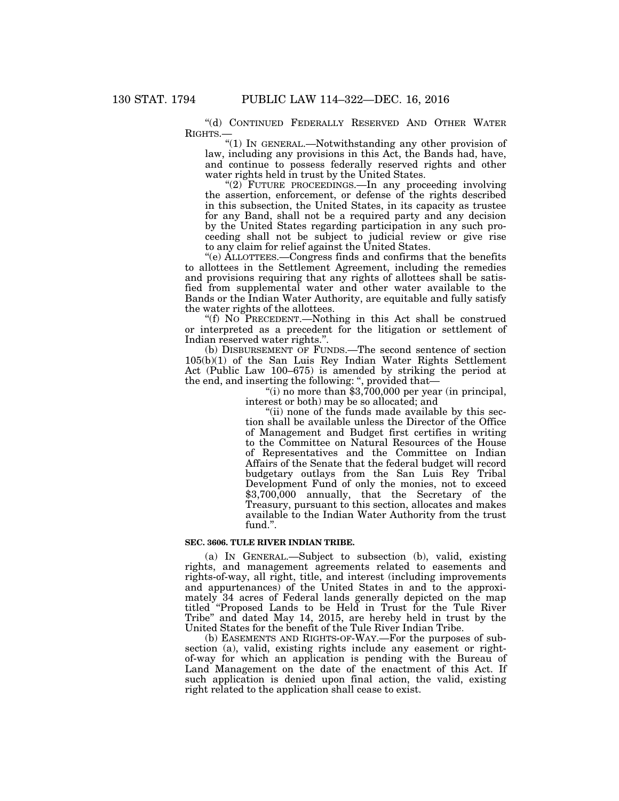''(d) CONTINUED FEDERALLY RESERVED AND OTHER WATER RIGHTS.—

''(1) IN GENERAL.—Notwithstanding any other provision of law, including any provisions in this Act, the Bands had, have, and continue to possess federally reserved rights and other water rights held in trust by the United States.

"(2) FUTURE PROCEEDINGS.—In any proceeding involving the assertion, enforcement, or defense of the rights described in this subsection, the United States, in its capacity as trustee for any Band, shall not be a required party and any decision by the United States regarding participation in any such proceeding shall not be subject to judicial review or give rise to any claim for relief against the United States.

''(e) ALLOTTEES.—Congress finds and confirms that the benefits to allottees in the Settlement Agreement, including the remedies and provisions requiring that any rights of allottees shall be satisfied from supplemental water and other water available to the Bands or the Indian Water Authority, are equitable and fully satisfy the water rights of the allottees.

''(f) NO PRECEDENT.—Nothing in this Act shall be construed or interpreted as a precedent for the litigation or settlement of Indian reserved water rights.''.

(b) DISBURSEMENT OF FUNDS.—The second sentence of section 105(b)(1) of the San Luis Rey Indian Water Rights Settlement Act (Public Law 100–675) is amended by striking the period at the end, and inserting the following: '', provided that—

> ''(i) no more than \$3,700,000 per year (in principal, interest or both) may be so allocated; and

"(ii) none of the funds made available by this section shall be available unless the Director of the Office of Management and Budget first certifies in writing to the Committee on Natural Resources of the House of Representatives and the Committee on Indian Affairs of the Senate that the federal budget will record budgetary outlays from the San Luis Rey Tribal Development Fund of only the monies, not to exceed \$3,700,000 annually, that the Secretary of the Treasury, pursuant to this section, allocates and makes available to the Indian Water Authority from the trust fund.''.

## **SEC. 3606. TULE RIVER INDIAN TRIBE.**

(a) IN GENERAL.—Subject to subsection (b), valid, existing rights, and management agreements related to easements and rights-of-way, all right, title, and interest (including improvements and appurtenances) of the United States in and to the approximately 34 acres of Federal lands generally depicted on the map titled ''Proposed Lands to be Held in Trust for the Tule River Tribe'' and dated May 14, 2015, are hereby held in trust by the United States for the benefit of the Tule River Indian Tribe.

(b) EASEMENTS AND RIGHTS-OF-WAY.—For the purposes of subsection (a), valid, existing rights include any easement or rightof-way for which an application is pending with the Bureau of Land Management on the date of the enactment of this Act. If such application is denied upon final action, the valid, existing right related to the application shall cease to exist.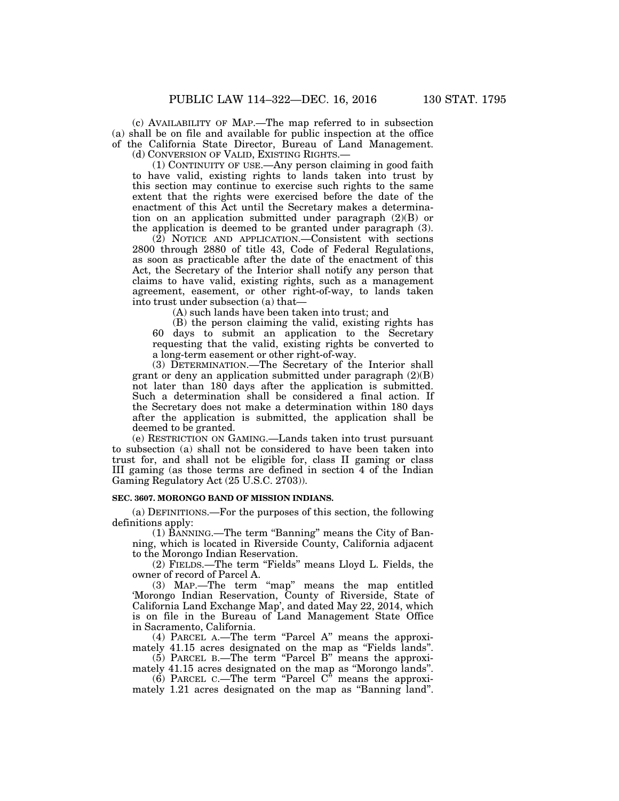(c) AVAILABILITY OF MAP.—The map referred to in subsection (a) shall be on file and available for public inspection at the office of the California State Director, Bureau of Land Management. (d) CONVERSION OF VALID, EXISTING RIGHTS.—

(1) CONTINUITY OF USE.—Any person claiming in good faith to have valid, existing rights to lands taken into trust by this section may continue to exercise such rights to the same extent that the rights were exercised before the date of the enactment of this Act until the Secretary makes a determination on an application submitted under paragraph (2)(B) or the application is deemed to be granted under paragraph (3).

(2) NOTICE AND APPLICATION.—Consistent with sections 2800 through 2880 of title 43, Code of Federal Regulations, as soon as practicable after the date of the enactment of this Act, the Secretary of the Interior shall notify any person that claims to have valid, existing rights, such as a management agreement, easement, or other right-of-way, to lands taken into trust under subsection (a) that—

(A) such lands have been taken into trust; and

(B) the person claiming the valid, existing rights has 60 days to submit an application to the Secretary requesting that the valid, existing rights be converted to a long-term easement or other right-of-way.

(3) DETERMINATION.—The Secretary of the Interior shall grant or deny an application submitted under paragraph  $(2)(B)$ not later than 180 days after the application is submitted. Such a determination shall be considered a final action. If the Secretary does not make a determination within 180 days after the application is submitted, the application shall be deemed to be granted.

(e) RESTRICTION ON GAMING.—Lands taken into trust pursuant to subsection (a) shall not be considered to have been taken into trust for, and shall not be eligible for, class II gaming or class III gaming (as those terms are defined in section 4 of the Indian Gaming Regulatory Act (25 U.S.C. 2703)).

## **SEC. 3607. MORONGO BAND OF MISSION INDIANS.**

(a) DEFINITIONS.—For the purposes of this section, the following definitions apply:

(1) BANNING.—The term ''Banning'' means the City of Banning, which is located in Riverside County, California adjacent to the Morongo Indian Reservation.

(2) FIELDS.—The term ''Fields'' means Lloyd L. Fields, the owner of record of Parcel A.

(3) MAP.—The term "map" means the map entitled 'Morongo Indian Reservation, County of Riverside, State of California Land Exchange Map', and dated May 22, 2014, which is on file in the Bureau of Land Management State Office in Sacramento, California.

(4) PARCEL A.—The term ''Parcel A'' means the approximately 41.15 acres designated on the map as "Fields lands".

 $(5)$  PARCEL B.—The term "Parcel B" means the approximately 41.15 acres designated on the map as ''Morongo lands''.

(6) PARCEL C.—The term ''Parcel C'' means the approximately 1.21 acres designated on the map as "Banning land".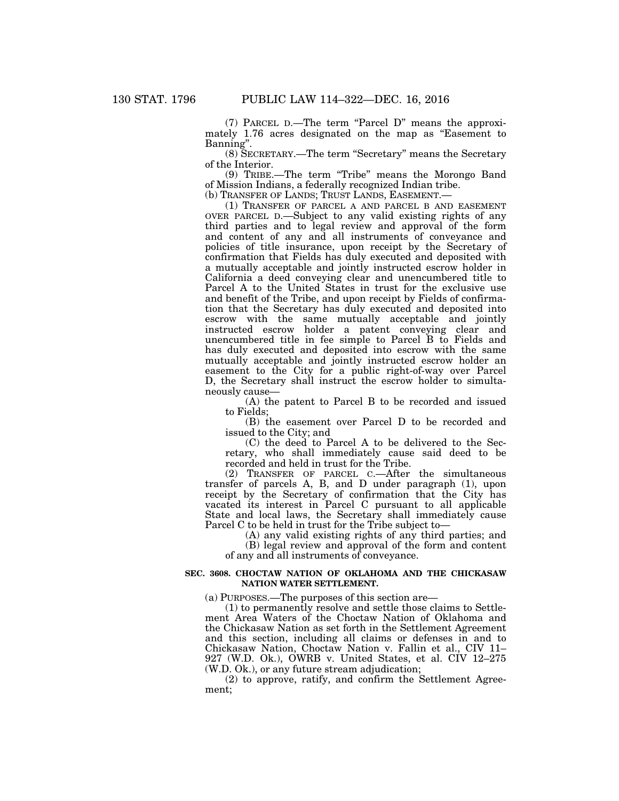(7) PARCEL D.—The term ''Parcel D'' means the approximately 1.76 acres designated on the map as "Easement to Banning''.

(8) SECRETARY.—The term ''Secretary'' means the Secretary of the Interior.

(9) TRIBE.—The term ''Tribe'' means the Morongo Band of Mission Indians, a federally recognized Indian tribe.

(b) TRANSFER OF LANDS; TRUST LANDS, EASEMENT.—

(1) TRANSFER OF PARCEL A AND PARCEL B AND EASEMENT OVER PARCEL D.—Subject to any valid existing rights of any third parties and to legal review and approval of the form and content of any and all instruments of conveyance and policies of title insurance, upon receipt by the Secretary of confirmation that Fields has duly executed and deposited with a mutually acceptable and jointly instructed escrow holder in California a deed conveying clear and unencumbered title to Parcel A to the United States in trust for the exclusive use and benefit of the Tribe, and upon receipt by Fields of confirmation that the Secretary has duly executed and deposited into escrow with the same mutually acceptable and jointly instructed escrow holder a patent conveying clear and unencumbered title in fee simple to Parcel B to Fields and has duly executed and deposited into escrow with the same mutually acceptable and jointly instructed escrow holder an easement to the City for a public right-of-way over Parcel D, the Secretary shall instruct the escrow holder to simultaneously cause—

(A) the patent to Parcel B to be recorded and issued to Fields;

(B) the easement over Parcel D to be recorded and issued to the City; and

(C) the deed to Parcel A to be delivered to the Secretary, who shall immediately cause said deed to be recorded and held in trust for the Tribe.

(2) TRANSFER OF PARCEL C.—After the simultaneous transfer of parcels A, B, and D under paragraph (1), upon receipt by the Secretary of confirmation that the City has vacated its interest in Parcel C pursuant to all applicable State and local laws, the Secretary shall immediately cause Parcel C to be held in trust for the Tribe subject to—

(A) any valid existing rights of any third parties; and

(B) legal review and approval of the form and content of any and all instruments of conveyance.

## **SEC. 3608. CHOCTAW NATION OF OKLAHOMA AND THE CHICKASAW NATION WATER SETTLEMENT.**

(a) PURPOSES.—The purposes of this section are—

(1) to permanently resolve and settle those claims to Settlement Area Waters of the Choctaw Nation of Oklahoma and the Chickasaw Nation as set forth in the Settlement Agreement and this section, including all claims or defenses in and to Chickasaw Nation, Choctaw Nation v. Fallin et al., CIV 11– 927 (W.D. Ok.), OWRB v. United States, et al. CIV 12–275 (W.D. Ok.), or any future stream adjudication;

(2) to approve, ratify, and confirm the Settlement Agreement;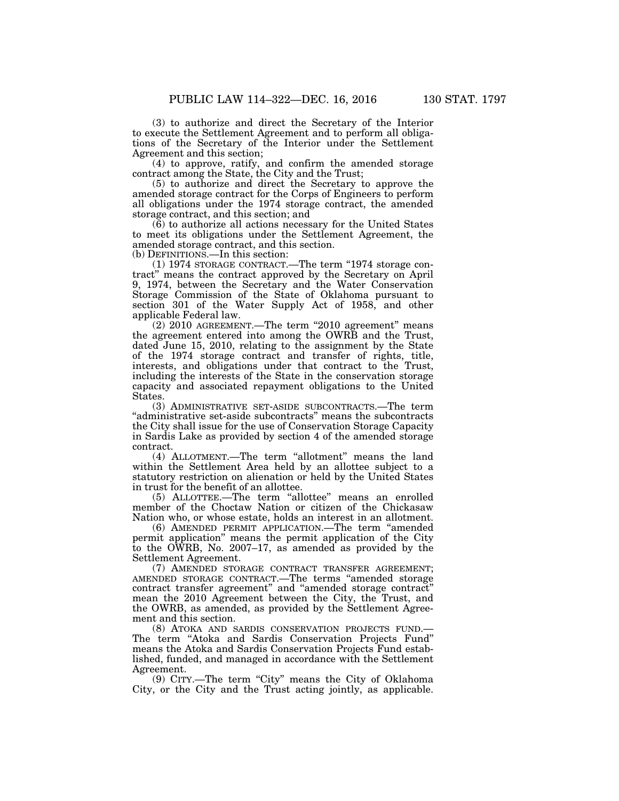(3) to authorize and direct the Secretary of the Interior to execute the Settlement Agreement and to perform all obligations of the Secretary of the Interior under the Settlement Agreement and this section;

(4) to approve, ratify, and confirm the amended storage contract among the State, the City and the Trust;

(5) to authorize and direct the Secretary to approve the amended storage contract for the Corps of Engineers to perform all obligations under the 1974 storage contract, the amended storage contract, and this section; and

(6) to authorize all actions necessary for the United States to meet its obligations under the Settlement Agreement, the amended storage contract, and this section.

(b) DEFINITIONS.—In this section:

(1) 1974 STORAGE CONTRACT.—The term ''1974 storage contract'' means the contract approved by the Secretary on April 9, 1974, between the Secretary and the Water Conservation Storage Commission of the State of Oklahoma pursuant to section 301 of the Water Supply Act of 1958, and other applicable Federal law.

(2) 2010 AGREEMENT.—The term "2010 agreement" means the agreement entered into among the OWRB and the Trust, dated June 15, 2010, relating to the assignment by the State of the 1974 storage contract and transfer of rights, title, interests, and obligations under that contract to the Trust, including the interests of the State in the conservation storage capacity and associated repayment obligations to the United States.

(3) ADMINISTRATIVE SET-ASIDE SUBCONTRACTS.—The term "administrative set-aside subcontracts" means the subcontracts the City shall issue for the use of Conservation Storage Capacity in Sardis Lake as provided by section 4 of the amended storage contract.

(4) ALLOTMENT.—The term "allotment" means the land within the Settlement Area held by an allottee subject to a statutory restriction on alienation or held by the United States in trust for the benefit of an allottee.

(5) ALLOTTEE.—The term ''allottee'' means an enrolled member of the Choctaw Nation or citizen of the Chickasaw Nation who, or whose estate, holds an interest in an allotment.

(6) AMENDED PERMIT APPLICATION.—The term ''amended permit application'' means the permit application of the City to the OWRB, No. 2007–17, as amended as provided by the Settlement Agreement.

(7) AMENDED STORAGE CONTRACT TRANSFER AGREEMENT; AMENDED STORAGE CONTRACT.—The terms ''amended storage contract transfer agreement'' and ''amended storage contract'' mean the 2010 Agreement between the City, the Trust, and the OWRB, as amended, as provided by the Settlement Agreement and this section.<br>(8) ATOKA AND SARDIS CONSERVATION PROJECTS FUND.

The term "Atoka and Sardis Conservation Projects Fund" means the Atoka and Sardis Conservation Projects Fund established, funded, and managed in accordance with the Settlement Agreement.

(9) CITY.—The term "City" means the City of Oklahoma City, or the City and the Trust acting jointly, as applicable.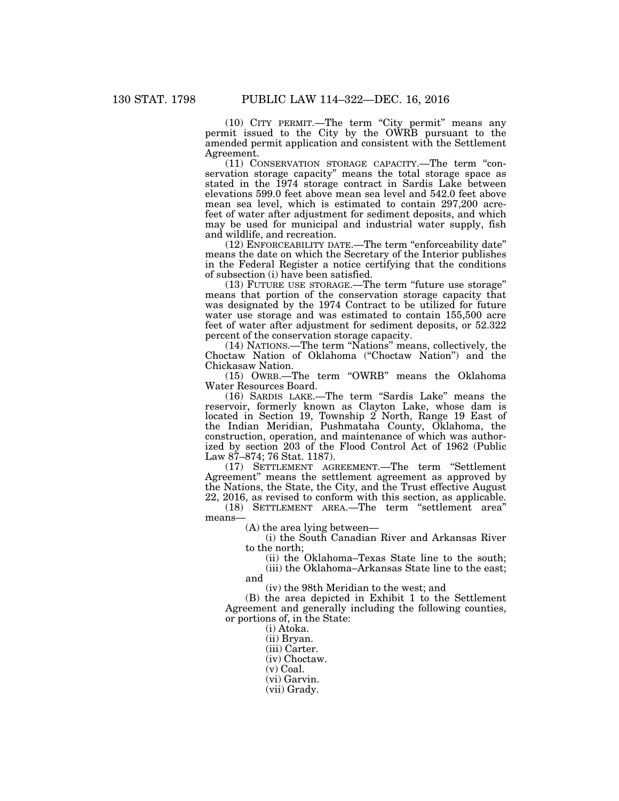(10) CITY PERMIT.—The term ''City permit'' means any permit issued to the City by the OWRB pursuant to the amended permit application and consistent with the Settlement Agreement.

(11) CONSERVATION STORAGE CAPACITY.—The term ''conservation storage capacity'' means the total storage space as stated in the 1974 storage contract in Sardis Lake between elevations 599.0 feet above mean sea level and 542.0 feet above mean sea level, which is estimated to contain 297,200 acrefeet of water after adjustment for sediment deposits, and which may be used for municipal and industrial water supply, fish and wildlife, and recreation.

(12) ENFORCEABILITY DATE.—The term ''enforceability date'' means the date on which the Secretary of the Interior publishes in the Federal Register a notice certifying that the conditions of subsection (i) have been satisfied.

(13) FUTURE USE STORAGE.—The term ''future use storage'' means that portion of the conservation storage capacity that was designated by the 1974 Contract to be utilized for future water use storage and was estimated to contain 155,500 acre feet of water after adjustment for sediment deposits, or 52.322 percent of the conservation storage capacity.

(14) NATIONS.—The term ''Nations'' means, collectively, the Choctaw Nation of Oklahoma (''Choctaw Nation'') and the Chickasaw Nation.

(15) OWRB.—The term ''OWRB'' means the Oklahoma Water Resources Board.

(16) SARDIS LAKE.—The term ''Sardis Lake'' means the reservoir, formerly known as Clayton Lake, whose dam is located in Section 19, Township 2 North, Range 19 East of the Indian Meridian, Pushmataha County, Oklahoma, the construction, operation, and maintenance of which was authorized by section 203 of the Flood Control Act of 1962 (Public Law 87–874; 76 Stat. 1187).

(17) SETTLEMENT AGREEMENT.—The term ''Settlement Agreement'' means the settlement agreement as approved by the Nations, the State, the City, and the Trust effective August 22, 2016, as revised to conform with this section, as applicable.

(18) SETTLEMENT AREA.—The term ''settlement area'' means—

(A) the area lying between—

(i) the South Canadian River and Arkansas River to the north;

(ii) the Oklahoma–Texas State line to the south; (iii) the Oklahoma–Arkansas State line to the east;

and

(iv) the 98th Meridian to the west; and

(B) the area depicted in Exhibit 1 to the Settlement Agreement and generally including the following counties, or portions of, in the State:

(i) Atoka.

(ii) Bryan.

(iii) Carter.

(iv) Choctaw.

(v) Coal.

(vi) Garvin.

(vii) Grady.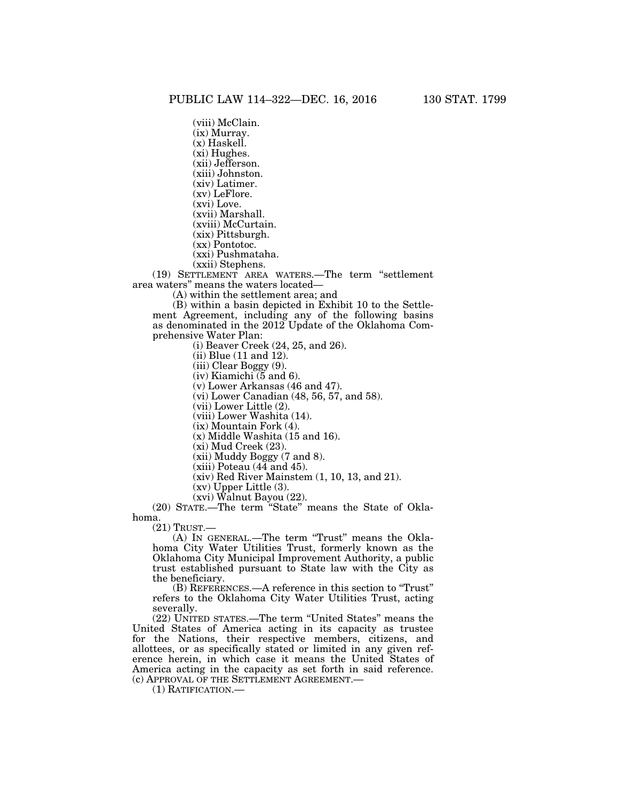(viii) McClain. (ix) Murray. (x) Haskell. (xi) Hughes. (xii) Jefferson. (xiii) Johnston. (xiv) Latimer. (xv) LeFlore. (xvi) Love. (xvii) Marshall. (xviii) McCurtain. (xix) Pittsburgh. (xx) Pontotoc. (xxi) Pushmataha. (xxii) Stephens.

(19) SETTLEMENT AREA WATERS.—The term ''settlement area waters'' means the waters located—

(A) within the settlement area; and

(B) within a basin depicted in Exhibit 10 to the Settlement Agreement, including any of the following basins as denominated in the 2012 Update of the Oklahoma Comprehensive Water Plan:

(i) Beaver Creek (24, 25, and 26).

(ii) Blue (11 and 12).

(iii) Clear Boggy (9).

(iv) Kiamichi (5 and 6).

(v) Lower Arkansas (46 and 47).

(vi) Lower Canadian (48, 56, 57, and 58).

(vii) Lower Little (2).

(viii) Lower Washita (14).

(ix) Mountain Fork (4).

(x) Middle Washita (15 and 16).

(xi) Mud Creek (23).

(xii) Muddy Boggy (7 and 8).

(xiii) Poteau (44 and 45).

(xiv) Red River Mainstem (1, 10, 13, and 21).

(xv) Upper Little (3).

(xvi) Walnut Bayou (22).

(20) STATE.—The term ''State'' means the State of Oklahoma.

(21) TRUST.—

(A) IN GENERAL.—The term ''Trust'' means the Oklahoma City Water Utilities Trust, formerly known as the Oklahoma City Municipal Improvement Authority, a public trust established pursuant to State law with the City as the beneficiary.

(B) REFERENCES.—A reference in this section to ''Trust'' refers to the Oklahoma City Water Utilities Trust, acting severally.

(22) UNITED STATES.—The term ''United States'' means the United States of America acting in its capacity as trustee for the Nations, their respective members, citizens, and allottees, or as specifically stated or limited in any given reference herein, in which case it means the United States of America acting in the capacity as set forth in said reference. (c) APPROVAL OF THE SETTLEMENT AGREEMENT.— (1) RATIFICATION.—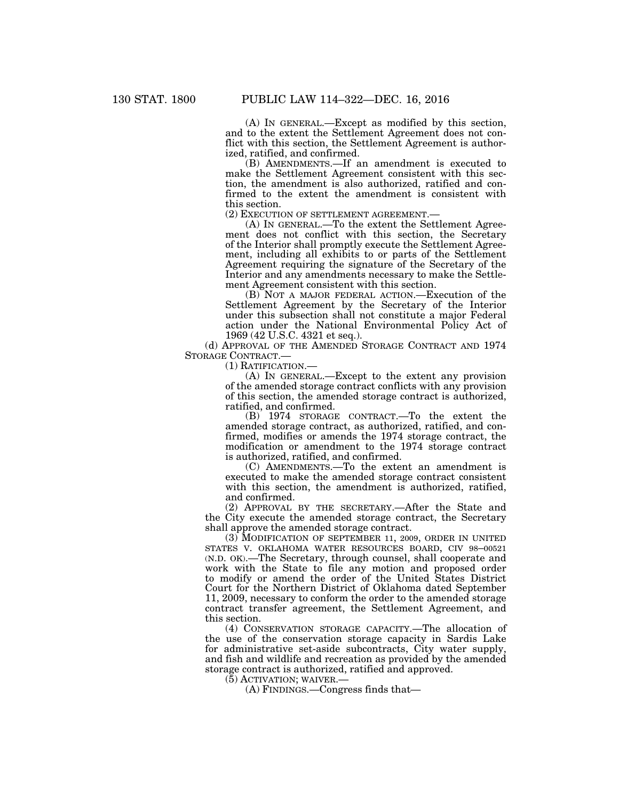(A) IN GENERAL.—Except as modified by this section, and to the extent the Settlement Agreement does not conflict with this section, the Settlement Agreement is authorized, ratified, and confirmed.

(B) AMENDMENTS.—If an amendment is executed to make the Settlement Agreement consistent with this section, the amendment is also authorized, ratified and confirmed to the extent the amendment is consistent with this section.<br>(2) EXECUTION OF SETTLEMENT AGREEMENT.-

 $(A)$  In GENERAL.—To the extent the Settlement Agreement does not conflict with this section, the Secretary of the Interior shall promptly execute the Settlement Agreement, including all exhibits to or parts of the Settlement Agreement requiring the signature of the Secretary of the Interior and any amendments necessary to make the Settlement Agreement consistent with this section.

(B) NOT A MAJOR FEDERAL ACTION.—Execution of the Settlement Agreement by the Secretary of the Interior under this subsection shall not constitute a major Federal action under the National Environmental Policy Act of 1969 (42 U.S.C. 4321 et seq.).

(d) APPROVAL OF THE AMENDED STORAGE CONTRACT AND 1974 STORAGE CONTRACT.—

(1) RATIFICATION.—

(A) IN GENERAL.—Except to the extent any provision of the amended storage contract conflicts with any provision of this section, the amended storage contract is authorized, ratified, and confirmed.

(B) 1974 STORAGE CONTRACT.—To the extent the amended storage contract, as authorized, ratified, and confirmed, modifies or amends the 1974 storage contract, the modification or amendment to the 1974 storage contract is authorized, ratified, and confirmed.

(C) AMENDMENTS.—To the extent an amendment is executed to make the amended storage contract consistent with this section, the amendment is authorized, ratified, and confirmed.

(2) APPROVAL BY THE SECRETARY.—After the State and the City execute the amended storage contract, the Secretary shall approve the amended storage contract.

(3) MODIFICATION OF SEPTEMBER 11, 2009, ORDER IN UNITED STATES V. OKLAHOMA WATER RESOURCES BOARD, CIV 98–00521 (N.D. OK).—The Secretary, through counsel, shall cooperate and work with the State to file any motion and proposed order to modify or amend the order of the United States District Court for the Northern District of Oklahoma dated September 11, 2009, necessary to conform the order to the amended storage contract transfer agreement, the Settlement Agreement, and this section.

(4) CONSERVATION STORAGE CAPACITY.—The allocation of the use of the conservation storage capacity in Sardis Lake for administrative set-aside subcontracts, City water supply, and fish and wildlife and recreation as provided by the amended storage contract is authorized, ratified and approved.<br>(5) ACTIVATION; WAIVER.—

 $(A)$  FINDINGS.—Congress finds that—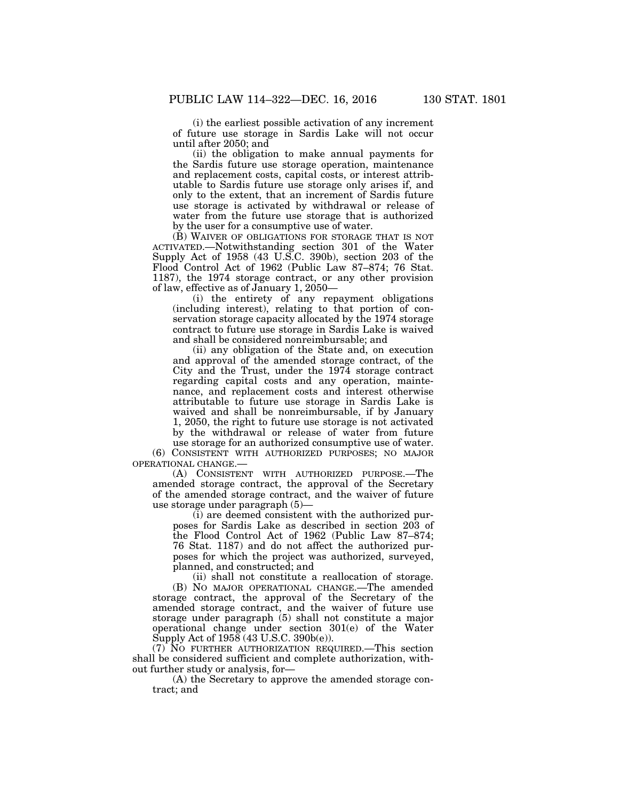(i) the earliest possible activation of any increment of future use storage in Sardis Lake will not occur until after 2050; and

(ii) the obligation to make annual payments for the Sardis future use storage operation, maintenance and replacement costs, capital costs, or interest attributable to Sardis future use storage only arises if, and only to the extent, that an increment of Sardis future use storage is activated by withdrawal or release of water from the future use storage that is authorized by the user for a consumptive use of water.

(B) WAIVER OF OBLIGATIONS FOR STORAGE THAT IS NOT ACTIVATED.—Notwithstanding section 301 of the Water Supply Act of 1958 (43 U.S.C. 390b), section 203 of the Flood Control Act of 1962 (Public Law 87–874; 76 Stat. 1187), the 1974 storage contract, or any other provision of law, effective as of January 1, 2050—

(i) the entirety of any repayment obligations (including interest), relating to that portion of conservation storage capacity allocated by the 1974 storage contract to future use storage in Sardis Lake is waived and shall be considered nonreimbursable; and

(ii) any obligation of the State and, on execution and approval of the amended storage contract, of the City and the Trust, under the 1974 storage contract regarding capital costs and any operation, maintenance, and replacement costs and interest otherwise attributable to future use storage in Sardis Lake is waived and shall be nonreimbursable, if by January 1, 2050, the right to future use storage is not activated by the withdrawal or release of water from future use storage for an authorized consumptive use of water. (6) CONSISTENT WITH AUTHORIZED PURPOSES; NO MAJOR OPERATIONAL CHANGE.—

(A) CONSISTENT WITH AUTHORIZED PURPOSE.—The amended storage contract, the approval of the Secretary of the amended storage contract, and the waiver of future use storage under paragraph (5)—

(i) are deemed consistent with the authorized purposes for Sardis Lake as described in section 203 of the Flood Control Act of 1962 (Public Law 87–874; 76 Stat. 1187) and do not affect the authorized purposes for which the project was authorized, surveyed, planned, and constructed; and

(ii) shall not constitute a reallocation of storage. (B) NO MAJOR OPERATIONAL CHANGE.—The amended storage contract, the approval of the Secretary of the amended storage contract, and the waiver of future use storage under paragraph (5) shall not constitute a major operational change under section 301(e) of the Water Supply Act of 1958 (43 U.S.C. 390b(e)).

(7) NO FURTHER AUTHORIZATION REQUIRED.—This section shall be considered sufficient and complete authorization, without further study or analysis, for—

(A) the Secretary to approve the amended storage contract; and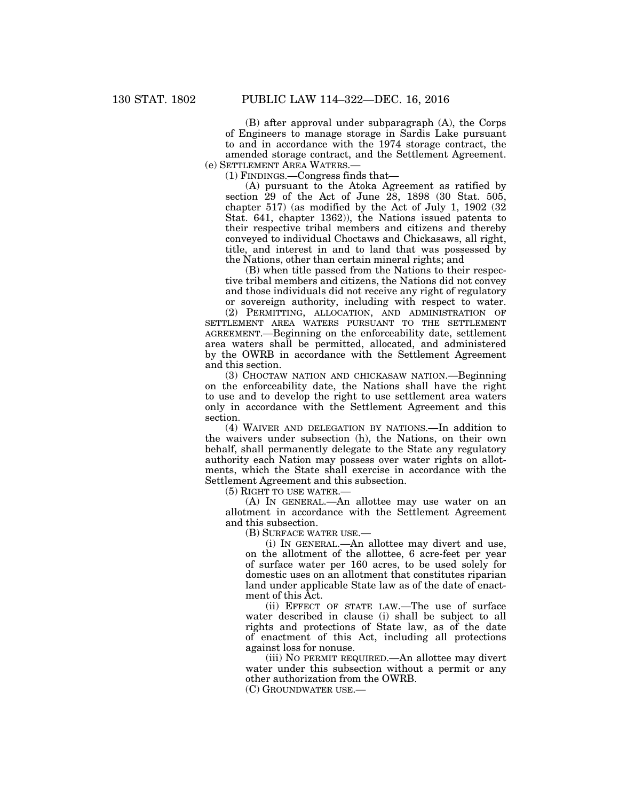(B) after approval under subparagraph (A), the Corps of Engineers to manage storage in Sardis Lake pursuant to and in accordance with the 1974 storage contract, the amended storage contract, and the Settlement Agreement. (e) SETTLEMENT AREA WATERS.—

(1) FINDINGS.—Congress finds that—

(A) pursuant to the Atoka Agreement as ratified by section  $\overline{29}$  of the Act of June  $\overline{28}$ , 1898 (30 Stat. 505, chapter 517) (as modified by the Act of July 1, 1902 (32 Stat. 641, chapter 1362)), the Nations issued patents to their respective tribal members and citizens and thereby conveyed to individual Choctaws and Chickasaws, all right, title, and interest in and to land that was possessed by the Nations, other than certain mineral rights; and

(B) when title passed from the Nations to their respective tribal members and citizens, the Nations did not convey and those individuals did not receive any right of regulatory or sovereign authority, including with respect to water.

(2) PERMITTING, ALLOCATION, AND ADMINISTRATION OF SETTLEMENT AREA WATERS PURSUANT TO THE SETTLEMENT AGREEMENT.—Beginning on the enforceability date, settlement area waters shall be permitted, allocated, and administered by the OWRB in accordance with the Settlement Agreement and this section.

(3) CHOCTAW NATION AND CHICKASAW NATION.—Beginning on the enforceability date, the Nations shall have the right to use and to develop the right to use settlement area waters only in accordance with the Settlement Agreement and this section.

(4) WAIVER AND DELEGATION BY NATIONS.—In addition to the waivers under subsection (h), the Nations, on their own behalf, shall permanently delegate to the State any regulatory authority each Nation may possess over water rights on allotments, which the State shall exercise in accordance with the Settlement Agreement and this subsection.

(5) RIGHT TO USE WATER.—

(A) IN GENERAL.—An allottee may use water on an allotment in accordance with the Settlement Agreement and this subsection.

(B) SURFACE WATER USE.—

(i) IN GENERAL.—An allottee may divert and use, on the allotment of the allottee, 6 acre-feet per year of surface water per 160 acres, to be used solely for domestic uses on an allotment that constitutes riparian land under applicable State law as of the date of enactment of this Act.

(ii) EFFECT OF STATE LAW.—The use of surface water described in clause (i) shall be subject to all rights and protections of State law, as of the date of enactment of this Act, including all protections against loss for nonuse.

(iii) NO PERMIT REQUIRED.—An allottee may divert water under this subsection without a permit or any other authorization from the OWRB.

(C) GROUNDWATER USE.—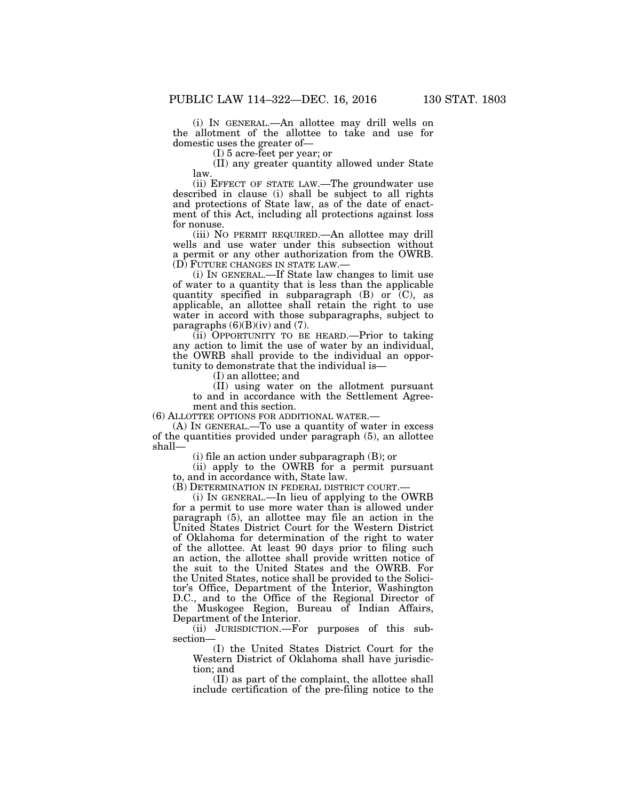(i) IN GENERAL.—An allottee may drill wells on

the allotment of the allottee to take and use for domestic uses the greater of—

(I) 5 acre-feet per year; or

(II) any greater quantity allowed under State law.

(ii) EFFECT OF STATE LAW.—The groundwater use described in clause (i) shall be subject to all rights and protections of State law, as of the date of enactment of this Act, including all protections against loss for nonuse.

(iii) NO PERMIT REQUIRED.—An allottee may drill wells and use water under this subsection without a permit or any other authorization from the OWRB.<br>(D) FUTURE CHANGES IN STATE LAW.—

 $(i)$  In GENERAL.—If State law changes to limit use of water to a quantity that is less than the applicable quantity specified in subparagraph  $(B)$  or  $(C)$ , as applicable, an allottee shall retain the right to use water in accord with those subparagraphs, subject to paragraphs  $(6)(B)(iv)$  and  $(7)$ .

(ii) OPPORTUNITY TO BE HEARD.—Prior to taking any action to limit the use of water by an individual, the OWRB shall provide to the individual an opportunity to demonstrate that the individual is—

(I) an allottee; and

(II) using water on the allotment pursuant to and in accordance with the Settlement Agreement and this section.

(6) ALLOTTEE OPTIONS FOR ADDITIONAL WATER.—

(A) IN GENERAL.—To use a quantity of water in excess of the quantities provided under paragraph (5), an allottee shall—

(i) file an action under subparagraph (B); or

(ii) apply to the OWRB for a permit pursuant to, and in accordance with, State law.

(B) DETERMINATION IN FEDERAL DISTRICT COURT.—

(i) IN GENERAL.—In lieu of applying to the OWRB for a permit to use more water than is allowed under paragraph (5), an allottee may file an action in the United States District Court for the Western District of Oklahoma for determination of the right to water of the allottee. At least 90 days prior to filing such an action, the allottee shall provide written notice of the suit to the United States and the OWRB. For the United States, notice shall be provided to the Solicitor's Office, Department of the Interior, Washington D.C., and to the Office of the Regional Director of the Muskogee Region, Bureau of Indian Affairs, Department of the Interior.

(ii) JURISDICTION.—For purposes of this subsection—

(I) the United States District Court for the Western District of Oklahoma shall have jurisdiction; and

(II) as part of the complaint, the allottee shall include certification of the pre-filing notice to the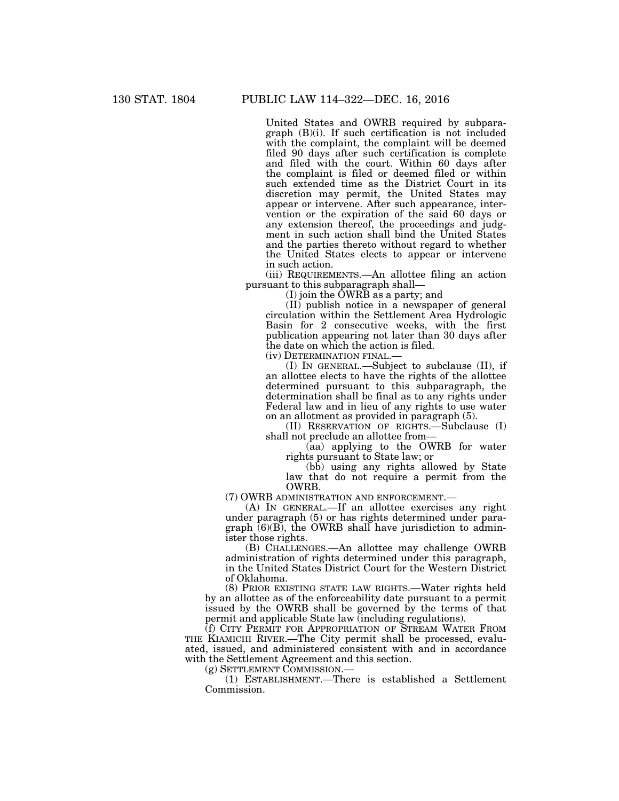United States and OWRB required by subparagraph (B)(i). If such certification is not included with the complaint, the complaint will be deemed filed 90 days after such certification is complete and filed with the court. Within 60 days after the complaint is filed or deemed filed or within such extended time as the District Court in its discretion may permit, the United States may appear or intervene. After such appearance, intervention or the expiration of the said 60 days or any extension thereof, the proceedings and judgment in such action shall bind the United States and the parties thereto without regard to whether the United States elects to appear or intervene in such action.

(iii) REQUIREMENTS.—An allottee filing an action pursuant to this subparagraph shall—

(I) join the OWRB as a party; and

(II) publish notice in a newspaper of general circulation within the Settlement Area Hydrologic Basin for 2 consecutive weeks, with the first publication appearing not later than 30 days after the date on which the action is filed.

(iv) DETERMINATION FINAL.—

(I) IN GENERAL.—Subject to subclause (II), if an allottee elects to have the rights of the allottee determined pursuant to this subparagraph, the determination shall be final as to any rights under Federal law and in lieu of any rights to use water on an allotment as provided in paragraph (5).

(II) RESERVATION OF RIGHTS.—Subclause (I) shall not preclude an allottee from—

(aa) applying to the OWRB for water rights pursuant to State law; or

(bb) using any rights allowed by State law that do not require a permit from the OWRB.

(7) OWRB ADMINISTRATION AND ENFORCEMENT.—

(A) IN GENERAL.—If an allottee exercises any right under paragraph (5) or has rights determined under paragraph (6)(B), the OWRB shall have jurisdiction to administer those rights.

(B) CHALLENGES.—An allottee may challenge OWRB administration of rights determined under this paragraph, in the United States District Court for the Western District of Oklahoma.

(8) PRIOR EXISTING STATE LAW RIGHTS.—Water rights held by an allottee as of the enforceability date pursuant to a permit issued by the OWRB shall be governed by the terms of that permit and applicable State law (including regulations).

(f) CITY PERMIT FOR APPROPRIATION OF STREAM WATER FROM THE KIAMICHI RIVER.—The City permit shall be processed, evaluated, issued, and administered consistent with and in accordance with the Settlement Agreement and this section.

(g) SETTLEMENT COMMISSION.— (1) ESTABLISHMENT.—There is established a Settlement Commission.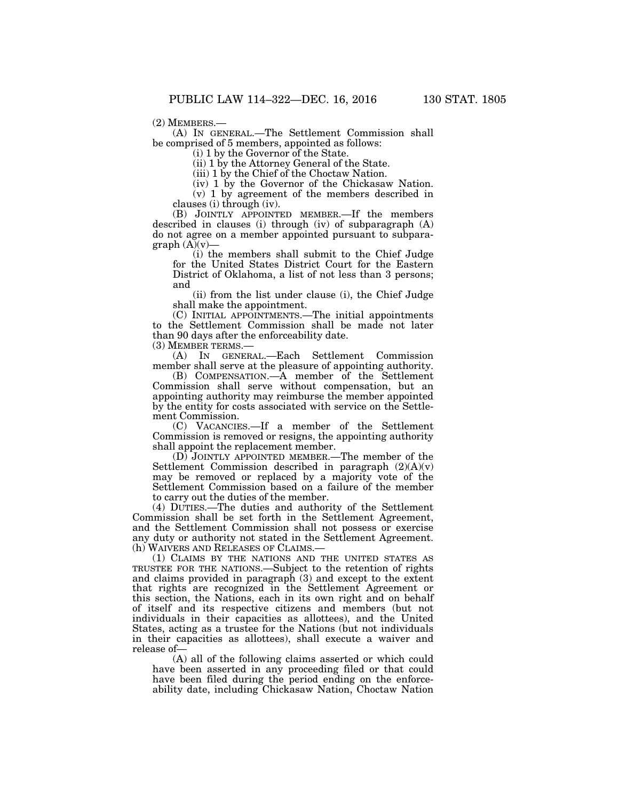(2) MEMBERS.— (A) IN GENERAL.—The Settlement Commission shall be comprised of 5 members, appointed as follows:

(i) 1 by the Governor of the State.

(ii) 1 by the Attorney General of the State.

(iii) 1 by the Chief of the Choctaw Nation.

(iv) 1 by the Governor of the Chickasaw Nation.

(v) 1 by agreement of the members described in clauses (i) through (iv).

(B) JOINTLY APPOINTED MEMBER.—If the members described in clauses (i) through (iv) of subparagraph (A) do not agree on a member appointed pursuant to subpara $graph(A)(v)$ 

(i) the members shall submit to the Chief Judge for the United States District Court for the Eastern District of Oklahoma, a list of not less than 3 persons; and

(ii) from the list under clause (i), the Chief Judge shall make the appointment.

(C) INITIAL APPOINTMENTS.—The initial appointments to the Settlement Commission shall be made not later than 90 days after the enforceability date.

(3) MEMBER TERMS.—

(A) IN GENERAL.—Each Settlement Commission member shall serve at the pleasure of appointing authority.

(B) COMPENSATION.—A member of the Settlement Commission shall serve without compensation, but an appointing authority may reimburse the member appointed by the entity for costs associated with service on the Settlement Commission.

(C) VACANCIES.—If a member of the Settlement Commission is removed or resigns, the appointing authority shall appoint the replacement member.

(D) JOINTLY APPOINTED MEMBER.—The member of the Settlement Commission described in paragraph  $(2)(A)(v)$ may be removed or replaced by a majority vote of the Settlement Commission based on a failure of the member to carry out the duties of the member.

(4) DUTIES.—The duties and authority of the Settlement Commission shall be set forth in the Settlement Agreement, and the Settlement Commission shall not possess or exercise any duty or authority not stated in the Settlement Agreement. (h) WAIVERS AND RELEASES OF CLAIMS.—

(1) CLAIMS BY THE NATIONS AND THE UNITED STATES AS TRUSTEE FOR THE NATIONS.—Subject to the retention of rights and claims provided in paragraph (3) and except to the extent that rights are recognized in the Settlement Agreement or this section, the Nations, each in its own right and on behalf of itself and its respective citizens and members (but not individuals in their capacities as allottees), and the United States, acting as a trustee for the Nations (but not individuals in their capacities as allottees), shall execute a waiver and release of—

(A) all of the following claims asserted or which could have been asserted in any proceeding filed or that could have been filed during the period ending on the enforceability date, including Chickasaw Nation, Choctaw Nation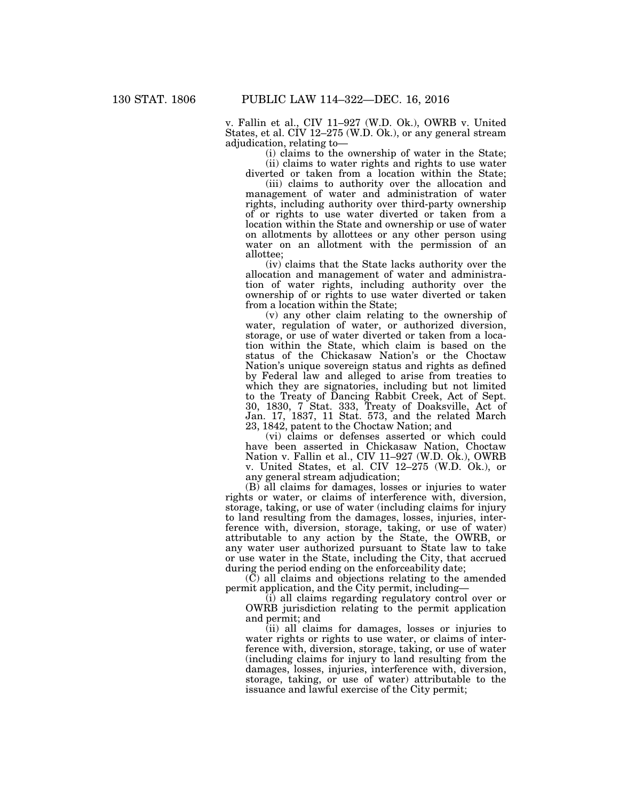v. Fallin et al., CIV 11–927 (W.D. Ok.), OWRB v. United States, et al. CIV 12–275 (W.D. Ok.), or any general stream adjudication, relating to—

(i) claims to the ownership of water in the State; (ii) claims to water rights and rights to use water diverted or taken from a location within the State;

(iii) claims to authority over the allocation and management of water and administration of water rights, including authority over third-party ownership of or rights to use water diverted or taken from a location within the State and ownership or use of water on allotments by allottees or any other person using water on an allotment with the permission of an allottee;

(iv) claims that the State lacks authority over the allocation and management of water and administration of water rights, including authority over the ownership of or rights to use water diverted or taken from a location within the State;

(v) any other claim relating to the ownership of water, regulation of water, or authorized diversion, storage, or use of water diverted or taken from a location within the State, which claim is based on the status of the Chickasaw Nation's or the Choctaw Nation's unique sovereign status and rights as defined by Federal law and alleged to arise from treaties to which they are signatories, including but not limited to the Treaty of Dancing Rabbit Creek, Act of Sept. 30, 1830, 7 Stat. 333, Treaty of Doaksville, Act of Jan. 17, 1837, 11 Stat. 573, and the related March 23, 1842, patent to the Choctaw Nation; and

(vi) claims or defenses asserted or which could have been asserted in Chickasaw Nation, Choctaw Nation v. Fallin et al., CIV 11–927 (W.D. Ok.), OWRB v. United States, et al. CIV 12-275 (W.D. Ok.), or any general stream adjudication;

(B) all claims for damages, losses or injuries to water rights or water, or claims of interference with, diversion, storage, taking, or use of water (including claims for injury to land resulting from the damages, losses, injuries, interference with, diversion, storage, taking, or use of water) attributable to any action by the State, the OWRB, or any water user authorized pursuant to State law to take or use water in the State, including the City, that accrued during the period ending on the enforceability date;

(C) all claims and objections relating to the amended permit application, and the City permit, including—

(i) all claims regarding regulatory control over or OWRB jurisdiction relating to the permit application and permit; and

(ii) all claims for damages, losses or injuries to water rights or rights to use water, or claims of interference with, diversion, storage, taking, or use of water (including claims for injury to land resulting from the damages, losses, injuries, interference with, diversion, storage, taking, or use of water) attributable to the issuance and lawful exercise of the City permit;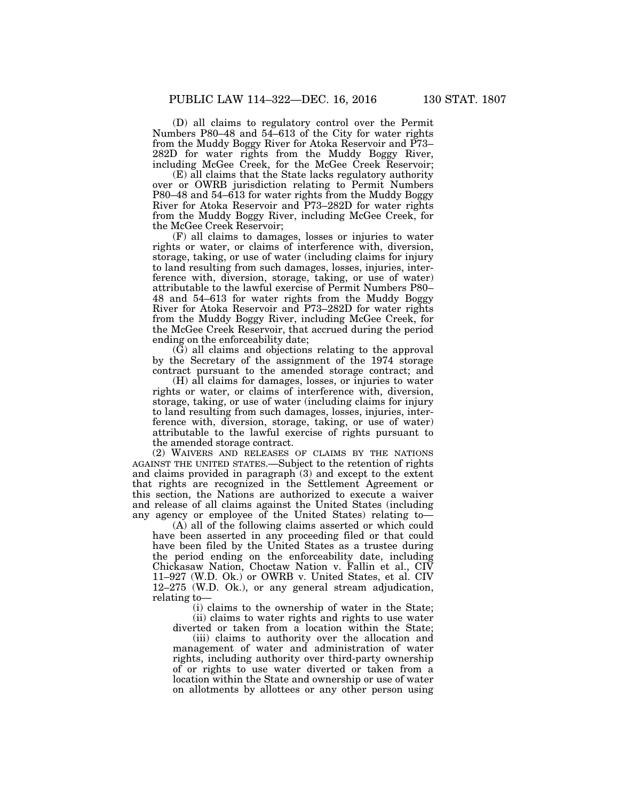(D) all claims to regulatory control over the Permit Numbers P80–48 and 54–613 of the City for water rights from the Muddy Boggy River for Atoka Reservoir and P73– 282D for water rights from the Muddy Boggy River, including McGee Creek, for the McGee Creek Reservoir;

(E) all claims that the State lacks regulatory authority over or OWRB jurisdiction relating to Permit Numbers P80–48 and 54–613 for water rights from the Muddy Boggy River for Atoka Reservoir and P73–282D for water rights from the Muddy Boggy River, including McGee Creek, for the McGee Creek Reservoir;

(F) all claims to damages, losses or injuries to water rights or water, or claims of interference with, diversion, storage, taking, or use of water (including claims for injury to land resulting from such damages, losses, injuries, interference with, diversion, storage, taking, or use of water) attributable to the lawful exercise of Permit Numbers P80– 48 and 54–613 for water rights from the Muddy Boggy River for Atoka Reservoir and P73–282D for water rights from the Muddy Boggy River, including McGee Creek, for the McGee Creek Reservoir, that accrued during the period ending on the enforceability date;

(G) all claims and objections relating to the approval by the Secretary of the assignment of the 1974 storage contract pursuant to the amended storage contract; and

(H) all claims for damages, losses, or injuries to water rights or water, or claims of interference with, diversion, storage, taking, or use of water (including claims for injury to land resulting from such damages, losses, injuries, interference with, diversion, storage, taking, or use of water) attributable to the lawful exercise of rights pursuant to the amended storage contract.

(2) WAIVERS AND RELEASES OF CLAIMS BY THE NATIONS AGAINST THE UNITED STATES.—Subject to the retention of rights and claims provided in paragraph (3) and except to the extent that rights are recognized in the Settlement Agreement or this section, the Nations are authorized to execute a waiver and release of all claims against the United States (including any agency or employee of the United States) relating to—

(A) all of the following claims asserted or which could have been asserted in any proceeding filed or that could have been filed by the United States as a trustee during the period ending on the enforceability date, including Chickasaw Nation, Choctaw Nation v. Fallin et al., CIV 11–927 (W.D. Ok.) or OWRB v. United States, et al. CIV 12–275 (W.D. Ok.), or any general stream adjudication, relating to—

(i) claims to the ownership of water in the State; (ii) claims to water rights and rights to use water

diverted or taken from a location within the State; (iii) claims to authority over the allocation and management of water and administration of water rights, including authority over third-party ownership of or rights to use water diverted or taken from a location within the State and ownership or use of water on allotments by allottees or any other person using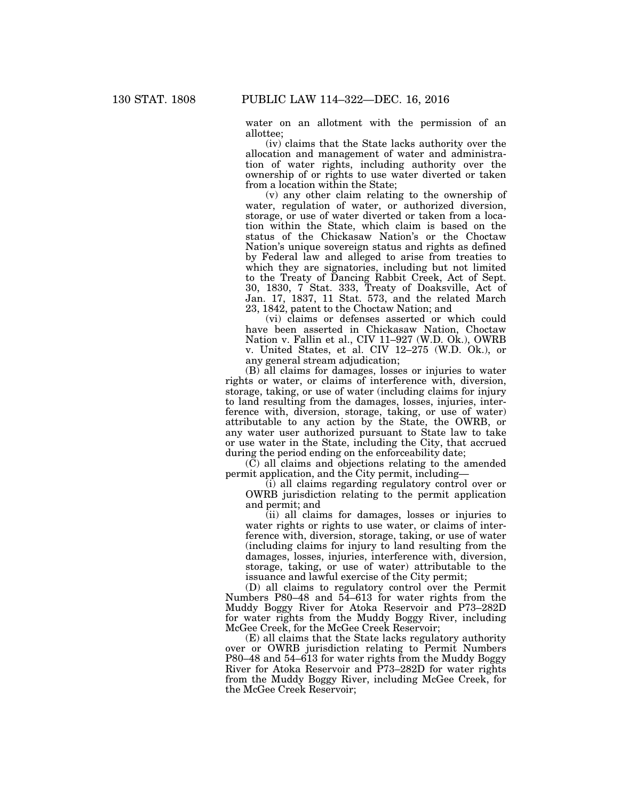water on an allotment with the permission of an allottee;

(iv) claims that the State lacks authority over the allocation and management of water and administration of water rights, including authority over the ownership of or rights to use water diverted or taken from a location within the State;

(v) any other claim relating to the ownership of water, regulation of water, or authorized diversion, storage, or use of water diverted or taken from a location within the State, which claim is based on the status of the Chickasaw Nation's or the Choctaw Nation's unique sovereign status and rights as defined by Federal law and alleged to arise from treaties to which they are signatories, including but not limited to the Treaty of Dancing Rabbit Creek, Act of Sept. 30, 1830, 7 Stat. 333, Treaty of Doaksville, Act of Jan. 17, 1837, 11 Stat. 573, and the related March 23, 1842, patent to the Choctaw Nation; and

(vi) claims or defenses asserted or which could have been asserted in Chickasaw Nation, Choctaw Nation v. Fallin et al., CIV 11–927 (W.D. Ok.), OWRB v. United States, et al. CIV 12–275 (W.D. Ok.), or any general stream adjudication;

(B) all claims for damages, losses or injuries to water rights or water, or claims of interference with, diversion, storage, taking, or use of water (including claims for injury to land resulting from the damages, losses, injuries, interference with, diversion, storage, taking, or use of water) attributable to any action by the State, the OWRB, or any water user authorized pursuant to State law to take or use water in the State, including the City, that accrued during the period ending on the enforceability date;

 $(\tilde{C})$  all claims and objections relating to the amended permit application, and the City permit, including—

(i) all claims regarding regulatory control over or OWRB jurisdiction relating to the permit application and permit; and

(ii) all claims for damages, losses or injuries to water rights or rights to use water, or claims of interference with, diversion, storage, taking, or use of water (including claims for injury to land resulting from the damages, losses, injuries, interference with, diversion, storage, taking, or use of water) attributable to the issuance and lawful exercise of the City permit;

(D) all claims to regulatory control over the Permit Numbers P80–48 and 54–613 for water rights from the Muddy Boggy River for Atoka Reservoir and P73–282D for water rights from the Muddy Boggy River, including McGee Creek, for the McGee Creek Reservoir;

(E) all claims that the State lacks regulatory authority over or OWRB jurisdiction relating to Permit Numbers P80–48 and 54–613 for water rights from the Muddy Boggy River for Atoka Reservoir and P73–282D for water rights from the Muddy Boggy River, including McGee Creek, for the McGee Creek Reservoir;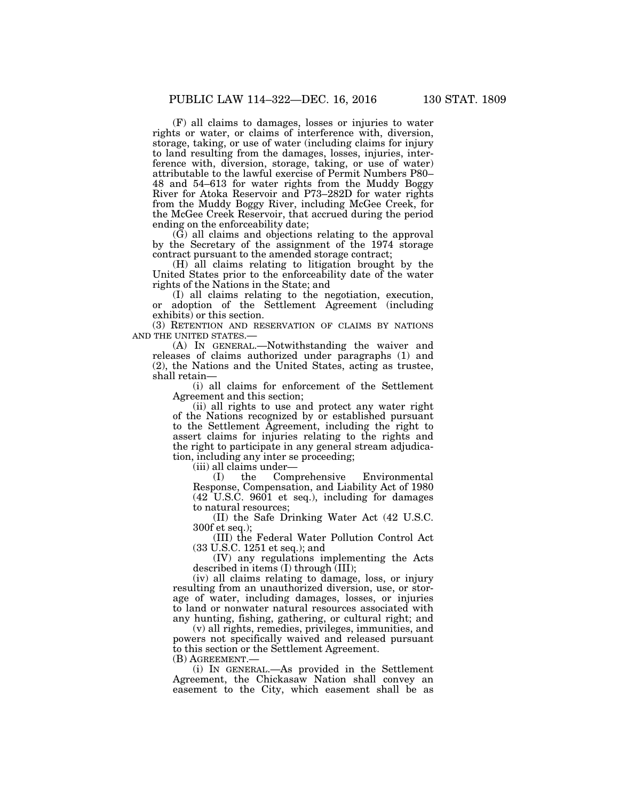(F) all claims to damages, losses or injuries to water rights or water, or claims of interference with, diversion, storage, taking, or use of water (including claims for injury to land resulting from the damages, losses, injuries, interference with, diversion, storage, taking, or use of water) attributable to the lawful exercise of Permit Numbers P80– 48 and 54–613 for water rights from the Muddy Boggy River for Atoka Reservoir and P73–282D for water rights from the Muddy Boggy River, including McGee Creek, for the McGee Creek Reservoir, that accrued during the period ending on the enforceability date;

(G) all claims and objections relating to the approval by the Secretary of the assignment of the 1974 storage contract pursuant to the amended storage contract;

(H) all claims relating to litigation brought by the United States prior to the enforceability date of the water rights of the Nations in the State; and

(I) all claims relating to the negotiation, execution, or adoption of the Settlement Agreement (including exhibits) or this section.

(3) RETENTION AND RESERVATION OF CLAIMS BY NATIONS AND THE UNITED STATES.—

(A) IN GENERAL.—Notwithstanding the waiver and releases of claims authorized under paragraphs (1) and (2), the Nations and the United States, acting as trustee, shall retain—

(i) all claims for enforcement of the Settlement Agreement and this section;

(ii) all rights to use and protect any water right of the Nations recognized by or established pursuant to the Settlement Agreement, including the right to assert claims for injuries relating to the rights and the right to participate in any general stream adjudication, including any inter se proceeding;

(iii) all claims under—

(I) the Comprehensive Environmental Response, Compensation, and Liability Act of 1980 (42 U.S.C. 9601 et seq.), including for damages to natural resources;

(II) the Safe Drinking Water Act (42 U.S.C. 300f et seq.);

(III) the Federal Water Pollution Control Act (33 U.S.C. 1251 et seq.); and

(IV) any regulations implementing the Acts described in items (I) through (III);

(iv) all claims relating to damage, loss, or injury resulting from an unauthorized diversion, use, or storage of water, including damages, losses, or injuries to land or nonwater natural resources associated with any hunting, fishing, gathering, or cultural right; and

(v) all rights, remedies, privileges, immunities, and powers not specifically waived and released pursuant to this section or the Settlement Agreement.

(B) AGREEMENT.—

(i) IN GENERAL.—As provided in the Settlement Agreement, the Chickasaw Nation shall convey an easement to the City, which easement shall be as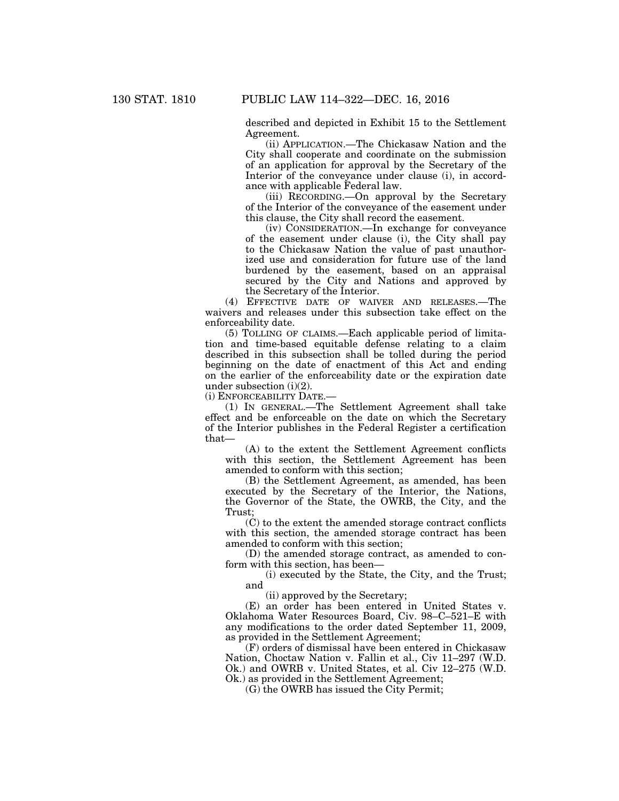described and depicted in Exhibit 15 to the Settlement Agreement.

(ii) APPLICATION.—The Chickasaw Nation and the City shall cooperate and coordinate on the submission of an application for approval by the Secretary of the Interior of the conveyance under clause (i), in accordance with applicable Federal law.

(iii) RECORDING.—On approval by the Secretary of the Interior of the conveyance of the easement under this clause, the City shall record the easement.

(iv) CONSIDERATION.—In exchange for conveyance of the easement under clause (i), the City shall pay to the Chickasaw Nation the value of past unauthorized use and consideration for future use of the land burdened by the easement, based on an appraisal secured by the City and Nations and approved by the Secretary of the Interior.

(4) EFFECTIVE DATE OF WAIVER AND RELEASES.—The waivers and releases under this subsection take effect on the enforceability date.

(5) TOLLING OF CLAIMS.—Each applicable period of limitation and time-based equitable defense relating to a claim described in this subsection shall be tolled during the period beginning on the date of enactment of this Act and ending on the earlier of the enforceability date or the expiration date under subsection (i)(2).

(i) ENFORCEABILITY DATE.—

(1) IN GENERAL.—The Settlement Agreement shall take effect and be enforceable on the date on which the Secretary of the Interior publishes in the Federal Register a certification that—

(A) to the extent the Settlement Agreement conflicts with this section, the Settlement Agreement has been amended to conform with this section;

(B) the Settlement Agreement, as amended, has been executed by the Secretary of the Interior, the Nations, the Governor of the State, the OWRB, the City, and the Trust;

(C) to the extent the amended storage contract conflicts with this section, the amended storage contract has been amended to conform with this section;

(D) the amended storage contract, as amended to conform with this section, has been—

(i) executed by the State, the City, and the Trust; and

(ii) approved by the Secretary;

(E) an order has been entered in United States v. Oklahoma Water Resources Board, Civ. 98–C–521–E with any modifications to the order dated September 11, 2009, as provided in the Settlement Agreement;

(F) orders of dismissal have been entered in Chickasaw Nation, Choctaw Nation v. Fallin et al., Civ 11–297 (W.D. Ok.) and OWRB v. United States, et al. Civ 12–275 (W.D. Ok.) as provided in the Settlement Agreement;

(G) the OWRB has issued the City Permit;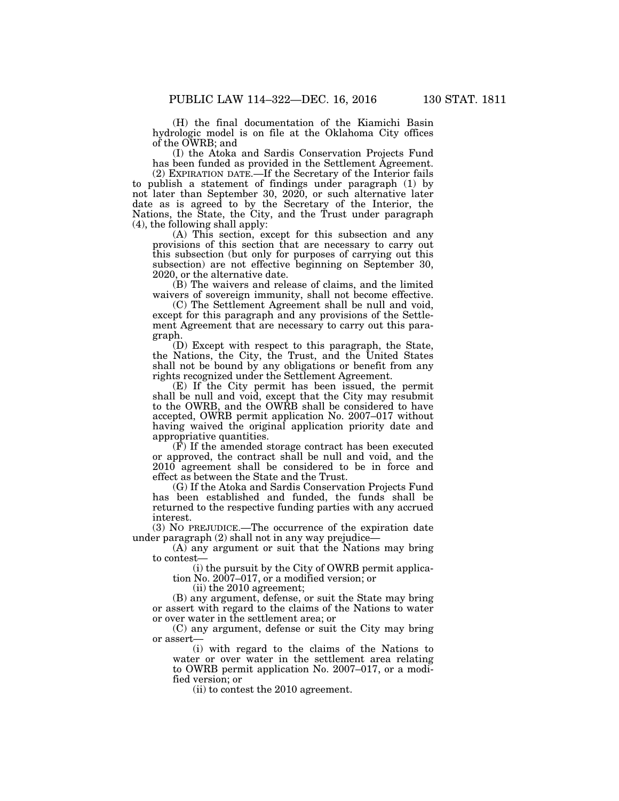(H) the final documentation of the Kiamichi Basin hydrologic model is on file at the Oklahoma City offices of the OWRB; and

(I) the Atoka and Sardis Conservation Projects Fund has been funded as provided in the Settlement Agreement.

(2) EXPIRATION DATE.—If the Secretary of the Interior fails to publish a statement of findings under paragraph (1) by not later than September 30, 2020, or such alternative later date as is agreed to by the Secretary of the Interior, the Nations, the State, the City, and the Trust under paragraph (4), the following shall apply:

(A) This section, except for this subsection and any provisions of this section that are necessary to carry out this subsection (but only for purposes of carrying out this subsection) are not effective beginning on September 30, 2020, or the alternative date.

(B) The waivers and release of claims, and the limited waivers of sovereign immunity, shall not become effective.

(C) The Settlement Agreement shall be null and void, except for this paragraph and any provisions of the Settlement Agreement that are necessary to carry out this paragraph.

(D) Except with respect to this paragraph, the State, the Nations, the City, the Trust, and the United States shall not be bound by any obligations or benefit from any rights recognized under the Settlement Agreement.

(E) If the City permit has been issued, the permit shall be null and void, except that the City may resubmit to the OWRB, and the OWRB shall be considered to have accepted, OWRB permit application No. 2007–017 without having waived the original application priority date and appropriative quantities.

(F) If the amended storage contract has been executed or approved, the contract shall be null and void, and the 2010 agreement shall be considered to be in force and effect as between the State and the Trust.

(G) If the Atoka and Sardis Conservation Projects Fund has been established and funded, the funds shall be returned to the respective funding parties with any accrued interest.

(3) NO PREJUDICE.—The occurrence of the expiration date under paragraph (2) shall not in any way prejudice—

(A) any argument or suit that the Nations may bring to contest—

(i) the pursuit by the City of OWRB permit application No. 2007–017, or a modified version; or

(ii) the 2010 agreement;

(B) any argument, defense, or suit the State may bring or assert with regard to the claims of the Nations to water or over water in the settlement area; or

(C) any argument, defense or suit the City may bring or assert-

(i) with regard to the claims of the Nations to water or over water in the settlement area relating to OWRB permit application No. 2007–017, or a modified version; or

(ii) to contest the 2010 agreement.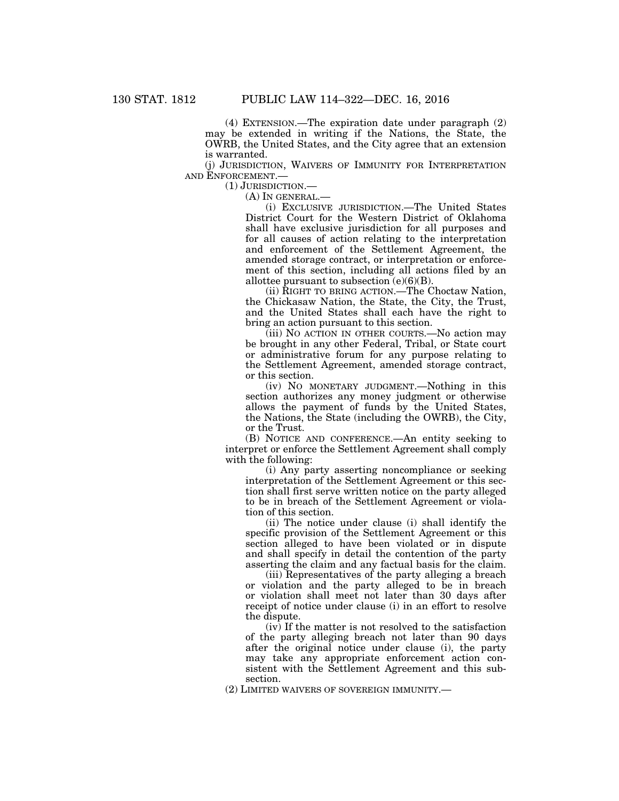(4) EXTENSION.—The expiration date under paragraph (2) may be extended in writing if the Nations, the State, the OWRB, the United States, and the City agree that an extension is warranted.

(j) JURISDICTION, WAIVERS OF IMMUNITY FOR INTERPRETATION AND ENFORCEMENT.—

(1) JURISDICTION.—

(A) IN GENERAL.—

(i) EXCLUSIVE JURISDICTION.—The United States District Court for the Western District of Oklahoma shall have exclusive jurisdiction for all purposes and for all causes of action relating to the interpretation and enforcement of the Settlement Agreement, the amended storage contract, or interpretation or enforcement of this section, including all actions filed by an allottee pursuant to subsection  $(e)(6)(B)$ .

(ii) RIGHT TO BRING ACTION.—The Choctaw Nation, the Chickasaw Nation, the State, the City, the Trust, and the United States shall each have the right to bring an action pursuant to this section.

(iii) NO ACTION IN OTHER COURTS.—No action may be brought in any other Federal, Tribal, or State court or administrative forum for any purpose relating to the Settlement Agreement, amended storage contract, or this section.

(iv) NO MONETARY JUDGMENT.—Nothing in this section authorizes any money judgment or otherwise allows the payment of funds by the United States, the Nations, the State (including the OWRB), the City, or the Trust.

(B) NOTICE AND CONFERENCE.—An entity seeking to interpret or enforce the Settlement Agreement shall comply with the following:

(i) Any party asserting noncompliance or seeking interpretation of the Settlement Agreement or this section shall first serve written notice on the party alleged to be in breach of the Settlement Agreement or violation of this section.

(ii) The notice under clause (i) shall identify the specific provision of the Settlement Agreement or this section alleged to have been violated or in dispute and shall specify in detail the contention of the party asserting the claim and any factual basis for the claim.

(iii) Representatives of the party alleging a breach or violation and the party alleged to be in breach or violation shall meet not later than 30 days after receipt of notice under clause (i) in an effort to resolve the dispute.

(iv) If the matter is not resolved to the satisfaction of the party alleging breach not later than 90 days after the original notice under clause (i), the party may take any appropriate enforcement action consistent with the Settlement Agreement and this subsection.

(2) LIMITED WAIVERS OF SOVEREIGN IMMUNITY.—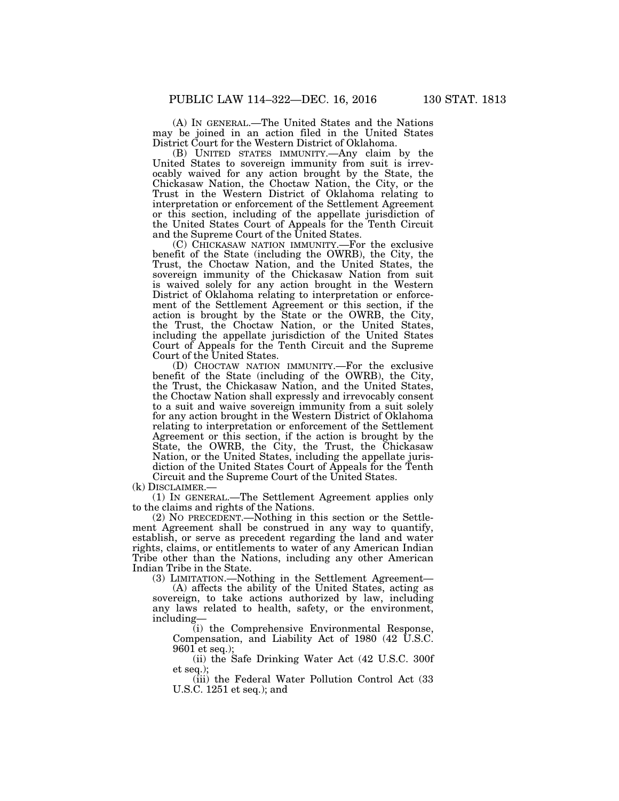(A) IN GENERAL.—The United States and the Nations may be joined in an action filed in the United States District Court for the Western District of Oklahoma.

(B) UNITED STATES IMMUNITY.—Any claim by the United States to sovereign immunity from suit is irrevocably waived for any action brought by the State, the Chickasaw Nation, the Choctaw Nation, the City, or the Trust in the Western District of Oklahoma relating to interpretation or enforcement of the Settlement Agreement or this section, including of the appellate jurisdiction of the United States Court of Appeals for the Tenth Circuit and the Supreme Court of the United States.

(C) CHICKASAW NATION IMMUNITY.—For the exclusive benefit of the State (including the OWRB), the City, the Trust, the Choctaw Nation, and the United States, the sovereign immunity of the Chickasaw Nation from suit is waived solely for any action brought in the Western District of Oklahoma relating to interpretation or enforcement of the Settlement Agreement or this section, if the action is brought by the State or the OWRB, the City, the Trust, the Choctaw Nation, or the United States, including the appellate jurisdiction of the United States Court of Appeals for the Tenth Circuit and the Supreme Court of the United States.

(D) CHOCTAW NATION IMMUNITY.—For the exclusive benefit of the State (including of the OWRB), the City, the Trust, the Chickasaw Nation, and the United States, the Choctaw Nation shall expressly and irrevocably consent to a suit and waive sovereign immunity from a suit solely for any action brought in the Western District of Oklahoma relating to interpretation or enforcement of the Settlement Agreement or this section, if the action is brought by the State, the OWRB, the City, the Trust, the Chickasaw Nation, or the United States, including the appellate jurisdiction of the United States Court of Appeals for the Tenth Circuit and the Supreme Court of the United States.

(k) DISCLAIMER.—

(1) IN GENERAL.—The Settlement Agreement applies only to the claims and rights of the Nations.

(2) NO PRECEDENT.—Nothing in this section or the Settlement Agreement shall be construed in any way to quantify, establish, or serve as precedent regarding the land and water rights, claims, or entitlements to water of any American Indian Tribe other than the Nations, including any other American Indian Tribe in the State.

(3) LIMITATION.—Nothing in the Settlement Agreement—

(A) affects the ability of the United States, acting as sovereign, to take actions authorized by law, including any laws related to health, safety, or the environment, including—

(i) the Comprehensive Environmental Response, Compensation, and Liability Act of 1980 (42 U.S.C. 9601 et seq.);

(ii) the Safe Drinking Water Act (42 U.S.C. 300f et seq.);

(iii) the Federal Water Pollution Control Act (33 U.S.C. 1251 et seq.); and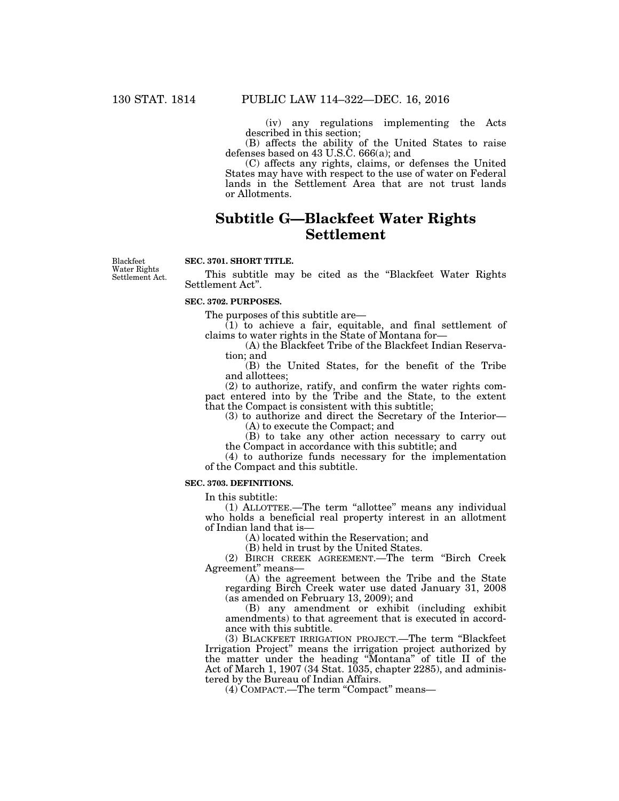(iv) any regulations implementing the Acts described in this section;

(B) affects the ability of the United States to raise defenses based on 43 U.S.C. 666(a); and

(C) affects any rights, claims, or defenses the United States may have with respect to the use of water on Federal lands in the Settlement Area that are not trust lands or Allotments.

# **Subtitle G—Blackfeet Water Rights Settlement**

Blackfeet Water Rights Settlement Act.

# **SEC. 3701. SHORT TITLE.**

This subtitle may be cited as the ''Blackfeet Water Rights Settlement Act''.

**SEC. 3702. PURPOSES.** 

The purposes of this subtitle are—

(1) to achieve a fair, equitable, and final settlement of claims to water rights in the State of Montana for—

(A) the Blackfeet Tribe of the Blackfeet Indian Reservation; and

(B) the United States, for the benefit of the Tribe and allottees;

(2) to authorize, ratify, and confirm the water rights compact entered into by the Tribe and the State, to the extent that the Compact is consistent with this subtitle;

(3) to authorize and direct the Secretary of the Interior— (A) to execute the Compact; and

(B) to take any other action necessary to carry out the Compact in accordance with this subtitle; and

(4) to authorize funds necessary for the implementation of the Compact and this subtitle.

## **SEC. 3703. DEFINITIONS.**

In this subtitle:

(1) ALLOTTEE.—The term ''allottee'' means any individual who holds a beneficial real property interest in an allotment of Indian land that is—

(A) located within the Reservation; and

(B) held in trust by the United States.

(2) BIRCH CREEK AGREEMENT.—The term ''Birch Creek Agreement'' means—

(A) the agreement between the Tribe and the State regarding Birch Creek water use dated January 31, 2008 (as amended on February 13, 2009); and

(B) any amendment or exhibit (including exhibit amendments) to that agreement that is executed in accordance with this subtitle.

(3) BLACKFEET IRRIGATION PROJECT.—The term ''Blackfeet Irrigation Project'' means the irrigation project authorized by the matter under the heading ''Montana'' of title II of the Act of March 1, 1907 (34 Stat.  $1035$ , chapter 2285), and administered by the Bureau of Indian Affairs.

(4) COMPACT.—The term ''Compact'' means—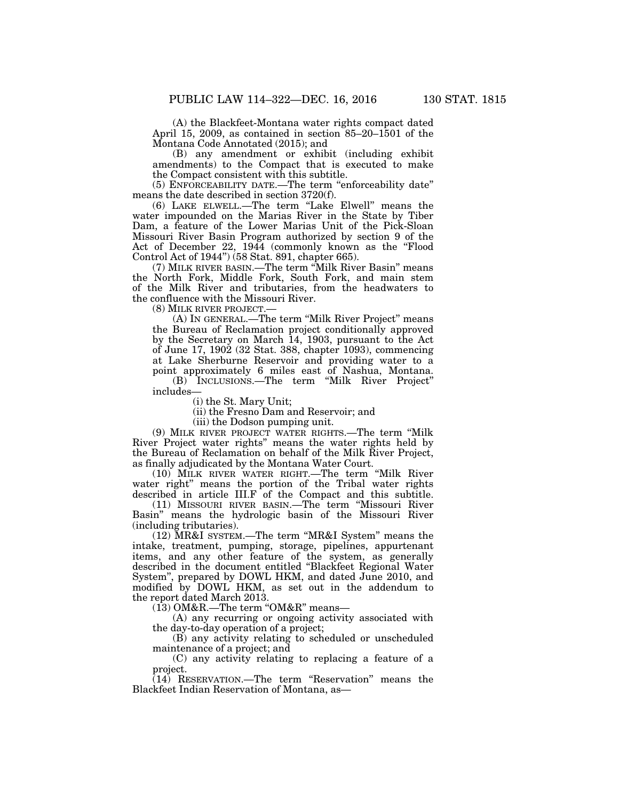(A) the Blackfeet-Montana water rights compact dated April 15, 2009, as contained in section 85–20–1501 of the Montana Code Annotated (2015); and

(B) any amendment or exhibit (including exhibit amendments) to the Compact that is executed to make the Compact consistent with this subtitle.

(5) ENFORCEABILITY DATE.—The term ''enforceability date'' means the date described in section 3720(f).

(6) LAKE ELWELL.—The term ''Lake Elwell'' means the water impounded on the Marias River in the State by Tiber Dam, a feature of the Lower Marias Unit of the Pick-Sloan Missouri River Basin Program authorized by section 9 of the Act of December 22, 1944 (commonly known as the "Flood Control Act of 1944'') (58 Stat. 891, chapter 665).

(7) MILK RIVER BASIN.—The term ''Milk River Basin'' means the North Fork, Middle Fork, South Fork, and main stem of the Milk River and tributaries, from the headwaters to the confluence with the Missouri River.

(8) MILK RIVER PROJECT.—

(A) IN GENERAL.—The term ''Milk River Project'' means the Bureau of Reclamation project conditionally approved by the Secretary on March 14, 1903, pursuant to the Act of June 17, 1902 (32 Stat. 388, chapter 1093), commencing at Lake Sherburne Reservoir and providing water to a point approximately 6 miles east of Nashua, Montana.

(B) INCLUSIONS.—The term ''Milk River Project'' includes—

(i) the St. Mary Unit;

(ii) the Fresno Dam and Reservoir; and

(iii) the Dodson pumping unit.

(9) MILK RIVER PROJECT WATER RIGHTS.—The term ''Milk River Project water rights'' means the water rights held by the Bureau of Reclamation on behalf of the Milk River Project, as finally adjudicated by the Montana Water Court.

(10) MILK RIVER WATER RIGHT.—The term ''Milk River water right'' means the portion of the Tribal water rights described in article III.F of the Compact and this subtitle.

(11) MISSOURI RIVER BASIN.—The term ''Missouri River Basin'' means the hydrologic basin of the Missouri River (including tributaries).

(12) MR&I SYSTEM.—The term ''MR&I System'' means the intake, treatment, pumping, storage, pipelines, appurtenant items, and any other feature of the system, as generally described in the document entitled ''Blackfeet Regional Water System'', prepared by DOWL HKM, and dated June 2010, and modified by DOWL HKM, as set out in the addendum to the report dated March 2013.

 $(13)$  OM&R.—The term "OM&R" means—

(A) any recurring or ongoing activity associated with the day-to-day operation of a project;

(B) any activity relating to scheduled or unscheduled maintenance of a project; and

(C) any activity relating to replacing a feature of a project.

(14) RESERVATION.—The term ''Reservation'' means the Blackfeet Indian Reservation of Montana, as—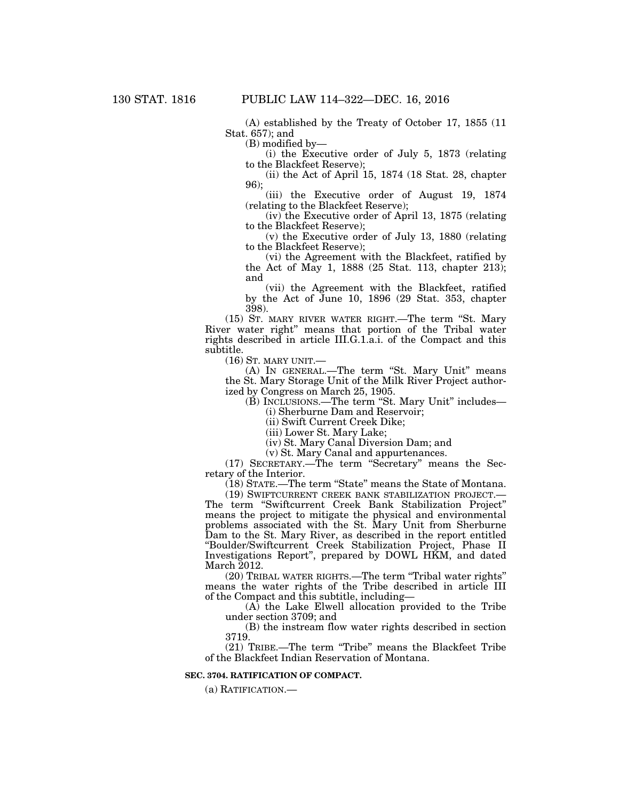(A) established by the Treaty of October 17, 1855 (11 Stat. 657); and

(B) modified by—

(i) the Executive order of July 5, 1873 (relating to the Blackfeet Reserve);

(ii) the Act of April 15, 1874 (18 Stat. 28, chapter 96);

(iii) the Executive order of August 19, 1874 (relating to the Blackfeet Reserve);

(iv) the Executive order of April 13, 1875 (relating to the Blackfeet Reserve);

(v) the Executive order of July 13, 1880 (relating to the Blackfeet Reserve);

(vi) the Agreement with the Blackfeet, ratified by the Act of May 1, 1888 (25 Stat. 113, chapter 213); and

(vii) the Agreement with the Blackfeet, ratified by the Act of June 10, 1896 (29 Stat. 353, chapter 398).

(15) ST. MARY RIVER WATER RIGHT.—The term ''St. Mary River water right'' means that portion of the Tribal water rights described in article III.G.1.a.i. of the Compact and this subtitle.

(16) ST. MARY UNIT.—

(A) IN GENERAL.—The term "St. Mary Unit" means the St. Mary Storage Unit of the Milk River Project authorized by Congress on March 25, 1905.

(B) INCLUSIONS.—The term ''St. Mary Unit'' includes— (i) Sherburne Dam and Reservoir;

(ii) Swift Current Creek Dike;

(iii) Lower St. Mary Lake;

(iv) St. Mary Canal Diversion Dam; and

(v) St. Mary Canal and appurtenances.

(17) SECRETARY.—The term ''Secretary'' means the Secretary of the Interior.

(18) STATE.—The term ''State'' means the State of Montana.

(19) SWIFTCURRENT CREEK BANK STABILIZATION PROJECT.— The term "Swiftcurrent Creek Bank Stabilization Project" means the project to mitigate the physical and environmental problems associated with the St. Mary Unit from Sherburne Dam to the St. Mary River, as described in the report entitled ''Boulder/Swiftcurrent Creek Stabilization Project, Phase II Investigations Report'', prepared by DOWL HKM, and dated March 2012.

(20) TRIBAL WATER RIGHTS.—The term ''Tribal water rights'' means the water rights of the Tribe described in article III of the Compact and this subtitle, including—

(A) the Lake Elwell allocation provided to the Tribe under section 3709; and

(B) the instream flow water rights described in section 3719.

(21) TRIBE.—The term ''Tribe'' means the Blackfeet Tribe of the Blackfeet Indian Reservation of Montana.

## **SEC. 3704. RATIFICATION OF COMPACT.**

(a) RATIFICATION.—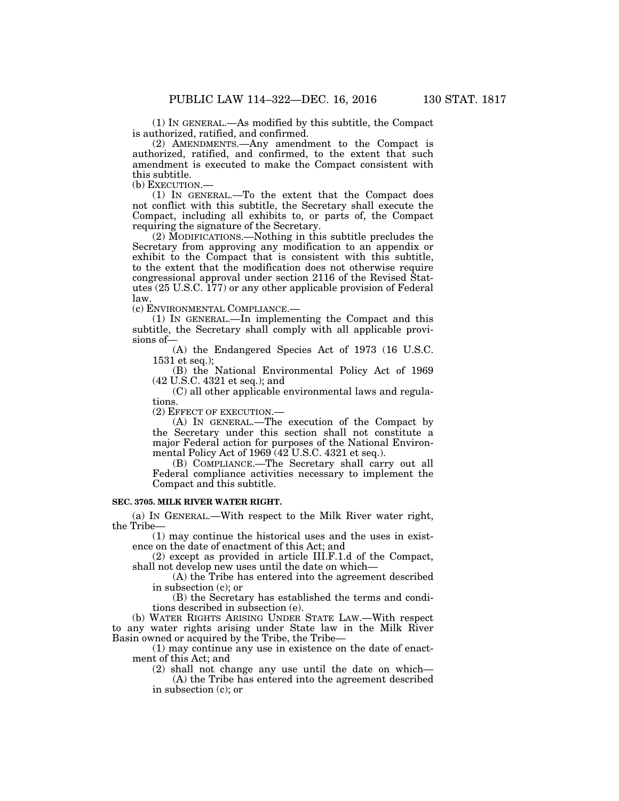(1) IN GENERAL.—As modified by this subtitle, the Compact is authorized, ratified, and confirmed.

(2) AMENDMENTS.—Any amendment to the Compact is authorized, ratified, and confirmed, to the extent that such amendment is executed to make the Compact consistent with this subtitle.

(b) EXECUTION.—

(1) IN GENERAL.—To the extent that the Compact does not conflict with this subtitle, the Secretary shall execute the Compact, including all exhibits to, or parts of, the Compact requiring the signature of the Secretary.

(2) MODIFICATIONS.—Nothing in this subtitle precludes the Secretary from approving any modification to an appendix or exhibit to the Compact that is consistent with this subtitle, to the extent that the modification does not otherwise require congressional approval under section 2116 of the Revised Statutes (25 U.S.C. 177) or any other applicable provision of Federal law.

(c) ENVIRONMENTAL COMPLIANCE.—

(1) IN GENERAL.—In implementing the Compact and this subtitle, the Secretary shall comply with all applicable provisions of—

(A) the Endangered Species Act of 1973 (16 U.S.C. 1531 et seq.);

(B) the National Environmental Policy Act of 1969 (42 U.S.C. 4321 et seq.); and

(C) all other applicable environmental laws and regulations.

(2) EFFECT OF EXECUTION.—

(A) IN GENERAL.—The execution of the Compact by the Secretary under this section shall not constitute a major Federal action for purposes of the National Environmental Policy Act of 1969 (42 U.S.C. 4321 et seq.).

(B) COMPLIANCE.—The Secretary shall carry out all Federal compliance activities necessary to implement the Compact and this subtitle.

# **SEC. 3705. MILK RIVER WATER RIGHT.**

(a) IN GENERAL.—With respect to the Milk River water right, the Tribe—

(1) may continue the historical uses and the uses in existence on the date of enactment of this Act; and

(2) except as provided in article III.F.1.d of the Compact, shall not develop new uses until the date on which—

(A) the Tribe has entered into the agreement described in subsection (c); or

(B) the Secretary has established the terms and conditions described in subsection (e).

(b) WATER RIGHTS ARISING UNDER STATE LAW.—With respect to any water rights arising under State law in the Milk River Basin owned or acquired by the Tribe, the Tribe—

(1) may continue any use in existence on the date of enactment of this Act; and

(2) shall not change any use until the date on which—

(A) the Tribe has entered into the agreement described in subsection (c); or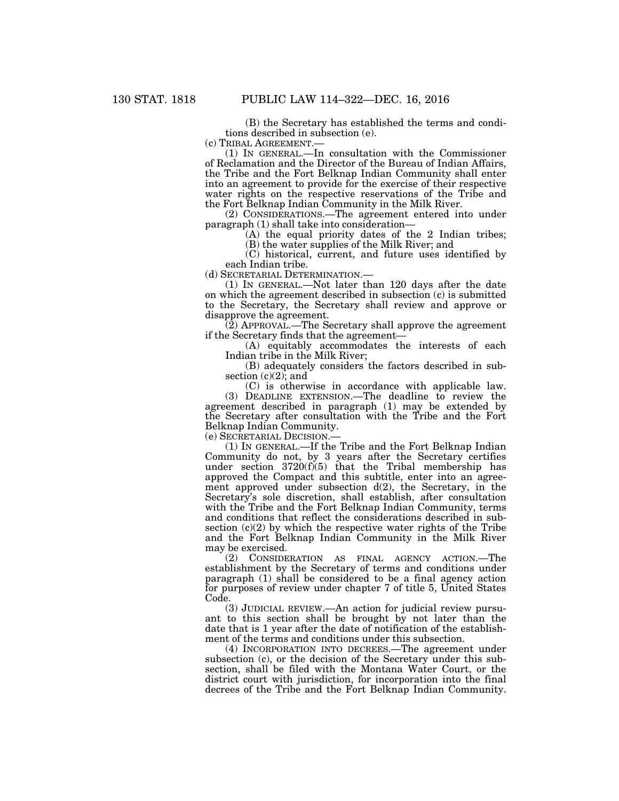(B) the Secretary has established the terms and conditions described in subsection (e).

(c) TRIBAL AGREEMENT.—

(1) IN GENERAL.—In consultation with the Commissioner of Reclamation and the Director of the Bureau of Indian Affairs, the Tribe and the Fort Belknap Indian Community shall enter into an agreement to provide for the exercise of their respective water rights on the respective reservations of the Tribe and the Fort Belknap Indian Community in the Milk River.

(2) CONSIDERATIONS.—The agreement entered into under paragraph (1) shall take into consideration—

> (A) the equal priority dates of the 2 Indian tribes; (B) the water supplies of the Milk River; and

(C) historical, current, and future uses identified by

each Indian tribe.<br>(d) SECRETARIAL DETERMINATION.—

 $(1)$  In GENERAL.—Not later than 120 days after the date on which the agreement described in subsection (c) is submitted to the Secretary, the Secretary shall review and approve or disapprove the agreement.

 $(2)$  APPROVAL.—The Secretary shall approve the agreement if the Secretary finds that the agreement—

(A) equitably accommodates the interests of each Indian tribe in the Milk River;

(B) adequately considers the factors described in subsection  $(c)(2)$ ; and

(C) is otherwise in accordance with applicable law. (3) DEADLINE EXTENSION.—The deadline to review the

agreement described in paragraph (1) may be extended by the Secretary after consultation with the Tribe and the Fort Belknap Indian Community.

(e) SECRETARIAL DECISION.—

(1) IN GENERAL.—If the Tribe and the Fort Belknap Indian Community do not, by 3 years after the Secretary certifies under section 3720(f)(5) that the Tribal membership has approved the Compact and this subtitle, enter into an agreement approved under subsection  $d(2)$ , the Secretary, in the Secretary's sole discretion, shall establish, after consultation with the Tribe and the Fort Belknap Indian Community, terms and conditions that reflect the considerations described in subsection  $(c)(2)$  by which the respective water rights of the Tribe and the Fort Belknap Indian Community in the Milk River may be exercised.

(2) CONSIDERATION AS FINAL AGENCY ACTION.—The establishment by the Secretary of terms and conditions under paragraph (1) shall be considered to be a final agency action for purposes of review under chapter 7 of title 5, United States Code.

(3) JUDICIAL REVIEW.—An action for judicial review pursuant to this section shall be brought by not later than the date that is 1 year after the date of notification of the establishment of the terms and conditions under this subsection.

(4) INCORPORATION INTO DECREES.—The agreement under subsection (c), or the decision of the Secretary under this subsection, shall be filed with the Montana Water Court, or the district court with jurisdiction, for incorporation into the final decrees of the Tribe and the Fort Belknap Indian Community.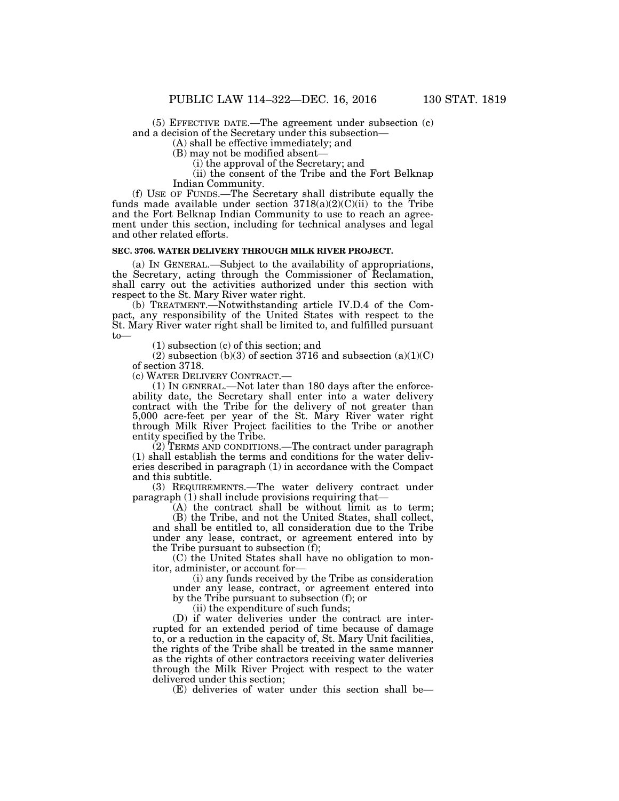and a decision of the Secretary under this subsection—

(A) shall be effective immediately; and

(B) may not be modified absent—

(i) the approval of the Secretary; and

(ii) the consent of the Tribe and the Fort Belknap Indian Community.

(f) USE OF FUNDS.—The Secretary shall distribute equally the funds made available under section  $3718(a)(2)(C)(ii)$  to the Tribe and the Fort Belknap Indian Community to use to reach an agreement under this section, including for technical analyses and legal and other related efforts.

## **SEC. 3706. WATER DELIVERY THROUGH MILK RIVER PROJECT.**

(a) IN GENERAL.—Subject to the availability of appropriations, the Secretary, acting through the Commissioner of Reclamation, shall carry out the activities authorized under this section with respect to the St. Mary River water right.

(b) TREATMENT.—Notwithstanding article IV.D.4 of the Compact, any responsibility of the United States with respect to the St. Mary River water right shall be limited to, and fulfilled pursuant to—

(1) subsection (c) of this section; and

 $(2)$  subsection  $(b)(3)$  of section 3716 and subsection  $(a)(1)(C)$ of section 3718.

(c) WATER DELIVERY CONTRACT.—

(1) IN GENERAL.—Not later than 180 days after the enforceability date, the Secretary shall enter into a water delivery contract with the Tribe for the delivery of not greater than 5,000 acre-feet per year of the St. Mary River water right through Milk River Project facilities to the Tribe or another entity specified by the Tribe.

(2) TERMS AND CONDITIONS.—The contract under paragraph (1) shall establish the terms and conditions for the water deliveries described in paragraph (1) in accordance with the Compact and this subtitle.

(3) REQUIREMENTS.—The water delivery contract under paragraph (1) shall include provisions requiring that—

(A) the contract shall be without limit as to term; (B) the Tribe, and not the United States, shall collect, and shall be entitled to, all consideration due to the Tribe under any lease, contract, or agreement entered into by the Tribe pursuant to subsection (f);

(C) the United States shall have no obligation to monitor, administer, or account for—

(i) any funds received by the Tribe as consideration under any lease, contract, or agreement entered into by the Tribe pursuant to subsection (f); or

(ii) the expenditure of such funds;

(D) if water deliveries under the contract are interrupted for an extended period of time because of damage to, or a reduction in the capacity of, St. Mary Unit facilities, the rights of the Tribe shall be treated in the same manner as the rights of other contractors receiving water deliveries through the Milk River Project with respect to the water delivered under this section;

(E) deliveries of water under this section shall be—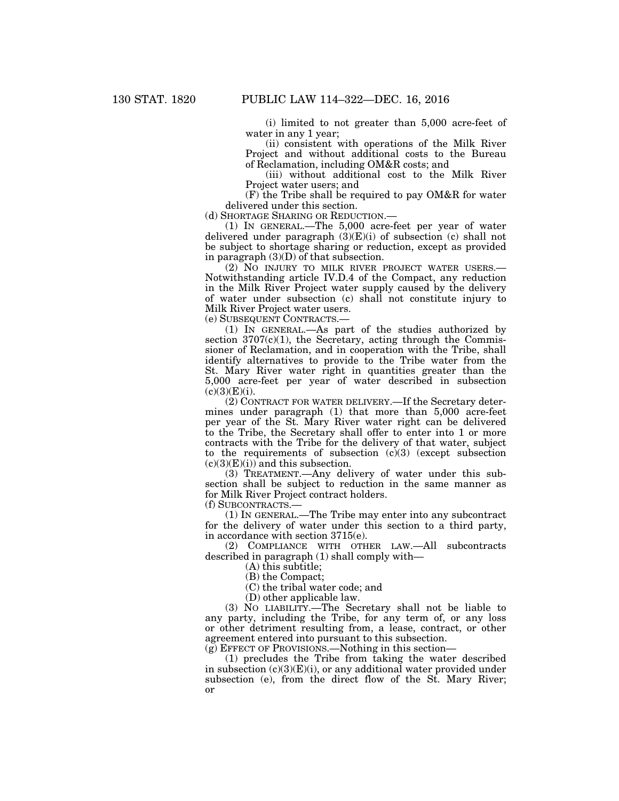(i) limited to not greater than 5,000 acre-feet of water in any 1 year;

(ii) consistent with operations of the Milk River Project and without additional costs to the Bureau of Reclamation, including OM&R costs; and

(iii) without additional cost to the Milk River Project water users; and

(F) the Tribe shall be required to pay OM&R for water delivered under this section.

(d) SHORTAGE SHARING OR REDUCTION.—

(1) IN GENERAL.—The 5,000 acre-feet per year of water delivered under paragraph  $(3)(E)(i)$  of subsection  $(c)$  shall not be subject to shortage sharing or reduction, except as provided in paragraph (3)(D) of that subsection.

(2) NO INJURY TO MILK RIVER PROJECT WATER USERS.— Notwithstanding article IV.D.4 of the Compact, any reduction in the Milk River Project water supply caused by the delivery of water under subsection (c) shall not constitute injury to Milk River Project water users.

(e) SUBSEQUENT CONTRACTS.—

(1) IN GENERAL.—As part of the studies authorized by section  $3707(c)(1)$ , the Secretary, acting through the Commissioner of Reclamation, and in cooperation with the Tribe, shall identify alternatives to provide to the Tribe water from the St. Mary River water right in quantities greater than the 5,000 acre-feet per year of water described in subsection  $(c)(3)(E)(i)$ .

(2) CONTRACT FOR WATER DELIVERY.—If the Secretary determines under paragraph (1) that more than 5,000 acre-feet per year of the St. Mary River water right can be delivered to the Tribe, the Secretary shall offer to enter into 1 or more contracts with the Tribe for the delivery of that water, subject to the requirements of subsection  $(c)(3)$  (except subsection  $(c)(3)(E)(i)$  and this subsection.

(3) TREATMENT.—Any delivery of water under this subsection shall be subject to reduction in the same manner as for Milk River Project contract holders.

(f) SUBCONTRACTS.—

(1) IN GENERAL.—The Tribe may enter into any subcontract for the delivery of water under this section to a third party, in accordance with section 3715(e).

(2) COMPLIANCE WITH OTHER LAW.—All subcontracts described in paragraph (1) shall comply with—

(A) this subtitle;

(B) the Compact;

(C) the tribal water code; and

(D) other applicable law.

(3) NO LIABILITY.—The Secretary shall not be liable to any party, including the Tribe, for any term of, or any loss or other detriment resulting from, a lease, contract, or other agreement entered into pursuant to this subsection.

 $(g)$  EFFECT OF PROVISIONS.—Nothing in this section—

(1) precludes the Tribe from taking the water described in subsection  $(c)(3)(E)(i)$ , or any additional water provided under subsection (e), from the direct flow of the St. Mary River; or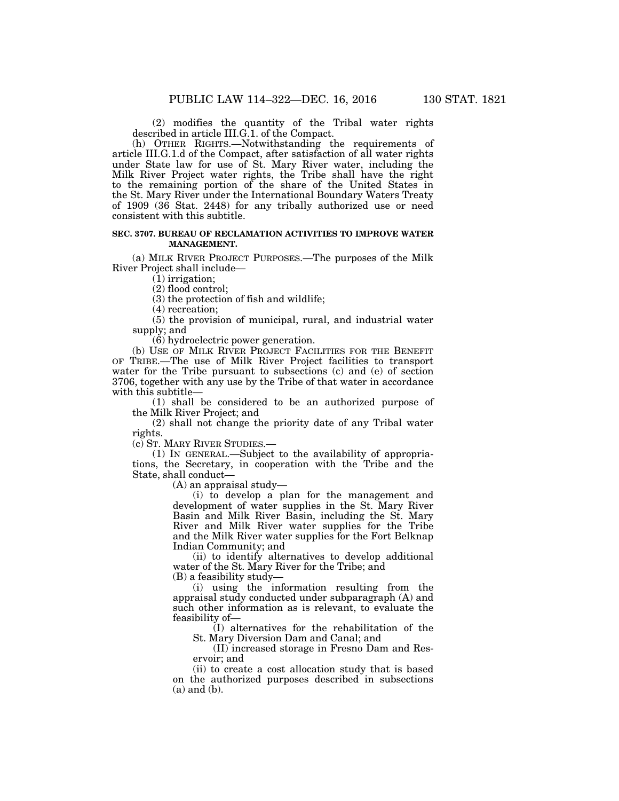(2) modifies the quantity of the Tribal water rights described in article III.G.1. of the Compact.

(h) OTHER RIGHTS.—Notwithstanding the requirements of article III.G.1.d of the Compact, after satisfaction of all water rights under State law for use of St. Mary River water, including the Milk River Project water rights, the Tribe shall have the right to the remaining portion of the share of the United States in the St. Mary River under the International Boundary Waters Treaty of 1909 (36 Stat. 2448) for any tribally authorized use or need consistent with this subtitle.

# **SEC. 3707. BUREAU OF RECLAMATION ACTIVITIES TO IMPROVE WATER MANAGEMENT.**

(a) MILK RIVER PROJECT PURPOSES.—The purposes of the Milk River Project shall include—

(1) irrigation;

(2) flood control;

(3) the protection of fish and wildlife;

(4) recreation;

(5) the provision of municipal, rural, and industrial water supply; and

(6) hydroelectric power generation.

(b) USE OF MILK RIVER PROJECT FACILITIES FOR THE BENEFIT OF TRIBE.—The use of Milk River Project facilities to transport water for the Tribe pursuant to subsections (c) and (e) of section 3706, together with any use by the Tribe of that water in accordance with this subtitle—

(1) shall be considered to be an authorized purpose of the Milk River Project; and

(2) shall not change the priority date of any Tribal water rights.

(c) ST. MARY RIVER STUDIES.—

(1) IN GENERAL.—Subject to the availability of appropriations, the Secretary, in cooperation with the Tribe and the State, shall conduct—

(A) an appraisal study—

(i) to develop a plan for the management and development of water supplies in the St. Mary River Basin and Milk River Basin, including the St. Mary River and Milk River water supplies for the Tribe and the Milk River water supplies for the Fort Belknap Indian Community; and

(ii) to identify alternatives to develop additional water of the St. Mary River for the Tribe; and

(B) a feasibility study—

(i) using the information resulting from the appraisal study conducted under subparagraph (A) and such other information as is relevant, to evaluate the feasibility of—

(I) alternatives for the rehabilitation of the St. Mary Diversion Dam and Canal; and

(II) increased storage in Fresno Dam and Reservoir; and

(ii) to create a cost allocation study that is based on the authorized purposes described in subsections (a) and (b).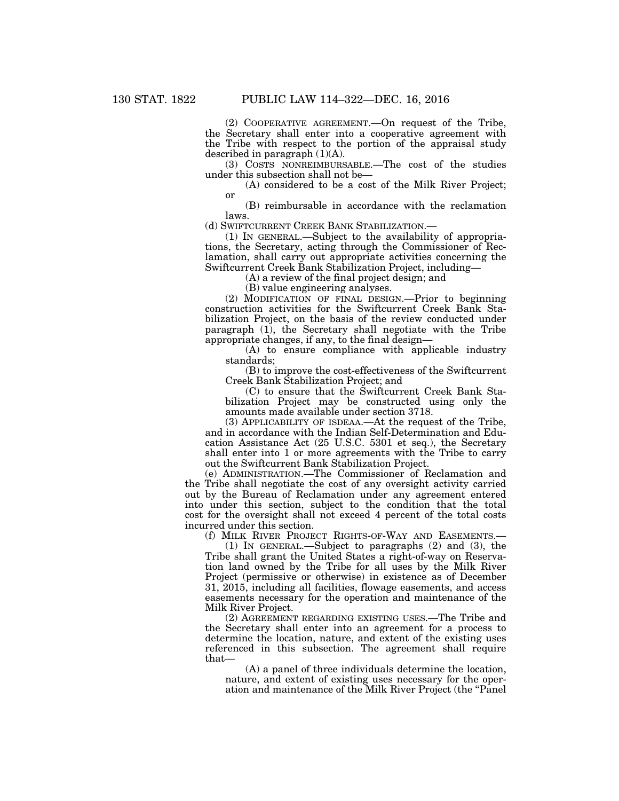(2) COOPERATIVE AGREEMENT.—On request of the Tribe, the Secretary shall enter into a cooperative agreement with the Tribe with respect to the portion of the appraisal study described in paragraph  $(1)(A)$ .

(3) COSTS NONREIMBURSABLE.—The cost of the studies under this subsection shall not be—

(A) considered to be a cost of the Milk River Project; or

(B) reimbursable in accordance with the reclamation laws.

(d) SWIFTCURRENT CREEK BANK STABILIZATION.—

(1) IN GENERAL.—Subject to the availability of appropriations, the Secretary, acting through the Commissioner of Reclamation, shall carry out appropriate activities concerning the Swiftcurrent Creek Bank Stabilization Project, including—

(A) a review of the final project design; and

(B) value engineering analyses.

(2) MODIFICATION OF FINAL DESIGN.—Prior to beginning construction activities for the Swiftcurrent Creek Bank Stabilization Project, on the basis of the review conducted under paragraph (1), the Secretary shall negotiate with the Tribe appropriate changes, if any, to the final design—

(A) to ensure compliance with applicable industry standards;

(B) to improve the cost-effectiveness of the Swiftcurrent Creek Bank Stabilization Project; and

(C) to ensure that the Swiftcurrent Creek Bank Stabilization Project may be constructed using only the amounts made available under section 3718.

(3) APPLICABILITY OF ISDEAA.—At the request of the Tribe, and in accordance with the Indian Self-Determination and Education Assistance Act (25 U.S.C. 5301 et seq.), the Secretary shall enter into 1 or more agreements with the Tribe to carry out the Swiftcurrent Bank Stabilization Project.

(e) ADMINISTRATION.—The Commissioner of Reclamation and the Tribe shall negotiate the cost of any oversight activity carried out by the Bureau of Reclamation under any agreement entered into under this section, subject to the condition that the total cost for the oversight shall not exceed 4 percent of the total costs incurred under this section.

(f) MILK RIVER PROJECT RIGHTS-OF-WAY AND EASEMENTS.—

(1) IN GENERAL.—Subject to paragraphs (2) and (3), the Tribe shall grant the United States a right-of-way on Reservation land owned by the Tribe for all uses by the Milk River Project (permissive or otherwise) in existence as of December 31, 2015, including all facilities, flowage easements, and access easements necessary for the operation and maintenance of the Milk River Project.

(2) AGREEMENT REGARDING EXISTING USES.—The Tribe and the Secretary shall enter into an agreement for a process to determine the location, nature, and extent of the existing uses referenced in this subsection. The agreement shall require that—

(A) a panel of three individuals determine the location, nature, and extent of existing uses necessary for the operation and maintenance of the Milk River Project (the "Panel"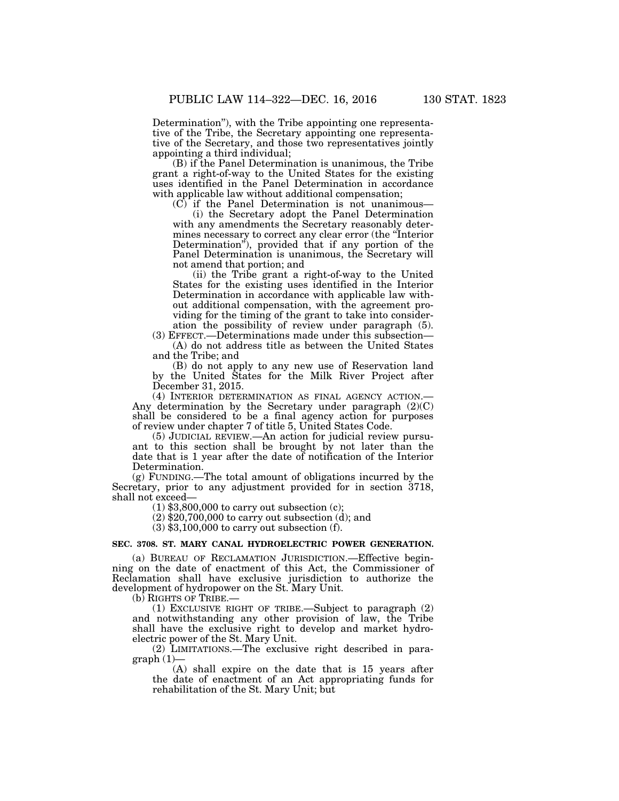Determination''), with the Tribe appointing one representative of the Tribe, the Secretary appointing one representative of the Secretary, and those two representatives jointly appointing a third individual;

(B) if the Panel Determination is unanimous, the Tribe grant a right-of-way to the United States for the existing uses identified in the Panel Determination in accordance with applicable law without additional compensation;

(C) if the Panel Determination is not unanimous—

(i) the Secretary adopt the Panel Determination with any amendments the Secretary reasonably determines necessary to correct any clear error (the ''Interior Determination''), provided that if any portion of the Panel Determination is unanimous, the Secretary will not amend that portion; and

(ii) the Tribe grant a right-of-way to the United States for the existing uses identified in the Interior Determination in accordance with applicable law without additional compensation, with the agreement providing for the timing of the grant to take into consideration the possibility of review under paragraph (5).

(3) EFFECT.—Determinations made under this subsection— (A) do not address title as between the United States

and the Tribe; and

(B) do not apply to any new use of Reservation land by the United States for the Milk River Project after December 31, 2015.

(4) INTERIOR DETERMINATION AS FINAL AGENCY ACTION.— Any determination by the Secretary under paragraph (2)(C) shall be considered to be a final agency action for purposes of review under chapter 7 of title 5, United States Code.

(5) JUDICIAL REVIEW.—An action for judicial review pursuant to this section shall be brought by not later than the date that is 1 year after the date of notification of the Interior Determination.

(g) FUNDING.—The total amount of obligations incurred by the Secretary, prior to any adjustment provided for in section 3718, shall not exceed—

(1) \$3,800,000 to carry out subsection (c);

(2) \$20,700,000 to carry out subsection (d); and

(3) \$3,100,000 to carry out subsection (f).

## **SEC. 3708. ST. MARY CANAL HYDROELECTRIC POWER GENERATION.**

(a) BUREAU OF RECLAMATION JURISDICTION.—Effective beginning on the date of enactment of this Act, the Commissioner of Reclamation shall have exclusive jurisdiction to authorize the development of hydropower on the St. Mary Unit.

(b) RIGHTS OF TRIBE.—

(1) EXCLUSIVE RIGHT OF TRIBE.—Subject to paragraph (2) and notwithstanding any other provision of law, the Tribe shall have the exclusive right to develop and market hydroelectric power of the St. Mary Unit.

(2) LIMITATIONS.—The exclusive right described in para $graph(1)$ 

(A) shall expire on the date that is 15 years after the date of enactment of an Act appropriating funds for rehabilitation of the St. Mary Unit; but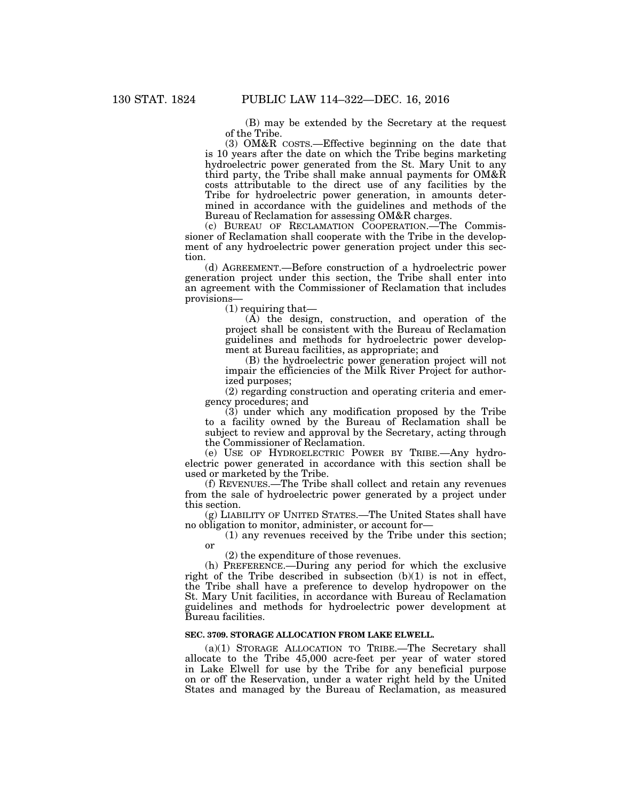(B) may be extended by the Secretary at the request of the Tribe.

(3) OM&R COSTS.—Effective beginning on the date that is 10 years after the date on which the Tribe begins marketing hydroelectric power generated from the St. Mary Unit to any third party, the Tribe shall make annual payments for OM&R costs attributable to the direct use of any facilities by the Tribe for hydroelectric power generation, in amounts determined in accordance with the guidelines and methods of the Bureau of Reclamation for assessing OM&R charges.

(c) BUREAU OF RECLAMATION COOPERATION.—The Commissioner of Reclamation shall cooperate with the Tribe in the development of any hydroelectric power generation project under this section.

(d) AGREEMENT.—Before construction of a hydroelectric power generation project under this section, the Tribe shall enter into an agreement with the Commissioner of Reclamation that includes provisions—

(1) requiring that—

(A) the design, construction, and operation of the project shall be consistent with the Bureau of Reclamation guidelines and methods for hydroelectric power development at Bureau facilities, as appropriate; and

(B) the hydroelectric power generation project will not impair the efficiencies of the Milk River Project for authorized purposes;

(2) regarding construction and operating criteria and emergency procedures; and

(3) under which any modification proposed by the Tribe to a facility owned by the Bureau of Reclamation shall be subject to review and approval by the Secretary, acting through the Commissioner of Reclamation.

(e) USE OF HYDROELECTRIC POWER BY TRIBE.—Any hydroelectric power generated in accordance with this section shall be used or marketed by the Tribe.

(f) REVENUES.—The Tribe shall collect and retain any revenues from the sale of hydroelectric power generated by a project under this section.

(g) LIABILITY OF UNITED STATES.—The United States shall have no obligation to monitor, administer, or account for—

(1) any revenues received by the Tribe under this section; or

(2) the expenditure of those revenues.

(h) PREFERENCE.—During any period for which the exclusive right of the Tribe described in subsection  $(b)(1)$  is not in effect, the Tribe shall have a preference to develop hydropower on the St. Mary Unit facilities, in accordance with Bureau of Reclamation guidelines and methods for hydroelectric power development at Bureau facilities.

## **SEC. 3709. STORAGE ALLOCATION FROM LAKE ELWELL.**

(a)(1) STORAGE ALLOCATION TO TRIBE.—The Secretary shall allocate to the Tribe 45,000 acre-feet per year of water stored in Lake Elwell for use by the Tribe for any beneficial purpose on or off the Reservation, under a water right held by the United States and managed by the Bureau of Reclamation, as measured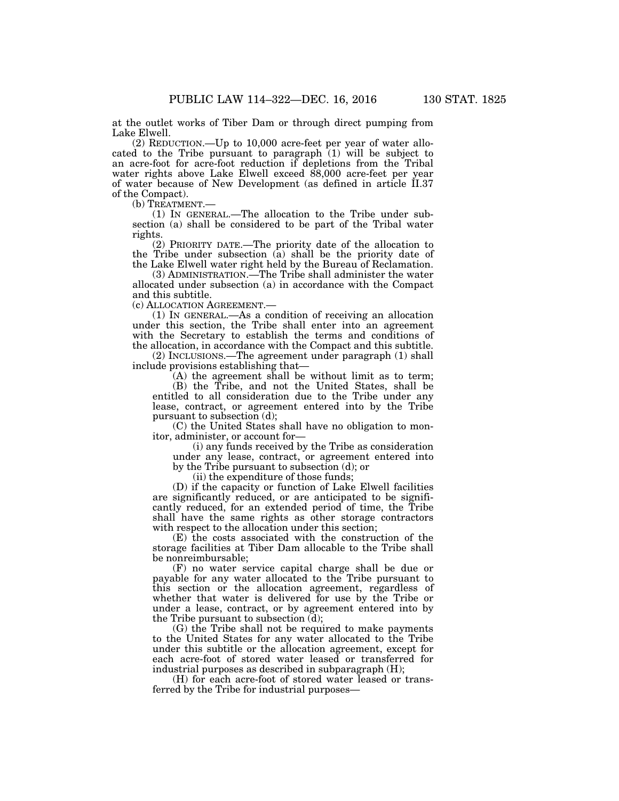at the outlet works of Tiber Dam or through direct pumping from Lake Elwell.

(2) REDUCTION.—Up to 10,000 acre-feet per year of water allocated to the Tribe pursuant to paragraph (1) will be subject to an acre-foot for acre-foot reduction if depletions from the Tribal water rights above Lake Elwell exceed 88,000 acre-feet per year of water because of New Development (as defined in article II.37 of the Compact).<br>(b) TREATMENT.—

 $(1)$  IN GENERAL.—The allocation to the Tribe under subsection (a) shall be considered to be part of the Tribal water rights.

(2) PRIORITY DATE.—The priority date of the allocation to the Tribe under subsection (a) shall be the priority date of the Lake Elwell water right held by the Bureau of Reclamation.

(3) ADMINISTRATION.—The Tribe shall administer the water allocated under subsection (a) in accordance with the Compact and this subtitle.

(c) ALLOCATION AGREEMENT.—

(1) IN GENERAL.—As a condition of receiving an allocation under this section, the Tribe shall enter into an agreement with the Secretary to establish the terms and conditions of the allocation, in accordance with the Compact and this subtitle.

(2) INCLUSIONS.—The agreement under paragraph (1) shall include provisions establishing that—

(A) the agreement shall be without limit as to term;

(B) the Tribe, and not the United States, shall be entitled to all consideration due to the Tribe under any lease, contract, or agreement entered into by the Tribe pursuant to subsection (d);

(C) the United States shall have no obligation to monitor, administer, or account for—

(i) any funds received by the Tribe as consideration under any lease, contract, or agreement entered into by the Tribe pursuant to subsection (d); or

(ii) the expenditure of those funds;

(D) if the capacity or function of Lake Elwell facilities are significantly reduced, or are anticipated to be significantly reduced, for an extended period of time, the Tribe shall have the same rights as other storage contractors with respect to the allocation under this section;

(E) the costs associated with the construction of the storage facilities at Tiber Dam allocable to the Tribe shall be nonreimbursable;

(F) no water service capital charge shall be due or payable for any water allocated to the Tribe pursuant to this section or the allocation agreement, regardless of whether that water is delivered for use by the Tribe or under a lease, contract, or by agreement entered into by the Tribe pursuant to subsection (d);

(G) the Tribe shall not be required to make payments to the United States for any water allocated to the Tribe under this subtitle or the allocation agreement, except for each acre-foot of stored water leased or transferred for industrial purposes as described in subparagraph (H);

(H) for each acre-foot of stored water leased or transferred by the Tribe for industrial purposes—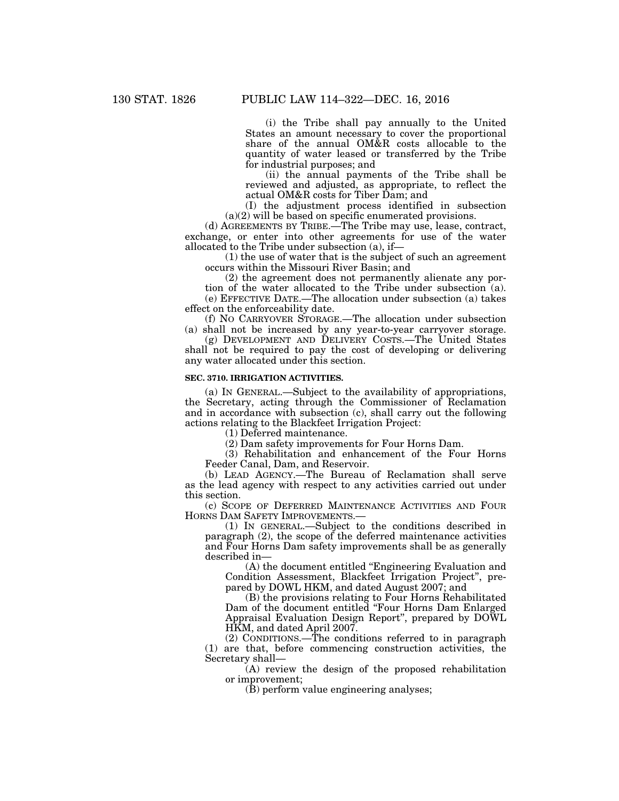(i) the Tribe shall pay annually to the United States an amount necessary to cover the proportional share of the annual OM&R costs allocable to the quantity of water leased or transferred by the Tribe for industrial purposes; and

(ii) the annual payments of the Tribe shall be reviewed and adjusted, as appropriate, to reflect the actual OM&R costs for Tiber Dam; and

(I) the adjustment process identified in subsection  $(a)(2)$  will be based on specific enumerated provisions.

(d) AGREEMENTS BY TRIBE.—The Tribe may use, lease, contract, exchange, or enter into other agreements for use of the water allocated to the Tribe under subsection (a), if—

(1) the use of water that is the subject of such an agreement occurs within the Missouri River Basin; and

(2) the agreement does not permanently alienate any portion of the water allocated to the Tribe under subsection (a).

(e) EFFECTIVE DATE.—The allocation under subsection (a) takes effect on the enforceability date.

(f) NO CARRYOVER STORAGE.—The allocation under subsection (a) shall not be increased by any year-to-year carryover storage.

(g) DEVELOPMENT AND DELIVERY COSTS.—The United States shall not be required to pay the cost of developing or delivering any water allocated under this section.

## **SEC. 3710. IRRIGATION ACTIVITIES.**

(a) IN GENERAL.—Subject to the availability of appropriations, the Secretary, acting through the Commissioner of Reclamation and in accordance with subsection (c), shall carry out the following actions relating to the Blackfeet Irrigation Project:

(1) Deferred maintenance.

(2) Dam safety improvements for Four Horns Dam.

(3) Rehabilitation and enhancement of the Four Horns Feeder Canal, Dam, and Reservoir.

(b) LEAD AGENCY.—The Bureau of Reclamation shall serve as the lead agency with respect to any activities carried out under this section.

(c) SCOPE OF DEFERRED MAINTENANCE ACTIVITIES AND FOUR HORNS DAM SAFETY IMPROVEMENTS.—

(1) IN GENERAL.—Subject to the conditions described in paragraph (2), the scope of the deferred maintenance activities and Four Horns Dam safety improvements shall be as generally described in—

(A) the document entitled ''Engineering Evaluation and Condition Assessment, Blackfeet Irrigation Project'', prepared by DOWL HKM, and dated August 2007; and

(B) the provisions relating to Four Horns Rehabilitated Dam of the document entitled ''Four Horns Dam Enlarged Appraisal Evaluation Design Report'', prepared by DOWL HKM, and dated April 2007.

(2) CONDITIONS.—The conditions referred to in paragraph (1) are that, before commencing construction activities, the Secretary shall—

(A) review the design of the proposed rehabilitation or improvement;

 $(\dot{B})$  perform value engineering analyses;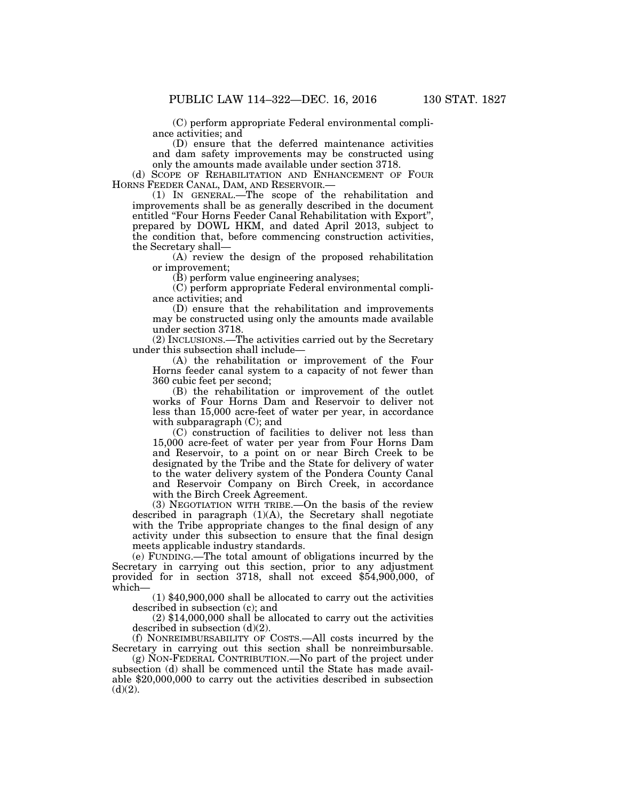(C) perform appropriate Federal environmental compliance activities; and

(D) ensure that the deferred maintenance activities and dam safety improvements may be constructed using only the amounts made available under section 3718.

(d) SCOPE OF REHABILITATION AND ENHANCEMENT OF FOUR HORNS FEEDER CANAL, DAM, AND RESERVOIR.—

(1) IN GENERAL.—The scope of the rehabilitation and improvements shall be as generally described in the document entitled "Four Horns Feeder Canal Rehabilitation with Export", prepared by DOWL HKM, and dated April 2013, subject to the condition that, before commencing construction activities, the Secretary shall—

(A) review the design of the proposed rehabilitation or improvement;

(B) perform value engineering analyses;

(C) perform appropriate Federal environmental compliance activities; and

(D) ensure that the rehabilitation and improvements may be constructed using only the amounts made available under section 3718.

(2) INCLUSIONS.—The activities carried out by the Secretary under this subsection shall include—

(A) the rehabilitation or improvement of the Four Horns feeder canal system to a capacity of not fewer than 360 cubic feet per second;

(B) the rehabilitation or improvement of the outlet works of Four Horns Dam and Reservoir to deliver not less than 15,000 acre-feet of water per year, in accordance with subparagraph  $(C)$ ; and

(C) construction of facilities to deliver not less than 15,000 acre-feet of water per year from Four Horns Dam and Reservoir, to a point on or near Birch Creek to be designated by the Tribe and the State for delivery of water to the water delivery system of the Pondera County Canal and Reservoir Company on Birch Creek, in accordance with the Birch Creek Agreement.

(3) NEGOTIATION WITH TRIBE.—On the basis of the review described in paragraph  $(1)(A)$ , the Secretary shall negotiate with the Tribe appropriate changes to the final design of any activity under this subsection to ensure that the final design meets applicable industry standards.

(e) FUNDING.—The total amount of obligations incurred by the Secretary in carrying out this section, prior to any adjustment provided for in section 3718, shall not exceed \$54,900,000, of which—

(1) \$40,900,000 shall be allocated to carry out the activities described in subsection (c); and

(2) \$14,000,000 shall be allocated to carry out the activities described in subsection (d)(2).

(f) NONREIMBURSABILITY OF COSTS.—All costs incurred by the Secretary in carrying out this section shall be nonreimbursable.

(g) NON-FEDERAL CONTRIBUTION.—No part of the project under subsection (d) shall be commenced until the State has made available \$20,000,000 to carry out the activities described in subsection  $(d)(2)$ .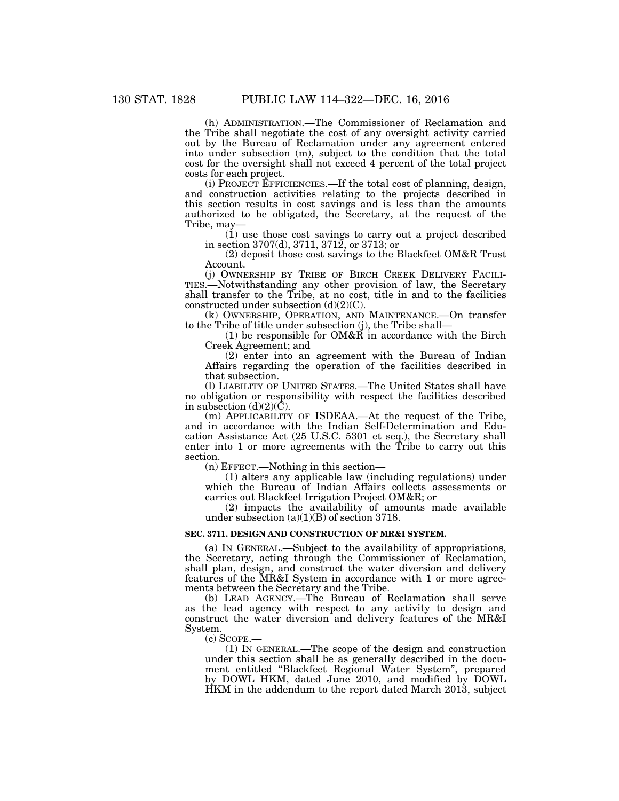(h) ADMINISTRATION.—The Commissioner of Reclamation and the Tribe shall negotiate the cost of any oversight activity carried out by the Bureau of Reclamation under any agreement entered into under subsection (m), subject to the condition that the total cost for the oversight shall not exceed 4 percent of the total project costs for each project.

(i) PROJECT EFFICIENCIES.—If the total cost of planning, design, and construction activities relating to the projects described in this section results in cost savings and is less than the amounts authorized to be obligated, the Secretary, at the request of the Tribe, may—

(1) use those cost savings to carry out a project described in section 3707(d), 3711, 3712, or 3713; or

(2) deposit those cost savings to the Blackfeet OM&R Trust Account.

(j) OWNERSHIP BY TRIBE OF BIRCH CREEK DELIVERY FACILI-TIES.—Notwithstanding any other provision of law, the Secretary shall transfer to the Tribe, at no cost, title in and to the facilities constructed under subsection (d)(2)(C).

(k) OWNERSHIP, OPERATION, AND MAINTENANCE.—On transfer to the Tribe of title under subsection (j), the Tribe shall—

(1) be responsible for OM&R in accordance with the Birch Creek Agreement; and

(2) enter into an agreement with the Bureau of Indian Affairs regarding the operation of the facilities described in that subsection.

(l) LIABILITY OF UNITED STATES.—The United States shall have no obligation or responsibility with respect the facilities described in subsection  $(d)(2)(\hat{C})$ .

(m) APPLICABILITY OF ISDEAA.—At the request of the Tribe, and in accordance with the Indian Self-Determination and Education Assistance Act (25 U.S.C. 5301 et seq.), the Secretary shall enter into 1 or more agreements with the Tribe to carry out this section.

(n) EFFECT.—Nothing in this section—

(1) alters any applicable law (including regulations) under which the Bureau of Indian Affairs collects assessments or carries out Blackfeet Irrigation Project OM&R; or

(2) impacts the availability of amounts made available under subsection  $(a)(1)(B)$  of section 3718.

## **SEC. 3711. DESIGN AND CONSTRUCTION OF MR&I SYSTEM.**

(a) IN GENERAL.—Subject to the availability of appropriations, the Secretary, acting through the Commissioner of Reclamation, shall plan, design, and construct the water diversion and delivery features of the MR&I System in accordance with 1 or more agreements between the Secretary and the Tribe.

(b) LEAD AGENCY.—The Bureau of Reclamation shall serve as the lead agency with respect to any activity to design and construct the water diversion and delivery features of the MR&I System.

(c) SCOPE.—

(1) IN GENERAL.—The scope of the design and construction under this section shall be as generally described in the document entitled ''Blackfeet Regional Water System'', prepared by DOWL HKM, dated June 2010, and modified by DOWL HKM in the addendum to the report dated March 2013, subject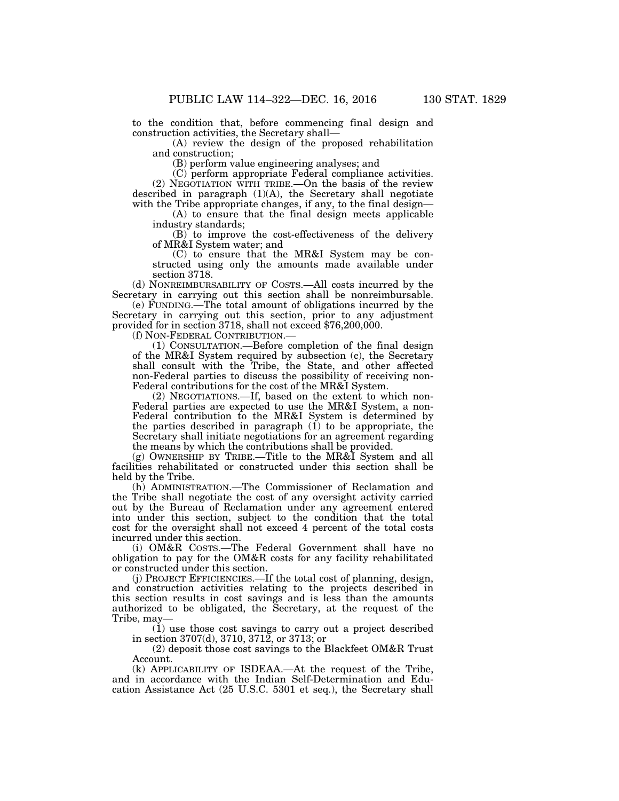to the condition that, before commencing final design and construction activities, the Secretary shall—

(A) review the design of the proposed rehabilitation and construction;

(B) perform value engineering analyses; and

(C) perform appropriate Federal compliance activities. (2) NEGOTIATION WITH TRIBE.—On the basis of the review described in paragraph (1)(A), the Secretary shall negotiate

with the Tribe appropriate changes, if any, to the final design— (A) to ensure that the final design meets applicable industry standards;

(B) to improve the cost-effectiveness of the delivery of MR&I System water; and

(C) to ensure that the MR&I System may be constructed using only the amounts made available under section 3718.

(d) NONREIMBURSABILITY OF COSTS.—All costs incurred by the Secretary in carrying out this section shall be nonreimbursable.

(e) FUNDING.—The total amount of obligations incurred by the Secretary in carrying out this section, prior to any adjustment provided for in section 3718, shall not exceed \$76,200,000.

(f) NON-FEDERAL CONTRIBUTION.—

(1) CONSULTATION.—Before completion of the final design of the MR&I System required by subsection (c), the Secretary shall consult with the Tribe, the State, and other affected non-Federal parties to discuss the possibility of receiving non-Federal contributions for the cost of the MR&I System.

(2) NEGOTIATIONS.—If, based on the extent to which non-Federal parties are expected to use the MR&I System, a non-Federal contribution to the MR&I System is determined by the parties described in paragraph  $(1)$  to be appropriate, the Secretary shall initiate negotiations for an agreement regarding the means by which the contributions shall be provided.

(g) OWNERSHIP BY TRIBE.—Title to the MR&I System and all facilities rehabilitated or constructed under this section shall be held by the Tribe.

(h) ADMINISTRATION.—The Commissioner of Reclamation and the Tribe shall negotiate the cost of any oversight activity carried out by the Bureau of Reclamation under any agreement entered into under this section, subject to the condition that the total cost for the oversight shall not exceed 4 percent of the total costs incurred under this section.

(i) OM&R COSTS.—The Federal Government shall have no obligation to pay for the OM&R costs for any facility rehabilitated or constructed under this section.

(j) PROJECT EFFICIENCIES.—If the total cost of planning, design, and construction activities relating to the projects described in this section results in cost savings and is less than the amounts authorized to be obligated, the Secretary, at the request of the Tribe, may—

(1) use those cost savings to carry out a project described in section 3707(d), 3710, 3712, or 3713; or

(2) deposit those cost savings to the Blackfeet OM&R Trust Account.

(k) APPLICABILITY OF ISDEAA.—At the request of the Tribe, and in accordance with the Indian Self-Determination and Education Assistance Act (25 U.S.C. 5301 et seq.), the Secretary shall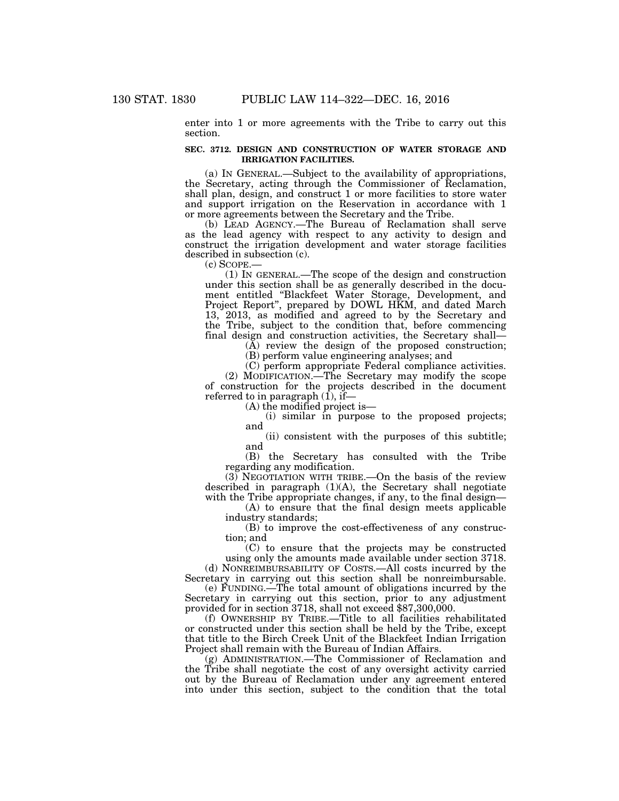enter into 1 or more agreements with the Tribe to carry out this section.

## **SEC. 3712. DESIGN AND CONSTRUCTION OF WATER STORAGE AND IRRIGATION FACILITIES.**

(a) IN GENERAL.—Subject to the availability of appropriations, the Secretary, acting through the Commissioner of Reclamation, shall plan, design, and construct 1 or more facilities to store water and support irrigation on the Reservation in accordance with 1 or more agreements between the Secretary and the Tribe.

(b) LEAD AGENCY.—The Bureau of Reclamation shall serve as the lead agency with respect to any activity to design and construct the irrigation development and water storage facilities described in subsection (c).

(c) SCOPE.—

(1) IN GENERAL.—The scope of the design and construction under this section shall be as generally described in the document entitled ''Blackfeet Water Storage, Development, and Project Report'', prepared by DOWL HKM, and dated March 13, 2013, as modified and agreed to by the Secretary and the Tribe, subject to the condition that, before commencing final design and construction activities, the Secretary shall—

 $(\tilde{A})$  review the design of the proposed construction;

(B) perform value engineering analyses; and

(C) perform appropriate Federal compliance activities. (2) MODIFICATION.—The Secretary may modify the scope of construction for the projects described in the document referred to in paragraph  $(I)$ , if-

(A) the modified project is—

(i) similar in purpose to the proposed projects; and

(ii) consistent with the purposes of this subtitle; and

(B) the Secretary has consulted with the Tribe regarding any modification.

 $(3)$  NEGOTIATION WITH TRIBE.—On the basis of the review described in paragraph (1)(A), the Secretary shall negotiate with the Tribe appropriate changes, if any, to the final design—

(A) to ensure that the final design meets applicable industry standards;

(B) to improve the cost-effectiveness of any construction; and

(C) to ensure that the projects may be constructed using only the amounts made available under section 3718.

(d) NONREIMBURSABILITY OF COSTS.—All costs incurred by the Secretary in carrying out this section shall be nonreimbursable.

(e) FUNDING.—The total amount of obligations incurred by the Secretary in carrying out this section, prior to any adjustment provided for in section 3718, shall not exceed \$87,300,000.

(f) OWNERSHIP BY TRIBE.—Title to all facilities rehabilitated or constructed under this section shall be held by the Tribe, except that title to the Birch Creek Unit of the Blackfeet Indian Irrigation Project shall remain with the Bureau of Indian Affairs.

(g) ADMINISTRATION.—The Commissioner of Reclamation and the Tribe shall negotiate the cost of any oversight activity carried out by the Bureau of Reclamation under any agreement entered into under this section, subject to the condition that the total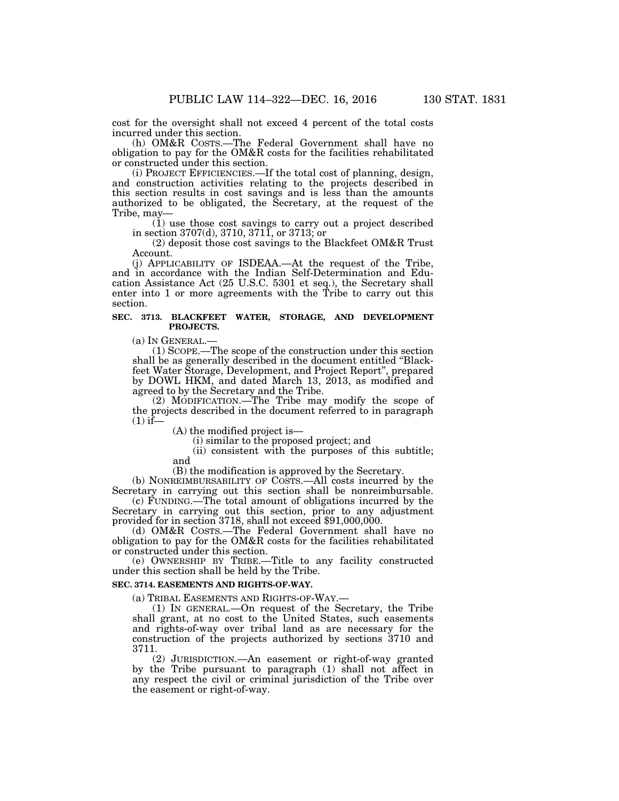cost for the oversight shall not exceed 4 percent of the total costs incurred under this section.

(h) OM&R COSTS.—The Federal Government shall have no obligation to pay for the OM&R costs for the facilities rehabilitated or constructed under this section.

(i) PROJECT EFFICIENCIES.—If the total cost of planning, design, and construction activities relating to the projects described in this section results in cost savings and is less than the amounts authorized to be obligated, the Secretary, at the request of the Tribe, may—

(1) use those cost savings to carry out a project described in section 3707(d), 3710, 3711, or 3713; or

(2) deposit those cost savings to the Blackfeet OM&R Trust Account.

(j) APPLICABILITY OF ISDEAA.—At the request of the Tribe, and in accordance with the Indian Self-Determination and Education Assistance Act (25 U.S.C. 5301 et seq.), the Secretary shall enter into 1 or more agreements with the Tribe to carry out this section.

#### **SEC. 3713. BLACKFEET WATER, STORAGE, AND DEVELOPMENT PROJECTS.**

(a) IN GENERAL.— (1) SCOPE.—The scope of the construction under this section shall be as generally described in the document entitled ''Blackfeet Water Storage, Development, and Project Report'', prepared by DOWL HKM, and dated March 13, 2013, as modified and agreed to by the Secretary and the Tribe.

(2) MODIFICATION.—The Tribe may modify the scope of the projects described in the document referred to in paragraph  $(1)$  if—

(A) the modified project is—

(i) similar to the proposed project; and

(ii) consistent with the purposes of this subtitle; and

(B) the modification is approved by the Secretary.

(b) NONREIMBURSABILITY OF COSTS.—All costs incurred by the Secretary in carrying out this section shall be nonreimbursable. (c) FUNDING.—The total amount of obligations incurred by the

Secretary in carrying out this section, prior to any adjustment provided for in section 3718, shall not exceed \$91,000,000. (d) OM&R COSTS.—The Federal Government shall have no

obligation to pay for the OM&R costs for the facilities rehabilitated or constructed under this section.

(e) OWNERSHIP BY TRIBE.—Title to any facility constructed under this section shall be held by the Tribe.

#### **SEC. 3714. EASEMENTS AND RIGHTS-OF-WAY.**

(a) TRIBAL EASEMENTS AND RIGHTS-OF-WAY.—

(1) IN GENERAL.—On request of the Secretary, the Tribe shall grant, at no cost to the United States, such easements and rights-of-way over tribal land as are necessary for the construction of the projects authorized by sections 3710 and 3711.

(2) JURISDICTION.—An easement or right-of-way granted by the Tribe pursuant to paragraph (1) shall not affect in any respect the civil or criminal jurisdiction of the Tribe over the easement or right-of-way.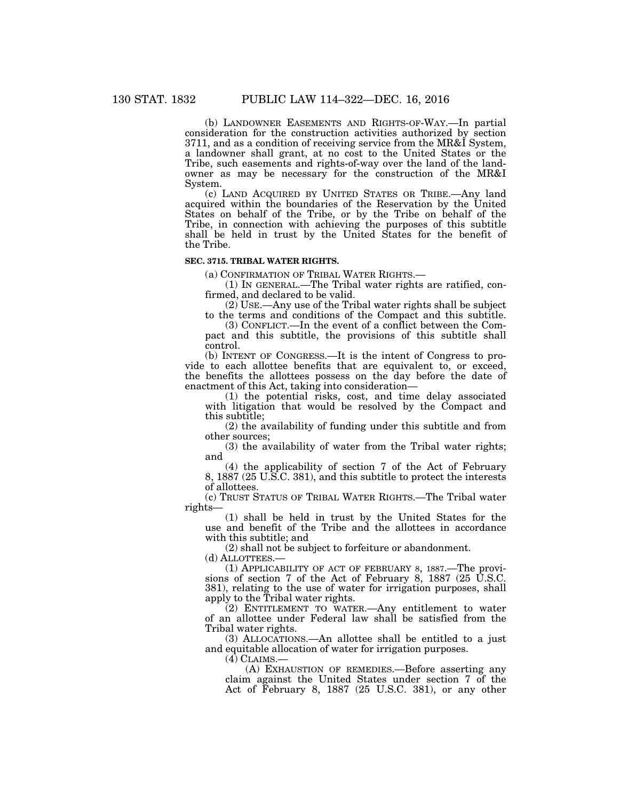(b) LANDOWNER EASEMENTS AND RIGHTS-OF-WAY.—In partial consideration for the construction activities authorized by section 3711, and as a condition of receiving service from the MR&I System, a landowner shall grant, at no cost to the United States or the Tribe, such easements and rights-of-way over the land of the landowner as may be necessary for the construction of the MR&I System.

(c) LAND ACQUIRED BY UNITED STATES OR TRIBE.—Any land acquired within the boundaries of the Reservation by the United States on behalf of the Tribe, or by the Tribe on behalf of the Tribe, in connection with achieving the purposes of this subtitle shall be held in trust by the United States for the benefit of the Tribe.

#### **SEC. 3715. TRIBAL WATER RIGHTS.**

(a) CONFIRMATION OF TRIBAL WATER RIGHTS.— (1) IN GENERAL.—The Tribal water rights are ratified, confirmed, and declared to be valid.

(2) USE.—Any use of the Tribal water rights shall be subject to the terms and conditions of the Compact and this subtitle.

(3) CONFLICT.—In the event of a conflict between the Compact and this subtitle, the provisions of this subtitle shall control.

(b) INTENT OF CONGRESS.—It is the intent of Congress to provide to each allottee benefits that are equivalent to, or exceed, the benefits the allottees possess on the day before the date of enactment of this Act, taking into consideration—

(1) the potential risks, cost, and time delay associated with litigation that would be resolved by the Compact and this subtitle;

(2) the availability of funding under this subtitle and from other sources;

(3) the availability of water from the Tribal water rights; and

(4) the applicability of section 7 of the Act of February 8, 1887 (25 U.S.C. 381), and this subtitle to protect the interests of allottees.

(c) TRUST STATUS OF TRIBAL WATER RIGHTS.—The Tribal water rights—

(1) shall be held in trust by the United States for the use and benefit of the Tribe and the allottees in accordance with this subtitle; and

(2) shall not be subject to forfeiture or abandonment.

(d) ALLOTTEES.—

(1) APPLICABILITY OF ACT OF FEBRUARY 8, 1887.—The provisions of section 7 of the Act of February 8, 1887 (25  $\check{U}$ .S.C. 381), relating to the use of water for irrigation purposes, shall apply to the Tribal water rights.

(2) ENTITLEMENT TO WATER.—Any entitlement to water of an allottee under Federal law shall be satisfied from the Tribal water rights.

(3) ALLOCATIONS.—An allottee shall be entitled to a just and equitable allocation of water for irrigation purposes.

 $(4)$  CLAIMS. $-$ 

(A) EXHAUSTION OF REMEDIES.—Before asserting any claim against the United States under section 7 of the Act of February 8, 1887 (25 U.S.C. 381), or any other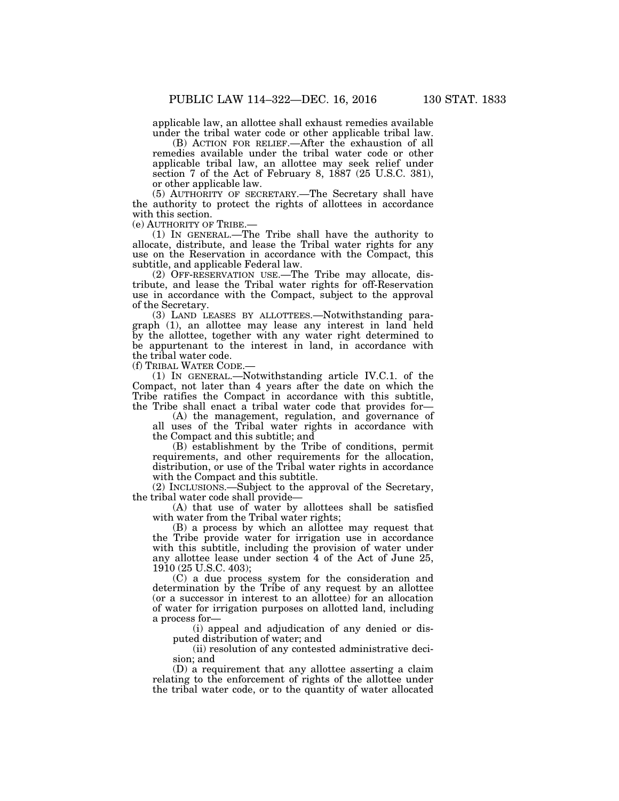applicable law, an allottee shall exhaust remedies available under the tribal water code or other applicable tribal law.

(B) ACTION FOR RELIEF.—After the exhaustion of all remedies available under the tribal water code or other applicable tribal law, an allottee may seek relief under section 7 of the Act of February 8, 1887 (25 U.S.C. 381), or other applicable law.

(5) AUTHORITY OF SECRETARY.—The Secretary shall have the authority to protect the rights of allottees in accordance with this section.<br>(e) AUTHORITY OF TRIBE.-

 $(1)$  In GENERAL.—The Tribe shall have the authority to allocate, distribute, and lease the Tribal water rights for any use on the Reservation in accordance with the Compact, this subtitle, and applicable Federal law.

(2) OFF-RESERVATION USE.—The Tribe may allocate, distribute, and lease the Tribal water rights for off-Reservation use in accordance with the Compact, subject to the approval of the Secretary.

(3) LAND LEASES BY ALLOTTEES.—Notwithstanding paragraph (1), an allottee may lease any interest in land held by the allottee, together with any water right determined to be appurtenant to the interest in land, in accordance with the tribal water code.

(f) TRIBAL WATER CODE.—

(1) IN GENERAL.—Notwithstanding article IV.C.1. of the Compact, not later than 4 years after the date on which the Tribe ratifies the Compact in accordance with this subtitle, the Tribe shall enact a tribal water code that provides for—

(A) the management, regulation, and governance of all uses of the Tribal water rights in accordance with the Compact and this subtitle; and

(B) establishment by the Tribe of conditions, permit requirements, and other requirements for the allocation, distribution, or use of the Tribal water rights in accordance with the Compact and this subtitle.

(2) INCLUSIONS.—Subject to the approval of the Secretary, the tribal water code shall provide—

(A) that use of water by allottees shall be satisfied with water from the Tribal water rights;

(B) a process by which an allottee may request that the Tribe provide water for irrigation use in accordance with this subtitle, including the provision of water under any allottee lease under section 4 of the Act of June 25, 1910 (25 U.S.C. 403);

(C) a due process system for the consideration and determination by the Tribe of any request by an allottee (or a successor in interest to an allottee) for an allocation of water for irrigation purposes on allotted land, including a process for—

(i) appeal and adjudication of any denied or disputed distribution of water; and

(ii) resolution of any contested administrative decision; and

(D) a requirement that any allottee asserting a claim relating to the enforcement of rights of the allottee under the tribal water code, or to the quantity of water allocated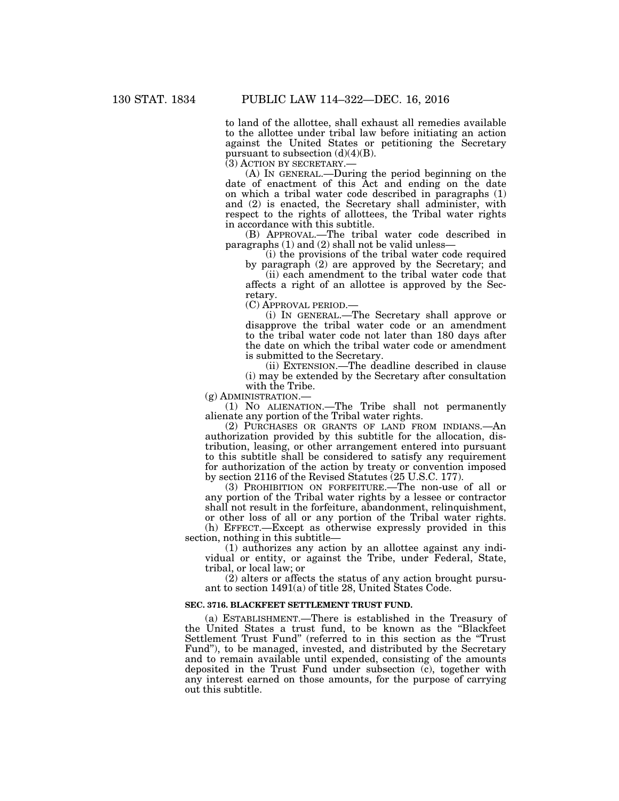to land of the allottee, shall exhaust all remedies available to the allottee under tribal law before initiating an action against the United States or petitioning the Secretary pursuant to subsection  $(d)(4)(B)$ .<br>(3) ACTION BY SECRETARY.—

 $(A)$  In GENERAL.—During the period beginning on the date of enactment of this Act and ending on the date on which a tribal water code described in paragraphs (1) and (2) is enacted, the Secretary shall administer, with respect to the rights of allottees, the Tribal water rights in accordance with this subtitle.

(B) APPROVAL.—The tribal water code described in paragraphs (1) and (2) shall not be valid unless—

(i) the provisions of the tribal water code required by paragraph (2) are approved by the Secretary; and

(ii) each amendment to the tribal water code that affects a right of an allottee is approved by the Secretary.

(C) APPROVAL PERIOD.—

(i) IN GENERAL.—The Secretary shall approve or disapprove the tribal water code or an amendment to the tribal water code not later than 180 days after the date on which the tribal water code or amendment is submitted to the Secretary.

(ii) EXTENSION.—The deadline described in clause (i) may be extended by the Secretary after consultation with the Tribe.

(g) ADMINISTRATION.—

(1) NO ALIENATION.—The Tribe shall not permanently alienate any portion of the Tribal water rights.

(2) PURCHASES OR GRANTS OF LAND FROM INDIANS.—An authorization provided by this subtitle for the allocation, distribution, leasing, or other arrangement entered into pursuant to this subtitle shall be considered to satisfy any requirement for authorization of the action by treaty or convention imposed by section 2116 of the Revised Statutes (25 U.S.C. 177).

(3) PROHIBITION ON FORFEITURE.—The non-use of all or any portion of the Tribal water rights by a lessee or contractor shall not result in the forfeiture, abandonment, relinquishment, or other loss of all or any portion of the Tribal water rights. (h) EFFECT.—Except as otherwise expressly provided in this section, nothing in this subtitle—

(1) authorizes any action by an allottee against any individual or entity, or against the Tribe, under Federal, State, tribal, or local law; or

(2) alters or affects the status of any action brought pursuant to section 1491(a) of title 28, United States Code.

#### **SEC. 3716. BLACKFEET SETTLEMENT TRUST FUND.**

(a) ESTABLISHMENT.—There is established in the Treasury of the United States a trust fund, to be known as the ''Blackfeet Settlement Trust Fund" (referred to in this section as the "Trust Fund''), to be managed, invested, and distributed by the Secretary and to remain available until expended, consisting of the amounts deposited in the Trust Fund under subsection (c), together with any interest earned on those amounts, for the purpose of carrying out this subtitle.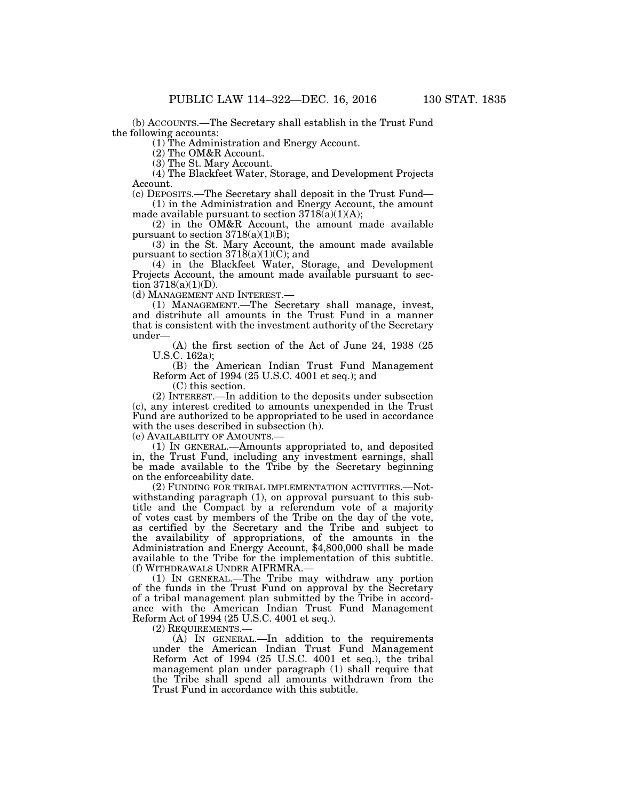(b) ACCOUNTS.—The Secretary shall establish in the Trust Fund the following accounts:

(1) The Administration and Energy Account.

(2) The OM&R Account.

(3) The St. Mary Account.

(4) The Blackfeet Water, Storage, and Development Projects Account.

(c) DEPOSITS.—The Secretary shall deposit in the Trust Fund— (1) in the Administration and Energy Account, the amount made available pursuant to section  $3718(a)(1)(A);$ 

(2) in the OM&R Account, the amount made available pursuant to section  $3718(a)(1)(B)$ ;

(3) in the St. Mary Account, the amount made available pursuant to section  $3718(a)(1)(C)$ ; and

(4) in the Blackfeet Water, Storage, and Development Projects Account, the amount made available pursuant to section  $3718(a)(1)(D)$ .

(d) MANAGEMENT AND INTEREST.—

(1) MANAGEMENT.—The Secretary shall manage, invest, and distribute all amounts in the Trust Fund in a manner that is consistent with the investment authority of the Secretary under—

(A) the first section of the Act of June 24, 1938 (25 U.S.C. 162a);

(B) the American Indian Trust Fund Management Reform Act of 1994 (25 U.S.C. 4001 et seq.); and

(C) this section.

(2) INTEREST.—In addition to the deposits under subsection (c), any interest credited to amounts unexpended in the Trust Fund are authorized to be appropriated to be used in accordance with the uses described in subsection (h).

(e) AVAILABILITY OF AMOUNTS.—

(1) IN GENERAL.—Amounts appropriated to, and deposited in, the Trust Fund, including any investment earnings, shall be made available to the Tribe by the Secretary beginning on the enforceability date.

(2) FUNDING FOR TRIBAL IMPLEMENTATION ACTIVITIES.—Notwithstanding paragraph (1), on approval pursuant to this subtitle and the Compact by a referendum vote of a majority of votes cast by members of the Tribe on the day of the vote, as certified by the Secretary and the Tribe and subject to the availability of appropriations, of the amounts in the Administration and Energy Account, \$4,800,000 shall be made available to the Tribe for the implementation of this subtitle. (f) WITHDRAWALS UNDER AIFRMRA.—

(1) IN GENERAL.—The Tribe may withdraw any portion of the funds in the Trust Fund on approval by the Secretary of a tribal management plan submitted by the Tribe in accordance with the American Indian Trust Fund Management Reform Act of 1994 (25 U.S.C. 4001 et seq.).

(2) REQUIREMENTS.— (A) IN GENERAL.—In addition to the requirements under the American Indian Trust Fund Management Reform Act of 1994 (25 U.S.C. 4001 et seq.), the tribal management plan under paragraph (1) shall require that the Tribe shall spend all amounts withdrawn from the Trust Fund in accordance with this subtitle.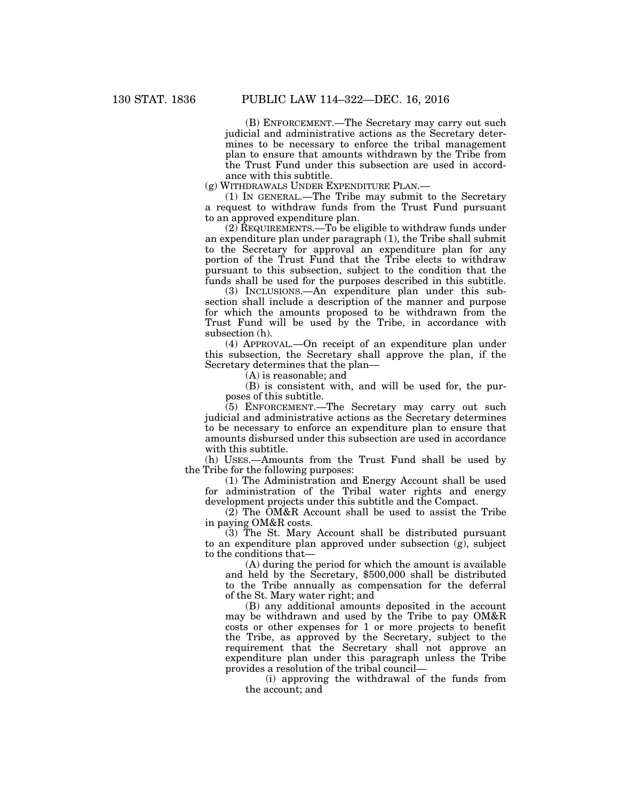(B) ENFORCEMENT.—The Secretary may carry out such judicial and administrative actions as the Secretary determines to be necessary to enforce the tribal management plan to ensure that amounts withdrawn by the Tribe from the Trust Fund under this subsection are used in accordance with this subtitle.

(g) WITHDRAWALS UNDER EXPENDITURE PLAN.—

(1) IN GENERAL.—The Tribe may submit to the Secretary a request to withdraw funds from the Trust Fund pursuant to an approved expenditure plan.

 $(2)$  REQUIREMENTS.—To be eligible to withdraw funds under an expenditure plan under paragraph (1), the Tribe shall submit to the Secretary for approval an expenditure plan for any portion of the Trust Fund that the Tribe elects to withdraw pursuant to this subsection, subject to the condition that the funds shall be used for the purposes described in this subtitle.

(3) INCLUSIONS.—An expenditure plan under this subsection shall include a description of the manner and purpose for which the amounts proposed to be withdrawn from the Trust Fund will be used by the Tribe, in accordance with subsection (h).

(4) APPROVAL.—On receipt of an expenditure plan under this subsection, the Secretary shall approve the plan, if the Secretary determines that the plan—

(A) is reasonable; and

(B) is consistent with, and will be used for, the purposes of this subtitle.

(5) ENFORCEMENT.—The Secretary may carry out such judicial and administrative actions as the Secretary determines to be necessary to enforce an expenditure plan to ensure that amounts disbursed under this subsection are used in accordance with this subtitle.

(h) USES.—Amounts from the Trust Fund shall be used by the Tribe for the following purposes:

(1) The Administration and Energy Account shall be used for administration of the Tribal water rights and energy development projects under this subtitle and the Compact.

(2) The OM&R Account shall be used to assist the Tribe in paying OM&R costs.

(3) The St. Mary Account shall be distributed pursuant to an expenditure plan approved under subsection  $(g)$ , subject to the conditions that—

(A) during the period for which the amount is available and held by the Secretary, \$500,000 shall be distributed to the Tribe annually as compensation for the deferral of the St. Mary water right; and

(B) any additional amounts deposited in the account may be withdrawn and used by the Tribe to pay OM&R costs or other expenses for 1 or more projects to benefit the Tribe, as approved by the Secretary, subject to the requirement that the Secretary shall not approve an expenditure plan under this paragraph unless the Tribe provides a resolution of the tribal council—

(i) approving the withdrawal of the funds from the account; and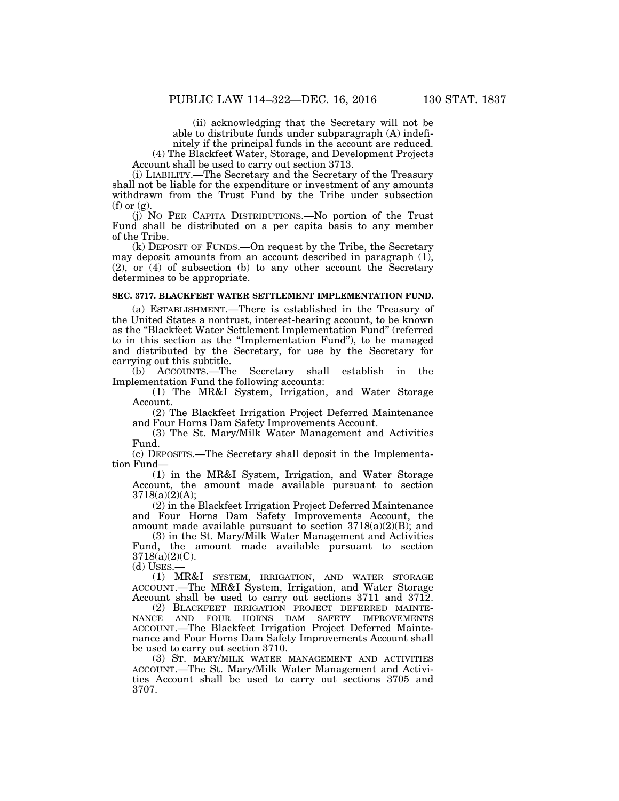(ii) acknowledging that the Secretary will not be able to distribute funds under subparagraph (A) indefinitely if the principal funds in the account are reduced.

(4) The Blackfeet Water, Storage, and Development Projects Account shall be used to carry out section 3713.

(i) LIABILITY.—The Secretary and the Secretary of the Treasury shall not be liable for the expenditure or investment of any amounts withdrawn from the Trust Fund by the Tribe under subsection (f) or  $(g)$ .

(j) NO PER CAPITA DISTRIBUTIONS.—No portion of the Trust Fund shall be distributed on a per capita basis to any member of the Tribe.

(k) DEPOSIT OF FUNDS.—On request by the Tribe, the Secretary may deposit amounts from an account described in paragraph (1), (2), or (4) of subsection (b) to any other account the Secretary determines to be appropriate.

## **SEC. 3717. BLACKFEET WATER SETTLEMENT IMPLEMENTATION FUND.**

(a) ESTABLISHMENT.—There is established in the Treasury of the United States a nontrust, interest-bearing account, to be known as the ''Blackfeet Water Settlement Implementation Fund'' (referred to in this section as the ''Implementation Fund''), to be managed and distributed by the Secretary, for use by the Secretary for carrying out this subtitle.<br>(b) ACCOUNTS.—The

Secretary shall establish in the Implementation Fund the following accounts:

(1) The MR&I System, Irrigation, and Water Storage Account.

(2) The Blackfeet Irrigation Project Deferred Maintenance and Four Horns Dam Safety Improvements Account.

(3) The St. Mary/Milk Water Management and Activities Fund.

(c) DEPOSITS.—The Secretary shall deposit in the Implementation Fund—

(1) in the MR&I System, Irrigation, and Water Storage Account, the amount made available pursuant to section  $3718(a)(2)(A);$ 

(2) in the Blackfeet Irrigation Project Deferred Maintenance and Four Horns Dam Safety Improvements Account, the amount made available pursuant to section 3718(a)(2)(B); and

(3) in the St. Mary/Milk Water Management and Activities Fund, the amount made available pursuant to section 3718(a)(2)(C).

 $(d)$  USES.

(1) MR&I SYSTEM, IRRIGATION, AND WATER STORAGE ACCOUNT.—The MR&I System, Irrigation, and Water Storage Account shall be used to carry out sections 3711 and 3712.

(2) BLACKFEET IRRIGATION PROJECT DEFERRED MAINTE-NANCE AND FOUR HORNS DAM SAFETY IMPROVEMENTS ACCOUNT.—The Blackfeet Irrigation Project Deferred Maintenance and Four Horns Dam Safety Improvements Account shall be used to carry out section 3710.

(3) ST. MARY/MILK WATER MANAGEMENT AND ACTIVITIES ACCOUNT.—The St. Mary/Milk Water Management and Activities Account shall be used to carry out sections 3705 and 3707.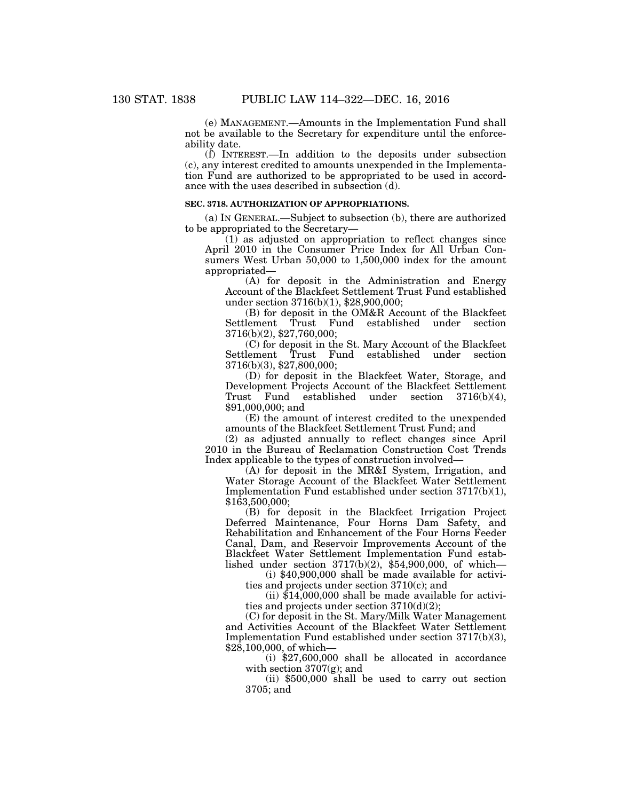(e) MANAGEMENT.—Amounts in the Implementation Fund shall not be available to the Secretary for expenditure until the enforceability date.

(f) INTEREST.—In addition to the deposits under subsection (c), any interest credited to amounts unexpended in the Implementation Fund are authorized to be appropriated to be used in accordance with the uses described in subsection (d).

## **SEC. 3718. AUTHORIZATION OF APPROPRIATIONS.**

(a) IN GENERAL.—Subject to subsection (b), there are authorized to be appropriated to the Secretary—

(1) as adjusted on appropriation to reflect changes since April 2010 in the Consumer Price Index for All Urban Consumers West Urban 50,000 to 1,500,000 index for the amount appropriated—

(A) for deposit in the Administration and Energy Account of the Blackfeet Settlement Trust Fund established under section 3716(b)(1), \$28,900,000;

(B) for deposit in the OM&R Account of the Blackfeet<br>Settlement Trust Fund established under section Trust Fund established under section 3716(b)(2), \$27,760,000;

(C) for deposit in the St. Mary Account of the Blackfeet Trust Fund established under 3716(b)(3), \$27,800,000;

(D) for deposit in the Blackfeet Water, Storage, and Development Projects Account of the Blackfeet Settlement Trust Fund established under section 3716(b)(4), \$91,000,000; and

(E) the amount of interest credited to the unexpended amounts of the Blackfeet Settlement Trust Fund; and

(2) as adjusted annually to reflect changes since April 2010 in the Bureau of Reclamation Construction Cost Trends Index applicable to the types of construction involved—

(A) for deposit in the MR&I System, Irrigation, and Water Storage Account of the Blackfeet Water Settlement Implementation Fund established under section 3717(b)(1), \$163,500,000;

(B) for deposit in the Blackfeet Irrigation Project Deferred Maintenance, Four Horns Dam Safety, and Rehabilitation and Enhancement of the Four Horns Feeder Canal, Dam, and Reservoir Improvements Account of the Blackfeet Water Settlement Implementation Fund established under section  $3717(b)(2)$ , \$54,900,000, of which—

(i) \$40,900,000 shall be made available for activities and projects under section 3710(c); and

(ii)  $$14,000,000$  shall be made available for activities and projects under section  $3710(d)(2)$ ;

(C) for deposit in the St. Mary/Milk Water Management and Activities Account of the Blackfeet Water Settlement Implementation Fund established under section 3717(b)(3), \$28,100,000, of which—

(i) \$27,600,000 shall be allocated in accordance with section  $3707(g)$ ; and

(ii) \$500,000 shall be used to carry out section 3705; and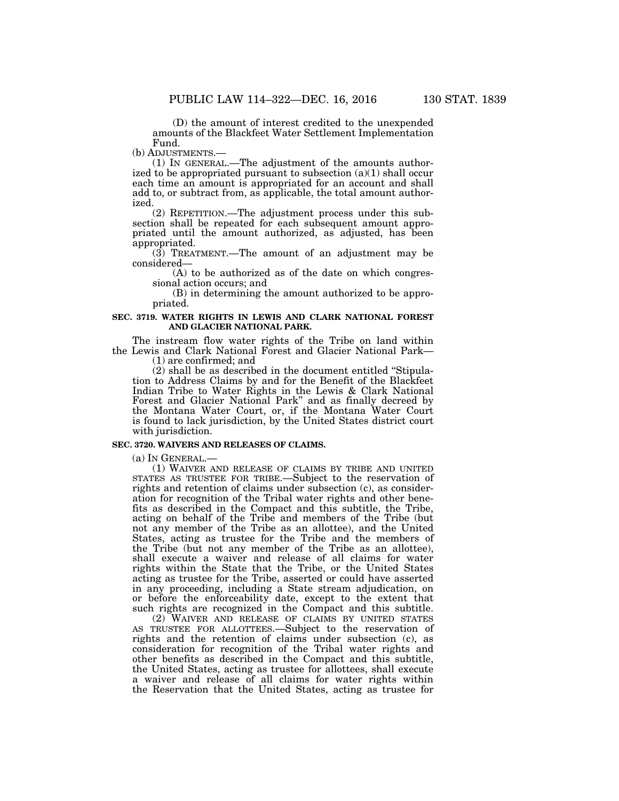(D) the amount of interest credited to the unexpended amounts of the Blackfeet Water Settlement Implementation Fund.

(b) ADJUSTMENTS.— (1) IN GENERAL.—The adjustment of the amounts authorized to be appropriated pursuant to subsection  $(a)(1)$  shall occur each time an amount is appropriated for an account and shall add to, or subtract from, as applicable, the total amount authorized.

(2) REPETITION.—The adjustment process under this subsection shall be repeated for each subsequent amount appropriated until the amount authorized, as adjusted, has been appropriated.

(3) TREATMENT.—The amount of an adjustment may be considered—

(A) to be authorized as of the date on which congressional action occurs; and

(B) in determining the amount authorized to be appropriated.

### **SEC. 3719. WATER RIGHTS IN LEWIS AND CLARK NATIONAL FOREST AND GLACIER NATIONAL PARK.**

The instream flow water rights of the Tribe on land within the Lewis and Clark National Forest and Glacier National Park— (1) are confirmed; and

(2) shall be as described in the document entitled ''Stipulation to Address Claims by and for the Benefit of the Blackfeet Indian Tribe to Water Rights in the Lewis & Clark National Forest and Glacier National Park'' and as finally decreed by the Montana Water Court, or, if the Montana Water Court is found to lack jurisdiction, by the United States district court with jurisdiction.

## **SEC. 3720. WAIVERS AND RELEASES OF CLAIMS.**

(a) IN GENERAL.— (1) WAIVER AND RELEASE OF CLAIMS BY TRIBE AND UNITED STATES AS TRUSTEE FOR TRIBE.—Subject to the reservation of rights and retention of claims under subsection (c), as consideration for recognition of the Tribal water rights and other benefits as described in the Compact and this subtitle, the Tribe, acting on behalf of the Tribe and members of the Tribe (but not any member of the Tribe as an allottee), and the United States, acting as trustee for the Tribe and the members of the Tribe (but not any member of the Tribe as an allottee), shall execute a waiver and release of all claims for water rights within the State that the Tribe, or the United States acting as trustee for the Tribe, asserted or could have asserted in any proceeding, including a State stream adjudication, on or before the enforceability date, except to the extent that such rights are recognized in the Compact and this subtitle.

(2) WAIVER AND RELEASE OF CLAIMS BY UNITED STATES AS TRUSTEE FOR ALLOTTEES.—Subject to the reservation of rights and the retention of claims under subsection (c), as consideration for recognition of the Tribal water rights and other benefits as described in the Compact and this subtitle, the United States, acting as trustee for allottees, shall execute a waiver and release of all claims for water rights within the Reservation that the United States, acting as trustee for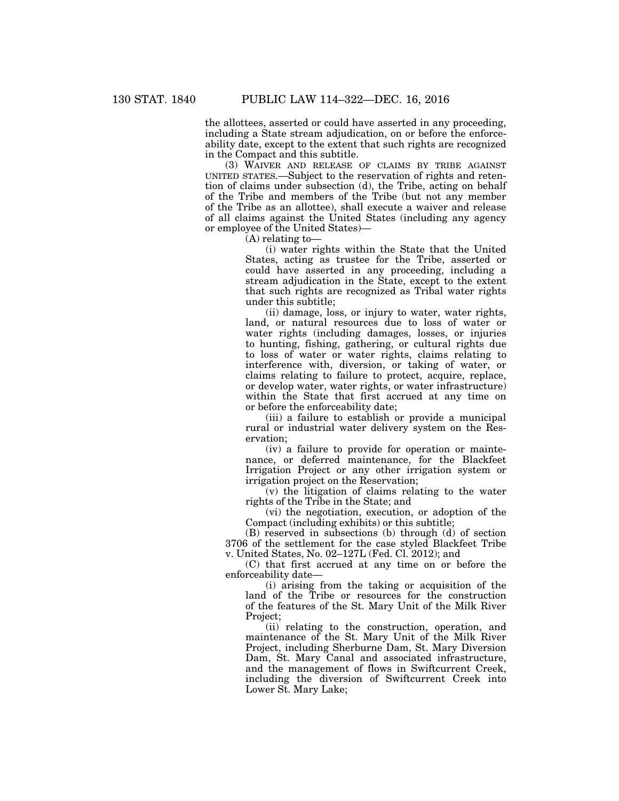the allottees, asserted or could have asserted in any proceeding, including a State stream adjudication, on or before the enforceability date, except to the extent that such rights are recognized in the Compact and this subtitle.

(3) WAIVER AND RELEASE OF CLAIMS BY TRIBE AGAINST UNITED STATES.—Subject to the reservation of rights and retention of claims under subsection (d), the Tribe, acting on behalf of the Tribe and members of the Tribe (but not any member of the Tribe as an allottee), shall execute a waiver and release of all claims against the United States (including any agency or employee of the United States)—

(A) relating to—

(i) water rights within the State that the United States, acting as trustee for the Tribe, asserted or could have asserted in any proceeding, including a stream adjudication in the State, except to the extent that such rights are recognized as Tribal water rights under this subtitle;

(ii) damage, loss, or injury to water, water rights, land, or natural resources due to loss of water or water rights (including damages, losses, or injuries to hunting, fishing, gathering, or cultural rights due to loss of water or water rights, claims relating to interference with, diversion, or taking of water, or claims relating to failure to protect, acquire, replace, or develop water, water rights, or water infrastructure) within the State that first accrued at any time on or before the enforceability date;

(iii) a failure to establish or provide a municipal rural or industrial water delivery system on the Reservation;

(iv) a failure to provide for operation or maintenance, or deferred maintenance, for the Blackfeet Irrigation Project or any other irrigation system or irrigation project on the Reservation;

(v) the litigation of claims relating to the water rights of the Tribe in the State; and

(vi) the negotiation, execution, or adoption of the Compact (including exhibits) or this subtitle;

(B) reserved in subsections (b) through (d) of section 3706 of the settlement for the case styled Blackfeet Tribe v. United States, No. 02–127L (Fed. Cl. 2012); and

(C) that first accrued at any time on or before the enforceability date—

(i) arising from the taking or acquisition of the land of the Tribe or resources for the construction of the features of the St. Mary Unit of the Milk River Project;

(ii) relating to the construction, operation, and maintenance of the St. Mary Unit of the Milk River Project, including Sherburne Dam, St. Mary Diversion Dam, St. Mary Canal and associated infrastructure, and the management of flows in Swiftcurrent Creek, including the diversion of Swiftcurrent Creek into Lower St. Mary Lake;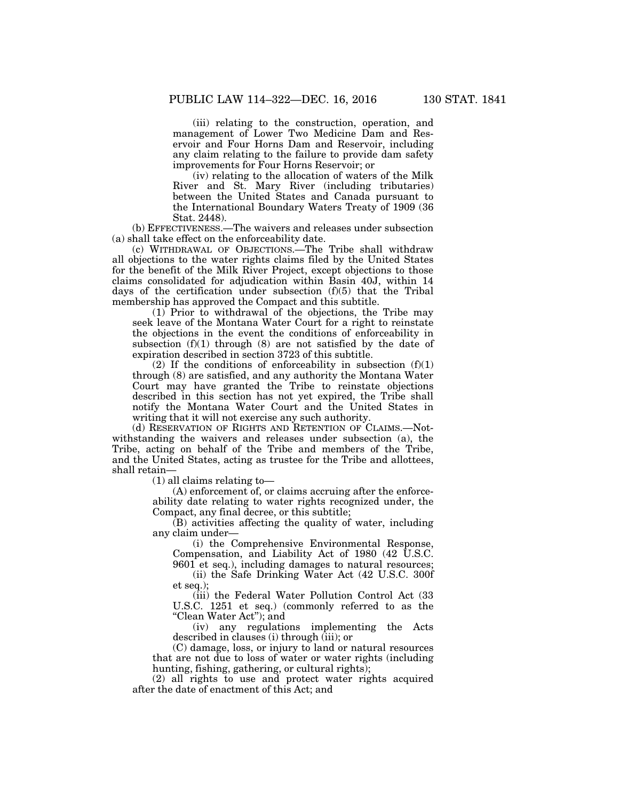(iii) relating to the construction, operation, and management of Lower Two Medicine Dam and Reservoir and Four Horns Dam and Reservoir, including any claim relating to the failure to provide dam safety improvements for Four Horns Reservoir; or

(iv) relating to the allocation of waters of the Milk River and St. Mary River (including tributaries) between the United States and Canada pursuant to the International Boundary Waters Treaty of 1909 (36 Stat. 2448).

(b) EFFECTIVENESS.—The waivers and releases under subsection (a) shall take effect on the enforceability date.

(c) WITHDRAWAL OF OBJECTIONS.—The Tribe shall withdraw all objections to the water rights claims filed by the United States for the benefit of the Milk River Project, except objections to those claims consolidated for adjudication within Basin 40J, within 14 days of the certification under subsection (f)(5) that the Tribal membership has approved the Compact and this subtitle.

(1) Prior to withdrawal of the objections, the Tribe may seek leave of the Montana Water Court for a right to reinstate the objections in the event the conditions of enforceability in subsection  $(f)(1)$  through  $(8)$  are not satisfied by the date of expiration described in section 3723 of this subtitle.

(2) If the conditions of enforceability in subsection  $(f)(1)$ through (8) are satisfied, and any authority the Montana Water Court may have granted the Tribe to reinstate objections described in this section has not yet expired, the Tribe shall notify the Montana Water Court and the United States in writing that it will not exercise any such authority.

(d) RESERVATION OF RIGHTS AND RETENTION OF CLAIMS.—Notwithstanding the waivers and releases under subsection (a), the Tribe, acting on behalf of the Tribe and members of the Tribe, and the United States, acting as trustee for the Tribe and allottees, shall retain—

(1) all claims relating to—

(A) enforcement of, or claims accruing after the enforceability date relating to water rights recognized under, the Compact, any final decree, or this subtitle;

(B) activities affecting the quality of water, including any claim under—

(i) the Comprehensive Environmental Response, Compensation, and Liability Act of 1980 (42 U.S.C. 9601 et seq.), including damages to natural resources;

(ii) the Safe Drinking Water Act (42 U.S.C. 300f et seq.);

(iii) the Federal Water Pollution Control Act (33 U.S.C. 1251 et seq.) (commonly referred to as the ''Clean Water Act''); and

(iv) any regulations implementing the Acts described in clauses (i) through (iii); or

(C) damage, loss, or injury to land or natural resources that are not due to loss of water or water rights (including hunting, fishing, gathering, or cultural rights);

(2) all rights to use and protect water rights acquired after the date of enactment of this Act; and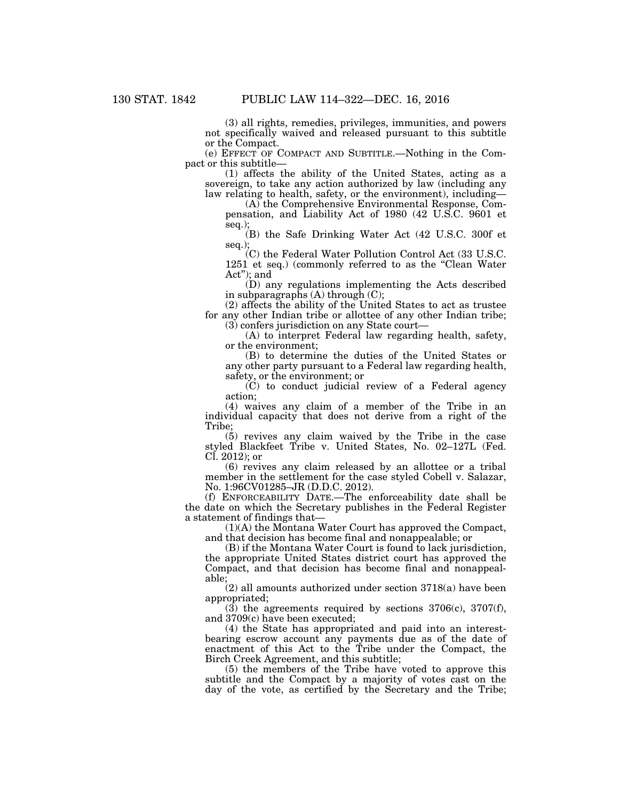(3) all rights, remedies, privileges, immunities, and powers not specifically waived and released pursuant to this subtitle or the Compact.

(e) EFFECT OF COMPACT AND SUBTITLE.—Nothing in the Compact or this subtitle—

(1) affects the ability of the United States, acting as a sovereign, to take any action authorized by law (including any law relating to health, safety, or the environment), including—

(A) the Comprehensive Environmental Response, Compensation, and Liability Act of 1980 (42 U.S.C. 9601 et seq.);

(B) the Safe Drinking Water Act (42 U.S.C. 300f et seq.);

(C) the Federal Water Pollution Control Act (33 U.S.C. 1251 et seq.) (commonly referred to as the "Clean Water Act''); and

(D) any regulations implementing the Acts described in subparagraphs (A) through (C);

(2) affects the ability of the United States to act as trustee for any other Indian tribe or allottee of any other Indian tribe; (3) confers jurisdiction on any State court—

(A) to interpret Federal law regarding health, safety, or the environment;

(B) to determine the duties of the United States or any other party pursuant to a Federal law regarding health, safety, or the environment; or

 $(C)$  to conduct judicial review of a Federal agency action;

(4) waives any claim of a member of the Tribe in an individual capacity that does not derive from a right of the Tribe;

(5) revives any claim waived by the Tribe in the case styled Blackfeet Tribe v. United States, No. 02–127L (Fed. Cl. 2012); or

(6) revives any claim released by an allottee or a tribal member in the settlement for the case styled Cobell v. Salazar, No. 1:96CV01285–JR (D.D.C. 2012).

(f) ENFORCEABILITY DATE.—The enforceability date shall be the date on which the Secretary publishes in the Federal Register a statement of findings that—

(1)(A) the Montana Water Court has approved the Compact, and that decision has become final and nonappealable; or

(B) if the Montana Water Court is found to lack jurisdiction, the appropriate United States district court has approved the Compact, and that decision has become final and nonappealable;

(2) all amounts authorized under section 3718(a) have been appropriated;

 $(3)$  the agreements required by sections 3706(c), 3707(f), and 3709(c) have been executed;

(4) the State has appropriated and paid into an interestbearing escrow account any payments due as of the date of enactment of this Act to the Tribe under the Compact, the Birch Creek Agreement, and this subtitle;

(5) the members of the Tribe have voted to approve this subtitle and the Compact by a majority of votes cast on the day of the vote, as certified by the Secretary and the Tribe;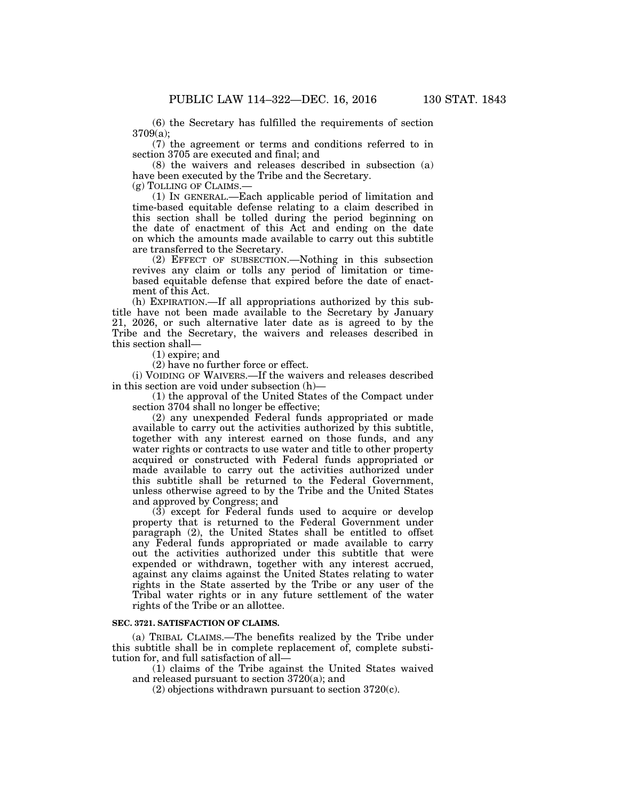(6) the Secretary has fulfilled the requirements of section 3709(a);

(7) the agreement or terms and conditions referred to in section 3705 are executed and final; and

(8) the waivers and releases described in subsection (a) have been executed by the Tribe and the Secretary.

(g) TOLLING OF CLAIMS.—

(1) IN GENERAL.—Each applicable period of limitation and time-based equitable defense relating to a claim described in this section shall be tolled during the period beginning on the date of enactment of this Act and ending on the date on which the amounts made available to carry out this subtitle are transferred to the Secretary.

(2) EFFECT OF SUBSECTION.—Nothing in this subsection revives any claim or tolls any period of limitation or timebased equitable defense that expired before the date of enactment of this Act.

(h) EXPIRATION.—If all appropriations authorized by this subtitle have not been made available to the Secretary by January 21, 2026, or such alternative later date as is agreed to by the Tribe and the Secretary, the waivers and releases described in this section shall—

(1) expire; and

(2) have no further force or effect.

(i) VOIDING OF WAIVERS.—If the waivers and releases described in this section are void under subsection (h)—

(1) the approval of the United States of the Compact under section 3704 shall no longer be effective;

(2) any unexpended Federal funds appropriated or made available to carry out the activities authorized by this subtitle, together with any interest earned on those funds, and any water rights or contracts to use water and title to other property acquired or constructed with Federal funds appropriated or made available to carry out the activities authorized under this subtitle shall be returned to the Federal Government, unless otherwise agreed to by the Tribe and the United States and approved by Congress; and

(3) except for Federal funds used to acquire or develop property that is returned to the Federal Government under paragraph (2), the United States shall be entitled to offset any Federal funds appropriated or made available to carry out the activities authorized under this subtitle that were expended or withdrawn, together with any interest accrued, against any claims against the United States relating to water rights in the State asserted by the Tribe or any user of the Tribal water rights or in any future settlement of the water rights of the Tribe or an allottee.

# **SEC. 3721. SATISFACTION OF CLAIMS.**

(a) TRIBAL CLAIMS.—The benefits realized by the Tribe under this subtitle shall be in complete replacement of, complete substitution for, and full satisfaction of all—

(1) claims of the Tribe against the United States waived and released pursuant to section 3720(a); and

(2) objections withdrawn pursuant to section 3720(c).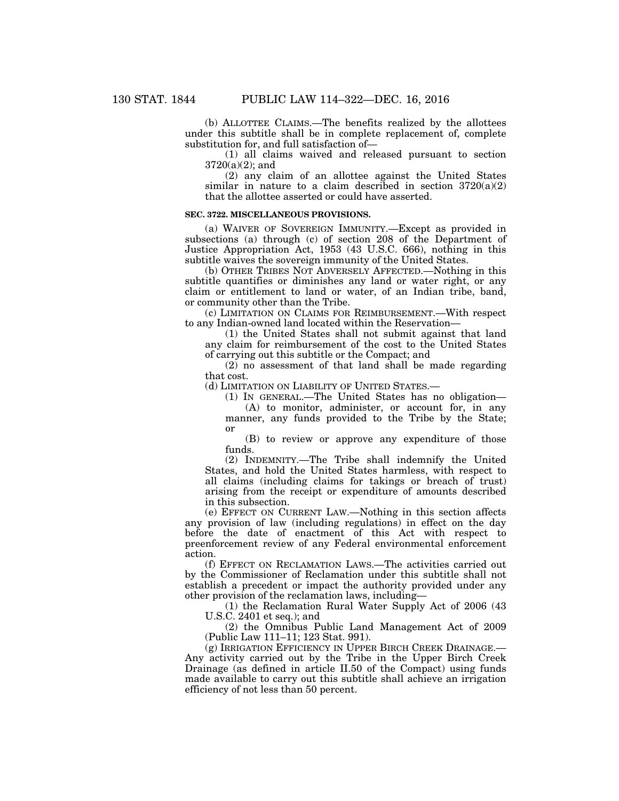(b) ALLOTTEE CLAIMS.—The benefits realized by the allottees under this subtitle shall be in complete replacement of, complete substitution for, and full satisfaction of—

(1) all claims waived and released pursuant to section 3720(a)(2); and

(2) any claim of an allottee against the United States similar in nature to a claim described in section  $3720(a)(2)$ that the allottee asserted or could have asserted.

# **SEC. 3722. MISCELLANEOUS PROVISIONS.**

(a) WAIVER OF SOVEREIGN IMMUNITY.—Except as provided in subsections (a) through (c) of section 208 of the Department of Justice Appropriation Act, 1953 (43 U.S.C. 666), nothing in this subtitle waives the sovereign immunity of the United States.

(b) OTHER TRIBES NOT ADVERSELY AFFECTED.—Nothing in this subtitle quantifies or diminishes any land or water right, or any claim or entitlement to land or water, of an Indian tribe, band, or community other than the Tribe.

(c) LIMITATION ON CLAIMS FOR REIMBURSEMENT.—With respect to any Indian-owned land located within the Reservation—

(1) the United States shall not submit against that land any claim for reimbursement of the cost to the United States of carrying out this subtitle or the Compact; and

(2) no assessment of that land shall be made regarding that cost.

(d) LIMITATION ON LIABILITY OF UNITED STATES.—

(1) IN GENERAL.—The United States has no obligation—

(A) to monitor, administer, or account for, in any manner, any funds provided to the Tribe by the State; or

(B) to review or approve any expenditure of those funds.

(2) INDEMNITY.—The Tribe shall indemnify the United States, and hold the United States harmless, with respect to all claims (including claims for takings or breach of trust) arising from the receipt or expenditure of amounts described in this subsection.

(e) EFFECT ON CURRENT LAW.—Nothing in this section affects any provision of law (including regulations) in effect on the day before the date of enactment of this Act with respect to preenforcement review of any Federal environmental enforcement action.

(f) EFFECT ON RECLAMATION LAWS.—The activities carried out by the Commissioner of Reclamation under this subtitle shall not establish a precedent or impact the authority provided under any other provision of the reclamation laws, including—

(1) the Reclamation Rural Water Supply Act of 2006 (43 U.S.C. 2401 et seq.); and

(2) the Omnibus Public Land Management Act of 2009 (Public Law 111–11; 123 Stat. 991).

(g) IRRIGATION EFFICIENCY IN UPPER BIRCH CREEK DRAINAGE.— Any activity carried out by the Tribe in the Upper Birch Creek

Drainage (as defined in article II.50 of the Compact) using funds made available to carry out this subtitle shall achieve an irrigation efficiency of not less than 50 percent.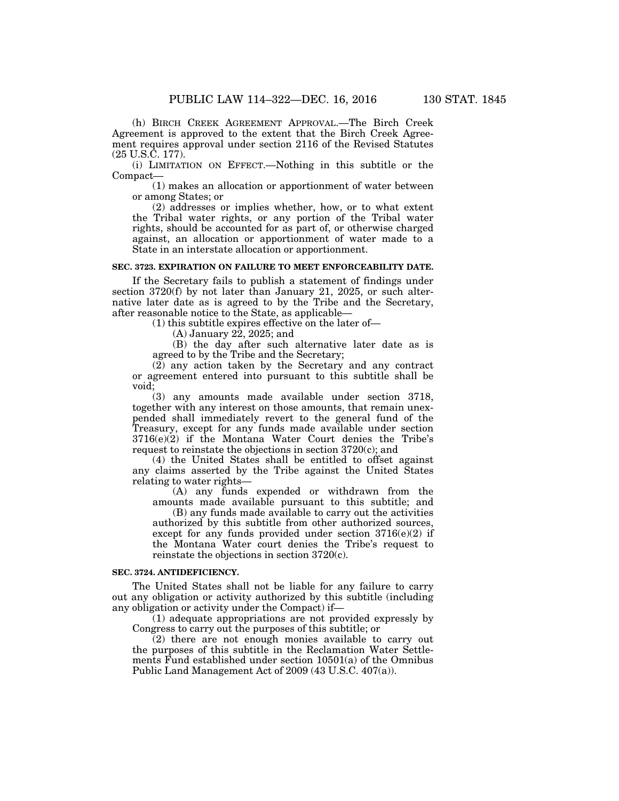(h) BIRCH CREEK AGREEMENT APPROVAL.—The Birch Creek Agreement is approved to the extent that the Birch Creek Agreement requires approval under section 2116 of the Revised Statutes (25 U.S.C. 177).

(i) LIMITATION ON EFFECT.—Nothing in this subtitle or the Compact—

(1) makes an allocation or apportionment of water between or among States; or

(2) addresses or implies whether, how, or to what extent the Tribal water rights, or any portion of the Tribal water rights, should be accounted for as part of, or otherwise charged against, an allocation or apportionment of water made to a State in an interstate allocation or apportionment.

## **SEC. 3723. EXPIRATION ON FAILURE TO MEET ENFORCEABILITY DATE.**

If the Secretary fails to publish a statement of findings under section 3720(f) by not later than January 21, 2025, or such alternative later date as is agreed to by the Tribe and the Secretary, after reasonable notice to the State, as applicable—

(1) this subtitle expires effective on the later of—

 $(A)$  January  $2\overline{2}$ ,  $2025$ ; and

(B) the day after such alternative later date as is agreed to by the Tribe and the Secretary;

(2) any action taken by the Secretary and any contract or agreement entered into pursuant to this subtitle shall be void;

(3) any amounts made available under section 3718, together with any interest on those amounts, that remain unexpended shall immediately revert to the general fund of the Treasury, except for any funds made available under section 3716(e)(2) if the Montana Water Court denies the Tribe's request to reinstate the objections in section 3720(c); and

(4) the United States shall be entitled to offset against any claims asserted by the Tribe against the United States relating to water rights—

(A) any funds expended or withdrawn from the amounts made available pursuant to this subtitle; and

(B) any funds made available to carry out the activities authorized by this subtitle from other authorized sources, except for any funds provided under section 3716(e)(2) if the Montana Water court denies the Tribe's request to reinstate the objections in section 3720(c).

### **SEC. 3724. ANTIDEFICIENCY.**

The United States shall not be liable for any failure to carry out any obligation or activity authorized by this subtitle (including any obligation or activity under the Compact) if—

(1) adequate appropriations are not provided expressly by Congress to carry out the purposes of this subtitle; or

(2) there are not enough monies available to carry out the purposes of this subtitle in the Reclamation Water Settlements Fund established under section 10501(a) of the Omnibus Public Land Management Act of 2009 (43 U.S.C. 407(a)).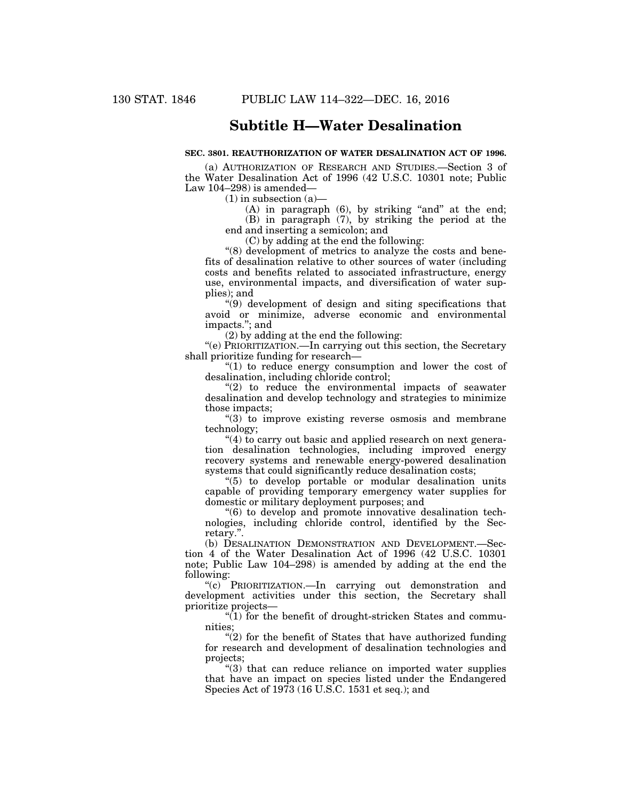# **Subtitle H—Water Desalination**

## **SEC. 3801. REAUTHORIZATION OF WATER DESALINATION ACT OF 1996.**

(a) AUTHORIZATION OF RESEARCH AND STUDIES.—Section 3 of the Water Desalination Act of 1996 (42 U.S.C. 10301 note; Public Law 104–298) is amended—

 $(1)$  in subsection  $(a)$ —

 $(A)$  in paragraph  $(6)$ , by striking "and" at the end; (B) in paragraph (7), by striking the period at the end and inserting a semicolon; and

(C) by adding at the end the following:

''(8) development of metrics to analyze the costs and benefits of desalination relative to other sources of water (including costs and benefits related to associated infrastructure, energy use, environmental impacts, and diversification of water supplies); and

''(9) development of design and siting specifications that avoid or minimize, adverse economic and environmental impacts."; and

(2) by adding at the end the following:

''(e) PRIORITIZATION.—In carrying out this section, the Secretary shall prioritize funding for research—

"(1) to reduce energy consumption and lower the cost of desalination, including chloride control;

" $(2)$  to reduce the environmental impacts of seawater desalination and develop technology and strategies to minimize those impacts;

''(3) to improve existing reverse osmosis and membrane technology;

"(4) to carry out basic and applied research on next generation desalination technologies, including improved energy recovery systems and renewable energy-powered desalination systems that could significantly reduce desalination costs;

''(5) to develop portable or modular desalination units capable of providing temporary emergency water supplies for domestic or military deployment purposes; and

''(6) to develop and promote innovative desalination technologies, including chloride control, identified by the Secretary.''.

(b) DESALINATION DEMONSTRATION AND DEVELOPMENT.—Section 4 of the Water Desalination Act of 1996 (42 U.S.C. 10301 note; Public Law 104–298) is amended by adding at the end the following:

"(c) PRIORITIZATION.—In carrying out demonstration and development activities under this section, the Secretary shall prioritize projects—

 $\sqrt{\hat{1}}$ ) for the benefit of drought-stricken States and communities;

" $(2)$  for the benefit of States that have authorized funding for research and development of desalination technologies and projects;

"(3) that can reduce reliance on imported water supplies that have an impact on species listed under the Endangered Species Act of 1973 (16 U.S.C. 1531 et seq.); and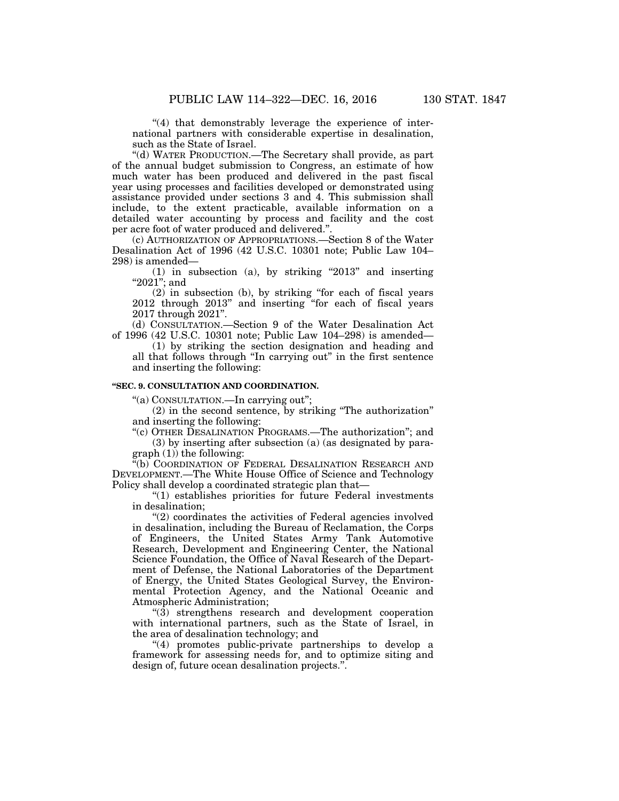"(4) that demonstrably leverage the experience of international partners with considerable expertise in desalination, such as the State of Israel.

''(d) WATER PRODUCTION.—The Secretary shall provide, as part of the annual budget submission to Congress, an estimate of how much water has been produced and delivered in the past fiscal year using processes and facilities developed or demonstrated using assistance provided under sections 3 and 4. This submission shall include, to the extent practicable, available information on a detailed water accounting by process and facility and the cost per acre foot of water produced and delivered.''.

(c) AUTHORIZATION OF APPROPRIATIONS.—Section 8 of the Water Desalination Act of 1996 (42 U.S.C. 10301 note; Public Law 104– 298) is amended—

(1) in subsection (a), by striking ''2013'' and inserting "2021"; and

(2) in subsection (b), by striking ''for each of fiscal years 2012 through 2013'' and inserting ''for each of fiscal years 2017 through 2021''.

(d) CONSULTATION.—Section 9 of the Water Desalination Act of 1996 (42 U.S.C. 10301 note; Public Law 104–298) is amended—

(1) by striking the section designation and heading and all that follows through ''In carrying out'' in the first sentence and inserting the following:

#### **''SEC. 9. CONSULTATION AND COORDINATION.**

''(a) CONSULTATION.—In carrying out'';

(2) in the second sentence, by striking ''The authorization'' and inserting the following:

"(c) OTHER DESALINATION PROGRAMS.—The authorization"; and (3) by inserting after subsection (a) (as designated by paragraph (1)) the following:

''(b) COORDINATION OF FEDERAL DESALINATION RESEARCH AND DEVELOPMENT.—The White House Office of Science and Technology Policy shall develop a coordinated strategic plan that—

''(1) establishes priorities for future Federal investments in desalination;

"(2) coordinates the activities of Federal agencies involved in desalination, including the Bureau of Reclamation, the Corps of Engineers, the United States Army Tank Automotive Research, Development and Engineering Center, the National Science Foundation, the Office of Naval Research of the Department of Defense, the National Laboratories of the Department of Energy, the United States Geological Survey, the Environmental Protection Agency, and the National Oceanic and Atmospheric Administration;

 $\degree$ (3) strengthens research and development cooperation with international partners, such as the State of Israel, in the area of desalination technology; and

"(4) promotes public-private partnerships to develop a framework for assessing needs for, and to optimize siting and design of, future ocean desalination projects.''.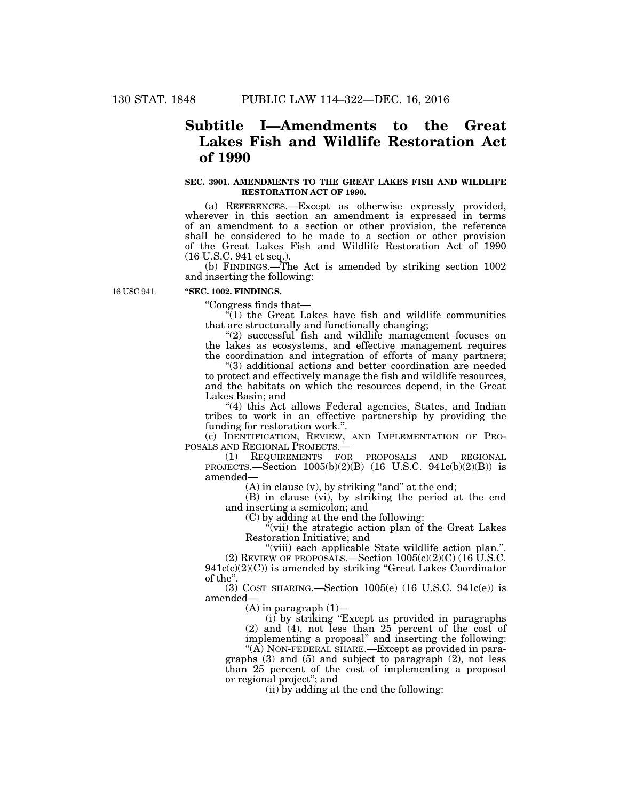# **Subtitle I—Amendments to the Great Lakes Fish and Wildlife Restoration Act of 1990**

## **SEC. 3901. AMENDMENTS TO THE GREAT LAKES FISH AND WILDLIFE RESTORATION ACT OF 1990.**

(a) REFERENCES.—Except as otherwise expressly provided, wherever in this section an amendment is expressed in terms of an amendment to a section or other provision, the reference shall be considered to be made to a section or other provision of the Great Lakes Fish and Wildlife Restoration Act of 1990 (16 U.S.C. 941 et seq.).

(b) FINDINGS.—The Act is amended by striking section 1002 and inserting the following:

16 USC 941.

### **''SEC. 1002. FINDINGS.**

''Congress finds that—

 $\sqrt{1}$ ) the Great Lakes have fish and wildlife communities that are structurally and functionally changing;

"(2) successful fish and wildlife management focuses on the lakes as ecosystems, and effective management requires the coordination and integration of efforts of many partners;

''(3) additional actions and better coordination are needed to protect and effectively manage the fish and wildlife resources, and the habitats on which the resources depend, in the Great Lakes Basin; and

''(4) this Act allows Federal agencies, States, and Indian tribes to work in an effective partnership by providing the funding for restoration work.''.

(c) IDENTIFICATION, REVIEW, AND IMPLEMENTATION OF PRO-POSALS AND REGIONAL PROJECTS.

(1) REQUIREMENTS FOR PROPOSALS AND REGIONAL PROJECTS.—Section  $1005(b)(2)(B)$  (16 U.S.C. 941c(b)(2)(B)) is amended—

 $(A)$  in clause  $(v)$ , by striking "and" at the end;

(B) in clause (vi), by striking the period at the end and inserting a semicolon; and

(C) by adding at the end the following:

 $\ddot{N}$ (vii) the strategic action plan of the Great Lakes Restoration Initiative; and

''(viii) each applicable State wildlife action plan.''. (2) REVIEW OF PROPOSALS.—Section  $1005(c)(2)(C)$  (16 U.S.C.  $941c(c)(2)(C)$  is amended by striking "Great Lakes Coordinator" of the''.

(3) COST SHARING.—Section 1005(e) (16 U.S.C. 941c(e)) is amended—

 $(A)$  in paragraph  $(1)$ —

(i) by striking ''Except as provided in paragraphs (2) and (4), not less than 25 percent of the cost of implementing a proposal'' and inserting the following:

 $\mathcal{H}(A)$  NON-FEDERAL SHARE.—Except as provided in paragraphs  $(3)$  and  $(5)$  and subject to paragraph  $(2)$ , not less than 25 percent of the cost of implementing a proposal or regional project''; and

(ii) by adding at the end the following: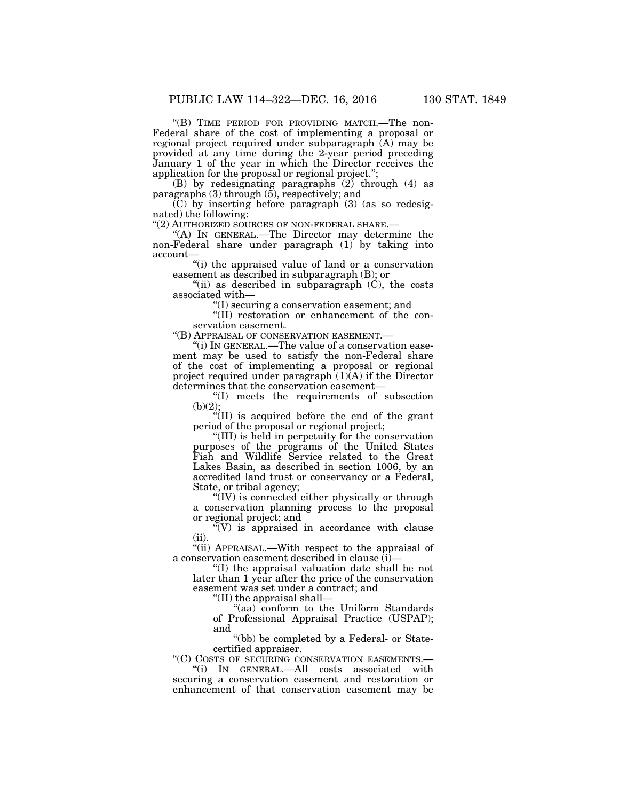''(B) TIME PERIOD FOR PROVIDING MATCH.—The non-Federal share of the cost of implementing a proposal or regional project required under subparagraph (A) may be provided at any time during the 2-year period preceding January 1 of the year in which the Director receives the application for the proposal or regional project.'';

(B) by redesignating paragraphs (2) through (4) as paragraphs  $(3)$  through  $(5)$ , respectively; and

 $(C)$  by inserting before paragraph  $(3)$  (as so redesignated) the following:<br>"(2) AUTHORIZED SOURCES OF NON-FEDERAL SHARE.—

"(A) IN GENERAL.—The Director may determine the non-Federal share under paragraph (1) by taking into account—

''(i) the appraised value of land or a conservation easement as described in subparagraph (B); or

"(ii) as described in subparagraph  $(C)$ , the costs associated with—

''(I) securing a conservation easement; and

''(II) restoration or enhancement of the conservation easement.

''(B) APPRAISAL OF CONSERVATION EASEMENT.—

'(i) IN GENERAL.—The value of a conservation easement may be used to satisfy the non-Federal share of the cost of implementing a proposal or regional project required under paragraph  $(1)(A)$  if the Director determines that the conservation easement—

''(I) meets the requirements of subsection  $(b)(2);$ 

''(II) is acquired before the end of the grant period of the proposal or regional project;

''(III) is held in perpetuity for the conservation purposes of the programs of the United States Fish and Wildlife Service related to the Great Lakes Basin, as described in section 1006, by an accredited land trust or conservancy or a Federal, State, or tribal agency;

''(IV) is connected either physically or through a conservation planning process to the proposal or regional project; and

 $(V)$  is appraised in accordance with clause (ii).

''(ii) APPRAISAL.—With respect to the appraisal of a conservation easement described in clause  $\overline{(\mathbf{i})}$ 

''(I) the appraisal valuation date shall be not later than 1 year after the price of the conservation easement was set under a contract; and

''(II) the appraisal shall—

''(aa) conform to the Uniform Standards of Professional Appraisal Practice (USPAP); and

"(bb) be completed by a Federal- or Statecertified appraiser.

''(C) COSTS OF SECURING CONSERVATION EASEMENTS.—

''(i) IN GENERAL.—All costs associated with securing a conservation easement and restoration or enhancement of that conservation easement may be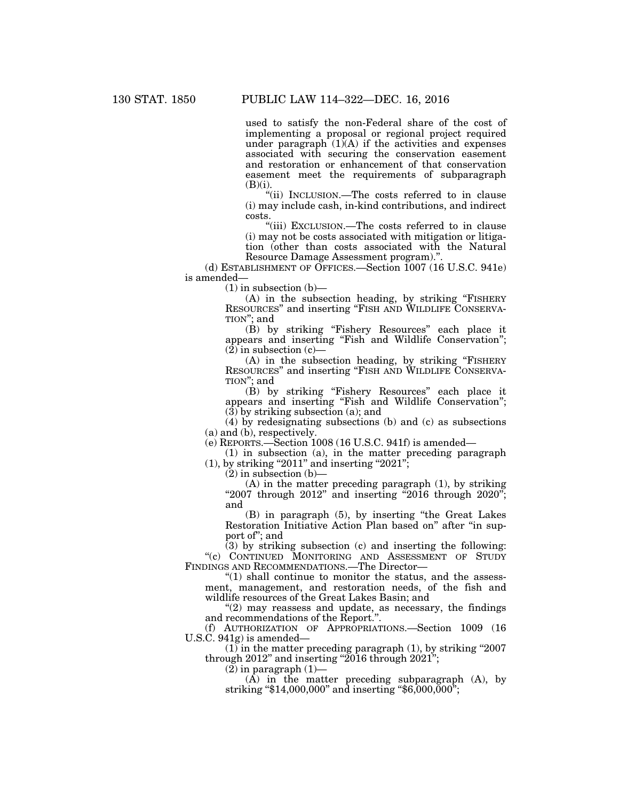used to satisfy the non-Federal share of the cost of implementing a proposal or regional project required under paragraph  $(1)(A)$  if the activities and expenses associated with securing the conservation easement and restoration or enhancement of that conservation easement meet the requirements of subparagraph (B)(i).

''(ii) INCLUSION.—The costs referred to in clause (i) may include cash, in-kind contributions, and indirect costs.

''(iii) EXCLUSION.—The costs referred to in clause (i) may not be costs associated with mitigation or litigation (other than costs associated with the Natural Resource Damage Assessment program).''.

(d) ESTABLISHMENT OF OFFICES.—Section 1007 (16 U.S.C. 941e) is amended—

 $(1)$  in subsection  $(b)$ —

(A) in the subsection heading, by striking ''FISHERY RESOURCES" and inserting "FISH AND WILDLIFE CONSERVA-TION''; and

(B) by striking ''Fishery Resources'' each place it appears and inserting "Fish and Wildlife Conservation";  $(2)$  in subsection  $(c)$ —

(A) in the subsection heading, by striking ''FISHERY RESOURCES'' and inserting ''FISH AND WILDLIFE CONSERVA-TION''; and

(B) by striking ''Fishery Resources'' each place it appears and inserting "Fish and Wildlife Conservation";  $(3)$  by striking subsection (a); and

(4) by redesignating subsections (b) and (c) as subsections (a) and (b), respectively.

 $(e)$  REPORTS.—Section 1008 (16 U.S.C. 941f) is amended—

(1) in subsection (a), in the matter preceding paragraph  $(1)$ , by striking "2011" and inserting "2021";

 $(2)$  in subsection  $(b)$ —

(A) in the matter preceding paragraph (1), by striking " $2007$  through  $2012$ " and inserting " $2016$  through  $2020$ "; and

(B) in paragraph (5), by inserting ''the Great Lakes Restoration Initiative Action Plan based on'' after ''in support of''; and

(3) by striking subsection (c) and inserting the following: ''(c) CONTINUED MONITORING AND ASSESSMENT OF STUDY FINDINGS AND RECOMMENDATIONS.—The Director—

''(1) shall continue to monitor the status, and the assessment, management, and restoration needs, of the fish and wildlife resources of the Great Lakes Basin; and

" $(2)$  may reassess and update, as necessary, the findings and recommendations of the Report.''.

(f) AUTHORIZATION OF APPROPRIATIONS.—Section 1009 (16 U.S.C. 941g) is amended—

 $(1)$  in the matter preceding paragraph  $(1)$ , by striking "2007" through  $2012$ " and inserting " $2016$  through  $2021$ ";

 $(2)$  in paragraph  $(1)$ —

(A) in the matter preceding subparagraph (A), by striking " $$14,000,000$ " and inserting " $$6,000,000$ ";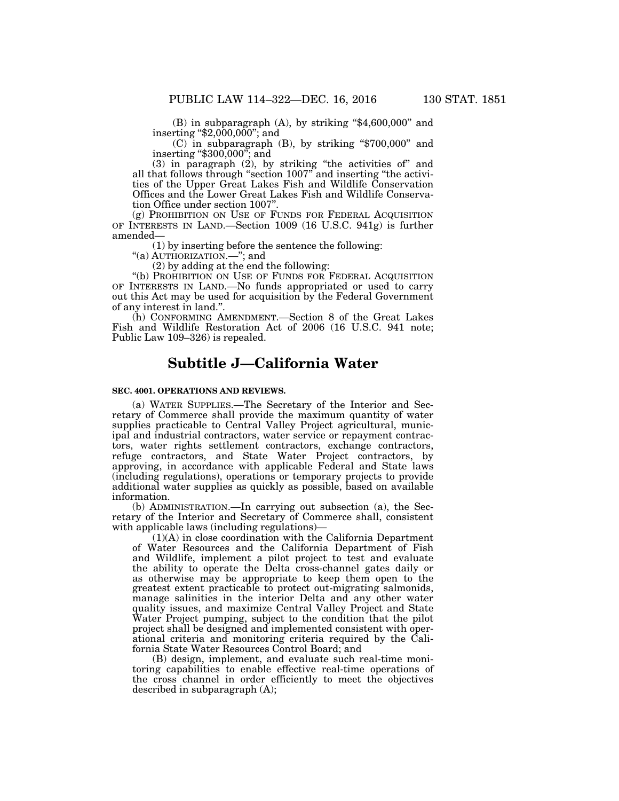(B) in subparagraph (A), by striking ''\$4,600,000'' and inserting "\$2,000,000"; and

(C) in subparagraph (B), by striking ''\$700,000'' and inserting ''\$300,000''; and

(3) in paragraph (2), by striking ''the activities of'' and all that follows through ''section 1007'' and inserting ''the activities of the Upper Great Lakes Fish and Wildlife Conservation Offices and the Lower Great Lakes Fish and Wildlife Conservation Office under section 1007''.

(g) PROHIBITION ON USE OF FUNDS FOR FEDERAL ACQUISITION OF INTERESTS IN LAND.—Section 1009 (16 U.S.C. 941g) is further amended—

(1) by inserting before the sentence the following:

"(a)  $\overrightarrow{\text{AUTHORIZATION}}$ ."; and

(2) by adding at the end the following:

"(b) PROHIBITION ON USE OF FUNDS FOR FEDERAL ACQUISITION OF INTERESTS IN LAND.—No funds appropriated or used to carry out this Act may be used for acquisition by the Federal Government of any interest in land.''.

(h) CONFORMING AMENDMENT.—Section 8 of the Great Lakes Fish and Wildlife Restoration Act of 2006 (16 U.S.C. 941 note; Public Law 109–326) is repealed.

# **Subtitle J—California Water**

## **SEC. 4001. OPERATIONS AND REVIEWS.**

(a) WATER SUPPLIES.—The Secretary of the Interior and Secretary of Commerce shall provide the maximum quantity of water supplies practicable to Central Valley Project agricultural, municipal and industrial contractors, water service or repayment contractors, water rights settlement contractors, exchange contractors, refuge contractors, and State Water Project contractors, by approving, in accordance with applicable Federal and State laws (including regulations), operations or temporary projects to provide additional water supplies as quickly as possible, based on available information.

(b) ADMINISTRATION.—In carrying out subsection (a), the Secretary of the Interior and Secretary of Commerce shall, consistent with applicable laws (including regulations)—

(1)(A) in close coordination with the California Department of Water Resources and the California Department of Fish and Wildlife, implement a pilot project to test and evaluate the ability to operate the Delta cross-channel gates daily or as otherwise may be appropriate to keep them open to the greatest extent practicable to protect out-migrating salmonids, manage salinities in the interior Delta and any other water quality issues, and maximize Central Valley Project and State Water Project pumping, subject to the condition that the pilot project shall be designed and implemented consistent with operational criteria and monitoring criteria required by the California State Water Resources Control Board; and

(B) design, implement, and evaluate such real-time monitoring capabilities to enable effective real-time operations of the cross channel in order efficiently to meet the objectives described in subparagraph (A);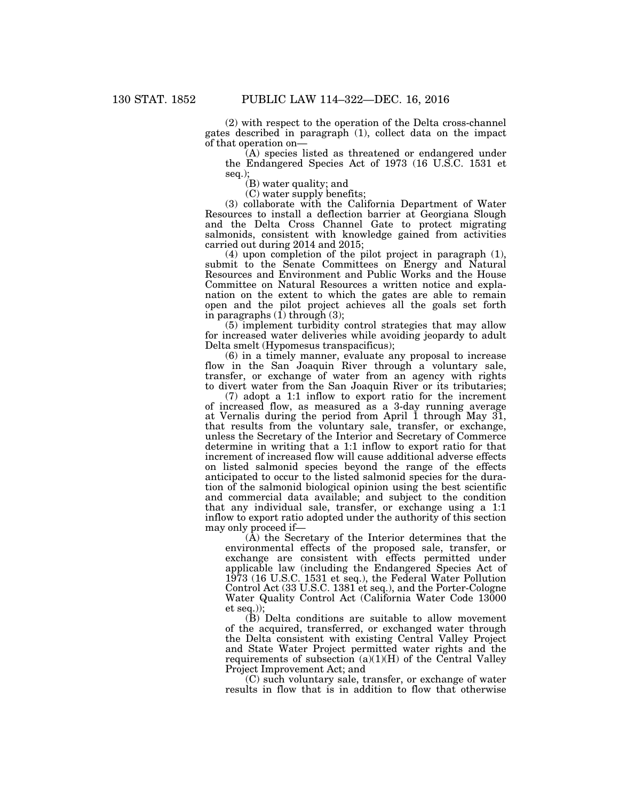(2) with respect to the operation of the Delta cross-channel gates described in paragraph (1), collect data on the impact of that operation on—

(A) species listed as threatened or endangered under the Endangered Species Act of 1973 (16 U.S.C. 1531 et seq.);

(B) water quality; and

(C) water supply benefits;

(3) collaborate with the California Department of Water Resources to install a deflection barrier at Georgiana Slough and the Delta Cross Channel Gate to protect migrating salmonids, consistent with knowledge gained from activities carried out during 2014 and 2015;

(4) upon completion of the pilot project in paragraph (1), submit to the Senate Committees on Energy and Natural Resources and Environment and Public Works and the House Committee on Natural Resources a written notice and explanation on the extent to which the gates are able to remain open and the pilot project achieves all the goals set forth in paragraphs  $(I)$  through  $(3)$ ;

(5) implement turbidity control strategies that may allow for increased water deliveries while avoiding jeopardy to adult Delta smelt (Hypomesus transpacificus);

(6) in a timely manner, evaluate any proposal to increase flow in the San Joaquin River through a voluntary sale, transfer, or exchange of water from an agency with rights to divert water from the San Joaquin River or its tributaries;

(7) adopt a 1:1 inflow to export ratio for the increment of increased flow, as measured as a 3-day running average at Vernalis during the period from April 1 through May 31, that results from the voluntary sale, transfer, or exchange, unless the Secretary of the Interior and Secretary of Commerce determine in writing that a 1:1 inflow to export ratio for that increment of increased flow will cause additional adverse effects on listed salmonid species beyond the range of the effects anticipated to occur to the listed salmonid species for the duration of the salmonid biological opinion using the best scientific and commercial data available; and subject to the condition that any individual sale, transfer, or exchange using a 1:1 inflow to export ratio adopted under the authority of this section may only proceed if—

(A) the Secretary of the Interior determines that the environmental effects of the proposed sale, transfer, or exchange are consistent with effects permitted under applicable law (including the Endangered Species Act of 1973 (16 U.S.C. 1531 et seq.), the Federal Water Pollution Control Act (33 U.S.C. 1381 et seq.), and the Porter-Cologne Water Quality Control Act (California Water Code 13000 et seq.));

(B) Delta conditions are suitable to allow movement of the acquired, transferred, or exchanged water through the Delta consistent with existing Central Valley Project and State Water Project permitted water rights and the requirements of subsection  $(a)(1)(H)$  of the Central Valley Project Improvement Act; and

(C) such voluntary sale, transfer, or exchange of water results in flow that is in addition to flow that otherwise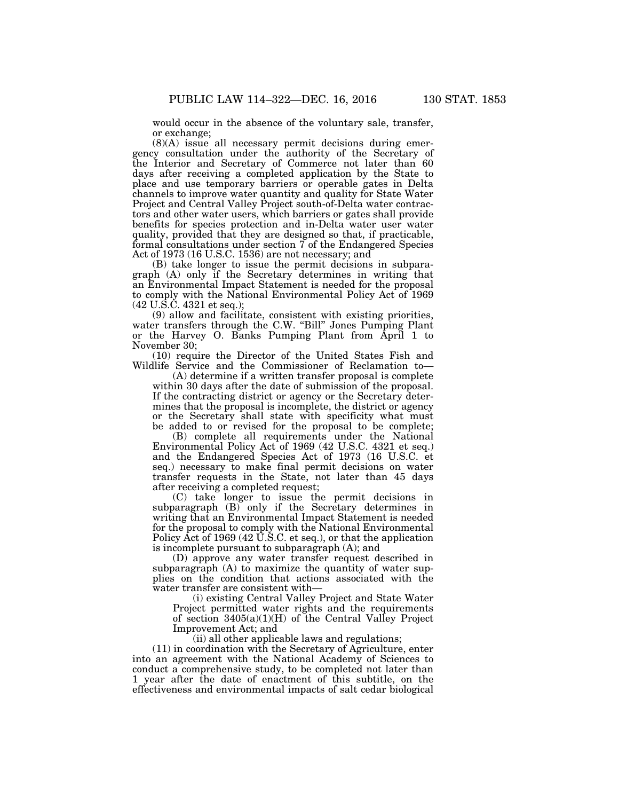would occur in the absence of the voluntary sale, transfer, or exchange;

(8)(A) issue all necessary permit decisions during emergency consultation under the authority of the Secretary of the Interior and Secretary of Commerce not later than 60 days after receiving a completed application by the State to place and use temporary barriers or operable gates in Delta channels to improve water quantity and quality for State Water Project and Central Valley Project south-of-Delta water contractors and other water users, which barriers or gates shall provide benefits for species protection and in-Delta water user water quality, provided that they are designed so that, if practicable, formal consultations under section  $\overline{7}$  of the Endangered Species Act of 1973 (16 U.S.C. 1536) are not necessary; and

(B) take longer to issue the permit decisions in subparagraph (A) only if the Secretary determines in writing that an Environmental Impact Statement is needed for the proposal to comply with the National Environmental Policy Act of 1969 (42 U.S.C. 4321 et seq.);

(9) allow and facilitate, consistent with existing priorities, water transfers through the C.W. "Bill" Jones Pumping Plant or the Harvey O. Banks Pumping Plant from April 1 to November 30;

(10) require the Director of the United States Fish and Wildlife Service and the Commissioner of Reclamation to—

(A) determine if a written transfer proposal is complete within 30 days after the date of submission of the proposal. If the contracting district or agency or the Secretary determines that the proposal is incomplete, the district or agency or the Secretary shall state with specificity what must be added to or revised for the proposal to be complete;

(B) complete all requirements under the National Environmental Policy Act of 1969 (42 U.S.C. 4321 et seq.) and the Endangered Species Act of 1973 (16 U.S.C. et seq.) necessary to make final permit decisions on water transfer requests in the State, not later than 45 days after receiving a completed request;

(C) take longer to issue the permit decisions in subparagraph (B) only if the Secretary determines in writing that an Environmental Impact Statement is needed for the proposal to comply with the National Environmental Policy Act of 1969 (42 U.S.C. et seq.), or that the application is incomplete pursuant to subparagraph (A); and

(D) approve any water transfer request described in subparagraph (A) to maximize the quantity of water supplies on the condition that actions associated with the water transfer are consistent with—

(i) existing Central Valley Project and State Water Project permitted water rights and the requirements of section  $3405(a)(1)(H)$  of the Central Valley Project Improvement Act; and

(ii) all other applicable laws and regulations;

(11) in coordination with the Secretary of Agriculture, enter into an agreement with the National Academy of Sciences to conduct a comprehensive study, to be completed not later than 1 year after the date of enactment of this subtitle, on the effectiveness and environmental impacts of salt cedar biological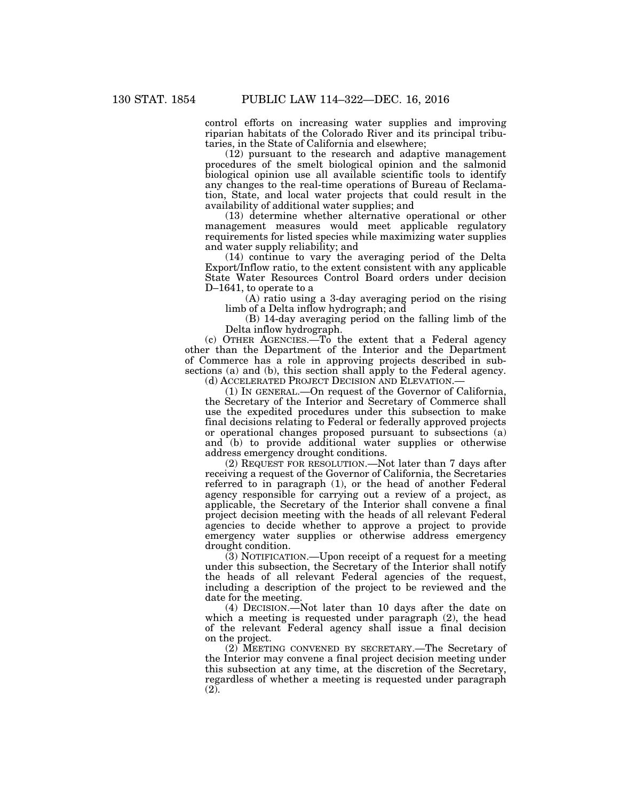control efforts on increasing water supplies and improving riparian habitats of the Colorado River and its principal tributaries, in the State of California and elsewhere;

(12) pursuant to the research and adaptive management procedures of the smelt biological opinion and the salmonid biological opinion use all available scientific tools to identify any changes to the real-time operations of Bureau of Reclamation, State, and local water projects that could result in the availability of additional water supplies; and

(13) determine whether alternative operational or other management measures would meet applicable regulatory requirements for listed species while maximizing water supplies and water supply reliability; and

(14) continue to vary the averaging period of the Delta Export/Inflow ratio, to the extent consistent with any applicable State Water Resources Control Board orders under decision D–1641, to operate to a

(A) ratio using a 3-day averaging period on the rising limb of a Delta inflow hydrograph; and

(B) 14-day averaging period on the falling limb of the Delta inflow hydrograph.

(c) OTHER AGENCIES.—To the extent that a Federal agency other than the Department of the Interior and the Department of Commerce has a role in approving projects described in subsections (a) and (b), this section shall apply to the Federal agency.

(d) ACCELERATED PROJECT DECISION AND ELEVATION.—

(1) IN GENERAL.—On request of the Governor of California, the Secretary of the Interior and Secretary of Commerce shall use the expedited procedures under this subsection to make final decisions relating to Federal or federally approved projects or operational changes proposed pursuant to subsections (a) and (b) to provide additional water supplies or otherwise address emergency drought conditions.

(2) REQUEST FOR RESOLUTION.—Not later than 7 days after receiving a request of the Governor of California, the Secretaries referred to in paragraph (1), or the head of another Federal agency responsible for carrying out a review of a project, as applicable, the Secretary of the Interior shall convene a final project decision meeting with the heads of all relevant Federal agencies to decide whether to approve a project to provide emergency water supplies or otherwise address emergency drought condition.

(3) NOTIFICATION.—Upon receipt of a request for a meeting under this subsection, the Secretary of the Interior shall notify the heads of all relevant Federal agencies of the request, including a description of the project to be reviewed and the date for the meeting.

(4) DECISION.—Not later than 10 days after the date on which a meeting is requested under paragraph (2), the head of the relevant Federal agency shall issue a final decision on the project.

(2) MEETING CONVENED BY SECRETARY.—The Secretary of the Interior may convene a final project decision meeting under this subsection at any time, at the discretion of the Secretary, regardless of whether a meeting is requested under paragraph  $(2)$ .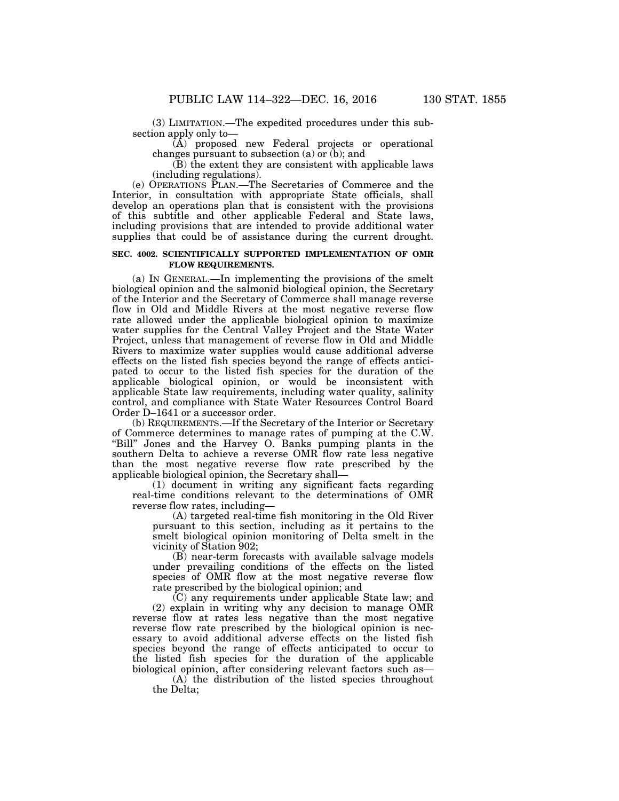(3) LIMITATION.—The expedited procedures under this subsection apply only to—

(A) proposed new Federal projects or operational changes pursuant to subsection (a) or (b); and

(B) the extent they are consistent with applicable laws (including regulations).

(e) OPERATIONS PLAN.—The Secretaries of Commerce and the Interior, in consultation with appropriate State officials, shall develop an operations plan that is consistent with the provisions of this subtitle and other applicable Federal and State laws, including provisions that are intended to provide additional water supplies that could be of assistance during the current drought.

### **SEC. 4002. SCIENTIFICALLY SUPPORTED IMPLEMENTATION OF OMR FLOW REQUIREMENTS.**

(a) IN GENERAL.—In implementing the provisions of the smelt biological opinion and the salmonid biological opinion, the Secretary of the Interior and the Secretary of Commerce shall manage reverse flow in Old and Middle Rivers at the most negative reverse flow rate allowed under the applicable biological opinion to maximize water supplies for the Central Valley Project and the State Water Project, unless that management of reverse flow in Old and Middle Rivers to maximize water supplies would cause additional adverse effects on the listed fish species beyond the range of effects anticipated to occur to the listed fish species for the duration of the applicable biological opinion, or would be inconsistent with applicable State law requirements, including water quality, salinity control, and compliance with State Water Resources Control Board Order D–1641 or a successor order.

(b) REQUIREMENTS.—If the Secretary of the Interior or Secretary of Commerce determines to manage rates of pumping at the C.W. "Bill" Jones and the Harvey O. Banks pumping plants in the southern Delta to achieve a reverse OMR flow rate less negative than the most negative reverse flow rate prescribed by the applicable biological opinion, the Secretary shall—

(1) document in writing any significant facts regarding real-time conditions relevant to the determinations of OMR reverse flow rates, including—

(A) targeted real-time fish monitoring in the Old River pursuant to this section, including as it pertains to the smelt biological opinion monitoring of Delta smelt in the vicinity of Station 902;

(B) near-term forecasts with available salvage models under prevailing conditions of the effects on the listed species of OMR flow at the most negative reverse flow rate prescribed by the biological opinion; and

(C) any requirements under applicable State law; and (2) explain in writing why any decision to manage OMR reverse flow at rates less negative than the most negative reverse flow rate prescribed by the biological opinion is necessary to avoid additional adverse effects on the listed fish species beyond the range of effects anticipated to occur to the listed fish species for the duration of the applicable biological opinion, after considering relevant factors such as—

(A) the distribution of the listed species throughout the Delta;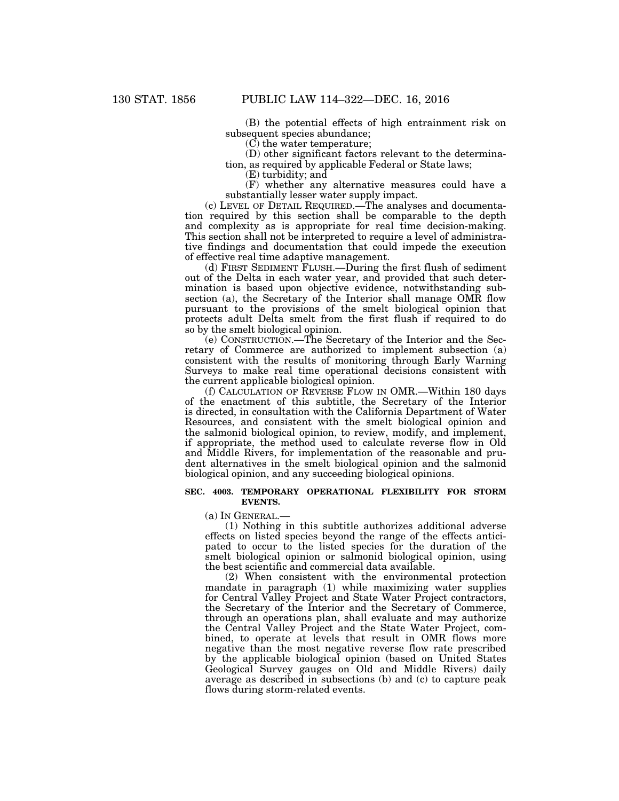(B) the potential effects of high entrainment risk on subsequent species abundance;

(C) the water temperature;

(D) other significant factors relevant to the determination, as required by applicable Federal or State laws;

(E) turbidity; and

(F) whether any alternative measures could have a substantially lesser water supply impact.

(c) LEVEL OF DETAIL REQUIRED.—The analyses and documentation required by this section shall be comparable to the depth and complexity as is appropriate for real time decision-making. This section shall not be interpreted to require a level of administrative findings and documentation that could impede the execution of effective real time adaptive management.

(d) FIRST SEDIMENT FLUSH.—During the first flush of sediment out of the Delta in each water year, and provided that such determination is based upon objective evidence, notwithstanding subsection (a), the Secretary of the Interior shall manage OMR flow pursuant to the provisions of the smelt biological opinion that protects adult Delta smelt from the first flush if required to do so by the smelt biological opinion.

(e) CONSTRUCTION.—The Secretary of the Interior and the Secretary of Commerce are authorized to implement subsection (a) consistent with the results of monitoring through Early Warning Surveys to make real time operational decisions consistent with the current applicable biological opinion.

(f) CALCULATION OF REVERSE FLOW IN OMR.—Within 180 days of the enactment of this subtitle, the Secretary of the Interior is directed, in consultation with the California Department of Water Resources, and consistent with the smelt biological opinion and the salmonid biological opinion, to review, modify, and implement, if appropriate, the method used to calculate reverse flow in Old and Middle Rivers, for implementation of the reasonable and prudent alternatives in the smelt biological opinion and the salmonid biological opinion, and any succeeding biological opinions.

#### **SEC. 4003. TEMPORARY OPERATIONAL FLEXIBILITY FOR STORM EVENTS.**

(a) IN GENERAL.—

(1) Nothing in this subtitle authorizes additional adverse effects on listed species beyond the range of the effects anticipated to occur to the listed species for the duration of the smelt biological opinion or salmonid biological opinion, using the best scientific and commercial data available.

(2) When consistent with the environmental protection mandate in paragraph (1) while maximizing water supplies for Central Valley Project and State Water Project contractors, the Secretary of the Interior and the Secretary of Commerce, through an operations plan, shall evaluate and may authorize the Central Valley Project and the State Water Project, combined, to operate at levels that result in OMR flows more negative than the most negative reverse flow rate prescribed by the applicable biological opinion (based on United States Geological Survey gauges on Old and Middle Rivers) daily average as described in subsections (b) and (c) to capture peak flows during storm-related events.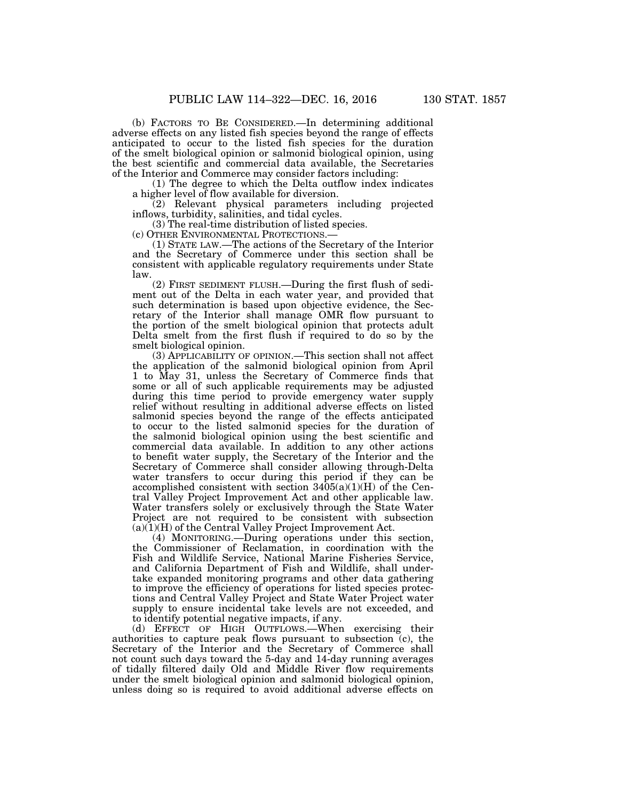(b) FACTORS TO BE CONSIDERED.—In determining additional adverse effects on any listed fish species beyond the range of effects anticipated to occur to the listed fish species for the duration of the smelt biological opinion or salmonid biological opinion, using the best scientific and commercial data available, the Secretaries of the Interior and Commerce may consider factors including:

(1) The degree to which the Delta outflow index indicates a higher level of flow available for diversion.

(2) Relevant physical parameters including projected inflows, turbidity, salinities, and tidal cycles.

(3) The real-time distribution of listed species.

(c) OTHER ENVIRONMENTAL PROTECTIONS.— (1) STATE LAW.—The actions of the Secretary of the Interior and the Secretary of Commerce under this section shall be consistent with applicable regulatory requirements under State law.

(2) FIRST SEDIMENT FLUSH.—During the first flush of sediment out of the Delta in each water year, and provided that such determination is based upon objective evidence, the Secretary of the Interior shall manage OMR flow pursuant to the portion of the smelt biological opinion that protects adult Delta smelt from the first flush if required to do so by the smelt biological opinion.

(3) APPLICABILITY OF OPINION.—This section shall not affect the application of the salmonid biological opinion from April 1 to May 31, unless the Secretary of Commerce finds that some or all of such applicable requirements may be adjusted during this time period to provide emergency water supply relief without resulting in additional adverse effects on listed salmonid species beyond the range of the effects anticipated to occur to the listed salmonid species for the duration of the salmonid biological opinion using the best scientific and commercial data available. In addition to any other actions to benefit water supply, the Secretary of the Interior and the Secretary of Commerce shall consider allowing through-Delta water transfers to occur during this period if they can be accomplished consistent with section  $3405(a)(1)(H)$  of the Central Valley Project Improvement Act and other applicable law. Water transfers solely or exclusively through the State Water Project are not required to be consistent with subsection (a)(1)(H) of the Central Valley Project Improvement Act.

(4) MONITORING.—During operations under this section, the Commissioner of Reclamation, in coordination with the Fish and Wildlife Service, National Marine Fisheries Service, and California Department of Fish and Wildlife, shall undertake expanded monitoring programs and other data gathering to improve the efficiency of operations for listed species protections and Central Valley Project and State Water Project water supply to ensure incidental take levels are not exceeded, and to identify potential negative impacts, if any.

(d) EFFECT OF HIGH OUTFLOWS.—When exercising their authorities to capture peak flows pursuant to subsection (c), the Secretary of the Interior and the Secretary of Commerce shall not count such days toward the 5-day and 14-day running averages of tidally filtered daily Old and Middle River flow requirements under the smelt biological opinion and salmonid biological opinion, unless doing so is required to avoid additional adverse effects on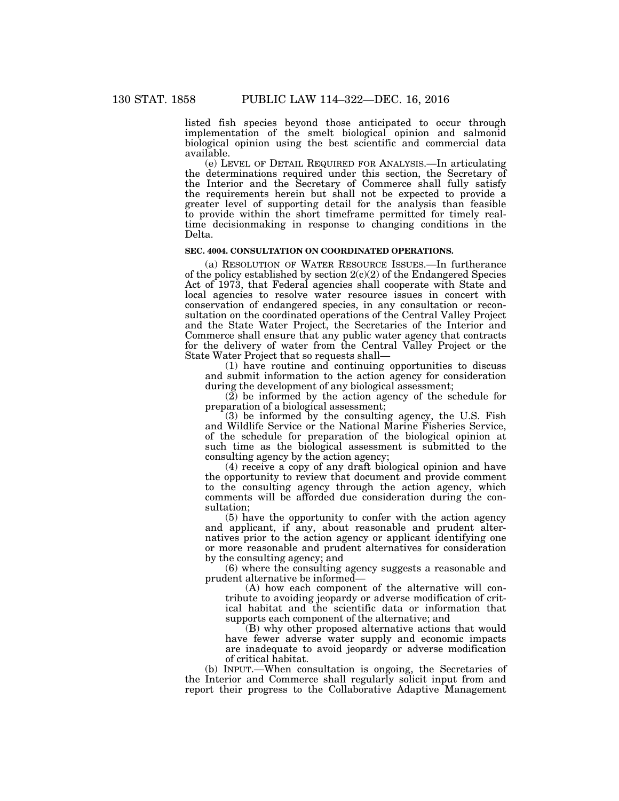listed fish species beyond those anticipated to occur through implementation of the smelt biological opinion and salmonid biological opinion using the best scientific and commercial data available.

(e) LEVEL OF DETAIL REQUIRED FOR ANALYSIS.—In articulating the determinations required under this section, the Secretary of the Interior and the Secretary of Commerce shall fully satisfy the requirements herein but shall not be expected to provide a greater level of supporting detail for the analysis than feasible to provide within the short timeframe permitted for timely realtime decisionmaking in response to changing conditions in the Delta.

#### **SEC. 4004. CONSULTATION ON COORDINATED OPERATIONS.**

(a) RESOLUTION OF WATER RESOURCE ISSUES.—In furtherance of the policy established by section  $2(c)(2)$  of the Endangered Species Act of 1973, that Federal agencies shall cooperate with State and local agencies to resolve water resource issues in concert with conservation of endangered species, in any consultation or reconsultation on the coordinated operations of the Central Valley Project and the State Water Project, the Secretaries of the Interior and Commerce shall ensure that any public water agency that contracts for the delivery of water from the Central Valley Project or the State Water Project that so requests shall—

(1) have routine and continuing opportunities to discuss and submit information to the action agency for consideration during the development of any biological assessment;

(2) be informed by the action agency of the schedule for preparation of a biological assessment;

(3) be informed by the consulting agency, the U.S. Fish and Wildlife Service or the National Marine Fisheries Service, of the schedule for preparation of the biological opinion at such time as the biological assessment is submitted to the consulting agency by the action agency;

(4) receive a copy of any draft biological opinion and have the opportunity to review that document and provide comment to the consulting agency through the action agency, which comments will be afforded due consideration during the consultation;

(5) have the opportunity to confer with the action agency and applicant, if any, about reasonable and prudent alternatives prior to the action agency or applicant identifying one or more reasonable and prudent alternatives for consideration by the consulting agency; and

(6) where the consulting agency suggests a reasonable and prudent alternative be informed—

(A) how each component of the alternative will contribute to avoiding jeopardy or adverse modification of critical habitat and the scientific data or information that supports each component of the alternative; and

(B) why other proposed alternative actions that would have fewer adverse water supply and economic impacts are inadequate to avoid jeopardy or adverse modification of critical habitat.

(b) INPUT.—When consultation is ongoing, the Secretaries of the Interior and Commerce shall regularly solicit input from and report their progress to the Collaborative Adaptive Management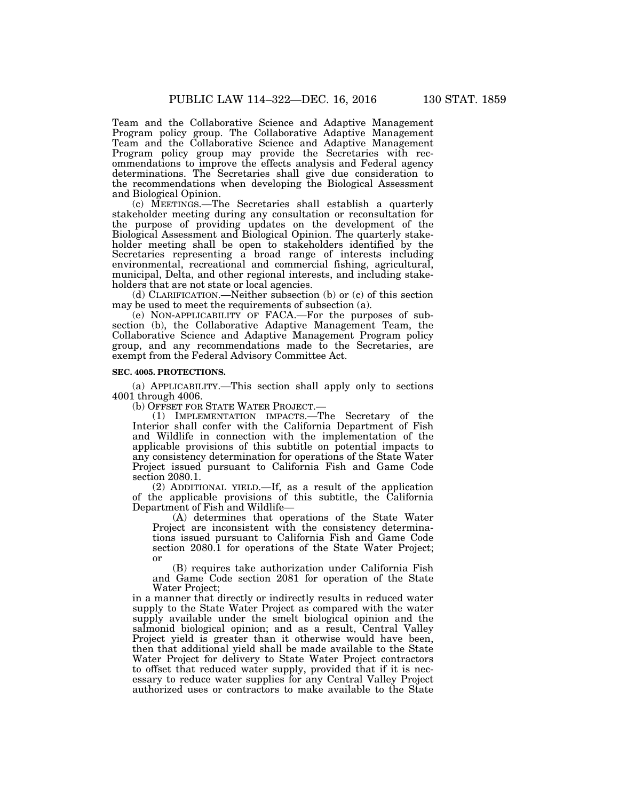Team and the Collaborative Science and Adaptive Management Program policy group. The Collaborative Adaptive Management Team and the Collaborative Science and Adaptive Management Program policy group may provide the Secretaries with recommendations to improve the effects analysis and Federal agency determinations. The Secretaries shall give due consideration to the recommendations when developing the Biological Assessment and Biological Opinion.

(c) MEETINGS.—The Secretaries shall establish a quarterly stakeholder meeting during any consultation or reconsultation for the purpose of providing updates on the development of the Biological Assessment and Biological Opinion. The quarterly stakeholder meeting shall be open to stakeholders identified by the Secretaries representing a broad range of interests including environmental, recreational and commercial fishing, agricultural, municipal, Delta, and other regional interests, and including stakeholders that are not state or local agencies.

(d) CLARIFICATION.—Neither subsection (b) or (c) of this section may be used to meet the requirements of subsection (a).

(e) NON-APPLICABILITY OF FACA.—For the purposes of subsection (b), the Collaborative Adaptive Management Team, the Collaborative Science and Adaptive Management Program policy group, and any recommendations made to the Secretaries, are exempt from the Federal Advisory Committee Act.

#### **SEC. 4005. PROTECTIONS.**

(a) APPLICABILITY.—This section shall apply only to sections 4001 through 4006.

(b) OFFSET FOR STATE WATER PROJECT.—

(1) IMPLEMENTATION IMPACTS.—The Secretary of the Interior shall confer with the California Department of Fish and Wildlife in connection with the implementation of the applicable provisions of this subtitle on potential impacts to any consistency determination for operations of the State Water Project issued pursuant to California Fish and Game Code section 2080.1.

(2) ADDITIONAL YIELD.—If, as a result of the application of the applicable provisions of this subtitle, the California Department of Fish and Wildlife—

(A) determines that operations of the State Water Project are inconsistent with the consistency determinations issued pursuant to California Fish and Game Code section 2080.1 for operations of the State Water Project; or

(B) requires take authorization under California Fish and Game Code section 2081 for operation of the State Water Project;

in a manner that directly or indirectly results in reduced water supply to the State Water Project as compared with the water supply available under the smelt biological opinion and the salmonid biological opinion; and as a result, Central Valley Project yield is greater than it otherwise would have been, then that additional yield shall be made available to the State Water Project for delivery to State Water Project contractors to offset that reduced water supply, provided that if it is necessary to reduce water supplies for any Central Valley Project authorized uses or contractors to make available to the State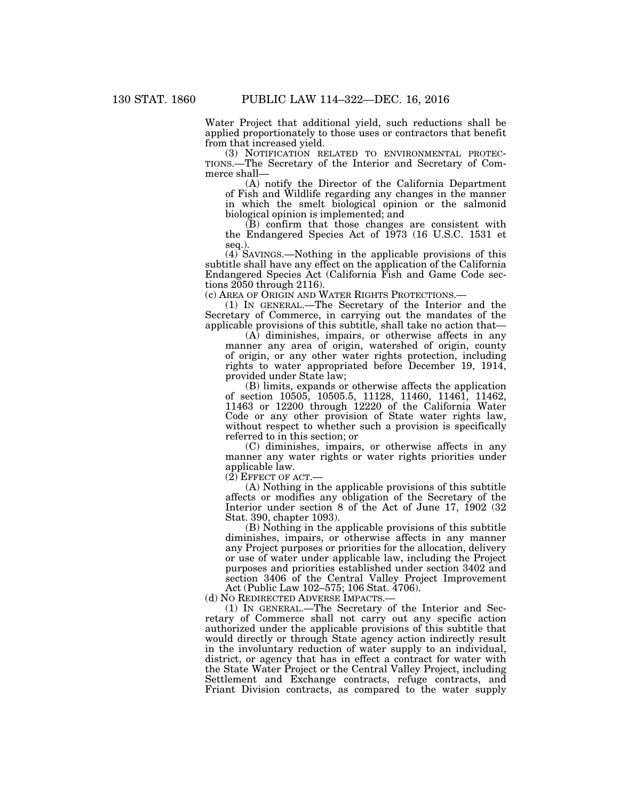Water Project that additional yield, such reductions shall be applied proportionately to those uses or contractors that benefit from that increased yield.

(3) NOTIFICATION RELATED TO ENVIRONMENTAL PROTEC- TIONS.—The Secretary of the Interior and Secretary of Commerce shall—

(A) notify the Director of the California Department of Fish and Wildlife regarding any changes in the manner in which the smelt biological opinion or the salmonid biological opinion is implemented; and

(B) confirm that those changes are consistent with the Endangered Species Act of 1973 (16 U.S.C. 1531 et seq.).

(4) SAVINGS.—Nothing in the applicable provisions of this subtitle shall have any effect on the application of the California Endangered Species Act (California Fish and Game Code sections 2050 through 2116).

(c) AREA OF ORIGIN AND WATER RIGHTS PROTECTIONS.—

(1) IN GENERAL.—The Secretary of the Interior and the Secretary of Commerce, in carrying out the mandates of the applicable provisions of this subtitle, shall take no action that—

(A) diminishes, impairs, or otherwise affects in any manner any area of origin, watershed of origin, county of origin, or any other water rights protection, including rights to water appropriated before December 19, 1914, provided under State law;

(B) limits, expands or otherwise affects the application of section 10505, 10505.5, 11128, 11460, 11461, 11462, 11463 or 12200 through 12220 of the California Water Code or any other provision of State water rights law, without respect to whether such a provision is specifically referred to in this section; or

(C) diminishes, impairs, or otherwise affects in any manner any water rights or water rights priorities under applicable law.

 $(2)$  EFFECT OF ACT.—

(A) Nothing in the applicable provisions of this subtitle affects or modifies any obligation of the Secretary of the Interior under section 8 of the Act of June 17, 1902 (32 Stat. 390, chapter 1093).

(B) Nothing in the applicable provisions of this subtitle diminishes, impairs, or otherwise affects in any manner any Project purposes or priorities for the allocation, delivery or use of water under applicable law, including the Project purposes and priorities established under section 3402 and section 3406 of the Central Valley Project Improvement Act (Public Law 102–575; 106 Stat. 4706).

(d) NO REDIRECTED ADVERSE IMPACTS.—

(1) IN GENERAL.—The Secretary of the Interior and Secretary of Commerce shall not carry out any specific action authorized under the applicable provisions of this subtitle that would directly or through State agency action indirectly result in the involuntary reduction of water supply to an individual, district, or agency that has in effect a contract for water with the State Water Project or the Central Valley Project, including Settlement and Exchange contracts, refuge contracts, and Friant Division contracts, as compared to the water supply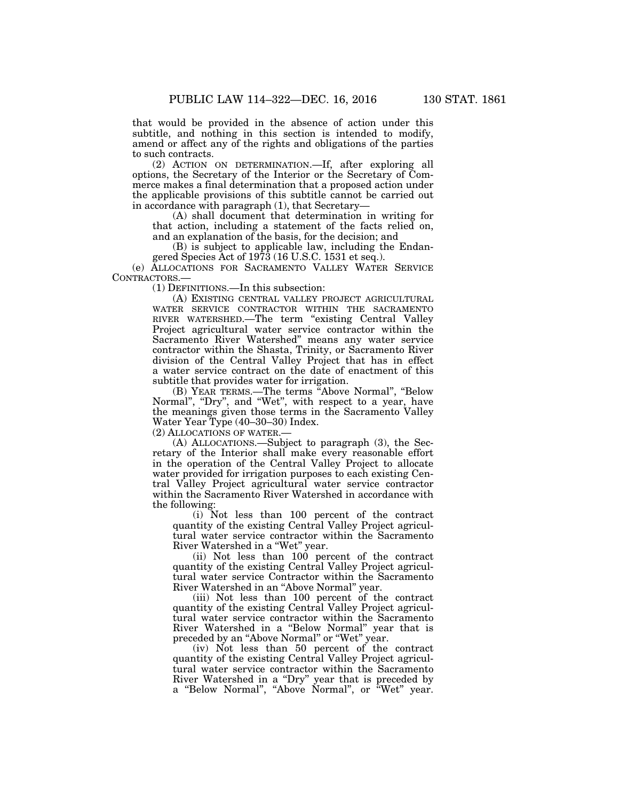that would be provided in the absence of action under this subtitle, and nothing in this section is intended to modify, amend or affect any of the rights and obligations of the parties to such contracts.

(2) ACTION ON DETERMINATION.—If, after exploring all options, the Secretary of the Interior or the Secretary of Commerce makes a final determination that a proposed action under the applicable provisions of this subtitle cannot be carried out in accordance with paragraph (1), that Secretary—

(A) shall document that determination in writing for that action, including a statement of the facts relied on, and an explanation of the basis, for the decision; and

(B) is subject to applicable law, including the Endangered Species Act of  $1973$  (16 U.S.C. 1531 et seq.).

(e) ALLOCATIONS FOR SACRAMENTO VALLEY WATER SERVICE CONTRACTORS.—

(1) DEFINITIONS.—In this subsection:

(A) EXISTING CENTRAL VALLEY PROJECT AGRICULTURAL WATER SERVICE CONTRACTOR WITHIN THE SACRAMENTO RIVER WATERSHED.—The term ''existing Central Valley Project agricultural water service contractor within the Sacramento River Watershed'' means any water service contractor within the Shasta, Trinity, or Sacramento River division of the Central Valley Project that has in effect a water service contract on the date of enactment of this subtitle that provides water for irrigation.

(B) YEAR TERMS.—The terms ''Above Normal'', ''Below Normal", "Dry", and "Wet", with respect to a year, have the meanings given those terms in the Sacramento Valley Water Year Type (40–30–30) Index.

(2) ALLOCATIONS OF WATER.—

(A) ALLOCATIONS.—Subject to paragraph (3), the Secretary of the Interior shall make every reasonable effort in the operation of the Central Valley Project to allocate water provided for irrigation purposes to each existing Central Valley Project agricultural water service contractor within the Sacramento River Watershed in accordance with the following:

(i) Not less than 100 percent of the contract quantity of the existing Central Valley Project agricultural water service contractor within the Sacramento River Watershed in a "Wet" year.

(ii) Not less than 100 percent of the contract quantity of the existing Central Valley Project agricultural water service Contractor within the Sacramento River Watershed in an ''Above Normal'' year.

(iii) Not less than 100 percent of the contract quantity of the existing Central Valley Project agricultural water service contractor within the Sacramento River Watershed in a ''Below Normal'' year that is preceded by an ''Above Normal'' or ''Wet'' year.

(iv) Not less than 50 percent of the contract quantity of the existing Central Valley Project agricultural water service contractor within the Sacramento River Watershed in a ''Dry'' year that is preceded by a "Below Normal", "Above Normal", or "Wet" year.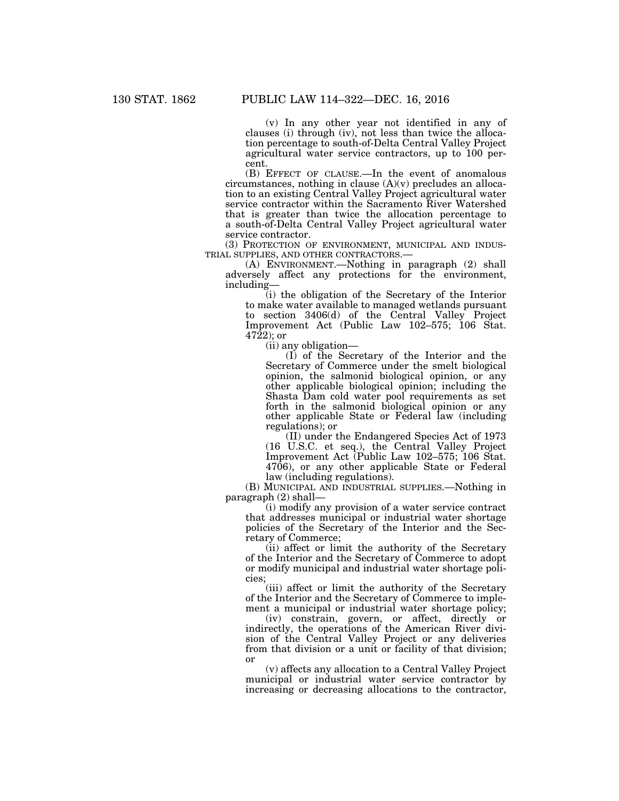(v) In any other year not identified in any of clauses (i) through (iv), not less than twice the allocation percentage to south-of-Delta Central Valley Project agricultural water service contractors, up to 100 percent.

(B) EFFECT OF CLAUSE.—In the event of anomalous circumstances, nothing in clause  $(A)(v)$  precludes an allocation to an existing Central Valley Project agricultural water service contractor within the Sacramento River Watershed that is greater than twice the allocation percentage to a south-of-Delta Central Valley Project agricultural water service contractor.<br>(3) PROTECTION OF ENVIRONMENT, MUNICIPAL AND INDUS-

TRIAL SUPPLIES, AND OTHER CONTRACTORS.—<br>(A) ENVIRONMENT.—Nothing in paragraph (2) shall

adversely affect any protections for the environment, including—

(i) the obligation of the Secretary of the Interior to make water available to managed wetlands pursuant to section 3406(d) of the Central Valley Project Improvement Act (Public Law 102–575; 106 Stat. 4722); or

(ii) any obligation—

(I) of the Secretary of the Interior and the Secretary of Commerce under the smelt biological opinion, the salmonid biological opinion, or any other applicable biological opinion; including the Shasta Dam cold water pool requirements as set forth in the salmonid biological opinion or any other applicable State or Federal law (including regulations); or

(II) under the Endangered Species Act of 1973 (16 U.S.C. et seq.), the Central Valley Project Improvement Act (Public Law 102–575; 106 Stat. 4706), or any other applicable State or Federal law (including regulations).

(B) MUNICIPAL AND INDUSTRIAL SUPPLIES.—Nothing in paragraph (2) shall—

(i) modify any provision of a water service contract that addresses municipal or industrial water shortage policies of the Secretary of the Interior and the Secretary of Commerce;

(ii) affect or limit the authority of the Secretary of the Interior and the Secretary of Commerce to adopt or modify municipal and industrial water shortage policies;

(iii) affect or limit the authority of the Secretary of the Interior and the Secretary of Commerce to implement a municipal or industrial water shortage policy;

(iv) constrain, govern, or affect, directly or indirectly, the operations of the American River division of the Central Valley Project or any deliveries from that division or a unit or facility of that division; or

(v) affects any allocation to a Central Valley Project municipal or industrial water service contractor by increasing or decreasing allocations to the contractor,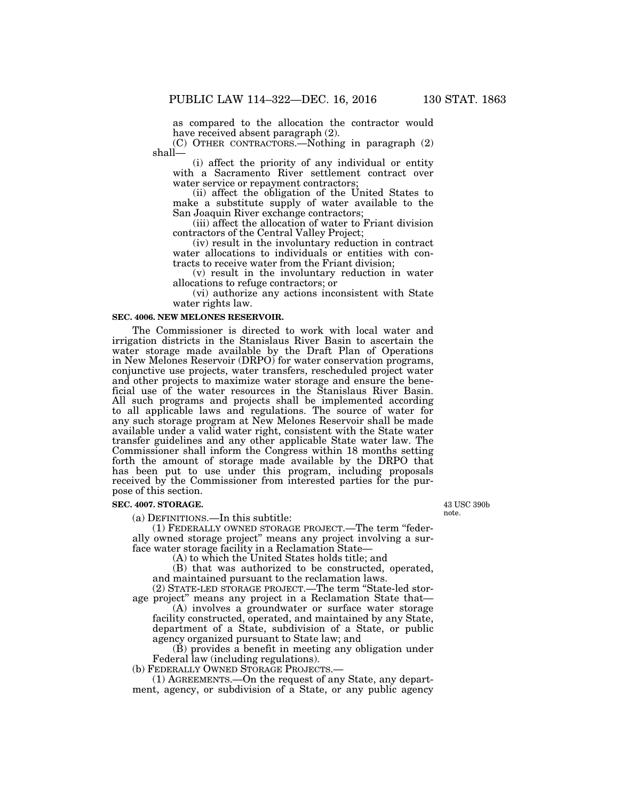as compared to the allocation the contractor would have received absent paragraph (2).

(C) OTHER CONTRACTORS.—Nothing in paragraph (2) shall—

(i) affect the priority of any individual or entity with a Sacramento River settlement contract over water service or repayment contractors;

(ii) affect the obligation of the United States to make a substitute supply of water available to the San Joaquin River exchange contractors;

(iii) affect the allocation of water to Friant division contractors of the Central Valley Project;

(iv) result in the involuntary reduction in contract water allocations to individuals or entities with contracts to receive water from the Friant division;

(v) result in the involuntary reduction in water allocations to refuge contractors; or

(vi) authorize any actions inconsistent with State water rights law.

### **SEC. 4006. NEW MELONES RESERVOIR.**

The Commissioner is directed to work with local water and irrigation districts in the Stanislaus River Basin to ascertain the water storage made available by the Draft Plan of Operations in New Melones Reservoir (DRPO) for water conservation programs, conjunctive use projects, water transfers, rescheduled project water and other projects to maximize water storage and ensure the beneficial use of the water resources in the Stanislaus River Basin. All such programs and projects shall be implemented according to all applicable laws and regulations. The source of water for any such storage program at New Melones Reservoir shall be made available under a valid water right, consistent with the State water transfer guidelines and any other applicable State water law. The Commissioner shall inform the Congress within 18 months setting forth the amount of storage made available by the DRPO that has been put to use under this program, including proposals received by the Commissioner from interested parties for the purpose of this section.

#### **SEC. 4007. STORAGE.**

(a) DEFINITIONS.—In this subtitle:

(1) FEDERALLY OWNED STORAGE PROJECT.—The term ''federally owned storage project'' means any project involving a surface water storage facility in a Reclamation State—

(A) to which the United States holds title; and

(B) that was authorized to be constructed, operated, and maintained pursuant to the reclamation laws.

(2) STATE-LED STORAGE PROJECT.—The term ''State-led storage project'' means any project in a Reclamation State that—

(A) involves a groundwater or surface water storage facility constructed, operated, and maintained by any State, department of a State, subdivision of a State, or public agency organized pursuant to State law; and

(B) provides a benefit in meeting any obligation under Federal law (including regulations).

(b) FEDERALLY OWNED STORAGE PROJECTS.—

(1) AGREEMENTS.—On the request of any State, any department, agency, or subdivision of a State, or any public agency

43 USC 390b note.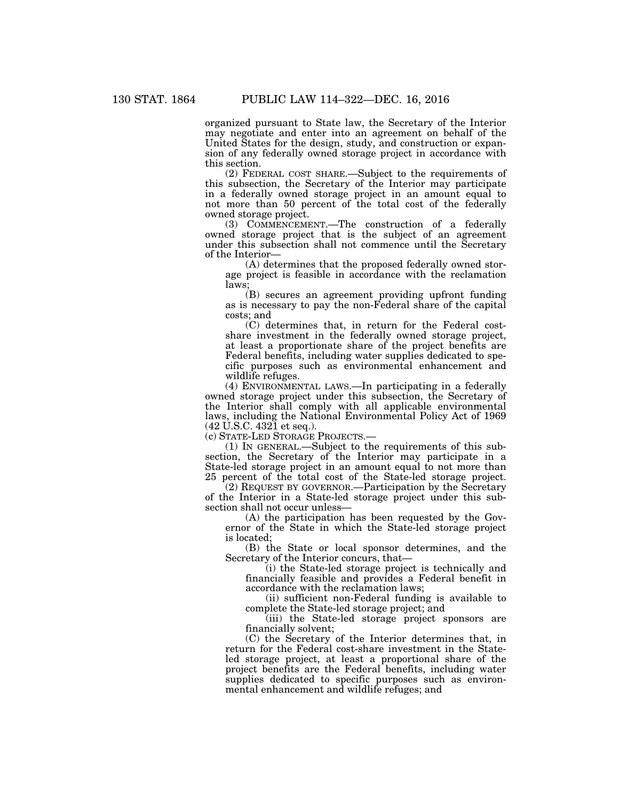organized pursuant to State law, the Secretary of the Interior may negotiate and enter into an agreement on behalf of the United States for the design, study, and construction or expansion of any federally owned storage project in accordance with this section.

(2) FEDERAL COST SHARE.—Subject to the requirements of this subsection, the Secretary of the Interior may participate in a federally owned storage project in an amount equal to not more than 50 percent of the total cost of the federally owned storage project.

(3) COMMENCEMENT.—The construction of a federally owned storage project that is the subject of an agreement under this subsection shall not commence until the Secretary of the Interior—

(A) determines that the proposed federally owned storage project is feasible in accordance with the reclamation laws;

(B) secures an agreement providing upfront funding as is necessary to pay the non-Federal share of the capital costs; and

(C) determines that, in return for the Federal costshare investment in the federally owned storage project, at least a proportionate share of the project benefits are Federal benefits, including water supplies dedicated to specific purposes such as environmental enhancement and wildlife refuges.

(4) ENVIRONMENTAL LAWS.—In participating in a federally owned storage project under this subsection, the Secretary of the Interior shall comply with all applicable environmental laws, including the National Environmental Policy Act of 1969 (42 U.S.C. 4321 et seq.).

(c) STATE-LED STORAGE PROJECTS.—

(1) IN GENERAL.—Subject to the requirements of this subsection, the Secretary of the Interior may participate in a State-led storage project in an amount equal to not more than 25 percent of the total cost of the State-led storage project.

(2) REQUEST BY GOVERNOR.—Participation by the Secretary of the Interior in a State-led storage project under this subsection shall not occur unless—

(A) the participation has been requested by the Governor of the State in which the State-led storage project is located;

(B) the State or local sponsor determines, and the Secretary of the Interior concurs, that—

(i) the State-led storage project is technically and financially feasible and provides a Federal benefit in accordance with the reclamation laws;

(ii) sufficient non-Federal funding is available to complete the State-led storage project; and

(iii) the State-led storage project sponsors are financially solvent;

(C) the Secretary of the Interior determines that, in return for the Federal cost-share investment in the Stateled storage project, at least a proportional share of the project benefits are the Federal benefits, including water supplies dedicated to specific purposes such as environmental enhancement and wildlife refuges; and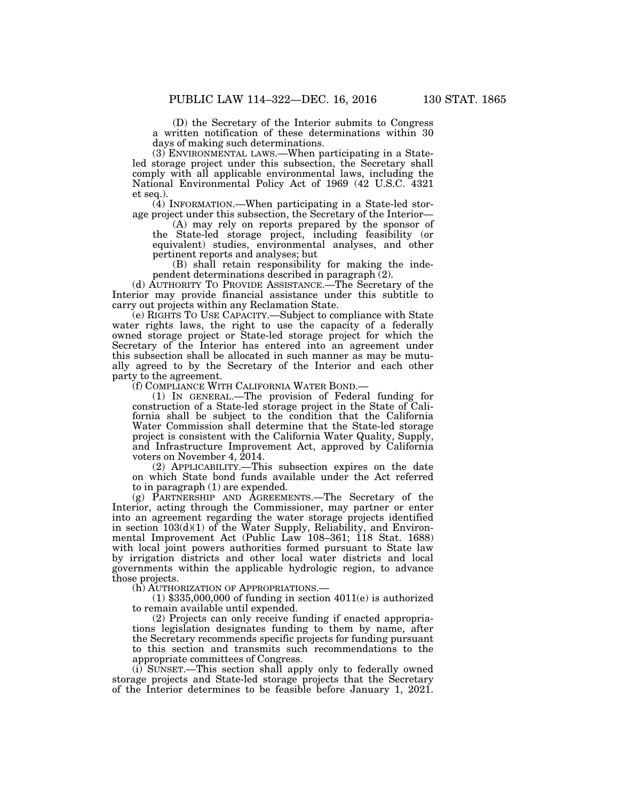(D) the Secretary of the Interior submits to Congress a written notification of these determinations within 30 days of making such determinations.

(3) ENVIRONMENTAL LAWS.—When participating in a Stateled storage project under this subsection, the Secretary shall comply with all applicable environmental laws, including the National Environmental Policy Act of 1969 (42 U.S.C. 4321 et seq.).

(4) INFORMATION.—When participating in a State-led storage project under this subsection, the Secretary of the Interior—

(A) may rely on reports prepared by the sponsor of the State-led storage project, including feasibility (or equivalent) studies, environmental analyses, and other pertinent reports and analyses; but

(B) shall retain responsibility for making the independent determinations described in paragraph (2).

(d) AUTHORITY TO PROVIDE ASSISTANCE.—The Secretary of the Interior may provide financial assistance under this subtitle to carry out projects within any Reclamation State.

(e) RIGHTS TO USE CAPACITY.—Subject to compliance with State water rights laws, the right to use the capacity of a federally owned storage project or State-led storage project for which the Secretary of the Interior has entered into an agreement under this subsection shall be allocated in such manner as may be mutually agreed to by the Secretary of the Interior and each other party to the agreement.

(f) COMPLIANCE WITH CALIFORNIA WATER BOND.—

(1) IN GENERAL.—The provision of Federal funding for construction of a State-led storage project in the State of California shall be subject to the condition that the California Water Commission shall determine that the State-led storage project is consistent with the California Water Quality, Supply, and Infrastructure Improvement Act, approved by California voters on November 4, 2014.

(2) APPLICABILITY.—This subsection expires on the date on which State bond funds available under the Act referred to in paragraph (1) are expended.

(g) PARTNERSHIP AND AGREEMENTS.—The Secretary of the Interior, acting through the Commissioner, may partner or enter into an agreement regarding the water storage projects identified in section 103(d)(1) of the Water Supply, Reliability, and Environmental Improvement Act (Public Law 108–361; 118 Stat. 1688) with local joint powers authorities formed pursuant to State law by irrigation districts and other local water districts and local governments within the applicable hydrologic region, to advance those projects.

(h) AUTHORIZATION OF APPROPRIATIONS.—

 $(1)$  \$335,000,000 of funding in section 4011 $(e)$  is authorized to remain available until expended.

(2) Projects can only receive funding if enacted appropriations legislation designates funding to them by name, after the Secretary recommends specific projects for funding pursuant to this section and transmits such recommendations to the appropriate committees of Congress.

(i) SUNSET.—This section shall apply only to federally owned storage projects and State-led storage projects that the Secretary of the Interior determines to be feasible before January 1, 2021.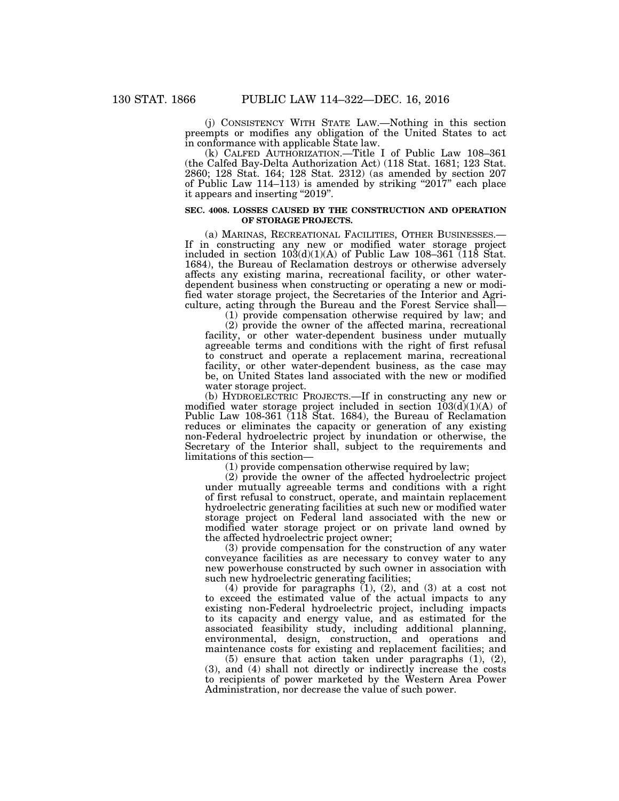(j) CONSISTENCY WITH STATE LAW.—Nothing in this section preempts or modifies any obligation of the United States to act in conformance with applicable State law.

(k) CALFED AUTHORIZATION.—Title I of Public Law 108–361 (the Calfed Bay-Delta Authorization Act) (118 Stat. 1681; 123 Stat. 2860; 128 Stat. 164; 128 Stat. 2312) (as amended by section 207 of Public Law 114–113) is amended by striking ''2017'' each place it appears and inserting "2019".

### **SEC. 4008. LOSSES CAUSED BY THE CONSTRUCTION AND OPERATION OF STORAGE PROJECTS.**

(a) MARINAS, RECREATIONAL FACILITIES, OTHER BUSINESSES.— If in constructing any new or modified water storage project included in section  $10\dot{3}(d)(1)(A)$  of Public Law 108–361 (118 Stat. 1684), the Bureau of Reclamation destroys or otherwise adversely affects any existing marina, recreational facility, or other waterdependent business when constructing or operating a new or modified water storage project, the Secretaries of the Interior and Agriculture, acting through the Bureau and the Forest Service shall—

(1) provide compensation otherwise required by law; and

(2) provide the owner of the affected marina, recreational facility, or other water-dependent business under mutually agreeable terms and conditions with the right of first refusal to construct and operate a replacement marina, recreational facility, or other water-dependent business, as the case may be, on United States land associated with the new or modified water storage project.

(b) HYDROELECTRIC PROJECTS.—If in constructing any new or modified water storage project included in section  $103(d)(1)(A)$  of Public Law 108-361 (118 Stat. 1684), the Bureau of Reclamation reduces or eliminates the capacity or generation of any existing non-Federal hydroelectric project by inundation or otherwise, the Secretary of the Interior shall, subject to the requirements and limitations of this section—

(1) provide compensation otherwise required by law;

(2) provide the owner of the affected hydroelectric project under mutually agreeable terms and conditions with a right of first refusal to construct, operate, and maintain replacement hydroelectric generating facilities at such new or modified water storage project on Federal land associated with the new or modified water storage project or on private land owned by the affected hydroelectric project owner;

(3) provide compensation for the construction of any water conveyance facilities as are necessary to convey water to any new powerhouse constructed by such owner in association with such new hydroelectric generating facilities;

(4) provide for paragraphs  $(1)$ ,  $(2)$ , and  $(3)$  at a cost not to exceed the estimated value of the actual impacts to any existing non-Federal hydroelectric project, including impacts to its capacity and energy value, and as estimated for the associated feasibility study, including additional planning, environmental, design, construction, and operations and maintenance costs for existing and replacement facilities; and

(5) ensure that action taken under paragraphs (1), (2), (3), and (4) shall not directly or indirectly increase the costs to recipients of power marketed by the Western Area Power Administration, nor decrease the value of such power.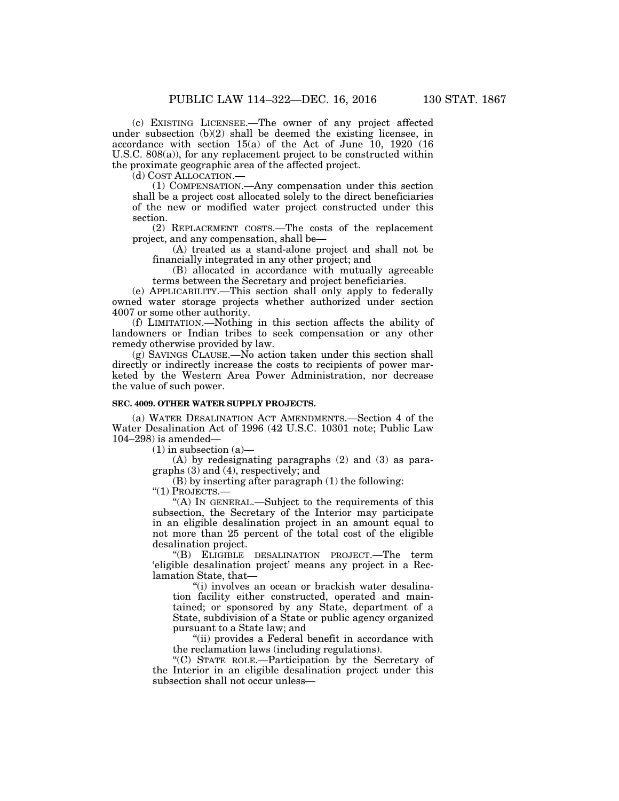(c) EXISTING LICENSEE.—The owner of any project affected under subsection (b)(2) shall be deemed the existing licensee, in accordance with section 15(a) of the Act of June 10, 1920 (16 U.S.C. 808(a)), for any replacement project to be constructed within the proximate geographic area of the affected project.

(d) COST ALLOCATION.—

(1) COMPENSATION.—Any compensation under this section shall be a project cost allocated solely to the direct beneficiaries of the new or modified water project constructed under this section.

(2) REPLACEMENT COSTS.—The costs of the replacement project, and any compensation, shall be—

(A) treated as a stand-alone project and shall not be financially integrated in any other project; and

(B) allocated in accordance with mutually agreeable terms between the Secretary and project beneficiaries.

(e) APPLICABILITY.—This section shall only apply to federally owned water storage projects whether authorized under section 4007 or some other authority.

(f) LIMITATION.—Nothing in this section affects the ability of landowners or Indian tribes to seek compensation or any other remedy otherwise provided by law.

(g) SAVINGS CLAUSE.—No action taken under this section shall directly or indirectly increase the costs to recipients of power marketed by the Western Area Power Administration, nor decrease the value of such power.

## **SEC. 4009. OTHER WATER SUPPLY PROJECTS.**

(a) WATER DESALINATION ACT AMENDMENTS.—Section 4 of the Water Desalination Act of 1996 (42 U.S.C. 10301 note; Public Law 104–298) is amended—

 $(1)$  in subsection  $(a)$ —

(A) by redesignating paragraphs (2) and (3) as paragraphs (3) and (4), respectively; and

(B) by inserting after paragraph (1) the following:

"(1) PROJECTS.-

''(A) IN GENERAL.—Subject to the requirements of this subsection, the Secretary of the Interior may participate in an eligible desalination project in an amount equal to not more than 25 percent of the total cost of the eligible desalination project.

''(B) ELIGIBLE DESALINATION PROJECT.—The term 'eligible desalination project' means any project in a Reclamation State, that—

''(i) involves an ocean or brackish water desalination facility either constructed, operated and maintained; or sponsored by any State, department of a State, subdivision of a State or public agency organized pursuant to a State law; and

"(ii) provides a Federal benefit in accordance with the reclamation laws (including regulations).

''(C) STATE ROLE.—Participation by the Secretary of the Interior in an eligible desalination project under this subsection shall not occur unless—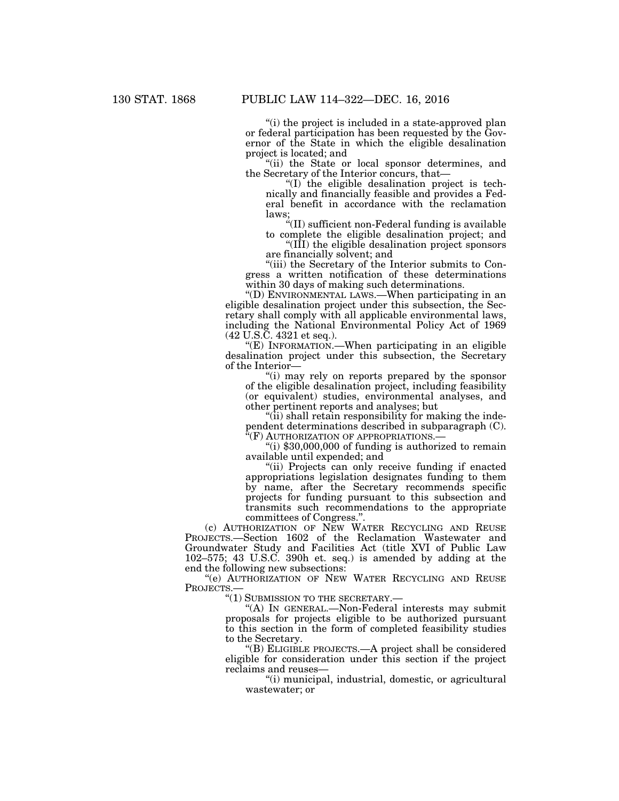''(i) the project is included in a state-approved plan or federal participation has been requested by the Governor of the State in which the eligible desalination project is located; and

"(ii) the State or local sponsor determines, and the Secretary of the Interior concurs, that—

''(I) the eligible desalination project is technically and financially feasible and provides a Federal benefit in accordance with the reclamation laws;

 $\sqrt[4]{\text{III}}$ ) sufficient non-Federal funding is available

to complete the eligible desalination project; and ''(III) the eligible desalination project sponsors are financially solvent; and

"(iii) the Secretary of the Interior submits to Congress a written notification of these determinations within 30 days of making such determinations.

''(D) ENVIRONMENTAL LAWS.—When participating in an eligible desalination project under this subsection, the Secretary shall comply with all applicable environmental laws, including the National Environmental Policy Act of 1969 (42 U.S.C. 4321 et seq.).

"(E) INFORMATION.—When participating in an eligible desalination project under this subsection, the Secretary of the Interior—

''(i) may rely on reports prepared by the sponsor of the eligible desalination project, including feasibility (or equivalent) studies, environmental analyses, and other pertinent reports and analyses; but

"(ii) shall retain responsibility for making the independent determinations described in subparagraph (C). ''(F) AUTHORIZATION OF APPROPRIATIONS.—

"(i) \$30,000,000 of funding is authorized to remain available until expended; and

"(ii) Projects can only receive funding if enacted appropriations legislation designates funding to them by name, after the Secretary recommends specific projects for funding pursuant to this subsection and transmits such recommendations to the appropriate committees of Congress.''.

(c) AUTHORIZATION OF NEW WATER RECYCLING AND REUSE PROJECTS.—Section 1602 of the Reclamation Wastewater and Groundwater Study and Facilities Act (title XVI of Public Law 102–575; 43 U.S.C. 390h et. seq.) is amended by adding at the end the following new subsections:

''(e) AUTHORIZATION OF NEW WATER RECYCLING AND REUSE PROJECTS.—

''(1) SUBMISSION TO THE SECRETARY.—

''(A) IN GENERAL.—Non-Federal interests may submit proposals for projects eligible to be authorized pursuant to this section in the form of completed feasibility studies to the Secretary.

''(B) ELIGIBLE PROJECTS.—A project shall be considered eligible for consideration under this section if the project reclaims and reuses—

''(i) municipal, industrial, domestic, or agricultural wastewater; or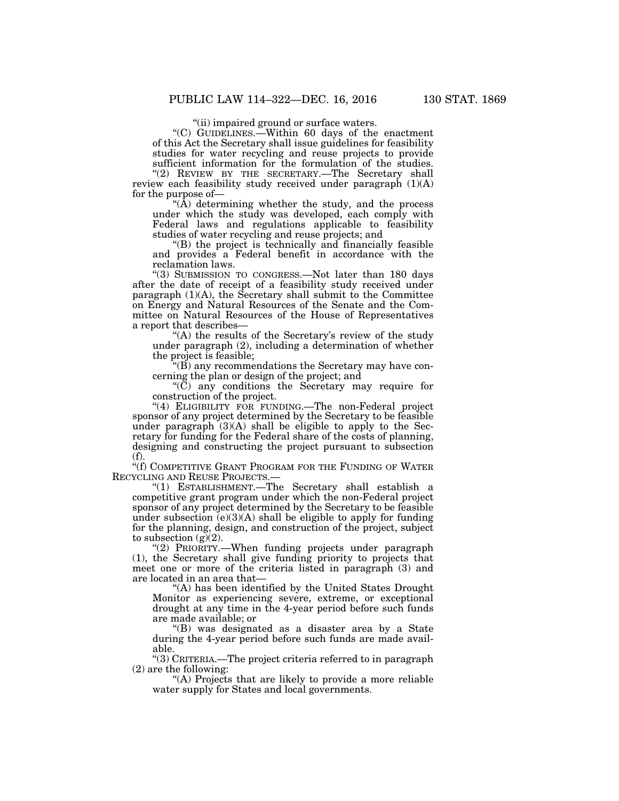''(ii) impaired ground or surface waters.

''(C) GUIDELINES.—Within 60 days of the enactment of this Act the Secretary shall issue guidelines for feasibility studies for water recycling and reuse projects to provide sufficient information for the formulation of the studies.

"(2) REVIEW BY THE SECRETARY.—The Secretary shall review each feasibility study received under paragraph (1)(A) for the purpose of—

" $(\tilde{A})$  determining whether the study, and the process under which the study was developed, each comply with Federal laws and regulations applicable to feasibility studies of water recycling and reuse projects; and

''(B) the project is technically and financially feasible and provides a Federal benefit in accordance with the reclamation laws.

''(3) SUBMISSION TO CONGRESS.—Not later than 180 days after the date of receipt of a feasibility study received under paragraph  $(1)(A)$ , the Secretary shall submit to the Committee on Energy and Natural Resources of the Senate and the Committee on Natural Resources of the House of Representatives a report that describes—

 $(A)$  the results of the Secretary's review of the study under paragraph (2), including a determination of whether the project is feasible;

 $\mathcal{F}(\mathbf{B})$  any recommendations the Secretary may have concerning the plan or design of the project; and

''(C) any conditions the Secretary may require for construction of the project.

"(4) ELIGIBILITY FOR FUNDING.—The non-Federal project sponsor of any project determined by the Secretary to be feasible under paragraph  $(3)(A)$  shall be eligible to apply to the Secretary for funding for the Federal share of the costs of planning, designing and constructing the project pursuant to subsection (f).

''(f) COMPETITIVE GRANT PROGRAM FOR THE FUNDING OF WATER RECYCLING AND REUSE PROJECTS.—

''(1) ESTABLISHMENT.—The Secretary shall establish a competitive grant program under which the non-Federal project sponsor of any project determined by the Secretary to be feasible under subsection  $(e)(3)(A)$  shall be eligible to apply for funding for the planning, design, and construction of the project, subject to subsection  $(g)(2)$ .

''(2) PRIORITY.—When funding projects under paragraph (1), the Secretary shall give funding priority to projects that meet one or more of the criteria listed in paragraph (3) and are located in an area that—

''(A) has been identified by the United States Drought Monitor as experiencing severe, extreme, or exceptional drought at any time in the 4-year period before such funds are made available; or

''(B) was designated as a disaster area by a State during the 4-year period before such funds are made available.

''(3) CRITERIA.—The project criteria referred to in paragraph (2) are the following:

''(A) Projects that are likely to provide a more reliable water supply for States and local governments.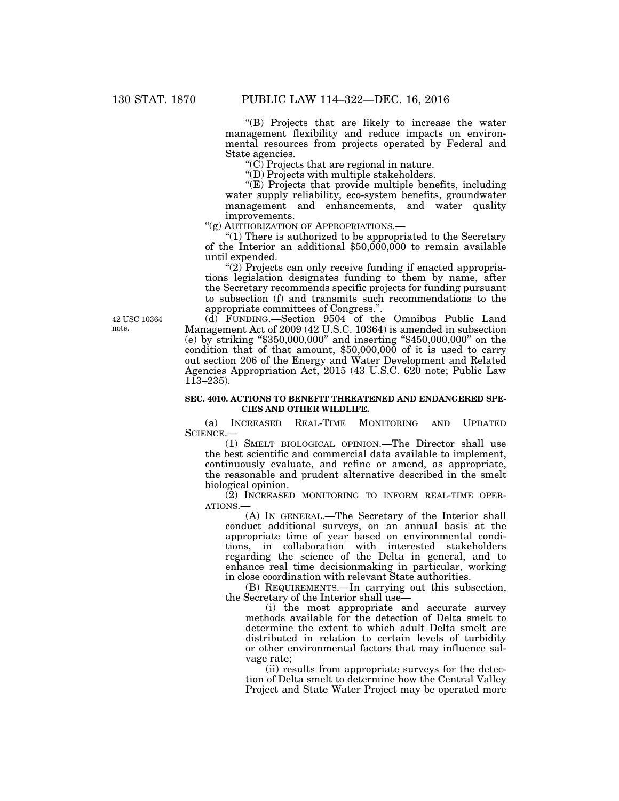''(B) Projects that are likely to increase the water management flexibility and reduce impacts on environmental resources from projects operated by Federal and State agencies.

''(C) Projects that are regional in nature.

''(D) Projects with multiple stakeholders.

''(E) Projects that provide multiple benefits, including water supply reliability, eco-system benefits, groundwater management and enhancements, and water quality improvements.

"(g) AUTHORIZATION OF APPROPRIATIONS.-

''(1) There is authorized to be appropriated to the Secretary of the Interior an additional  $$50,000,000$  to remain available until expended.

" $(2)$  Projects can only receive funding if enacted appropriations legislation designates funding to them by name, after the Secretary recommends specific projects for funding pursuant to subsection (f) and transmits such recommendations to the appropriate committees of Congress.''.

42 USC 10364 note.

 $(d)$  FUNDING.—Section 9504 of the Omnibus Public Land Management Act of 2009 (42 U.S.C. 10364) is amended in subsection (e) by striking ''\$350,000,000'' and inserting ''\$450,000,000'' on the condition that of that amount, \$50,000,000 of it is used to carry out section 206 of the Energy and Water Development and Related Agencies Appropriation Act, 2015 (43 U.S.C. 620 note; Public Law 113–235).

### **SEC. 4010. ACTIONS TO BENEFIT THREATENED AND ENDANGERED SPE-CIES AND OTHER WILDLIFE.**

(a) INCREASED REAL-TIME MONITORING AND UPDATED SCIENCE.—

(1) SMELT BIOLOGICAL OPINION.—The Director shall use the best scientific and commercial data available to implement, continuously evaluate, and refine or amend, as appropriate, the reasonable and prudent alternative described in the smelt biological opinion.

(2) INCREASED MONITORING TO INFORM REAL-TIME OPER-ATIONS.—

(A) IN GENERAL.—The Secretary of the Interior shall conduct additional surveys, on an annual basis at the appropriate time of year based on environmental conditions, in collaboration with interested stakeholders regarding the science of the Delta in general, and to enhance real time decisionmaking in particular, working in close coordination with relevant State authorities.

(B) REQUIREMENTS.—In carrying out this subsection, the Secretary of the Interior shall use—

(i) the most appropriate and accurate survey methods available for the detection of Delta smelt to determine the extent to which adult Delta smelt are distributed in relation to certain levels of turbidity or other environmental factors that may influence salvage rate;

(ii) results from appropriate surveys for the detection of Delta smelt to determine how the Central Valley Project and State Water Project may be operated more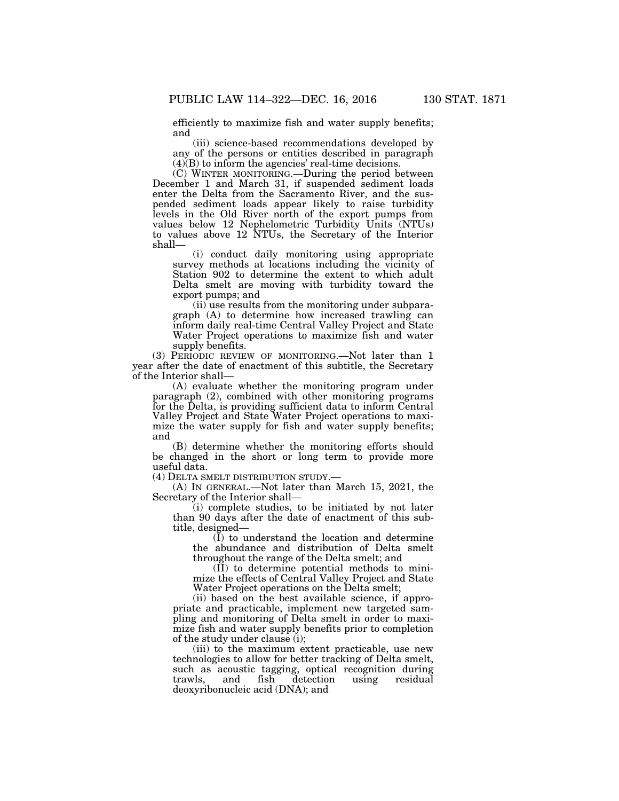efficiently to maximize fish and water supply benefits; and

(iii) science-based recommendations developed by any of the persons or entities described in paragraph  $(4)(B)$  to inform the agencies' real-time decisions.

(C) WINTER MONITORING.—During the period between December 1 and March 31, if suspended sediment loads enter the Delta from the Sacramento River, and the suspended sediment loads appear likely to raise turbidity levels in the Old River north of the export pumps from values below 12 Nephelometric Turbidity Units (NTUs) to values above 12 NTUs, the Secretary of the Interior shall—

(i) conduct daily monitoring using appropriate survey methods at locations including the vicinity of Station 902 to determine the extent to which adult Delta smelt are moving with turbidity toward the export pumps; and

(ii) use results from the monitoring under subparagraph (A) to determine how increased trawling can inform daily real-time Central Valley Project and State Water Project operations to maximize fish and water supply benefits.

(3) PERIODIC REVIEW OF MONITORING.—Not later than 1 year after the date of enactment of this subtitle, the Secretary of the Interior shall—

(A) evaluate whether the monitoring program under paragraph (2), combined with other monitoring programs for the Delta, is providing sufficient data to inform Central Valley Project and State Water Project operations to maximize the water supply for fish and water supply benefits; and

(B) determine whether the monitoring efforts should be changed in the short or long term to provide more useful data.

(4) DELTA SMELT DISTRIBUTION STUDY.—

(A) IN GENERAL.—Not later than March 15, 2021, the Secretary of the Interior shall—

(i) complete studies, to be initiated by not later than 90 days after the date of enactment of this subtitle, designed—

 $(I)$  to understand the location and determine the abundance and distribution of Delta smelt throughout the range of the Delta smelt; and

(II) to determine potential methods to minimize the effects of Central Valley Project and State Water Project operations on the Delta smelt;

(ii) based on the best available science, if appropriate and practicable, implement new targeted sampling and monitoring of Delta smelt in order to maximize fish and water supply benefits prior to completion of the study under clause (i);

(iii) to the maximum extent practicable, use new technologies to allow for better tracking of Delta smelt, such as acoustic tagging, optical recognition during trawls, and fish detection using residual deoxyribonucleic acid (DNA); and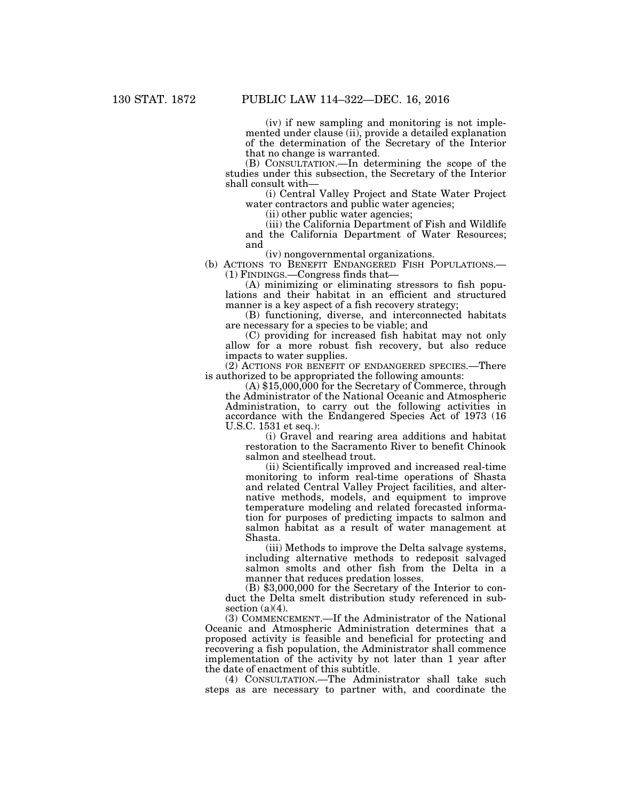(iv) if new sampling and monitoring is not implemented under clause (ii), provide a detailed explanation of the determination of the Secretary of the Interior that no change is warranted.

(B) CONSULTATION.—In determining the scope of the studies under this subsection, the Secretary of the Interior shall consult with—

(i) Central Valley Project and State Water Project water contractors and public water agencies;

(ii) other public water agencies;

(iii) the California Department of Fish and Wildlife and the California Department of Water Resources; and

(iv) nongovernmental organizations.

(b) ACTIONS TO BENEFIT ENDANGERED FISH POPULATIONS.— (1) FINDINGS.—Congress finds that—

(A) minimizing or eliminating stressors to fish populations and their habitat in an efficient and structured manner is a key aspect of a fish recovery strategy;

(B) functioning, diverse, and interconnected habitats are necessary for a species to be viable; and

(C) providing for increased fish habitat may not only allow for a more robust fish recovery, but also reduce impacts to water supplies.

(2) ACTIONS FOR BENEFIT OF ENDANGERED SPECIES.—There is authorized to be appropriated the following amounts:

 $(A)$  \$15,000,000 for the Secretary of Commerce, through the Administrator of the National Oceanic and Atmospheric Administration, to carry out the following activities in accordance with the Endangered Species Act of 1973 (16 U.S.C. 1531 et seq.):

(i) Gravel and rearing area additions and habitat restoration to the Sacramento River to benefit Chinook salmon and steelhead trout.

(ii) Scientifically improved and increased real-time monitoring to inform real-time operations of Shasta and related Central Valley Project facilities, and alternative methods, models, and equipment to improve temperature modeling and related forecasted information for purposes of predicting impacts to salmon and salmon habitat as a result of water management at Shasta.

(iii) Methods to improve the Delta salvage systems, including alternative methods to redeposit salvaged salmon smolts and other fish from the Delta in a manner that reduces predation losses.

(B) \$3,000,000 for the Secretary of the Interior to conduct the Delta smelt distribution study referenced in subsection  $(a)(4)$ .

(3) COMMENCEMENT.—If the Administrator of the National Oceanic and Atmospheric Administration determines that a proposed activity is feasible and beneficial for protecting and recovering a fish population, the Administrator shall commence implementation of the activity by not later than 1 year after the date of enactment of this subtitle.

(4) CONSULTATION.—The Administrator shall take such steps as are necessary to partner with, and coordinate the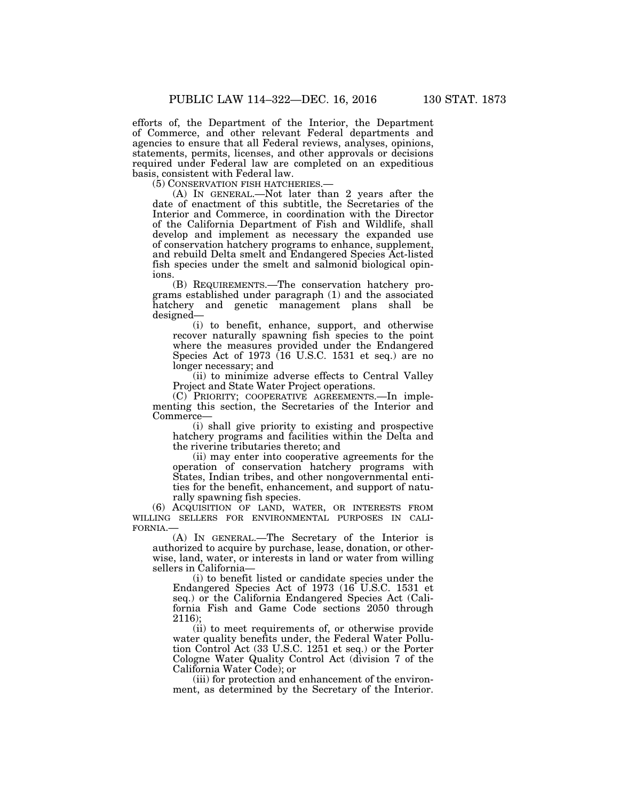efforts of, the Department of the Interior, the Department of Commerce, and other relevant Federal departments and agencies to ensure that all Federal reviews, analyses, opinions, statements, permits, licenses, and other approvals or decisions required under Federal law are completed on an expeditious basis, consistent with Federal law.<br>(5) CONSERVATION FISH HATCHERIES.—

 $(A)$  In GENERAL.—Not later than 2 years after the date of enactment of this subtitle, the Secretaries of the Interior and Commerce, in coordination with the Director of the California Department of Fish and Wildlife, shall develop and implement as necessary the expanded use of conservation hatchery programs to enhance, supplement, and rebuild Delta smelt and Endangered Species Act-listed fish species under the smelt and salmonid biological opinions.

(B) REQUIREMENTS.—The conservation hatchery programs established under paragraph (1) and the associated hatchery and genetic management plans shall be designed—

(i) to benefit, enhance, support, and otherwise recover naturally spawning fish species to the point where the measures provided under the Endangered Species Act of 1973 (16 U.S.C. 1531 et seq.) are no longer necessary; and

(ii) to minimize adverse effects to Central Valley Project and State Water Project operations.

(C) PRIORITY; COOPERATIVE AGREEMENTS.—In implementing this section, the Secretaries of the Interior and Commerce—

(i) shall give priority to existing and prospective hatchery programs and facilities within the Delta and the riverine tributaries thereto; and

(ii) may enter into cooperative agreements for the operation of conservation hatchery programs with States, Indian tribes, and other nongovernmental entities for the benefit, enhancement, and support of naturally spawning fish species.

(6) ACQUISITION OF LAND, WATER, OR INTERESTS FROM WILLING SELLERS FOR ENVIRONMENTAL PURPOSES IN CALI-FORNIA.—

(A) IN GENERAL.—The Secretary of the Interior is authorized to acquire by purchase, lease, donation, or otherwise, land, water, or interests in land or water from willing sellers in California—

(i) to benefit listed or candidate species under the Endangered Species Act of 1973 (16 U.S.C. 1531 et seq.) or the California Endangered Species Act (California Fish and Game Code sections 2050 through 2116);

(ii) to meet requirements of, or otherwise provide water quality benefits under, the Federal Water Pollution Control Act (33 U.S.C. 1251 et seq.) or the Porter Cologne Water Quality Control Act (division 7 of the California Water Code); or

(iii) for protection and enhancement of the environment, as determined by the Secretary of the Interior.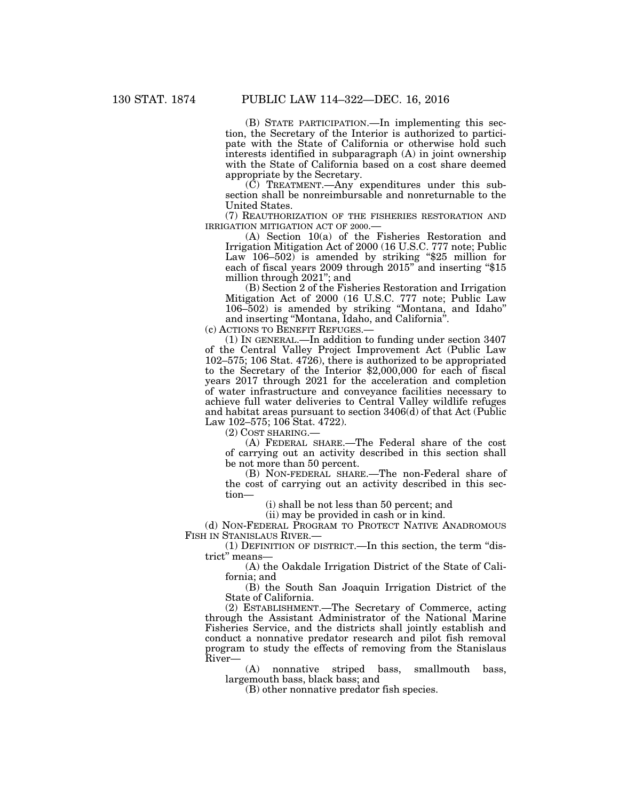(B) STATE PARTICIPATION.—In implementing this section, the Secretary of the Interior is authorized to participate with the State of California or otherwise hold such interests identified in subparagraph (A) in joint ownership with the State of California based on a cost share deemed appropriate by the Secretary.

 $(\overline{C})$  TREATMENT.—Any expenditures under this subsection shall be nonreimbursable and nonreturnable to the United States.

(7) REAUTHORIZATION OF THE FISHERIES RESTORATION AND IRRIGATION MITIGATION ACT OF 2000.—

(A) Section 10(a) of the Fisheries Restoration and Irrigation Mitigation Act of 2000 (16 U.S.C. 777 note; Public Law 106–502) is amended by striking "\$25 million for each of fiscal years 2009 through 2015" and inserting "\$15 million through 2021''; and

(B) Section 2 of the Fisheries Restoration and Irrigation Mitigation Act of 2000 (16 U.S.C. 777 note; Public Law 106–502) is amended by striking ''Montana, and Idaho'' and inserting ''Montana, Idaho, and California''.

(c) ACTIONS TO BENEFIT REFUGES.—

(1) IN GENERAL.—In addition to funding under section 3407 of the Central Valley Project Improvement Act (Public Law 102–575; 106 Stat. 4726), there is authorized to be appropriated to the Secretary of the Interior \$2,000,000 for each of fiscal years 2017 through 2021 for the acceleration and completion of water infrastructure and conveyance facilities necessary to achieve full water deliveries to Central Valley wildlife refuges and habitat areas pursuant to section 3406(d) of that Act (Public Law 102–575; 106 Stat. 4722).

(2) COST SHARING.—

(A) FEDERAL SHARE.—The Federal share of the cost of carrying out an activity described in this section shall be not more than 50 percent.

(B) NON-FEDERAL SHARE.—The non-Federal share of the cost of carrying out an activity described in this section—

(i) shall be not less than 50 percent; and

(ii) may be provided in cash or in kind.

(d) NON-FEDERAL PROGRAM TO PROTECT NATIVE ANADROMOUS FISH IN STANISLAUS RIVER.—

(1) DEFINITION OF DISTRICT.—In this section, the term ''district'' means—

(A) the Oakdale Irrigation District of the State of California; and

(B) the South San Joaquin Irrigation District of the State of California.

(2) ESTABLISHMENT.—The Secretary of Commerce, acting through the Assistant Administrator of the National Marine Fisheries Service, and the districts shall jointly establish and conduct a nonnative predator research and pilot fish removal program to study the effects of removing from the Stanislaus River—

(A) nonnative striped bass, smallmouth bass, largemouth bass, black bass; and

(B) other nonnative predator fish species.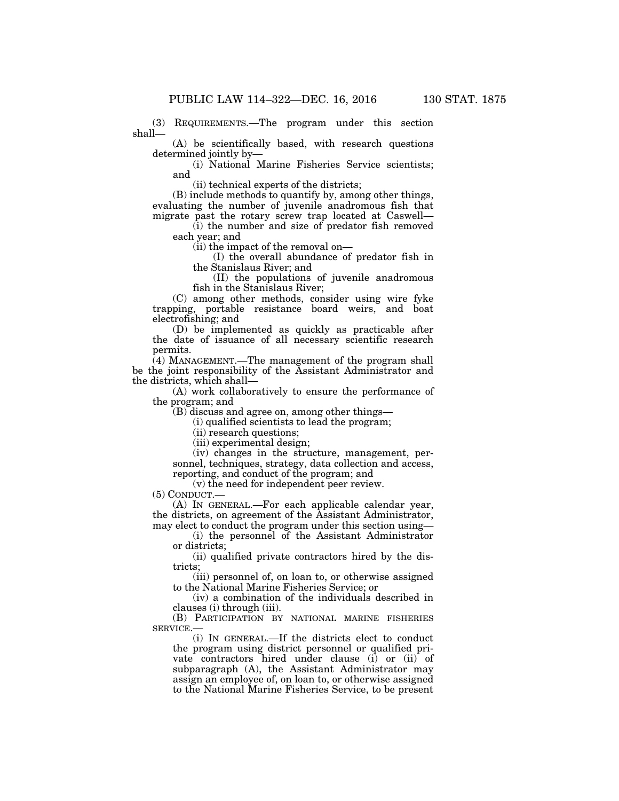(3) REQUIREMENTS.—The program under this section shall—

(A) be scientifically based, with research questions determined jointly by—

(i) National Marine Fisheries Service scientists; and

(ii) technical experts of the districts;

(B) include methods to quantify by, among other things, evaluating the number of juvenile anadromous fish that migrate past the rotary screw trap located at Caswell—

(i) the number and size of predator fish removed each year; and

(ii) the impact of the removal on—

(I) the overall abundance of predator fish in the Stanislaus River; and

(II) the populations of juvenile anadromous fish in the Stanislaus River;

(C) among other methods, consider using wire fyke trapping, portable resistance board weirs, and boat electrofishing; and

(D) be implemented as quickly as practicable after the date of issuance of all necessary scientific research permits.

(4) MANAGEMENT.—The management of the program shall be the joint responsibility of the Assistant Administrator and the districts, which shall—

(A) work collaboratively to ensure the performance of the program; and

(B) discuss and agree on, among other things—

(i) qualified scientists to lead the program;

(ii) research questions;

(iii) experimental design;

(iv) changes in the structure, management, personnel, techniques, strategy, data collection and access, reporting, and conduct of the program; and

(v) the need for independent peer review.

(5) CONDUCT.—

(A) IN GENERAL.—For each applicable calendar year, the districts, on agreement of the Assistant Administrator, may elect to conduct the program under this section using—

(i) the personnel of the Assistant Administrator or districts;

(ii) qualified private contractors hired by the districts;

(iii) personnel of, on loan to, or otherwise assigned to the National Marine Fisheries Service; or

(iv) a combination of the individuals described in clauses (i) through (iii).

(B) PARTICIPATION BY NATIONAL MARINE FISHERIES SERVICE.—

(i) IN GENERAL.—If the districts elect to conduct the program using district personnel or qualified private contractors hired under clause (i) or (ii) of subparagraph (A), the Assistant Administrator may assign an employee of, on loan to, or otherwise assigned to the National Marine Fisheries Service, to be present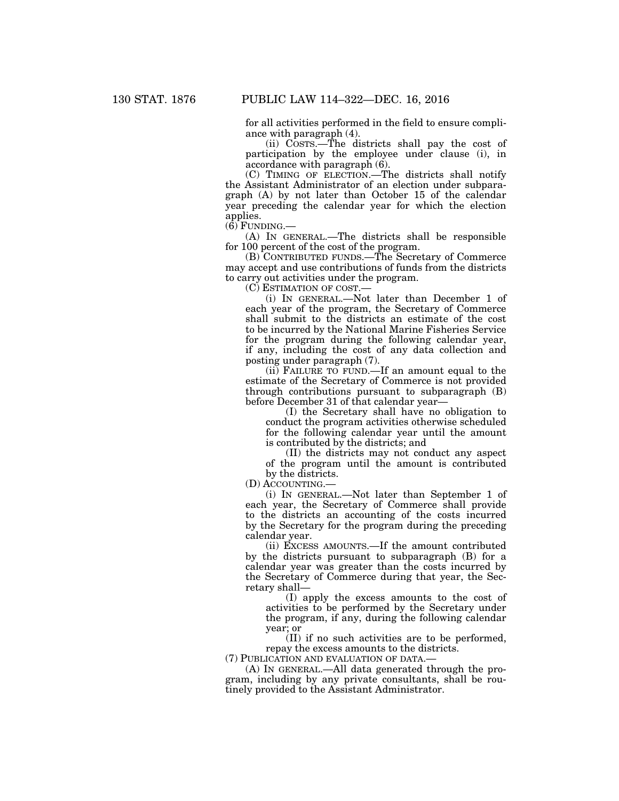for all activities performed in the field to ensure compliance with paragraph (4).

(ii) COSTS.—The districts shall pay the cost of participation by the employee under clause (i), in accordance with paragraph (6).

(C) TIMING OF ELECTION.—The districts shall notify the Assistant Administrator of an election under subparagraph (A) by not later than October 15 of the calendar year preceding the calendar year for which the election applies.

 $(6)$  FUNDING.—

(A) IN GENERAL.—The districts shall be responsible for 100 percent of the cost of the program.

(B) CONTRIBUTED FUNDS.—The Secretary of Commerce may accept and use contributions of funds from the districts to carry out activities under the program.

(C) ESTIMATION OF COST.—

(i) IN GENERAL.—Not later than December 1 of each year of the program, the Secretary of Commerce shall submit to the districts an estimate of the cost to be incurred by the National Marine Fisheries Service for the program during the following calendar year, if any, including the cost of any data collection and posting under paragraph (7).

(ii) FAILURE TO FUND.—If an amount equal to the estimate of the Secretary of Commerce is not provided through contributions pursuant to subparagraph (B) before December 31 of that calendar year—

(I) the Secretary shall have no obligation to conduct the program activities otherwise scheduled for the following calendar year until the amount is contributed by the districts; and

(II) the districts may not conduct any aspect of the program until the amount is contributed by the districts.

(D) ACCOUNTING.—

(i) IN GENERAL.—Not later than September 1 of each year, the Secretary of Commerce shall provide to the districts an accounting of the costs incurred by the Secretary for the program during the preceding calendar year.

(ii) EXCESS AMOUNTS.—If the amount contributed by the districts pursuant to subparagraph (B) for a calendar year was greater than the costs incurred by the Secretary of Commerce during that year, the Secretary shall—

(I) apply the excess amounts to the cost of activities to be performed by the Secretary under the program, if any, during the following calendar year; or

(II) if no such activities are to be performed, repay the excess amounts to the districts.

(7) PUBLICATION AND EVALUATION OF DATA.—

(A) IN GENERAL.—All data generated through the program, including by any private consultants, shall be routinely provided to the Assistant Administrator.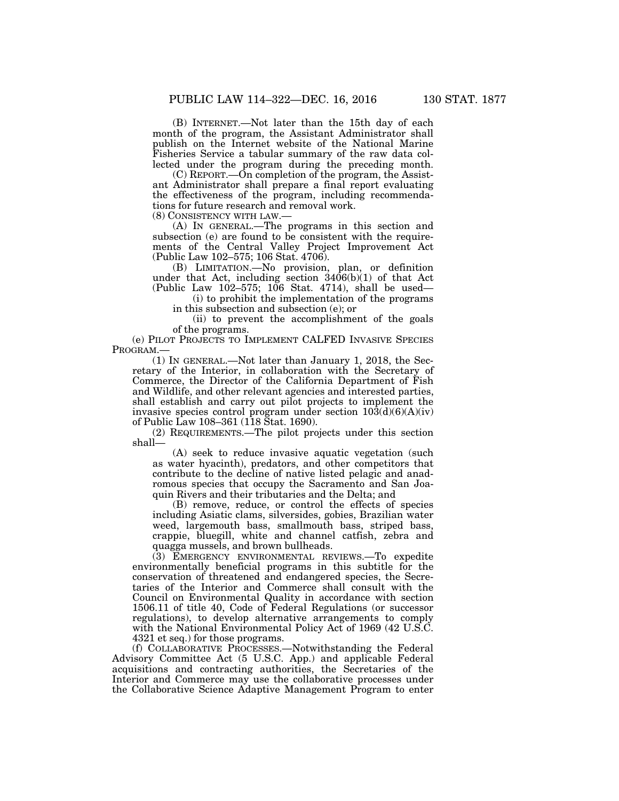(B) INTERNET.—Not later than the 15th day of each month of the program, the Assistant Administrator shall publish on the Internet website of the National Marine Fisheries Service a tabular summary of the raw data collected under the program during the preceding month.

(C) REPORT.—On completion of the program, the Assistant Administrator shall prepare a final report evaluating the effectiveness of the program, including recommendations for future research and removal work.

(8) CONSISTENCY WITH LAW.—

(A) IN GENERAL.—The programs in this section and subsection (e) are found to be consistent with the requirements of the Central Valley Project Improvement Act (Public Law 102–575; 106 Stat. 4706).

(B) LIMITATION.—No provision, plan, or definition under that Act, including section 3406(b)(1) of that Act (Public Law 102–575; 106 Stat. 4714), shall be used—

(i) to prohibit the implementation of the programs in this subsection and subsection (e); or

(ii) to prevent the accomplishment of the goals of the programs.

(e) PILOT PROJECTS TO IMPLEMENT CALFED INVASIVE SPECIES PROGRAM.—

(1) IN GENERAL.—Not later than January 1, 2018, the Secretary of the Interior, in collaboration with the Secretary of Commerce, the Director of the California Department of Fish and Wildlife, and other relevant agencies and interested parties, shall establish and carry out pilot projects to implement the invasive species control program under section  $10\dot{3}(d)(6)(A)(iv)$ of Public Law 108–361 (118 Stat. 1690).

(2) REQUIREMENTS.—The pilot projects under this section shall—

(A) seek to reduce invasive aquatic vegetation (such as water hyacinth), predators, and other competitors that contribute to the decline of native listed pelagic and anadromous species that occupy the Sacramento and San Joaquin Rivers and their tributaries and the Delta; and

(B) remove, reduce, or control the effects of species including Asiatic clams, silversides, gobies, Brazilian water weed, largemouth bass, smallmouth bass, striped bass, crappie, bluegill, white and channel catfish, zebra and quagga mussels, and brown bullheads.

(3) EMERGENCY ENVIRONMENTAL REVIEWS.—To expedite environmentally beneficial programs in this subtitle for the conservation of threatened and endangered species, the Secretaries of the Interior and Commerce shall consult with the Council on Environmental Quality in accordance with section 1506.11 of title 40, Code of Federal Regulations (or successor regulations), to develop alternative arrangements to comply with the National Environmental Policy Act of 1969 (42 U.S.C. 4321 et seq.) for those programs.

(f) COLLABORATIVE PROCESSES.—Notwithstanding the Federal Advisory Committee Act (5 U.S.C. App.) and applicable Federal acquisitions and contracting authorities, the Secretaries of the Interior and Commerce may use the collaborative processes under the Collaborative Science Adaptive Management Program to enter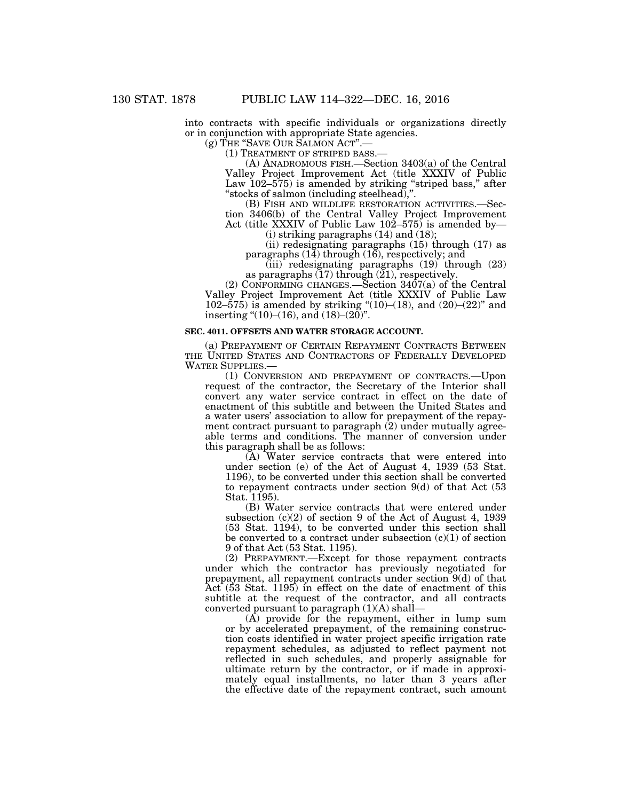into contracts with specific individuals or organizations directly or in conjunction with appropriate State agencies.

(g) THE ''SAVE OUR SALMON ACT''.—

(1) TREATMENT OF STRIPED BASS.— (A) ANADROMOUS FISH.—Section 3403(a) of the Central Valley Project Improvement Act (title XXXIV of Public Law 102–575) is amended by striking "striped bass," after "stocks of salmon (including steelhead),".

(B) FISH AND WILDLIFE RESTORATION ACTIVITIES.—Section 3406(b) of the Central Valley Project Improvement Act (title XXXIV of Public Law 102–575) is amended by—

 $(i)$  striking paragraphs  $(14)$  and  $(18)$ ;

(ii) redesignating paragraphs (15) through (17) as paragraphs  $(14)$  through  $(16)$ , respectively; and

(iii) redesignating paragraphs (19) through (23) as paragraphs  $(17)$  through  $(21)$ , respectively.

 $(2)$  CONFORMING CHANGES.—Section 3407(a) of the Central Valley Project Improvement Act (title XXXIV of Public Law 102–575) is amended by striking "(10)–(18), and (20)–(22)" and inserting ''(10)–(16), and (18)–(20)''.

#### **SEC. 4011. OFFSETS AND WATER STORAGE ACCOUNT.**

(a) PREPAYMENT OF CERTAIN REPAYMENT CONTRACTS BETWEEN THE UNITED STATES AND CONTRACTORS OF FEDERALLY DEVELOPED WATER SUPPLIES.—

(1) CONVERSION AND PREPAYMENT OF CONTRACTS.—Upon request of the contractor, the Secretary of the Interior shall convert any water service contract in effect on the date of enactment of this subtitle and between the United States and a water users' association to allow for prepayment of the repayment contract pursuant to paragraph (2) under mutually agreeable terms and conditions. The manner of conversion under this paragraph shall be as follows:

(A) Water service contracts that were entered into under section (e) of the Act of August 4, 1939 (53 Stat. 1196), to be converted under this section shall be converted to repayment contracts under section 9(d) of that Act (53 Stat. 1195).

(B) Water service contracts that were entered under subsection  $(c)(2)$  of section 9 of the Act of August 4, 1939 (53 Stat. 1194), to be converted under this section shall be converted to a contract under subsection  $(c)(1)$  of section 9 of that Act (53 Stat. 1195).

(2) PREPAYMENT.—Except for those repayment contracts under which the contractor has previously negotiated for prepayment, all repayment contracts under section 9(d) of that Act (53 Stat. 1195) in effect on the date of enactment of this subtitle at the request of the contractor, and all contracts converted pursuant to paragraph  $(1)(A)$  shall-

(A) provide for the repayment, either in lump sum or by accelerated prepayment, of the remaining construction costs identified in water project specific irrigation rate repayment schedules, as adjusted to reflect payment not reflected in such schedules, and properly assignable for ultimate return by the contractor, or if made in approximately equal installments, no later than 3 years after the effective date of the repayment contract, such amount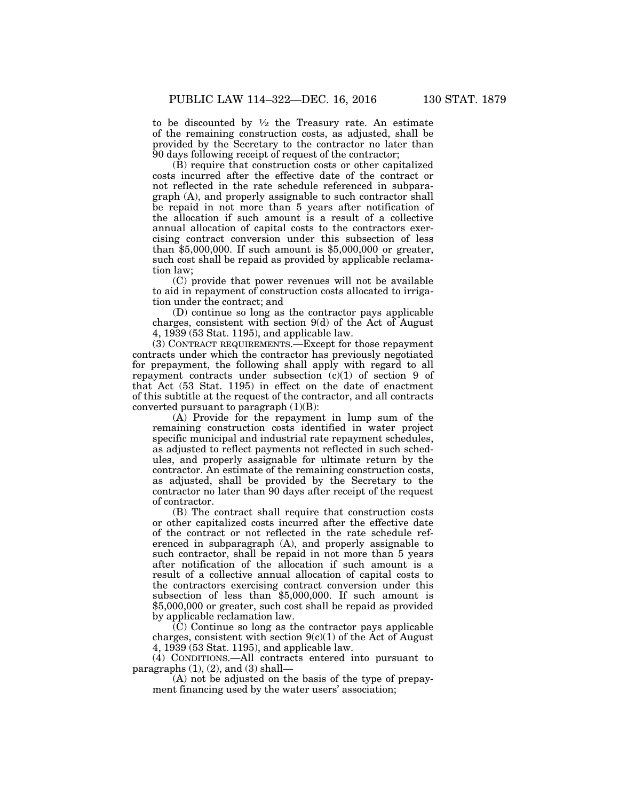to be discounted by  $\frac{1}{2}$  the Treasury rate. An estimate of the remaining construction costs, as adjusted, shall be provided by the Secretary to the contractor no later than 90 days following receipt of request of the contractor;

(B) require that construction costs or other capitalized costs incurred after the effective date of the contract or not reflected in the rate schedule referenced in subparagraph (A), and properly assignable to such contractor shall be repaid in not more than 5 years after notification of the allocation if such amount is a result of a collective annual allocation of capital costs to the contractors exercising contract conversion under this subsection of less than \$5,000,000. If such amount is \$5,000,000 or greater, such cost shall be repaid as provided by applicable reclamation law;

(C) provide that power revenues will not be available to aid in repayment of construction costs allocated to irrigation under the contract; and

(D) continue so long as the contractor pays applicable charges, consistent with section 9(d) of the Act of August 4, 1939 (53 Stat. 1195), and applicable law.

(3) CONTRACT REQUIREMENTS.—Except for those repayment contracts under which the contractor has previously negotiated for prepayment, the following shall apply with regard to all repayment contracts under subsection  $(c)(1)$  of section 9 of that Act (53 Stat. 1195) in effect on the date of enactment of this subtitle at the request of the contractor, and all contracts converted pursuant to paragraph  $(1)(B)$ :

(A) Provide for the repayment in lump sum of the remaining construction costs identified in water project specific municipal and industrial rate repayment schedules, as adjusted to reflect payments not reflected in such schedules, and properly assignable for ultimate return by the contractor. An estimate of the remaining construction costs, as adjusted, shall be provided by the Secretary to the contractor no later than 90 days after receipt of the request of contractor.

(B) The contract shall require that construction costs or other capitalized costs incurred after the effective date of the contract or not reflected in the rate schedule referenced in subparagraph (A), and properly assignable to such contractor, shall be repaid in not more than 5 years after notification of the allocation if such amount is a result of a collective annual allocation of capital costs to the contractors exercising contract conversion under this subsection of less than \$5,000,000. If such amount is \$5,000,000 or greater, such cost shall be repaid as provided by applicable reclamation law.

(C) Continue so long as the contractor pays applicable charges, consistent with section  $9(c)(1)$  of the Act of August 4, 1939 (53 Stat. 1195), and applicable law.

(4) CONDITIONS.—All contracts entered into pursuant to paragraphs  $(1)$ ,  $(2)$ , and  $(3)$  shall-

(A) not be adjusted on the basis of the type of prepayment financing used by the water users' association;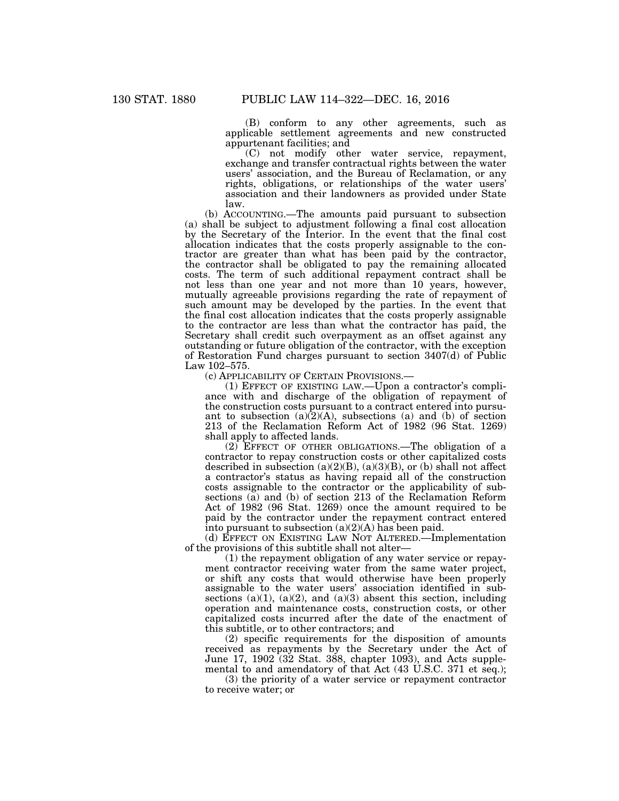(B) conform to any other agreements, such as applicable settlement agreements and new constructed appurtenant facilities; and

(C) not modify other water service, repayment, exchange and transfer contractual rights between the water users' association, and the Bureau of Reclamation, or any rights, obligations, or relationships of the water users' association and their landowners as provided under State law.

(b) ACCOUNTING.—The amounts paid pursuant to subsection (a) shall be subject to adjustment following a final cost allocation by the Secretary of the Interior. In the event that the final cost allocation indicates that the costs properly assignable to the contractor are greater than what has been paid by the contractor, the contractor shall be obligated to pay the remaining allocated costs. The term of such additional repayment contract shall be not less than one year and not more than 10 years, however, mutually agreeable provisions regarding the rate of repayment of such amount may be developed by the parties. In the event that the final cost allocation indicates that the costs properly assignable to the contractor are less than what the contractor has paid, the Secretary shall credit such overpayment as an offset against any outstanding or future obligation of the contractor, with the exception of Restoration Fund charges pursuant to section 3407(d) of Public Law 102–575.

(c) APPLICABILITY OF CERTAIN PROVISIONS.—

(1) EFFECT OF EXISTING LAW.—Upon a contractor's compliance with and discharge of the obligation of repayment of the construction costs pursuant to a contract entered into pursuant to subsection  $(a)(2)(A)$ , subsections  $(a)$  and  $(b)$  of section 213 of the Reclamation Reform Act of 1982 (96 Stat. 1269) shall apply to affected lands.

(2) EFFECT OF OTHER OBLIGATIONS.—The obligation of a contractor to repay construction costs or other capitalized costs described in subsection  $(a)(2)(B)$ ,  $(a)(3)(B)$ , or (b) shall not affect a contractor's status as having repaid all of the construction costs assignable to the contractor or the applicability of subsections (a) and (b) of section 213 of the Reclamation Reform Act of 1982 (96 Stat. 1269) once the amount required to be paid by the contractor under the repayment contract entered into pursuant to subsection (a)(2)(A) has been paid.

(d) EFFECT ON EXISTING LAW NOT ALTERED.—Implementation of the provisions of this subtitle shall not alter—

(1) the repayment obligation of any water service or repayment contractor receiving water from the same water project, or shift any costs that would otherwise have been properly assignable to the water users' association identified in subsections (a)(1), (a)(2), and (a)(3) absent this section, including operation and maintenance costs, construction costs, or other capitalized costs incurred after the date of the enactment of this subtitle, or to other contractors; and

(2) specific requirements for the disposition of amounts received as repayments by the Secretary under the Act of June 17, 1902 (32 Stat. 388, chapter 1093), and Acts supplemental to and amendatory of that Act (43 U.S.C. 371 et seq.);

(3) the priority of a water service or repayment contractor to receive water; or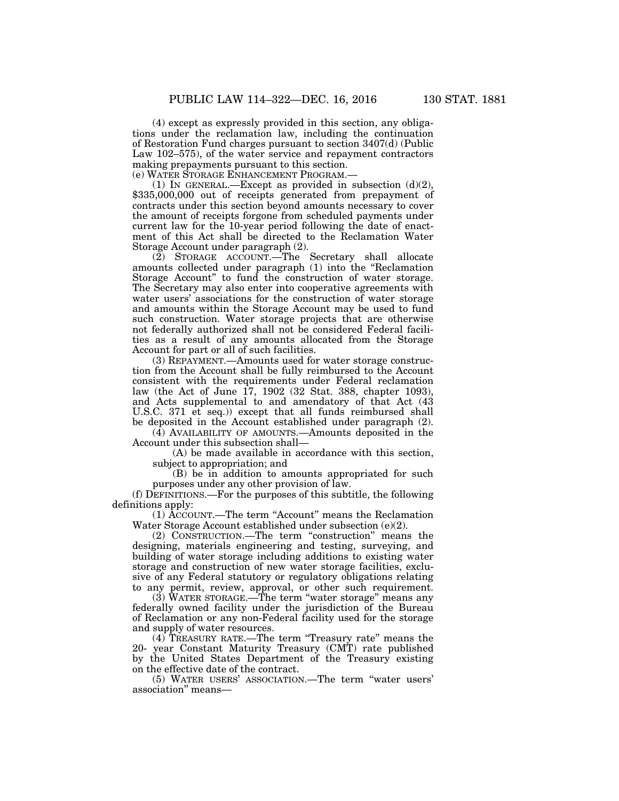(4) except as expressly provided in this section, any obligations under the reclamation law, including the continuation of Restoration Fund charges pursuant to section 3407(d) (Public Law 102–575), of the water service and repayment contractors making prepayments pursuant to this section.

(e) WATER STORAGE ENHANCEMENT PROGRAM.—

(1) IN GENERAL.—Except as provided in subsection  $(d)(2)$ , \$335,000,000 out of receipts generated from prepayment of contracts under this section beyond amounts necessary to cover the amount of receipts forgone from scheduled payments under current law for the 10-year period following the date of enactment of this Act shall be directed to the Reclamation Water Storage Account under paragraph (2).

(2) STORAGE ACCOUNT.—The Secretary shall allocate amounts collected under paragraph (1) into the ''Reclamation Storage Account'' to fund the construction of water storage. The Secretary may also enter into cooperative agreements with water users' associations for the construction of water storage and amounts within the Storage Account may be used to fund such construction. Water storage projects that are otherwise not federally authorized shall not be considered Federal facilities as a result of any amounts allocated from the Storage Account for part or all of such facilities.

(3) REPAYMENT.—Amounts used for water storage construction from the Account shall be fully reimbursed to the Account consistent with the requirements under Federal reclamation law (the Act of June 17, 1902 (32 Stat. 388, chapter 1093), and Acts supplemental to and amendatory of that Act (43 U.S.C. 371 et seq.)) except that all funds reimbursed shall be deposited in the Account established under paragraph (2).

(4) AVAILABILITY OF AMOUNTS.—Amounts deposited in the Account under this subsection shall—

(A) be made available in accordance with this section, subject to appropriation; and

(B) be in addition to amounts appropriated for such purposes under any other provision of law.

(f) DEFINITIONS.—For the purposes of this subtitle, the following definitions apply:

(1) ACCOUNT.—The term ''Account'' means the Reclamation Water Storage Account established under subsection (e)(2).

(2) CONSTRUCTION.—The term ''construction'' means the designing, materials engineering and testing, surveying, and building of water storage including additions to existing water storage and construction of new water storage facilities, exclusive of any Federal statutory or regulatory obligations relating to any permit, review, approval, or other such requirement.

(3) WATER STORAGE.—The term ''water storage'' means any federally owned facility under the jurisdiction of the Bureau of Reclamation or any non-Federal facility used for the storage and supply of water resources.

(4) TREASURY RATE.—The term ''Treasury rate'' means the 20- year Constant Maturity Treasury (CMT) rate published by the United States Department of the Treasury existing on the effective date of the contract.

(5) WATER USERS' ASSOCIATION.—The term ''water users' association'' means—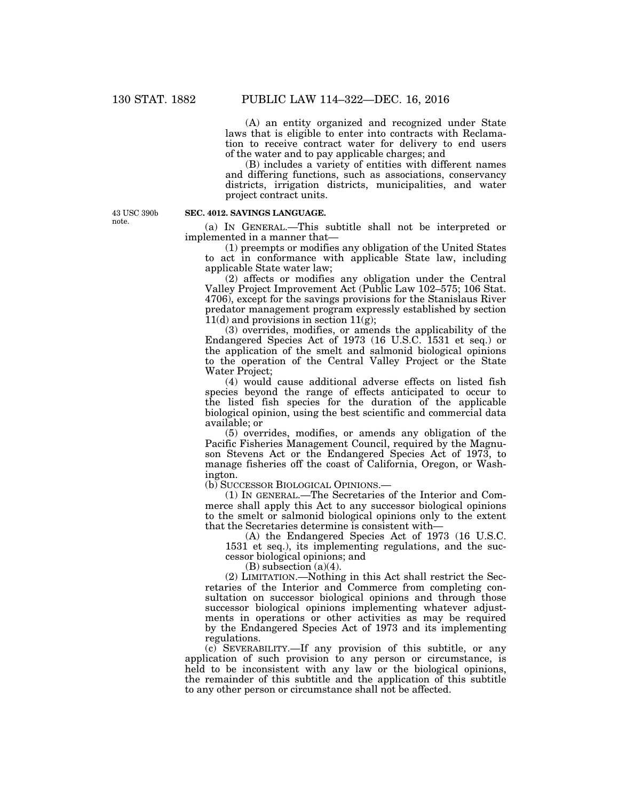(A) an entity organized and recognized under State laws that is eligible to enter into contracts with Reclamation to receive contract water for delivery to end users of the water and to pay applicable charges; and

(B) includes a variety of entities with different names and differing functions, such as associations, conservancy districts, irrigation districts, municipalities, and water project contract units.

43 USC 390b note.

#### **SEC. 4012. SAVINGS LANGUAGE.**

(a) IN GENERAL.—This subtitle shall not be interpreted or implemented in a manner that—

(1) preempts or modifies any obligation of the United States to act in conformance with applicable State law, including applicable State water law;

(2) affects or modifies any obligation under the Central Valley Project Improvement Act (Public Law 102–575; 106 Stat. 4706), except for the savings provisions for the Stanislaus River predator management program expressly established by section  $11(d)$  and provisions in section  $11(g)$ ;

(3) overrides, modifies, or amends the applicability of the Endangered Species Act of 1973 (16 U.S.C. 1531 et seq.) or the application of the smelt and salmonid biological opinions to the operation of the Central Valley Project or the State Water Project;

(4) would cause additional adverse effects on listed fish species beyond the range of effects anticipated to occur to the listed fish species for the duration of the applicable biological opinion, using the best scientific and commercial data available; or

(5) overrides, modifies, or amends any obligation of the Pacific Fisheries Management Council, required by the Magnuson Stevens Act or the Endangered Species Act of 1973, to manage fisheries off the coast of California, Oregon, or Washington.

(b) SUCCESSOR BIOLOGICAL OPINIONS.—

(1) IN GENERAL.—The Secretaries of the Interior and Commerce shall apply this Act to any successor biological opinions to the smelt or salmonid biological opinions only to the extent that the Secretaries determine is consistent with—

(A) the Endangered Species Act of 1973 (16 U.S.C. 1531 et seq.), its implementing regulations, and the successor biological opinions; and

 $(B)$  subsection  $(a)(4)$ .

(2) LIMITATION.—Nothing in this Act shall restrict the Secretaries of the Interior and Commerce from completing consultation on successor biological opinions and through those successor biological opinions implementing whatever adjustments in operations or other activities as may be required by the Endangered Species Act of 1973 and its implementing regulations.

(c) SEVERABILITY.—If any provision of this subtitle, or any application of such provision to any person or circumstance, is held to be inconsistent with any law or the biological opinions, the remainder of this subtitle and the application of this subtitle to any other person or circumstance shall not be affected.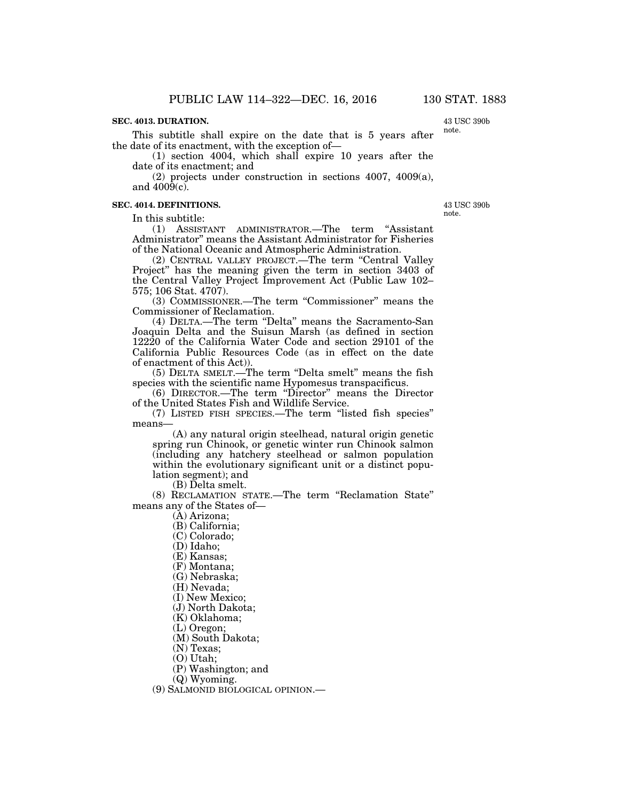# **SEC. 4013. DURATION.**

This subtitle shall expire on the date that is 5 years after the date of its enactment, with the exception of note.

(1) section 4004, which shall expire 10 years after the date of its enactment; and

(2) projects under construction in sections 4007, 4009(a), and  $400\overline{9}$ (c).

## **SEC. 4014. DEFINITIONS.**

In this subtitle:

(1) ASSISTANT ADMINISTRATOR.—The term ''Assistant Administrator'' means the Assistant Administrator for Fisheries of the National Oceanic and Atmospheric Administration.

(2) CENTRAL VALLEY PROJECT.—The term ''Central Valley Project'' has the meaning given the term in section 3403 of the Central Valley Project Improvement Act (Public Law 102– 575; 106 Stat. 4707).

(3) COMMISSIONER.—The term ''Commissioner'' means the Commissioner of Reclamation.

(4) DELTA.—The term ''Delta'' means the Sacramento-San Joaquin Delta and the Suisun Marsh (as defined in section 12220 of the California Water Code and section 29101 of the California Public Resources Code (as in effect on the date of enactment of this Act)).

(5) DELTA SMELT.—The term ''Delta smelt'' means the fish species with the scientific name Hypomesus transpacificus.

(6) DIRECTOR.—The term ''Director'' means the Director of the United States Fish and Wildlife Service.

(7) LISTED FISH SPECIES.—The term ''listed fish species'' means—

(A) any natural origin steelhead, natural origin genetic spring run Chinook, or genetic winter run Chinook salmon (including any hatchery steelhead or salmon population within the evolutionary significant unit or a distinct population segment); and

(B) Delta smelt.

(8) RECLAMATION STATE.—The term ''Reclamation State'' means any of the States of—

(A) Arizona;

(B) California;

(C) Colorado;

(D) Idaho;

(E) Kansas;

(F) Montana;

(G) Nebraska;

(H) Nevada;

(I) New Mexico;

(J) North Dakota;

(K) Oklahoma;

(L) Oregon;

(M) South Dakota;

(N) Texas;

(O) Utah;

(P) Washington; and

(Q) Wyoming.

(9) SALMONID BIOLOGICAL OPINION.—

43 USC 390b note.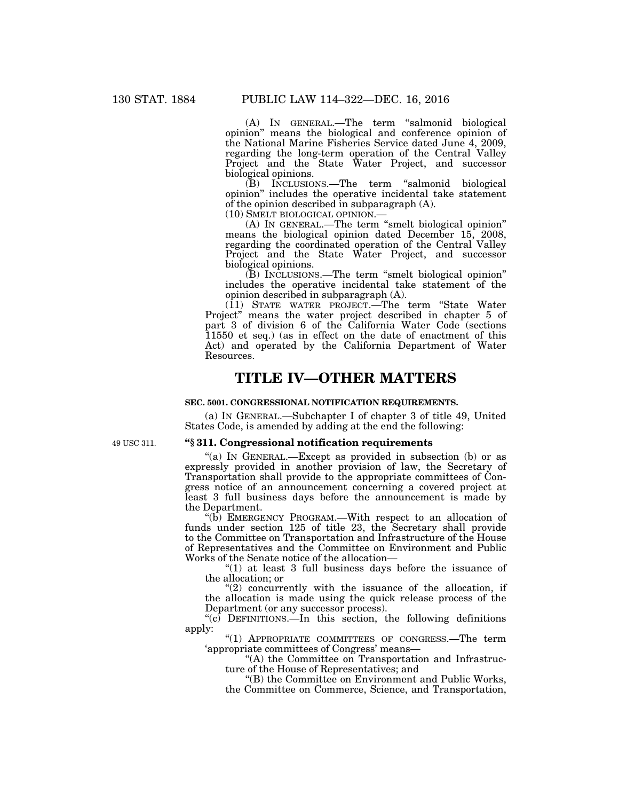(A) IN GENERAL.—The term ''salmonid biological opinion'' means the biological and conference opinion of the National Marine Fisheries Service dated June 4, 2009, regarding the long-term operation of the Central Valley Project and the State Water Project, and successor biological opinions.

(B) INCLUSIONS.—The term ''salmonid biological opinion'' includes the operative incidental take statement of the opinion described in subparagraph (A).

(10) SMELT BIOLOGICAL OPINION.— (A) IN GENERAL.—The term ''smelt biological opinion'' means the biological opinion dated December 15, 2008, regarding the coordinated operation of the Central Valley Project and the State Water Project, and successor biological opinions.

(B) INCLUSIONS.—The term ''smelt biological opinion'' includes the operative incidental take statement of the opinion described in subparagraph (A).

(11) STATE WATER PROJECT.—The term ''State Water Project'' means the water project described in chapter 5 of part 3 of division 6 of the California Water Code (sections 11550 et seq.) (as in effect on the date of enactment of this Act) and operated by the California Department of Water Resources.

# **TITLE IV—OTHER MATTERS**

#### **SEC. 5001. CONGRESSIONAL NOTIFICATION REQUIREMENTS.**

(a) IN GENERAL.—Subchapter I of chapter 3 of title 49, United States Code, is amended by adding at the end the following:

49 USC 311.

### **''§ 311. Congressional notification requirements**

"(a) IN GENERAL.—Except as provided in subsection (b) or as expressly provided in another provision of law, the Secretary of Transportation shall provide to the appropriate committees of Congress notice of an announcement concerning a covered project at least 3 full business days before the announcement is made by the Department.

''(b) EMERGENCY PROGRAM.—With respect to an allocation of funds under section 125 of title 23, the Secretary shall provide to the Committee on Transportation and Infrastructure of the House of Representatives and the Committee on Environment and Public Works of the Senate notice of the allocation—

" $(1)$  at least 3 full business days before the issuance of the allocation; or

"(2) concurrently with the issuance of the allocation, if the allocation is made using the quick release process of the Department (or any successor process).

"(c) DEFINITIONS.—In this section, the following definitions apply:

''(1) APPROPRIATE COMMITTEES OF CONGRESS.—The term 'appropriate committees of Congress' means—

''(A) the Committee on Transportation and Infrastructure of the House of Representatives; and

''(B) the Committee on Environment and Public Works, the Committee on Commerce, Science, and Transportation,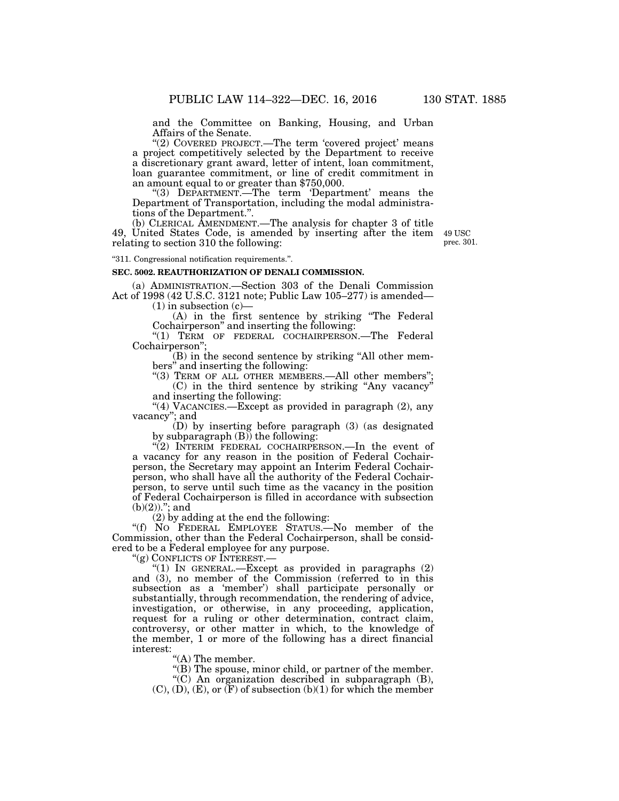and the Committee on Banking, Housing, and Urban Affairs of the Senate.

"(2) COVERED PROJECT.—The term 'covered project' means a project competitively selected by the Department to receive a discretionary grant award, letter of intent, loan commitment, loan guarantee commitment, or line of credit commitment in an amount equal to or greater than \$750,000.

"(3) DEPARTMENT.—The term 'Department' means the Department of Transportation, including the modal administrations of the Department.''.

(b) CLERICAL AMENDMENT.—The analysis for chapter 3 of title 49, United States Code, is amended by inserting after the item 49 USC relating to section 310 the following:

prec. 301.

''311. Congressional notification requirements.''.

#### **SEC. 5002. REAUTHORIZATION OF DENALI COMMISSION.**

(a) ADMINISTRATION.—Section 303 of the Denali Commission Act of 1998 (42 U.S.C. 3121 note; Public Law 105–277) is amended—

 $(1)$  in subsection  $(c)$ —

(A) in the first sentence by striking ''The Federal Cochairperson'' and inserting the following:

''(1) TERM OF FEDERAL COCHAIRPERSON.—The Federal Cochairperson'';

(B) in the second sentence by striking ''All other members'' and inserting the following:

"(3) TERM OF ALL OTHER MEMBERS.—All other members"; (C) in the third sentence by striking ''Any vacancy''

and inserting the following:

"(4) VACANCIES.—Except as provided in paragraph (2), any vacancy''; and

(D) by inserting before paragraph (3) (as designated by subparagraph (B)) the following:

"(2) INTERIM FEDERAL COCHAIRPERSON.—In the event of a vacancy for any reason in the position of Federal Cochairperson, the Secretary may appoint an Interim Federal Cochairperson, who shall have all the authority of the Federal Cochairperson, to serve until such time as the vacancy in the position of Federal Cochairperson is filled in accordance with subsection  $(b)(2))$ ."; and

(2) by adding at the end the following:

''(f) NO FEDERAL EMPLOYEE STATUS.—No member of the Commission, other than the Federal Cochairperson, shall be considered to be a Federal employee for any purpose.

''(g) CONFLICTS OF INTEREST.—

"(1) IN GENERAL.—Except as provided in paragraphs  $(2)$ and (3), no member of the Commission (referred to in this subsection as a 'member') shall participate personally or substantially, through recommendation, the rendering of advice, investigation, or otherwise, in any proceeding, application, request for a ruling or other determination, contract claim, controversy, or other matter in which, to the knowledge of the member, 1 or more of the following has a direct financial interest:

"(A) The member.

''(B) The spouse, minor child, or partner of the member.

''(C) An organization described in subparagraph (B),

 $(C)$ ,  $(D)$ ,  $(E)$ , or  $(F)$  of subsection  $(b)(1)$  for which the member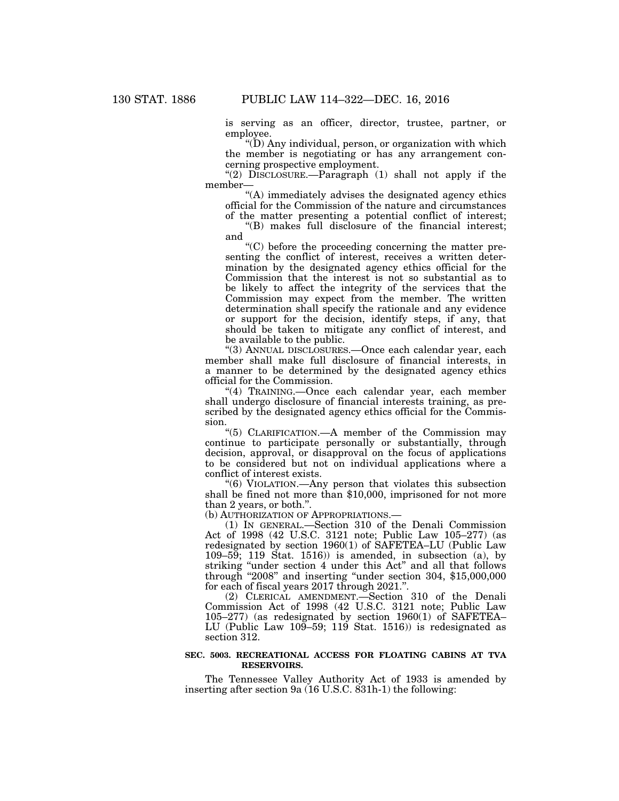is serving as an officer, director, trustee, partner, or employee.

''(D) Any individual, person, or organization with which the member is negotiating or has any arrangement concerning prospective employment.

''(2) DISCLOSURE.—Paragraph (1) shall not apply if the member—

''(A) immediately advises the designated agency ethics official for the Commission of the nature and circumstances of the matter presenting a potential conflict of interest;

''(B) makes full disclosure of the financial interest; and

''(C) before the proceeding concerning the matter presenting the conflict of interest, receives a written determination by the designated agency ethics official for the Commission that the interest is not so substantial as to be likely to affect the integrity of the services that the Commission may expect from the member. The written determination shall specify the rationale and any evidence or support for the decision, identify steps, if any, that should be taken to mitigate any conflict of interest, and be available to the public.

''(3) ANNUAL DISCLOSURES.—Once each calendar year, each member shall make full disclosure of financial interests, in a manner to be determined by the designated agency ethics official for the Commission.

''(4) TRAINING.—Once each calendar year, each member shall undergo disclosure of financial interests training, as prescribed by the designated agency ethics official for the Commission.

''(5) CLARIFICATION.—A member of the Commission may continue to participate personally or substantially, through decision, approval, or disapproval on the focus of applications to be considered but not on individual applications where a conflict of interest exists.

''(6) VIOLATION.—Any person that violates this subsection shall be fined not more than \$10,000, imprisoned for not more than 2 years, or both.''.

(b) AUTHORIZATION OF APPROPRIATIONS.—

(1) IN GENERAL.—Section 310 of the Denali Commission Act of 1998 (42 U.S.C. 3121 note; Public Law 105–277) (as redesignated by section 1960(1) of SAFETEA–LU (Public Law 109–59; 119 Stat. 1516)) is amended, in subsection (a), by striking ''under section 4 under this Act'' and all that follows through "2008" and inserting "under section 304, \$15,000,000 for each of fiscal years 2017 through 2021.''.

(2) CLERICAL AMENDMENT.—Section 310 of the Denali Commission Act of 1998 (42 U.S.C. 3121 note; Public Law 105–277) (as redesignated by section 1960(1) of SAFETEA– LU (Public Law 109–59; 119 Stat. 1516)) is redesignated as section 312.

#### **SEC. 5003. RECREATIONAL ACCESS FOR FLOATING CABINS AT TVA RESERVOIRS.**

The Tennessee Valley Authority Act of 1933 is amended by inserting after section 9a (16 U.S.C. 831h-1) the following: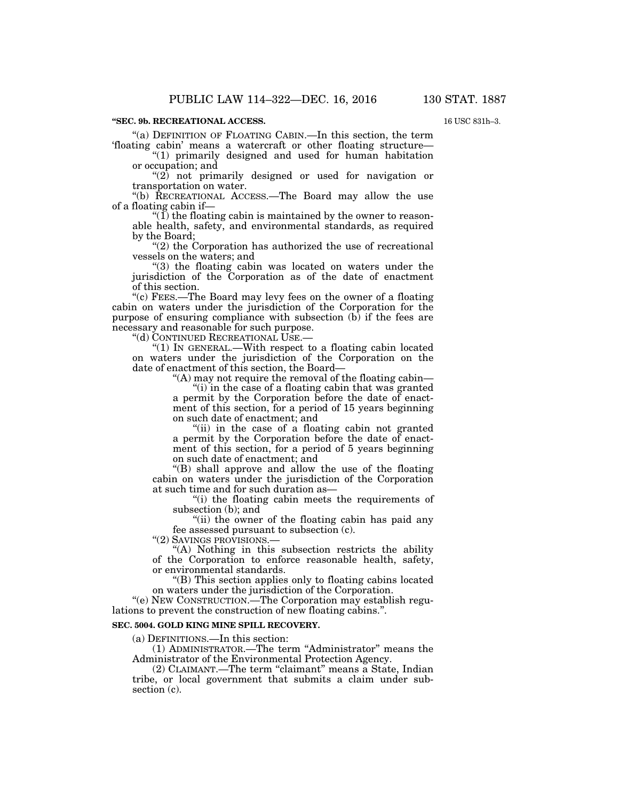#### **''SEC. 9b. RECREATIONAL ACCESS.**

16 USC 831h–3.

"(a) DEFINITION OF FLOATING CABIN.—In this section, the term

'floating cabin' means a watercraft or other floating structure— ''(1) primarily designed and used for human habitation or occupation; and

"(2) not primarily designed or used for navigation or transportation on water.

''(b) RECREATIONAL ACCESS.—The Board may allow the use of a floating cabin if—

" $(\tilde{1})$  the floating cabin is maintained by the owner to reasonable health, safety, and environmental standards, as required by the Board;

 $(2)$  the Corporation has authorized the use of recreational vessels on the waters; and

"(3) the floating cabin was located on waters under the jurisdiction of the Corporation as of the date of enactment of this section.

''(c) FEES.—The Board may levy fees on the owner of a floating cabin on waters under the jurisdiction of the Corporation for the purpose of ensuring compliance with subsection (b) if the fees are necessary and reasonable for such purpose.

''(d) CONTINUED RECREATIONAL USE.—

''(1) IN GENERAL.—With respect to a floating cabin located on waters under the jurisdiction of the Corporation on the date of enactment of this section, the Board—

''(A) may not require the removal of the floating cabin—

"(i) in the case of a floating cabin that was granted a permit by the Corporation before the date of enactment of this section, for a period of 15 years beginning on such date of enactment; and

"(ii) in the case of a floating cabin not granted a permit by the Corporation before the date of enactment of this section, for a period of 5 years beginning on such date of enactment; and

''(B) shall approve and allow the use of the floating cabin on waters under the jurisdiction of the Corporation at such time and for such duration as—

"(i) the floating cabin meets the requirements of subsection (b); and

"(ii) the owner of the floating cabin has paid any fee assessed pursuant to subsection (c).<br>"(2) SAVINGS PROVISIONS.—

"(A) Nothing in this subsection restricts the ability of the Corporation to enforce reasonable health, safety, or environmental standards.

''(B) This section applies only to floating cabins located on waters under the jurisdiction of the Corporation.

''(e) NEW CONSTRUCTION.—The Corporation may establish regulations to prevent the construction of new floating cabins.''.

#### **SEC. 5004. GOLD KING MINE SPILL RECOVERY.**

(a) DEFINITIONS.—In this section:

(1) ADMINISTRATOR.—The term ''Administrator'' means the Administrator of the Environmental Protection Agency.

(2) CLAIMANT.—The term ''claimant'' means a State, Indian tribe, or local government that submits a claim under subsection (c).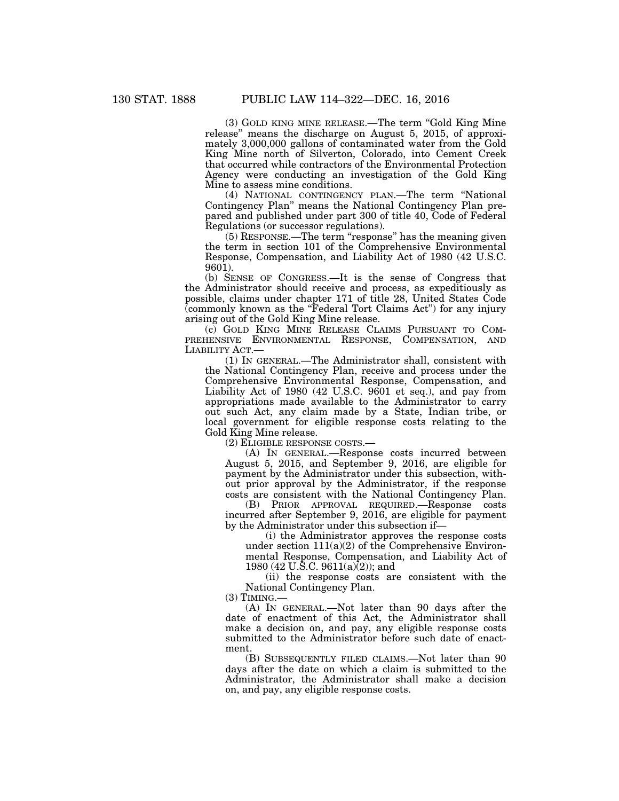(3) GOLD KING MINE RELEASE.—The term ''Gold King Mine release'' means the discharge on August 5, 2015, of approximately 3,000,000 gallons of contaminated water from the Gold King Mine north of Silverton, Colorado, into Cement Creek that occurred while contractors of the Environmental Protection Agency were conducting an investigation of the Gold King Mine to assess mine conditions.

(4) NATIONAL CONTINGENCY PLAN.—The term ''National Contingency Plan'' means the National Contingency Plan prepared and published under part 300 of title 40, Code of Federal Regulations (or successor regulations).

(5) RESPONSE.—The term ''response'' has the meaning given the term in section 101 of the Comprehensive Environmental Response, Compensation, and Liability Act of 1980 (42 U.S.C.  $9601$ ).

(b) SENSE OF CONGRESS.—It is the sense of Congress that the Administrator should receive and process, as expeditiously as possible, claims under chapter 171 of title 28, United States Code (commonly known as the ''Federal Tort Claims Act'') for any injury arising out of the Gold King Mine release.

(c) GOLD KING MINE RELEASE CLAIMS PURSUANT TO COM-PREHENSIVE ENVIRONMENTAL RESPONSE, COMPENSATION, AND LIABILITY ACT.—

(1) IN GENERAL.—The Administrator shall, consistent with the National Contingency Plan, receive and process under the Comprehensive Environmental Response, Compensation, and Liability Act of 1980 (42 U.S.C. 9601 et seq.), and pay from appropriations made available to the Administrator to carry out such Act, any claim made by a State, Indian tribe, or local government for eligible response costs relating to the Gold King Mine release.

(2) ELIGIBLE RESPONSE COSTS.—

(A) IN GENERAL.—Response costs incurred between August 5, 2015, and September 9, 2016, are eligible for payment by the Administrator under this subsection, without prior approval by the Administrator, if the response costs are consistent with the National Contingency Plan.

(B) PRIOR APPROVAL REQUIRED.—Response costs incurred after September 9, 2016, are eligible for payment by the Administrator under this subsection if—

(i) the Administrator approves the response costs under section  $111(a)(2)$  of the Comprehensive Environmental Response, Compensation, and Liability Act of 1980 (42 U.S.C. 9611(a) $(2)$ ); and

(ii) the response costs are consistent with the National Contingency Plan.

 $(3)$  TIMING.

(A) IN GENERAL.—Not later than 90 days after the date of enactment of this Act, the Administrator shall make a decision on, and pay, any eligible response costs submitted to the Administrator before such date of enactment.

(B) SUBSEQUENTLY FILED CLAIMS.—Not later than 90 days after the date on which a claim is submitted to the Administrator, the Administrator shall make a decision on, and pay, any eligible response costs.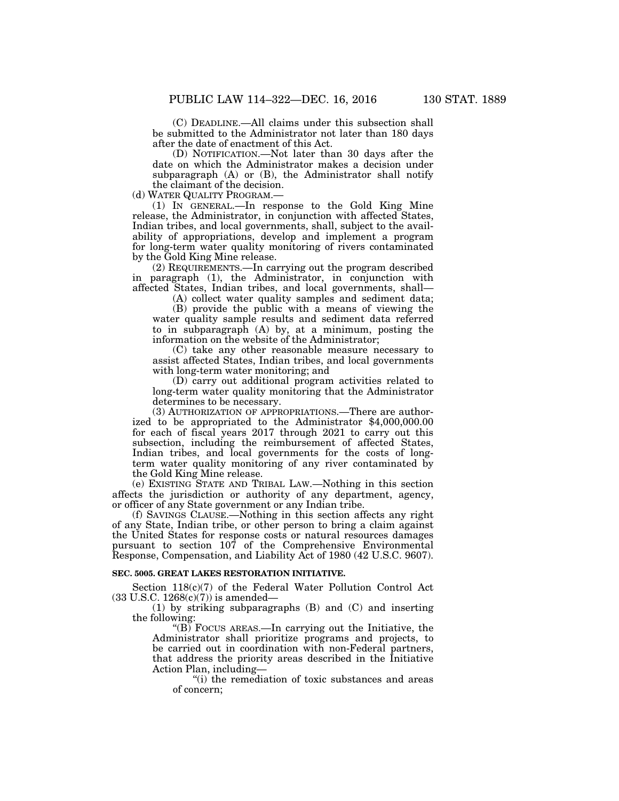(C) DEADLINE.—All claims under this subsection shall be submitted to the Administrator not later than 180 days after the date of enactment of this Act.

(D) NOTIFICATION.—Not later than 30 days after the date on which the Administrator makes a decision under subparagraph (A) or (B), the Administrator shall notify the claimant of the decision.

(d) WATER QUALITY PROGRAM.—

(1) IN GENERAL.—In response to the Gold King Mine release, the Administrator, in conjunction with affected States, Indian tribes, and local governments, shall, subject to the availability of appropriations, develop and implement a program for long-term water quality monitoring of rivers contaminated by the Gold King Mine release.

(2) REQUIREMENTS.—In carrying out the program described in paragraph (1), the Administrator, in conjunction with affected States, Indian tribes, and local governments, shall—

(A) collect water quality samples and sediment data;

(B) provide the public with a means of viewing the water quality sample results and sediment data referred to in subparagraph (A) by, at a minimum, posting the information on the website of the Administrator;

(C) take any other reasonable measure necessary to assist affected States, Indian tribes, and local governments with long-term water monitoring; and

(D) carry out additional program activities related to long-term water quality monitoring that the Administrator determines to be necessary.

(3) AUTHORIZATION OF APPROPRIATIONS.—There are authorized to be appropriated to the Administrator \$4,000,000.00 for each of fiscal years 2017 through 2021 to carry out this subsection, including the reimbursement of affected States, Indian tribes, and local governments for the costs of longterm water quality monitoring of any river contaminated by the Gold King Mine release.

(e) EXISTING STATE AND TRIBAL LAW.—Nothing in this section affects the jurisdiction or authority of any department, agency, or officer of any State government or any Indian tribe.

(f) SAVINGS CLAUSE.—Nothing in this section affects any right of any State, Indian tribe, or other person to bring a claim against the United States for response costs or natural resources damages pursuant to section 107 of the Comprehensive Environmental Response, Compensation, and Liability Act of 1980 (42 U.S.C. 9607).

#### **SEC. 5005. GREAT LAKES RESTORATION INITIATIVE.**

Section 118(c)(7) of the Federal Water Pollution Control Act  $(33 \text{ U.S.C. } 1268(c)(7))$  is amended—

(1) by striking subparagraphs (B) and (C) and inserting the following:

" $(B)$  Focus AREAS.—In carrying out the Initiative, the Administrator shall prioritize programs and projects, to be carried out in coordination with non-Federal partners, that address the priority areas described in the Initiative Action Plan, including—

''(i) the remediation of toxic substances and areas of concern;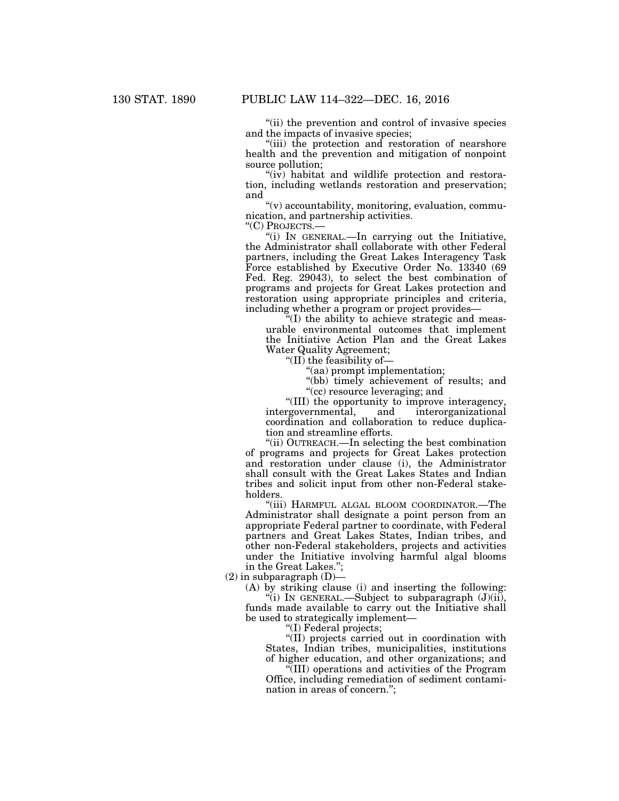''(ii) the prevention and control of invasive species and the impacts of invasive species;

''(iii) the protection and restoration of nearshore health and the prevention and mitigation of nonpoint source pollution;

"(iv) habitat and wildlife protection and restoration, including wetlands restoration and preservation; and

 $\mathcal{H}(v)$  accountability, monitoring, evaluation, communication, and partnership activities.

''(C) PROJECTS.—

''(i) IN GENERAL.—In carrying out the Initiative, the Administrator shall collaborate with other Federal partners, including the Great Lakes Interagency Task Force established by Executive Order No. 13340 (69 Fed. Reg. 29043), to select the best combination of programs and projects for Great Lakes protection and restoration using appropriate principles and criteria, including whether a program or project provides—

 $\sqrt[4]{(I)}$  the ability to achieve strategic and measurable environmental outcomes that implement the Initiative Action Plan and the Great Lakes Water Quality Agreement;

''(II) the feasibility of—

''(aa) prompt implementation;

''(bb) timely achievement of results; and ''(cc) resource leveraging; and

"(III) the opportunity to improve interagency,<br>intergovernmental, and interorganizational interorganizational coordination and collaboration to reduce duplication and streamline efforts.

''(ii) OUTREACH.—In selecting the best combination of programs and projects for Great Lakes protection and restoration under clause (i), the Administrator shall consult with the Great Lakes States and Indian tribes and solicit input from other non-Federal stakeholders.

"(iii) HARMFUL ALGAL BLOOM COORDINATOR.—The Administrator shall designate a point person from an appropriate Federal partner to coordinate, with Federal partners and Great Lakes States, Indian tribes, and other non-Federal stakeholders, projects and activities under the Initiative involving harmful algal blooms in the Great Lakes.'';

 $(2)$  in subparagraph  $(D)$ -

(A) by striking clause (i) and inserting the following:

"(i) IN GENERAL.—Subject to subparagraph (J)(ii), funds made available to carry out the Initiative shall be used to strategically implement—

''(I) Federal projects;

''(II) projects carried out in coordination with States, Indian tribes, municipalities, institutions of higher education, and other organizations; and

 $\sqrt{\text{III}}$  operations and activities of the Program Office, including remediation of sediment contamination in areas of concern.'';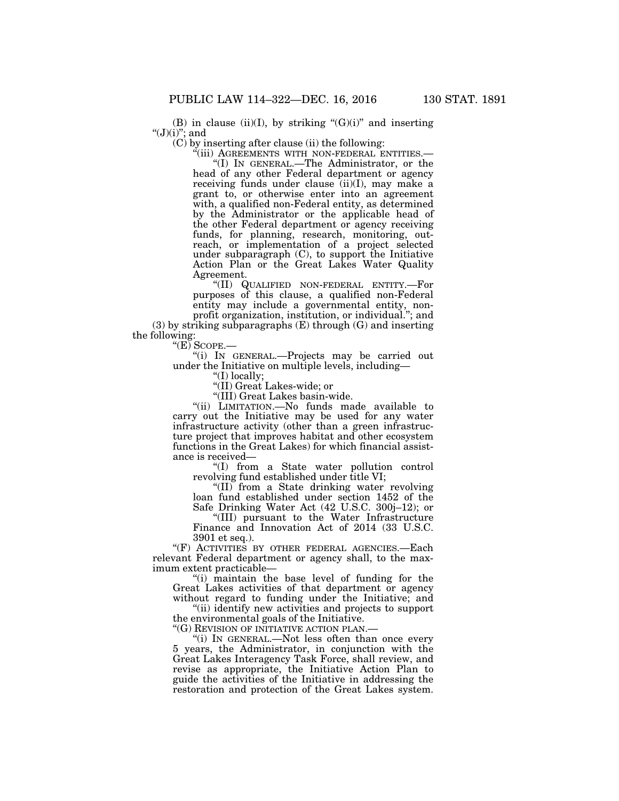(B) in clause (ii)(I), by striking " $(G)(i)$ " and inserting " $(J)(i)$ "; and

(C) by inserting after clause (ii) the following:

''(iii) AGREEMENTS WITH NON-FEDERAL ENTITIES.— ''(I) IN GENERAL.—The Administrator, or the

head of any other Federal department or agency receiving funds under clause (ii)(I), may make a grant to, or otherwise enter into an agreement with, a qualified non-Federal entity, as determined by the Administrator or the applicable head of the other Federal department or agency receiving funds, for planning, research, monitoring, outreach, or implementation of a project selected under subparagraph (C), to support the Initiative Action Plan or the Great Lakes Water Quality Agreement.

''(II) QUALIFIED NON-FEDERAL ENTITY.—For purposes of this clause, a qualified non-Federal entity may include a governmental entity, nonprofit organization, institution, or individual.''; and

(3) by striking subparagraphs (E) through (G) and inserting the following:

 $E$ <sup>"</sup>(E) SCOPE.-

''(i) IN GENERAL.—Projects may be carried out under the Initiative on multiple levels, including—

''(I) locally;

''(II) Great Lakes-wide; or

''(III) Great Lakes basin-wide.

''(ii) LIMITATION.—No funds made available to carry out the Initiative may be used for any water infrastructure activity (other than a green infrastructure project that improves habitat and other ecosystem functions in the Great Lakes) for which financial assistance is received—

''(I) from a State water pollution control revolving fund established under title VI;

''(II) from a State drinking water revolving loan fund established under section 1452 of the Safe Drinking Water Act (42 U.S.C. 300j–12); or

''(III) pursuant to the Water Infrastructure Finance and Innovation Act of 2014 (33 U.S.C. 3901 et seq.).

''(F) ACTIVITIES BY OTHER FEDERAL AGENCIES.—Each relevant Federal department or agency shall, to the maximum extent practicable—

''(i) maintain the base level of funding for the Great Lakes activities of that department or agency without regard to funding under the Initiative; and

''(ii) identify new activities and projects to support

the environmental goals of the Initiative.<br>"(G) REVISION OF INITIATIVE ACTION PLAN.—

"(i) IN GENERAL.—Not less often than once every 5 years, the Administrator, in conjunction with the Great Lakes Interagency Task Force, shall review, and revise as appropriate, the Initiative Action Plan to guide the activities of the Initiative in addressing the restoration and protection of the Great Lakes system.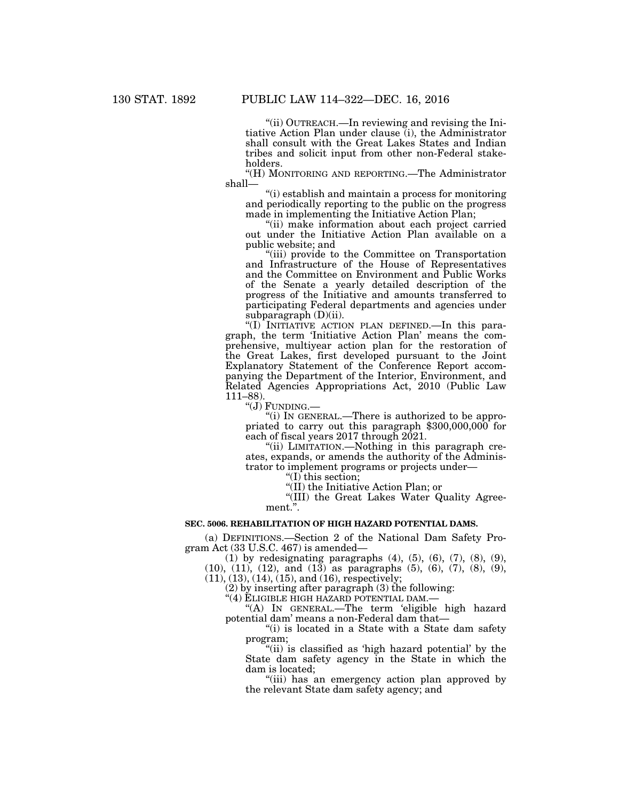''(ii) OUTREACH.—In reviewing and revising the Initiative Action Plan under clause (i), the Administrator shall consult with the Great Lakes States and Indian tribes and solicit input from other non-Federal stakeholders.

''(H) MONITORING AND REPORTING.—The Administrator shall—

''(i) establish and maintain a process for monitoring and periodically reporting to the public on the progress made in implementing the Initiative Action Plan;

''(ii) make information about each project carried out under the Initiative Action Plan available on a public website; and

"(iii) provide to the Committee on Transportation and Infrastructure of the House of Representatives and the Committee on Environment and Public Works of the Senate a yearly detailed description of the progress of the Initiative and amounts transferred to participating Federal departments and agencies under subparagraph (D)(ii).

''(I) INITIATIVE ACTION PLAN DEFINED.—In this paragraph, the term 'Initiative Action Plan' means the comprehensive, multiyear action plan for the restoration of the Great Lakes, first developed pursuant to the Joint Explanatory Statement of the Conference Report accompanying the Department of the Interior, Environment, and Related Agencies Appropriations Act, 2010 (Public Law 111–88).

''(J) FUNDING.—

''(i) IN GENERAL.—There is authorized to be appropriated to carry out this paragraph \$300,000,000 for each of fiscal years 2017 through 2021.

"(ii) LIMITATION.—Nothing in this paragraph creates, expands, or amends the authority of the Administrator to implement programs or projects under—

"(I) this section;

''(II) the Initiative Action Plan; or

''(III) the Great Lakes Water Quality Agreement.''.

# **SEC. 5006. REHABILITATION OF HIGH HAZARD POTENTIAL DAMS.**

(a) DEFINITIONS.—Section 2 of the National Dam Safety Program Act (33 U.S.C. 467) is amended—

(1) by redesignating paragraphs (4), (5), (6), (7), (8), (9),  $(10)$ ,  $(11)$ ,  $(12)$ , and  $(13)$  as paragraphs  $(5)$ ,  $(6)$ ,  $(7)$ ,  $(8)$ ,  $(9)$ ,

(11), (13), (14), (15), and (16), respectively; (2) by inserting after paragraph (3) the following:

''(4) ELIGIBLE HIGH HAZARD POTENTIAL DAM.—

''(A) IN GENERAL.—The term 'eligible high hazard potential dam' means a non-Federal dam that—

''(i) is located in a State with a State dam safety program;

"(ii) is classified as 'high hazard potential' by the State dam safety agency in the State in which the dam is located;

''(iii) has an emergency action plan approved by the relevant State dam safety agency; and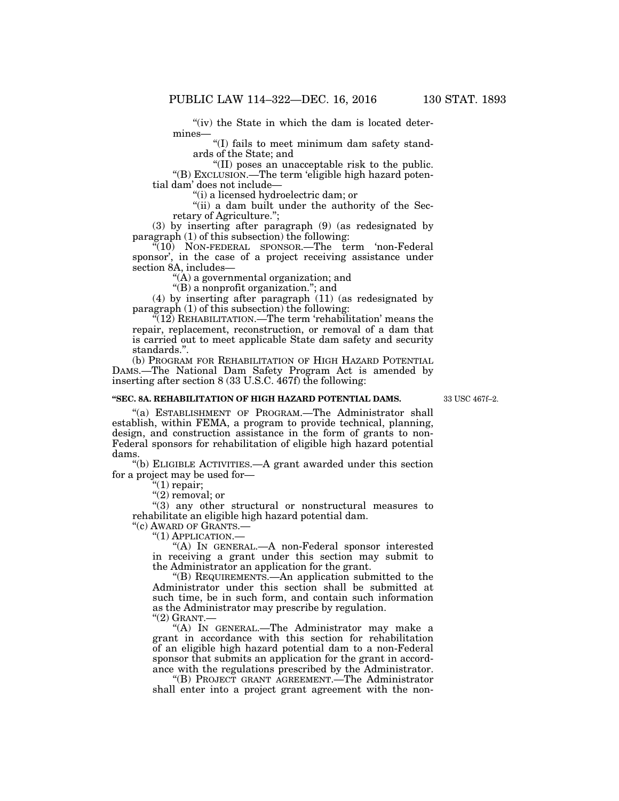"(iv) the State in which the dam is located determines—

''(I) fails to meet minimum dam safety standards of the State; and

''(II) poses an unacceptable risk to the public. ''(B) EXCLUSION.—The term 'eligible high hazard potential dam' does not include—

''(i) a licensed hydroelectric dam; or

''(ii) a dam built under the authority of the Secretary of Agriculture.'';

(3) by inserting after paragraph (9) (as redesignated by paragraph (1) of this subsection) the following:

''(10) NON-FEDERAL SPONSOR.—The term 'non-Federal sponsor', in the case of a project receiving assistance under section 8A, includes—

''(A) a governmental organization; and

''(B) a nonprofit organization.''; and

(4) by inserting after paragraph (11) (as redesignated by paragraph (1) of this subsection) the following:

 $\sqrt{\frac{2}{12}}$  REHABILITATION.—The term 'rehabilitation' means the repair, replacement, reconstruction, or removal of a dam that is carried out to meet applicable State dam safety and security standards.''.

(b) PROGRAM FOR REHABILITATION OF HIGH HAZARD POTENTIAL DAMS.—The National Dam Safety Program Act is amended by inserting after section 8 (33 U.S.C. 467f) the following:

## **''SEC. 8A. REHABILITATION OF HIGH HAZARD POTENTIAL DAMS.**

33 USC 467f–2.

"(a) ESTABLISHMENT OF PROGRAM.—The Administrator shall establish, within FEMA, a program to provide technical, planning, design, and construction assistance in the form of grants to non-Federal sponsors for rehabilitation of eligible high hazard potential dams.

''(b) ELIGIBLE ACTIVITIES.—A grant awarded under this section for a project may be used for—

 $(1)$  repair;

''(2) removal; or

''(3) any other structural or nonstructural measures to rehabilitate an eligible high hazard potential dam.

''(c) AWARD OF GRANTS.—

''(1) APPLICATION.—

''(A) IN GENERAL.—A non-Federal sponsor interested in receiving a grant under this section may submit to the Administrator an application for the grant.

''(B) REQUIREMENTS.—An application submitted to the Administrator under this section shall be submitted at such time, be in such form, and contain such information as the Administrator may prescribe by regulation.

 $"(2)$  GRANT. $-$ 

''(A) IN GENERAL.—The Administrator may make a grant in accordance with this section for rehabilitation of an eligible high hazard potential dam to a non-Federal sponsor that submits an application for the grant in accordance with the regulations prescribed by the Administrator.

''(B) PROJECT GRANT AGREEMENT.—The Administrator shall enter into a project grant agreement with the non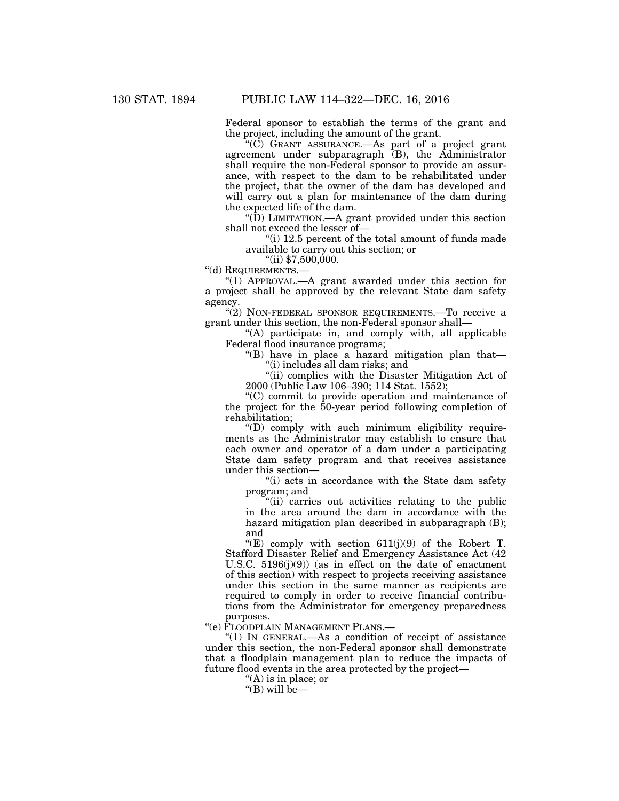Federal sponsor to establish the terms of the grant and the project, including the amount of the grant.

 $(C)$  GRANT ASSURANCE.—As part of a project grant agreement under subparagraph (B), the Administrator shall require the non-Federal sponsor to provide an assurance, with respect to the dam to be rehabilitated under the project, that the owner of the dam has developed and will carry out a plan for maintenance of the dam during the expected life of the dam.

"(D) LIMITATION.—A grant provided under this section shall not exceed the lesser of—

''(i) 12.5 percent of the total amount of funds made available to carry out this section; or

"(ii) \$7,500,000.

''(d) REQUIREMENTS.—

''(1) APPROVAL.—A grant awarded under this section for a project shall be approved by the relevant State dam safety agency.

" $(2)$  NON-FEDERAL SPONSOR REQUIREMENTS.—To receive a grant under this section, the non-Federal sponsor shall—

''(A) participate in, and comply with, all applicable Federal flood insurance programs;

''(B) have in place a hazard mitigation plan that— ''(i) includes all dam risks; and

''(ii) complies with the Disaster Mitigation Act of 2000 (Public Law 106–390; 114 Stat. 1552);

''(C) commit to provide operation and maintenance of the project for the 50-year period following completion of rehabilitation;

''(D) comply with such minimum eligibility requirements as the Administrator may establish to ensure that each owner and operator of a dam under a participating State dam safety program and that receives assistance under this section—

''(i) acts in accordance with the State dam safety program; and

''(ii) carries out activities relating to the public in the area around the dam in accordance with the hazard mitigation plan described in subparagraph (B); and

"(E) comply with section  $611(j)(9)$  of the Robert T. Stafford Disaster Relief and Emergency Assistance Act (42 U.S.C. 5196(j)(9)) (as in effect on the date of enactment of this section) with respect to projects receiving assistance under this section in the same manner as recipients are required to comply in order to receive financial contributions from the Administrator for emergency preparedness purposes.

''(e) FLOODPLAIN MANAGEMENT PLANS.—

" $(1)$  In GENERAL.—As a condition of receipt of assistance under this section, the non-Federal sponsor shall demonstrate that a floodplain management plan to reduce the impacts of future flood events in the area protected by the project—

''(A) is in place; or

"(B) will be—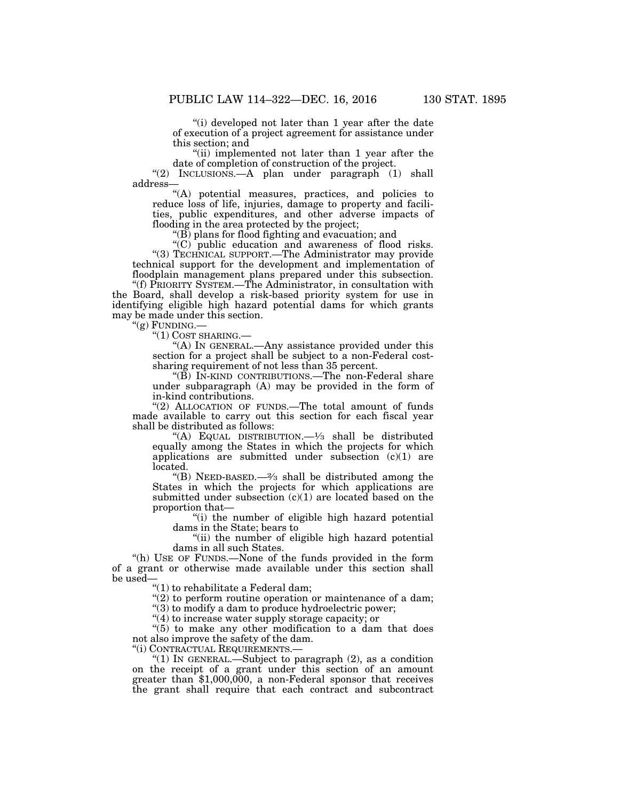"(i) developed not later than 1 year after the date of execution of a project agreement for assistance under this section; and

"(ii) implemented not later than 1 year after the date of completion of construction of the project.

"(2) INCLUSIONS.—A plan under paragraph (1) shall address—

"(A) potential measures, practices, and policies to reduce loss of life, injuries, damage to property and facilities, public expenditures, and other adverse impacts of flooding in the area protected by the project;

''(B) plans for flood fighting and evacuation; and

''(C) public education and awareness of flood risks. ''(3) TECHNICAL SUPPORT.—The Administrator may provide technical support for the development and implementation of floodplain management plans prepared under this subsection.

''(f) PRIORITY SYSTEM.—The Administrator, in consultation with the Board, shall develop a risk-based priority system for use in identifying eligible high hazard potential dams for which grants may be made under this section.

''(g) FUNDING.—

''(1) COST SHARING.—

''(A) IN GENERAL.—Any assistance provided under this section for a project shall be subject to a non-Federal costsharing requirement of not less than 35 percent.

"(B) IN-KIND CONTRIBUTIONS.—The non-Federal share under subparagraph (A) may be provided in the form of in-kind contributions.

''(2) ALLOCATION OF FUNDS.—The total amount of funds made available to carry out this section for each fiscal year shall be distributed as follows:

"(A) EQUAL DISTRIBUTION.— $\frac{1}{3}$  shall be distributed equally among the States in which the projects for which applications are submitted under subsection  $(c)(1)$  are located.

"(B) NEED-BASED.— $\frac{2}{3}$  shall be distributed among the States in which the projects for which applications are submitted under subsection (c)(1) are located based on the proportion that—

''(i) the number of eligible high hazard potential dams in the State; bears to

"(ii) the number of eligible high hazard potential dams in all such States.

''(h) USE OF FUNDS.—None of the funds provided in the form of a grant or otherwise made available under this section shall be used—

''(1) to rehabilitate a Federal dam;

 $''(2)$  to perform routine operation or maintenance of a dam;

"(3) to modify a dam to produce hydroelectric power;

''(4) to increase water supply storage capacity; or

"(5) to make any other modification to a dam that does not also improve the safety of the dam.

''(i) CONTRACTUAL REQUIREMENTS.—

''(1) IN GENERAL.—Subject to paragraph (2), as a condition on the receipt of a grant under this section of an amount greater than  $$1,000,000$ , a non-Federal sponsor that receives the grant shall require that each contract and subcontract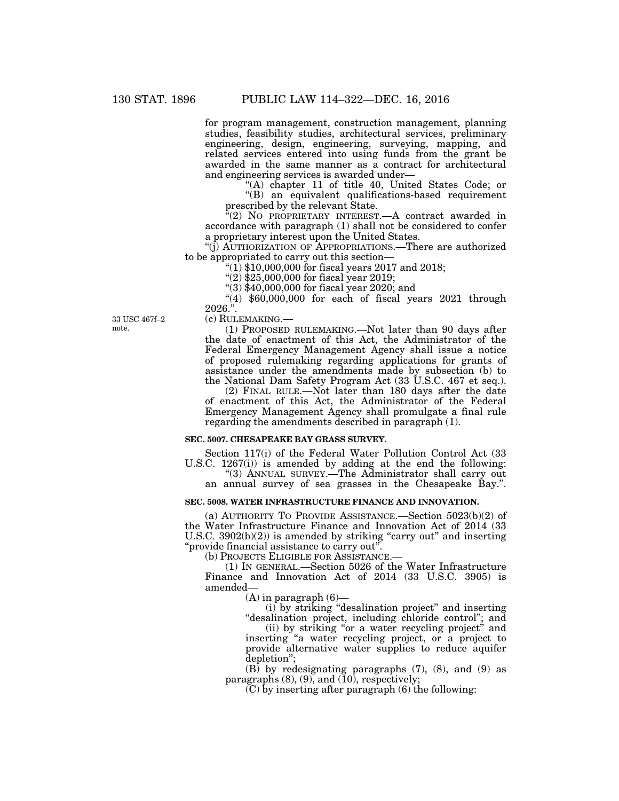for program management, construction management, planning studies, feasibility studies, architectural services, preliminary engineering, design, engineering, surveying, mapping, and related services entered into using funds from the grant be awarded in the same manner as a contract for architectural and engineering services is awarded under—

''(A) chapter 11 of title 40, United States Code; or ''(B) an equivalent qualifications-based requirement prescribed by the relevant State.

 $\sqrt{a(2)}$  No PROPRIETARY INTEREST.—A contract awarded in accordance with paragraph (1) shall not be considered to confer a proprietary interest upon the United States.

''(j) AUTHORIZATION OF APPROPRIATIONS.—There are authorized to be appropriated to carry out this section—

"(1)  $$10,000,000$  for fiscal years 2017 and 2018;

''(2) \$25,000,000 for fiscal year 2019;

''(3) \$40,000,000 for fiscal year 2020; and

 $*(4)$  \$60,000,000 for each of fiscal years 2021 through  $2026.$ ".

33 USC 467f–2 note.

(c) RULEMAKING.—

(1) PROPOSED RULEMAKING.—Not later than 90 days after the date of enactment of this Act, the Administrator of the Federal Emergency Management Agency shall issue a notice of proposed rulemaking regarding applications for grants of assistance under the amendments made by subsection (b) to the National Dam Safety Program Act (33 U.S.C. 467 et seq.).

(2) FINAL RULE.—Not later than 180 days after the date of enactment of this Act, the Administrator of the Federal Emergency Management Agency shall promulgate a final rule regarding the amendments described in paragraph (1).

#### **SEC. 5007. CHESAPEAKE BAY GRASS SURVEY.**

Section 117(i) of the Federal Water Pollution Control Act (33 U.S.C. 1267(i)) is amended by adding at the end the following:

''(3) ANNUAL SURVEY.—The Administrator shall carry out

an annual survey of sea grasses in the Chesapeake Bay.''.

## **SEC. 5008. WATER INFRASTRUCTURE FINANCE AND INNOVATION.**

(a) AUTHORITY TO PROVIDE ASSISTANCE.—Section 5023(b)(2) of the Water Infrastructure Finance and Innovation Act of 2014 (33 U.S.C.  $3902(b)(2)$  is amended by striking "carry out" and inserting ''provide financial assistance to carry out''.

(b) PROJECTS ELIGIBLE FOR ASSISTANCE.—

(1) IN GENERAL.—Section 5026 of the Water Infrastructure Finance and Innovation Act of 2014 (33 U.S.C. 3905) is amended—

 $(A)$  in paragraph  $(6)$ 

(i) by striking ''desalination project'' and inserting ''desalination project, including chloride control''; and

(ii) by striking "or a water recycling project" and inserting ''a water recycling project, or a project to provide alternative water supplies to reduce aquifer depletion'';

 $(B)$  by redesignating paragraphs  $(7)$ ,  $(8)$ , and  $(9)$  as paragraphs  $(8)$ ,  $(9)$ , and  $(10)$ , respectively;

 $(C)$  by inserting after paragraph  $(6)$  the following: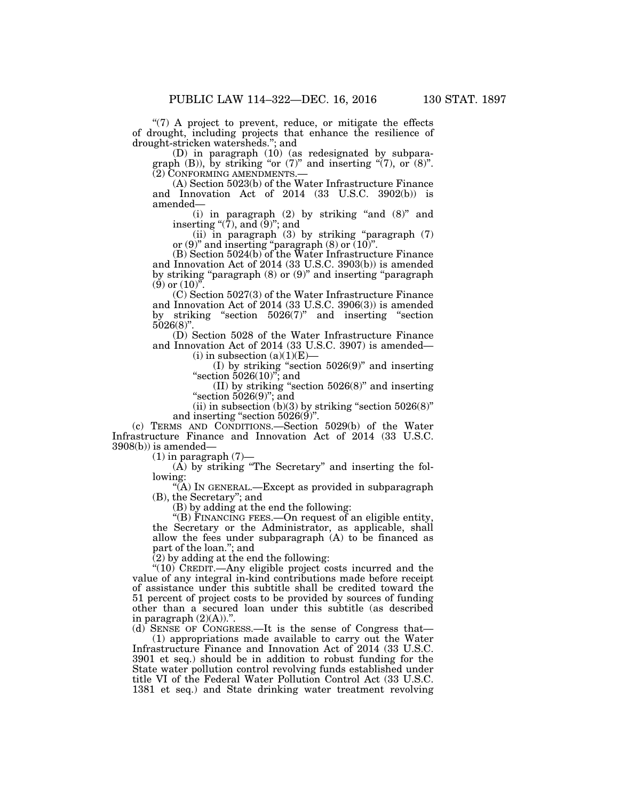"(7) A project to prevent, reduce, or mitigate the effects of drought, including projects that enhance the resilience of drought-stricken watersheds.''; and

(D) in paragraph (10) (as redesignated by subparagraph  $(B)$ ), by striking "or  $(7)$ " and inserting " $(7)$ , or  $(8)$ ".  $(2)$  CONFORMING AMENDMENTS.—<br>(A) Section 5023(b) of the Water Infrastructure Finance

and Innovation Act of 2014 (33 U.S.C. 3902(b)) is amended—

(i) in paragraph  $(2)$  by striking "and  $(8)$ " and inserting  $(7)$ , and  $(9)$ "; and

(ii) in paragraph  $(3)$  by striking "paragraph  $(7)$ or  $(9)$ " and inserting "paragraph  $(8)$  or  $(10)$ ".

(B) Section 5024(b) of the Water Infrastructure Finance and Innovation Act of 2014 (33 U.S.C. 3903(b)) is amended by striking "paragraph (8) or (9)" and inserting "paragraph  $(9)$  or  $(10)$ "

(C) Section 5027(3) of the Water Infrastructure Finance and Innovation Act of 2014 (33 U.S.C. 3906(3)) is amended by striking ''section 5026(7)'' and inserting ''section 5026(8)''.

(D) Section 5028 of the Water Infrastructure Finance and Innovation Act of 2014 (33 U.S.C. 3907) is amended—

(i) in subsection  $(a)(1)(E)$ —

(I) by striking ''section 5026(9)'' and inserting "section 5026(10)"; and

(II) by striking ''section 5026(8)'' and inserting "section  $5026(9)$ "; and

(ii) in subsection  $(b)(3)$  by striking "section  $5026(8)$ " and inserting "section  $5026(9)$ ".

(c) TERMS AND CONDITIONS.—Section 5029(b) of the Water Infrastructure Finance and Innovation Act of 2014 (33 U.S.C.  $3908(b)$ ) is amended-

 $(1)$  in paragraph  $(7)$ —

 $(A)$  by striking "The Secretary" and inserting the following:

''(A) IN GENERAL.—Except as provided in subparagraph (B), the Secretary''; and

(B) by adding at the end the following:

 $\cdot$ <sup>"(B)</sup> FINANCING FEES.—On request of an eligible entity, the Secretary or the Administrator, as applicable, shall allow the fees under subparagraph (A) to be financed as part of the loan.''; and

(2) by adding at the end the following:

''(10) CREDIT.—Any eligible project costs incurred and the value of any integral in-kind contributions made before receipt of assistance under this subtitle shall be credited toward the 51 percent of project costs to be provided by sources of funding other than a secured loan under this subtitle (as described in paragraph  $(2)(A)$ .".

(d) SENSE OF CONGRESS.—It is the sense of Congress that— (1) appropriations made available to carry out the Water Infrastructure Finance and Innovation Act of 2014 (33 U.S.C. 3901 et seq.) should be in addition to robust funding for the State water pollution control revolving funds established under title VI of the Federal Water Pollution Control Act (33 U.S.C. 1381 et seq.) and State drinking water treatment revolving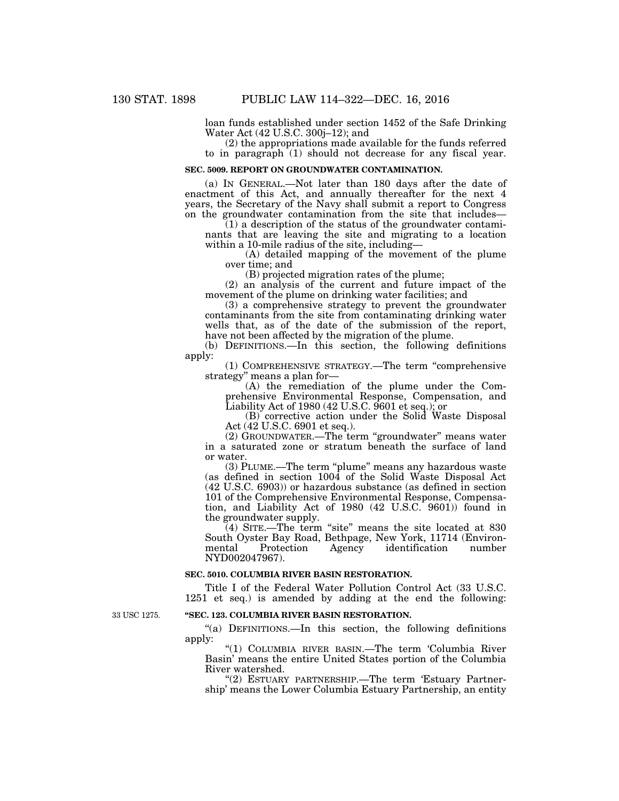loan funds established under section 1452 of the Safe Drinking Water Act (42 U.S.C. 300j–12); and

(2) the appropriations made available for the funds referred to in paragraph (1) should not decrease for any fiscal year.

## **SEC. 5009. REPORT ON GROUNDWATER CONTAMINATION.**

(a) IN GENERAL.—Not later than 180 days after the date of enactment of this Act, and annually thereafter for the next 4 years, the Secretary of the Navy shall submit a report to Congress on the groundwater contamination from the site that includes—

(1) a description of the status of the groundwater contaminants that are leaving the site and migrating to a location within a 10-mile radius of the site, including—

(A) detailed mapping of the movement of the plume over time; and

(B) projected migration rates of the plume;

(2) an analysis of the current and future impact of the movement of the plume on drinking water facilities; and

(3) a comprehensive strategy to prevent the groundwater contaminants from the site from contaminating drinking water wells that, as of the date of the submission of the report, have not been affected by the migration of the plume.

(b) DEFINITIONS.—In this section, the following definitions apply:

(1) COMPREHENSIVE STRATEGY.—The term ''comprehensive strategy'' means a plan for—

(A) the remediation of the plume under the Comprehensive Environmental Response, Compensation, and Liability Act of 1980 (42 U.S.C.  $9601$  et seq.); or

(B) corrective action under the Solid Waste Disposal Act (42 U.S.C. 6901 et seq.).

(2) GROUNDWATER.—The term ''groundwater'' means water in a saturated zone or stratum beneath the surface of land or water.

(3) PLUME.—The term ''plume'' means any hazardous waste (as defined in section 1004 of the Solid Waste Disposal Act (42 U.S.C. 6903)) or hazardous substance (as defined in section 101 of the Comprehensive Environmental Response, Compensation, and Liability Act of 1980 (42 U.S.C. 9601)) found in the groundwater supply.

 $(4)$  SITE.—The term "site" means the site located at 830 South Oyster Bay Road, Bethpage, New York, 11714 (Environmental Protection Agency identification number NYD002047967).

## **SEC. 5010. COLUMBIA RIVER BASIN RESTORATION.**

Title I of the Federal Water Pollution Control Act (33 U.S.C. 1251 et seq.) is amended by adding at the end the following:

33 USC 1275.

## **''SEC. 123. COLUMBIA RIVER BASIN RESTORATION.**

''(a) DEFINITIONS.—In this section, the following definitions apply:

''(1) COLUMBIA RIVER BASIN.—The term 'Columbia River Basin' means the entire United States portion of the Columbia River watershed.

"(2) ESTUARY PARTNERSHIP.—The term 'Estuary Partnership' means the Lower Columbia Estuary Partnership, an entity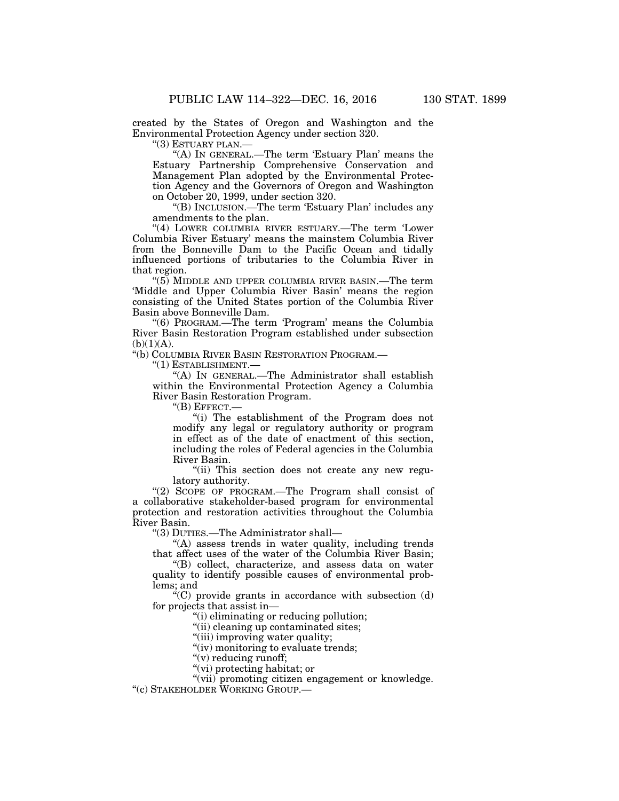created by the States of Oregon and Washington and the Environmental Protection Agency under section 320.

''(3) ESTUARY PLAN.—

"(A) IN GENERAL.—The term 'Estuary Plan' means the Estuary Partnership Comprehensive Conservation and Management Plan adopted by the Environmental Protection Agency and the Governors of Oregon and Washington on October 20, 1999, under section 320.

''(B) INCLUSION.—The term 'Estuary Plan' includes any amendments to the plan.

''(4) LOWER COLUMBIA RIVER ESTUARY.—The term 'Lower Columbia River Estuary' means the mainstem Columbia River from the Bonneville Dam to the Pacific Ocean and tidally influenced portions of tributaries to the Columbia River in that region.

''(5) MIDDLE AND UPPER COLUMBIA RIVER BASIN.—The term 'Middle and Upper Columbia River Basin' means the region consisting of the United States portion of the Columbia River Basin above Bonneville Dam.

''(6) PROGRAM.—The term 'Program' means the Columbia River Basin Restoration Program established under subsection  $(b)(1)(A)$ .

''(b) COLUMBIA RIVER BASIN RESTORATION PROGRAM.—

''(1) ESTABLISHMENT.—

''(A) IN GENERAL.—The Administrator shall establish within the Environmental Protection Agency a Columbia River Basin Restoration Program.

''(B) EFFECT.—

''(i) The establishment of the Program does not modify any legal or regulatory authority or program in effect as of the date of enactment of this section, including the roles of Federal agencies in the Columbia River Basin.

"(ii) This section does not create any new regulatory authority.

''(2) SCOPE OF PROGRAM.—The Program shall consist of a collaborative stakeholder-based program for environmental protection and restoration activities throughout the Columbia River Basin.

''(3) DUTIES.—The Administrator shall—

"(A) assess trends in water quality, including trends that affect uses of the water of the Columbia River Basin;

''(B) collect, characterize, and assess data on water quality to identify possible causes of environmental problems; and

"(C) provide grants in accordance with subsection  $(d)$ for projects that assist in—

''(i) eliminating or reducing pollution;

"(ii) cleaning up contaminated sites;

''(iii) improving water quality;

"(iv) monitoring to evaluate trends;

''(v) reducing runoff;

''(vi) protecting habitat; or

"(vii) promoting citizen engagement or knowledge. ''(c) STAKEHOLDER WORKING GROUP.—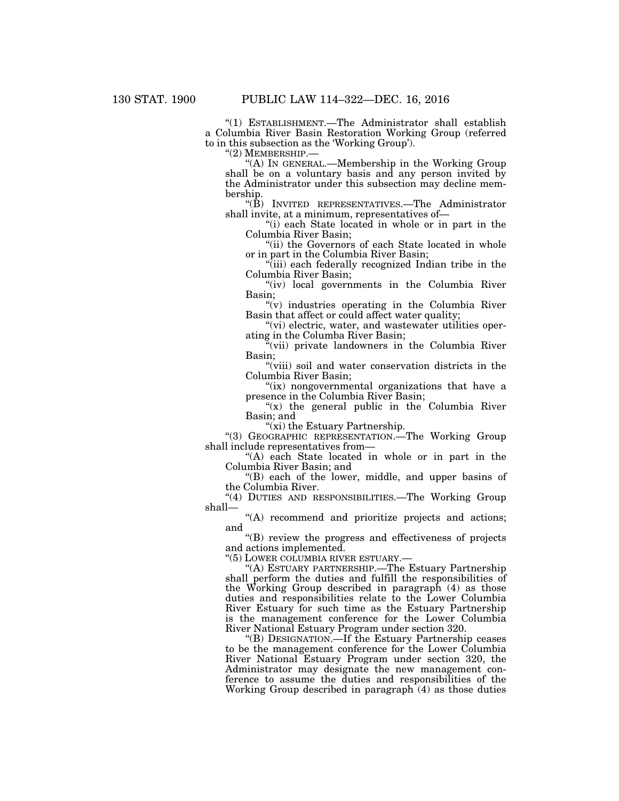''(1) ESTABLISHMENT.—The Administrator shall establish a Columbia River Basin Restoration Working Group (referred to in this subsection as the 'Working Group').

''(2) MEMBERSHIP.— ''(A) IN GENERAL.—Membership in the Working Group shall be on a voluntary basis and any person invited by the Administrator under this subsection may decline membership.

''(B) INVITED REPRESENTATIVES.—The Administrator shall invite, at a minimum, representatives of—

''(i) each State located in whole or in part in the Columbia River Basin;

"(ii) the Governors of each State located in whole or in part in the Columbia River Basin;

''(iii) each federally recognized Indian tribe in the Columbia River Basin;

''(iv) local governments in the Columbia River Basin;

"(v) industries operating in the Columbia River Basin that affect or could affect water quality;

"(vi) electric, water, and wastewater utilities operating in the Columba River Basin;

''(vii) private landowners in the Columbia River Basin;

"(viii) soil and water conservation districts in the Columbia River Basin;

"(ix) nongovernmental organizations that have a presence in the Columbia River Basin;

" $(x)$  the general public in the Columbia River Basin; and

''(xi) the Estuary Partnership.

''(3) GEOGRAPHIC REPRESENTATION.—The Working Group shall include representatives from—

"(A) each State located in whole or in part in the Columbia River Basin; and

''(B) each of the lower, middle, and upper basins of the Columbia River.

"(4) DUTIES AND RESPONSIBILITIES.—The Working Group shall—

"(A) recommend and prioritize projects and actions; and

''(B) review the progress and effectiveness of projects and actions implemented.

''(5) LOWER COLUMBIA RIVER ESTUARY.—

''(A) ESTUARY PARTNERSHIP.—The Estuary Partnership shall perform the duties and fulfill the responsibilities of the Working Group described in paragraph (4) as those duties and responsibilities relate to the Lower Columbia River Estuary for such time as the Estuary Partnership is the management conference for the Lower Columbia River National Estuary Program under section 320.

''(B) DESIGNATION.—If the Estuary Partnership ceases to be the management conference for the Lower Columbia River National Estuary Program under section 320, the Administrator may designate the new management conference to assume the duties and responsibilities of the Working Group described in paragraph  $(4)$  as those duties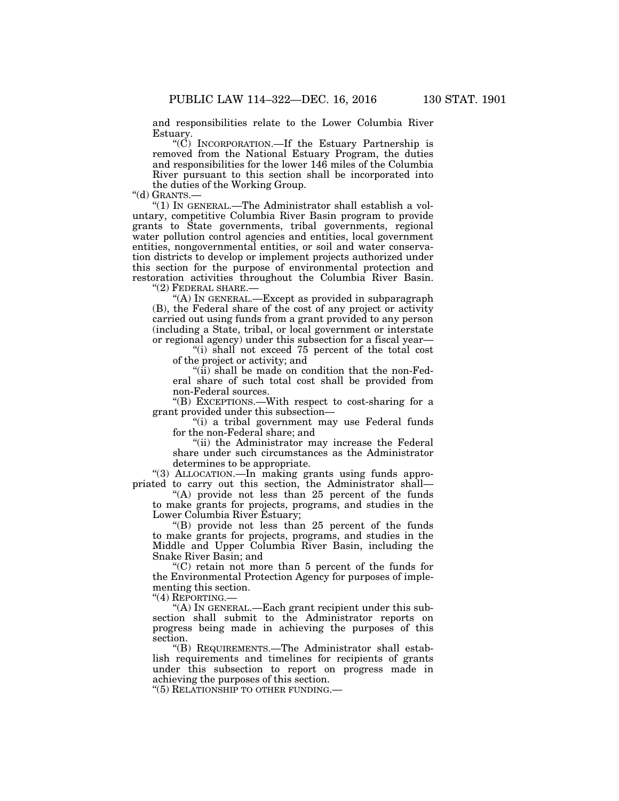and responsibilities relate to the Lower Columbia River Estuary.

"(C) INCORPORATION.—If the Estuary Partnership is removed from the National Estuary Program, the duties and responsibilities for the lower 146 miles of the Columbia River pursuant to this section shall be incorporated into the duties of the Working Group.

''(d) GRANTS.—

''(1) IN GENERAL.—The Administrator shall establish a voluntary, competitive Columbia River Basin program to provide grants to State governments, tribal governments, regional water pollution control agencies and entities, local government entities, nongovernmental entities, or soil and water conservation districts to develop or implement projects authorized under this section for the purpose of environmental protection and restoration activities throughout the Columbia River Basin.

''(2) FEDERAL SHARE.—

''(A) IN GENERAL.—Except as provided in subparagraph (B), the Federal share of the cost of any project or activity carried out using funds from a grant provided to any person (including a State, tribal, or local government or interstate or regional agency) under this subsection for a fiscal year—

"(i) shall not exceed 75 percent of the total cost of the project or activity; and

''(ii) shall be made on condition that the non-Federal share of such total cost shall be provided from non-Federal sources.

''(B) EXCEPTIONS.—With respect to cost-sharing for a grant provided under this subsection—

''(i) a tribal government may use Federal funds for the non-Federal share; and

''(ii) the Administrator may increase the Federal share under such circumstances as the Administrator determines to be appropriate.

''(3) ALLOCATION.—In making grants using funds appropriated to carry out this section, the Administrator shall—

"(A) provide not less than 25 percent of the funds to make grants for projects, programs, and studies in the Lower Columbia River Estuary;

''(B) provide not less than 25 percent of the funds to make grants for projects, programs, and studies in the Middle and Upper Columbia River Basin, including the Snake River Basin; and

''(C) retain not more than 5 percent of the funds for the Environmental Protection Agency for purposes of implementing this section.

"(4) REPORTING.

"(A) IN GENERAL.—Each grant recipient under this subsection shall submit to the Administrator reports on progress being made in achieving the purposes of this section.

''(B) REQUIREMENTS.—The Administrator shall establish requirements and timelines for recipients of grants under this subsection to report on progress made in achieving the purposes of this section.

''(5) RELATIONSHIP TO OTHER FUNDING.—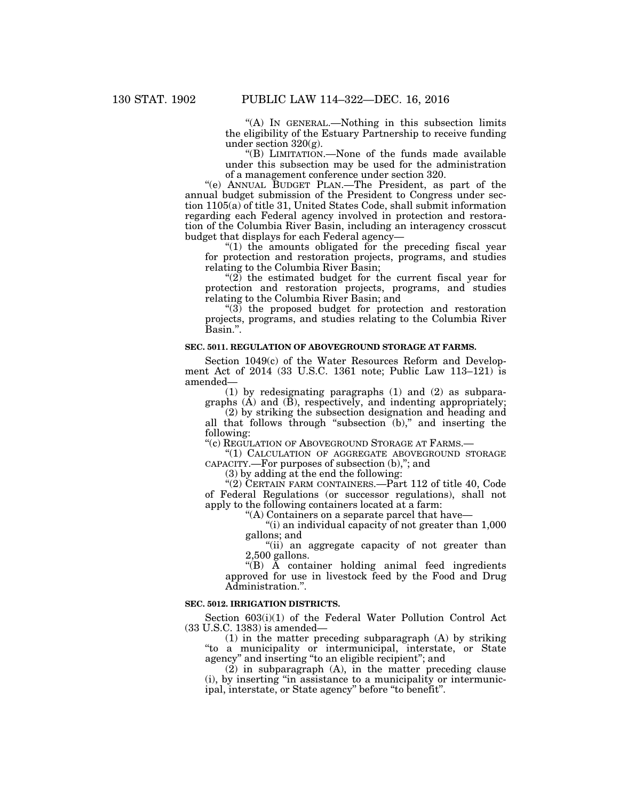''(A) IN GENERAL.—Nothing in this subsection limits the eligibility of the Estuary Partnership to receive funding under section  $320(g)$ .

''(B) LIMITATION.—None of the funds made available under this subsection may be used for the administration of a management conference under section 320.

''(e) ANNUAL BUDGET PLAN.—The President, as part of the annual budget submission of the President to Congress under section 1105(a) of title 31, United States Code, shall submit information regarding each Federal agency involved in protection and restoration of the Columbia River Basin, including an interagency crosscut budget that displays for each Federal agency—

''(1) the amounts obligated for the preceding fiscal year for protection and restoration projects, programs, and studies relating to the Columbia River Basin;

" $(2)$  the estimated budget for the current fiscal year for protection and restoration projects, programs, and studies relating to the Columbia River Basin; and

 $(3)$  the proposed budget for protection and restoration projects, programs, and studies relating to the Columbia River Basin.''.

## **SEC. 5011. REGULATION OF ABOVEGROUND STORAGE AT FARMS.**

Section 1049(c) of the Water Resources Reform and Development Act of 2014 (33 U.S.C. 1361 note; Public Law 113–121) is amended—

(1) by redesignating paragraphs (1) and (2) as subparagraphs  $(A)$  and  $(B)$ , respectively, and indenting appropriately;

(2) by striking the subsection designation and heading and all that follows through "subsection  $(b)$ ," and inserting the following:

''(c) REGULATION OF ABOVEGROUND STORAGE AT FARMS.—

''(1) CALCULATION OF AGGREGATE ABOVEGROUND STORAGE  $CAPACITY$ .—For purposes of subsection  $(b)$ ,"; and

(3) by adding at the end the following:

"(2) CERTAIN FARM CONTAINERS.—Part 112 of title 40, Code of Federal Regulations (or successor regulations), shall not apply to the following containers located at a farm:

''(A) Containers on a separate parcel that have—

''(i) an individual capacity of not greater than 1,000 gallons; and

"(ii) an aggregate capacity of not greater than 2,500 gallons.

''(B) A container holding animal feed ingredients approved for use in livestock feed by the Food and Drug Administration.''.

#### **SEC. 5012. IRRIGATION DISTRICTS.**

Section 603(i)(1) of the Federal Water Pollution Control Act (33 U.S.C. 1383) is amended—

(1) in the matter preceding subparagraph (A) by striking ''to a municipality or intermunicipal, interstate, or State agency'' and inserting ''to an eligible recipient''; and

(2) in subparagraph (A), in the matter preceding clause (i), by inserting ''in assistance to a municipality or intermunicipal, interstate, or State agency" before "to benefit".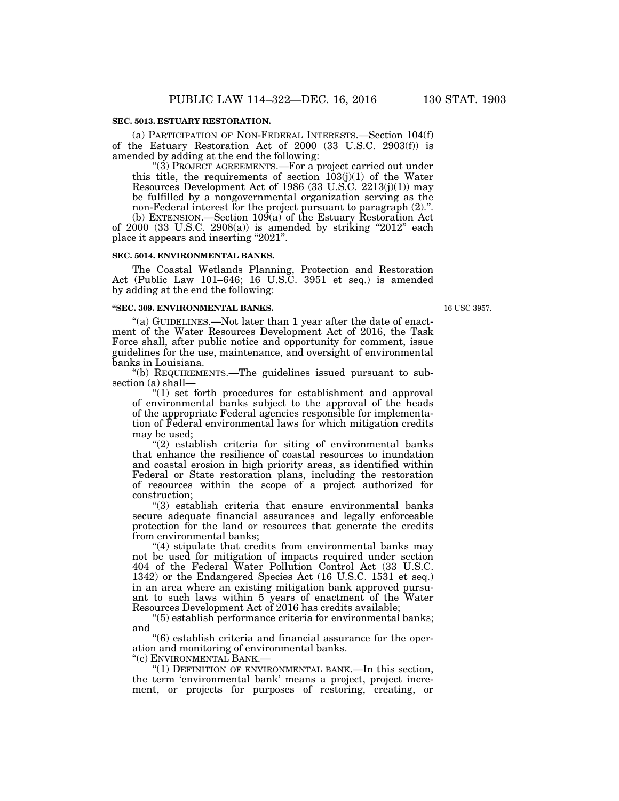# **SEC. 5013. ESTUARY RESTORATION.**

(a) PARTICIPATION OF NON-FEDERAL INTERESTS.—Section 104(f) of the Estuary Restoration Act of 2000 (33 U.S.C. 2903(f)) is amended by adding at the end the following:

''(3) PROJECT AGREEMENTS.—For a project carried out under this title, the requirements of section  $103(j)(1)$  of the Water Resources Development Act of 1986 (33 U.S.C. 2213(j)(1)) may be fulfilled by a nongovernmental organization serving as the non-Federal interest for the project pursuant to paragraph (2).''.

(b) EXTENSION.—Section 109(a) of the Estuary Restoration Act of 2000 (33 U.S.C. 2908(a)) is amended by striking ''2012'' each place it appears and inserting "2021".

#### **SEC. 5014. ENVIRONMENTAL BANKS.**

The Coastal Wetlands Planning, Protection and Restoration Act (Public Law 101–646; 16 U.S.C. 3951 et seq.) is amended by adding at the end the following:

#### **''SEC. 309. ENVIRONMENTAL BANKS.**

16 USC 3957.

''(a) GUIDELINES.—Not later than 1 year after the date of enactment of the Water Resources Development Act of 2016, the Task Force shall, after public notice and opportunity for comment, issue guidelines for the use, maintenance, and oversight of environmental banks in Louisiana.

''(b) REQUIREMENTS.—The guidelines issued pursuant to subsection (a) shall-

''(1) set forth procedures for establishment and approval of environmental banks subject to the approval of the heads of the appropriate Federal agencies responsible for implementation of Federal environmental laws for which mitigation credits may be used;

"(2) establish criteria for siting of environmental banks that enhance the resilience of coastal resources to inundation and coastal erosion in high priority areas, as identified within Federal or State restoration plans, including the restoration of resources within the scope of a project authorized for construction;

"(3) establish criteria that ensure environmental banks secure adequate financial assurances and legally enforceable protection for the land or resources that generate the credits from environmental banks;

''(4) stipulate that credits from environmental banks may not be used for mitigation of impacts required under section 404 of the Federal Water Pollution Control Act (33 U.S.C. 1342) or the Endangered Species Act (16 U.S.C. 1531 et seq.) in an area where an existing mitigation bank approved pursuant to such laws within 5 years of enactment of the Water Resources Development Act of 2016 has credits available;

''(5) establish performance criteria for environmental banks; and

''(6) establish criteria and financial assurance for the operation and monitoring of environmental banks.

''(c) ENVIRONMENTAL BANK.—

''(1) DEFINITION OF ENVIRONMENTAL BANK.—In this section, the term 'environmental bank' means a project, project increment, or projects for purposes of restoring, creating, or